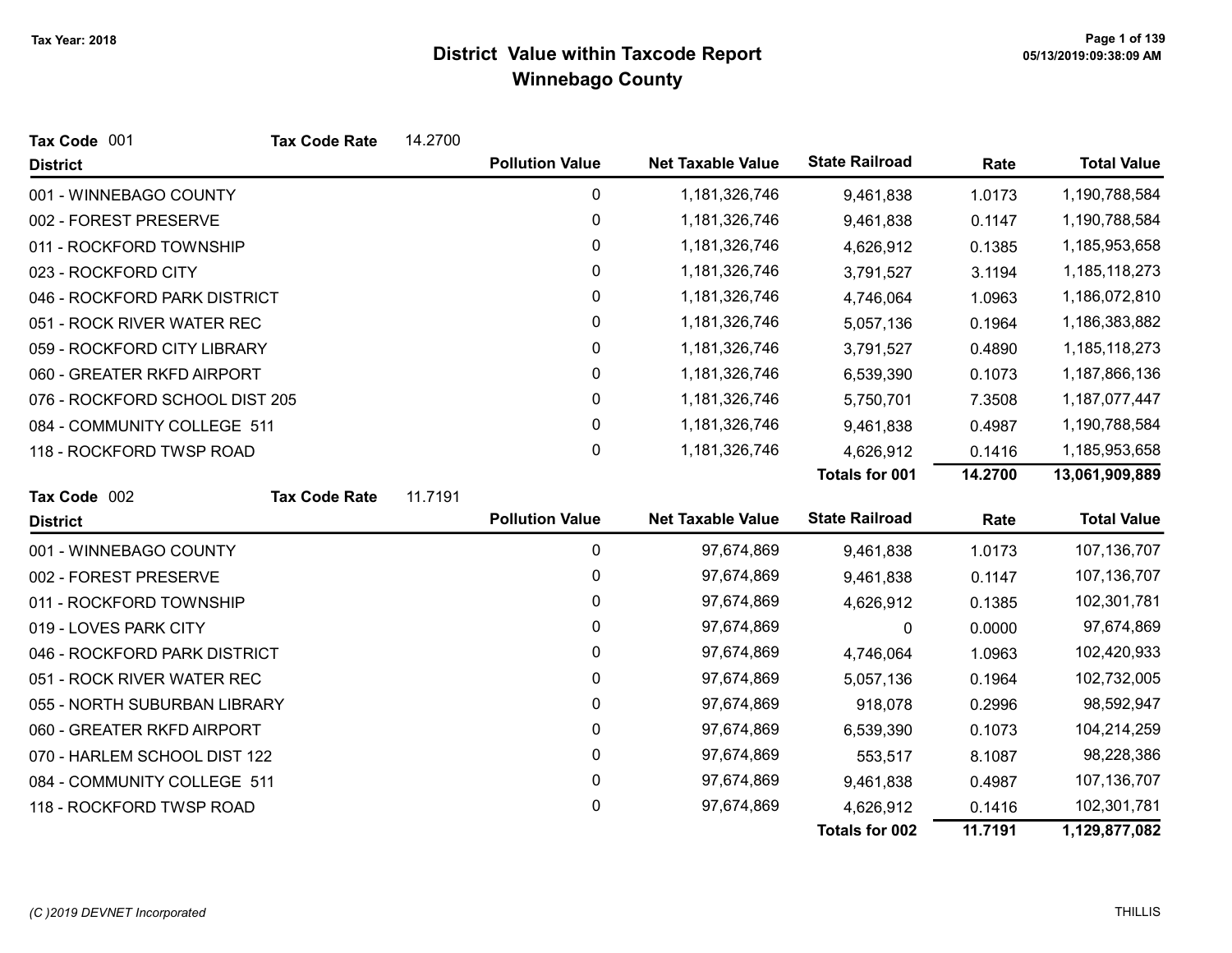| Tax Code 001                   | <b>Tax Code Rate</b> | 14.2700 |                        |                          |                       |         |                    |
|--------------------------------|----------------------|---------|------------------------|--------------------------|-----------------------|---------|--------------------|
| <b>District</b>                |                      |         | <b>Pollution Value</b> | <b>Net Taxable Value</b> | <b>State Railroad</b> | Rate    | <b>Total Value</b> |
| 001 - WINNEBAGO COUNTY         |                      |         | 0                      | 1,181,326,746            | 9,461,838             | 1.0173  | 1,190,788,584      |
| 002 - FOREST PRESERVE          |                      |         | 0                      | 1,181,326,746            | 9,461,838             | 0.1147  | 1,190,788,584      |
| 011 - ROCKFORD TOWNSHIP        |                      |         | 0                      | 1,181,326,746            | 4,626,912             | 0.1385  | 1,185,953,658      |
| 023 - ROCKFORD CITY            |                      |         | 0                      | 1,181,326,746            | 3,791,527             | 3.1194  | 1,185,118,273      |
| 046 - ROCKFORD PARK DISTRICT   |                      |         | 0                      | 1,181,326,746            | 4,746,064             | 1.0963  | 1,186,072,810      |
| 051 - ROCK RIVER WATER REC     |                      |         | 0                      | 1,181,326,746            | 5,057,136             | 0.1964  | 1,186,383,882      |
| 059 - ROCKFORD CITY LIBRARY    |                      |         | 0                      | 1,181,326,746            | 3,791,527             | 0.4890  | 1,185,118,273      |
| 060 - GREATER RKFD AIRPORT     |                      |         | 0                      | 1,181,326,746            | 6,539,390             | 0.1073  | 1,187,866,136      |
| 076 - ROCKFORD SCHOOL DIST 205 |                      |         | 0                      | 1,181,326,746            | 5,750,701             | 7.3508  | 1,187,077,447      |
| 084 - COMMUNITY COLLEGE 511    |                      |         | 0                      | 1,181,326,746            | 9,461,838             | 0.4987  | 1,190,788,584      |
| 118 - ROCKFORD TWSP ROAD       |                      |         | 0                      | 1,181,326,746            | 4,626,912             | 0.1416  | 1,185,953,658      |
|                                |                      |         |                        |                          | <b>Totals for 001</b> | 14.2700 | 13,061,909,889     |
| Tax Code 002                   | <b>Tax Code Rate</b> | 11.7191 |                        |                          |                       |         |                    |
| <b>District</b>                |                      |         | <b>Pollution Value</b> | <b>Net Taxable Value</b> | <b>State Railroad</b> | Rate    | <b>Total Value</b> |
| 001 - WINNEBAGO COUNTY         |                      |         | 0                      | 97,674,869               | 9,461,838             | 1.0173  | 107,136,707        |
| 002 - FOREST PRESERVE          |                      |         | 0                      | 97,674,869               | 9,461,838             | 0.1147  | 107,136,707        |
| 011 - ROCKFORD TOWNSHIP        |                      |         | 0                      | 97,674,869               | 4,626,912             | 0.1385  | 102,301,781        |
| 019 - LOVES PARK CITY          |                      |         | 0                      | 97,674,869               | 0                     | 0.0000  | 97,674,869         |
| 046 - ROCKFORD PARK DISTRICT   |                      |         | 0                      | 97,674,869               | 4,746,064             | 1.0963  | 102,420,933        |
| 051 - ROCK RIVER WATER REC     |                      |         | 0                      | 97,674,869               | 5,057,136             | 0.1964  | 102,732,005        |
| 055 - NORTH SUBURBAN LIBRARY   |                      |         | 0                      | 97,674,869               | 918,078               | 0.2996  | 98,592,947         |
| 060 - GREATER RKFD AIRPORT     |                      |         | 0                      | 97,674,869               | 6,539,390             | 0.1073  | 104,214,259        |
| 070 - HARLEM SCHOOL DIST 122   |                      |         | 0                      | 97,674,869               | 553,517               | 8.1087  | 98,228,386         |
| 084 - COMMUNITY COLLEGE 511    |                      |         | 0                      | 97,674,869               | 9,461,838             | 0.4987  | 107,136,707        |
| 118 - ROCKFORD TWSP ROAD       |                      |         | 0                      | 97,674,869               | 4,626,912             | 0.1416  | 102,301,781        |
|                                |                      |         |                        |                          | Totals for 002        | 11.7191 | 1,129,877,082      |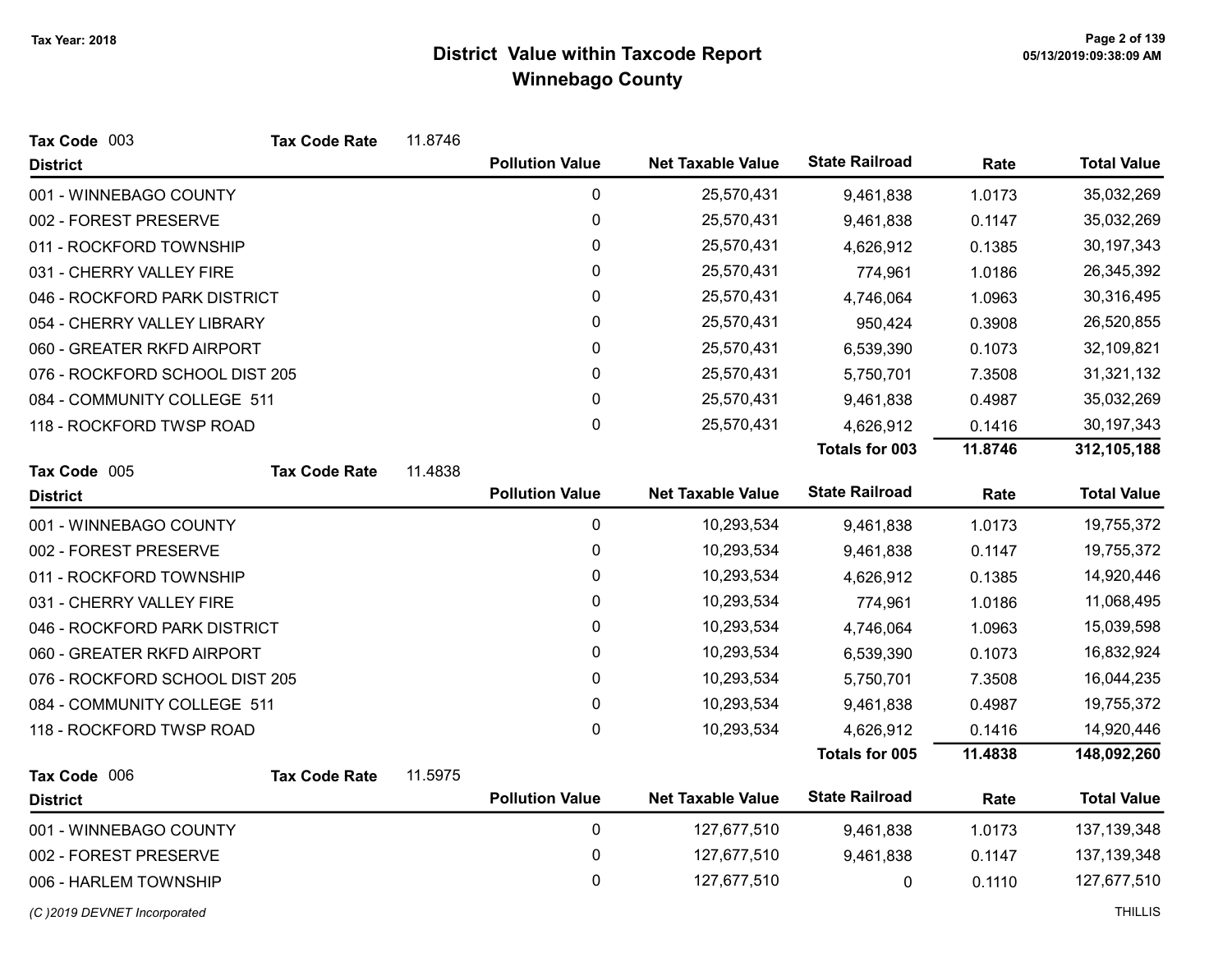| Tax Code 003                   | <b>Tax Code Rate</b> | 11.8746 |                        |                          |                       |         |                    |
|--------------------------------|----------------------|---------|------------------------|--------------------------|-----------------------|---------|--------------------|
| <b>District</b>                |                      |         | <b>Pollution Value</b> | <b>Net Taxable Value</b> | <b>State Railroad</b> | Rate    | <b>Total Value</b> |
| 001 - WINNEBAGO COUNTY         |                      |         | 0                      | 25,570,431               | 9,461,838             | 1.0173  | 35,032,269         |
| 002 - FOREST PRESERVE          |                      |         | $\mathbf 0$            | 25,570,431               | 9,461,838             | 0.1147  | 35,032,269         |
| 011 - ROCKFORD TOWNSHIP        |                      |         | 0                      | 25,570,431               | 4,626,912             | 0.1385  | 30,197,343         |
| 031 - CHERRY VALLEY FIRE       |                      |         | 0                      | 25,570,431               | 774,961               | 1.0186  | 26,345,392         |
| 046 - ROCKFORD PARK DISTRICT   |                      |         | 0                      | 25,570,431               | 4,746,064             | 1.0963  | 30,316,495         |
| 054 - CHERRY VALLEY LIBRARY    |                      |         | 0                      | 25,570,431               | 950,424               | 0.3908  | 26,520,855         |
| 060 - GREATER RKFD AIRPORT     |                      |         | 0                      | 25,570,431               | 6,539,390             | 0.1073  | 32,109,821         |
| 076 - ROCKFORD SCHOOL DIST 205 |                      |         | 0                      | 25,570,431               | 5,750,701             | 7.3508  | 31,321,132         |
| 084 - COMMUNITY COLLEGE 511    |                      |         | 0                      | 25,570,431               | 9,461,838             | 0.4987  | 35,032,269         |
| 118 - ROCKFORD TWSP ROAD       |                      |         | 0                      | 25,570,431               | 4,626,912             | 0.1416  | 30,197,343         |
|                                |                      |         |                        |                          | Totals for 003        | 11.8746 | 312,105,188        |
| Tax Code 005                   | <b>Tax Code Rate</b> | 11.4838 |                        |                          |                       |         |                    |
| <b>District</b>                |                      |         | <b>Pollution Value</b> | <b>Net Taxable Value</b> | <b>State Railroad</b> | Rate    | <b>Total Value</b> |
| 001 - WINNEBAGO COUNTY         |                      |         | $\mathbf 0$            | 10,293,534               | 9,461,838             | 1.0173  | 19,755,372         |
| 002 - FOREST PRESERVE          |                      |         | 0                      | 10,293,534               | 9,461,838             | 0.1147  | 19,755,372         |
| 011 - ROCKFORD TOWNSHIP        |                      |         | 0                      | 10,293,534               | 4,626,912             | 0.1385  | 14,920,446         |
| 031 - CHERRY VALLEY FIRE       |                      |         | 0                      | 10,293,534               | 774,961               | 1.0186  | 11,068,495         |
| 046 - ROCKFORD PARK DISTRICT   |                      |         | 0                      | 10,293,534               | 4,746,064             | 1.0963  | 15,039,598         |
| 060 - GREATER RKFD AIRPORT     |                      |         | 0                      | 10,293,534               | 6,539,390             | 0.1073  | 16,832,924         |
| 076 - ROCKFORD SCHOOL DIST 205 |                      |         | 0                      | 10,293,534               | 5,750,701             | 7.3508  | 16,044,235         |
| 084 - COMMUNITY COLLEGE 511    |                      |         | 0                      | 10,293,534               | 9,461,838             | 0.4987  | 19,755,372         |
| 118 - ROCKFORD TWSP ROAD       |                      |         | 0                      | 10,293,534               | 4,626,912             | 0.1416  | 14,920,446         |
|                                |                      |         |                        |                          | Totals for 005        | 11.4838 | 148,092,260        |
| Tax Code 006                   | <b>Tax Code Rate</b> | 11.5975 |                        |                          |                       |         |                    |
| <b>District</b>                |                      |         | <b>Pollution Value</b> | <b>Net Taxable Value</b> | <b>State Railroad</b> | Rate    | <b>Total Value</b> |
| 001 - WINNEBAGO COUNTY         |                      |         | 0                      | 127,677,510              | 9,461,838             | 1.0173  | 137, 139, 348      |
| 002 - FOREST PRESERVE          |                      |         | 0                      | 127,677,510              | 9,461,838             | 0.1147  | 137, 139, 348      |
| 006 - HARLEM TOWNSHIP          |                      |         | 0                      | 127,677,510              | 0                     | 0.1110  | 127,677,510        |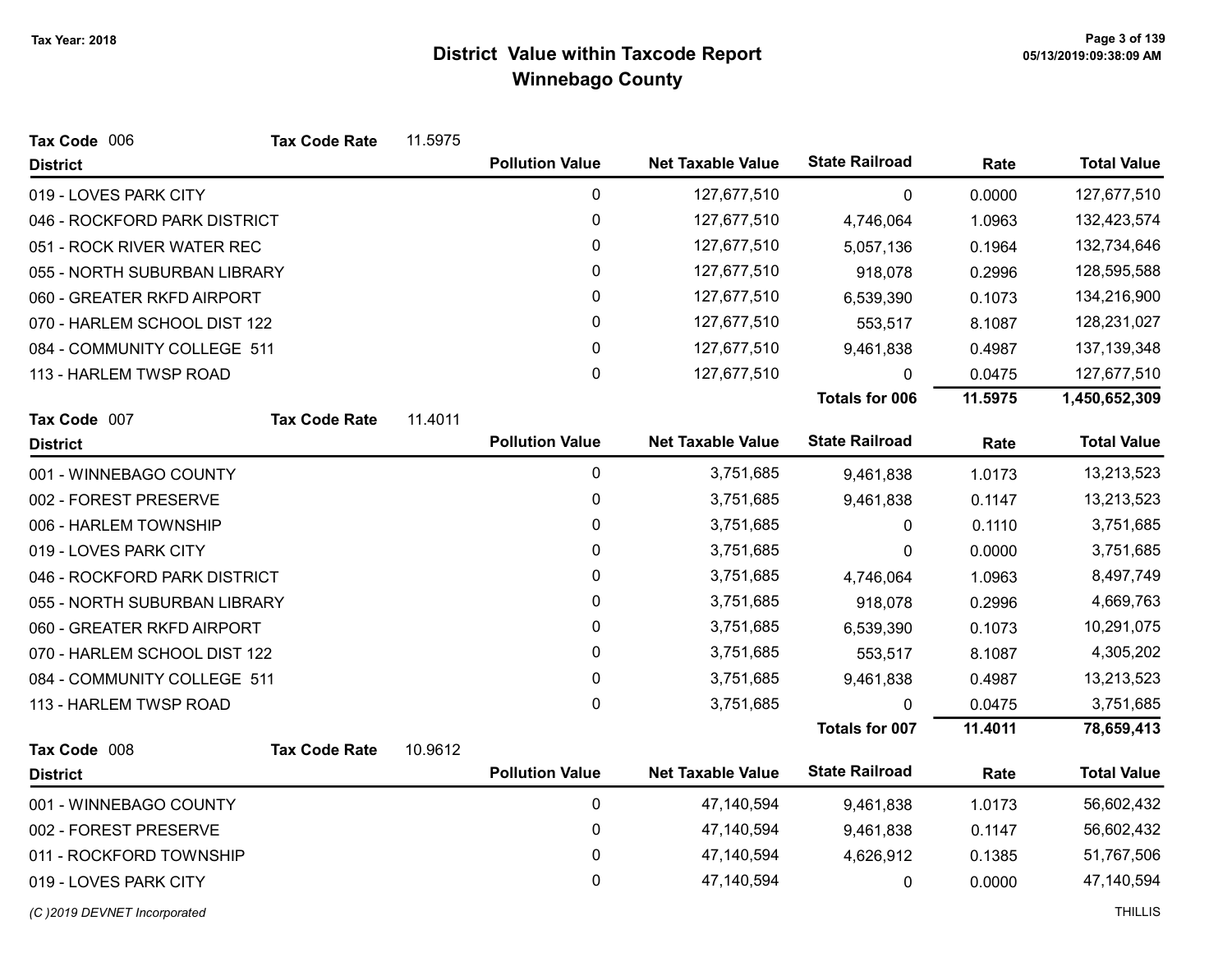| Tax Code 006                 | <b>Tax Code Rate</b>         | 11.5975 |                        |                          |                       |         |                    |
|------------------------------|------------------------------|---------|------------------------|--------------------------|-----------------------|---------|--------------------|
| <b>District</b>              |                              |         | <b>Pollution Value</b> | <b>Net Taxable Value</b> | <b>State Railroad</b> | Rate    | <b>Total Value</b> |
| 019 - LOVES PARK CITY        |                              |         | 0                      | 127,677,510              | 0                     | 0.0000  | 127,677,510        |
| 046 - ROCKFORD PARK DISTRICT |                              |         | 0                      | 127,677,510              | 4,746,064             | 1.0963  | 132,423,574        |
| 051 - ROCK RIVER WATER REC   |                              |         | 0                      | 127,677,510              | 5,057,136             | 0.1964  | 132,734,646        |
| 055 - NORTH SUBURBAN LIBRARY |                              |         | 0                      | 127,677,510              | 918,078               | 0.2996  | 128,595,588        |
| 060 - GREATER RKFD AIRPORT   |                              |         | $\pmb{0}$              | 127,677,510              | 6,539,390             | 0.1073  | 134,216,900        |
|                              | 070 - HARLEM SCHOOL DIST 122 |         | 0                      | 127,677,510              | 553,517               | 8.1087  | 128,231,027        |
| 084 - COMMUNITY COLLEGE 511  |                              |         | 0                      | 127,677,510              | 9,461,838             | 0.4987  | 137, 139, 348      |
| 113 - HARLEM TWSP ROAD       |                              |         | 0                      | 127,677,510              | 0                     | 0.0475  | 127,677,510        |
|                              |                              |         |                        |                          | <b>Totals for 006</b> | 11.5975 | 1,450,652,309      |
| Tax Code 007                 | <b>Tax Code Rate</b>         | 11.4011 |                        |                          |                       |         |                    |
| <b>District</b>              |                              |         | <b>Pollution Value</b> | <b>Net Taxable Value</b> | <b>State Railroad</b> | Rate    | <b>Total Value</b> |
| 001 - WINNEBAGO COUNTY       |                              |         | 0                      | 3,751,685                | 9,461,838             | 1.0173  | 13,213,523         |
| 002 - FOREST PRESERVE        |                              |         | 0                      | 3,751,685                | 9,461,838             | 0.1147  | 13,213,523         |
| 006 - HARLEM TOWNSHIP        |                              |         | 0                      | 3,751,685                | 0                     | 0.1110  | 3,751,685          |
| 019 - LOVES PARK CITY        |                              |         | $\pmb{0}$              | 3,751,685                | 0                     | 0.0000  | 3,751,685          |
| 046 - ROCKFORD PARK DISTRICT |                              |         | 0                      | 3,751,685                | 4,746,064             | 1.0963  | 8,497,749          |
| 055 - NORTH SUBURBAN LIBRARY |                              |         | 0                      | 3,751,685                | 918,078               | 0.2996  | 4,669,763          |
| 060 - GREATER RKFD AIRPORT   |                              |         | 0                      | 3,751,685                | 6,539,390             | 0.1073  | 10,291,075         |
| 070 - HARLEM SCHOOL DIST 122 |                              |         | $\mathbf 0$            | 3,751,685                | 553,517               | 8.1087  | 4,305,202          |
| 084 - COMMUNITY COLLEGE 511  |                              |         | 0                      | 3,751,685                | 9,461,838             | 0.4987  | 13,213,523         |
| 113 - HARLEM TWSP ROAD       |                              |         | $\mathbf{0}$           | 3,751,685                | $\Omega$              | 0.0475  | 3,751,685          |
|                              |                              |         |                        |                          | <b>Totals for 007</b> | 11.4011 | 78,659,413         |
| Tax Code 008                 | <b>Tax Code Rate</b>         | 10.9612 |                        |                          |                       |         |                    |
| <b>District</b>              |                              |         | <b>Pollution Value</b> | <b>Net Taxable Value</b> | <b>State Railroad</b> | Rate    | <b>Total Value</b> |
| 001 - WINNEBAGO COUNTY       |                              |         | $\pmb{0}$              | 47,140,594               | 9,461,838             | 1.0173  | 56,602,432         |
| 002 - FOREST PRESERVE        |                              |         | 0                      | 47,140,594               | 9,461,838             | 0.1147  | 56,602,432         |
| 011 - ROCKFORD TOWNSHIP      |                              |         | 0                      | 47,140,594               | 4,626,912             | 0.1385  | 51,767,506         |
| 019 - LOVES PARK CITY        |                              |         | 0                      | 47,140,594               | 0                     | 0.0000  | 47,140,594         |
| (C) 2019 DEVNET Incorporated |                              |         |                        |                          |                       |         | <b>THILLIS</b>     |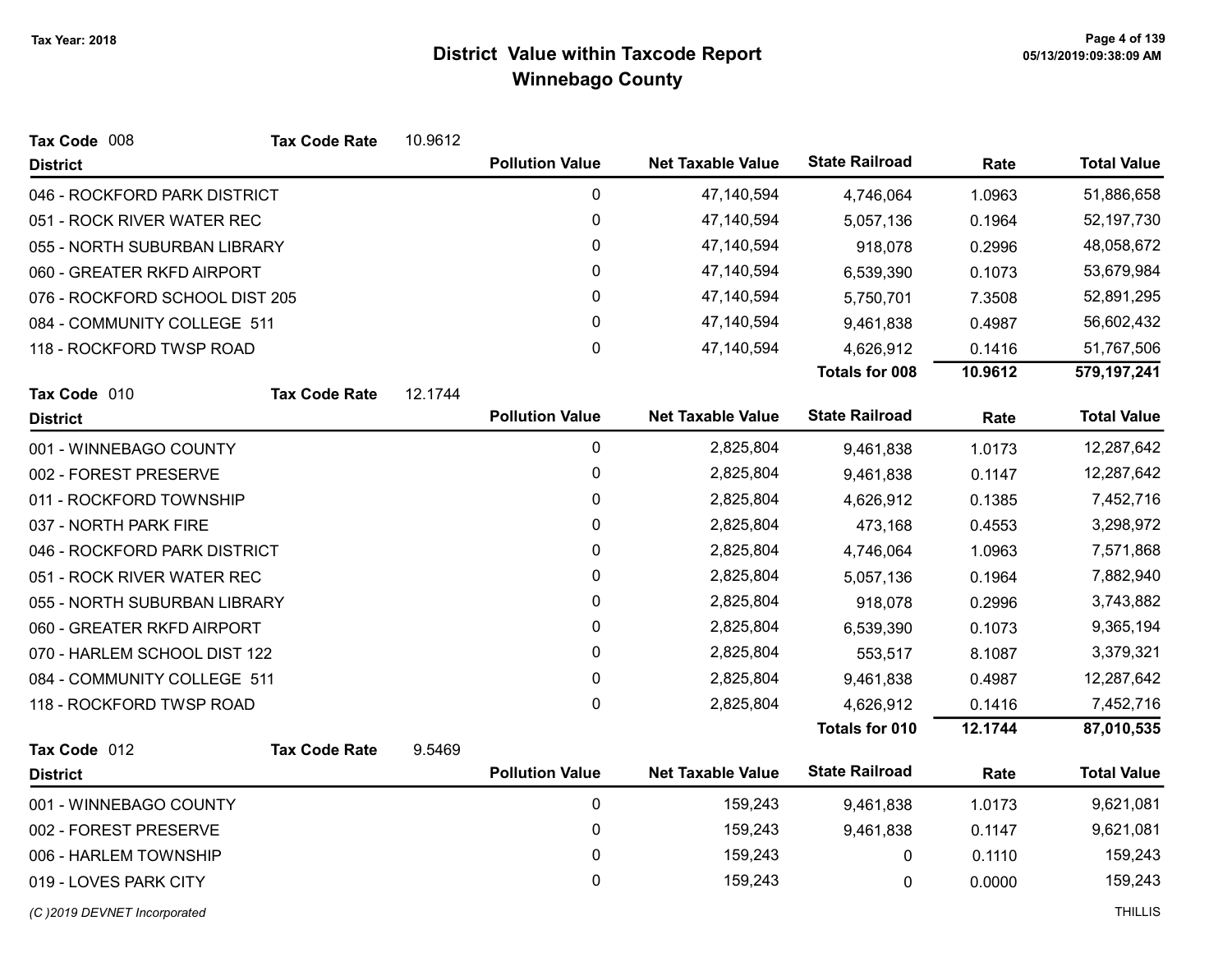| Tax Code 008                   | <b>Tax Code Rate</b>       | 10.9612 |                        |                          |                       |         |                    |
|--------------------------------|----------------------------|---------|------------------------|--------------------------|-----------------------|---------|--------------------|
| <b>District</b>                |                            |         | <b>Pollution Value</b> | <b>Net Taxable Value</b> | <b>State Railroad</b> | Rate    | <b>Total Value</b> |
| 046 - ROCKFORD PARK DISTRICT   |                            |         | $\mathbf 0$            | 47,140,594               | 4,746,064             | 1.0963  | 51,886,658         |
| 051 - ROCK RIVER WATER REC     |                            |         | $\mathbf 0$            | 47,140,594               | 5,057,136             | 0.1964  | 52,197,730         |
| 055 - NORTH SUBURBAN LIBRARY   |                            |         | 0                      | 47,140,594               | 918,078               | 0.2996  | 48,058,672         |
|                                | 060 - GREATER RKFD AIRPORT |         | 0                      | 47,140,594               | 6,539,390             | 0.1073  | 53,679,984         |
| 076 - ROCKFORD SCHOOL DIST 205 |                            |         | $\pmb{0}$              | 47,140,594               | 5,750,701             | 7.3508  | 52,891,295         |
| 084 - COMMUNITY COLLEGE 511    |                            |         | $\pmb{0}$              | 47,140,594               | 9,461,838             | 0.4987  | 56,602,432         |
| 118 - ROCKFORD TWSP ROAD       |                            |         | 0                      | 47,140,594               | 4,626,912             | 0.1416  | 51,767,506         |
|                                |                            |         |                        |                          | <b>Totals for 008</b> | 10.9612 | 579,197,241        |
| Tax Code 010                   | <b>Tax Code Rate</b>       | 12.1744 |                        |                          |                       |         |                    |
| <b>District</b>                |                            |         | <b>Pollution Value</b> | <b>Net Taxable Value</b> | <b>State Railroad</b> | Rate    | <b>Total Value</b> |
| 001 - WINNEBAGO COUNTY         |                            |         | $\pmb{0}$              | 2,825,804                | 9,461,838             | 1.0173  | 12,287,642         |
| 002 - FOREST PRESERVE          |                            |         | 0                      | 2,825,804                | 9,461,838             | 0.1147  | 12,287,642         |
| 011 - ROCKFORD TOWNSHIP        |                            |         | 0                      | 2,825,804                | 4,626,912             | 0.1385  | 7,452,716          |
| 037 - NORTH PARK FIRE          |                            |         | $\pmb{0}$              | 2,825,804                | 473,168               | 0.4553  | 3,298,972          |
| 046 - ROCKFORD PARK DISTRICT   |                            |         | 0                      | 2,825,804                | 4,746,064             | 1.0963  | 7,571,868          |
| 051 - ROCK RIVER WATER REC     |                            |         | 0                      | 2,825,804                | 5,057,136             | 0.1964  | 7,882,940          |
| 055 - NORTH SUBURBAN LIBRARY   |                            |         | 0                      | 2,825,804                | 918,078               | 0.2996  | 3,743,882          |
| 060 - GREATER RKFD AIRPORT     |                            |         | $\pmb{0}$              | 2,825,804                | 6,539,390             | 0.1073  | 9,365,194          |
| 070 - HARLEM SCHOOL DIST 122   |                            |         | 0                      | 2,825,804                | 553,517               | 8.1087  | 3,379,321          |
| 084 - COMMUNITY COLLEGE 511    |                            |         | $\pmb{0}$              | 2,825,804                | 9,461,838             | 0.4987  | 12,287,642         |
| 118 - ROCKFORD TWSP ROAD       |                            |         | 0                      | 2,825,804                | 4,626,912             | 0.1416  | 7,452,716          |
|                                |                            |         |                        |                          | <b>Totals for 010</b> | 12.1744 | 87,010,535         |
| Tax Code 012                   | <b>Tax Code Rate</b>       | 9.5469  |                        |                          |                       |         |                    |
| <b>District</b>                |                            |         | <b>Pollution Value</b> | <b>Net Taxable Value</b> | <b>State Railroad</b> | Rate    | <b>Total Value</b> |
| 001 - WINNEBAGO COUNTY         |                            |         | $\pmb{0}$              | 159,243                  | 9,461,838             | 1.0173  | 9,621,081          |
| 002 - FOREST PRESERVE          |                            |         | $\pmb{0}$              | 159,243                  | 9,461,838             | 0.1147  | 9,621,081          |
| 006 - HARLEM TOWNSHIP          |                            |         | $\pmb{0}$              | 159,243                  | 0                     | 0.1110  | 159,243            |
| 019 - LOVES PARK CITY          |                            |         | $\mathbf 0$            | 159,243                  | 0                     | 0.0000  | 159,243            |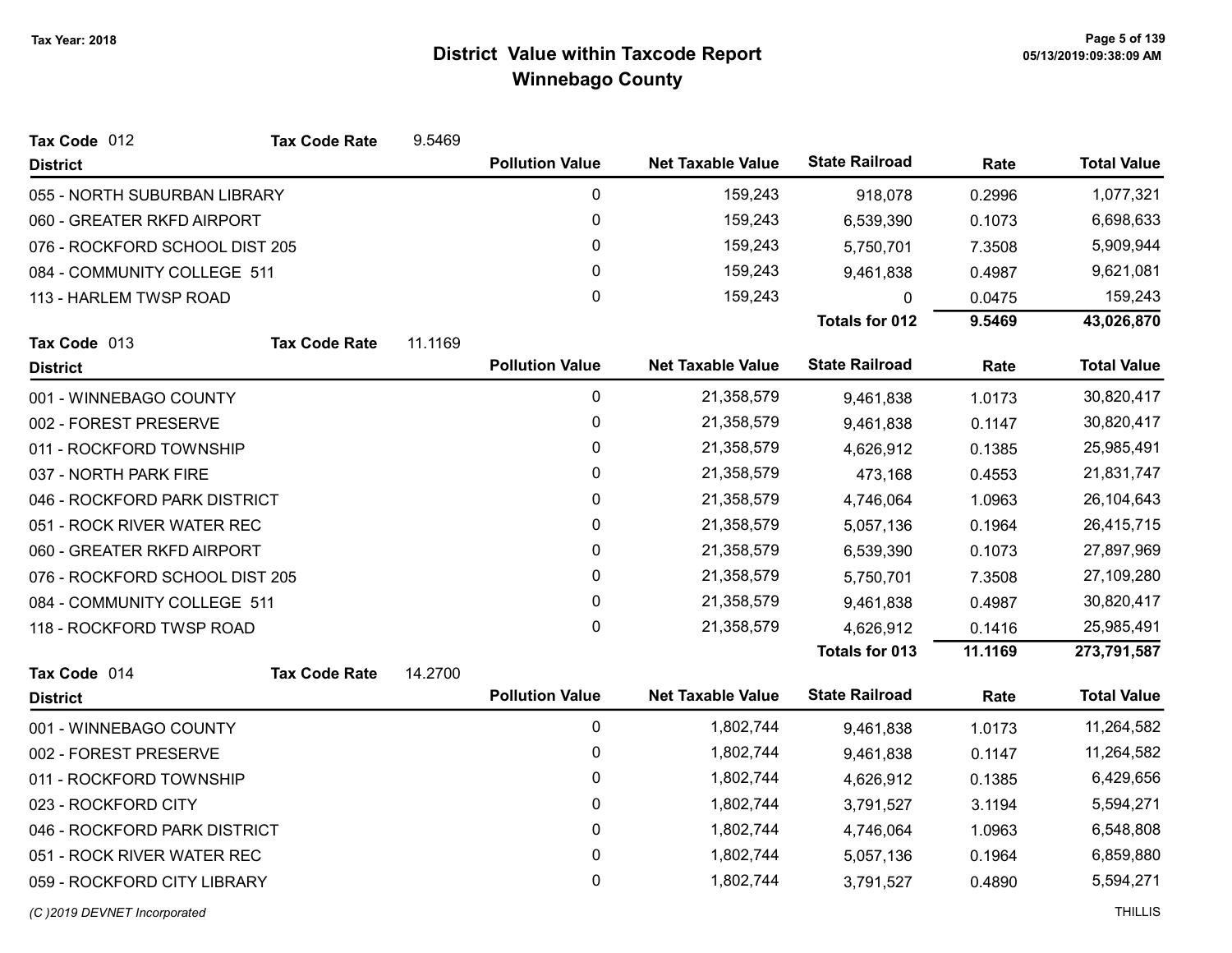| Tax Code 012                   | <b>Tax Code Rate</b> | 9.5469  |                        |                          |                       |         |                    |
|--------------------------------|----------------------|---------|------------------------|--------------------------|-----------------------|---------|--------------------|
| <b>District</b>                |                      |         | <b>Pollution Value</b> | <b>Net Taxable Value</b> | <b>State Railroad</b> | Rate    | <b>Total Value</b> |
| 055 - NORTH SUBURBAN LIBRARY   |                      |         | $\mathbf 0$            | 159,243                  | 918,078               | 0.2996  | 1,077,321          |
| 060 - GREATER RKFD AIRPORT     |                      |         | 0                      | 159,243                  | 6,539,390             | 0.1073  | 6,698,633          |
| 076 - ROCKFORD SCHOOL DIST 205 |                      |         | 0                      | 159,243                  | 5,750,701             | 7.3508  | 5,909,944          |
| 084 - COMMUNITY COLLEGE 511    |                      |         | 0                      | 159,243                  | 9,461,838             | 0.4987  | 9,621,081          |
| 113 - HARLEM TWSP ROAD         |                      |         | 0                      | 159,243                  | 0                     | 0.0475  | 159,243            |
|                                |                      |         |                        |                          | <b>Totals for 012</b> | 9.5469  | 43,026,870         |
| Tax Code 013                   | <b>Tax Code Rate</b> | 11.1169 |                        |                          |                       |         |                    |
| <b>District</b>                |                      |         | <b>Pollution Value</b> | <b>Net Taxable Value</b> | <b>State Railroad</b> | Rate    | <b>Total Value</b> |
| 001 - WINNEBAGO COUNTY         |                      |         | 0                      | 21,358,579               | 9,461,838             | 1.0173  | 30,820,417         |
| 002 - FOREST PRESERVE          |                      |         | 0                      | 21,358,579               | 9,461,838             | 0.1147  | 30,820,417         |
| 011 - ROCKFORD TOWNSHIP        |                      |         | 0                      | 21,358,579               | 4,626,912             | 0.1385  | 25,985,491         |
| 037 - NORTH PARK FIRE          |                      |         | 0                      | 21,358,579               | 473,168               | 0.4553  | 21,831,747         |
| 046 - ROCKFORD PARK DISTRICT   |                      |         | 0                      | 21,358,579               | 4,746,064             | 1.0963  | 26,104,643         |
| 051 - ROCK RIVER WATER REC     |                      |         | 0                      | 21,358,579               | 5,057,136             | 0.1964  | 26,415,715         |
| 060 - GREATER RKFD AIRPORT     |                      |         | 0                      | 21,358,579               | 6,539,390             | 0.1073  | 27,897,969         |
| 076 - ROCKFORD SCHOOL DIST 205 |                      |         | 0                      | 21,358,579               | 5,750,701             | 7.3508  | 27,109,280         |
| 084 - COMMUNITY COLLEGE 511    |                      |         | 0                      | 21,358,579               | 9,461,838             | 0.4987  | 30,820,417         |
| 118 - ROCKFORD TWSP ROAD       |                      |         | 0                      | 21,358,579               | 4,626,912             | 0.1416  | 25,985,491         |
|                                |                      |         |                        |                          | Totals for 013        | 11.1169 | 273,791,587        |
| Tax Code 014                   | <b>Tax Code Rate</b> | 14.2700 |                        |                          |                       |         |                    |
| <b>District</b>                |                      |         | <b>Pollution Value</b> | <b>Net Taxable Value</b> | <b>State Railroad</b> | Rate    | <b>Total Value</b> |
| 001 - WINNEBAGO COUNTY         |                      |         | $\mathbf 0$            | 1,802,744                | 9,461,838             | 1.0173  | 11,264,582         |
| 002 - FOREST PRESERVE          |                      |         | 0                      | 1,802,744                | 9,461,838             | 0.1147  | 11,264,582         |
| 011 - ROCKFORD TOWNSHIP        |                      |         | 0                      | 1,802,744                | 4,626,912             | 0.1385  | 6,429,656          |
| 023 - ROCKFORD CITY            |                      |         | 0                      | 1,802,744                | 3,791,527             | 3.1194  | 5,594,271          |
| 046 - ROCKFORD PARK DISTRICT   |                      |         | $\mathbf 0$            | 1,802,744                | 4,746,064             | 1.0963  | 6,548,808          |
| 051 - ROCK RIVER WATER REC     |                      |         | 0                      | 1,802,744                | 5,057,136             | 0.1964  | 6,859,880          |
| 059 - ROCKFORD CITY LIBRARY    |                      |         | 0                      | 1,802,744                | 3,791,527             | 0.4890  | 5,594,271          |
|                                |                      |         |                        |                          |                       |         |                    |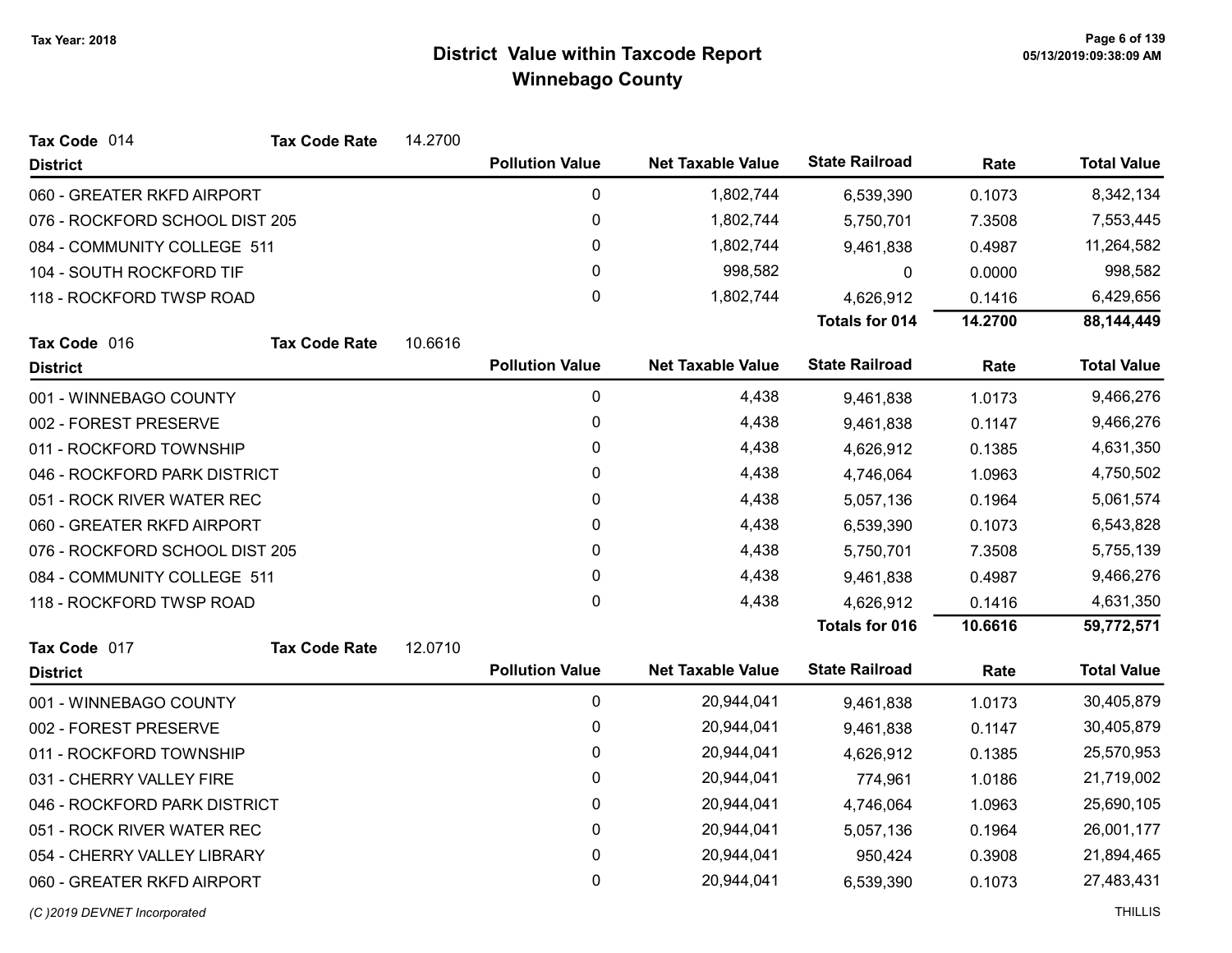| Tax Code 014                   | <b>Tax Code Rate</b> | 14.2700 |                        |                          |                       |           |                    |
|--------------------------------|----------------------|---------|------------------------|--------------------------|-----------------------|-----------|--------------------|
| <b>District</b>                |                      |         | <b>Pollution Value</b> | <b>Net Taxable Value</b> | <b>State Railroad</b> | Rate      | <b>Total Value</b> |
| 060 - GREATER RKFD AIRPORT     |                      |         | $\pmb{0}$              | 1,802,744                | 6,539,390             | 0.1073    | 8,342,134          |
| 076 - ROCKFORD SCHOOL DIST 205 |                      |         | 0                      | 1,802,744                | 5,750,701             | 7.3508    | 7,553,445          |
| 084 - COMMUNITY COLLEGE 511    |                      |         | 0                      | 1,802,744                | 9,461,838             | 0.4987    | 11,264,582         |
| 104 - SOUTH ROCKFORD TIF       |                      |         | 0                      | 998,582                  | $\Omega$              | 0.0000    | 998,582            |
| 118 - ROCKFORD TWSP ROAD       |                      |         | 0                      | 1,802,744                | 4,626,912             | 0.1416    | 6,429,656          |
|                                |                      |         |                        |                          | <b>Totals for 014</b> | 14.2700   | 88,144,449         |
| Tax Code 016                   | <b>Tax Code Rate</b> | 10.6616 |                        |                          |                       |           |                    |
| <b>District</b>                |                      |         | <b>Pollution Value</b> | <b>Net Taxable Value</b> | <b>State Railroad</b> | Rate      | <b>Total Value</b> |
| 001 - WINNEBAGO COUNTY         |                      |         | 0                      | 4,438                    | 9,461,838             | 1.0173    | 9,466,276          |
| 002 - FOREST PRESERVE          |                      |         | 0                      | 4,438                    | 9,461,838             | 0.1147    | 9,466,276          |
| 011 - ROCKFORD TOWNSHIP        |                      |         | 0                      | 4,438                    | 4,626,912             | 0.1385    | 4,631,350          |
| 046 - ROCKFORD PARK DISTRICT   |                      |         | 0                      | 4,438                    | 4,746,064             | 1.0963    | 4,750,502          |
| 051 - ROCK RIVER WATER REC     |                      | 0       | 4,438                  | 5,057,136                | 0.1964                | 5,061,574 |                    |
| 060 - GREATER RKFD AIRPORT     |                      |         | 0                      | 4,438                    | 6,539,390             | 0.1073    | 6,543,828          |
| 076 - ROCKFORD SCHOOL DIST 205 |                      |         | 0                      | 4,438                    | 5,750,701             | 7.3508    | 5,755,139          |
| 084 - COMMUNITY COLLEGE 511    |                      |         | 0                      | 4,438                    | 9,461,838             | 0.4987    | 9,466,276          |
| 118 - ROCKFORD TWSP ROAD       |                      |         | 0                      | 4,438                    | 4,626,912             | 0.1416    | 4,631,350          |
|                                |                      |         |                        |                          | Totals for 016        | 10.6616   | 59,772,571         |
| Tax Code 017                   | <b>Tax Code Rate</b> | 12.0710 |                        |                          |                       |           |                    |
| <b>District</b>                |                      |         | <b>Pollution Value</b> | <b>Net Taxable Value</b> | <b>State Railroad</b> | Rate      | <b>Total Value</b> |
| 001 - WINNEBAGO COUNTY         |                      |         | 0                      | 20,944,041               | 9,461,838             | 1.0173    | 30,405,879         |
| 002 - FOREST PRESERVE          |                      |         | 0                      | 20,944,041               | 9,461,838             | 0.1147    | 30,405,879         |
| 011 - ROCKFORD TOWNSHIP        |                      |         | 0                      | 20,944,041               | 4,626,912             | 0.1385    | 25,570,953         |
| 031 - CHERRY VALLEY FIRE       |                      |         | 0                      | 20,944,041               | 774,961               | 1.0186    | 21,719,002         |
| 046 - ROCKFORD PARK DISTRICT   |                      |         | $\pmb{0}$              | 20,944,041               | 4,746,064             | 1.0963    | 25,690,105         |
| 051 - ROCK RIVER WATER REC     |                      |         | 0                      | 20,944,041               | 5,057,136             | 0.1964    | 26,001,177         |
| 054 - CHERRY VALLEY LIBRARY    |                      |         | 0                      | 20,944,041               | 950,424               | 0.3908    | 21,894,465         |
| 060 - GREATER RKFD AIRPORT     |                      |         | 0                      | 20,944,041               | 6,539,390             | 0.1073    | 27,483,431         |
| (C) 2019 DEVNET Incorporated   |                      |         |                        |                          |                       |           | <b>THILLIS</b>     |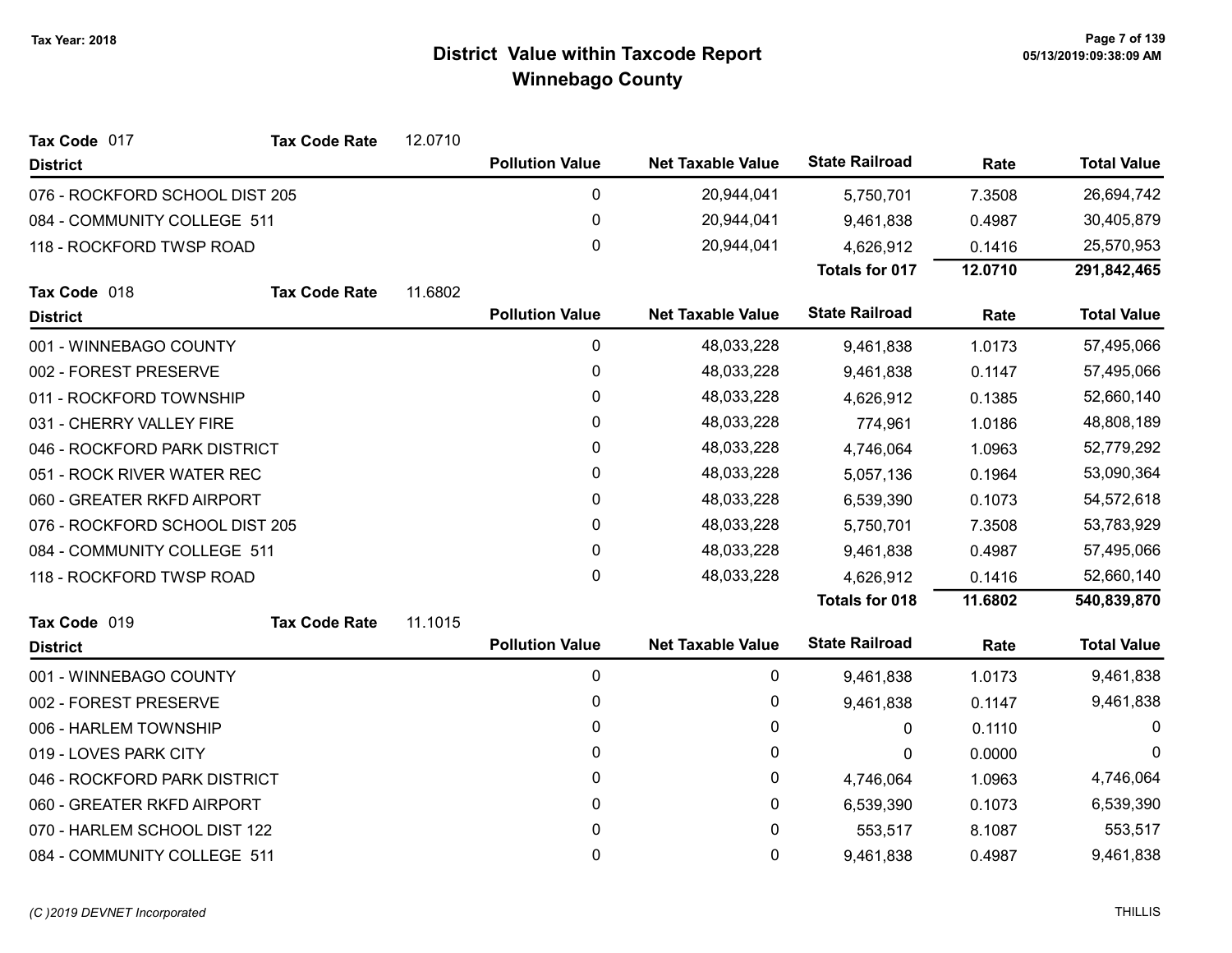| Tax Code 017                   | <b>Tax Code Rate</b> | 12.0710 |                        |                          |                       |            |                    |
|--------------------------------|----------------------|---------|------------------------|--------------------------|-----------------------|------------|--------------------|
| <b>District</b>                |                      |         | <b>Pollution Value</b> | <b>Net Taxable Value</b> | <b>State Railroad</b> | Rate       | <b>Total Value</b> |
| 076 - ROCKFORD SCHOOL DIST 205 |                      |         | 0                      | 20,944,041               | 5,750,701             | 7.3508     | 26,694,742         |
| 084 - COMMUNITY COLLEGE 511    |                      |         | 0                      | 20,944,041               | 9,461,838             | 0.4987     | 30,405,879         |
| 118 - ROCKFORD TWSP ROAD       |                      |         | 0                      | 20,944,041               | 4,626,912             | 0.1416     | 25,570,953         |
|                                |                      |         |                        |                          | <b>Totals for 017</b> | 12.0710    | 291,842,465        |
| Tax Code 018                   | <b>Tax Code Rate</b> | 11.6802 |                        |                          |                       |            |                    |
| <b>District</b>                |                      |         | <b>Pollution Value</b> | <b>Net Taxable Value</b> | <b>State Railroad</b> | Rate       | <b>Total Value</b> |
| 001 - WINNEBAGO COUNTY         |                      |         | $\pmb{0}$              | 48,033,228               | 9,461,838             | 1.0173     | 57,495,066         |
| 002 - FOREST PRESERVE          |                      |         | 0                      | 48,033,228               | 9,461,838             | 0.1147     | 57,495,066         |
| 011 - ROCKFORD TOWNSHIP        |                      |         | 0                      | 48,033,228               | 4,626,912             | 0.1385     | 52,660,140         |
| 031 - CHERRY VALLEY FIRE       |                      |         | 0                      | 48,033,228               | 774,961               | 1.0186     | 48,808,189         |
| 046 - ROCKFORD PARK DISTRICT   |                      |         | 0                      | 48,033,228               | 4,746,064             | 1.0963     | 52,779,292         |
| 051 - ROCK RIVER WATER REC     |                      | 0       | 48,033,228             | 5,057,136                | 0.1964                | 53,090,364 |                    |
| 060 - GREATER RKFD AIRPORT     |                      |         | 0                      | 48,033,228               | 6,539,390             | 0.1073     | 54,572,618         |
| 076 - ROCKFORD SCHOOL DIST 205 |                      |         | 0                      | 48,033,228               | 5,750,701             | 7.3508     | 53,783,929         |
| 084 - COMMUNITY COLLEGE 511    |                      |         | 0                      | 48,033,228               | 9,461,838             | 0.4987     | 57,495,066         |
| 118 - ROCKFORD TWSP ROAD       |                      |         | 0                      | 48,033,228               | 4,626,912             | 0.1416     | 52,660,140         |
|                                |                      |         |                        |                          | <b>Totals for 018</b> | 11.6802    | 540,839,870        |
| Tax Code 019                   | <b>Tax Code Rate</b> | 11.1015 |                        |                          |                       |            |                    |
| <b>District</b>                |                      |         | <b>Pollution Value</b> | <b>Net Taxable Value</b> | <b>State Railroad</b> | Rate       | <b>Total Value</b> |
| 001 - WINNEBAGO COUNTY         |                      |         | 0                      | 0                        | 9,461,838             | 1.0173     | 9,461,838          |
| 002 - FOREST PRESERVE          |                      |         | 0                      | 0                        | 9,461,838             | 0.1147     | 9,461,838          |
| 006 - HARLEM TOWNSHIP          |                      |         | 0                      | 0                        | 0                     | 0.1110     | $\Omega$           |
| 019 - LOVES PARK CITY          |                      |         | 0                      | 0                        | 0                     | 0.0000     | $\Omega$           |
| 046 - ROCKFORD PARK DISTRICT   |                      |         | 0                      | 0                        | 4,746,064             | 1.0963     | 4,746,064          |
| 060 - GREATER RKFD AIRPORT     |                      |         | 0                      | 0                        | 6,539,390             | 0.1073     | 6,539,390          |
| 070 - HARLEM SCHOOL DIST 122   |                      |         | 0                      | 0                        | 553,517               | 8.1087     | 553,517            |
| 084 - COMMUNITY COLLEGE 511    |                      |         | 0                      | 0                        | 9,461,838             | 0.4987     | 9,461,838          |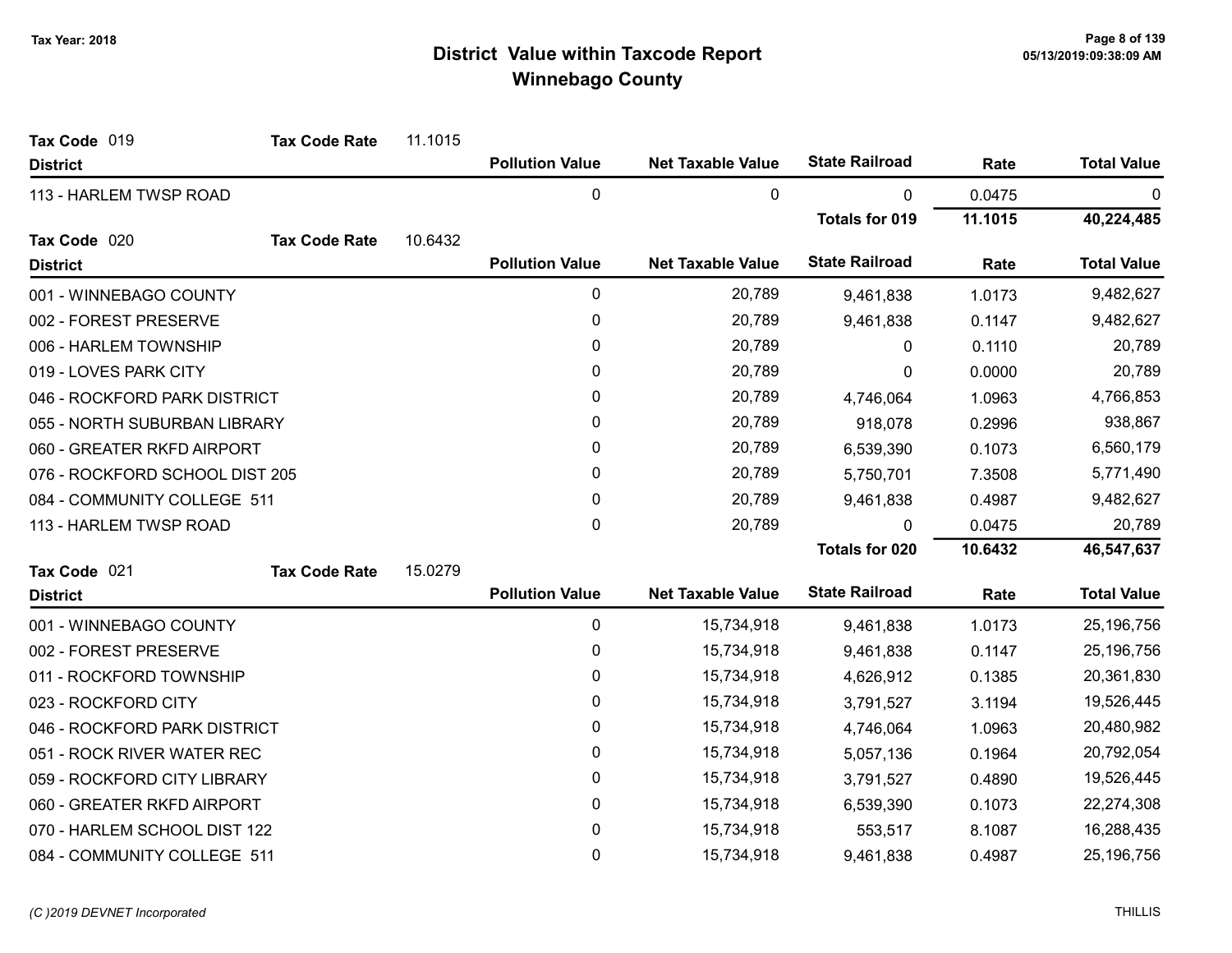| Tax Code 019                   | <b>Tax Code Rate</b> | 11.1015 |                        |                          |                       |         |                    |
|--------------------------------|----------------------|---------|------------------------|--------------------------|-----------------------|---------|--------------------|
| <b>District</b>                |                      |         | <b>Pollution Value</b> | <b>Net Taxable Value</b> | <b>State Railroad</b> | Rate    | <b>Total Value</b> |
| 113 - HARLEM TWSP ROAD         |                      |         | 0                      | 0                        | 0                     | 0.0475  | 0                  |
|                                |                      |         |                        |                          | <b>Totals for 019</b> | 11.1015 | 40,224,485         |
| Tax Code 020                   | <b>Tax Code Rate</b> | 10.6432 |                        |                          |                       |         |                    |
| <b>District</b>                |                      |         | <b>Pollution Value</b> | <b>Net Taxable Value</b> | <b>State Railroad</b> | Rate    | <b>Total Value</b> |
| 001 - WINNEBAGO COUNTY         |                      |         | 0                      | 20,789                   | 9,461,838             | 1.0173  | 9,482,627          |
| 002 - FOREST PRESERVE          |                      |         | 0                      | 20,789                   | 9,461,838             | 0.1147  | 9,482,627          |
| 006 - HARLEM TOWNSHIP          |                      |         | 0                      | 20,789                   | 0                     | 0.1110  | 20,789             |
| 019 - LOVES PARK CITY          |                      |         | 0                      | 20,789                   | 0                     | 0.0000  | 20,789             |
| 046 - ROCKFORD PARK DISTRICT   |                      |         | 0                      | 20,789                   | 4,746,064             | 1.0963  | 4,766,853          |
| 055 - NORTH SUBURBAN LIBRARY   |                      |         | 0                      | 20,789                   | 918,078               | 0.2996  | 938,867            |
| 060 - GREATER RKFD AIRPORT     |                      |         | 0                      | 20,789                   | 6,539,390             | 0.1073  | 6,560,179          |
| 076 - ROCKFORD SCHOOL DIST 205 |                      |         | 0                      | 20,789                   | 5,750,701             | 7.3508  | 5,771,490          |
| 084 - COMMUNITY COLLEGE 511    |                      |         | 0                      | 20,789                   | 9,461,838             | 0.4987  | 9,482,627          |
| 113 - HARLEM TWSP ROAD         |                      |         | 0                      | 20,789                   | 0                     | 0.0475  | 20,789             |
|                                |                      |         |                        |                          | <b>Totals for 020</b> | 10.6432 | 46,547,637         |
| Tax Code 021                   | <b>Tax Code Rate</b> | 15.0279 |                        |                          |                       |         |                    |
| <b>District</b>                |                      |         | <b>Pollution Value</b> | <b>Net Taxable Value</b> | <b>State Railroad</b> | Rate    | <b>Total Value</b> |
| 001 - WINNEBAGO COUNTY         |                      |         | 0                      | 15,734,918               | 9,461,838             | 1.0173  | 25,196,756         |
| 002 - FOREST PRESERVE          |                      |         | 0                      | 15,734,918               | 9,461,838             | 0.1147  | 25,196,756         |
| 011 - ROCKFORD TOWNSHIP        |                      |         | 0                      | 15,734,918               | 4,626,912             | 0.1385  | 20,361,830         |
| 023 - ROCKFORD CITY            |                      |         | 0                      | 15,734,918               | 3,791,527             | 3.1194  | 19,526,445         |
| 046 - ROCKFORD PARK DISTRICT   |                      |         | 0                      | 15,734,918               | 4,746,064             | 1.0963  | 20,480,982         |
| 051 - ROCK RIVER WATER REC     |                      |         | 0                      | 15,734,918               | 5,057,136             | 0.1964  | 20,792,054         |
| 059 - ROCKFORD CITY LIBRARY    |                      |         | 0                      | 15,734,918               | 3,791,527             | 0.4890  | 19,526,445         |
| 060 - GREATER RKFD AIRPORT     |                      |         | 0                      | 15,734,918               | 6,539,390             | 0.1073  | 22,274,308         |
| 070 - HARLEM SCHOOL DIST 122   |                      |         | 0                      | 15,734,918               | 553,517               | 8.1087  | 16,288,435         |
| 084 - COMMUNITY COLLEGE 511    |                      |         | 0                      | 15,734,918               | 9,461,838             | 0.4987  | 25,196,756         |

#### (C)2019 DEVNET Incorporated THILLIS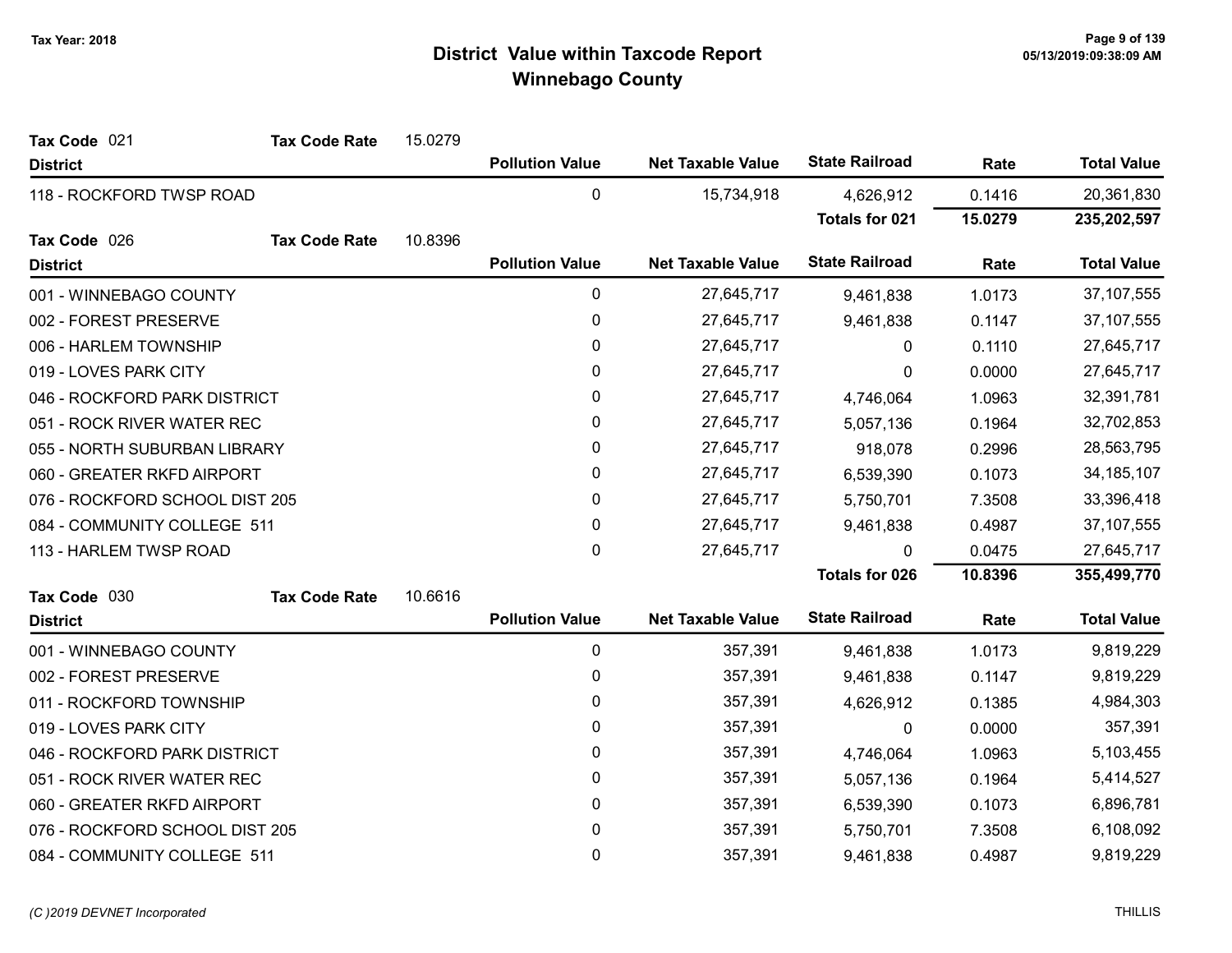| Tax Code 021                   | <b>Tax Code Rate</b> | 15.0279 |                        |                          |                       |         |                    |
|--------------------------------|----------------------|---------|------------------------|--------------------------|-----------------------|---------|--------------------|
| <b>District</b>                |                      |         | <b>Pollution Value</b> | <b>Net Taxable Value</b> | <b>State Railroad</b> | Rate    | <b>Total Value</b> |
| 118 - ROCKFORD TWSP ROAD       |                      |         | $\mathbf 0$            | 15,734,918               | 4,626,912             | 0.1416  | 20,361,830         |
|                                |                      |         |                        |                          | <b>Totals for 021</b> | 15.0279 | 235,202,597        |
| Tax Code 026                   | <b>Tax Code Rate</b> | 10.8396 |                        |                          |                       |         |                    |
| <b>District</b>                |                      |         | <b>Pollution Value</b> | <b>Net Taxable Value</b> | <b>State Railroad</b> | Rate    | <b>Total Value</b> |
| 001 - WINNEBAGO COUNTY         |                      |         | 0                      | 27,645,717               | 9,461,838             | 1.0173  | 37, 107, 555       |
| 002 - FOREST PRESERVE          |                      |         | $\pmb{0}$              | 27,645,717               | 9,461,838             | 0.1147  | 37, 107, 555       |
| 006 - HARLEM TOWNSHIP          |                      |         | $\pmb{0}$              | 27,645,717               | 0                     | 0.1110  | 27,645,717         |
| 019 - LOVES PARK CITY          |                      |         | 0                      | 27,645,717               | $\Omega$              | 0.0000  | 27,645,717         |
| 046 - ROCKFORD PARK DISTRICT   |                      |         | $\pmb{0}$              | 27,645,717               | 4,746,064             | 1.0963  | 32,391,781         |
| 051 - ROCK RIVER WATER REC     |                      |         | $\pmb{0}$              | 27,645,717               | 5,057,136             | 0.1964  | 32,702,853         |
| 055 - NORTH SUBURBAN LIBRARY   |                      |         | 0                      | 27,645,717               | 918,078               | 0.2996  | 28,563,795         |
| 060 - GREATER RKFD AIRPORT     |                      |         | 0                      | 27,645,717               | 6,539,390             | 0.1073  | 34, 185, 107       |
| 076 - ROCKFORD SCHOOL DIST 205 |                      |         | 0                      | 27,645,717               | 5,750,701             | 7.3508  | 33,396,418         |
| 084 - COMMUNITY COLLEGE 511    |                      |         | $\pmb{0}$              | 27,645,717               | 9,461,838             | 0.4987  | 37, 107, 555       |
| 113 - HARLEM TWSP ROAD         |                      |         | 0                      | 27,645,717               | $\mathbf{0}$          | 0.0475  | 27,645,717         |
|                                |                      |         |                        |                          | <b>Totals for 026</b> | 10.8396 | 355,499,770        |
| Tax Code 030                   | <b>Tax Code Rate</b> | 10.6616 |                        |                          |                       |         |                    |
| <b>District</b>                |                      |         | <b>Pollution Value</b> | <b>Net Taxable Value</b> | <b>State Railroad</b> | Rate    | <b>Total Value</b> |
| 001 - WINNEBAGO COUNTY         |                      |         | $\pmb{0}$              | 357,391                  | 9,461,838             | 1.0173  | 9,819,229          |
| 002 - FOREST PRESERVE          |                      |         | 0                      | 357,391                  | 9,461,838             | 0.1147  | 9,819,229          |
| 011 - ROCKFORD TOWNSHIP        |                      |         | 0                      | 357,391                  | 4,626,912             | 0.1385  | 4,984,303          |
| 019 - LOVES PARK CITY          |                      |         | $\mathbf{0}$           | 357,391                  | 0                     | 0.0000  | 357,391            |
| 046 - ROCKFORD PARK DISTRICT   |                      |         | 0                      | 357,391                  | 4,746,064             | 1.0963  | 5,103,455          |
| 051 - ROCK RIVER WATER REC     |                      |         | $\pmb{0}$              | 357,391                  | 5,057,136             | 0.1964  | 5,414,527          |
| 060 - GREATER RKFD AIRPORT     |                      |         | 0                      | 357,391                  | 6,539,390             | 0.1073  | 6,896,781          |
| 076 - ROCKFORD SCHOOL DIST 205 |                      |         | 0                      | 357,391                  | 5,750,701             | 7.3508  | 6,108,092          |
| 084 - COMMUNITY COLLEGE 511    |                      |         | $\mathbf 0$            | 357,391                  | 9,461,838             | 0.4987  | 9,819,229          |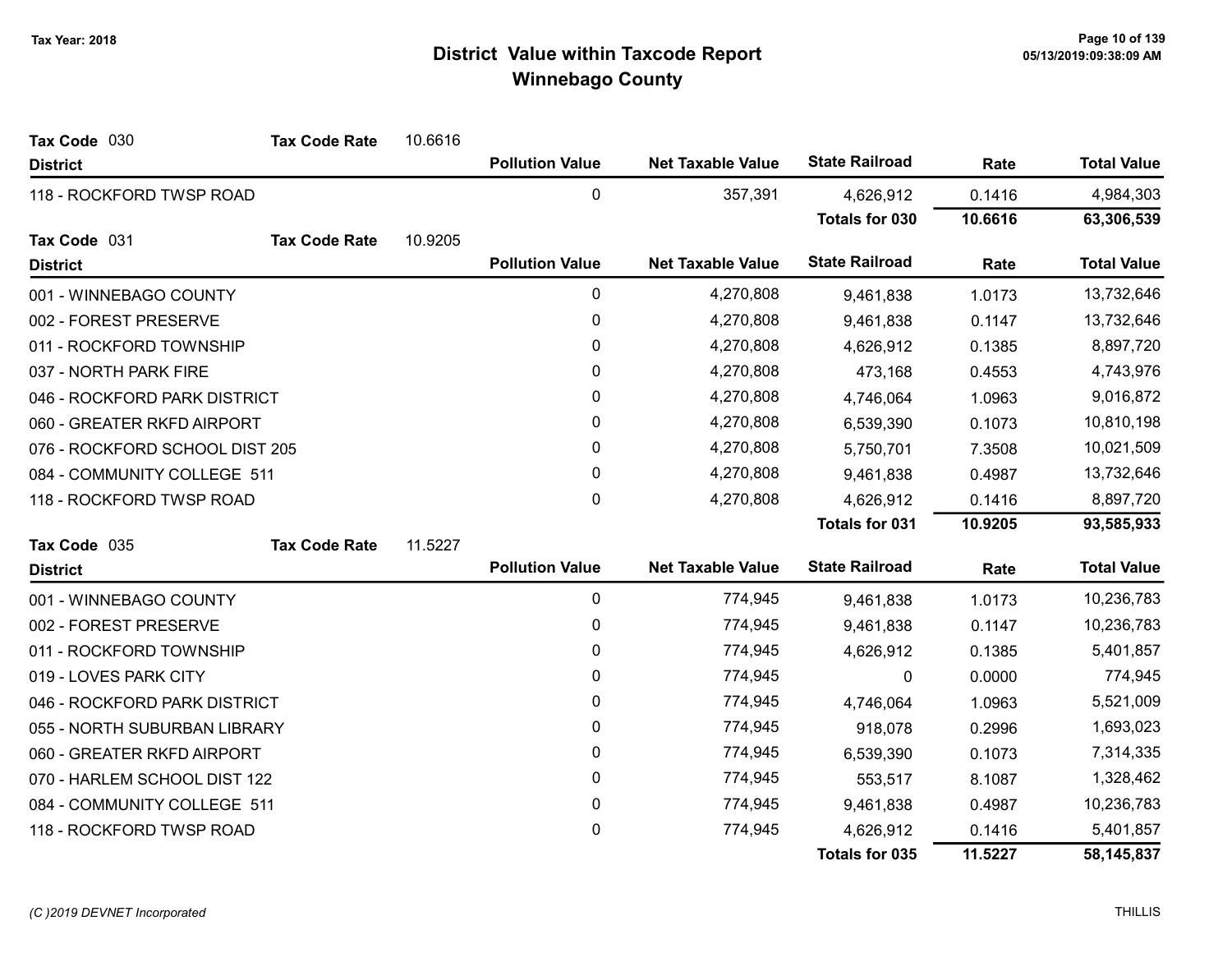| Tax Code 030                   | <b>Tax Code Rate</b> | 10.6616 |                        |                          |                       |            |                    |
|--------------------------------|----------------------|---------|------------------------|--------------------------|-----------------------|------------|--------------------|
| <b>District</b>                |                      |         | <b>Pollution Value</b> | <b>Net Taxable Value</b> | <b>State Railroad</b> | Rate       | <b>Total Value</b> |
| 118 - ROCKFORD TWSP ROAD       |                      |         | 0                      | 357,391                  | 4,626,912             | 0.1416     | 4,984,303          |
|                                |                      |         |                        |                          | <b>Totals for 030</b> | 10.6616    | 63,306,539         |
| Tax Code 031                   | <b>Tax Code Rate</b> | 10.9205 |                        |                          |                       |            |                    |
| <b>District</b>                |                      |         | <b>Pollution Value</b> | <b>Net Taxable Value</b> | <b>State Railroad</b> | Rate       | <b>Total Value</b> |
| 001 - WINNEBAGO COUNTY         |                      |         | 0                      | 4,270,808                | 9,461,838             | 1.0173     | 13,732,646         |
| 002 - FOREST PRESERVE          |                      |         | 0                      | 4,270,808                | 9,461,838             | 0.1147     | 13,732,646         |
| 011 - ROCKFORD TOWNSHIP        |                      |         | $\mathbf 0$            | 4,270,808                | 4,626,912             | 0.1385     | 8,897,720          |
| 037 - NORTH PARK FIRE          |                      |         | $\mathbf{0}$           | 4,270,808                | 473,168               | 0.4553     | 4,743,976          |
| 046 - ROCKFORD PARK DISTRICT   |                      | 0       | 4,270,808              | 4,746,064                | 1.0963                | 9,016,872  |                    |
| 060 - GREATER RKFD AIRPORT     |                      | 0       | 4,270,808              | 6,539,390                | 0.1073                | 10,810,198 |                    |
| 076 - ROCKFORD SCHOOL DIST 205 |                      | 0       | 4,270,808              | 5,750,701                | 7.3508                | 10,021,509 |                    |
| 084 - COMMUNITY COLLEGE 511    |                      | 0       | 4,270,808              | 9,461,838                | 0.4987                | 13,732,646 |                    |
| 118 - ROCKFORD TWSP ROAD       |                      |         | 0                      | 4,270,808                | 4,626,912             | 0.1416     | 8,897,720          |
|                                |                      |         |                        |                          | <b>Totals for 031</b> | 10.9205    | 93,585,933         |
| Tax Code 035                   | <b>Tax Code Rate</b> | 11.5227 |                        |                          |                       |            |                    |
| <b>District</b>                |                      |         | <b>Pollution Value</b> | <b>Net Taxable Value</b> | <b>State Railroad</b> | Rate       | <b>Total Value</b> |
| 001 - WINNEBAGO COUNTY         |                      |         | $\pmb{0}$              | 774,945                  | 9,461,838             | 1.0173     | 10,236,783         |
| 002 - FOREST PRESERVE          |                      |         | 0                      | 774,945                  | 9,461,838             | 0.1147     | 10,236,783         |
| 011 - ROCKFORD TOWNSHIP        |                      |         | 0                      | 774,945                  | 4,626,912             | 0.1385     | 5,401,857          |
| 019 - LOVES PARK CITY          |                      |         | 0                      | 774,945                  | 0                     | 0.0000     | 774,945            |
| 046 - ROCKFORD PARK DISTRICT   |                      |         | 0                      | 774,945                  | 4,746,064             | 1.0963     | 5,521,009          |
| 055 - NORTH SUBURBAN LIBRARY   |                      |         | $\pmb{0}$              | 774,945                  | 918,078               | 0.2996     | 1,693,023          |
| 060 - GREATER RKFD AIRPORT     |                      |         | 0                      | 774,945                  | 6,539,390             | 0.1073     | 7,314,335          |
| 070 - HARLEM SCHOOL DIST 122   |                      |         | 0                      | 774,945                  | 553,517               | 8.1087     | 1,328,462          |
| 084 - COMMUNITY COLLEGE 511    |                      |         | 0                      | 774,945                  | 9,461,838             | 0.4987     | 10,236,783         |
| 118 - ROCKFORD TWSP ROAD       |                      |         | 0                      | 774,945                  | 4,626,912             | 0.1416     | 5,401,857          |
|                                |                      |         |                        |                          | Totals for 035        | 11.5227    | 58,145,837         |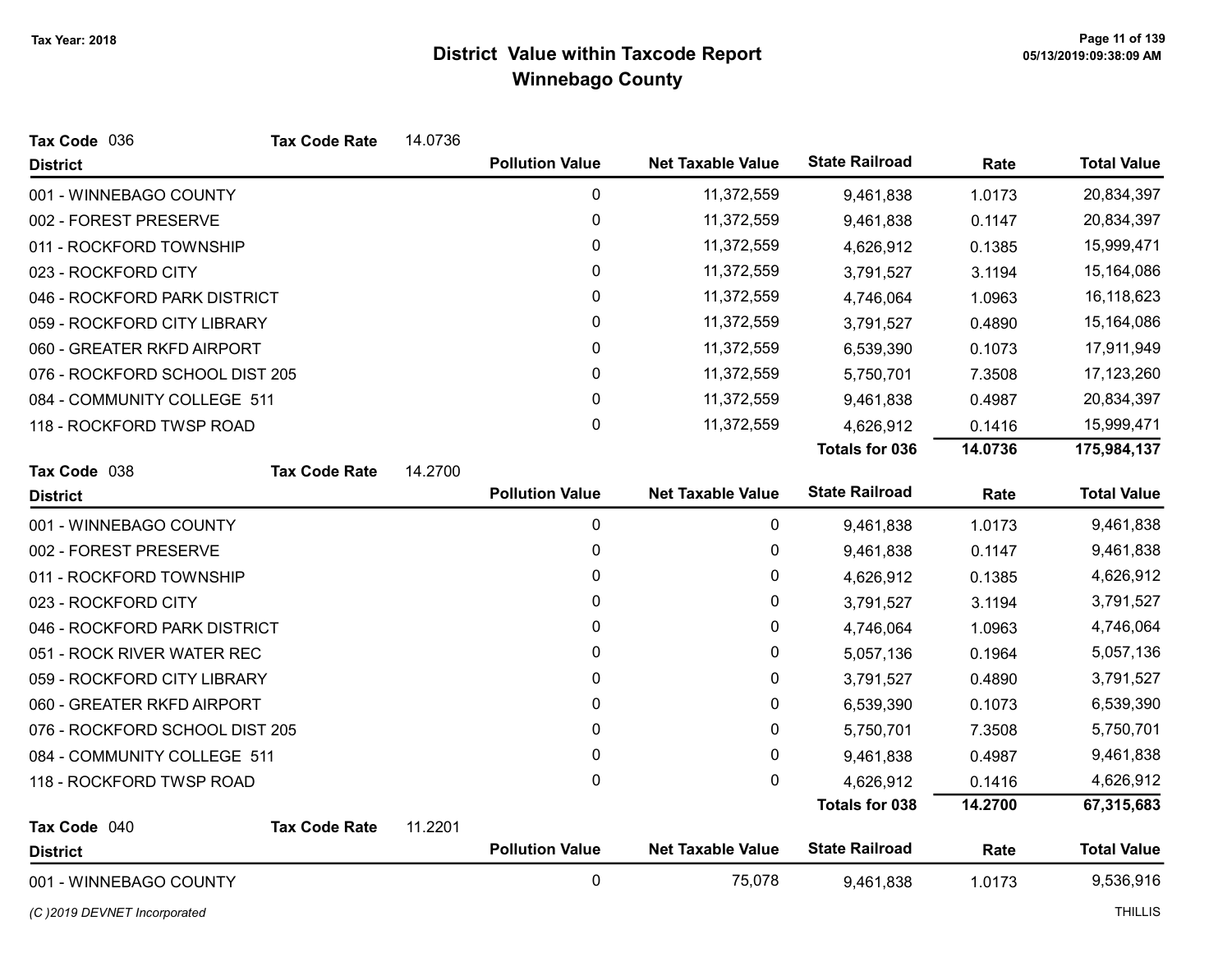| Tax Code 036                   | <b>Tax Code Rate</b> | 14.0736 |                        |                          |                       |         |                    |
|--------------------------------|----------------------|---------|------------------------|--------------------------|-----------------------|---------|--------------------|
| <b>District</b>                |                      |         | <b>Pollution Value</b> | <b>Net Taxable Value</b> | <b>State Railroad</b> | Rate    | <b>Total Value</b> |
| 001 - WINNEBAGO COUNTY         |                      |         | 0                      | 11,372,559               | 9,461,838             | 1.0173  | 20,834,397         |
| 002 - FOREST PRESERVE          |                      |         | 0                      | 11,372,559               | 9,461,838             | 0.1147  | 20,834,397         |
| 011 - ROCKFORD TOWNSHIP        |                      |         | 0                      | 11,372,559               | 4,626,912             | 0.1385  | 15,999,471         |
| 023 - ROCKFORD CITY            |                      |         | 0                      | 11,372,559               | 3,791,527             | 3.1194  | 15,164,086         |
| 046 - ROCKFORD PARK DISTRICT   |                      |         | 0                      | 11,372,559               | 4,746,064             | 1.0963  | 16,118,623         |
| 059 - ROCKFORD CITY LIBRARY    |                      |         | 0                      | 11,372,559               | 3,791,527             | 0.4890  | 15,164,086         |
| 060 - GREATER RKFD AIRPORT     |                      |         | 0                      | 11,372,559               | 6,539,390             | 0.1073  | 17,911,949         |
| 076 - ROCKFORD SCHOOL DIST 205 |                      |         | 0                      | 11,372,559               | 5,750,701             | 7.3508  | 17,123,260         |
| 084 - COMMUNITY COLLEGE 511    |                      |         | 0                      | 11,372,559               | 9,461,838             | 0.4987  | 20,834,397         |
| 118 - ROCKFORD TWSP ROAD       |                      |         | 0                      | 11,372,559               | 4,626,912             | 0.1416  | 15,999,471         |
|                                |                      |         |                        |                          | <b>Totals for 036</b> | 14.0736 | 175,984,137        |
| Tax Code 038                   | <b>Tax Code Rate</b> | 14.2700 |                        |                          |                       |         |                    |
| <b>District</b>                |                      |         | <b>Pollution Value</b> | <b>Net Taxable Value</b> | <b>State Railroad</b> | Rate    | <b>Total Value</b> |
| 001 - WINNEBAGO COUNTY         |                      |         | $\mathbf 0$            | 0                        | 9,461,838             | 1.0173  | 9,461,838          |
| 002 - FOREST PRESERVE          |                      |         | 0                      | 0                        | 9,461,838             | 0.1147  | 9,461,838          |
| 011 - ROCKFORD TOWNSHIP        |                      |         | 0                      | 0                        | 4,626,912             | 0.1385  | 4,626,912          |
| 023 - ROCKFORD CITY            |                      |         | 0                      | 0                        | 3,791,527             | 3.1194  | 3,791,527          |
| 046 - ROCKFORD PARK DISTRICT   |                      |         | 0                      | $\pmb{0}$                | 4,746,064             | 1.0963  | 4,746,064          |
| 051 - ROCK RIVER WATER REC     |                      |         | 0                      | 0                        | 5,057,136             | 0.1964  | 5,057,136          |
| 059 - ROCKFORD CITY LIBRARY    |                      |         | 0                      | 0                        | 3,791,527             | 0.4890  | 3,791,527          |
| 060 - GREATER RKFD AIRPORT     |                      |         | 0                      | 0                        | 6,539,390             | 0.1073  | 6,539,390          |
| 076 - ROCKFORD SCHOOL DIST 205 |                      |         | 0                      | $\pmb{0}$                | 5,750,701             | 7.3508  | 5,750,701          |
| 084 - COMMUNITY COLLEGE 511    |                      |         | 0                      | 0                        | 9,461,838             | 0.4987  | 9,461,838          |
| 118 - ROCKFORD TWSP ROAD       |                      |         | $\mathbf 0$            | $\mathbf 0$              | 4,626,912             | 0.1416  | 4,626,912          |
|                                |                      |         |                        |                          | <b>Totals for 038</b> | 14.2700 | 67,315,683         |
| Tax Code 040                   | <b>Tax Code Rate</b> | 11.2201 | <b>Pollution Value</b> | <b>Net Taxable Value</b> | <b>State Railroad</b> |         | <b>Total Value</b> |
| <b>District</b>                |                      |         |                        |                          |                       | Rate    |                    |
| 001 - WINNEBAGO COUNTY         |                      |         | 0                      | 75,078                   | 9,461,838             | 1.0173  | 9,536,916          |

(C)2019 DEVNET Incorporated THILLIS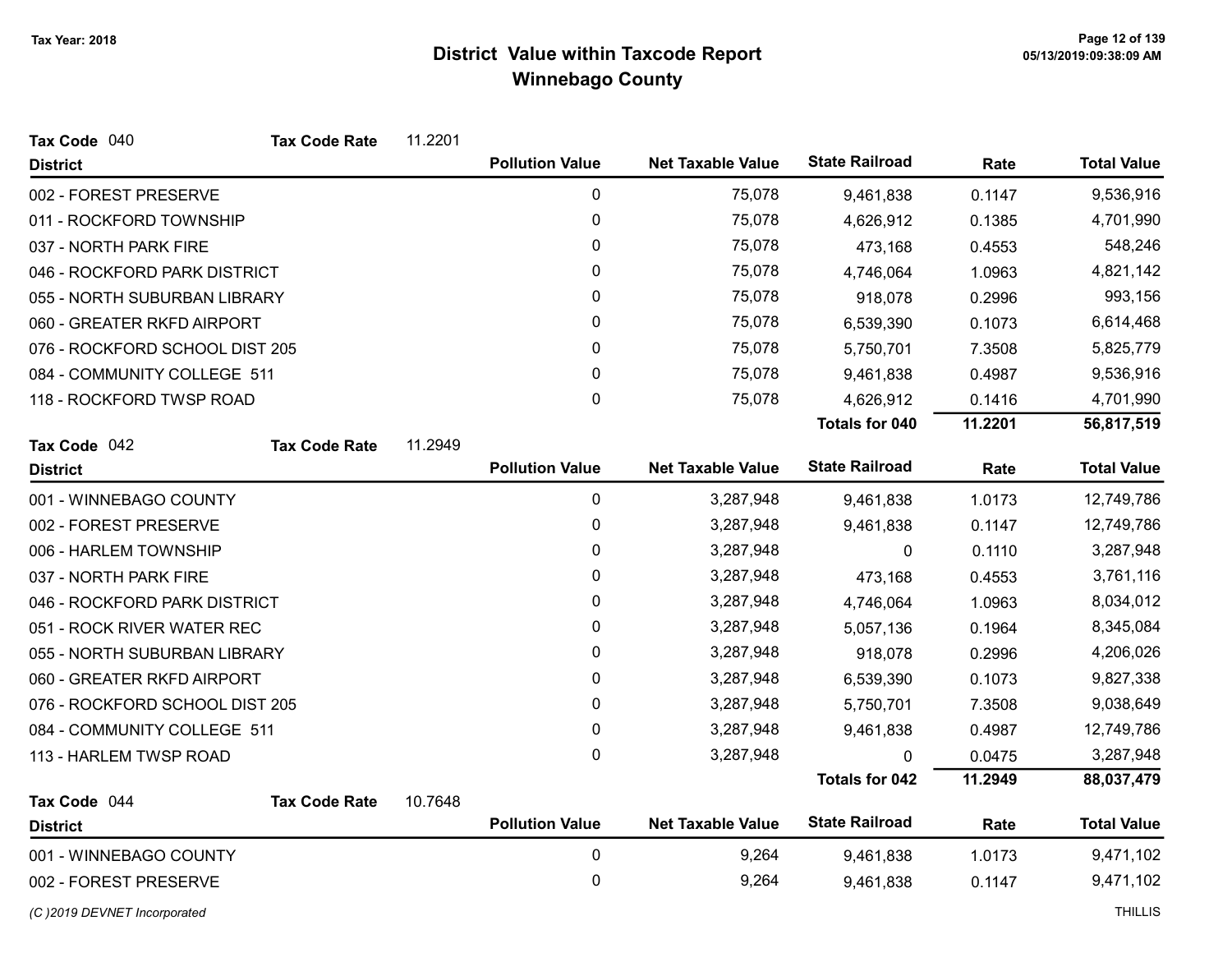| Tax Code 040                   | <b>Tax Code Rate</b> | 11.2201 |                        |                          |                       |         |                    |
|--------------------------------|----------------------|---------|------------------------|--------------------------|-----------------------|---------|--------------------|
| <b>District</b>                |                      |         | <b>Pollution Value</b> | <b>Net Taxable Value</b> | <b>State Railroad</b> | Rate    | <b>Total Value</b> |
| 002 - FOREST PRESERVE          |                      |         | $\pmb{0}$              | 75,078                   | 9,461,838             | 0.1147  | 9,536,916          |
| 011 - ROCKFORD TOWNSHIP        |                      |         | $\pmb{0}$              | 75,078                   | 4,626,912             | 0.1385  | 4,701,990          |
| 037 - NORTH PARK FIRE          |                      |         | 0                      | 75,078                   | 473,168               | 0.4553  | 548,246            |
| 046 - ROCKFORD PARK DISTRICT   |                      |         | 0                      | 75,078                   | 4,746,064             | 1.0963  | 4,821,142          |
| 055 - NORTH SUBURBAN LIBRARY   |                      |         | $\pmb{0}$              | 75,078                   | 918,078               | 0.2996  | 993,156            |
| 060 - GREATER RKFD AIRPORT     |                      |         | 0                      | 75,078                   | 6,539,390             | 0.1073  | 6,614,468          |
| 076 - ROCKFORD SCHOOL DIST 205 |                      |         | 0                      | 75,078                   | 5,750,701             | 7.3508  | 5,825,779          |
| 084 - COMMUNITY COLLEGE 511    |                      |         | $\pmb{0}$              | 75,078                   | 9,461,838             | 0.4987  | 9,536,916          |
| 118 - ROCKFORD TWSP ROAD       |                      |         | 0                      | 75,078                   | 4,626,912             | 0.1416  | 4,701,990          |
|                                |                      |         |                        |                          | <b>Totals for 040</b> | 11.2201 | 56,817,519         |
| Tax Code 042                   | <b>Tax Code Rate</b> | 11.2949 |                        |                          |                       |         |                    |
| <b>District</b>                |                      |         | <b>Pollution Value</b> | <b>Net Taxable Value</b> | <b>State Railroad</b> | Rate    | <b>Total Value</b> |
| 001 - WINNEBAGO COUNTY         |                      |         | 0                      | 3,287,948                | 9,461,838             | 1.0173  | 12,749,786         |
| 002 - FOREST PRESERVE          |                      |         | $\pmb{0}$              | 3,287,948                | 9,461,838             | 0.1147  | 12,749,786         |
| 006 - HARLEM TOWNSHIP          |                      |         | $\pmb{0}$              | 3,287,948                | 0                     | 0.1110  | 3,287,948          |
| 037 - NORTH PARK FIRE          |                      |         | 0                      | 3,287,948                | 473,168               | 0.4553  | 3,761,116          |
| 046 - ROCKFORD PARK DISTRICT   |                      |         | 0                      | 3,287,948                | 4,746,064             | 1.0963  | 8,034,012          |
| 051 - ROCK RIVER WATER REC     |                      |         | 0                      | 3,287,948                | 5,057,136             | 0.1964  | 8,345,084          |
| 055 - NORTH SUBURBAN LIBRARY   |                      |         | 0                      | 3,287,948                | 918,078               | 0.2996  | 4,206,026          |
| 060 - GREATER RKFD AIRPORT     |                      |         | $\pmb{0}$              | 3,287,948                | 6,539,390             | 0.1073  | 9,827,338          |
| 076 - ROCKFORD SCHOOL DIST 205 |                      |         | 0                      | 3,287,948                | 5,750,701             | 7.3508  | 9,038,649          |
| 084 - COMMUNITY COLLEGE 511    |                      |         | $\pmb{0}$              | 3,287,948                | 9,461,838             | 0.4987  | 12,749,786         |
| 113 - HARLEM TWSP ROAD         |                      |         | 0                      | 3,287,948                | 0                     | 0.0475  | 3,287,948          |
|                                |                      |         |                        |                          | <b>Totals for 042</b> | 11.2949 | 88,037,479         |
| Tax Code 044                   | <b>Tax Code Rate</b> | 10.7648 |                        |                          |                       |         |                    |
| <b>District</b>                |                      |         | <b>Pollution Value</b> | <b>Net Taxable Value</b> | <b>State Railroad</b> | Rate    | <b>Total Value</b> |
| 001 - WINNEBAGO COUNTY         |                      |         | $\pmb{0}$              | 9,264                    | 9,461,838             | 1.0173  | 9,471,102          |
| 002 - FOREST PRESERVE          |                      |         | 0                      | 9,264                    | 9,461,838             | 0.1147  | 9,471,102          |
| (C)2019 DEVNET Incorporated    |                      |         |                        |                          |                       |         | <b>THILLIS</b>     |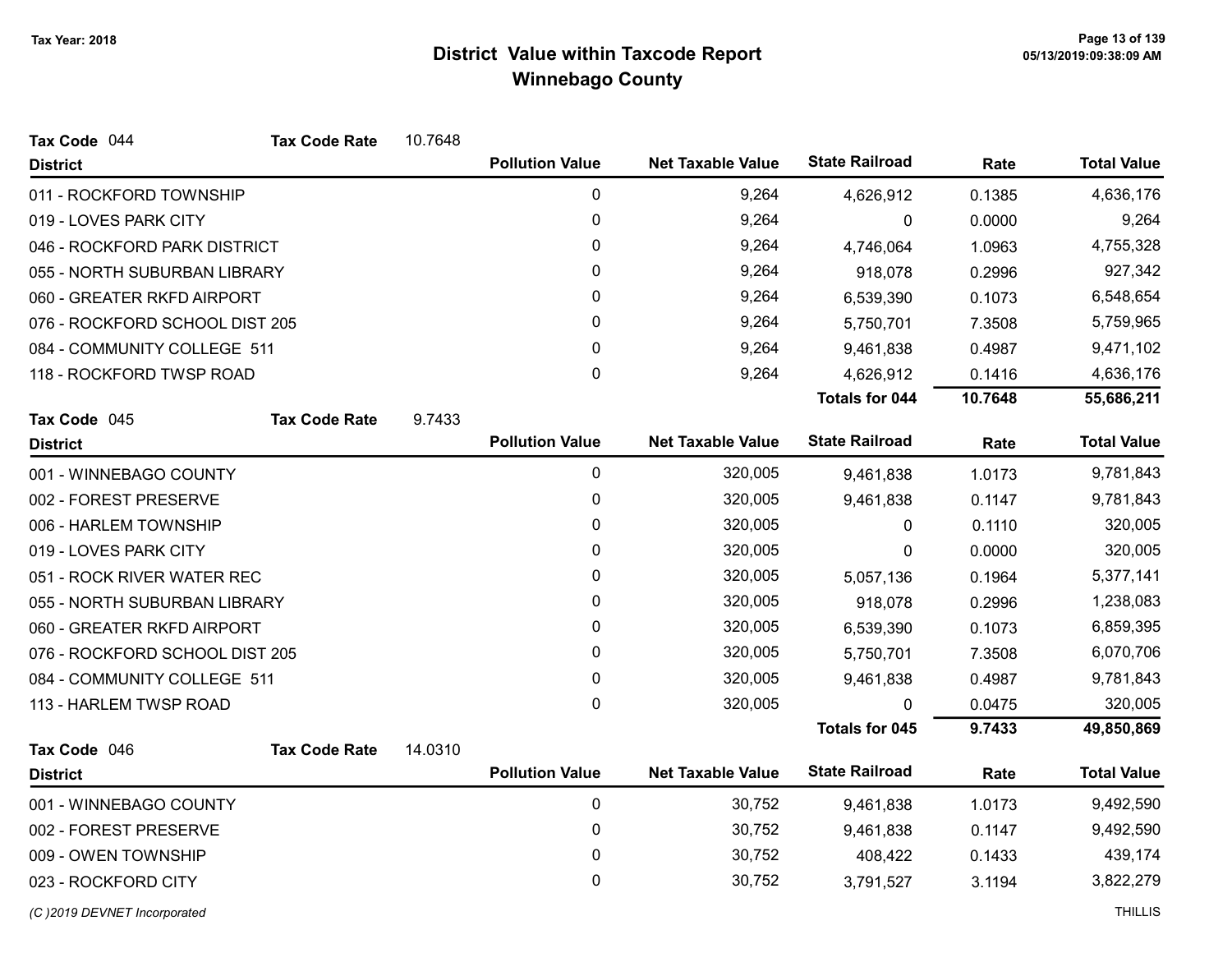| Tax Code 044                   | <b>Tax Code Rate</b> | 10.7648 |                        |                          |                       |         |                    |
|--------------------------------|----------------------|---------|------------------------|--------------------------|-----------------------|---------|--------------------|
| <b>District</b>                |                      |         | <b>Pollution Value</b> | <b>Net Taxable Value</b> | <b>State Railroad</b> | Rate    | <b>Total Value</b> |
| 011 - ROCKFORD TOWNSHIP        |                      |         | 0                      | 9,264                    | 4,626,912             | 0.1385  | 4,636,176          |
| 019 - LOVES PARK CITY          |                      |         | 0                      | 9,264                    | 0                     | 0.0000  | 9,264              |
| 046 - ROCKFORD PARK DISTRICT   |                      |         | 0                      | 9,264                    | 4,746,064             | 1.0963  | 4,755,328          |
| 055 - NORTH SUBURBAN LIBRARY   |                      |         | 0                      | 9,264                    | 918,078               | 0.2996  | 927,342            |
| 060 - GREATER RKFD AIRPORT     |                      |         | 0                      | 9,264                    | 6,539,390             | 0.1073  | 6,548,654          |
| 076 - ROCKFORD SCHOOL DIST 205 |                      |         | 0                      | 9,264                    | 5,750,701             | 7.3508  | 5,759,965          |
| 084 - COMMUNITY COLLEGE 511    |                      |         | 0                      | 9,264                    | 9,461,838             | 0.4987  | 9,471,102          |
| 118 - ROCKFORD TWSP ROAD       |                      |         | 0                      | 9,264                    | 4,626,912             | 0.1416  | 4,636,176          |
|                                |                      |         |                        |                          | <b>Totals for 044</b> | 10.7648 | 55,686,211         |
| Tax Code 045                   | <b>Tax Code Rate</b> | 9.7433  |                        |                          |                       |         |                    |
| <b>District</b>                |                      |         | <b>Pollution Value</b> | <b>Net Taxable Value</b> | <b>State Railroad</b> | Rate    | <b>Total Value</b> |
| 001 - WINNEBAGO COUNTY         |                      |         | $\pmb{0}$              | 320,005                  | 9,461,838             | 1.0173  | 9,781,843          |
| 002 - FOREST PRESERVE          |                      |         | 0                      | 320,005                  | 9,461,838             | 0.1147  | 9,781,843          |
| 006 - HARLEM TOWNSHIP          |                      |         | 0                      | 320,005                  | 0                     | 0.1110  | 320,005            |
| 019 - LOVES PARK CITY          |                      |         | 0                      | 320,005                  | 0                     | 0.0000  | 320,005            |
| 051 - ROCK RIVER WATER REC     |                      |         | 0                      | 320,005                  | 5,057,136             | 0.1964  | 5,377,141          |
| 055 - NORTH SUBURBAN LIBRARY   |                      |         | 0                      | 320,005                  | 918,078               | 0.2996  | 1,238,083          |
| 060 - GREATER RKFD AIRPORT     |                      |         | 0                      | 320,005                  | 6,539,390             | 0.1073  | 6,859,395          |
| 076 - ROCKFORD SCHOOL DIST 205 |                      |         | 0                      | 320,005                  | 5,750,701             | 7.3508  | 6,070,706          |
| 084 - COMMUNITY COLLEGE 511    |                      |         | 0                      | 320,005                  | 9,461,838             | 0.4987  | 9,781,843          |
| 113 - HARLEM TWSP ROAD         |                      |         | 0                      | 320,005                  | 0                     | 0.0475  | 320,005            |
|                                |                      |         |                        |                          | <b>Totals for 045</b> | 9.7433  | 49,850,869         |
| Tax Code 046                   | <b>Tax Code Rate</b> | 14.0310 |                        |                          |                       |         |                    |
| <b>District</b>                |                      |         | <b>Pollution Value</b> | <b>Net Taxable Value</b> | <b>State Railroad</b> | Rate    | <b>Total Value</b> |
| 001 - WINNEBAGO COUNTY         |                      |         | $\pmb{0}$              | 30,752                   | 9,461,838             | 1.0173  | 9,492,590          |
| 002 - FOREST PRESERVE          |                      |         | 0                      | 30,752                   | 9,461,838             | 0.1147  | 9,492,590          |
| 009 - OWEN TOWNSHIP            |                      |         | 0                      | 30,752                   | 408,422               | 0.1433  | 439,174            |
| 023 - ROCKFORD CITY            |                      |         | 0                      | 30,752                   | 3,791,527             | 3.1194  | 3,822,279          |
| (C)2019 DEVNET Incorporated    |                      |         |                        |                          |                       |         | <b>THILLIS</b>     |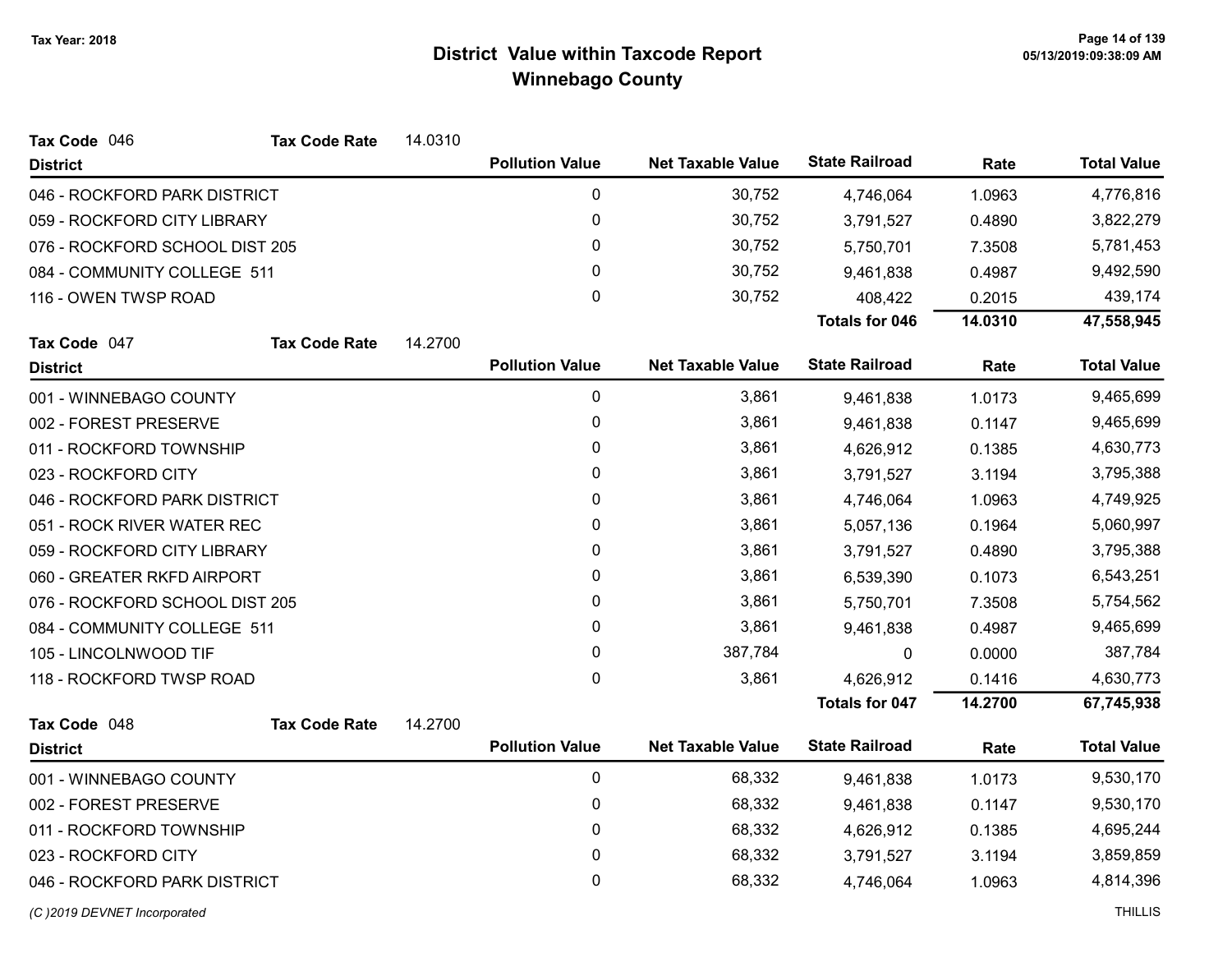| Tax Code 046                   | <b>Tax Code Rate</b> | 14.0310 |                        |                          |                       |         |                    |
|--------------------------------|----------------------|---------|------------------------|--------------------------|-----------------------|---------|--------------------|
| <b>District</b>                |                      |         | <b>Pollution Value</b> | <b>Net Taxable Value</b> | <b>State Railroad</b> | Rate    | <b>Total Value</b> |
| 046 - ROCKFORD PARK DISTRICT   |                      |         | 0                      | 30,752                   | 4,746,064             | 1.0963  | 4,776,816          |
| 059 - ROCKFORD CITY LIBRARY    |                      |         | 0                      | 30,752                   | 3,791,527             | 0.4890  | 3,822,279          |
| 076 - ROCKFORD SCHOOL DIST 205 |                      |         | 0                      | 30,752                   | 5,750,701             | 7.3508  | 5,781,453          |
| 084 - COMMUNITY COLLEGE 511    |                      |         | 0                      | 30,752                   | 9,461,838             | 0.4987  | 9,492,590          |
| 116 - OWEN TWSP ROAD           |                      |         | 0                      | 30,752                   | 408,422               | 0.2015  | 439,174            |
|                                |                      |         |                        |                          | <b>Totals for 046</b> | 14.0310 | 47,558,945         |
| Tax Code 047                   | <b>Tax Code Rate</b> | 14.2700 |                        |                          |                       |         |                    |
| <b>District</b>                |                      |         | <b>Pollution Value</b> | <b>Net Taxable Value</b> | <b>State Railroad</b> | Rate    | <b>Total Value</b> |
| 001 - WINNEBAGO COUNTY         |                      |         | $\mathbf 0$            | 3,861                    | 9,461,838             | 1.0173  | 9,465,699          |
| 002 - FOREST PRESERVE          |                      |         | 0                      | 3,861                    | 9,461,838             | 0.1147  | 9,465,699          |
| 011 - ROCKFORD TOWNSHIP        |                      |         | 0                      | 3,861                    | 4,626,912             | 0.1385  | 4,630,773          |
| 023 - ROCKFORD CITY            |                      |         | 0                      | 3,861                    | 3,791,527             | 3.1194  | 3,795,388          |
| 046 - ROCKFORD PARK DISTRICT   |                      |         | 0                      | 3,861                    | 4,746,064             | 1.0963  | 4,749,925          |
| 051 - ROCK RIVER WATER REC     |                      |         | 0                      | 3,861                    | 5,057,136             | 0.1964  | 5,060,997          |
| 059 - ROCKFORD CITY LIBRARY    |                      |         | 0                      | 3,861                    | 3,791,527             | 0.4890  | 3,795,388          |
| 060 - GREATER RKFD AIRPORT     |                      |         | 0                      | 3,861                    | 6,539,390             | 0.1073  | 6,543,251          |
| 076 - ROCKFORD SCHOOL DIST 205 |                      |         | 0                      | 3,861                    | 5,750,701             | 7.3508  | 5,754,562          |
| 084 - COMMUNITY COLLEGE 511    |                      |         | 0                      | 3,861                    | 9,461,838             | 0.4987  | 9,465,699          |
| 105 - LINCOLNWOOD TIF          |                      |         | 0                      | 387,784                  | 0                     | 0.0000  | 387,784            |
| 118 - ROCKFORD TWSP ROAD       |                      |         | 0                      | 3,861                    | 4,626,912             | 0.1416  | 4,630,773          |
|                                |                      |         |                        |                          | <b>Totals for 047</b> | 14.2700 | 67,745,938         |
| Tax Code 048                   | <b>Tax Code Rate</b> | 14.2700 |                        |                          |                       |         |                    |
| <b>District</b>                |                      |         | <b>Pollution Value</b> | <b>Net Taxable Value</b> | <b>State Railroad</b> | Rate    | <b>Total Value</b> |
| 001 - WINNEBAGO COUNTY         |                      |         | $\mathbf 0$            | 68,332                   | 9,461,838             | 1.0173  | 9,530,170          |
| 002 - FOREST PRESERVE          |                      |         | 0                      | 68,332                   | 9,461,838             | 0.1147  | 9,530,170          |
| 011 - ROCKFORD TOWNSHIP        |                      |         | 0                      | 68,332                   | 4,626,912             | 0.1385  | 4,695,244          |
| 023 - ROCKFORD CITY            |                      |         | 0                      | 68,332                   | 3,791,527             | 3.1194  | 3,859,859          |
| 046 - ROCKFORD PARK DISTRICT   |                      |         | 0                      | 68,332                   | 4,746,064             | 1.0963  | 4,814,396          |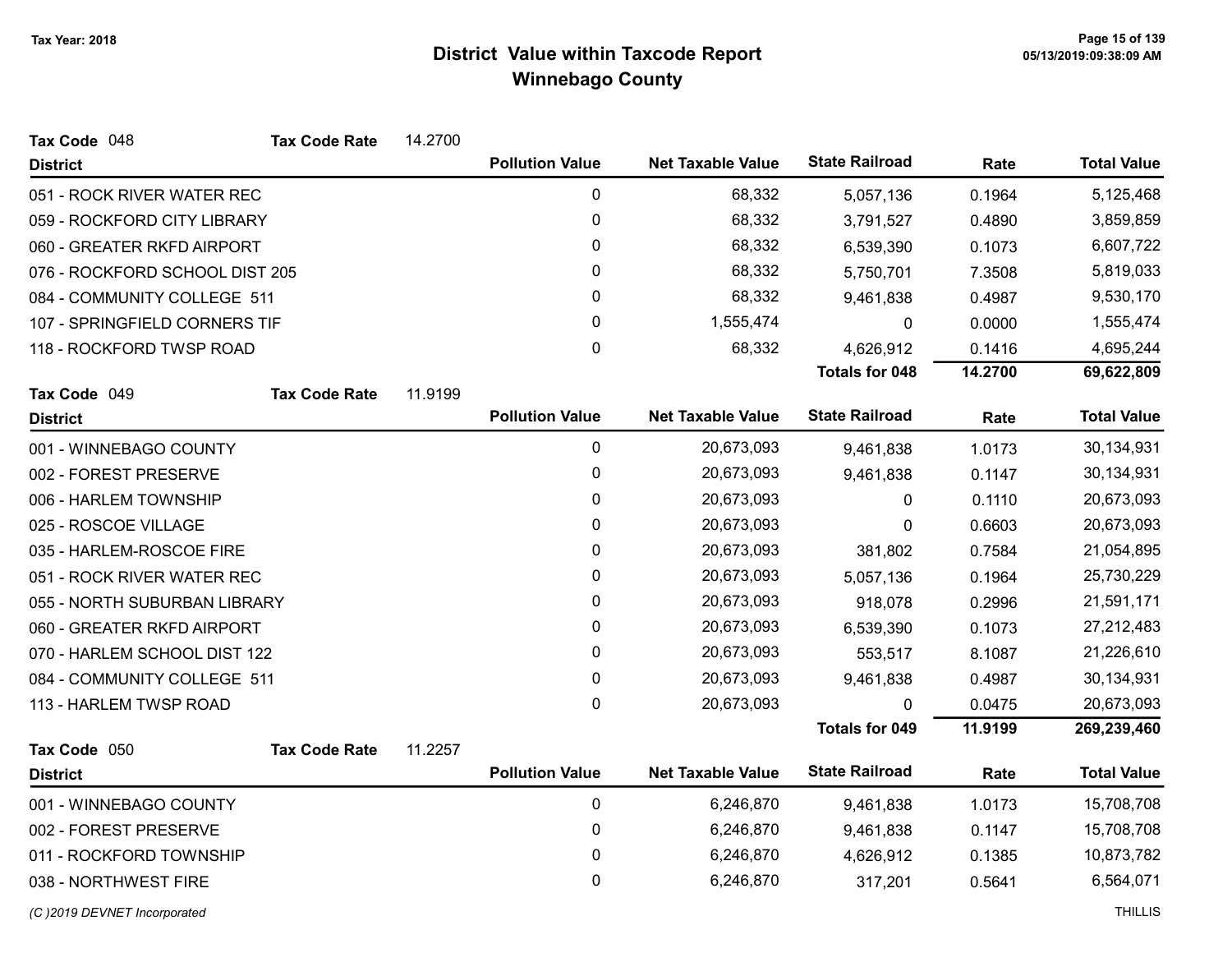| Tax Code 048                   | <b>Tax Code Rate</b> | 14.2700 |                        |                          |                       |         |                    |
|--------------------------------|----------------------|---------|------------------------|--------------------------|-----------------------|---------|--------------------|
| <b>District</b>                |                      |         | <b>Pollution Value</b> | <b>Net Taxable Value</b> | <b>State Railroad</b> | Rate    | <b>Total Value</b> |
| 051 - ROCK RIVER WATER REC     |                      |         | $\pmb{0}$              | 68,332                   | 5,057,136             | 0.1964  | 5,125,468          |
| 059 - ROCKFORD CITY LIBRARY    |                      |         | 0                      | 68,332                   | 3,791,527             | 0.4890  | 3,859,859          |
| 060 - GREATER RKFD AIRPORT     |                      |         | 0                      | 68,332                   | 6,539,390             | 0.1073  | 6,607,722          |
| 076 - ROCKFORD SCHOOL DIST 205 |                      |         | 0                      | 68,332                   | 5,750,701             | 7.3508  | 5,819,033          |
| 084 - COMMUNITY COLLEGE 511    |                      |         | 0                      | 68,332                   | 9,461,838             | 0.4987  | 9,530,170          |
| 107 - SPRINGFIELD CORNERS TIF  |                      |         | 0                      | 1,555,474                | 0                     | 0.0000  | 1,555,474          |
| 118 - ROCKFORD TWSP ROAD       |                      |         | 0                      | 68,332                   | 4,626,912             | 0.1416  | 4,695,244          |
|                                |                      |         |                        |                          | <b>Totals for 048</b> | 14.2700 | 69,622,809         |
| Tax Code 049                   | <b>Tax Code Rate</b> | 11.9199 |                        |                          |                       |         |                    |
| <b>District</b>                |                      |         | <b>Pollution Value</b> | <b>Net Taxable Value</b> | <b>State Railroad</b> | Rate    | <b>Total Value</b> |
| 001 - WINNEBAGO COUNTY         |                      |         | $\pmb{0}$              | 20,673,093               | 9,461,838             | 1.0173  | 30,134,931         |
| 002 - FOREST PRESERVE          |                      |         | 0                      | 20,673,093               | 9,461,838             | 0.1147  | 30,134,931         |
| 006 - HARLEM TOWNSHIP          |                      |         | 0                      | 20,673,093               | 0                     | 0.1110  | 20,673,093         |
| 025 - ROSCOE VILLAGE           |                      |         | 0                      | 20,673,093               | 0                     | 0.6603  | 20,673,093         |
| 035 - HARLEM-ROSCOE FIRE       |                      |         | 0                      | 20,673,093               | 381,802               | 0.7584  | 21,054,895         |
| 051 - ROCK RIVER WATER REC     |                      |         | 0                      | 20,673,093               | 5,057,136             | 0.1964  | 25,730,229         |
| 055 - NORTH SUBURBAN LIBRARY   |                      |         | 0                      | 20,673,093               | 918,078               | 0.2996  | 21,591,171         |
| 060 - GREATER RKFD AIRPORT     |                      |         | 0                      | 20,673,093               | 6,539,390             | 0.1073  | 27,212,483         |
| 070 - HARLEM SCHOOL DIST 122   |                      |         | 0                      | 20,673,093               | 553,517               | 8.1087  | 21,226,610         |
| 084 - COMMUNITY COLLEGE 511    |                      |         | 0                      | 20,673,093               | 9,461,838             | 0.4987  | 30,134,931         |
| 113 - HARLEM TWSP ROAD         |                      |         | 0                      | 20,673,093               | $\mathbf{0}$          | 0.0475  | 20,673,093         |
|                                |                      |         |                        |                          | <b>Totals for 049</b> | 11.9199 | 269,239,460        |
| Tax Code 050                   | <b>Tax Code Rate</b> | 11.2257 |                        |                          |                       |         |                    |
| <b>District</b>                |                      |         | <b>Pollution Value</b> | <b>Net Taxable Value</b> | <b>State Railroad</b> | Rate    | <b>Total Value</b> |
| 001 - WINNEBAGO COUNTY         |                      |         | $\pmb{0}$              | 6,246,870                | 9,461,838             | 1.0173  | 15,708,708         |
| 002 - FOREST PRESERVE          |                      |         | $\pmb{0}$              | 6,246,870                | 9,461,838             | 0.1147  | 15,708,708         |
| 011 - ROCKFORD TOWNSHIP        |                      |         | 0                      | 6,246,870                | 4,626,912             | 0.1385  | 10,873,782         |
| 038 - NORTHWEST FIRE           |                      |         | 0                      | 6,246,870                | 317,201               | 0.5641  | 6,564,071          |
| (C) 2019 DEVNET Incorporated   |                      |         |                        |                          |                       |         | <b>THILLIS</b>     |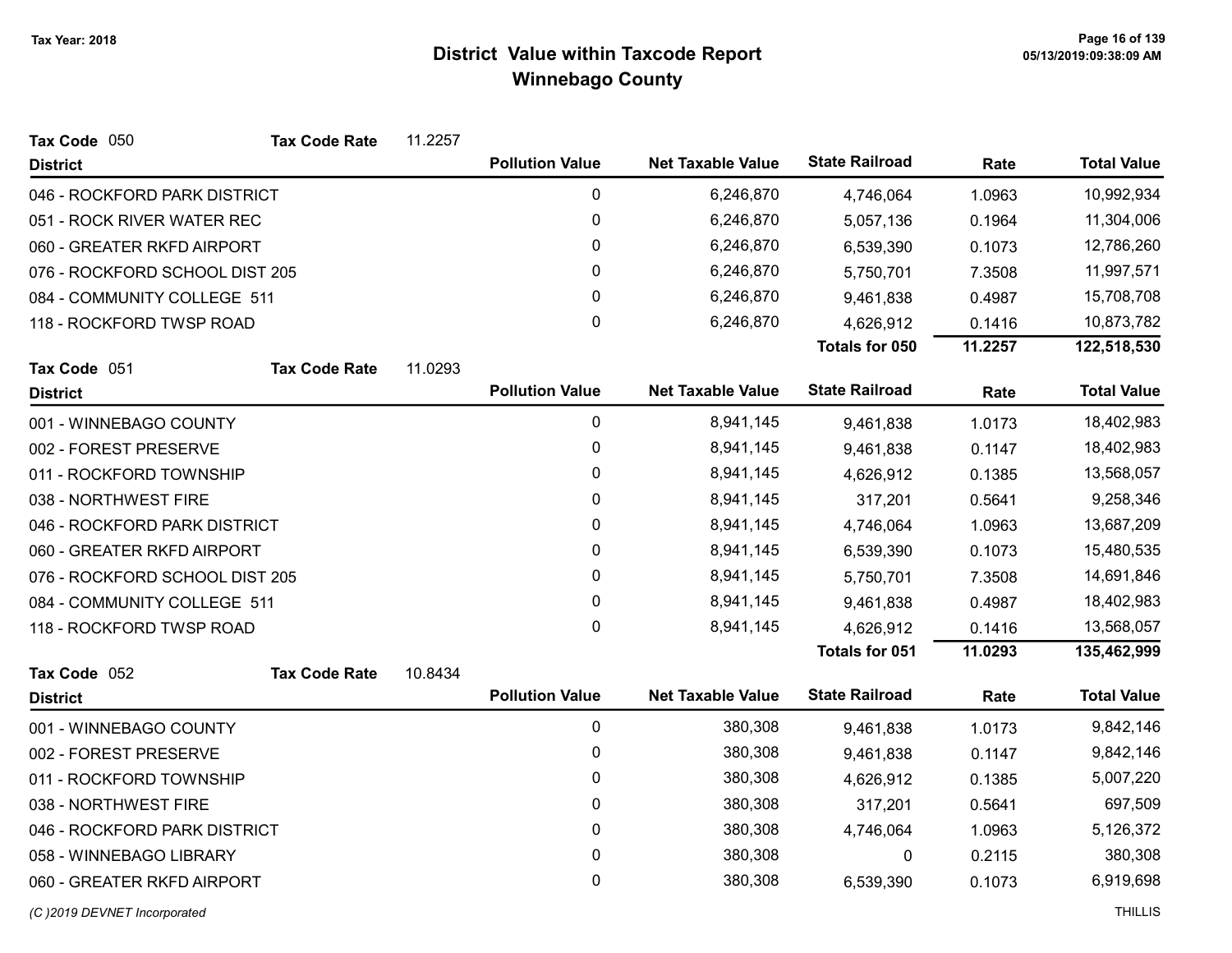| Tax Code 050                   | <b>Tax Code Rate</b>         | 11.2257 |                        |                          |                       |           |                    |
|--------------------------------|------------------------------|---------|------------------------|--------------------------|-----------------------|-----------|--------------------|
| <b>District</b>                |                              |         | <b>Pollution Value</b> | <b>Net Taxable Value</b> | <b>State Railroad</b> | Rate      | <b>Total Value</b> |
| 046 - ROCKFORD PARK DISTRICT   |                              |         | 0                      | 6,246,870                | 4,746,064             | 1.0963    | 10,992,934         |
| 051 - ROCK RIVER WATER REC     |                              |         | 0                      | 6,246,870                | 5,057,136             | 0.1964    | 11,304,006         |
| 060 - GREATER RKFD AIRPORT     |                              |         | 0                      | 6,246,870                | 6,539,390             | 0.1073    | 12,786,260         |
| 076 - ROCKFORD SCHOOL DIST 205 |                              |         | 0                      | 6,246,870                | 5,750,701             | 7.3508    | 11,997,571         |
| 084 - COMMUNITY COLLEGE 511    |                              |         | 0                      | 6,246,870                | 9,461,838             | 0.4987    | 15,708,708         |
| 118 - ROCKFORD TWSP ROAD       |                              |         | 0                      | 6,246,870                | 4,626,912             | 0.1416    | 10,873,782         |
|                                |                              |         |                        |                          | Totals for 050        | 11.2257   | 122,518,530        |
| Tax Code 051                   | <b>Tax Code Rate</b>         | 11.0293 |                        |                          |                       |           |                    |
| <b>District</b>                |                              |         | <b>Pollution Value</b> | <b>Net Taxable Value</b> | <b>State Railroad</b> | Rate      | <b>Total Value</b> |
| 001 - WINNEBAGO COUNTY         |                              |         | 0                      | 8,941,145                | 9,461,838             | 1.0173    | 18,402,983         |
| 002 - FOREST PRESERVE          |                              |         | 0                      | 8,941,145                | 9,461,838             | 0.1147    | 18,402,983         |
| 011 - ROCKFORD TOWNSHIP        |                              |         | 0                      | 8,941,145                | 4,626,912             | 0.1385    | 13,568,057         |
| 038 - NORTHWEST FIRE           |                              |         | 0                      | 8,941,145                | 317,201               | 0.5641    | 9,258,346          |
|                                | 046 - ROCKFORD PARK DISTRICT |         | 0                      | 8,941,145                | 4,746,064             | 1.0963    | 13,687,209         |
| 060 - GREATER RKFD AIRPORT     |                              |         | 0                      | 8,941,145                | 6,539,390             | 0.1073    | 15,480,535         |
| 076 - ROCKFORD SCHOOL DIST 205 |                              |         | 0                      | 8,941,145                | 5,750,701             | 7.3508    | 14,691,846         |
| 084 - COMMUNITY COLLEGE 511    |                              |         | 0                      | 8,941,145                | 9,461,838             | 0.4987    | 18,402,983         |
| 118 - ROCKFORD TWSP ROAD       |                              |         | 0                      | 8,941,145                | 4,626,912             | 0.1416    | 13,568,057         |
|                                |                              |         |                        |                          | Totals for 051        | 11.0293   | 135,462,999        |
| Tax Code 052                   | <b>Tax Code Rate</b>         | 10.8434 |                        |                          |                       |           |                    |
| <b>District</b>                |                              |         | <b>Pollution Value</b> | <b>Net Taxable Value</b> | <b>State Railroad</b> | Rate      | <b>Total Value</b> |
| 001 - WINNEBAGO COUNTY         |                              |         | $\pmb{0}$              | 380,308                  | 9,461,838             | 1.0173    | 9,842,146          |
| 002 - FOREST PRESERVE          |                              |         | 0                      | 380,308                  | 9,461,838             | 0.1147    | 9,842,146          |
| 011 - ROCKFORD TOWNSHIP        |                              |         | 0                      | 380,308                  | 4,626,912             | 0.1385    | 5,007,220          |
| 038 - NORTHWEST FIRE           |                              |         | 0                      | 380,308                  | 317,201               | 0.5641    | 697,509            |
| 046 - ROCKFORD PARK DISTRICT   |                              | 0       | 380,308                | 4,746,064                | 1.0963                | 5,126,372 |                    |
| 058 - WINNEBAGO LIBRARY        |                              |         | 0                      | 380,308                  | 0                     | 0.2115    | 380,308            |
| 060 - GREATER RKFD AIRPORT     |                              |         | 0                      | 380,308                  | 6,539,390             | 0.1073    | 6,919,698          |
|                                |                              |         |                        |                          |                       |           |                    |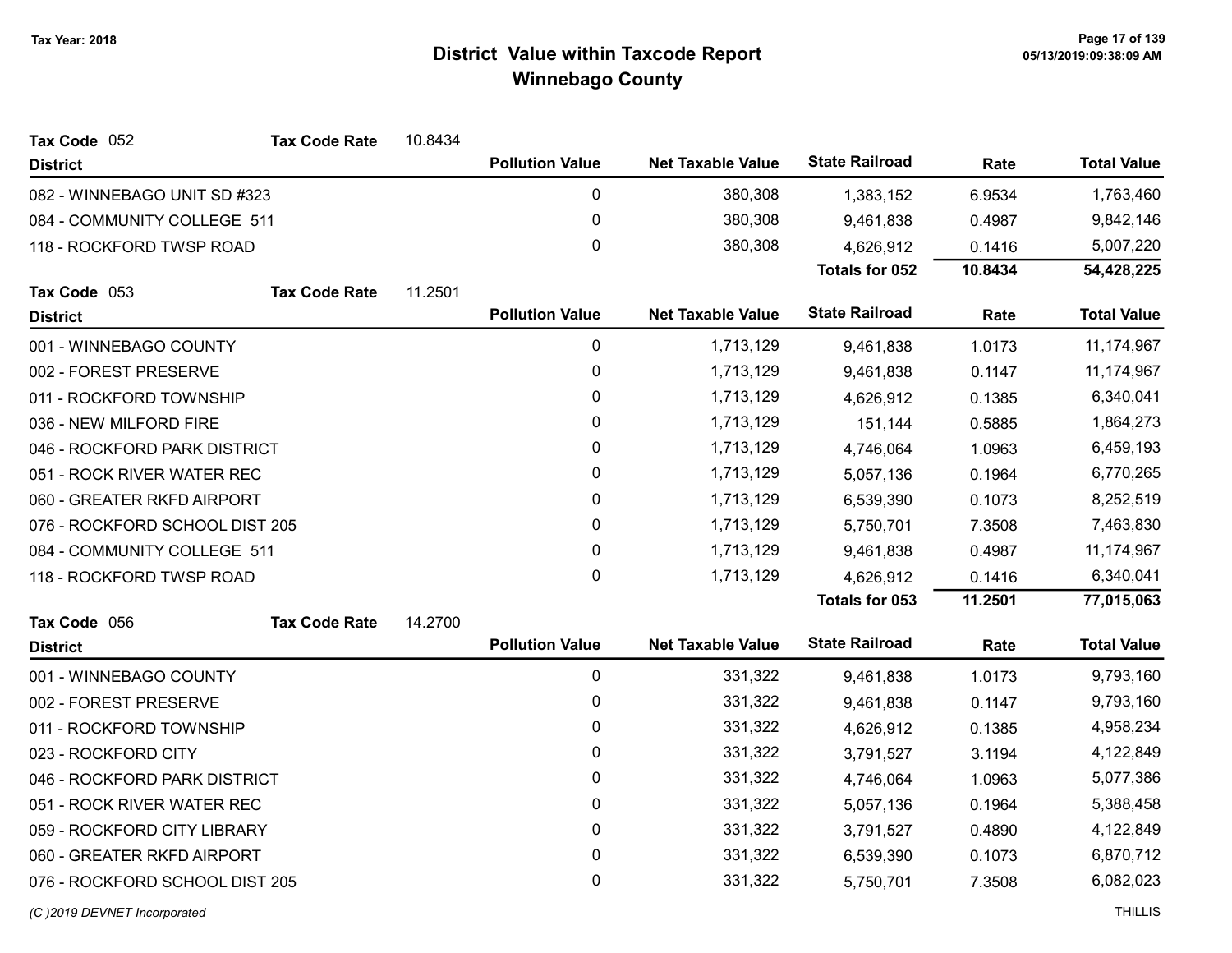| Tax Code 052                   | <b>Tax Code Rate</b> | 10.8434 |                        |                          |                       |         |                    |
|--------------------------------|----------------------|---------|------------------------|--------------------------|-----------------------|---------|--------------------|
| <b>District</b>                |                      |         | <b>Pollution Value</b> | <b>Net Taxable Value</b> | <b>State Railroad</b> | Rate    | <b>Total Value</b> |
| 082 - WINNEBAGO UNIT SD #323   |                      |         | 0                      | 380,308                  | 1,383,152             | 6.9534  | 1,763,460          |
| 084 - COMMUNITY COLLEGE 511    |                      |         | $\mathbf 0$            | 380,308                  | 9,461,838             | 0.4987  | 9,842,146          |
| 118 - ROCKFORD TWSP ROAD       |                      |         | 0                      | 380,308                  | 4,626,912             | 0.1416  | 5,007,220          |
|                                |                      |         |                        |                          | Totals for 052        | 10.8434 | 54,428,225         |
| Tax Code 053                   | <b>Tax Code Rate</b> | 11.2501 |                        |                          |                       |         |                    |
| <b>District</b>                |                      |         | <b>Pollution Value</b> | <b>Net Taxable Value</b> | <b>State Railroad</b> | Rate    | <b>Total Value</b> |
| 001 - WINNEBAGO COUNTY         |                      |         | $\pmb{0}$              | 1,713,129                | 9,461,838             | 1.0173  | 11,174,967         |
| 002 - FOREST PRESERVE          |                      |         | 0                      | 1,713,129                | 9,461,838             | 0.1147  | 11,174,967         |
| 011 - ROCKFORD TOWNSHIP        |                      |         | $\pmb{0}$              | 1,713,129                | 4,626,912             | 0.1385  | 6,340,041          |
| 036 - NEW MILFORD FIRE         |                      |         | 0                      | 1,713,129                | 151,144               | 0.5885  | 1,864,273          |
| 046 - ROCKFORD PARK DISTRICT   |                      |         | $\pmb{0}$              | 1,713,129                | 4,746,064             | 1.0963  | 6,459,193          |
| 051 - ROCK RIVER WATER REC     |                      |         | 0                      | 1,713,129                | 5,057,136             | 0.1964  | 6,770,265          |
| 060 - GREATER RKFD AIRPORT     |                      |         | $\pmb{0}$              | 1,713,129                | 6,539,390             | 0.1073  | 8,252,519          |
| 076 - ROCKFORD SCHOOL DIST 205 |                      |         | 0                      | 1,713,129                | 5,750,701             | 7.3508  | 7,463,830          |
| 084 - COMMUNITY COLLEGE 511    |                      |         | $\pmb{0}$              | 1,713,129                | 9,461,838             | 0.4987  | 11,174,967         |
| 118 - ROCKFORD TWSP ROAD       |                      |         | $\mathbf 0$            | 1,713,129                | 4,626,912             | 0.1416  | 6,340,041          |
|                                |                      |         |                        |                          | Totals for 053        | 11.2501 | 77,015,063         |
| Tax Code 056                   | <b>Tax Code Rate</b> | 14.2700 |                        |                          |                       |         |                    |
| <b>District</b>                |                      |         | <b>Pollution Value</b> | <b>Net Taxable Value</b> | <b>State Railroad</b> | Rate    | <b>Total Value</b> |
| 001 - WINNEBAGO COUNTY         |                      |         | $\mathbf 0$            | 331,322                  | 9,461,838             | 1.0173  | 9,793,160          |
| 002 - FOREST PRESERVE          |                      |         | 0                      | 331,322                  | 9,461,838             | 0.1147  | 9,793,160          |
| 011 - ROCKFORD TOWNSHIP        |                      |         | $\pmb{0}$              | 331,322                  | 4,626,912             | 0.1385  | 4,958,234          |
| 023 - ROCKFORD CITY            |                      |         | $\pmb{0}$              | 331,322                  | 3,791,527             | 3.1194  | 4,122,849          |
| 046 - ROCKFORD PARK DISTRICT   |                      |         | 0                      | 331,322                  | 4,746,064             | 1.0963  | 5,077,386          |
| 051 - ROCK RIVER WATER REC     |                      |         | 0                      | 331,322                  | 5,057,136             | 0.1964  |                    |
| 059 - ROCKFORD CITY LIBRARY    |                      |         | $\pmb{0}$              | 331,322                  | 3,791,527             | 0.4890  | 4,122,849          |
| 060 - GREATER RKFD AIRPORT     |                      |         | 0                      | 331,322                  | 6,539,390             | 0.1073  | 6,870,712          |
| 076 - ROCKFORD SCHOOL DIST 205 |                      |         | 0                      | 331,322                  | 5,750,701             | 7.3508  | 6,082,023          |
|                                |                      |         |                        |                          |                       |         |                    |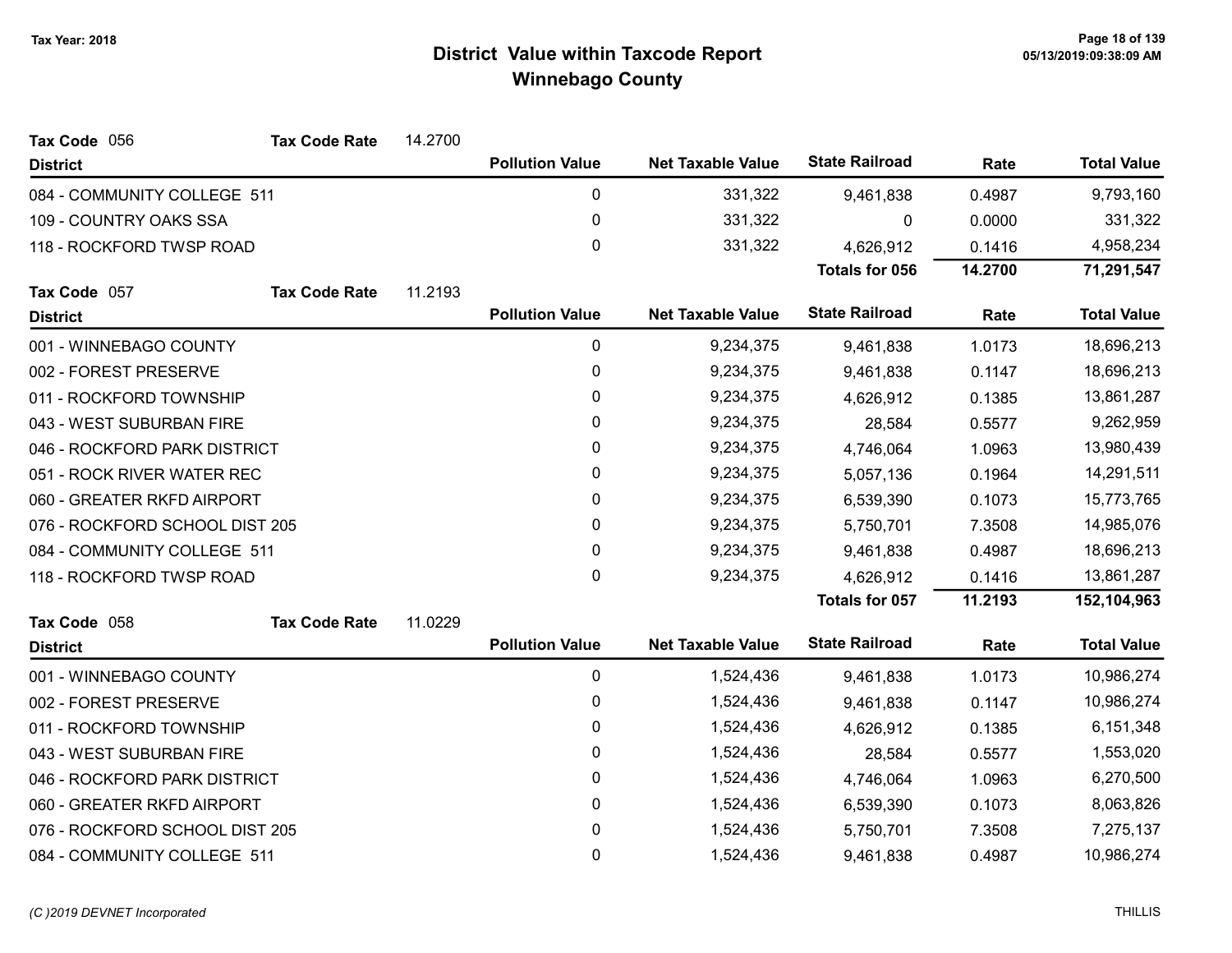| Tax Code 056                   | <b>Tax Code Rate</b> | 14.2700 |                        |                          |                       |         |                    |
|--------------------------------|----------------------|---------|------------------------|--------------------------|-----------------------|---------|--------------------|
| <b>District</b>                |                      |         | <b>Pollution Value</b> | <b>Net Taxable Value</b> | <b>State Railroad</b> | Rate    | <b>Total Value</b> |
| 084 - COMMUNITY COLLEGE 511    |                      |         | 0                      | 331,322                  | 9,461,838             | 0.4987  | 9,793,160          |
| 109 - COUNTRY OAKS SSA         |                      |         | $\pmb{0}$              | 331,322                  | 0                     | 0.0000  | 331,322            |
| 118 - ROCKFORD TWSP ROAD       |                      |         | $\mathbf 0$            | 331,322                  | 4,626,912             | 0.1416  | 4,958,234          |
|                                |                      |         |                        |                          | <b>Totals for 056</b> | 14.2700 | 71,291,547         |
| Tax Code 057                   | <b>Tax Code Rate</b> | 11.2193 |                        |                          |                       |         |                    |
| <b>District</b>                |                      |         | <b>Pollution Value</b> | <b>Net Taxable Value</b> | <b>State Railroad</b> | Rate    | <b>Total Value</b> |
| 001 - WINNEBAGO COUNTY         |                      |         | $\pmb{0}$              | 9,234,375                | 9,461,838             | 1.0173  | 18,696,213         |
| 002 - FOREST PRESERVE          |                      |         | 0                      | 9,234,375                | 9,461,838             | 0.1147  | 18,696,213         |
| 011 - ROCKFORD TOWNSHIP        |                      |         | $\pmb{0}$              | 9,234,375                | 4,626,912             | 0.1385  | 13,861,287         |
| 043 - WEST SUBURBAN FIRE       |                      |         | 0                      | 9,234,375                | 28,584                | 0.5577  | 9,262,959          |
| 046 - ROCKFORD PARK DISTRICT   |                      |         | 0                      | 9,234,375                | 4,746,064             | 1.0963  | 13,980,439         |
| 051 - ROCK RIVER WATER REC     |                      |         | 0                      | 9,234,375                | 5,057,136             | 0.1964  | 14,291,511         |
| 060 - GREATER RKFD AIRPORT     |                      |         | 0                      | 9,234,375                | 6,539,390             | 0.1073  | 15,773,765         |
| 076 - ROCKFORD SCHOOL DIST 205 |                      |         | $\pmb{0}$              | 9,234,375                | 5,750,701             | 7.3508  | 14,985,076         |
| 084 - COMMUNITY COLLEGE 511    |                      |         | 0                      | 9,234,375                | 9,461,838             | 0.4987  | 18,696,213         |
| 118 - ROCKFORD TWSP ROAD       |                      |         | $\mathbf{0}$           | 9,234,375                | 4,626,912             | 0.1416  | 13,861,287         |
|                                |                      |         |                        |                          | Totals for 057        | 11.2193 | 152,104,963        |
| Tax Code 058                   | <b>Tax Code Rate</b> | 11.0229 |                        |                          |                       |         |                    |
| <b>District</b>                |                      |         | <b>Pollution Value</b> | <b>Net Taxable Value</b> | <b>State Railroad</b> | Rate    | <b>Total Value</b> |
| 001 - WINNEBAGO COUNTY         |                      |         | 0                      | 1,524,436                | 9,461,838             | 1.0173  | 10,986,274         |
| 002 - FOREST PRESERVE          |                      |         | 0                      | 1,524,436                | 9,461,838             | 0.1147  | 10,986,274         |
| 011 - ROCKFORD TOWNSHIP        |                      |         | 0                      | 1,524,436                | 4,626,912             | 0.1385  | 6,151,348          |
| 043 - WEST SUBURBAN FIRE       |                      |         | 0                      | 1,524,436                | 28,584                | 0.5577  | 1,553,020          |
| 046 - ROCKFORD PARK DISTRICT   |                      |         | 0                      | 1,524,436                | 4,746,064             | 1.0963  | 6,270,500          |
| 060 - GREATER RKFD AIRPORT     |                      |         | 0                      | 1,524,436                | 6,539,390             | 0.1073  | 8,063,826          |
| 076 - ROCKFORD SCHOOL DIST 205 |                      |         | 0                      | 1,524,436                | 5,750,701             | 7.3508  | 7,275,137          |
| 084 - COMMUNITY COLLEGE 511    |                      |         | $\mathbf 0$            | 1,524,436                | 9,461,838             | 0.4987  | 10,986,274         |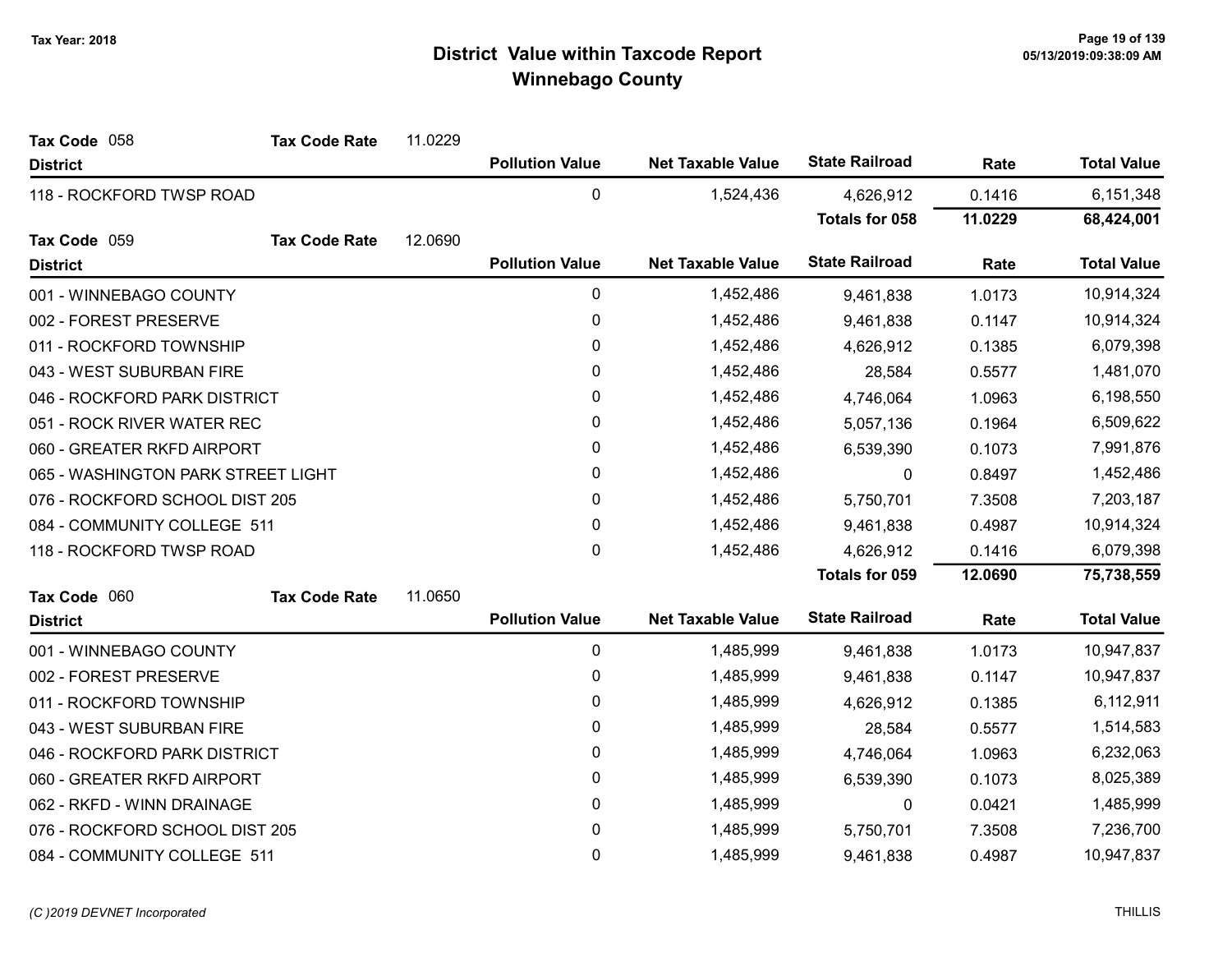| Tax Code 058                       | <b>Tax Code Rate</b>       | 11.0229                       |                        |                          |                       |         |                    |
|------------------------------------|----------------------------|-------------------------------|------------------------|--------------------------|-----------------------|---------|--------------------|
| <b>District</b>                    |                            |                               | <b>Pollution Value</b> | <b>Net Taxable Value</b> | <b>State Railroad</b> | Rate    | <b>Total Value</b> |
| 118 - ROCKFORD TWSP ROAD           |                            |                               | $\mathbf 0$            | 1,524,436                | 4,626,912             | 0.1416  | 6,151,348          |
|                                    |                            |                               |                        |                          | <b>Totals for 058</b> | 11.0229 | 68,424,001         |
| Tax Code 059                       | <b>Tax Code Rate</b>       | 12.0690                       |                        |                          |                       |         |                    |
| <b>District</b>                    |                            |                               | <b>Pollution Value</b> | <b>Net Taxable Value</b> | <b>State Railroad</b> | Rate    | <b>Total Value</b> |
| 001 - WINNEBAGO COUNTY             |                            |                               | $\pmb{0}$              | 1,452,486                | 9,461,838             | 1.0173  | 10,914,324         |
| 002 - FOREST PRESERVE              |                            |                               | 0                      | 1,452,486                | 9,461,838             | 0.1147  | 10,914,324         |
| 011 - ROCKFORD TOWNSHIP            |                            |                               | $\pmb{0}$              | 1,452,486                | 4,626,912             | 0.1385  | 6,079,398          |
| 043 - WEST SUBURBAN FIRE           |                            |                               | 0                      | 1,452,486                | 28,584                | 0.5577  | 1,481,070          |
| 046 - ROCKFORD PARK DISTRICT       |                            |                               | 0                      | 1,452,486                | 4,746,064             | 1.0963  | 6,198,550          |
| 051 - ROCK RIVER WATER REC         |                            |                               | 0                      | 1,452,486                | 5,057,136             | 0.1964  | 6,509,622          |
|                                    | 060 - GREATER RKFD AIRPORT |                               | 0                      | 1,452,486                | 6,539,390             | 0.1073  | 7,991,876          |
| 065 - WASHINGTON PARK STREET LIGHT |                            | 0<br>1,452,486<br>0.8497<br>0 |                        |                          | 1,452,486             |         |                    |
| 076 - ROCKFORD SCHOOL DIST 205     |                            |                               | 0                      | 1,452,486                | 5,750,701             | 7.3508  | 7,203,187          |
| 084 - COMMUNITY COLLEGE 511        |                            |                               | 0                      | 1,452,486                | 9,461,838             | 0.4987  | 10,914,324         |
| 118 - ROCKFORD TWSP ROAD           |                            |                               | 0                      | 1,452,486                | 4,626,912             | 0.1416  | 6,079,398          |
|                                    |                            |                               |                        |                          | Totals for 059        | 12.0690 | 75,738,559         |
| Tax Code 060                       | <b>Tax Code Rate</b>       | 11.0650                       |                        |                          |                       |         |                    |
| <b>District</b>                    |                            |                               | <b>Pollution Value</b> | <b>Net Taxable Value</b> | <b>State Railroad</b> | Rate    | <b>Total Value</b> |
| 001 - WINNEBAGO COUNTY             |                            |                               | $\mathbf 0$            | 1,485,999                | 9,461,838             | 1.0173  | 10,947,837         |
| 002 - FOREST PRESERVE              |                            |                               | 0                      | 1,485,999                | 9,461,838             | 0.1147  | 10,947,837         |
| 011 - ROCKFORD TOWNSHIP            |                            |                               | 0                      | 1,485,999                | 4,626,912             | 0.1385  | 6,112,911          |
| 043 - WEST SUBURBAN FIRE           |                            |                               | 0                      | 1,485,999                | 28,584                | 0.5577  | 1,514,583          |
| 046 - ROCKFORD PARK DISTRICT       |                            |                               | 0                      | 1,485,999                | 4,746,064             | 1.0963  | 6,232,063          |
| 060 - GREATER RKFD AIRPORT         |                            |                               | 0                      | 1,485,999                | 6,539,390             | 0.1073  | 8,025,389          |
| 062 - RKFD - WINN DRAINAGE         |                            |                               | 0                      | 1,485,999                | 0                     | 0.0421  | 1,485,999          |
| 076 - ROCKFORD SCHOOL DIST 205     |                            |                               | 0                      | 1,485,999                | 5,750,701             | 7.3508  | 7,236,700          |
| 084 - COMMUNITY COLLEGE 511        |                            |                               | 0                      | 1,485,999                | 9,461,838             | 0.4987  | 10,947,837         |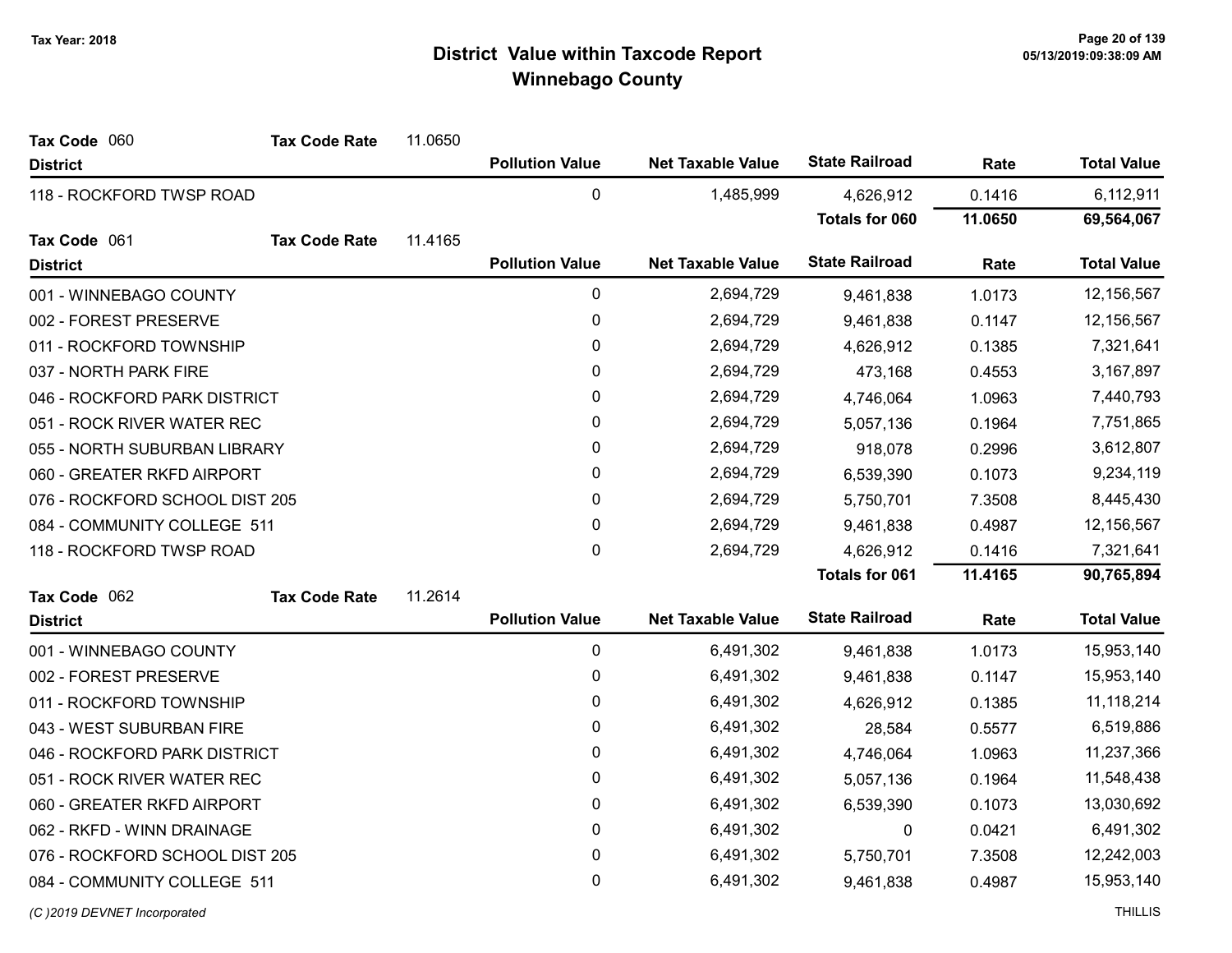| Tax Code 060                   | <b>Tax Code Rate</b>        | 11.0650      |                        |                          |                       |           |                    |
|--------------------------------|-----------------------------|--------------|------------------------|--------------------------|-----------------------|-----------|--------------------|
| <b>District</b>                |                             |              | <b>Pollution Value</b> | <b>Net Taxable Value</b> | <b>State Railroad</b> | Rate      | <b>Total Value</b> |
| 118 - ROCKFORD TWSP ROAD       |                             |              | 0                      | 1,485,999                | 4,626,912             | 0.1416    | 6,112,911          |
|                                |                             |              |                        |                          | Totals for 060        | 11.0650   | 69,564,067         |
| Tax Code 061                   | <b>Tax Code Rate</b>        | 11.4165      |                        |                          |                       |           |                    |
| <b>District</b>                |                             |              | <b>Pollution Value</b> | <b>Net Taxable Value</b> | <b>State Railroad</b> | Rate      | <b>Total Value</b> |
| 001 - WINNEBAGO COUNTY         |                             |              | $\boldsymbol{0}$       | 2,694,729                | 9,461,838             | 1.0173    | 12,156,567         |
| 002 - FOREST PRESERVE          |                             |              | $\mathbf 0$            | 2,694,729                | 9,461,838             | 0.1147    | 12,156,567         |
| 011 - ROCKFORD TOWNSHIP        |                             |              | 0                      | 2,694,729                | 4,626,912             | 0.1385    | 7,321,641          |
| 037 - NORTH PARK FIRE          |                             |              | $\mathbf{0}$           | 2,694,729                | 473,168               | 0.4553    | 3,167,897          |
| 046 - ROCKFORD PARK DISTRICT   |                             |              | 0                      | 2,694,729                | 4,746,064             | 1.0963    | 7,440,793          |
| 051 - ROCK RIVER WATER REC     |                             |              | 0                      | 2,694,729                | 5,057,136             | 0.1964    | 7,751,865          |
| 055 - NORTH SUBURBAN LIBRARY   |                             |              | 0                      | 2,694,729                | 918,078               | 0.2996    | 3,612,807          |
| 060 - GREATER RKFD AIRPORT     |                             | $\mathbf{0}$ | 2,694,729              | 6,539,390                | 0.1073                | 9,234,119 |                    |
| 076 - ROCKFORD SCHOOL DIST 205 |                             |              | 0                      | 2,694,729                | 5,750,701             | 7.3508    | 8,445,430          |
|                                | 084 - COMMUNITY COLLEGE 511 |              | 0                      | 2,694,729                | 9,461,838             | 0.4987    | 12,156,567         |
| 118 - ROCKFORD TWSP ROAD       |                             |              | $\mathbf{0}$           | 2,694,729                | 4,626,912             | 0.1416    | 7,321,641          |
|                                |                             |              |                        |                          | <b>Totals for 061</b> | 11.4165   | 90,765,894         |
| Tax Code 062                   | <b>Tax Code Rate</b>        | 11.2614      |                        |                          |                       |           |                    |
| <b>District</b>                |                             |              | <b>Pollution Value</b> | <b>Net Taxable Value</b> | <b>State Railroad</b> | Rate      | <b>Total Value</b> |
| 001 - WINNEBAGO COUNTY         |                             |              | 0                      | 6,491,302                | 9,461,838             | 1.0173    | 15,953,140         |
| 002 - FOREST PRESERVE          |                             |              | 0                      | 6,491,302                | 9,461,838             | 0.1147    | 15,953,140         |
| 011 - ROCKFORD TOWNSHIP        |                             |              | 0                      | 6,491,302                | 4,626,912             | 0.1385    | 11,118,214         |
| 043 - WEST SUBURBAN FIRE       |                             |              | 0                      | 6,491,302                | 28,584                | 0.5577    | 6,519,886          |
| 046 - ROCKFORD PARK DISTRICT   |                             |              | $\mathbf 0$            | 6,491,302                | 4,746,064             | 1.0963    | 11,237,366         |
| 051 - ROCK RIVER WATER REC     |                             |              | 0                      | 6,491,302                | 5,057,136             | 0.1964    | 11,548,438         |
| 060 - GREATER RKFD AIRPORT     |                             |              | $\mathbf 0$            | 6,491,302                | 6,539,390             | 0.1073    | 13,030,692         |
| 062 - RKFD - WINN DRAINAGE     |                             |              | 0                      | 6,491,302                | 0                     | 0.0421    | 6,491,302          |
| 076 - ROCKFORD SCHOOL DIST 205 |                             |              | 0                      | 6,491,302                | 5,750,701             | 7.3508    | 12,242,003         |
| 084 - COMMUNITY COLLEGE 511    |                             |              | $\mathbf 0$            | 6,491,302                | 9,461,838             | 0.4987    | 15,953,140         |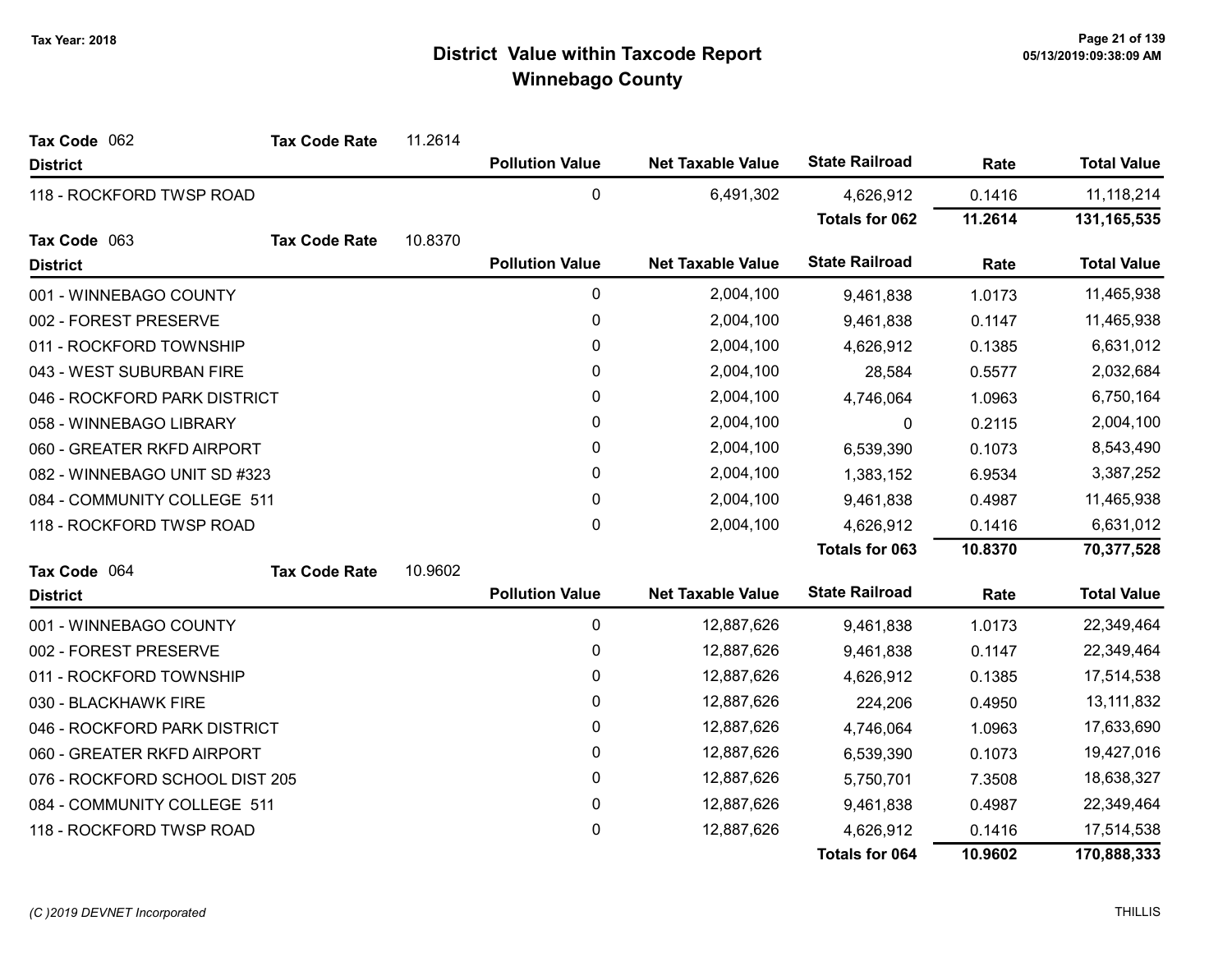| Tax Code 062                   | <b>Tax Code Rate</b>        | 11.2614                |                        |                          |                       |           |                    |
|--------------------------------|-----------------------------|------------------------|------------------------|--------------------------|-----------------------|-----------|--------------------|
| <b>District</b>                |                             |                        | <b>Pollution Value</b> | <b>Net Taxable Value</b> | <b>State Railroad</b> | Rate      | <b>Total Value</b> |
| 118 - ROCKFORD TWSP ROAD       |                             |                        | $\mathbf 0$            | 6,491,302                | 4,626,912             | 0.1416    | 11,118,214         |
|                                |                             |                        |                        |                          | <b>Totals for 062</b> | 11.2614   | 131, 165, 535      |
| Tax Code 063                   | <b>Tax Code Rate</b>        | 10.8370                |                        |                          |                       |           |                    |
| <b>District</b>                |                             |                        | <b>Pollution Value</b> | <b>Net Taxable Value</b> | <b>State Railroad</b> | Rate      | <b>Total Value</b> |
| 001 - WINNEBAGO COUNTY         |                             |                        | 0                      | 2,004,100                | 9,461,838             | 1.0173    | 11,465,938         |
| 002 - FOREST PRESERVE          |                             |                        | $\pmb{0}$              | 2,004,100                | 9,461,838             | 0.1147    | 11,465,938         |
| 011 - ROCKFORD TOWNSHIP        |                             |                        | $\pmb{0}$              | 2,004,100                | 4,626,912             | 0.1385    | 6,631,012          |
| 043 - WEST SUBURBAN FIRE       |                             |                        | 0                      | 2,004,100                | 28,584                | 0.5577    | 2,032,684          |
| 046 - ROCKFORD PARK DISTRICT   |                             |                        | $\pmb{0}$              | 2,004,100                | 4,746,064             | 1.0963    | 6,750,164          |
| 058 - WINNEBAGO LIBRARY        |                             |                        | 0                      | 2,004,100                | 0                     | 0.2115    | 2,004,100          |
| 060 - GREATER RKFD AIRPORT     |                             |                        | 0                      | 2,004,100                | 6,539,390             | 0.1073    | 8,543,490          |
| 082 - WINNEBAGO UNIT SD #323   |                             |                        | 0                      | 2,004,100                | 1,383,152             | 6.9534    | 3,387,252          |
|                                | 084 - COMMUNITY COLLEGE 511 |                        | 0                      | 2,004,100                | 9,461,838             | 0.4987    | 11,465,938         |
| 118 - ROCKFORD TWSP ROAD       |                             | $\pmb{0}$<br>2,004,100 |                        | 4,626,912                | 0.1416                | 6,631,012 |                    |
|                                |                             |                        |                        |                          | Totals for 063        | 10.8370   | 70,377,528         |
| Tax Code 064                   | <b>Tax Code Rate</b>        | 10.9602                |                        |                          |                       |           |                    |
| <b>District</b>                |                             |                        | <b>Pollution Value</b> | <b>Net Taxable Value</b> | <b>State Railroad</b> | Rate      | <b>Total Value</b> |
| 001 - WINNEBAGO COUNTY         |                             |                        | 0                      | 12,887,626               | 9,461,838             | 1.0173    | 22,349,464         |
| 002 - FOREST PRESERVE          |                             |                        | $\pmb{0}$              | 12,887,626               | 9,461,838             | 0.1147    | 22,349,464         |
| 011 - ROCKFORD TOWNSHIP        |                             |                        | 0                      | 12,887,626               | 4,626,912             | 0.1385    | 17,514,538         |
| 030 - BLACKHAWK FIRE           |                             |                        | 0                      | 12,887,626               | 224,206               | 0.4950    | 13,111,832         |
| 046 - ROCKFORD PARK DISTRICT   |                             |                        | 0                      | 12,887,626               | 4,746,064             | 1.0963    | 17,633,690         |
| 060 - GREATER RKFD AIRPORT     |                             |                        | 0                      | 12,887,626               | 6,539,390             | 0.1073    | 19,427,016         |
| 076 - ROCKFORD SCHOOL DIST 205 |                             |                        | $\pmb{0}$              | 12,887,626               | 5,750,701             | 7.3508    | 18,638,327         |
| 084 - COMMUNITY COLLEGE 511    |                             |                        | $\pmb{0}$              | 12,887,626               | 9,461,838             | 0.4987    | 22,349,464         |
| 118 - ROCKFORD TWSP ROAD       |                             |                        | 0                      | 12,887,626               | 4,626,912             | 0.1416    | 17,514,538         |
|                                |                             |                        |                        |                          | Totals for 064        | 10.9602   | 170,888,333        |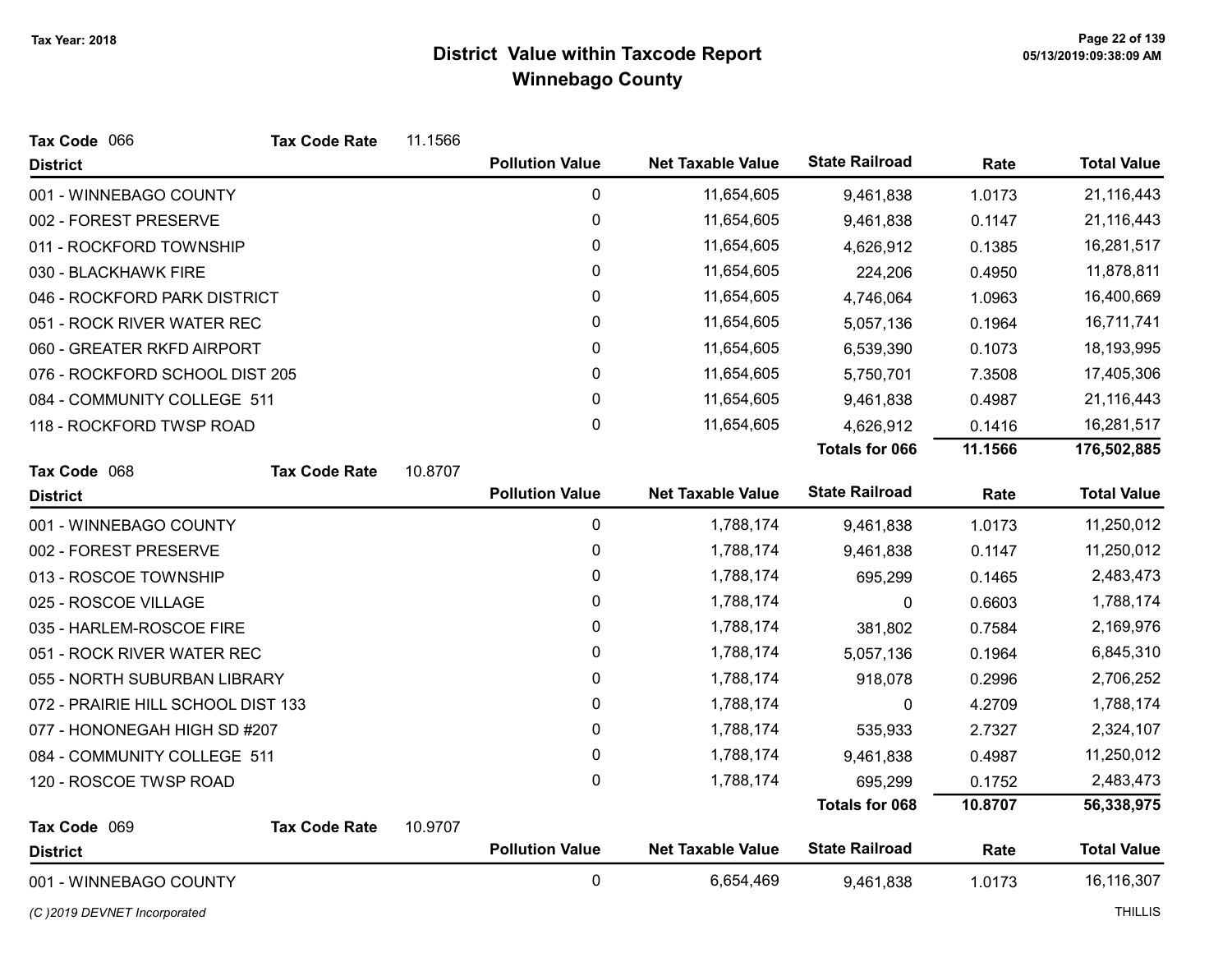| Tax Code 066                       | <b>Tax Code Rate</b> | 11.1566 |                        |                          |                       |         |                                  |
|------------------------------------|----------------------|---------|------------------------|--------------------------|-----------------------|---------|----------------------------------|
| <b>District</b>                    |                      |         | <b>Pollution Value</b> | <b>Net Taxable Value</b> | <b>State Railroad</b> | Rate    | <b>Total Value</b>               |
| 001 - WINNEBAGO COUNTY             |                      |         | $\pmb{0}$              | 11,654,605               | 9,461,838             | 1.0173  | 21,116,443                       |
| 002 - FOREST PRESERVE              |                      |         | 0                      | 11,654,605               | 9,461,838             | 0.1147  | 21,116,443                       |
| 011 - ROCKFORD TOWNSHIP            |                      |         | 0                      | 11,654,605               | 4,626,912             | 0.1385  | 16,281,517                       |
| 030 - BLACKHAWK FIRE               |                      |         | 0                      | 11,654,605               | 224,206               | 0.4950  | 11,878,811                       |
| 046 - ROCKFORD PARK DISTRICT       |                      |         | 0                      | 11,654,605               | 4,746,064             | 1.0963  | 16,400,669                       |
| 051 - ROCK RIVER WATER REC         |                      |         | 0                      | 11,654,605               | 5,057,136             | 0.1964  | 16,711,741                       |
| 060 - GREATER RKFD AIRPORT         |                      |         | 0                      | 11,654,605               | 6,539,390             | 0.1073  | 18,193,995                       |
| 076 - ROCKFORD SCHOOL DIST 205     |                      |         | 0                      | 11,654,605               | 5,750,701             | 7.3508  | 17,405,306                       |
| 084 - COMMUNITY COLLEGE 511        |                      |         | 0                      | 11,654,605               | 9,461,838             | 0.4987  | 21,116,443                       |
| 118 - ROCKFORD TWSP ROAD           |                      |         | 0                      | 11,654,605               | 4,626,912             | 0.1416  | 16,281,517                       |
|                                    |                      |         |                        |                          | <b>Totals for 066</b> | 11.1566 | 176,502,885                      |
| Tax Code 068                       | <b>Tax Code Rate</b> | 10.8707 |                        |                          |                       |         |                                  |
| <b>District</b>                    |                      |         | <b>Pollution Value</b> | <b>Net Taxable Value</b> | <b>State Railroad</b> | Rate    | <b>Total Value</b>               |
| 001 - WINNEBAGO COUNTY             |                      |         | $\pmb{0}$              | 1,788,174                | 9,461,838             | 1.0173  | 11,250,012                       |
| 002 - FOREST PRESERVE              |                      |         | 0                      | 1,788,174                | 9,461,838             | 0.1147  | 11,250,012                       |
| 013 - ROSCOE TOWNSHIP              |                      |         | 0                      | 1,788,174                | 695,299               | 0.1465  | 2,483,473                        |
| 025 - ROSCOE VILLAGE               |                      |         | 0                      | 1,788,174                | 0                     | 0.6603  | 1,788,174                        |
| 035 - HARLEM-ROSCOE FIRE           |                      |         | 0                      | 1,788,174                | 381,802               | 0.7584  | 2,169,976                        |
| 051 - ROCK RIVER WATER REC         |                      |         | 0                      | 1,788,174                | 5,057,136             | 0.1964  | 6,845,310                        |
| 055 - NORTH SUBURBAN LIBRARY       |                      |         | 0                      | 1,788,174                | 918,078               | 0.2996  | 2,706,252                        |
| 072 - PRAIRIE HILL SCHOOL DIST 133 |                      |         | 0                      | 1,788,174                | 0                     | 4.2709  | 1,788,174                        |
| 077 - HONONEGAH HIGH SD #207       |                      |         | 0                      | 1,788,174                | 535,933               | 2.7327  | 2,324,107                        |
| 084 - COMMUNITY COLLEGE 511        |                      |         | 0                      | 1,788,174                | 9,461,838             | 0.4987  | 11,250,012                       |
| 120 - ROSCOE TWSP ROAD             |                      |         | 0                      | 1,788,174                | 695,299               | 0.1752  | 2,483,473                        |
|                                    |                      |         |                        |                          | <b>Totals for 068</b> | 10.8707 | 56,338,975                       |
|                                    |                      | 10.9707 |                        |                          |                       |         |                                  |
| Tax Code 069                       | <b>Tax Code Rate</b> |         |                        |                          |                       |         |                                  |
| <b>District</b>                    |                      |         | <b>Pollution Value</b> | <b>Net Taxable Value</b> | <b>State Railroad</b> | Rate    | <b>Total Value</b><br>16,116,307 |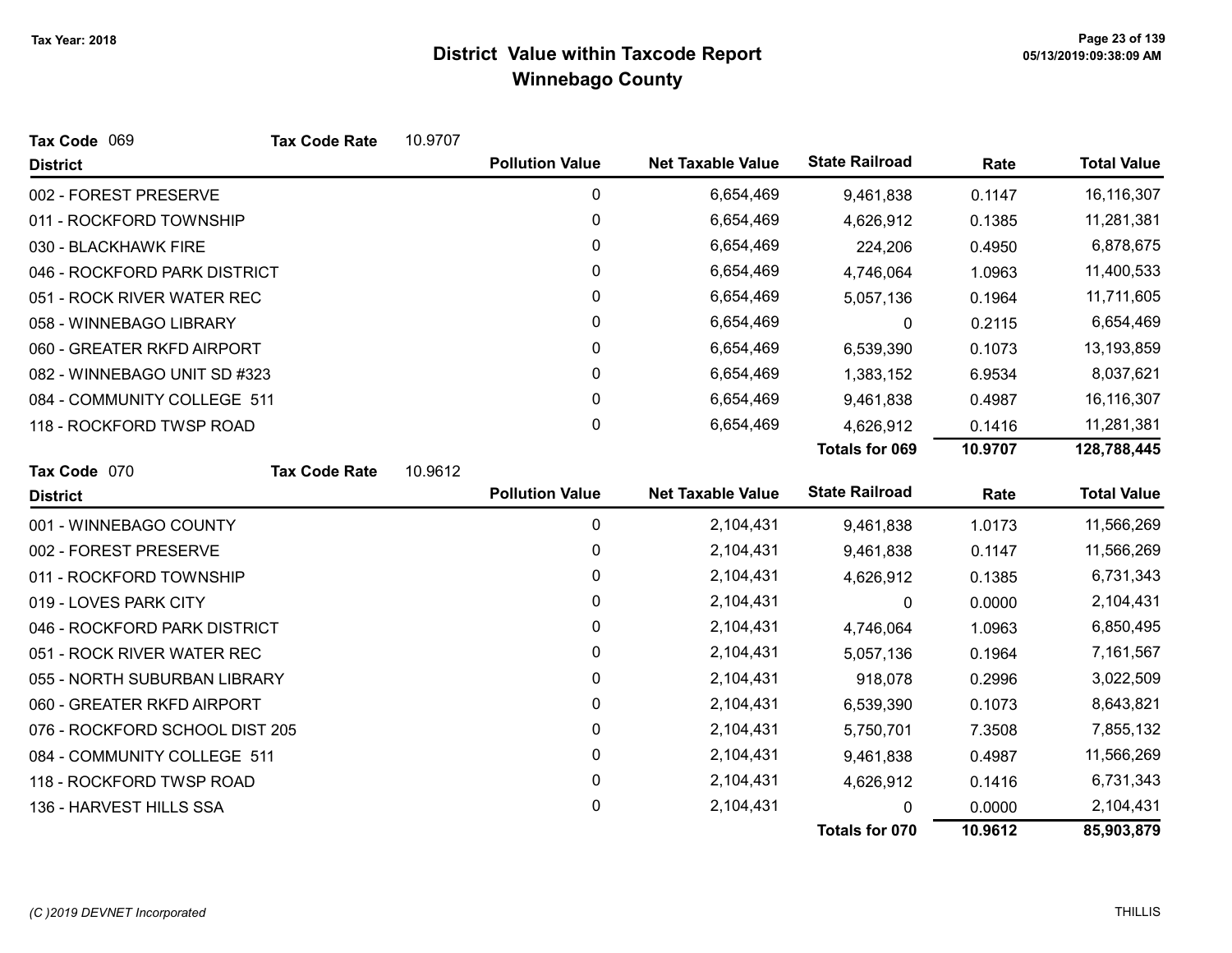| Tax Code 069                   | <b>Tax Code Rate</b> | 10.9707 |                        |                          |                       |         |                    |
|--------------------------------|----------------------|---------|------------------------|--------------------------|-----------------------|---------|--------------------|
| <b>District</b>                |                      |         | <b>Pollution Value</b> | <b>Net Taxable Value</b> | <b>State Railroad</b> | Rate    | <b>Total Value</b> |
| 002 - FOREST PRESERVE          |                      |         | 0                      | 6,654,469                | 9,461,838             | 0.1147  | 16,116,307         |
| 011 - ROCKFORD TOWNSHIP        |                      |         | 0                      | 6,654,469                | 4,626,912             | 0.1385  | 11,281,381         |
| 030 - BLACKHAWK FIRE           |                      |         | 0                      | 6,654,469                | 224,206               | 0.4950  | 6,878,675          |
| 046 - ROCKFORD PARK DISTRICT   |                      |         | 0                      | 6,654,469                | 4,746,064             | 1.0963  | 11,400,533         |
| 051 - ROCK RIVER WATER REC     |                      |         | 0                      | 6,654,469                | 5,057,136             | 0.1964  | 11,711,605         |
| 058 - WINNEBAGO LIBRARY        |                      |         | 0                      | 6,654,469                | 0                     | 0.2115  | 6,654,469          |
| 060 - GREATER RKFD AIRPORT     |                      |         | 0                      | 6,654,469                | 6,539,390             | 0.1073  | 13,193,859         |
| 082 - WINNEBAGO UNIT SD #323   |                      |         | 0                      | 6,654,469                | 1,383,152             | 6.9534  | 8,037,621          |
| 084 - COMMUNITY COLLEGE 511    |                      |         | 0                      | 6,654,469                | 9,461,838             | 0.4987  | 16,116,307         |
| 118 - ROCKFORD TWSP ROAD       |                      |         | 0                      | 6,654,469                | 4,626,912             | 0.1416  | 11,281,381         |
|                                |                      |         |                        |                          | <b>Totals for 069</b> | 10.9707 | 128,788,445        |
| Tax Code 070                   | <b>Tax Code Rate</b> | 10.9612 |                        |                          |                       |         |                    |
| <b>District</b>                |                      |         | <b>Pollution Value</b> | <b>Net Taxable Value</b> | <b>State Railroad</b> | Rate    | <b>Total Value</b> |
| 001 - WINNEBAGO COUNTY         |                      |         | 0                      | 2,104,431                | 9,461,838             | 1.0173  | 11,566,269         |
| 002 - FOREST PRESERVE          |                      |         | 0                      | 2,104,431                | 9,461,838             | 0.1147  | 11,566,269         |
| 011 - ROCKFORD TOWNSHIP        |                      |         | 0                      | 2,104,431                | 4,626,912             | 0.1385  | 6,731,343          |
| 019 - LOVES PARK CITY          |                      |         | 0                      | 2,104,431                | 0                     | 0.0000  | 2,104,431          |
| 046 - ROCKFORD PARK DISTRICT   |                      |         | 0                      | 2,104,431                | 4,746,064             | 1.0963  | 6,850,495          |
| 051 - ROCK RIVER WATER REC     |                      |         | 0                      | 2,104,431                | 5,057,136             | 0.1964  | 7,161,567          |
| 055 - NORTH SUBURBAN LIBRARY   |                      |         | 0                      | 2,104,431                | 918,078               | 0.2996  | 3,022,509          |
| 060 - GREATER RKFD AIRPORT     |                      |         | 0                      | 2,104,431                | 6,539,390             | 0.1073  | 8,643,821          |
| 076 - ROCKFORD SCHOOL DIST 205 |                      |         | 0                      | 2,104,431                | 5,750,701             | 7.3508  | 7,855,132          |
| 084 - COMMUNITY COLLEGE 511    |                      |         | $\pmb{0}$              | 2,104,431                | 9,461,838             | 0.4987  | 11,566,269         |
| 118 - ROCKFORD TWSP ROAD       |                      |         | 0                      | 2,104,431                | 4,626,912             | 0.1416  | 6,731,343          |
| 136 - HARVEST HILLS SSA        |                      |         | 0                      | 2,104,431                |                       | 0.0000  | 2,104,431          |
|                                |                      |         |                        |                          | Totals for 070        | 10.9612 | 85,903,879         |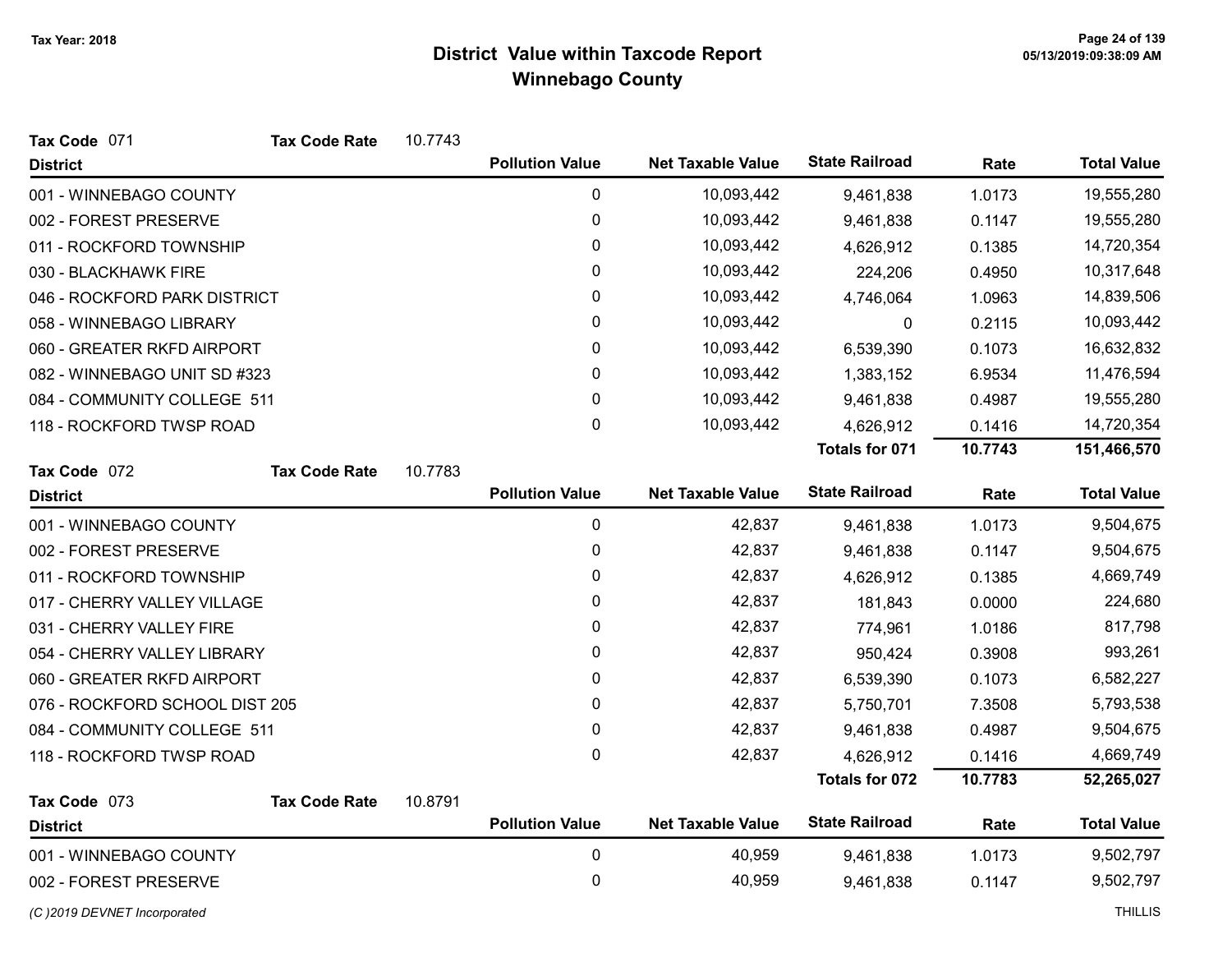| Tax Code 071                   | <b>Tax Code Rate</b> | 10.7743 |                        |                          |                       |         |                    |
|--------------------------------|----------------------|---------|------------------------|--------------------------|-----------------------|---------|--------------------|
| <b>District</b>                |                      |         | <b>Pollution Value</b> | <b>Net Taxable Value</b> | <b>State Railroad</b> | Rate    | <b>Total Value</b> |
| 001 - WINNEBAGO COUNTY         |                      |         | $\pmb{0}$              | 10,093,442               | 9,461,838             | 1.0173  | 19,555,280         |
| 002 - FOREST PRESERVE          |                      |         | 0                      | 10,093,442               | 9,461,838             | 0.1147  | 19,555,280         |
| 011 - ROCKFORD TOWNSHIP        |                      |         | 0                      | 10,093,442               | 4,626,912             | 0.1385  | 14,720,354         |
| 030 - BLACKHAWK FIRE           |                      |         | 0                      | 10,093,442               | 224,206               | 0.4950  | 10,317,648         |
| 046 - ROCKFORD PARK DISTRICT   |                      |         | 0                      | 10,093,442               | 4,746,064             | 1.0963  | 14,839,506         |
| 058 - WINNEBAGO LIBRARY        |                      |         | 0                      | 10,093,442               | 0                     | 0.2115  | 10,093,442         |
| 060 - GREATER RKFD AIRPORT     |                      |         | 0                      | 10,093,442               | 6,539,390             | 0.1073  | 16,632,832         |
| 082 - WINNEBAGO UNIT SD #323   |                      |         | 0                      | 10,093,442               | 1,383,152             | 6.9534  | 11,476,594         |
| 084 - COMMUNITY COLLEGE 511    |                      |         | 0                      | 10,093,442               | 9,461,838             | 0.4987  | 19,555,280         |
| 118 - ROCKFORD TWSP ROAD       |                      |         | 0                      | 10,093,442               | 4,626,912             | 0.1416  | 14,720,354         |
|                                |                      |         |                        |                          | Totals for 071        | 10.7743 | 151,466,570        |
| Tax Code 072                   | <b>Tax Code Rate</b> | 10.7783 |                        |                          |                       |         |                    |
| <b>District</b>                |                      |         | <b>Pollution Value</b> | <b>Net Taxable Value</b> | <b>State Railroad</b> | Rate    | <b>Total Value</b> |
| 001 - WINNEBAGO COUNTY         |                      |         | $\mathbf 0$            | 42,837                   | 9,461,838             | 1.0173  | 9,504,675          |
| 002 - FOREST PRESERVE          |                      |         | 0                      | 42,837                   | 9,461,838             | 0.1147  | 9,504,675          |
| 011 - ROCKFORD TOWNSHIP        |                      |         | 0                      | 42,837                   | 4,626,912             | 0.1385  | 4,669,749          |
| 017 - CHERRY VALLEY VILLAGE    |                      |         | 0                      | 42,837                   | 181,843               | 0.0000  | 224,680            |
| 031 - CHERRY VALLEY FIRE       |                      |         | 0                      | 42,837                   | 774,961               | 1.0186  | 817,798            |
| 054 - CHERRY VALLEY LIBRARY    |                      |         | 0                      | 42,837                   | 950,424               | 0.3908  | 993,261            |
| 060 - GREATER RKFD AIRPORT     |                      |         | 0                      | 42,837                   | 6,539,390             | 0.1073  | 6,582,227          |
| 076 - ROCKFORD SCHOOL DIST 205 |                      |         | 0                      | 42,837                   | 5,750,701             | 7.3508  | 5,793,538          |
| 084 - COMMUNITY COLLEGE 511    |                      |         | 0                      | 42,837                   | 9,461,838             | 0.4987  | 9,504,675          |
| 118 - ROCKFORD TWSP ROAD       |                      |         | 0                      | 42,837                   | 4,626,912             | 0.1416  | 4,669,749          |
|                                |                      |         |                        |                          | <b>Totals for 072</b> | 10.7783 | 52,265,027         |
| Tax Code 073                   | <b>Tax Code Rate</b> | 10.8791 |                        |                          |                       |         |                    |
| <b>District</b>                |                      |         | <b>Pollution Value</b> | <b>Net Taxable Value</b> | <b>State Railroad</b> | Rate    | <b>Total Value</b> |
| 001 - WINNEBAGO COUNTY         |                      |         | $\pmb{0}$              | 40,959                   | 9,461,838             | 1.0173  | 9,502,797          |
| 002 - FOREST PRESERVE          |                      |         | 0                      | 40,959                   | 9,461,838             | 0.1147  | 9,502,797          |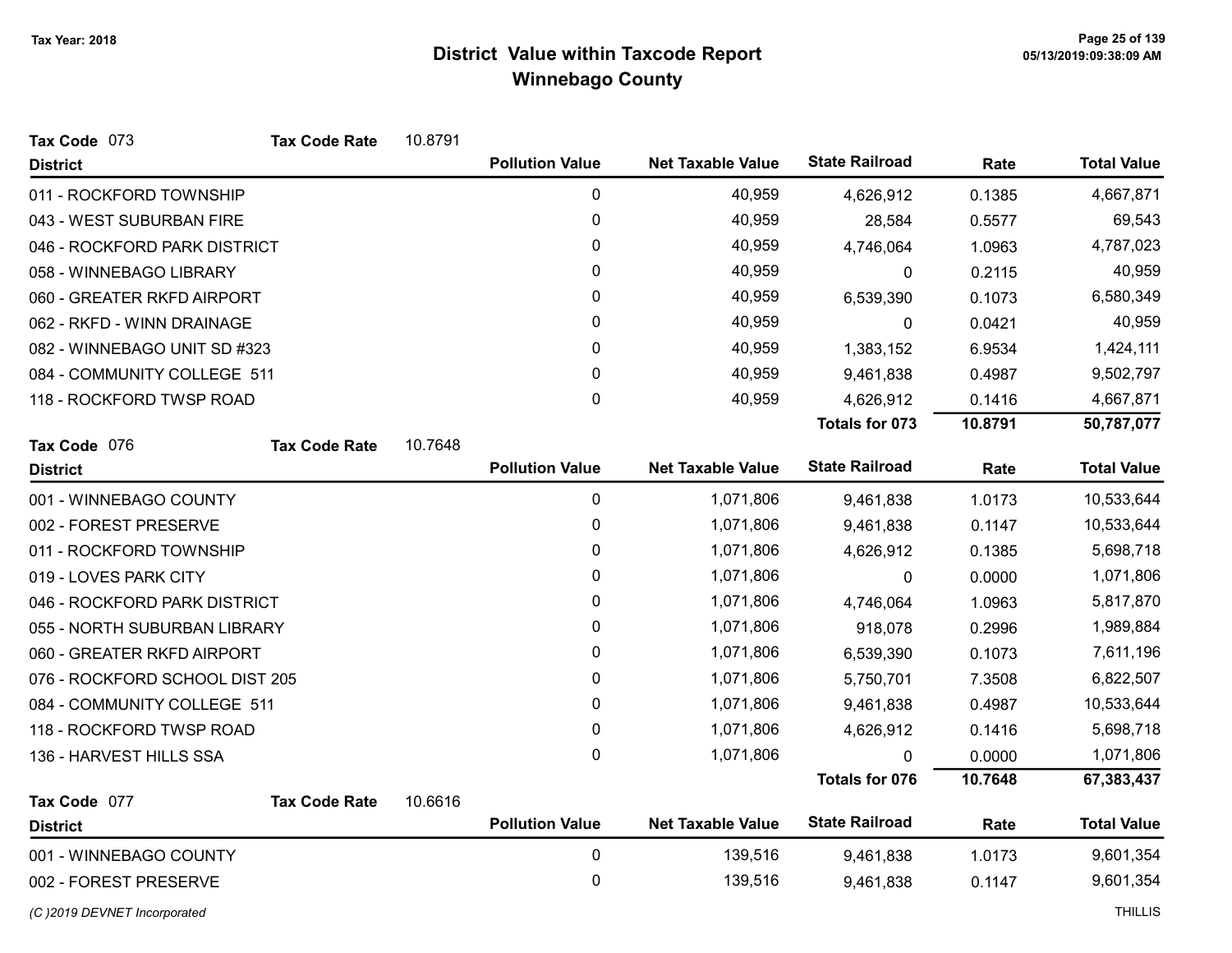| Tax Code 073                   | <b>Tax Code Rate</b> | 10.8791 |                        |                          |                       |         |                    |
|--------------------------------|----------------------|---------|------------------------|--------------------------|-----------------------|---------|--------------------|
| <b>District</b>                |                      |         | <b>Pollution Value</b> | <b>Net Taxable Value</b> | <b>State Railroad</b> | Rate    | <b>Total Value</b> |
| 011 - ROCKFORD TOWNSHIP        |                      |         | 0                      | 40,959                   | 4,626,912             | 0.1385  | 4,667,871          |
| 043 - WEST SUBURBAN FIRE       |                      |         | 0                      | 40,959                   | 28,584                | 0.5577  | 69,543             |
| 046 - ROCKFORD PARK DISTRICT   |                      |         | 0                      | 40,959                   | 4,746,064             | 1.0963  | 4,787,023          |
| 058 - WINNEBAGO LIBRARY        |                      |         | 0                      | 40,959                   | 0                     | 0.2115  | 40,959             |
| 060 - GREATER RKFD AIRPORT     |                      |         | $\pmb{0}$              | 40,959                   | 6,539,390             | 0.1073  | 6,580,349          |
| 062 - RKFD - WINN DRAINAGE     |                      |         | 0                      | 40,959                   | 0                     | 0.0421  | 40,959             |
| 082 - WINNEBAGO UNIT SD #323   |                      |         | 0                      | 40,959                   | 1,383,152             | 6.9534  | 1,424,111          |
| 084 - COMMUNITY COLLEGE 511    |                      |         | 0                      | 40,959                   | 9,461,838             | 0.4987  | 9,502,797          |
| 118 - ROCKFORD TWSP ROAD       |                      |         | 0                      | 40,959                   | 4,626,912             | 0.1416  | 4,667,871          |
|                                |                      |         |                        |                          | Totals for 073        | 10.8791 | 50,787,077         |
| Tax Code 076                   | <b>Tax Code Rate</b> | 10.7648 |                        |                          |                       |         |                    |
| <b>District</b>                |                      |         | <b>Pollution Value</b> | <b>Net Taxable Value</b> | <b>State Railroad</b> | Rate    | <b>Total Value</b> |
| 001 - WINNEBAGO COUNTY         |                      |         | 0                      | 1,071,806                | 9,461,838             | 1.0173  | 10,533,644         |
| 002 - FOREST PRESERVE          |                      |         | $\mathbf 0$            | 1,071,806                | 9,461,838             | 0.1147  | 10,533,644         |
| 011 - ROCKFORD TOWNSHIP        |                      |         | $\pmb{0}$              | 1,071,806                | 4,626,912             | 0.1385  | 5,698,718          |
| 019 - LOVES PARK CITY          |                      |         | 0                      | 1,071,806                | 0                     | 0.0000  | 1,071,806          |
| 046 - ROCKFORD PARK DISTRICT   |                      |         | 0                      | 1,071,806                | 4,746,064             | 1.0963  | 5,817,870          |
| 055 - NORTH SUBURBAN LIBRARY   |                      |         | 0                      | 1,071,806                | 918,078               | 0.2996  | 1,989,884          |
| 060 - GREATER RKFD AIRPORT     |                      |         | $\mathbf 0$            | 1,071,806                | 6,539,390             | 0.1073  | 7,611,196          |
| 076 - ROCKFORD SCHOOL DIST 205 |                      |         | 0                      | 1,071,806                | 5,750,701             | 7.3508  | 6,822,507          |
| 084 - COMMUNITY COLLEGE 511    |                      |         | 0                      | 1,071,806                | 9,461,838             | 0.4987  | 10,533,644         |
| 118 - ROCKFORD TWSP ROAD       |                      |         | 0                      | 1,071,806                | 4,626,912             | 0.1416  | 5,698,718          |
| 136 - HARVEST HILLS SSA        |                      |         | 0                      | 1,071,806                |                       | 0.0000  | 1,071,806          |
|                                |                      |         |                        |                          | <b>Totals for 076</b> | 10.7648 | 67,383,437         |
| Tax Code 077                   | <b>Tax Code Rate</b> | 10.6616 |                        |                          |                       |         |                    |
| <b>District</b>                |                      |         | <b>Pollution Value</b> | <b>Net Taxable Value</b> | <b>State Railroad</b> | Rate    | <b>Total Value</b> |
| 001 - WINNEBAGO COUNTY         |                      |         | $\mathbf 0$            | 139,516                  | 9,461,838             | 1.0173  | 9,601,354          |
| 002 - FOREST PRESERVE          |                      |         | 0                      | 139,516                  | 9,461,838             | 0.1147  | 9,601,354          |
| (C) 2019 DEVNET Incorporated   |                      |         |                        |                          |                       |         | <b>THILLIS</b>     |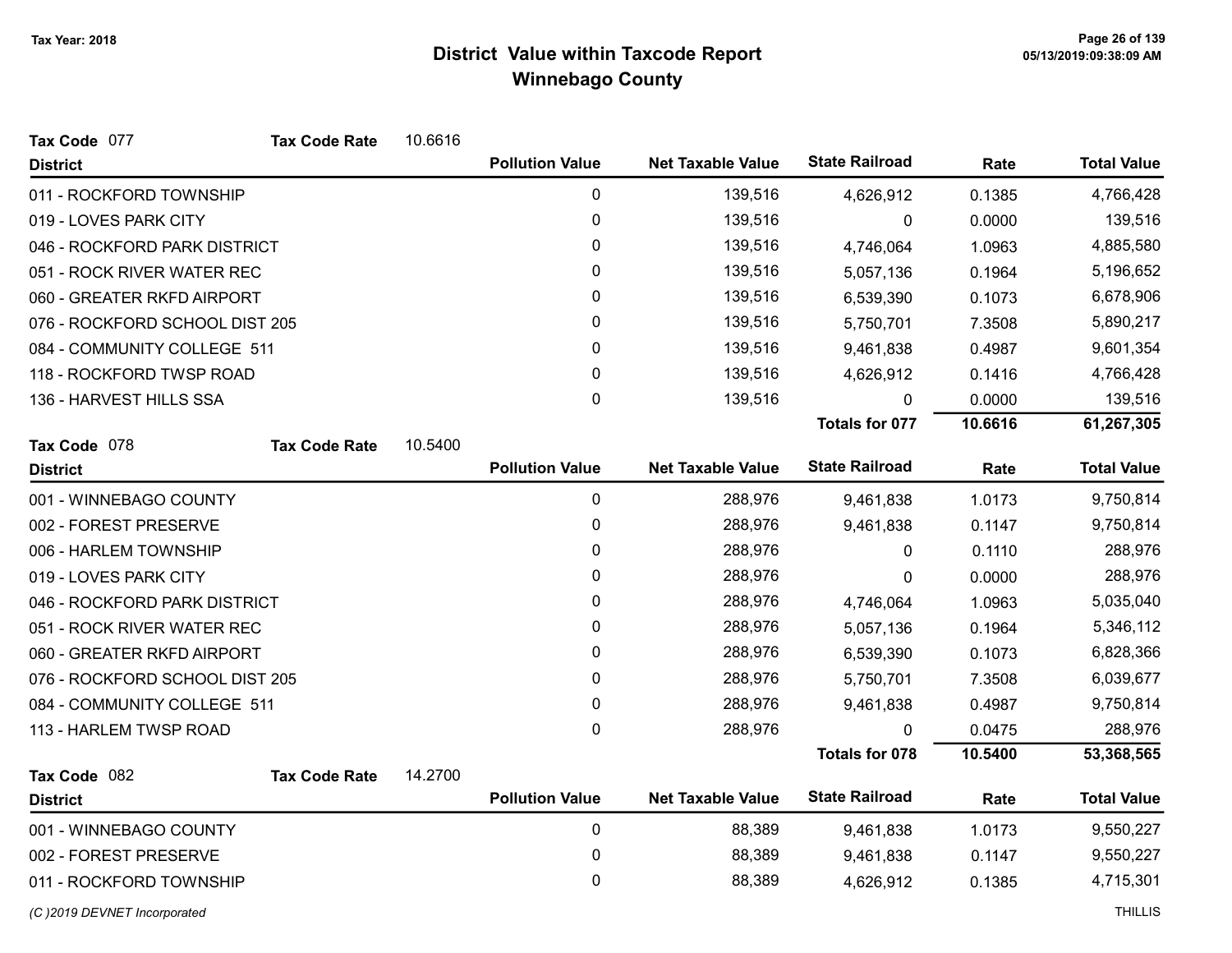| Tax Code 077                   | <b>Tax Code Rate</b> | 10.6616 |                        |                          |                       |         |                    |
|--------------------------------|----------------------|---------|------------------------|--------------------------|-----------------------|---------|--------------------|
| <b>District</b>                |                      |         | <b>Pollution Value</b> | <b>Net Taxable Value</b> | <b>State Railroad</b> | Rate    | <b>Total Value</b> |
| 011 - ROCKFORD TOWNSHIP        |                      |         | $\mathbf 0$            | 139,516                  | 4,626,912             | 0.1385  | 4,766,428          |
| 019 - LOVES PARK CITY          |                      |         | 0                      | 139,516                  | 0                     | 0.0000  | 139,516            |
| 046 - ROCKFORD PARK DISTRICT   |                      |         | 0                      | 139,516                  | 4,746,064             | 1.0963  | 4,885,580          |
| 051 - ROCK RIVER WATER REC     |                      |         | 0                      | 139,516                  | 5,057,136             | 0.1964  | 5,196,652          |
| 060 - GREATER RKFD AIRPORT     |                      |         | 0                      | 139,516                  | 6,539,390             | 0.1073  | 6,678,906          |
| 076 - ROCKFORD SCHOOL DIST 205 |                      |         | 0                      | 139,516                  | 5,750,701             | 7.3508  | 5,890,217          |
| 084 - COMMUNITY COLLEGE 511    |                      |         | 0                      | 139,516                  | 9,461,838             | 0.4987  | 9,601,354          |
| 118 - ROCKFORD TWSP ROAD       |                      |         | 0                      | 139,516                  | 4,626,912             | 0.1416  | 4,766,428          |
| 136 - HARVEST HILLS SSA        |                      |         | $\pmb{0}$              | 139,516                  | $\mathbf{0}$          | 0.0000  | 139,516            |
|                                |                      |         |                        |                          | Totals for 077        | 10.6616 | 61,267,305         |
| Tax Code 078                   | <b>Tax Code Rate</b> | 10.5400 |                        |                          |                       |         |                    |
| <b>District</b>                |                      |         | <b>Pollution Value</b> | <b>Net Taxable Value</b> | <b>State Railroad</b> | Rate    | <b>Total Value</b> |
| 001 - WINNEBAGO COUNTY         |                      |         | $\pmb{0}$              | 288,976                  | 9,461,838             | 1.0173  | 9,750,814          |
| 002 - FOREST PRESERVE          |                      |         | 0                      | 288,976                  | 9,461,838             | 0.1147  | 9,750,814          |
| 006 - HARLEM TOWNSHIP          |                      |         | 0                      | 288,976                  | 0                     | 0.1110  | 288,976            |
| 019 - LOVES PARK CITY          |                      |         | 0                      | 288,976                  | 0                     | 0.0000  | 288,976            |
| 046 - ROCKFORD PARK DISTRICT   |                      |         | $\pmb{0}$              | 288,976                  | 4,746,064             | 1.0963  | 5,035,040          |
| 051 - ROCK RIVER WATER REC     |                      |         | 0                      | 288,976                  | 5,057,136             | 0.1964  | 5,346,112          |
| 060 - GREATER RKFD AIRPORT     |                      |         | 0                      | 288,976                  | 6,539,390             | 0.1073  | 6,828,366          |
| 076 - ROCKFORD SCHOOL DIST 205 |                      |         | $\mathbf{0}$           | 288,976                  | 5,750,701             | 7.3508  | 6,039,677          |
| 084 - COMMUNITY COLLEGE 511    |                      |         | 0                      | 288,976                  | 9,461,838             | 0.4987  | 9,750,814          |
| 113 - HARLEM TWSP ROAD         |                      |         | $\mathbf 0$            | 288,976                  | $\Omega$              | 0.0475  | 288,976            |
|                                |                      |         |                        |                          | <b>Totals for 078</b> | 10.5400 | 53,368,565         |
| Tax Code 082                   | <b>Tax Code Rate</b> | 14.2700 |                        |                          |                       |         |                    |
| <b>District</b>                |                      |         | <b>Pollution Value</b> | <b>Net Taxable Value</b> | <b>State Railroad</b> | Rate    | <b>Total Value</b> |
| 001 - WINNEBAGO COUNTY         |                      |         | 0                      | 88,389                   | 9,461,838             | 1.0173  | 9,550,227          |
| 002 - FOREST PRESERVE          |                      |         | 0                      | 88,389                   | 9,461,838             | 0.1147  | 9,550,227          |
| 011 - ROCKFORD TOWNSHIP        |                      |         | $\pmb{0}$              | 88,389                   | 4,626,912             | 0.1385  | 4,715,301          |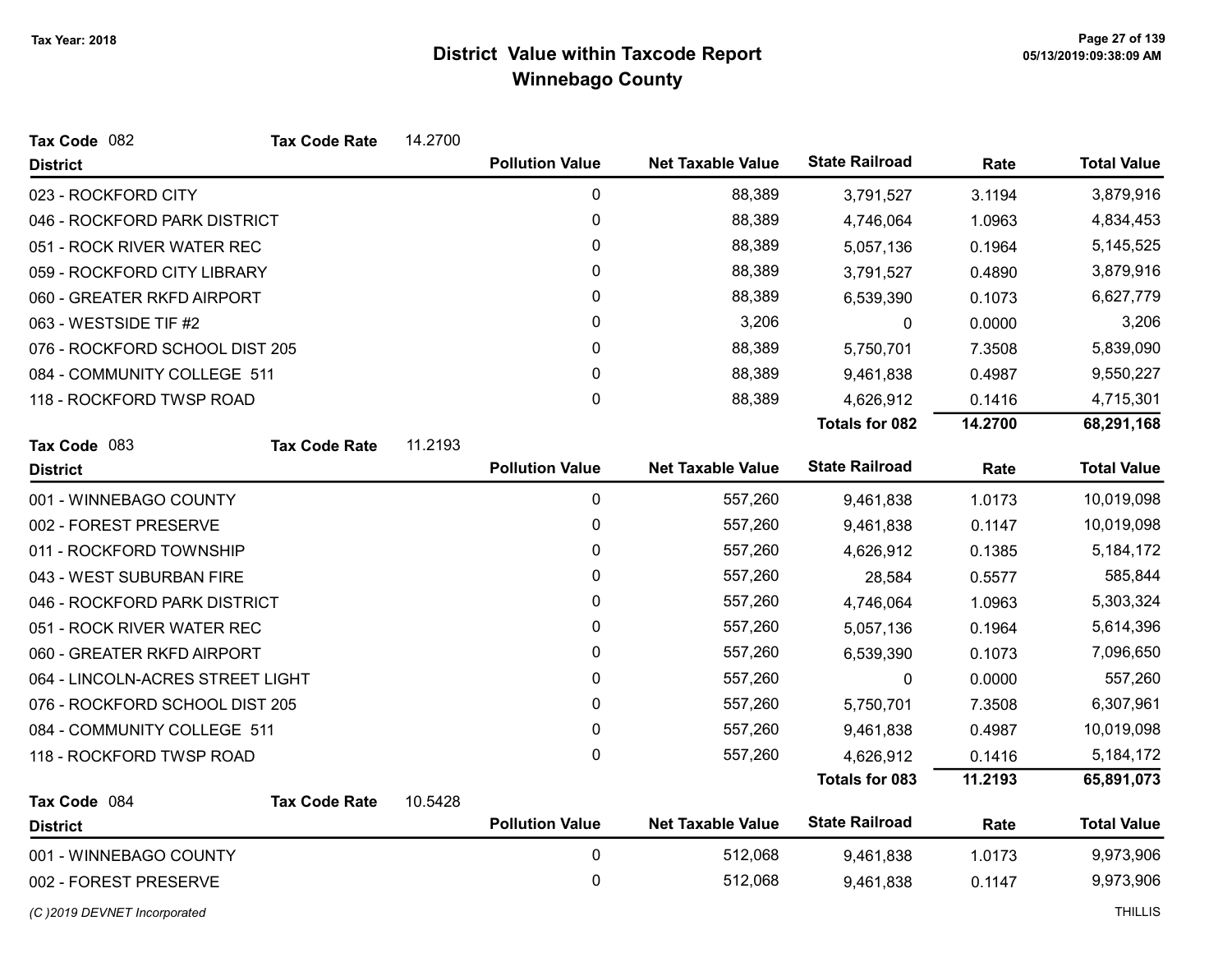| Tax Code 082                     | <b>Tax Code Rate</b> | 14.2700 |                        |                          |                       |         |                    |
|----------------------------------|----------------------|---------|------------------------|--------------------------|-----------------------|---------|--------------------|
| <b>District</b>                  |                      |         | <b>Pollution Value</b> | <b>Net Taxable Value</b> | <b>State Railroad</b> | Rate    | <b>Total Value</b> |
| 023 - ROCKFORD CITY              |                      |         | 0                      | 88,389                   | 3,791,527             | 3.1194  | 3,879,916          |
| 046 - ROCKFORD PARK DISTRICT     |                      |         | 0                      | 88,389                   | 4,746,064             | 1.0963  | 4,834,453          |
| 051 - ROCK RIVER WATER REC       |                      |         | 0                      | 88,389                   | 5,057,136             | 0.1964  | 5,145,525          |
| 059 - ROCKFORD CITY LIBRARY      |                      |         | $\mathbf{0}$           | 88,389                   | 3,791,527             | 0.4890  | 3,879,916          |
| 060 - GREATER RKFD AIRPORT       |                      |         | $\pmb{0}$              | 88,389                   | 6,539,390             | 0.1073  | 6,627,779          |
| 063 - WESTSIDE TIF #2            |                      |         | 0                      | 3,206                    | 0                     | 0.0000  | 3,206              |
| 076 - ROCKFORD SCHOOL DIST 205   |                      |         | 0                      | 88,389                   | 5,750,701             | 7.3508  | 5,839,090          |
| 084 - COMMUNITY COLLEGE 511      |                      |         | 0                      | 88,389                   | 9,461,838             | 0.4987  | 9,550,227          |
| 118 - ROCKFORD TWSP ROAD         |                      |         | $\pmb{0}$              | 88,389                   | 4,626,912             | 0.1416  | 4,715,301          |
|                                  |                      |         |                        |                          | <b>Totals for 082</b> | 14.2700 | 68,291,168         |
| Tax Code 083                     | <b>Tax Code Rate</b> | 11.2193 |                        |                          |                       |         |                    |
| <b>District</b>                  |                      |         | <b>Pollution Value</b> | <b>Net Taxable Value</b> | <b>State Railroad</b> | Rate    | <b>Total Value</b> |
| 001 - WINNEBAGO COUNTY           |                      |         | $\pmb{0}$              | 557,260                  | 9,461,838             | 1.0173  | 10,019,098         |
| 002 - FOREST PRESERVE            |                      |         | $\pmb{0}$              | 557,260                  | 9,461,838             | 0.1147  | 10,019,098         |
| 011 - ROCKFORD TOWNSHIP          |                      |         | $\mathbf{0}$           | 557,260                  | 4,626,912             | 0.1385  | 5, 184, 172        |
| 043 - WEST SUBURBAN FIRE         |                      |         | 0                      | 557,260                  | 28,584                | 0.5577  | 585,844            |
| 046 - ROCKFORD PARK DISTRICT     |                      |         | 0                      | 557,260                  | 4,746,064             | 1.0963  | 5,303,324          |
| 051 - ROCK RIVER WATER REC       |                      |         | $\pmb{0}$              | 557,260                  | 5,057,136             | 0.1964  | 5,614,396          |
| 060 - GREATER RKFD AIRPORT       |                      |         | 0                      | 557,260                  | 6,539,390             | 0.1073  | 7,096,650          |
| 064 - LINCOLN-ACRES STREET LIGHT |                      |         | 0                      | 557,260                  | 0                     | 0.0000  | 557,260            |
| 076 - ROCKFORD SCHOOL DIST 205   |                      |         | $\mathbf{0}$           | 557,260                  | 5,750,701             | 7.3508  | 6,307,961          |
| 084 - COMMUNITY COLLEGE 511      |                      |         | 0                      | 557,260                  | 9,461,838             | 0.4987  | 10,019,098         |
| 118 - ROCKFORD TWSP ROAD         |                      |         | 0                      | 557,260                  | 4,626,912             | 0.1416  | 5,184,172          |
|                                  |                      |         |                        |                          | <b>Totals for 083</b> | 11.2193 | 65,891,073         |
| Tax Code 084                     | <b>Tax Code Rate</b> | 10.5428 |                        |                          |                       |         |                    |
| <b>District</b>                  |                      |         | <b>Pollution Value</b> | <b>Net Taxable Value</b> | <b>State Railroad</b> | Rate    | <b>Total Value</b> |
| 001 - WINNEBAGO COUNTY           |                      |         | $\pmb{0}$              | 512,068                  | 9,461,838             | 1.0173  | 9,973,906          |
| 002 - FOREST PRESERVE            |                      |         | 0                      | 512,068                  | 9,461,838             | 0.1147  | 9,973,906          |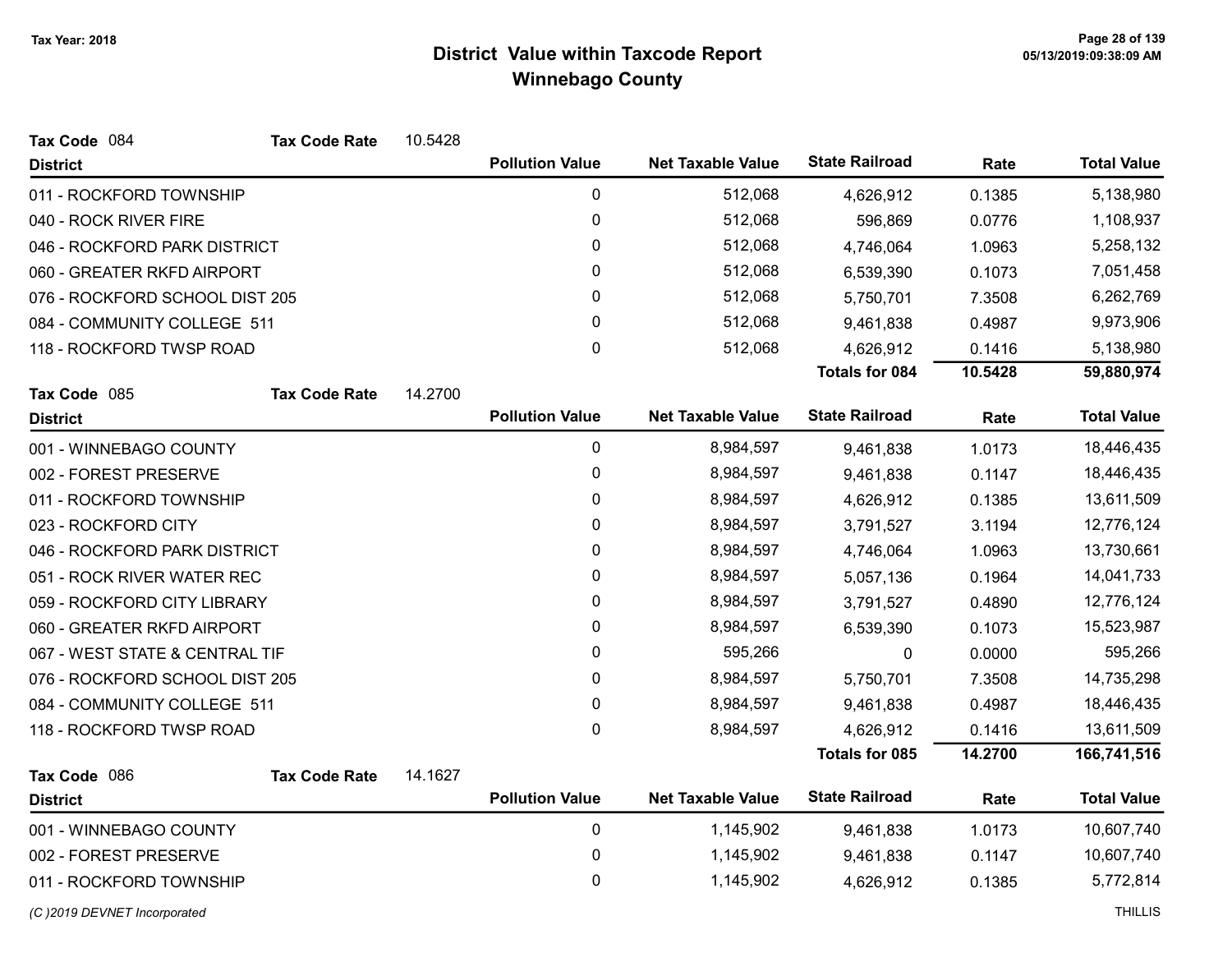| Tax Code 084                   | <b>Tax Code Rate</b> | 10.5428 |                        |                          |                       |         |                    |
|--------------------------------|----------------------|---------|------------------------|--------------------------|-----------------------|---------|--------------------|
| <b>District</b>                |                      |         | <b>Pollution Value</b> | <b>Net Taxable Value</b> | <b>State Railroad</b> | Rate    | <b>Total Value</b> |
| 011 - ROCKFORD TOWNSHIP        |                      |         | $\pmb{0}$              | 512,068                  | 4,626,912             | 0.1385  | 5,138,980          |
| 040 - ROCK RIVER FIRE          |                      |         | $\pmb{0}$              | 512,068                  | 596,869               | 0.0776  | 1,108,937          |
| 046 - ROCKFORD PARK DISTRICT   |                      |         | $\pmb{0}$              | 512,068                  | 4,746,064             | 1.0963  | 5,258,132          |
| 060 - GREATER RKFD AIRPORT     |                      |         | 0                      | 512,068                  | 6,539,390             | 0.1073  | 7,051,458          |
| 076 - ROCKFORD SCHOOL DIST 205 |                      |         | $\pmb{0}$              | 512,068                  | 5,750,701             | 7.3508  | 6,262,769          |
| 084 - COMMUNITY COLLEGE 511    |                      |         | 0                      | 512,068                  | 9,461,838             | 0.4987  | 9,973,906          |
| 118 - ROCKFORD TWSP ROAD       |                      |         | 0                      | 512,068                  | 4,626,912             | 0.1416  | 5,138,980          |
|                                |                      |         |                        |                          | <b>Totals for 084</b> | 10.5428 | 59,880,974         |
| Tax Code 085                   | <b>Tax Code Rate</b> | 14.2700 |                        |                          |                       |         |                    |
| <b>District</b>                |                      |         | <b>Pollution Value</b> | <b>Net Taxable Value</b> | <b>State Railroad</b> | Rate    | <b>Total Value</b> |
| 001 - WINNEBAGO COUNTY         |                      |         | $\mathbf 0$            | 8,984,597                | 9,461,838             | 1.0173  | 18,446,435         |
| 002 - FOREST PRESERVE          |                      |         | $\mathbf 0$            | 8,984,597                | 9,461,838             | 0.1147  | 18,446,435         |
| 011 - ROCKFORD TOWNSHIP        |                      |         | $\pmb{0}$              | 8,984,597                | 4,626,912             | 0.1385  | 13,611,509         |
| 023 - ROCKFORD CITY            |                      |         | 0                      | 8,984,597                | 3,791,527             | 3.1194  | 12,776,124         |
| 046 - ROCKFORD PARK DISTRICT   |                      |         | $\pmb{0}$              | 8,984,597                | 4,746,064             | 1.0963  | 13,730,661         |
| 051 - ROCK RIVER WATER REC     |                      |         | 0                      | 8,984,597                | 5,057,136             | 0.1964  | 14,041,733         |
| 059 - ROCKFORD CITY LIBRARY    |                      |         | $\pmb{0}$              | 8,984,597                | 3,791,527             | 0.4890  | 12,776,124         |
| 060 - GREATER RKFD AIRPORT     |                      |         | 0                      | 8,984,597                | 6,539,390             | 0.1073  | 15,523,987         |
| 067 - WEST STATE & CENTRAL TIF |                      |         | $\mathbf 0$            | 595,266                  | 0                     | 0.0000  | 595,266            |
| 076 - ROCKFORD SCHOOL DIST 205 |                      |         | $\mathbf{0}$           | 8,984,597                | 5,750,701             | 7.3508  | 14,735,298         |
| 084 - COMMUNITY COLLEGE 511    |                      |         | $\pmb{0}$              | 8,984,597                | 9,461,838             | 0.4987  | 18,446,435         |
| 118 - ROCKFORD TWSP ROAD       |                      |         | 0                      | 8,984,597                | 4,626,912             | 0.1416  | 13,611,509         |
|                                |                      |         |                        |                          | Totals for 085        | 14.2700 | 166,741,516        |
| Tax Code 086                   | <b>Tax Code Rate</b> | 14.1627 |                        |                          |                       |         |                    |
| <b>District</b>                |                      |         | <b>Pollution Value</b> | <b>Net Taxable Value</b> | <b>State Railroad</b> | Rate    | <b>Total Value</b> |
| 001 - WINNEBAGO COUNTY         |                      |         | $\pmb{0}$              | 1,145,902                | 9,461,838             | 1.0173  | 10,607,740         |
| 002 - FOREST PRESERVE          |                      |         | $\pmb{0}$              | 1,145,902                | 9,461,838             | 0.1147  | 10,607,740         |
| 011 - ROCKFORD TOWNSHIP        |                      |         | 0                      | 1,145,902                | 4,626,912             | 0.1385  | 5,772,814          |
|                                |                      |         |                        |                          |                       |         |                    |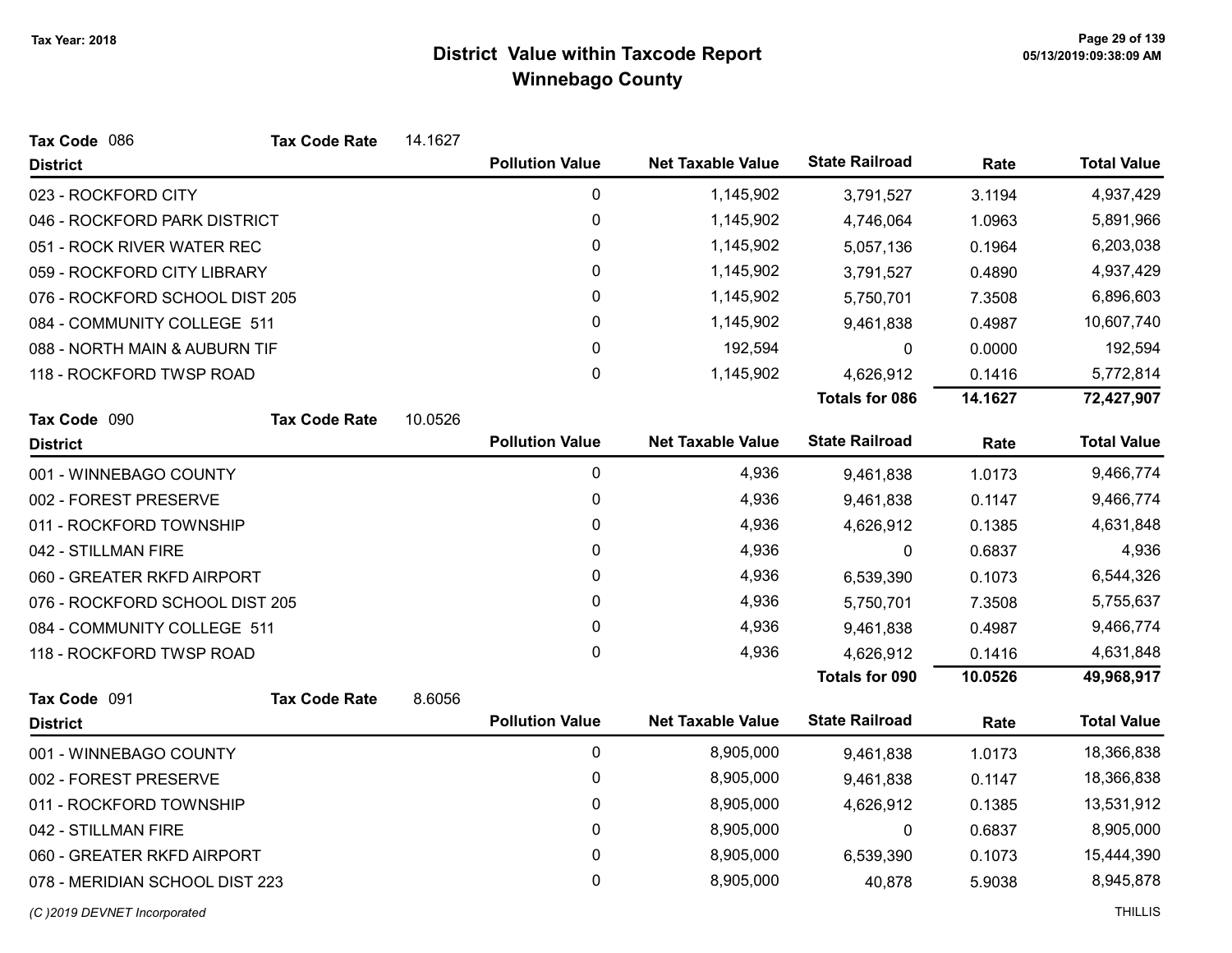| Tax Code 086                   | <b>Tax Code Rate</b> | 14.1627 |                        |                          |                       |         |                    |
|--------------------------------|----------------------|---------|------------------------|--------------------------|-----------------------|---------|--------------------|
| <b>District</b>                |                      |         | <b>Pollution Value</b> | <b>Net Taxable Value</b> | <b>State Railroad</b> | Rate    | <b>Total Value</b> |
| 023 - ROCKFORD CITY            |                      |         | 0                      | 1,145,902                | 3,791,527             | 3.1194  | 4,937,429          |
| 046 - ROCKFORD PARK DISTRICT   |                      |         | 0                      | 1,145,902                | 4,746,064             | 1.0963  | 5,891,966          |
| 051 - ROCK RIVER WATER REC     |                      |         | 0                      | 1,145,902                | 5,057,136             | 0.1964  | 6,203,038          |
| 059 - ROCKFORD CITY LIBRARY    |                      |         | 0                      | 1,145,902                | 3,791,527             | 0.4890  | 4,937,429          |
| 076 - ROCKFORD SCHOOL DIST 205 |                      |         | $\pmb{0}$              | 1,145,902                | 5,750,701             | 7.3508  | 6,896,603          |
| 084 - COMMUNITY COLLEGE 511    |                      |         | 0                      | 1,145,902                | 9,461,838             | 0.4987  | 10,607,740         |
| 088 - NORTH MAIN & AUBURN TIF  |                      |         | $\pmb{0}$              | 192,594                  | 0                     | 0.0000  | 192,594            |
| 118 - ROCKFORD TWSP ROAD       |                      |         | 0                      | 1,145,902                | 4,626,912             | 0.1416  | 5,772,814          |
|                                |                      |         |                        |                          | <b>Totals for 086</b> | 14.1627 | 72,427,907         |
| Tax Code 090                   | <b>Tax Code Rate</b> | 10.0526 |                        |                          |                       |         |                    |
| <b>District</b>                |                      |         | <b>Pollution Value</b> | <b>Net Taxable Value</b> | <b>State Railroad</b> | Rate    | <b>Total Value</b> |
| 001 - WINNEBAGO COUNTY         |                      |         | $\mathbf 0$            | 4,936                    | 9,461,838             | 1.0173  | 9,466,774          |
| 002 - FOREST PRESERVE          |                      |         | 0                      | 4,936                    | 9,461,838             | 0.1147  | 9,466,774          |
| 011 - ROCKFORD TOWNSHIP        |                      |         | 0                      | 4,936                    | 4,626,912             | 0.1385  | 4,631,848          |
| 042 - STILLMAN FIRE            |                      |         | 0                      | 4,936                    | 0                     | 0.6837  | 4,936              |
| 060 - GREATER RKFD AIRPORT     |                      |         | 0                      | 4,936                    | 6,539,390             | 0.1073  | 6,544,326          |
| 076 - ROCKFORD SCHOOL DIST 205 |                      |         | 0                      | 4,936                    | 5,750,701             | 7.3508  | 5,755,637          |
| 084 - COMMUNITY COLLEGE 511    |                      |         | 0                      | 4,936                    | 9,461,838             | 0.4987  | 9,466,774          |
| 118 - ROCKFORD TWSP ROAD       |                      |         | 0                      | 4,936                    | 4,626,912             | 0.1416  | 4,631,848          |
|                                |                      |         |                        |                          | <b>Totals for 090</b> | 10.0526 | 49,968,917         |
| Tax Code 091                   | <b>Tax Code Rate</b> | 8.6056  |                        |                          |                       |         |                    |
| <b>District</b>                |                      |         | <b>Pollution Value</b> | <b>Net Taxable Value</b> | <b>State Railroad</b> | Rate    | <b>Total Value</b> |
| 001 - WINNEBAGO COUNTY         |                      |         | 0                      | 8,905,000                | 9,461,838             | 1.0173  | 18,366,838         |
| 002 - FOREST PRESERVE          |                      |         | $\pmb{0}$              | 8,905,000                | 9,461,838             | 0.1147  | 18,366,838         |
| 011 - ROCKFORD TOWNSHIP        |                      |         | $\pmb{0}$              | 8,905,000                | 4,626,912             | 0.1385  | 13,531,912         |
| 042 - STILLMAN FIRE            |                      |         | 0                      | 8,905,000                | 0                     | 0.6837  | 8,905,000          |
| 060 - GREATER RKFD AIRPORT     |                      |         | 0                      | 8,905,000                | 6,539,390             | 0.1073  | 15,444,390         |
| 078 - MERIDIAN SCHOOL DIST 223 |                      |         | 0                      | 8,905,000                | 40,878                | 5.9038  | 8,945,878          |
| (C)2019 DEVNET Incorporated    |                      |         |                        |                          |                       |         | <b>THILLIS</b>     |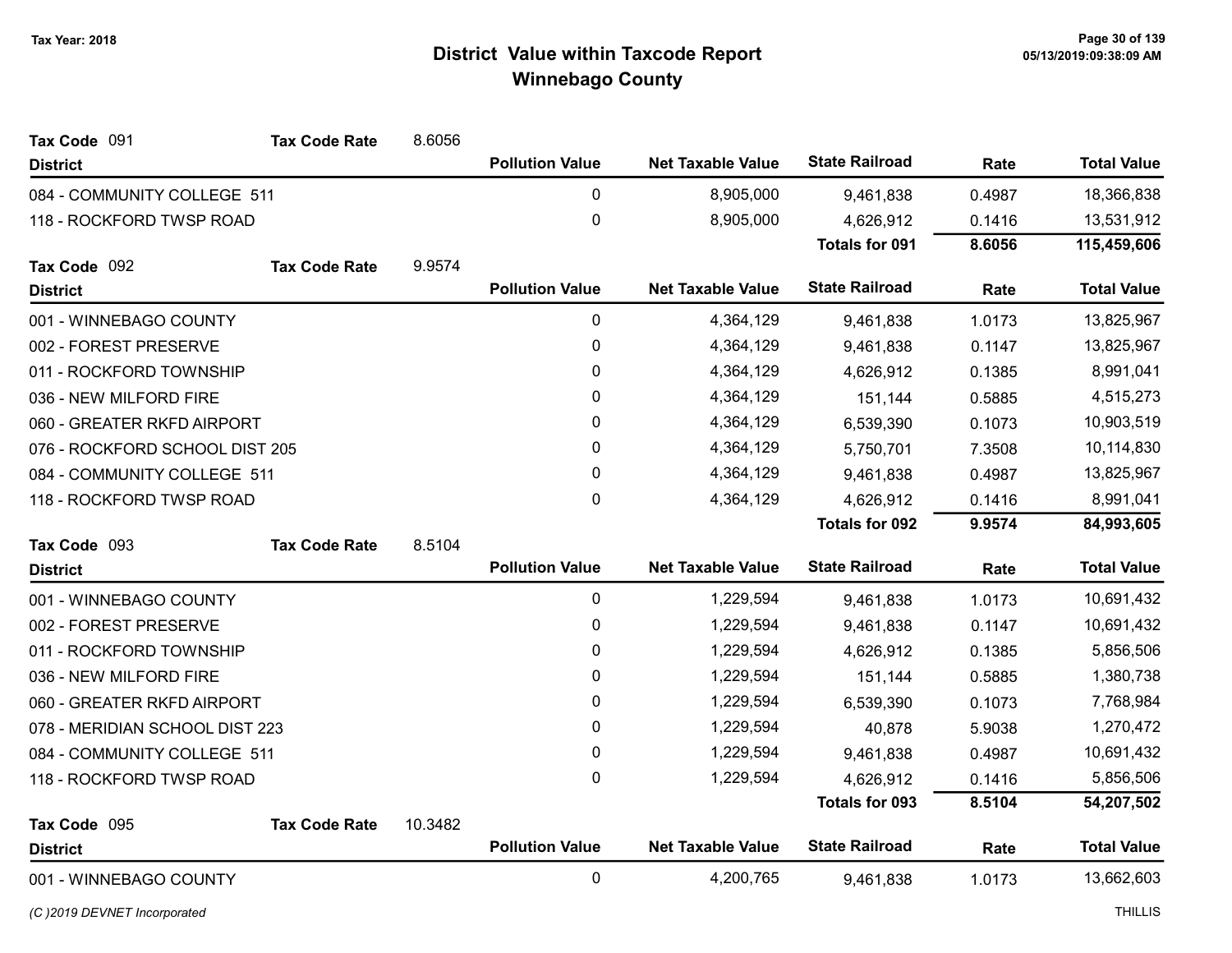| Tax Code 091                   | <b>Tax Code Rate</b> | 8.6056  |                        |                          |                       |        |                    |
|--------------------------------|----------------------|---------|------------------------|--------------------------|-----------------------|--------|--------------------|
| <b>District</b>                |                      |         | <b>Pollution Value</b> | <b>Net Taxable Value</b> | <b>State Railroad</b> | Rate   | <b>Total Value</b> |
| 084 - COMMUNITY COLLEGE 511    |                      |         | 0                      | 8,905,000                | 9,461,838             | 0.4987 | 18,366,838         |
| 118 - ROCKFORD TWSP ROAD       |                      |         | $\mathbf 0$            | 8,905,000                | 4,626,912             | 0.1416 | 13,531,912         |
|                                |                      |         |                        |                          | <b>Totals for 091</b> | 8.6056 | 115,459,606        |
| Tax Code 092                   | <b>Tax Code Rate</b> | 9.9574  |                        |                          |                       |        |                    |
| <b>District</b>                |                      |         | <b>Pollution Value</b> | <b>Net Taxable Value</b> | <b>State Railroad</b> | Rate   | <b>Total Value</b> |
| 001 - WINNEBAGO COUNTY         |                      |         | 0                      | 4,364,129                | 9,461,838             | 1.0173 | 13,825,967         |
| 002 - FOREST PRESERVE          |                      |         | $\mathbf 0$            | 4,364,129                | 9,461,838             | 0.1147 | 13,825,967         |
| 011 - ROCKFORD TOWNSHIP        |                      |         | 0                      | 4,364,129                | 4,626,912             | 0.1385 | 8,991,041          |
| 036 - NEW MILFORD FIRE         |                      |         | $\pmb{0}$              | 4,364,129                | 151,144               | 0.5885 | 4,515,273          |
| 060 - GREATER RKFD AIRPORT     |                      |         | 0                      | 4,364,129                | 6,539,390             | 0.1073 | 10,903,519         |
| 076 - ROCKFORD SCHOOL DIST 205 |                      |         | $\mathbf 0$            | 4,364,129                | 5,750,701             | 7.3508 | 10,114,830         |
| 084 - COMMUNITY COLLEGE 511    |                      |         | 0                      | 4,364,129                | 9,461,838             | 0.4987 | 13,825,967         |
| 118 - ROCKFORD TWSP ROAD       |                      |         | $\pmb{0}$              | 4,364,129                | 4,626,912             | 0.1416 | 8,991,041          |
|                                |                      |         |                        |                          | <b>Totals for 092</b> | 9.9574 | 84,993,605         |
| Tax Code 093                   | <b>Tax Code Rate</b> | 8.5104  |                        |                          |                       |        |                    |
| <b>District</b>                |                      |         | <b>Pollution Value</b> | <b>Net Taxable Value</b> | <b>State Railroad</b> | Rate   | <b>Total Value</b> |
|                                |                      |         |                        |                          |                       |        |                    |
| 001 - WINNEBAGO COUNTY         |                      |         | $\mathbf 0$            | 1,229,594                | 9,461,838             | 1.0173 | 10,691,432         |
| 002 - FOREST PRESERVE          |                      |         | 0                      | 1,229,594                | 9,461,838             | 0.1147 | 10,691,432         |
| 011 - ROCKFORD TOWNSHIP        |                      |         | 0                      | 1,229,594                | 4,626,912             | 0.1385 | 5,856,506          |
| 036 - NEW MILFORD FIRE         |                      |         | 0                      | 1,229,594                | 151,144               | 0.5885 | 1,380,738          |
| 060 - GREATER RKFD AIRPORT     |                      |         | 0                      | 1,229,594                | 6,539,390             | 0.1073 | 7,768,984          |
| 078 - MERIDIAN SCHOOL DIST 223 |                      |         | 0                      | 1,229,594                | 40,878                | 5.9038 | 1,270,472          |
| 084 - COMMUNITY COLLEGE 511    |                      |         | 0                      | 1,229,594                | 9,461,838             | 0.4987 | 10,691,432         |
| 118 - ROCKFORD TWSP ROAD       |                      |         | 0                      | 1,229,594                | 4,626,912             | 0.1416 | 5,856,506          |
|                                |                      |         |                        |                          | <b>Totals for 093</b> | 8.5104 | 54,207,502         |
| Tax Code 095                   | <b>Tax Code Rate</b> | 10.3482 |                        |                          |                       |        |                    |
| <b>District</b>                |                      |         | <b>Pollution Value</b> | <b>Net Taxable Value</b> | <b>State Railroad</b> | Rate   | <b>Total Value</b> |

(C)2019 DEVNET Incorporated THILLIS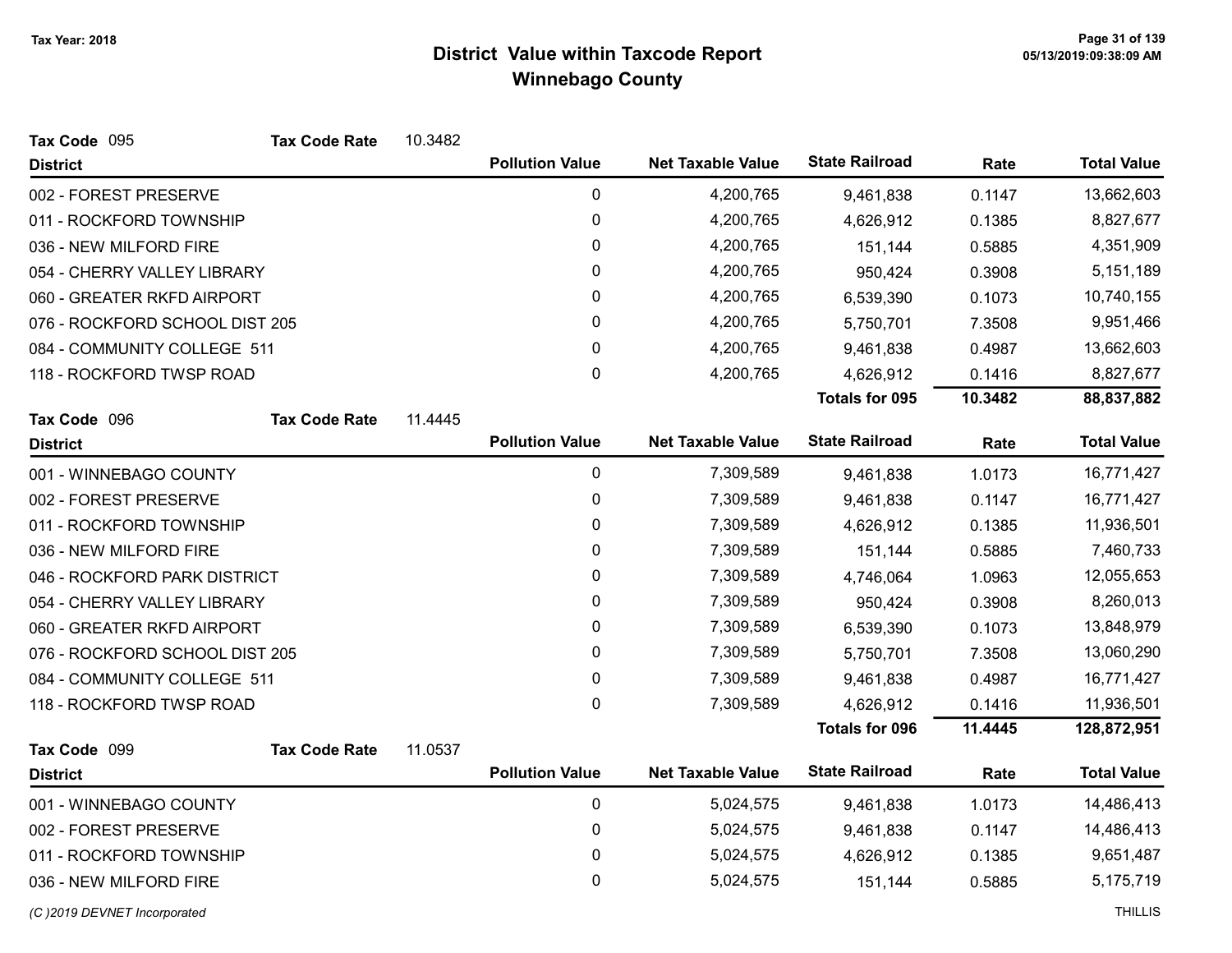| Tax Code 095                   | <b>Tax Code Rate</b> | 10.3482 |                        |                          |                       |         |                    |
|--------------------------------|----------------------|---------|------------------------|--------------------------|-----------------------|---------|--------------------|
| <b>District</b>                |                      |         | <b>Pollution Value</b> | <b>Net Taxable Value</b> | <b>State Railroad</b> | Rate    | <b>Total Value</b> |
| 002 - FOREST PRESERVE          |                      |         | 0                      | 4,200,765                | 9,461,838             | 0.1147  | 13,662,603         |
| 011 - ROCKFORD TOWNSHIP        |                      |         | $\pmb{0}$              | 4,200,765                | 4,626,912             | 0.1385  | 8,827,677          |
| 036 - NEW MILFORD FIRE         |                      |         | 0                      | 4,200,765                | 151,144               | 0.5885  | 4,351,909          |
| 054 - CHERRY VALLEY LIBRARY    |                      |         | 0                      | 4,200,765                | 950,424               | 0.3908  | 5,151,189          |
| 060 - GREATER RKFD AIRPORT     |                      |         | 0                      | 4,200,765                | 6,539,390             | 0.1073  | 10,740,155         |
| 076 - ROCKFORD SCHOOL DIST 205 |                      |         | 0                      | 4,200,765                | 5,750,701             | 7.3508  | 9,951,466          |
| 084 - COMMUNITY COLLEGE 511    |                      |         | 0                      | 4,200,765                | 9,461,838             | 0.4987  | 13,662,603         |
| 118 - ROCKFORD TWSP ROAD       |                      |         | 0                      | 4,200,765                | 4,626,912             | 0.1416  | 8,827,677          |
|                                |                      |         |                        |                          | <b>Totals for 095</b> | 10.3482 | 88,837,882         |
| Tax Code 096                   | <b>Tax Code Rate</b> | 11.4445 |                        |                          |                       |         |                    |
| <b>District</b>                |                      |         | <b>Pollution Value</b> | <b>Net Taxable Value</b> | <b>State Railroad</b> | Rate    | <b>Total Value</b> |
| 001 - WINNEBAGO COUNTY         |                      |         | $\pmb{0}$              | 7,309,589                | 9,461,838             | 1.0173  | 16,771,427         |
| 002 - FOREST PRESERVE          |                      |         | 0                      | 7,309,589                | 9,461,838             | 0.1147  | 16,771,427         |
| 011 - ROCKFORD TOWNSHIP        |                      |         | 0                      | 7,309,589                | 4,626,912             | 0.1385  | 11,936,501         |
| 036 - NEW MILFORD FIRE         |                      |         | 0                      | 7,309,589                | 151,144               | 0.5885  | 7,460,733          |
| 046 - ROCKFORD PARK DISTRICT   |                      |         | 0                      | 7,309,589                | 4,746,064             | 1.0963  | 12,055,653         |
| 054 - CHERRY VALLEY LIBRARY    |                      |         | 0                      | 7,309,589                | 950,424               | 0.3908  | 8,260,013          |
| 060 - GREATER RKFD AIRPORT     |                      |         | 0                      | 7,309,589                | 6,539,390             | 0.1073  | 13,848,979         |
| 076 - ROCKFORD SCHOOL DIST 205 |                      |         | 0                      | 7,309,589                | 5,750,701             | 7.3508  | 13,060,290         |
| 084 - COMMUNITY COLLEGE 511    |                      |         | 0                      | 7,309,589                | 9,461,838             | 0.4987  | 16,771,427         |
| 118 - ROCKFORD TWSP ROAD       |                      |         | 0                      | 7,309,589                | 4,626,912             | 0.1416  | 11,936,501         |
|                                |                      |         |                        |                          | <b>Totals for 096</b> | 11.4445 | 128,872,951        |
| Tax Code 099                   | <b>Tax Code Rate</b> | 11.0537 |                        |                          |                       |         |                    |
| <b>District</b>                |                      |         | <b>Pollution Value</b> | <b>Net Taxable Value</b> | <b>State Railroad</b> | Rate    | <b>Total Value</b> |
| 001 - WINNEBAGO COUNTY         |                      |         | 0                      | 5,024,575                | 9,461,838             | 1.0173  | 14,486,413         |
| 002 - FOREST PRESERVE          |                      |         | 0                      | 5,024,575                | 9,461,838             | 0.1147  | 14,486,413         |
| 011 - ROCKFORD TOWNSHIP        |                      |         | 0                      | 5,024,575                | 4,626,912             | 0.1385  | 9,651,487          |
| 036 - NEW MILFORD FIRE         |                      |         | 0                      | 5,024,575                | 151,144               | 0.5885  | 5,175,719          |
|                                |                      |         |                        |                          |                       |         |                    |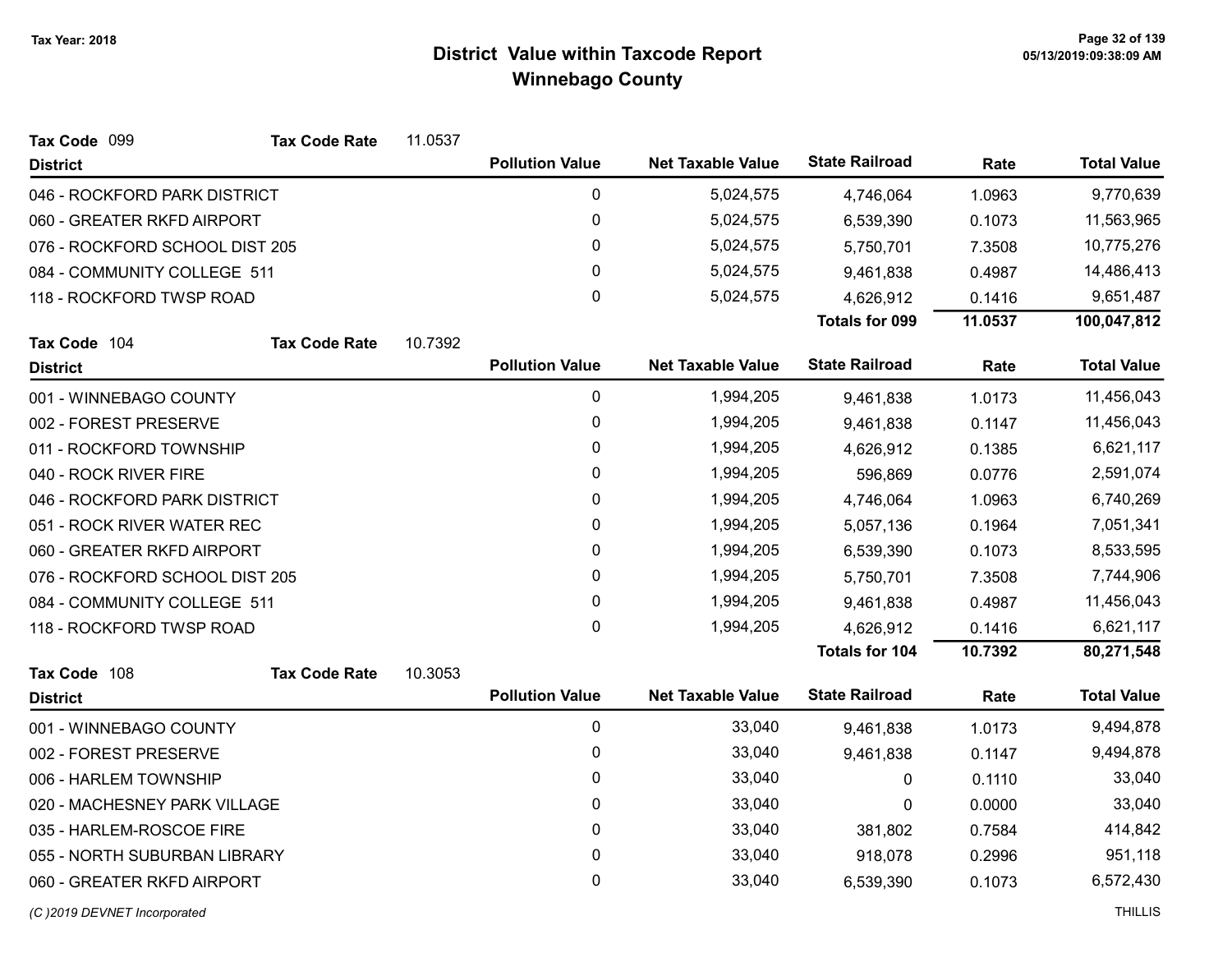| Tax Code 099                   | <b>Tax Code Rate</b>        | 11.0537 |                        |                          |                       |         |                    |
|--------------------------------|-----------------------------|---------|------------------------|--------------------------|-----------------------|---------|--------------------|
| <b>District</b>                |                             |         | <b>Pollution Value</b> | <b>Net Taxable Value</b> | <b>State Railroad</b> | Rate    | <b>Total Value</b> |
| 046 - ROCKFORD PARK DISTRICT   |                             |         | $\mathbf 0$            | 5,024,575                | 4,746,064             | 1.0963  | 9,770,639          |
| 060 - GREATER RKFD AIRPORT     |                             |         | 0                      | 5,024,575                | 6,539,390             | 0.1073  | 11,563,965         |
| 076 - ROCKFORD SCHOOL DIST 205 |                             |         | 0                      | 5,024,575                | 5,750,701             | 7.3508  | 10,775,276         |
|                                | 084 - COMMUNITY COLLEGE 511 |         | $\mathbf{0}$           | 5,024,575                | 9,461,838             | 0.4987  | 14,486,413         |
| 118 - ROCKFORD TWSP ROAD       |                             |         | $\pmb{0}$              | 5,024,575                | 4,626,912             | 0.1416  | 9,651,487          |
|                                |                             |         |                        |                          | <b>Totals for 099</b> | 11.0537 | 100,047,812        |
| Tax Code 104                   | <b>Tax Code Rate</b>        | 10.7392 |                        |                          |                       |         |                    |
| <b>District</b>                |                             |         | <b>Pollution Value</b> | <b>Net Taxable Value</b> | <b>State Railroad</b> | Rate    | <b>Total Value</b> |
| 001 - WINNEBAGO COUNTY         |                             |         | $\pmb{0}$              | 1,994,205                | 9,461,838             | 1.0173  | 11,456,043         |
| 002 - FOREST PRESERVE          |                             |         | $\mathbf 0$            | 1,994,205                | 9,461,838             | 0.1147  | 11,456,043         |
| 011 - ROCKFORD TOWNSHIP        |                             |         | $\mathbf 0$            | 1,994,205                | 4,626,912             | 0.1385  | 6,621,117          |
| 040 - ROCK RIVER FIRE          |                             |         | 0                      | 1,994,205                | 596,869               | 0.0776  | 2,591,074          |
| 046 - ROCKFORD PARK DISTRICT   |                             |         | 0                      | 1,994,205                | 4,746,064             | 1.0963  | 6,740,269          |
| 051 - ROCK RIVER WATER REC     |                             |         | 0                      | 1,994,205                | 5,057,136             | 0.1964  | 7,051,341          |
| 060 - GREATER RKFD AIRPORT     |                             |         | 0                      | 1,994,205                | 6,539,390             | 0.1073  | 8,533,595          |
| 076 - ROCKFORD SCHOOL DIST 205 |                             |         | 0                      | 1,994,205                | 5,750,701             | 7.3508  | 7,744,906          |
| 084 - COMMUNITY COLLEGE 511    |                             |         | 0                      | 1,994,205                | 9,461,838             | 0.4987  | 11,456,043         |
| 118 - ROCKFORD TWSP ROAD       |                             |         | 0                      | 1,994,205                | 4,626,912             | 0.1416  | 6,621,117          |
|                                |                             |         |                        |                          | Totals for 104        | 10.7392 | 80,271,548         |
| Tax Code 108                   | <b>Tax Code Rate</b>        | 10.3053 |                        |                          |                       |         |                    |
| <b>District</b>                |                             |         | <b>Pollution Value</b> | <b>Net Taxable Value</b> | <b>State Railroad</b> | Rate    | <b>Total Value</b> |
| 001 - WINNEBAGO COUNTY         |                             |         | $\pmb{0}$              | 33,040                   | 9,461,838             | 1.0173  | 9,494,878          |
| 002 - FOREST PRESERVE          |                             |         | $\mathbf 0$            | 33,040                   | 9,461,838             | 0.1147  | 9,494,878          |
| 006 - HARLEM TOWNSHIP          |                             |         | 0                      | 33,040                   | 0                     | 0.1110  | 33,040             |
| 020 - MACHESNEY PARK VILLAGE   |                             |         | 0                      | 33,040                   | 0                     | 0.0000  | 33,040             |
| 035 - HARLEM-ROSCOE FIRE       |                             |         | $\mathbf 0$            | 33,040                   | 381,802               | 0.7584  | 414,842            |
| 055 - NORTH SUBURBAN LIBRARY   |                             |         | 0                      | 33,040                   | 918,078               | 0.2996  | 951,118            |
| 060 - GREATER RKFD AIRPORT     |                             |         | 0                      | 33,040                   | 6,539,390             | 0.1073  | 6,572,430          |
|                                |                             |         |                        |                          |                       |         |                    |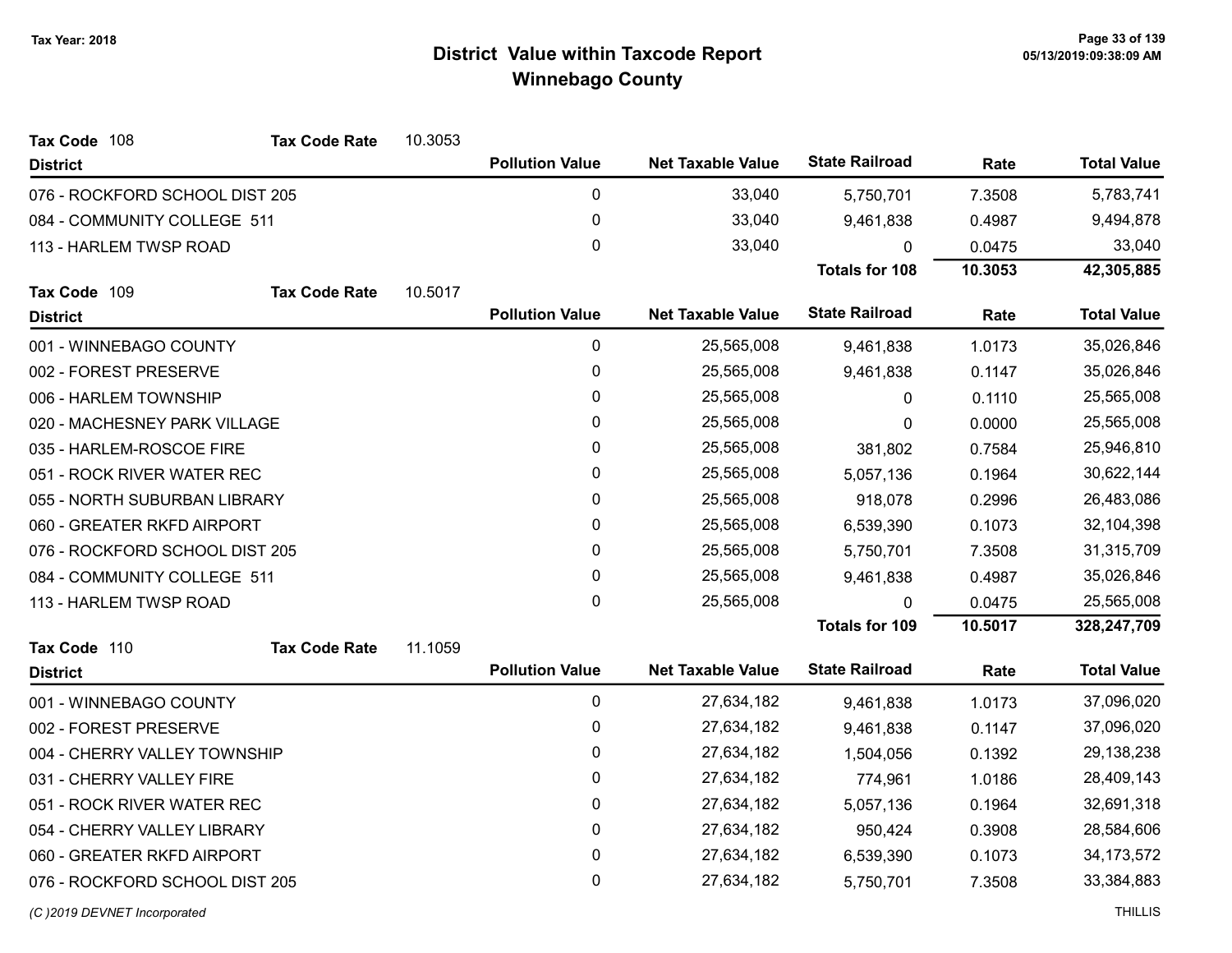| Tax Code 108                   | <b>Tax Code Rate</b> | 10.3053 |                        |                          |                       |         |                    |
|--------------------------------|----------------------|---------|------------------------|--------------------------|-----------------------|---------|--------------------|
| <b>District</b>                |                      |         | <b>Pollution Value</b> | <b>Net Taxable Value</b> | <b>State Railroad</b> | Rate    | <b>Total Value</b> |
| 076 - ROCKFORD SCHOOL DIST 205 |                      |         | 0                      | 33,040                   | 5,750,701             | 7.3508  | 5,783,741          |
| 084 - COMMUNITY COLLEGE 511    |                      |         | $\pmb{0}$              | 33,040                   | 9,461,838             | 0.4987  | 9,494,878          |
| 113 - HARLEM TWSP ROAD         |                      |         | $\mathbf 0$            | 33,040                   | $\Omega$              | 0.0475  | 33,040             |
|                                |                      |         |                        |                          | <b>Totals for 108</b> | 10.3053 | 42,305,885         |
| Tax Code 109                   | <b>Tax Code Rate</b> | 10.5017 |                        |                          |                       |         |                    |
| <b>District</b>                |                      |         | <b>Pollution Value</b> | <b>Net Taxable Value</b> | <b>State Railroad</b> | Rate    | <b>Total Value</b> |
| 001 - WINNEBAGO COUNTY         |                      |         | $\pmb{0}$              | 25,565,008               | 9,461,838             | 1.0173  | 35,026,846         |
| 002 - FOREST PRESERVE          |                      |         | $\pmb{0}$              | 25,565,008               | 9,461,838             | 0.1147  | 35,026,846         |
| 006 - HARLEM TOWNSHIP          |                      |         | $\mathbf 0$            | 25,565,008               | 0                     | 0.1110  | 25,565,008         |
| 020 - MACHESNEY PARK VILLAGE   |                      |         | $\pmb{0}$              | 25,565,008               | 0                     | 0.0000  | 25,565,008         |
| 035 - HARLEM-ROSCOE FIRE       |                      |         | 0                      | 25,565,008               | 381,802               | 0.7584  | 25,946,810         |
| 051 - ROCK RIVER WATER REC     |                      |         | 0                      | 25,565,008               | 5,057,136             | 0.1964  | 30,622,144         |
| 055 - NORTH SUBURBAN LIBRARY   |                      |         | 0                      | 25,565,008               | 918,078               | 0.2996  | 26,483,086         |
| 060 - GREATER RKFD AIRPORT     |                      |         | $\pmb{0}$              | 25,565,008               | 6,539,390             | 0.1073  | 32,104,398         |
| 076 - ROCKFORD SCHOOL DIST 205 |                      |         | 0                      | 25,565,008               | 5,750,701             | 7.3508  | 31,315,709         |
| 084 - COMMUNITY COLLEGE 511    |                      |         | $\pmb{0}$              | 25,565,008               | 9,461,838             | 0.4987  | 35,026,846         |
| 113 - HARLEM TWSP ROAD         |                      |         | $\mathbf{0}$           | 25,565,008               | $\Omega$              | 0.0475  | 25,565,008         |
|                                |                      |         |                        |                          | <b>Totals for 109</b> | 10.5017 | 328,247,709        |
| Tax Code 110                   | <b>Tax Code Rate</b> | 11.1059 |                        |                          |                       |         |                    |
| <b>District</b>                |                      |         | <b>Pollution Value</b> | <b>Net Taxable Value</b> | <b>State Railroad</b> | Rate    | <b>Total Value</b> |
| 001 - WINNEBAGO COUNTY         |                      |         | 0                      | 27,634,182               | 9,461,838             | 1.0173  | 37,096,020         |
| 002 - FOREST PRESERVE          |                      |         | 0                      | 27,634,182               | 9,461,838             | 0.1147  | 37,096,020         |
| 004 - CHERRY VALLEY TOWNSHIP   |                      |         | $\pmb{0}$              | 27,634,182               | 1,504,056             | 0.1392  | 29,138,238         |
| 031 - CHERRY VALLEY FIRE       |                      |         | 0                      | 27,634,182               | 774,961               | 1.0186  | 28,409,143         |
| 051 - ROCK RIVER WATER REC     |                      |         | 0                      | 27,634,182               | 5,057,136             | 0.1964  | 32,691,318         |
| 054 - CHERRY VALLEY LIBRARY    |                      |         | $\pmb{0}$              | 27,634,182               | 950,424               | 0.3908  | 28,584,606         |
| 060 - GREATER RKFD AIRPORT     |                      |         | $\pmb{0}$              | 27,634,182               | 6,539,390             | 0.1073  | 34, 173, 572       |
| 076 - ROCKFORD SCHOOL DIST 205 |                      |         | 0                      | 27,634,182               | 5,750,701             | 7.3508  | 33,384,883         |
|                                |                      |         |                        |                          |                       |         |                    |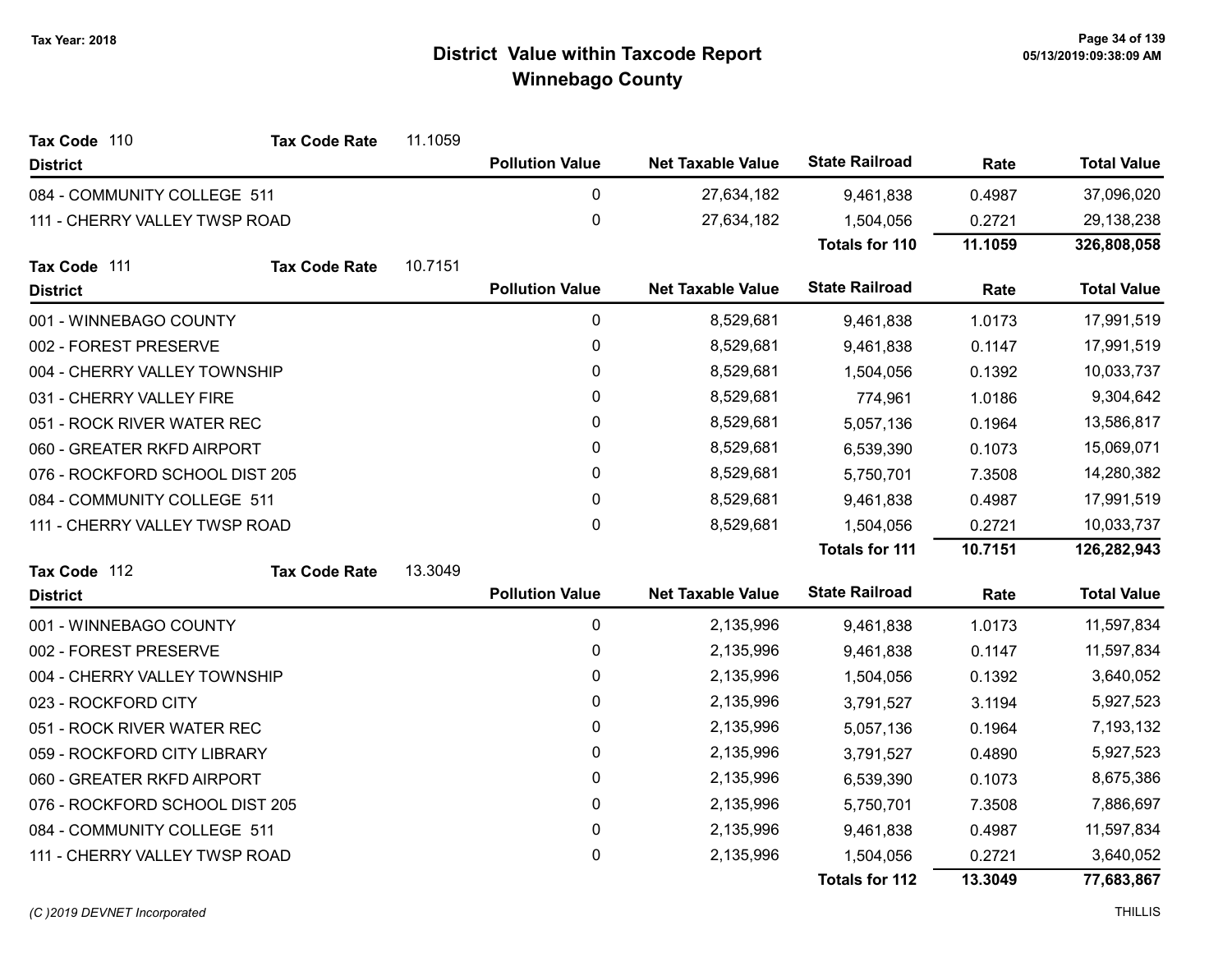| Tax Code 110                   | <b>Tax Code Rate</b> | 11.1059 |                        |                          |                       |         |                    |
|--------------------------------|----------------------|---------|------------------------|--------------------------|-----------------------|---------|--------------------|
| <b>District</b>                |                      |         | <b>Pollution Value</b> | <b>Net Taxable Value</b> | <b>State Railroad</b> | Rate    | <b>Total Value</b> |
| 084 - COMMUNITY COLLEGE 511    |                      |         | 0                      | 27,634,182               | 9,461,838             | 0.4987  | 37,096,020         |
| 111 - CHERRY VALLEY TWSP ROAD  |                      |         | $\mathbf 0$            | 27,634,182               | 1,504,056             | 0.2721  | 29,138,238         |
|                                |                      |         |                        |                          | <b>Totals for 110</b> | 11.1059 | 326,808,058        |
| Tax Code 111                   | <b>Tax Code Rate</b> | 10.7151 |                        |                          |                       |         |                    |
| <b>District</b>                |                      |         | <b>Pollution Value</b> | <b>Net Taxable Value</b> | <b>State Railroad</b> | Rate    | <b>Total Value</b> |
| 001 - WINNEBAGO COUNTY         |                      |         | 0                      | 8,529,681                | 9,461,838             | 1.0173  | 17,991,519         |
| 002 - FOREST PRESERVE          |                      |         | 0                      | 8,529,681                | 9,461,838             | 0.1147  | 17,991,519         |
| 004 - CHERRY VALLEY TOWNSHIP   |                      |         | 0                      | 8,529,681                | 1,504,056             | 0.1392  | 10,033,737         |
| 031 - CHERRY VALLEY FIRE       |                      |         | 0                      | 8,529,681                | 774,961               | 1.0186  | 9,304,642          |
| 051 - ROCK RIVER WATER REC     |                      |         | $\mathbf{0}$           | 8,529,681                | 5,057,136             | 0.1964  | 13,586,817         |
| 060 - GREATER RKFD AIRPORT     |                      |         | 0                      | 8,529,681                | 6,539,390             | 0.1073  | 15,069,071         |
| 076 - ROCKFORD SCHOOL DIST 205 |                      |         | 0                      | 8,529,681                | 5,750,701             | 7.3508  | 14,280,382         |
| 084 - COMMUNITY COLLEGE 511    |                      |         | $\mathbf{0}$           | 8,529,681                | 9,461,838             | 0.4987  | 17,991,519         |
| 111 - CHERRY VALLEY TWSP ROAD  |                      |         | $\mathbf 0$            | 8,529,681                | 1,504,056             | 0.2721  | 10,033,737         |
|                                |                      |         |                        |                          | <b>Totals for 111</b> | 10.7151 | 126,282,943        |
| Tax Code 112                   | <b>Tax Code Rate</b> | 13.3049 |                        |                          |                       |         |                    |
| <b>District</b>                |                      |         | <b>Pollution Value</b> | <b>Net Taxable Value</b> | <b>State Railroad</b> | Rate    | <b>Total Value</b> |
| 001 - WINNEBAGO COUNTY         |                      |         | $\pmb{0}$              | 2,135,996                | 9,461,838             | 1.0173  | 11,597,834         |
| 002 - FOREST PRESERVE          |                      |         | 0                      | 2,135,996                | 9,461,838             | 0.1147  | 11,597,834         |
| 004 - CHERRY VALLEY TOWNSHIP   |                      |         | $\pmb{0}$              | 2,135,996                | 1,504,056             | 0.1392  | 3,640,052          |
| 023 - ROCKFORD CITY            |                      |         | 0                      | 2,135,996                | 3,791,527             | 3.1194  | 5,927,523          |
| 051 - ROCK RIVER WATER REC     |                      |         | $\pmb{0}$              | 2,135,996                | 5,057,136             | 0.1964  | 7,193,132          |
| 059 - ROCKFORD CITY LIBRARY    |                      |         | 0                      | 2,135,996                | 3,791,527             | 0.4890  | 5,927,523          |
| 060 - GREATER RKFD AIRPORT     |                      |         | $\pmb{0}$              | 2,135,996                | 6,539,390             | 0.1073  | 8,675,386          |
| 076 - ROCKFORD SCHOOL DIST 205 |                      |         | 0                      | 2,135,996                | 5,750,701             | 7.3508  | 7,886,697          |
| 084 - COMMUNITY COLLEGE 511    |                      |         | $\pmb{0}$              | 2,135,996                | 9,461,838             | 0.4987  | 11,597,834         |
| 111 - CHERRY VALLEY TWSP ROAD  |                      |         | 0                      | 2,135,996                | 1,504,056             | 0.2721  | 3,640,052          |
|                                |                      |         |                        |                          | <b>Totals for 112</b> | 13.3049 | 77,683,867         |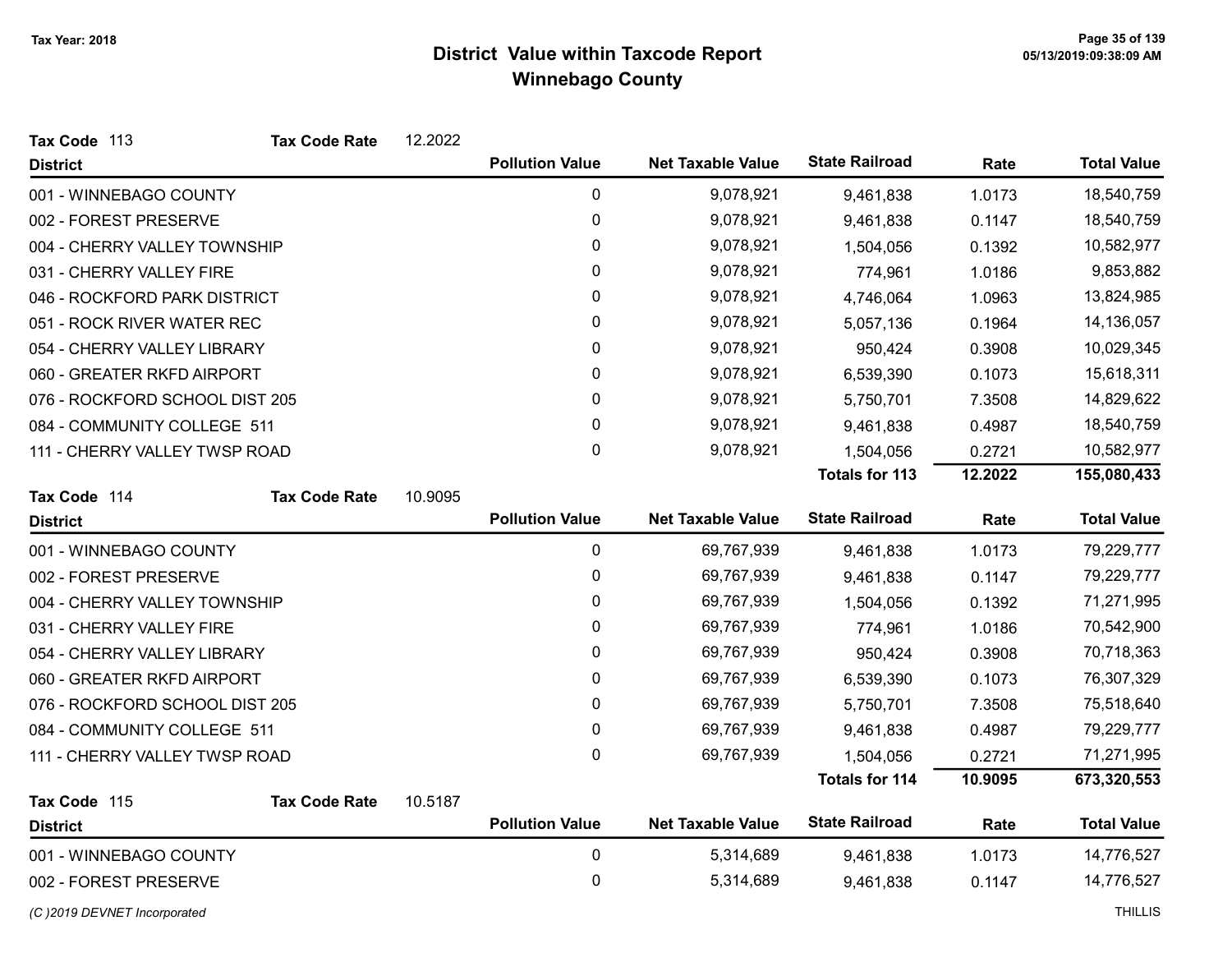| Tax Code 113                   | <b>Tax Code Rate</b> | 12.2022 |                        |                          |                       |         |                    |
|--------------------------------|----------------------|---------|------------------------|--------------------------|-----------------------|---------|--------------------|
| <b>District</b>                |                      |         | <b>Pollution Value</b> | <b>Net Taxable Value</b> | <b>State Railroad</b> | Rate    | <b>Total Value</b> |
| 001 - WINNEBAGO COUNTY         |                      |         | $\pmb{0}$              | 9,078,921                | 9,461,838             | 1.0173  | 18,540,759         |
| 002 - FOREST PRESERVE          |                      |         | 0                      | 9,078,921                | 9,461,838             | 0.1147  | 18,540,759         |
| 004 - CHERRY VALLEY TOWNSHIP   |                      |         | 0                      | 9,078,921                | 1,504,056             | 0.1392  | 10,582,977         |
| 031 - CHERRY VALLEY FIRE       |                      |         | 0                      | 9,078,921                | 774,961               | 1.0186  | 9,853,882          |
| 046 - ROCKFORD PARK DISTRICT   |                      |         | 0                      | 9,078,921                | 4,746,064             | 1.0963  | 13,824,985         |
| 051 - ROCK RIVER WATER REC     |                      |         | 0                      | 9,078,921                | 5,057,136             | 0.1964  | 14,136,057         |
| 054 - CHERRY VALLEY LIBRARY    |                      |         | 0                      | 9,078,921                | 950,424               | 0.3908  | 10,029,345         |
| 060 - GREATER RKFD AIRPORT     |                      |         | 0                      | 9,078,921                | 6,539,390             | 0.1073  | 15,618,311         |
| 076 - ROCKFORD SCHOOL DIST 205 |                      |         | 0                      | 9,078,921                | 5,750,701             | 7.3508  | 14,829,622         |
| 084 - COMMUNITY COLLEGE 511    |                      |         | $\pmb{0}$              | 9,078,921                | 9,461,838             | 0.4987  | 18,540,759         |
| 111 - CHERRY VALLEY TWSP ROAD  |                      |         | 0                      | 9,078,921                | 1,504,056             | 0.2721  | 10,582,977         |
|                                |                      |         |                        |                          | <b>Totals for 113</b> | 12.2022 | 155,080,433        |
| Tax Code 114                   | <b>Tax Code Rate</b> | 10.9095 |                        |                          |                       |         |                    |
| <b>District</b>                |                      |         | <b>Pollution Value</b> | <b>Net Taxable Value</b> | <b>State Railroad</b> | Rate    | <b>Total Value</b> |
| 001 - WINNEBAGO COUNTY         |                      |         | $\pmb{0}$              | 69,767,939               | 9,461,838             | 1.0173  | 79,229,777         |
| 002 - FOREST PRESERVE          |                      |         | 0                      | 69,767,939               | 9,461,838             | 0.1147  | 79,229,777         |
| 004 - CHERRY VALLEY TOWNSHIP   |                      |         | 0                      | 69,767,939               | 1,504,056             | 0.1392  | 71,271,995         |
| 031 - CHERRY VALLEY FIRE       |                      |         | 0                      | 69,767,939               | 774,961               | 1.0186  | 70,542,900         |
| 054 - CHERRY VALLEY LIBRARY    |                      |         | 0                      | 69,767,939               | 950,424               | 0.3908  | 70,718,363         |
| 060 - GREATER RKFD AIRPORT     |                      |         | 0                      | 69,767,939               | 6,539,390             | 0.1073  | 76,307,329         |
| 076 - ROCKFORD SCHOOL DIST 205 |                      |         | 0                      | 69,767,939               | 5,750,701             | 7.3508  | 75,518,640         |
| 084 - COMMUNITY COLLEGE 511    |                      |         | 0                      | 69,767,939               | 9,461,838             | 0.4987  | 79,229,777         |
| 111 - CHERRY VALLEY TWSP ROAD  |                      |         | 0                      | 69,767,939               | 1,504,056             | 0.2721  | 71,271,995         |
|                                |                      |         |                        |                          | <b>Totals for 114</b> | 10.9095 | 673,320,553        |
| Tax Code 115                   | <b>Tax Code Rate</b> | 10.5187 |                        |                          |                       |         |                    |
| <b>District</b>                |                      |         | <b>Pollution Value</b> | <b>Net Taxable Value</b> | <b>State Railroad</b> | Rate    | <b>Total Value</b> |
| 001 - WINNEBAGO COUNTY         |                      |         | 0                      | 5,314,689                | 9,461,838             | 1.0173  | 14,776,527         |
| 002 - FOREST PRESERVE          |                      |         | $\mathbf 0$            | 5,314,689                | 9,461,838             | 0.1147  | 14,776,527         |
| (C)2019 DEVNET Incorporated    |                      |         |                        |                          |                       |         | <b>THILLIS</b>     |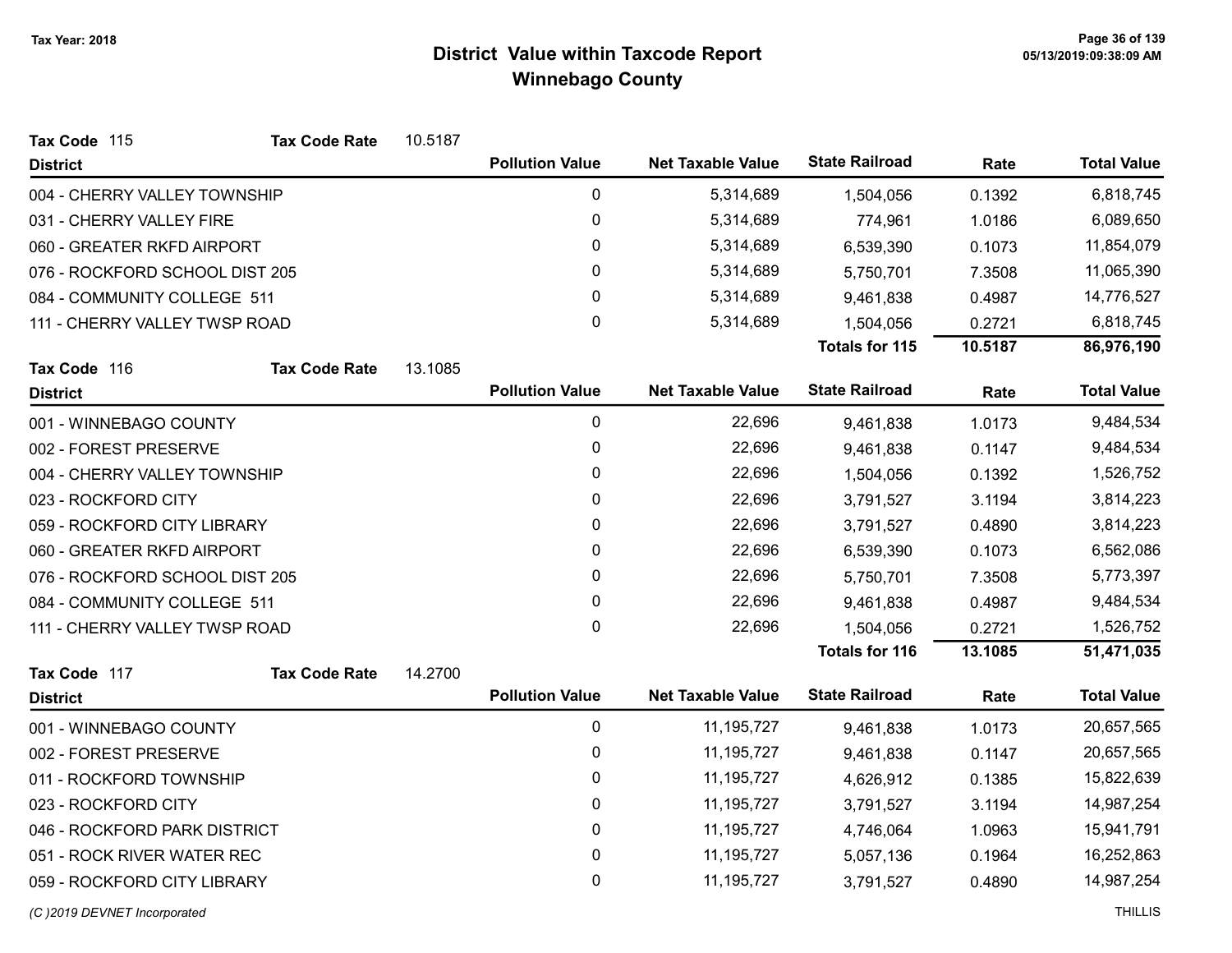| Tax Code 115                    | <b>Tax Code Rate</b> | 10.5187 |                        |                          |                       |         |                    |
|---------------------------------|----------------------|---------|------------------------|--------------------------|-----------------------|---------|--------------------|
| <b>District</b>                 |                      |         | <b>Pollution Value</b> | <b>Net Taxable Value</b> | <b>State Railroad</b> | Rate    | <b>Total Value</b> |
| 004 - CHERRY VALLEY TOWNSHIP    |                      |         | $\pmb{0}$              | 5,314,689                | 1,504,056             | 0.1392  | 6,818,745          |
| 031 - CHERRY VALLEY FIRE        |                      |         | $\mathbf 0$            | 5,314,689                | 774,961               | 1.0186  | 6,089,650          |
| 060 - GREATER RKFD AIRPORT      |                      |         | 0                      | 5,314,689                | 6,539,390             | 0.1073  | 11,854,079         |
| 076 - ROCKFORD SCHOOL DIST 205  |                      |         | $\pmb{0}$              | 5,314,689                | 5,750,701             | 7.3508  | 11,065,390         |
| 084 - COMMUNITY COLLEGE 511     |                      |         | 0                      | 5,314,689                | 9,461,838             | 0.4987  | 14,776,527         |
| 111 - CHERRY VALLEY TWSP ROAD   |                      |         | 0                      | 5,314,689                | 1,504,056             | 0.2721  | 6,818,745          |
|                                 |                      |         |                        |                          | <b>Totals for 115</b> | 10.5187 | 86,976,190         |
| Tax Code 116<br><b>District</b> | <b>Tax Code Rate</b> | 13.1085 | <b>Pollution Value</b> | <b>Net Taxable Value</b> | <b>State Railroad</b> | Rate    | <b>Total Value</b> |
| 001 - WINNEBAGO COUNTY          |                      |         | $\mathbf 0$            | 22,696                   | 9,461,838             | 1.0173  | 9,484,534          |
| 002 - FOREST PRESERVE           |                      |         | $\mathbf 0$            | 22,696                   | 9,461,838             | 0.1147  | 9,484,534          |
| 004 - CHERRY VALLEY TOWNSHIP    |                      |         | 0                      | 22,696                   | 1,504,056             | 0.1392  | 1,526,752          |
| 023 - ROCKFORD CITY             |                      |         | $\pmb{0}$              | 22,696                   | 3,791,527             | 3.1194  | 3,814,223          |
| 059 - ROCKFORD CITY LIBRARY     |                      |         | 0                      | 22,696                   | 3,791,527             | 0.4890  | 3,814,223          |
| 060 - GREATER RKFD AIRPORT      |                      |         | 0                      | 22,696                   | 6,539,390             | 0.1073  | 6,562,086          |
| 076 - ROCKFORD SCHOOL DIST 205  |                      |         | 0                      | 22,696                   | 5,750,701             | 7.3508  | 5,773,397          |
| 084 - COMMUNITY COLLEGE 511     |                      |         | $\pmb{0}$              | 22,696                   | 9,461,838             | 0.4987  | 9,484,534          |
| 111 - CHERRY VALLEY TWSP ROAD   |                      |         | 0                      | 22,696                   | 1,504,056             | 0.2721  | 1,526,752          |
|                                 |                      |         |                        |                          | <b>Totals for 116</b> | 13.1085 | 51,471,035         |
| Tax Code 117                    | <b>Tax Code Rate</b> | 14.2700 |                        |                          |                       |         |                    |
| <b>District</b>                 |                      |         | <b>Pollution Value</b> | <b>Net Taxable Value</b> | <b>State Railroad</b> | Rate    | <b>Total Value</b> |
| 001 - WINNEBAGO COUNTY          |                      |         | $\pmb{0}$              | 11, 195, 727             | 9,461,838             | 1.0173  | 20,657,565         |
| 002 - FOREST PRESERVE           |                      |         | $\mathbf 0$            | 11, 195, 727             | 9,461,838             | 0.1147  | 20,657,565         |
| 011 - ROCKFORD TOWNSHIP         |                      |         | $\mathbf 0$            | 11, 195, 727             | 4,626,912             | 0.1385  | 15,822,639         |
| 023 - ROCKFORD CITY             |                      |         | $\mathbf{0}$           | 11, 195, 727             | 3,791,527             | 3.1194  | 14,987,254         |
| 046 - ROCKFORD PARK DISTRICT    |                      |         | $\pmb{0}$              | 11, 195, 727             | 4,746,064             | 1.0963  | 15,941,791         |
| 051 - ROCK RIVER WATER REC      |                      |         | 0                      | 11, 195, 727             | 5,057,136             | 0.1964  | 16,252,863         |
| 059 - ROCKFORD CITY LIBRARY     |                      |         | 0                      | 11, 195, 727             | 3,791,527             | 0.4890  | 14,987,254         |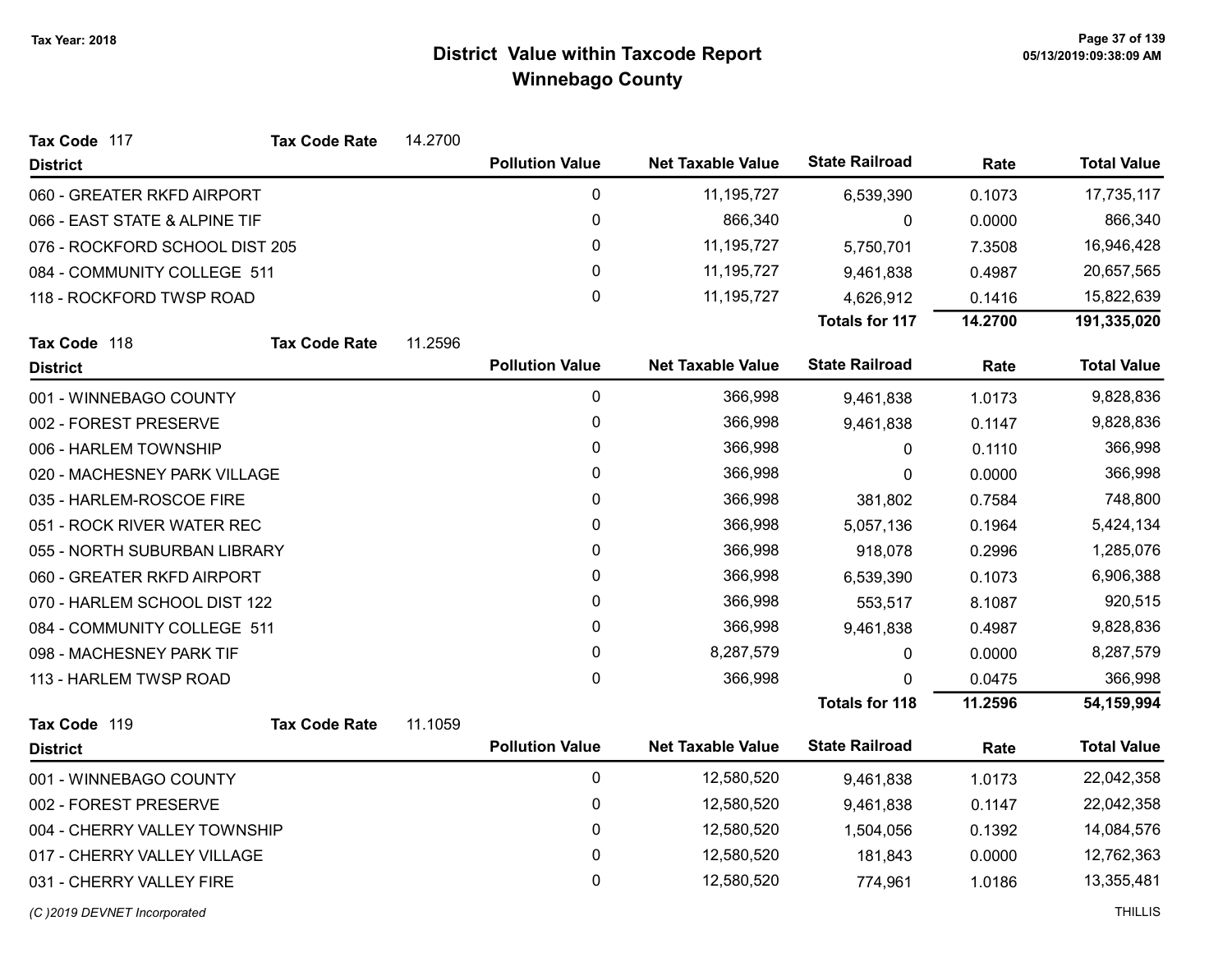| Tax Code 117                   | <b>Tax Code Rate</b> | 14.2700 |                        |                          |                       |         |                    |
|--------------------------------|----------------------|---------|------------------------|--------------------------|-----------------------|---------|--------------------|
| <b>District</b>                |                      |         | <b>Pollution Value</b> | <b>Net Taxable Value</b> | <b>State Railroad</b> | Rate    | <b>Total Value</b> |
| 060 - GREATER RKFD AIRPORT     |                      |         | 0                      | 11, 195, 727             | 6,539,390             | 0.1073  | 17,735,117         |
| 066 - EAST STATE & ALPINE TIF  |                      |         | 0                      | 866,340                  | 0                     | 0.0000  | 866,340            |
| 076 - ROCKFORD SCHOOL DIST 205 |                      |         | 0                      | 11, 195, 727             | 5,750,701             | 7.3508  | 16,946,428         |
| 084 - COMMUNITY COLLEGE 511    |                      |         | 0                      | 11, 195, 727             | 9,461,838             | 0.4987  | 20,657,565         |
| 118 - ROCKFORD TWSP ROAD       |                      |         | 0                      | 11, 195, 727             | 4,626,912             | 0.1416  | 15,822,639         |
|                                |                      |         |                        |                          | <b>Totals for 117</b> | 14.2700 | 191,335,020        |
| Tax Code 118                   | <b>Tax Code Rate</b> | 11.2596 |                        |                          |                       |         |                    |
| <b>District</b>                |                      |         | <b>Pollution Value</b> | <b>Net Taxable Value</b> | <b>State Railroad</b> | Rate    | <b>Total Value</b> |
| 001 - WINNEBAGO COUNTY         |                      |         | $\pmb{0}$              | 366,998                  | 9,461,838             | 1.0173  | 9,828,836          |
| 002 - FOREST PRESERVE          |                      |         | 0                      | 366,998                  | 9,461,838             | 0.1147  | 9,828,836          |
| 006 - HARLEM TOWNSHIP          |                      |         | 0                      | 366,998                  | 0                     | 0.1110  | 366,998            |
| 020 - MACHESNEY PARK VILLAGE   |                      |         | 0                      | 366,998                  | 0                     | 0.0000  | 366,998            |
| 035 - HARLEM-ROSCOE FIRE       |                      |         | 0                      | 366,998                  | 381,802               | 0.7584  | 748,800            |
| 051 - ROCK RIVER WATER REC     |                      |         | 0                      | 366,998                  | 5,057,136             | 0.1964  | 5,424,134          |
| 055 - NORTH SUBURBAN LIBRARY   |                      |         | 0                      | 366,998                  | 918,078               | 0.2996  | 1,285,076          |
| 060 - GREATER RKFD AIRPORT     |                      |         | 0                      | 366,998                  | 6,539,390             | 0.1073  | 6,906,388          |
| 070 - HARLEM SCHOOL DIST 122   |                      |         | 0                      | 366,998                  | 553,517               | 8.1087  | 920,515            |
| 084 - COMMUNITY COLLEGE 511    |                      |         | 0                      | 366,998                  | 9,461,838             | 0.4987  | 9,828,836          |
| 098 - MACHESNEY PARK TIF       |                      |         | 0                      | 8,287,579                | 0                     | 0.0000  | 8,287,579          |
| 113 - HARLEM TWSP ROAD         |                      |         | 0                      | 366,998                  | 0                     | 0.0475  | 366,998            |
|                                |                      |         |                        |                          | <b>Totals for 118</b> | 11.2596 | 54,159,994         |
| Tax Code 119                   | <b>Tax Code Rate</b> | 11.1059 |                        |                          |                       |         |                    |
| <b>District</b>                |                      |         | <b>Pollution Value</b> | <b>Net Taxable Value</b> | <b>State Railroad</b> | Rate    | <b>Total Value</b> |
| 001 - WINNEBAGO COUNTY         |                      |         | 0                      | 12,580,520               | 9,461,838             | 1.0173  | 22,042,358         |
| 002 - FOREST PRESERVE          |                      |         | 0                      | 12,580,520               | 9,461,838             | 0.1147  | 22,042,358         |
| 004 - CHERRY VALLEY TOWNSHIP   |                      |         | 0                      | 12,580,520               | 1,504,056             | 0.1392  | 14,084,576         |
| 017 - CHERRY VALLEY VILLAGE    |                      |         | 0                      | 12,580,520               | 181,843               | 0.0000  | 12,762,363         |
| 031 - CHERRY VALLEY FIRE       |                      |         | 0                      | 12,580,520               | 774,961               | 1.0186  | 13,355,481         |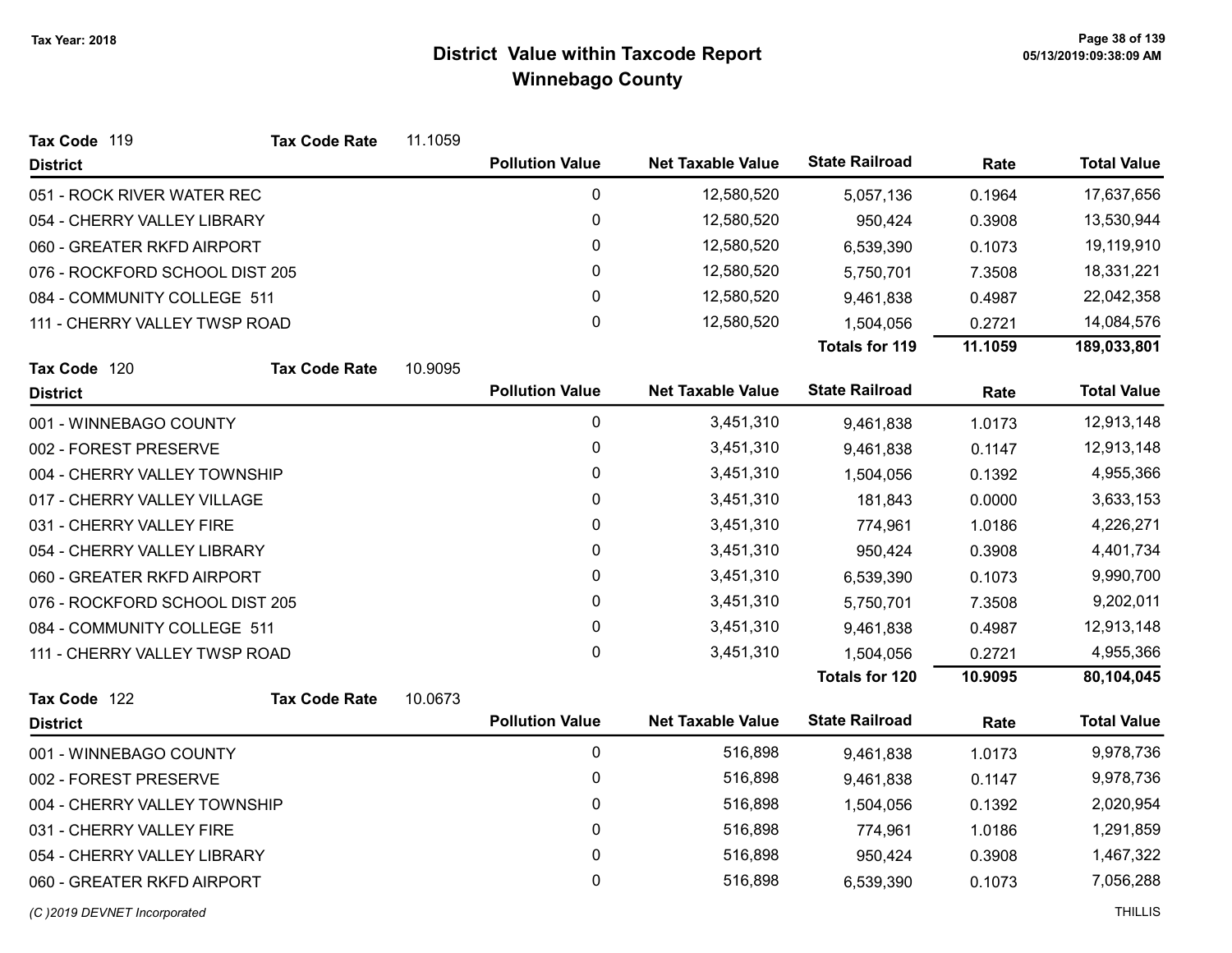| Tax Code 119<br><b>Tax Code Rate</b> | 11.1059 |                        |                          |                       |         |                    |
|--------------------------------------|---------|------------------------|--------------------------|-----------------------|---------|--------------------|
| <b>District</b>                      |         | <b>Pollution Value</b> | <b>Net Taxable Value</b> | <b>State Railroad</b> | Rate    | <b>Total Value</b> |
| 051 - ROCK RIVER WATER REC           |         | 0                      | 12,580,520               | 5,057,136             | 0.1964  | 17,637,656         |
| 054 - CHERRY VALLEY LIBRARY          |         | $\pmb{0}$              | 12,580,520               | 950,424               | 0.3908  | 13,530,944         |
| 060 - GREATER RKFD AIRPORT           |         | 0                      | 12,580,520               | 6,539,390             | 0.1073  | 19,119,910         |
| 076 - ROCKFORD SCHOOL DIST 205       |         | 0                      | 12,580,520               | 5,750,701             | 7.3508  | 18,331,221         |
| 084 - COMMUNITY COLLEGE 511          |         | 0                      | 12,580,520               | 9,461,838             | 0.4987  | 22,042,358         |
| 111 - CHERRY VALLEY TWSP ROAD        |         | 0                      | 12,580,520               | 1,504,056             | 0.2721  | 14,084,576         |
|                                      |         |                        |                          | <b>Totals for 119</b> | 11.1059 | 189,033,801        |
| Tax Code 120<br><b>Tax Code Rate</b> | 10.9095 |                        |                          |                       |         |                    |
| <b>District</b>                      |         | <b>Pollution Value</b> | <b>Net Taxable Value</b> | <b>State Railroad</b> | Rate    | <b>Total Value</b> |
| 001 - WINNEBAGO COUNTY               |         | $\mathbf 0$            | 3,451,310                | 9,461,838             | 1.0173  | 12,913,148         |
| 002 - FOREST PRESERVE                |         | 0                      | 3,451,310                | 9,461,838             | 0.1147  | 12,913,148         |
| 004 - CHERRY VALLEY TOWNSHIP         |         | 0                      | 3,451,310                | 1,504,056             | 0.1392  | 4,955,366          |
| 017 - CHERRY VALLEY VILLAGE          |         | 0                      | 3,451,310                | 181,843               | 0.0000  | 3,633,153          |
| 031 - CHERRY VALLEY FIRE             |         | 0                      | 3,451,310                | 774,961               | 1.0186  | 4,226,271          |
| 054 - CHERRY VALLEY LIBRARY          |         | 0                      | 3,451,310                | 950,424               | 0.3908  | 4,401,734          |
| 060 - GREATER RKFD AIRPORT           |         | 0                      | 3,451,310                | 6,539,390             | 0.1073  | 9,990,700          |
| 076 - ROCKFORD SCHOOL DIST 205       |         | 0                      | 3,451,310                | 5,750,701             | 7.3508  | 9,202,011          |
| 084 - COMMUNITY COLLEGE 511          |         | 0                      | 3,451,310                | 9,461,838             | 0.4987  | 12,913,148         |
| 111 - CHERRY VALLEY TWSP ROAD        |         | 0                      | 3,451,310                | 1,504,056             | 0.2721  | 4,955,366          |
|                                      |         |                        |                          | <b>Totals for 120</b> | 10.9095 | 80,104,045         |
| Tax Code 122<br><b>Tax Code Rate</b> | 10.0673 |                        |                          |                       |         |                    |
| <b>District</b>                      |         | <b>Pollution Value</b> | <b>Net Taxable Value</b> | <b>State Railroad</b> | Rate    | <b>Total Value</b> |
| 001 - WINNEBAGO COUNTY               |         | $\mathbf 0$            | 516,898                  | 9,461,838             | 1.0173  | 9,978,736          |
| 002 - FOREST PRESERVE                |         | 0                      | 516,898                  | 9,461,838             | 0.1147  | 9,978,736          |
| 004 - CHERRY VALLEY TOWNSHIP         |         | 0                      | 516,898                  | 1,504,056             | 0.1392  | 2,020,954          |
| 031 - CHERRY VALLEY FIRE             |         | 0                      | 516,898                  | 774,961               | 1.0186  | 1,291,859          |
| 054 - CHERRY VALLEY LIBRARY          |         | 0                      | 516,898                  | 950,424               | 0.3908  | 1,467,322          |
| 060 - GREATER RKFD AIRPORT           |         | 0                      | 516,898                  | 6,539,390             | 0.1073  | 7,056,288          |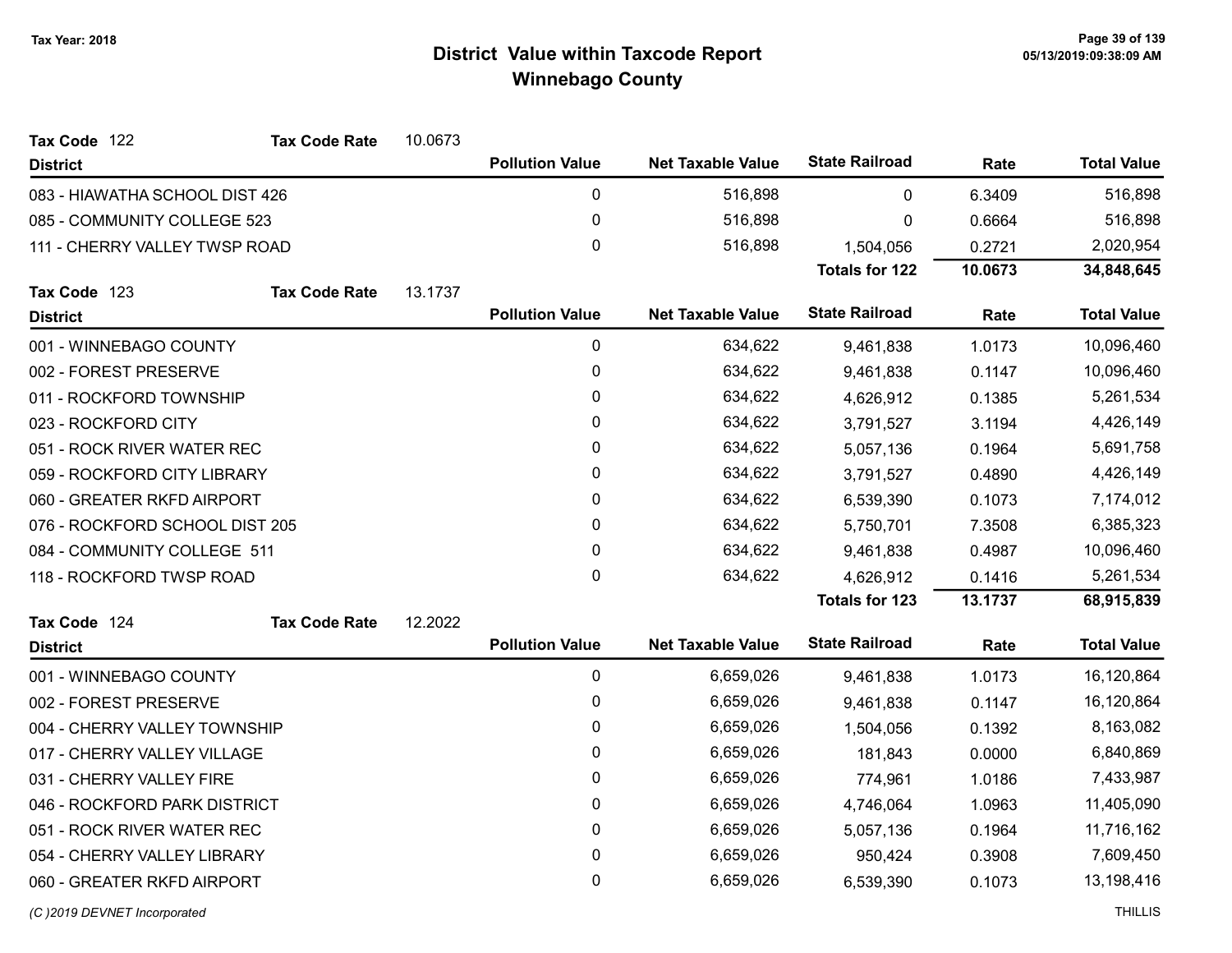| <b>Tax Code Rate</b><br>Tax Code 122 | 10.0673 |                        |                          |                       |         |                    |
|--------------------------------------|---------|------------------------|--------------------------|-----------------------|---------|--------------------|
| <b>District</b>                      |         | <b>Pollution Value</b> | <b>Net Taxable Value</b> | <b>State Railroad</b> | Rate    | <b>Total Value</b> |
| 083 - HIAWATHA SCHOOL DIST 426       |         | 0                      | 516,898                  | 0                     | 6.3409  | 516,898            |
| 085 - COMMUNITY COLLEGE 523          |         | 0                      | 516,898                  | 0                     | 0.6664  | 516,898            |
| 111 - CHERRY VALLEY TWSP ROAD        |         | 0                      | 516,898                  | 1,504,056             | 0.2721  | 2,020,954          |
|                                      |         |                        |                          | <b>Totals for 122</b> | 10.0673 | 34,848,645         |
| Tax Code 123<br><b>Tax Code Rate</b> | 13.1737 |                        |                          |                       |         |                    |
| <b>District</b>                      |         | <b>Pollution Value</b> | <b>Net Taxable Value</b> | <b>State Railroad</b> | Rate    | <b>Total Value</b> |
| 001 - WINNEBAGO COUNTY               |         | $\pmb{0}$              | 634,622                  | 9,461,838             | 1.0173  | 10,096,460         |
| 002 - FOREST PRESERVE                |         | 0                      | 634,622                  | 9,461,838             | 0.1147  | 10,096,460         |
| 011 - ROCKFORD TOWNSHIP              |         | 0                      | 634,622                  | 4,626,912             | 0.1385  | 5,261,534          |
| 023 - ROCKFORD CITY                  |         | 0                      | 634,622                  | 3,791,527             | 3.1194  | 4,426,149          |
| 051 - ROCK RIVER WATER REC           |         | 0                      | 634,622                  | 5,057,136             | 0.1964  | 5,691,758          |
| 059 - ROCKFORD CITY LIBRARY          |         | 0                      | 634,622                  | 3,791,527             | 0.4890  | 4,426,149          |
| 060 - GREATER RKFD AIRPORT           |         | 0                      | 634,622                  | 6,539,390             | 0.1073  | 7,174,012          |
| 076 - ROCKFORD SCHOOL DIST 205       |         | 0                      | 634,622                  | 5,750,701             | 7.3508  | 6,385,323          |
| 084 - COMMUNITY COLLEGE 511          |         | 0                      | 634,622                  | 9,461,838             | 0.4987  | 10,096,460         |
| 118 - ROCKFORD TWSP ROAD             |         | 0                      | 634,622                  | 4,626,912             | 0.1416  | 5,261,534          |
|                                      |         |                        |                          | <b>Totals for 123</b> | 13.1737 | 68,915,839         |
| Tax Code 124<br><b>Tax Code Rate</b> | 12.2022 |                        |                          |                       |         |                    |
| <b>District</b>                      |         | <b>Pollution Value</b> | <b>Net Taxable Value</b> | <b>State Railroad</b> | Rate    | <b>Total Value</b> |
| 001 - WINNEBAGO COUNTY               |         | $\pmb{0}$              | 6,659,026                | 9,461,838             | 1.0173  | 16,120,864         |
| 002 - FOREST PRESERVE                |         | 0                      | 6,659,026                | 9,461,838             | 0.1147  | 16,120,864         |
| 004 - CHERRY VALLEY TOWNSHIP         |         | 0                      | 6,659,026                | 1,504,056             | 0.1392  | 8,163,082          |
| 017 - CHERRY VALLEY VILLAGE          |         | 0                      | 6,659,026                | 181,843               | 0.0000  | 6,840,869          |
| 031 - CHERRY VALLEY FIRE             |         | 0                      | 6,659,026                | 774,961               | 1.0186  | 7,433,987          |
| 046 - ROCKFORD PARK DISTRICT         |         | 0                      | 6,659,026                | 4,746,064             | 1.0963  | 11,405,090         |
| 051 - ROCK RIVER WATER REC           |         | 0                      | 6,659,026                | 5,057,136             | 0.1964  | 11,716,162         |
| 054 - CHERRY VALLEY LIBRARY          |         | 0                      | 6,659,026                | 950,424               | 0.3908  | 7,609,450          |
| 060 - GREATER RKFD AIRPORT           |         | 0                      | 6,659,026                | 6,539,390             | 0.1073  | 13,198,416         |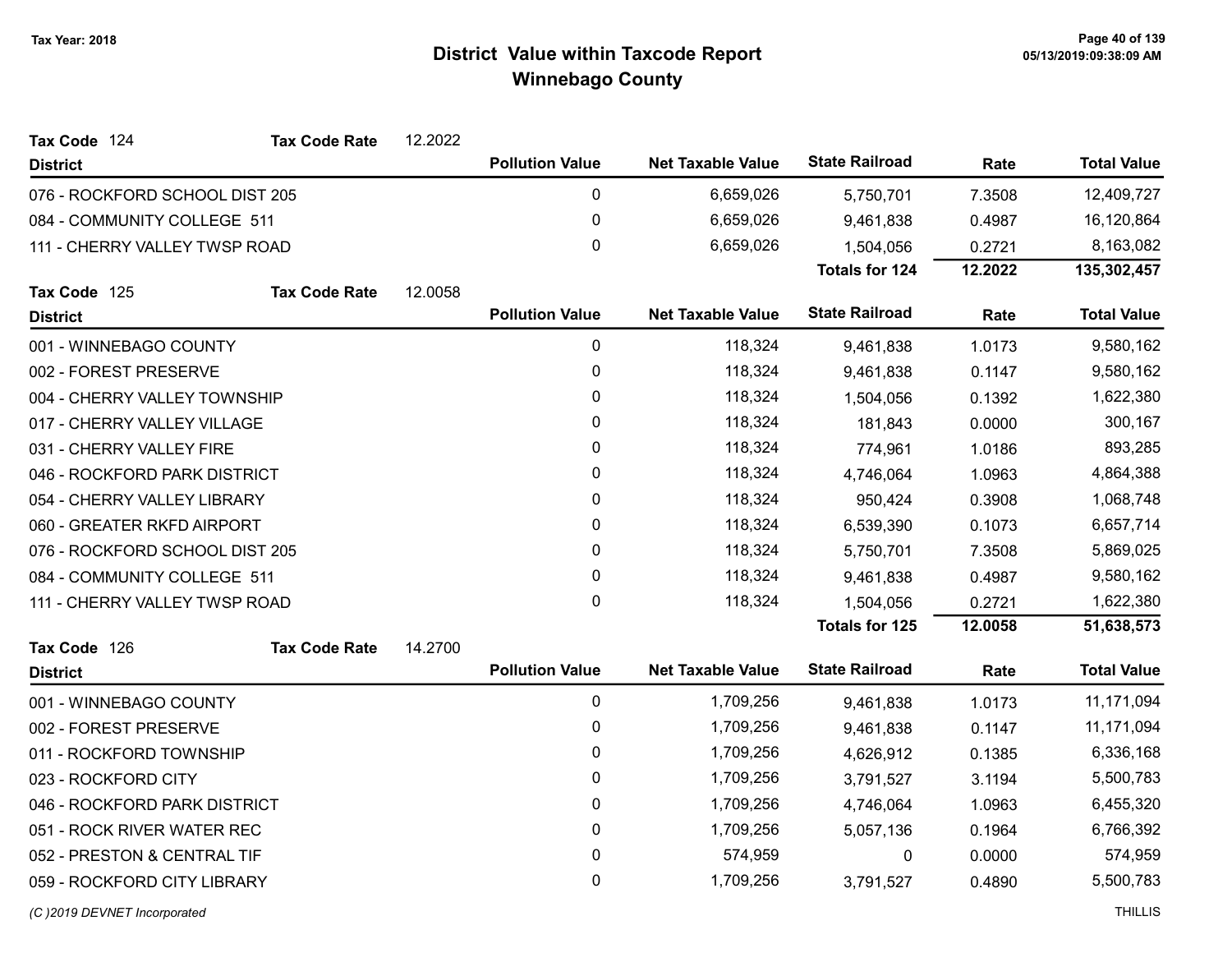| Tax Code 124                   | <b>Tax Code Rate</b> | 12.2022 |                        |                          |                       |         |                    |
|--------------------------------|----------------------|---------|------------------------|--------------------------|-----------------------|---------|--------------------|
| <b>District</b>                |                      |         | <b>Pollution Value</b> | <b>Net Taxable Value</b> | <b>State Railroad</b> | Rate    | <b>Total Value</b> |
| 076 - ROCKFORD SCHOOL DIST 205 |                      |         | $\mathbf 0$            | 6,659,026                | 5,750,701             | 7.3508  | 12,409,727         |
| 084 - COMMUNITY COLLEGE 511    |                      |         | 0                      | 6,659,026                | 9,461,838             | 0.4987  | 16,120,864         |
| 111 - CHERRY VALLEY TWSP ROAD  |                      |         | $\mathbf{0}$           | 6,659,026                | 1,504,056             | 0.2721  | 8,163,082          |
|                                |                      |         |                        |                          | <b>Totals for 124</b> | 12.2022 | 135,302,457        |
| Tax Code 125                   | <b>Tax Code Rate</b> | 12.0058 |                        |                          |                       |         |                    |
| <b>District</b>                |                      |         | <b>Pollution Value</b> | <b>Net Taxable Value</b> | <b>State Railroad</b> | Rate    | <b>Total Value</b> |
| 001 - WINNEBAGO COUNTY         |                      |         | 0                      | 118,324                  | 9,461,838             | 1.0173  | 9,580,162          |
| 002 - FOREST PRESERVE          |                      |         | 0                      | 118,324                  | 9,461,838             | 0.1147  | 9,580,162          |
| 004 - CHERRY VALLEY TOWNSHIP   |                      |         | 0                      | 118,324                  | 1,504,056             | 0.1392  | 1,622,380          |
| 017 - CHERRY VALLEY VILLAGE    |                      |         | $\mathbf{0}$           | 118,324                  | 181,843               | 0.0000  | 300,167            |
| 031 - CHERRY VALLEY FIRE       |                      |         | 0                      | 118,324                  | 774,961               | 1.0186  | 893,285            |
| 046 - ROCKFORD PARK DISTRICT   |                      |         | 0                      | 118,324                  | 4,746,064             | 1.0963  | 4,864,388          |
| 054 - CHERRY VALLEY LIBRARY    |                      |         | 0                      | 118,324                  | 950,424               | 0.3908  | 1,068,748          |
| 060 - GREATER RKFD AIRPORT     |                      |         | 0                      | 118,324                  | 6,539,390             | 0.1073  | 6,657,714          |
| 076 - ROCKFORD SCHOOL DIST 205 |                      |         | 0                      | 118,324                  | 5,750,701             | 7.3508  | 5,869,025          |
| 084 - COMMUNITY COLLEGE 511    |                      |         | 0                      | 118,324                  | 9,461,838             | 0.4987  | 9,580,162          |
| 111 - CHERRY VALLEY TWSP ROAD  |                      |         | $\mathbf{0}$           | 118,324                  | 1,504,056             | 0.2721  | 1,622,380          |
|                                |                      |         |                        |                          | <b>Totals for 125</b> | 12.0058 | 51,638,573         |
| Tax Code 126                   | <b>Tax Code Rate</b> | 14.2700 |                        |                          |                       |         |                    |
| <b>District</b>                |                      |         | <b>Pollution Value</b> | <b>Net Taxable Value</b> | <b>State Railroad</b> | Rate    | <b>Total Value</b> |
| 001 - WINNEBAGO COUNTY         |                      |         | 0                      | 1,709,256                | 9,461,838             | 1.0173  | 11,171,094         |
| 002 - FOREST PRESERVE          |                      |         | $\mathbf 0$            | 1,709,256                | 9,461,838             | 0.1147  | 11,171,094         |
| 011 - ROCKFORD TOWNSHIP        |                      |         | 0                      | 1,709,256                | 4,626,912             | 0.1385  | 6,336,168          |
| 023 - ROCKFORD CITY            |                      |         | 0                      | 1,709,256                | 3,791,527             | 3.1194  | 5,500,783          |
| 046 - ROCKFORD PARK DISTRICT   |                      |         | 0                      | 1,709,256                | 4,746,064             | 1.0963  | 6,455,320          |
| 051 - ROCK RIVER WATER REC     |                      |         | $\mathbf 0$            | 1,709,256                | 5,057,136             | 0.1964  | 6,766,392          |
| 052 - PRESTON & CENTRAL TIF    |                      |         | 0                      | 574,959                  | 0                     | 0.0000  | 574,959            |
| 059 - ROCKFORD CITY LIBRARY    |                      |         | 0                      | 1,709,256                | 3,791,527             | 0.4890  | 5,500,783          |
| (C) 2019 DEVNET Incorporated   |                      |         |                        |                          |                       |         | <b>THILLIS</b>     |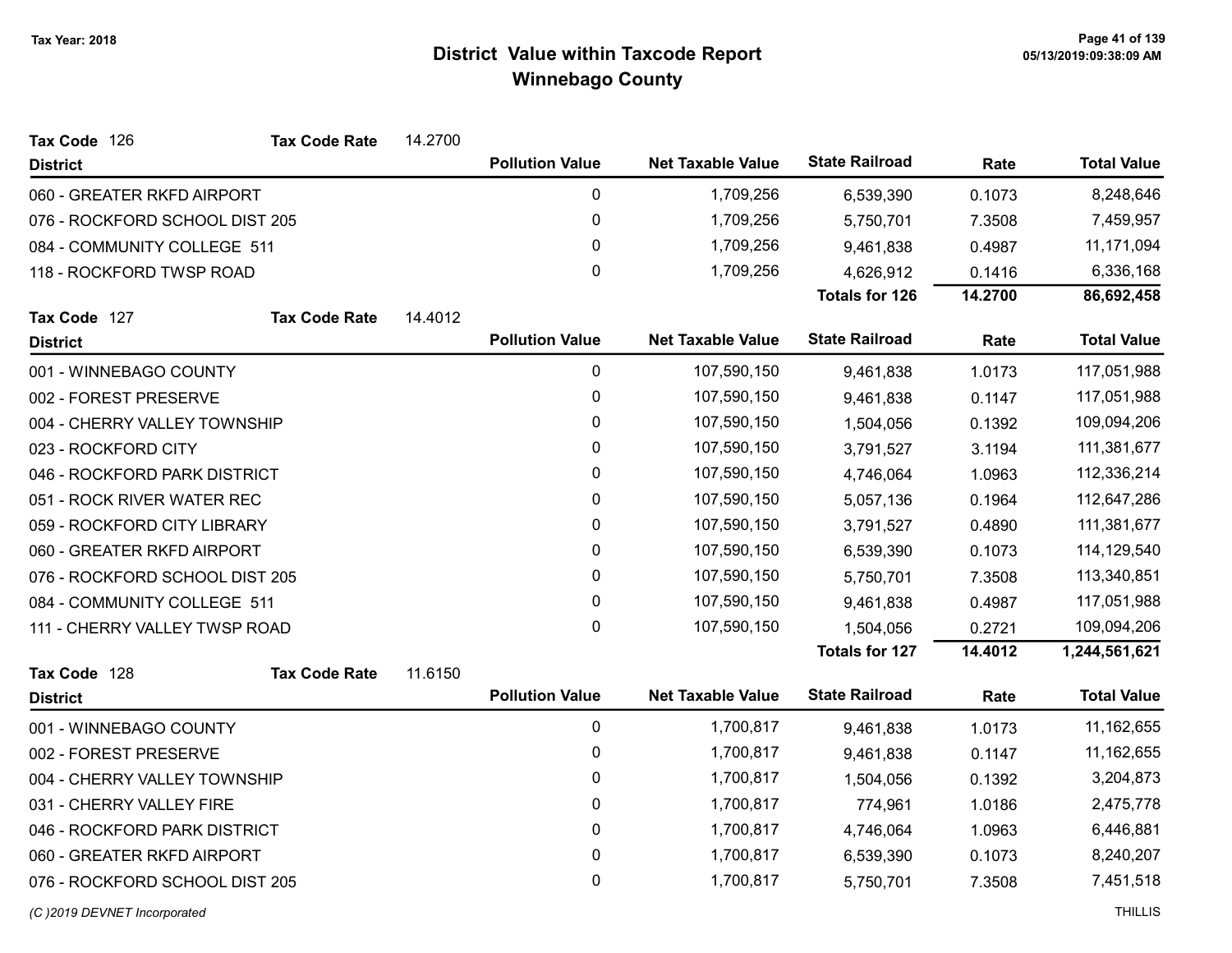| Tax Code 126                   | <b>Tax Code Rate</b> | 14.2700 |                        |                          |                       |         |                    |
|--------------------------------|----------------------|---------|------------------------|--------------------------|-----------------------|---------|--------------------|
| <b>District</b>                |                      |         | <b>Pollution Value</b> | <b>Net Taxable Value</b> | <b>State Railroad</b> | Rate    | <b>Total Value</b> |
| 060 - GREATER RKFD AIRPORT     |                      |         | 0                      | 1,709,256                | 6,539,390             | 0.1073  | 8,248,646          |
| 076 - ROCKFORD SCHOOL DIST 205 |                      |         | $\pmb{0}$              | 1,709,256                | 5,750,701             | 7.3508  | 7,459,957          |
| 084 - COMMUNITY COLLEGE 511    |                      |         | 0                      | 1,709,256                | 9,461,838             | 0.4987  | 11,171,094         |
| 118 - ROCKFORD TWSP ROAD       |                      |         | 0                      | 1,709,256                | 4,626,912             | 0.1416  | 6,336,168          |
|                                |                      |         |                        |                          | <b>Totals for 126</b> | 14.2700 | 86,692,458         |
| Tax Code 127                   | <b>Tax Code Rate</b> | 14.4012 |                        |                          |                       |         |                    |
| <b>District</b>                |                      |         | <b>Pollution Value</b> | <b>Net Taxable Value</b> | <b>State Railroad</b> | Rate    | <b>Total Value</b> |
| 001 - WINNEBAGO COUNTY         |                      |         | 0                      | 107,590,150              | 9,461,838             | 1.0173  | 117,051,988        |
| 002 - FOREST PRESERVE          |                      |         | 0                      | 107,590,150              | 9,461,838             | 0.1147  | 117,051,988        |
| 004 - CHERRY VALLEY TOWNSHIP   |                      |         | 0                      | 107,590,150              | 1,504,056             | 0.1392  | 109,094,206        |
| 023 - ROCKFORD CITY            |                      |         | 0                      | 107,590,150              | 3,791,527             | 3.1194  | 111,381,677        |
| 046 - ROCKFORD PARK DISTRICT   |                      |         | 0                      | 107,590,150              | 4,746,064             | 1.0963  | 112,336,214        |
| 051 - ROCK RIVER WATER REC     |                      |         | 0                      | 107,590,150              | 5,057,136             | 0.1964  | 112,647,286        |
| 059 - ROCKFORD CITY LIBRARY    |                      |         | 0                      | 107,590,150              | 3,791,527             | 0.4890  | 111,381,677        |
| 060 - GREATER RKFD AIRPORT     |                      |         | 0                      | 107,590,150              | 6,539,390             | 0.1073  | 114,129,540        |
| 076 - ROCKFORD SCHOOL DIST 205 |                      |         | 0                      | 107,590,150              | 5,750,701             | 7.3508  | 113,340,851        |
| 084 - COMMUNITY COLLEGE 511    |                      |         | 0                      | 107,590,150              | 9,461,838             | 0.4987  | 117,051,988        |
| 111 - CHERRY VALLEY TWSP ROAD  |                      |         | 0                      | 107,590,150              | 1,504,056             | 0.2721  | 109,094,206        |
|                                |                      |         |                        |                          | <b>Totals for 127</b> | 14.4012 | 1,244,561,621      |
| Tax Code 128                   | <b>Tax Code Rate</b> | 11.6150 |                        |                          |                       |         |                    |
| <b>District</b>                |                      |         | <b>Pollution Value</b> | <b>Net Taxable Value</b> | <b>State Railroad</b> | Rate    | <b>Total Value</b> |
| 001 - WINNEBAGO COUNTY         |                      |         | $\mathbf 0$            | 1,700,817                | 9,461,838             | 1.0173  | 11,162,655         |
| 002 - FOREST PRESERVE          |                      |         | 0                      | 1,700,817                | 9,461,838             | 0.1147  | 11,162,655         |
| 004 - CHERRY VALLEY TOWNSHIP   |                      |         | 0                      | 1,700,817                | 1,504,056             | 0.1392  | 3,204,873          |
| 031 - CHERRY VALLEY FIRE       |                      |         | 0                      | 1,700,817                | 774,961               | 1.0186  | 2,475,778          |
| 046 - ROCKFORD PARK DISTRICT   |                      |         | 0                      | 1,700,817                | 4,746,064             | 1.0963  | 6,446,881          |
| 060 - GREATER RKFD AIRPORT     |                      |         | $\pmb{0}$              | 1,700,817                | 6,539,390             | 0.1073  | 8,240,207          |
| 076 - ROCKFORD SCHOOL DIST 205 |                      |         | 0                      | 1,700,817                | 5,750,701             | 7.3508  | 7,451,518          |
| (C) 2019 DEVNET Incorporated   |                      |         |                        |                          |                       |         | <b>THILLIS</b>     |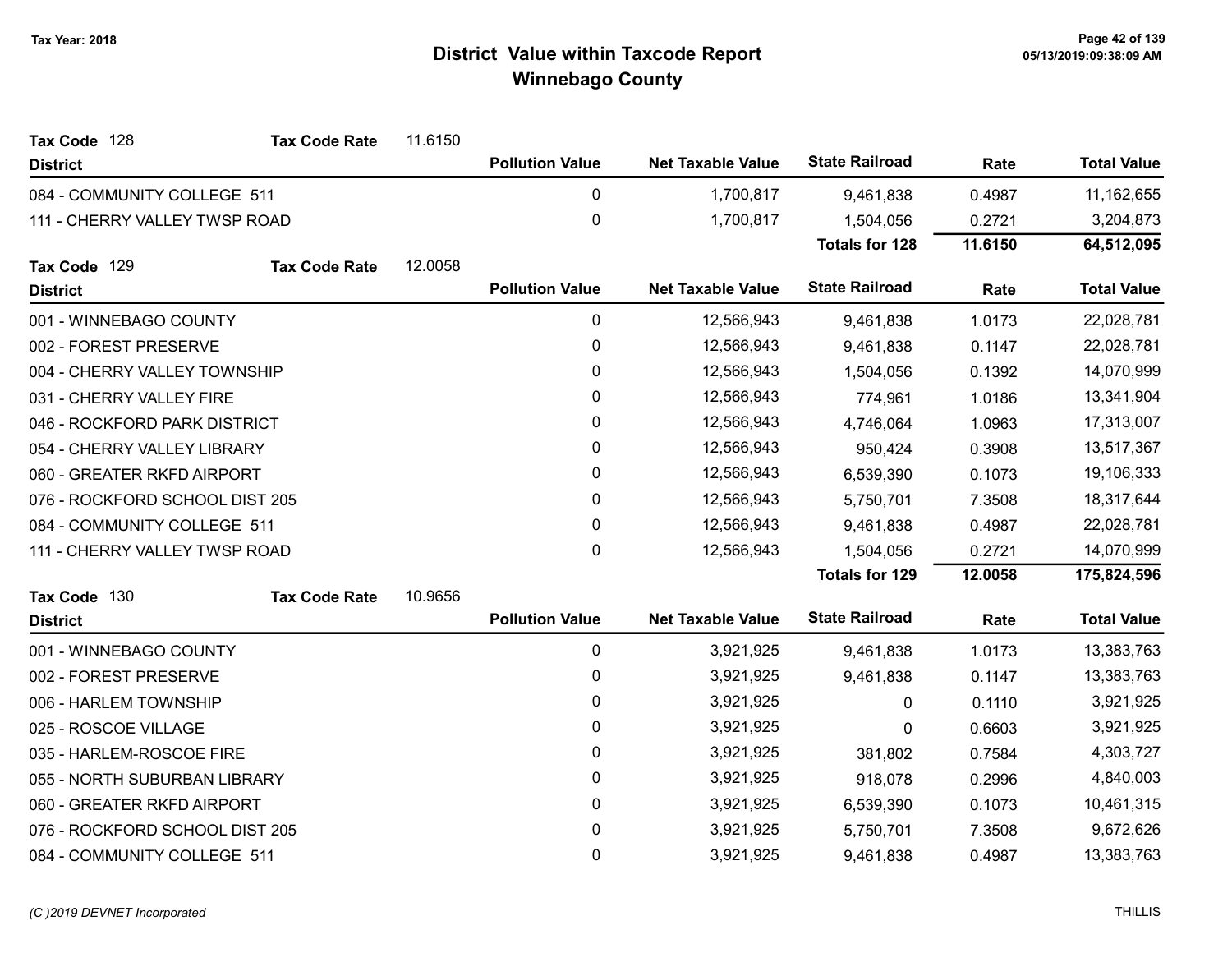| Tax Code 128                   | <b>Tax Code Rate</b> | 11.6150 |                        |                          |                       |         |                    |
|--------------------------------|----------------------|---------|------------------------|--------------------------|-----------------------|---------|--------------------|
| <b>District</b>                |                      |         | <b>Pollution Value</b> | <b>Net Taxable Value</b> | <b>State Railroad</b> | Rate    | <b>Total Value</b> |
| 084 - COMMUNITY COLLEGE 511    |                      |         | 0                      | 1,700,817                | 9,461,838             | 0.4987  | 11, 162, 655       |
| 111 - CHERRY VALLEY TWSP ROAD  |                      |         | 0                      | 1,700,817                | 1,504,056             | 0.2721  | 3,204,873          |
|                                |                      |         |                        |                          | <b>Totals for 128</b> | 11.6150 | 64,512,095         |
| Tax Code 129                   | <b>Tax Code Rate</b> | 12.0058 |                        |                          |                       |         |                    |
| <b>District</b>                |                      |         | <b>Pollution Value</b> | <b>Net Taxable Value</b> | <b>State Railroad</b> | Rate    | <b>Total Value</b> |
| 001 - WINNEBAGO COUNTY         |                      |         | 0                      | 12,566,943               | 9,461,838             | 1.0173  | 22,028,781         |
| 002 - FOREST PRESERVE          |                      |         | $\mathbf 0$            | 12,566,943               | 9,461,838             | 0.1147  | 22,028,781         |
| 004 - CHERRY VALLEY TOWNSHIP   |                      |         | 0                      | 12,566,943               | 1,504,056             | 0.1392  | 14,070,999         |
| 031 - CHERRY VALLEY FIRE       |                      |         | 0                      | 12,566,943               | 774,961               | 1.0186  | 13,341,904         |
| 046 - ROCKFORD PARK DISTRICT   |                      |         | 0                      | 12,566,943               | 4,746,064             | 1.0963  | 17,313,007         |
| 054 - CHERRY VALLEY LIBRARY    |                      |         | 0                      | 12,566,943               | 950,424               | 0.3908  | 13,517,367         |
| 060 - GREATER RKFD AIRPORT     |                      |         | 0                      | 12,566,943               | 6,539,390             | 0.1073  | 19,106,333         |
| 076 - ROCKFORD SCHOOL DIST 205 |                      |         | 0                      | 12,566,943               | 5,750,701             | 7.3508  | 18,317,644         |
| 084 - COMMUNITY COLLEGE 511    |                      |         | $\pmb{0}$              | 12,566,943               | 9,461,838             | 0.4987  | 22,028,781         |
| 111 - CHERRY VALLEY TWSP ROAD  |                      |         | 0                      | 12,566,943               | 1,504,056             | 0.2721  | 14,070,999         |
|                                |                      |         |                        |                          | <b>Totals for 129</b> | 12.0058 | 175,824,596        |
| Tax Code 130                   | <b>Tax Code Rate</b> | 10.9656 |                        |                          |                       |         |                    |
| <b>District</b>                |                      |         | <b>Pollution Value</b> | <b>Net Taxable Value</b> | <b>State Railroad</b> | Rate    | <b>Total Value</b> |
| 001 - WINNEBAGO COUNTY         |                      |         | $\mathbf 0$            | 3,921,925                | 9,461,838             | 1.0173  | 13,383,763         |
| 002 - FOREST PRESERVE          |                      |         | 0                      | 3,921,925                | 9,461,838             | 0.1147  | 13,383,763         |
| 006 - HARLEM TOWNSHIP          |                      |         | 0                      | 3,921,925                | 0                     | 0.1110  | 3,921,925          |
| 025 - ROSCOE VILLAGE           |                      |         | 0                      | 3,921,925                | 0                     | 0.6603  | 3,921,925          |
| 035 - HARLEM-ROSCOE FIRE       |                      |         | 0                      | 3,921,925                | 381,802               | 0.7584  | 4,303,727          |
| 055 - NORTH SUBURBAN LIBRARY   |                      |         | $\pmb{0}$              | 3,921,925                | 918,078               | 0.2996  | 4,840,003          |
| 060 - GREATER RKFD AIRPORT     |                      |         | 0                      | 3,921,925                | 6,539,390             | 0.1073  | 10,461,315         |
| 076 - ROCKFORD SCHOOL DIST 205 |                      |         | 0                      | 3,921,925                | 5,750,701             | 7.3508  | 9,672,626          |
| 084 - COMMUNITY COLLEGE 511    |                      |         | 0                      | 3,921,925                | 9,461,838             | 0.4987  | 13,383,763         |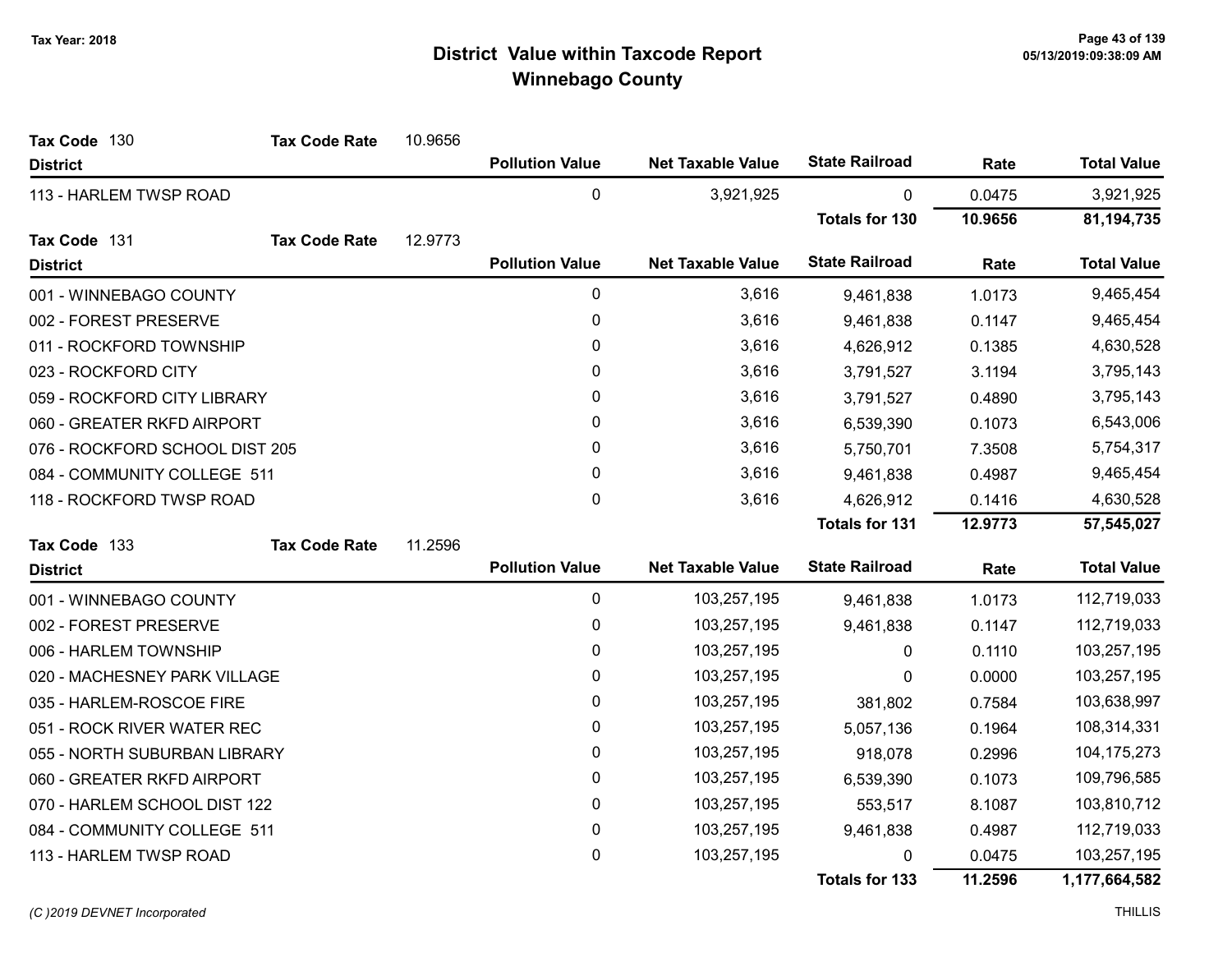| Tax Code 130                   | <b>Tax Code Rate</b> | 10.9656 |                        |                          |                       |         |                    |
|--------------------------------|----------------------|---------|------------------------|--------------------------|-----------------------|---------|--------------------|
| <b>District</b>                |                      |         | <b>Pollution Value</b> | <b>Net Taxable Value</b> | <b>State Railroad</b> | Rate    | <b>Total Value</b> |
| 113 - HARLEM TWSP ROAD         |                      |         | 0                      | 3,921,925                | $\mathbf{0}$          | 0.0475  | 3,921,925          |
|                                |                      |         |                        |                          | <b>Totals for 130</b> | 10.9656 | 81,194,735         |
| Tax Code 131                   | <b>Tax Code Rate</b> | 12.9773 |                        |                          |                       |         |                    |
| <b>District</b>                |                      |         | <b>Pollution Value</b> | <b>Net Taxable Value</b> | <b>State Railroad</b> | Rate    | <b>Total Value</b> |
| 001 - WINNEBAGO COUNTY         |                      |         | 0                      | 3,616                    | 9,461,838             | 1.0173  | 9,465,454          |
| 002 - FOREST PRESERVE          |                      |         | $\mathbf 0$            | 3,616                    | 9,461,838             | 0.1147  | 9,465,454          |
| 011 - ROCKFORD TOWNSHIP        |                      |         | 0                      | 3,616                    | 4,626,912             | 0.1385  | 4,630,528          |
| 023 - ROCKFORD CITY            |                      |         | $\mathbf{0}$           | 3,616                    | 3,791,527             | 3.1194  | 3,795,143          |
| 059 - ROCKFORD CITY LIBRARY    |                      |         | 0                      | 3,616                    | 3,791,527             | 0.4890  | 3,795,143          |
| 060 - GREATER RKFD AIRPORT     |                      |         | 0                      | 3,616                    | 6,539,390             | 0.1073  | 6,543,006          |
| 076 - ROCKFORD SCHOOL DIST 205 |                      |         | 0                      | 3,616                    | 5,750,701             | 7.3508  | 5,754,317          |
| 084 - COMMUNITY COLLEGE 511    |                      |         | 0                      | 3,616                    | 9,461,838             | 0.4987  | 9,465,454          |
| 118 - ROCKFORD TWSP ROAD       |                      |         | $\mathbf{0}$           | 3,616                    | 4,626,912             | 0.1416  | 4,630,528          |
|                                |                      |         |                        |                          | Totals for 131        | 12.9773 | 57,545,027         |
| Tax Code 133                   | <b>Tax Code Rate</b> | 11.2596 |                        |                          |                       |         |                    |
| <b>District</b>                |                      |         | <b>Pollution Value</b> | <b>Net Taxable Value</b> | <b>State Railroad</b> | Rate    | <b>Total Value</b> |
| 001 - WINNEBAGO COUNTY         |                      |         | $\mathbf 0$            | 103,257,195              | 9,461,838             | 1.0173  | 112,719,033        |
| 002 - FOREST PRESERVE          |                      |         | 0                      | 103,257,195              | 9,461,838             | 0.1147  | 112,719,033        |
| 006 - HARLEM TOWNSHIP          |                      |         | $\mathbf{0}$           | 103,257,195              | $\mathbf{0}$          | 0.1110  | 103,257,195        |
| 020 - MACHESNEY PARK VILLAGE   |                      |         | $\pmb{0}$              | 103,257,195              | 0                     | 0.0000  | 103,257,195        |
| 035 - HARLEM-ROSCOE FIRE       |                      |         | $\mathbf 0$            | 103,257,195              | 381,802               | 0.7584  | 103,638,997        |
| 051 - ROCK RIVER WATER REC     |                      |         | 0                      | 103,257,195              | 5,057,136             | 0.1964  | 108,314,331        |
| 055 - NORTH SUBURBAN LIBRARY   |                      |         | $\mathbf 0$            | 103,257,195              | 918,078               | 0.2996  | 104, 175, 273      |
| 060 - GREATER RKFD AIRPORT     |                      |         | 0                      | 103,257,195              | 6,539,390             | 0.1073  | 109,796,585        |
| 070 - HARLEM SCHOOL DIST 122   |                      |         | 0                      | 103,257,195              | 553,517               | 8.1087  | 103,810,712        |
| 084 - COMMUNITY COLLEGE 511    |                      |         | 0                      | 103,257,195              | 9,461,838             | 0.4987  | 112,719,033        |
| 113 - HARLEM TWSP ROAD         |                      |         | 0                      | 103,257,195              | 0                     | 0.0475  | 103,257,195        |
|                                |                      |         |                        |                          | <b>Totals for 133</b> | 11.2596 | 1,177,664,582      |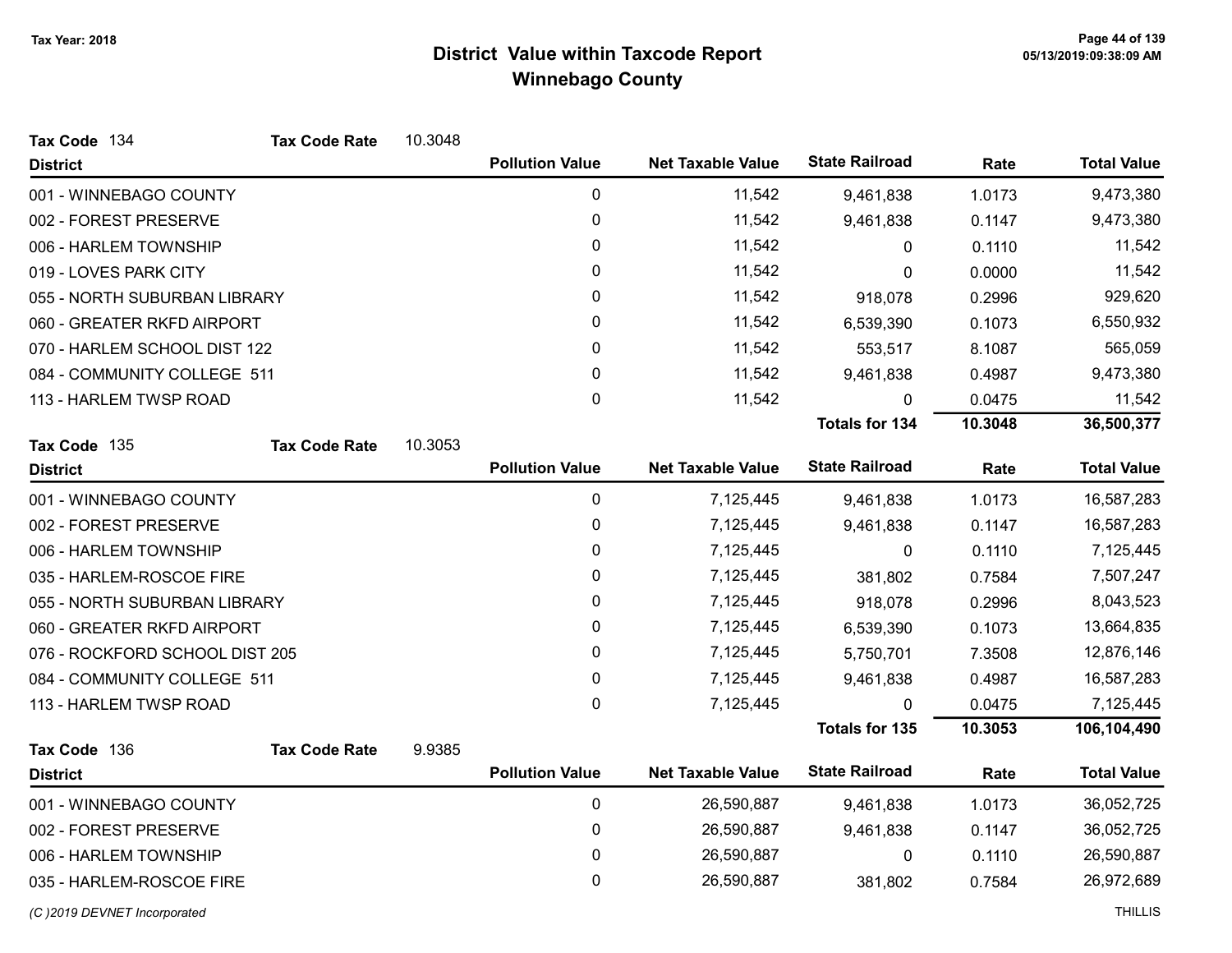| Tax Code 134                   | <b>Tax Code Rate</b> | 10.3048 |                        |                          |                       |         |                    |
|--------------------------------|----------------------|---------|------------------------|--------------------------|-----------------------|---------|--------------------|
| <b>District</b>                |                      |         | <b>Pollution Value</b> | <b>Net Taxable Value</b> | <b>State Railroad</b> | Rate    | <b>Total Value</b> |
| 001 - WINNEBAGO COUNTY         |                      |         | $\pmb{0}$              | 11,542                   | 9,461,838             | 1.0173  | 9,473,380          |
| 002 - FOREST PRESERVE          |                      |         | 0                      | 11,542                   | 9,461,838             | 0.1147  | 9,473,380          |
| 006 - HARLEM TOWNSHIP          |                      |         | 0                      | 11,542                   | 0                     | 0.1110  | 11,542             |
| 019 - LOVES PARK CITY          |                      |         | 0                      | 11,542                   | 0                     | 0.0000  | 11,542             |
| 055 - NORTH SUBURBAN LIBRARY   |                      |         | 0                      | 11,542                   | 918,078               | 0.2996  | 929,620            |
| 060 - GREATER RKFD AIRPORT     |                      |         | 0                      | 11,542                   | 6,539,390             | 0.1073  | 6,550,932          |
| 070 - HARLEM SCHOOL DIST 122   |                      |         | 0                      | 11,542                   | 553,517               | 8.1087  | 565,059            |
| 084 - COMMUNITY COLLEGE 511    |                      |         | 0                      | 11,542                   | 9,461,838             | 0.4987  | 9,473,380          |
| 113 - HARLEM TWSP ROAD         |                      |         | 0                      | 11,542                   | 0                     | 0.0475  | 11,542             |
|                                |                      |         |                        |                          | <b>Totals for 134</b> | 10.3048 | 36,500,377         |
| Tax Code 135                   | <b>Tax Code Rate</b> | 10.3053 |                        |                          |                       |         |                    |
| <b>District</b>                |                      |         | <b>Pollution Value</b> | <b>Net Taxable Value</b> | <b>State Railroad</b> | Rate    | <b>Total Value</b> |
| 001 - WINNEBAGO COUNTY         |                      |         | 0                      | 7,125,445                | 9,461,838             | 1.0173  | 16,587,283         |
| 002 - FOREST PRESERVE          |                      |         | 0                      | 7,125,445                | 9,461,838             | 0.1147  | 16,587,283         |
| 006 - HARLEM TOWNSHIP          |                      |         | $\pmb{0}$              | 7,125,445                | 0                     | 0.1110  | 7,125,445          |
| 035 - HARLEM-ROSCOE FIRE       |                      |         | 0                      | 7,125,445                | 381,802               | 0.7584  | 7,507,247          |
| 055 - NORTH SUBURBAN LIBRARY   |                      |         | 0                      | 7,125,445                | 918,078               | 0.2996  | 8,043,523          |
| 060 - GREATER RKFD AIRPORT     |                      |         | 0                      | 7,125,445                | 6,539,390             | 0.1073  | 13,664,835         |
| 076 - ROCKFORD SCHOOL DIST 205 |                      |         | 0                      | 7,125,445                | 5,750,701             | 7.3508  | 12,876,146         |
| 084 - COMMUNITY COLLEGE 511    |                      |         | 0                      | 7,125,445                | 9,461,838             | 0.4987  | 16,587,283         |
| 113 - HARLEM TWSP ROAD         |                      |         | 0                      | 7,125,445                | 0                     | 0.0475  | 7,125,445          |
|                                |                      |         |                        |                          | <b>Totals for 135</b> | 10.3053 | 106,104,490        |
| Tax Code 136                   | <b>Tax Code Rate</b> | 9.9385  |                        |                          |                       |         |                    |
| <b>District</b>                |                      |         | <b>Pollution Value</b> | <b>Net Taxable Value</b> | <b>State Railroad</b> | Rate    | <b>Total Value</b> |
| 001 - WINNEBAGO COUNTY         |                      |         | $\mathbf 0$            | 26,590,887               | 9,461,838             | 1.0173  | 36,052,725         |
| 002 - FOREST PRESERVE          |                      |         | 0                      | 26,590,887               | 9,461,838             | 0.1147  | 36,052,725         |
| 006 - HARLEM TOWNSHIP          |                      |         | 0                      | 26,590,887               | 0                     | 0.1110  | 26,590,887         |
| 035 - HARLEM-ROSCOE FIRE       |                      |         | 0                      | 26,590,887               | 381,802               | 0.7584  | 26,972,689         |
| (C)2019 DEVNET Incorporated    |                      |         |                        |                          |                       |         | <b>THILLIS</b>     |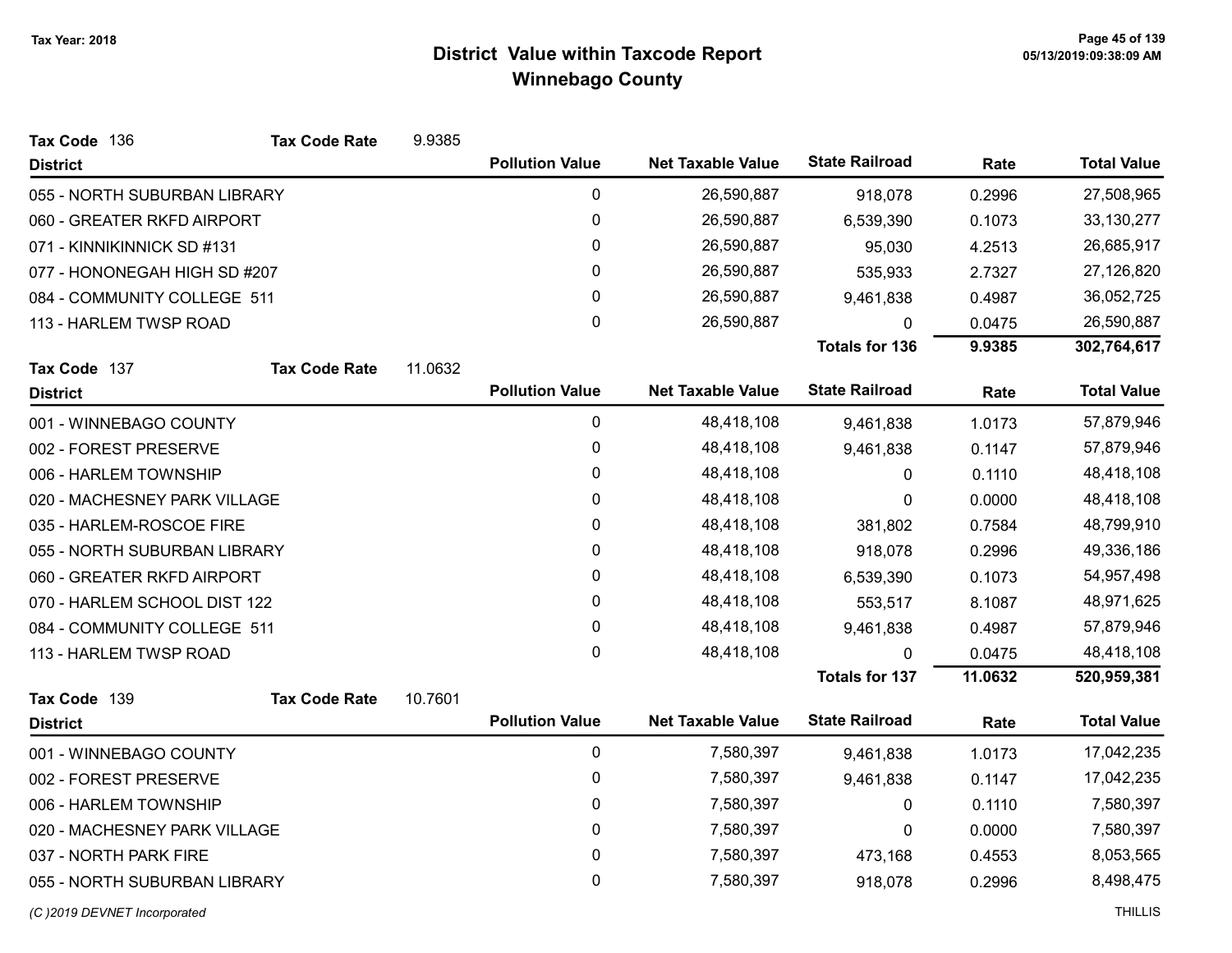| Tax Code 136                 | <b>Tax Code Rate</b> | 9.9385  |                        |                          |                       |         |                    |
|------------------------------|----------------------|---------|------------------------|--------------------------|-----------------------|---------|--------------------|
| <b>District</b>              |                      |         | <b>Pollution Value</b> | <b>Net Taxable Value</b> | <b>State Railroad</b> | Rate    | <b>Total Value</b> |
| 055 - NORTH SUBURBAN LIBRARY |                      |         | 0                      | 26,590,887               | 918,078               | 0.2996  | 27,508,965         |
| 060 - GREATER RKFD AIRPORT   |                      |         | 0                      | 26,590,887               | 6,539,390             | 0.1073  | 33, 130, 277       |
| 071 - KINNIKINNICK SD #131   |                      |         | 0                      | 26,590,887               | 95,030                | 4.2513  | 26,685,917         |
| 077 - HONONEGAH HIGH SD #207 |                      |         | 0                      | 26,590,887               | 535,933               | 2.7327  | 27,126,820         |
| 084 - COMMUNITY COLLEGE 511  |                      |         | 0                      | 26,590,887               | 9,461,838             | 0.4987  | 36,052,725         |
| 113 - HARLEM TWSP ROAD       |                      |         | $\pmb{0}$              | 26,590,887               | 0                     | 0.0475  | 26,590,887         |
|                              |                      |         |                        |                          | <b>Totals for 136</b> | 9.9385  | 302,764,617        |
| Tax Code 137                 | <b>Tax Code Rate</b> | 11.0632 |                        |                          |                       |         |                    |
| <b>District</b>              |                      |         | <b>Pollution Value</b> | <b>Net Taxable Value</b> | <b>State Railroad</b> | Rate    | <b>Total Value</b> |
| 001 - WINNEBAGO COUNTY       |                      |         | $\pmb{0}$              | 48,418,108               | 9,461,838             | 1.0173  | 57,879,946         |
| 002 - FOREST PRESERVE        |                      |         | 0                      | 48,418,108               | 9,461,838             | 0.1147  | 57,879,946         |
| 006 - HARLEM TOWNSHIP        |                      |         | 0                      | 48,418,108               | $\mathbf{0}$          | 0.1110  | 48,418,108         |
| 020 - MACHESNEY PARK VILLAGE |                      |         | $\pmb{0}$              | 48,418,108               | 0                     | 0.0000  | 48,418,108         |
| 035 - HARLEM-ROSCOE FIRE     |                      |         | 0                      | 48,418,108               | 381,802               | 0.7584  | 48,799,910         |
| 055 - NORTH SUBURBAN LIBRARY |                      |         | 0                      | 48,418,108               | 918,078               | 0.2996  | 49,336,186         |
| 060 - GREATER RKFD AIRPORT   |                      |         | 0                      | 48,418,108               | 6,539,390             | 0.1073  | 54,957,498         |
| 070 - HARLEM SCHOOL DIST 122 |                      |         | 0                      | 48,418,108               | 553,517               | 8.1087  | 48,971,625         |
| 084 - COMMUNITY COLLEGE 511  |                      |         | 0                      | 48,418,108               | 9,461,838             | 0.4987  | 57,879,946         |
| 113 - HARLEM TWSP ROAD       |                      |         | 0                      | 48,418,108               | 0                     | 0.0475  | 48,418,108         |
|                              |                      |         |                        |                          | <b>Totals for 137</b> | 11.0632 | 520,959,381        |
| Tax Code 139                 | <b>Tax Code Rate</b> | 10.7601 |                        |                          |                       |         |                    |
| <b>District</b>              |                      |         | <b>Pollution Value</b> | <b>Net Taxable Value</b> | <b>State Railroad</b> | Rate    | <b>Total Value</b> |
| 001 - WINNEBAGO COUNTY       |                      |         | $\mathbf 0$            | 7,580,397                | 9,461,838             | 1.0173  | 17,042,235         |
| 002 - FOREST PRESERVE        |                      |         | 0                      | 7,580,397                | 9,461,838             | 0.1147  | 17,042,235         |
| 006 - HARLEM TOWNSHIP        |                      |         | $\mathbf 0$            | 7,580,397                | 0                     | 0.1110  | 7,580,397          |
| 020 - MACHESNEY PARK VILLAGE |                      |         | 0                      | 7,580,397                | 0                     | 0.0000  | 7,580,397          |
| 037 - NORTH PARK FIRE        |                      |         | $\mathbf 0$            | 7,580,397                | 473,168               | 0.4553  | 8,053,565          |
| 055 - NORTH SUBURBAN LIBRARY |                      |         | 0                      | 7,580,397                | 918,078               | 0.2996  | 8,498,475          |
| (C) 2019 DEVNET Incorporated |                      |         |                        |                          |                       |         | <b>THILLIS</b>     |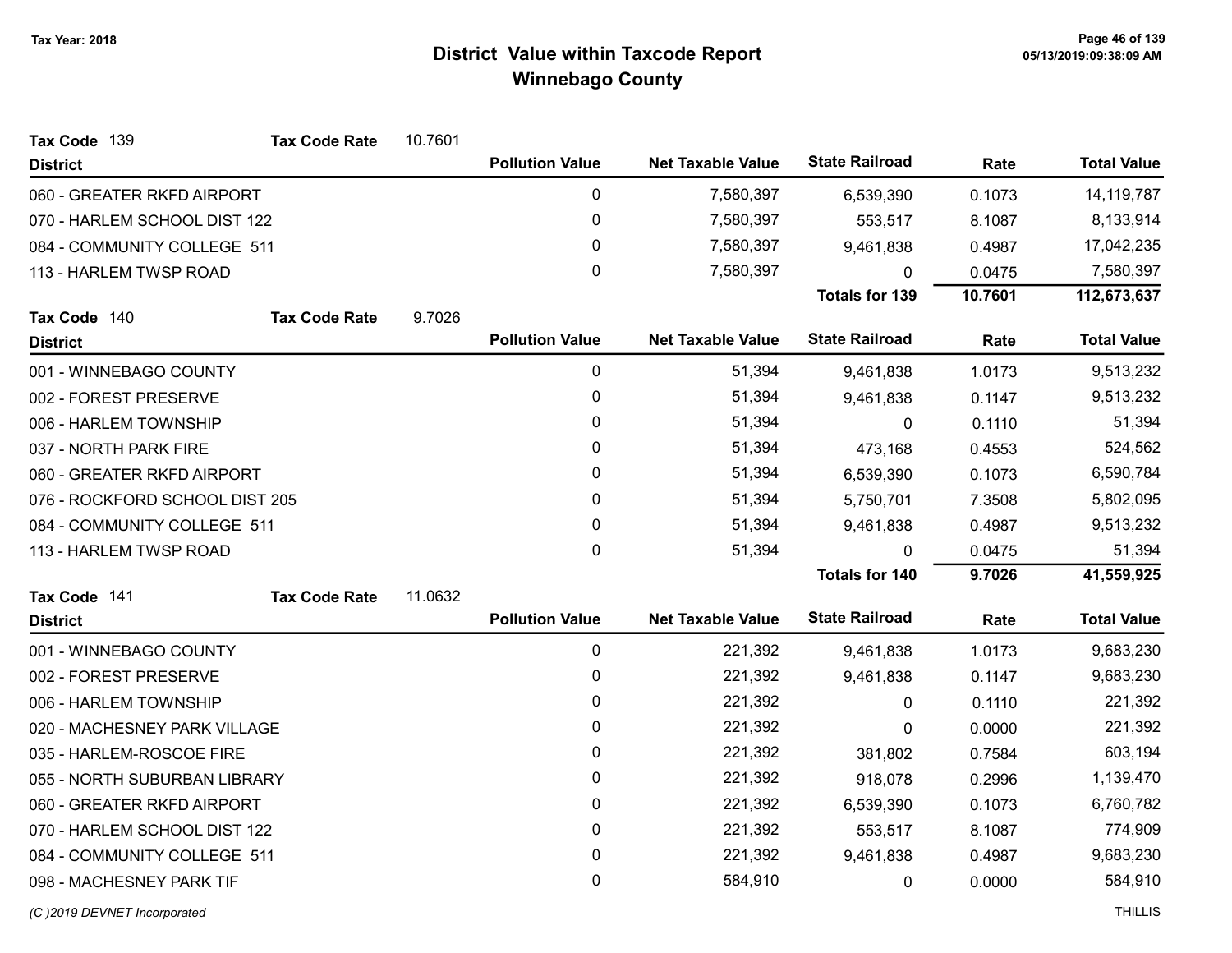| Tax Code 139                   | <b>Tax Code Rate</b> | 10.7601 |                        |                          |                       |         |                    |
|--------------------------------|----------------------|---------|------------------------|--------------------------|-----------------------|---------|--------------------|
| <b>District</b>                |                      |         | <b>Pollution Value</b> | <b>Net Taxable Value</b> | <b>State Railroad</b> | Rate    | <b>Total Value</b> |
| 060 - GREATER RKFD AIRPORT     |                      |         | 0                      | 7,580,397                | 6,539,390             | 0.1073  | 14, 119, 787       |
| 070 - HARLEM SCHOOL DIST 122   |                      |         | $\pmb{0}$              | 7,580,397                | 553,517               | 8.1087  | 8,133,914          |
| 084 - COMMUNITY COLLEGE 511    |                      |         | 0                      | 7,580,397                | 9,461,838             | 0.4987  | 17,042,235         |
| 113 - HARLEM TWSP ROAD         |                      |         | $\mathbf 0$            | 7,580,397                | 0                     | 0.0475  | 7,580,397          |
|                                |                      |         |                        |                          | <b>Totals for 139</b> | 10.7601 | 112,673,637        |
| Tax Code 140                   | <b>Tax Code Rate</b> | 9.7026  |                        |                          |                       |         |                    |
| <b>District</b>                |                      |         | <b>Pollution Value</b> | <b>Net Taxable Value</b> | <b>State Railroad</b> | Rate    | <b>Total Value</b> |
| 001 - WINNEBAGO COUNTY         |                      |         | 0                      | 51,394                   | 9,461,838             | 1.0173  | 9,513,232          |
| 002 - FOREST PRESERVE          |                      |         | $\pmb{0}$              | 51,394                   | 9,461,838             | 0.1147  | 9,513,232          |
| 006 - HARLEM TOWNSHIP          |                      |         | $\mathbf{0}$           | 51,394                   | $\mathbf{0}$          | 0.1110  | 51,394             |
| 037 - NORTH PARK FIRE          |                      |         | 0                      | 51,394                   | 473,168               | 0.4553  | 524,562            |
| 060 - GREATER RKFD AIRPORT     |                      |         | $\mathbf{0}$           | 51,394                   | 6,539,390             | 0.1073  | 6,590,784          |
| 076 - ROCKFORD SCHOOL DIST 205 |                      |         | $\pmb{0}$              | 51,394                   | 5,750,701             | 7.3508  | 5,802,095          |
| 084 - COMMUNITY COLLEGE 511    |                      |         | $\mathbf{0}$           | 51,394                   | 9,461,838             | 0.4987  | 9,513,232          |
| 113 - HARLEM TWSP ROAD         |                      |         | 0                      | 51,394                   | 0                     | 0.0475  | 51,394             |
|                                |                      |         |                        |                          | Totals for 140        | 9.7026  | 41,559,925         |
| Tax Code 141                   | <b>Tax Code Rate</b> | 11.0632 |                        |                          |                       |         |                    |
| <b>District</b>                |                      |         | <b>Pollution Value</b> | <b>Net Taxable Value</b> | <b>State Railroad</b> | Rate    | <b>Total Value</b> |
| 001 - WINNEBAGO COUNTY         |                      |         | 0                      | 221,392                  | 9,461,838             | 1.0173  | 9,683,230          |
| 002 - FOREST PRESERVE          |                      |         | $\pmb{0}$              | 221,392                  | 9,461,838             | 0.1147  | 9,683,230          |
| 006 - HARLEM TOWNSHIP          |                      |         | 0                      | 221,392                  | 0                     | 0.1110  | 221,392            |
| 020 - MACHESNEY PARK VILLAGE   |                      |         | $\pmb{0}$              | 221,392                  | 0                     | 0.0000  | 221,392            |
| 035 - HARLEM-ROSCOE FIRE       |                      |         | 0                      | 221,392                  | 381,802               | 0.7584  | 603,194            |
| 055 - NORTH SUBURBAN LIBRARY   |                      |         | 0                      | 221,392                  | 918,078               | 0.2996  | 1,139,470          |
| 060 - GREATER RKFD AIRPORT     |                      |         | 0                      | 221,392                  | 6,539,390             | 0.1073  | 6,760,782          |
| 070 - HARLEM SCHOOL DIST 122   |                      |         | $\pmb{0}$              | 221,392                  | 553,517               | 8.1087  | 774,909            |
| 084 - COMMUNITY COLLEGE 511    |                      |         | 0                      | 221,392                  | 9,461,838             | 0.4987  | 9,683,230          |
| 098 - MACHESNEY PARK TIF       |                      |         | $\mathbf 0$            | 584,910                  | 0                     | 0.0000  | 584,910            |
|                                |                      |         |                        |                          |                       |         |                    |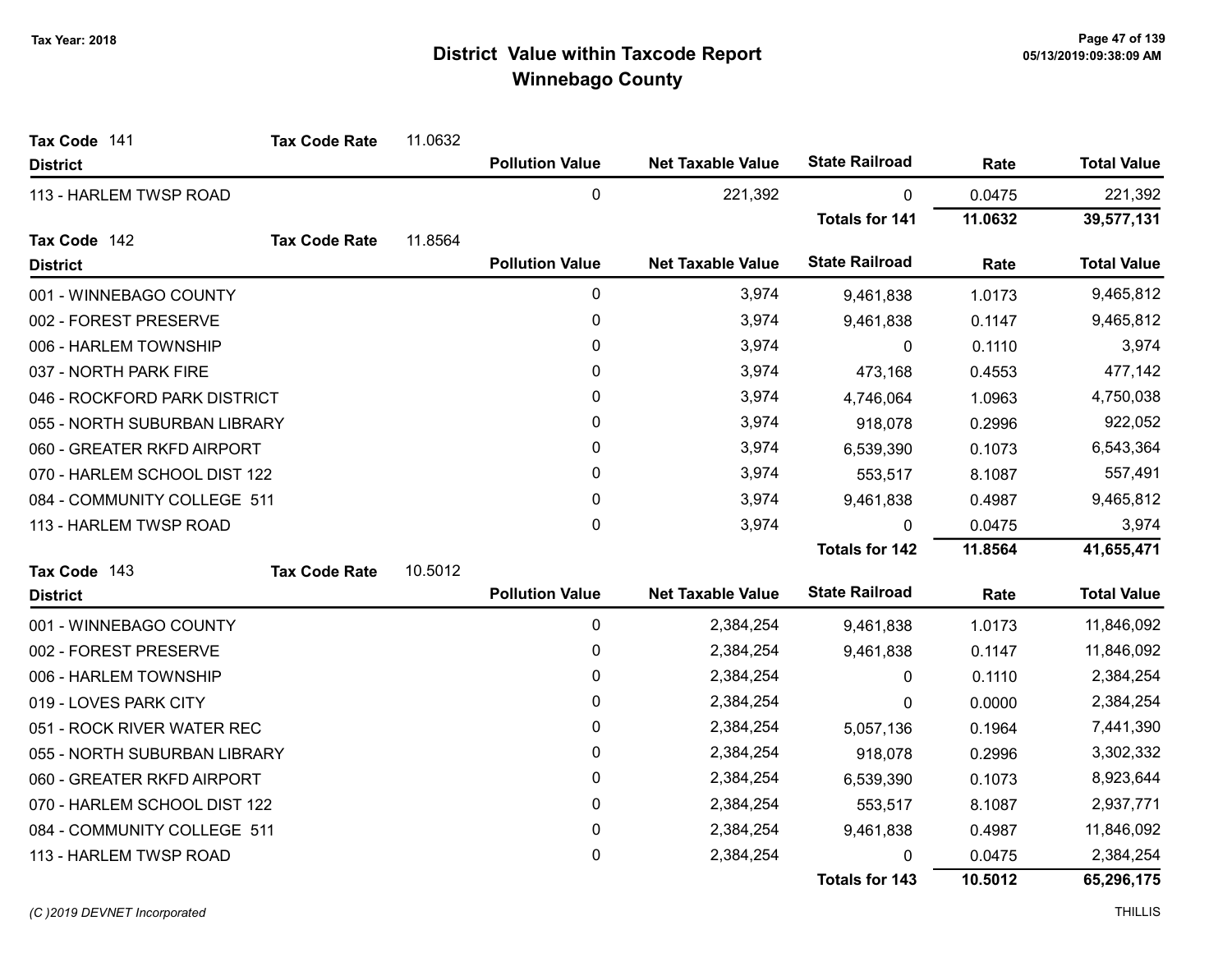| Tax Code 141                 | <b>Tax Code Rate</b> | 11.0632 |                        |                          |                       |         |                    |
|------------------------------|----------------------|---------|------------------------|--------------------------|-----------------------|---------|--------------------|
| <b>District</b>              |                      |         | <b>Pollution Value</b> | <b>Net Taxable Value</b> | <b>State Railroad</b> | Rate    | <b>Total Value</b> |
| 113 - HARLEM TWSP ROAD       |                      |         | $\mathbf 0$            | 221,392                  | 0                     | 0.0475  | 221,392            |
|                              |                      |         |                        |                          | <b>Totals for 141</b> | 11.0632 | 39,577,131         |
| Tax Code 142                 | <b>Tax Code Rate</b> | 11.8564 |                        |                          |                       |         |                    |
| <b>District</b>              |                      |         | <b>Pollution Value</b> | <b>Net Taxable Value</b> | <b>State Railroad</b> | Rate    | <b>Total Value</b> |
| 001 - WINNEBAGO COUNTY       |                      |         | 0                      | 3,974                    | 9,461,838             | 1.0173  | 9,465,812          |
| 002 - FOREST PRESERVE        |                      |         | $\pmb{0}$              | 3,974                    | 9,461,838             | 0.1147  | 9,465,812          |
| 006 - HARLEM TOWNSHIP        |                      |         | 0                      | 3,974                    | 0                     | 0.1110  | 3,974              |
| 037 - NORTH PARK FIRE        |                      |         | 0                      | 3,974                    | 473,168               | 0.4553  | 477,142            |
| 046 - ROCKFORD PARK DISTRICT |                      |         | 0                      | 3,974                    | 4,746,064             | 1.0963  | 4,750,038          |
| 055 - NORTH SUBURBAN LIBRARY |                      |         | 0                      | 3,974                    | 918,078               | 0.2996  | 922,052            |
| 060 - GREATER RKFD AIRPORT   |                      |         | 0                      | 3,974                    | 6,539,390             | 0.1073  | 6,543,364          |
| 070 - HARLEM SCHOOL DIST 122 |                      |         | $\pmb{0}$              | 3,974                    | 553,517               | 8.1087  | 557,491            |
| 084 - COMMUNITY COLLEGE 511  |                      |         | 0                      | 3,974                    | 9,461,838             | 0.4987  | 9,465,812          |
| 113 - HARLEM TWSP ROAD       |                      |         | 0                      | 3,974                    | $\Omega$              | 0.0475  | 3,974              |
|                              |                      |         |                        |                          | <b>Totals for 142</b> | 11.8564 | 41,655,471         |
| Tax Code 143                 | <b>Tax Code Rate</b> | 10.5012 |                        |                          |                       |         |                    |
| <b>District</b>              |                      |         | <b>Pollution Value</b> | <b>Net Taxable Value</b> | <b>State Railroad</b> | Rate    | <b>Total Value</b> |
| 001 - WINNEBAGO COUNTY       |                      |         | $\mathbf 0$            | 2,384,254                | 9,461,838             | 1.0173  | 11,846,092         |
| 002 - FOREST PRESERVE        |                      |         | 0                      | 2,384,254                | 9,461,838             | 0.1147  | 11,846,092         |
| 006 - HARLEM TOWNSHIP        |                      |         | $\pmb{0}$              | 2,384,254                | 0                     | 0.1110  | 2,384,254          |
| 019 - LOVES PARK CITY        |                      |         | 0                      | 2,384,254                | 0                     | 0.0000  | 2,384,254          |
| 051 - ROCK RIVER WATER REC   |                      |         | $\pmb{0}$              | 2,384,254                | 5,057,136             | 0.1964  | 7,441,390          |
| 055 - NORTH SUBURBAN LIBRARY |                      |         | 0                      | 2,384,254                | 918,078               | 0.2996  | 3,302,332          |
| 060 - GREATER RKFD AIRPORT   |                      |         | 0                      | 2,384,254                | 6,539,390             | 0.1073  | 8,923,644          |
| 070 - HARLEM SCHOOL DIST 122 |                      |         | 0                      | 2,384,254                | 553,517               | 8.1087  | 2,937,771          |
| 084 - COMMUNITY COLLEGE 511  |                      |         | $\pmb{0}$              | 2,384,254                | 9,461,838             | 0.4987  | 11,846,092         |
| 113 - HARLEM TWSP ROAD       |                      |         | 0                      | 2,384,254                | 0                     | 0.0475  | 2,384,254          |
|                              |                      |         |                        |                          | <b>Totals for 143</b> | 10.5012 | 65,296,175         |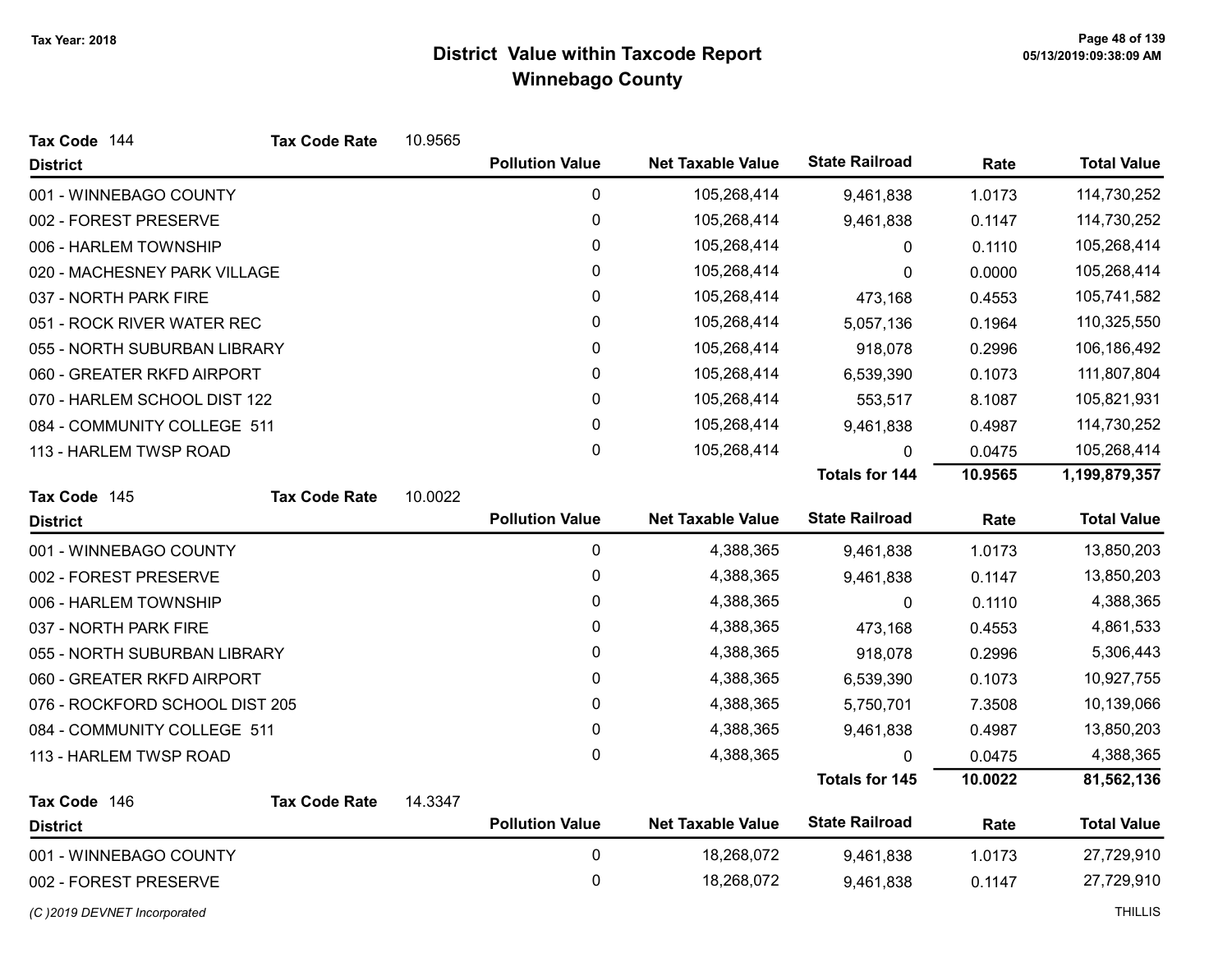| Tax Code 144                   | <b>Tax Code Rate</b> | 10.9565 |                        |                          |                       |         |                    |
|--------------------------------|----------------------|---------|------------------------|--------------------------|-----------------------|---------|--------------------|
| <b>District</b>                |                      |         | <b>Pollution Value</b> | <b>Net Taxable Value</b> | <b>State Railroad</b> | Rate    | <b>Total Value</b> |
| 001 - WINNEBAGO COUNTY         |                      |         | $\pmb{0}$              | 105,268,414              | 9,461,838             | 1.0173  | 114,730,252        |
| 002 - FOREST PRESERVE          |                      |         | $\pmb{0}$              | 105,268,414              | 9,461,838             | 0.1147  | 114,730,252        |
| 006 - HARLEM TOWNSHIP          |                      |         | 0                      | 105,268,414              | 0                     | 0.1110  | 105,268,414        |
| 020 - MACHESNEY PARK VILLAGE   |                      |         | 0                      | 105,268,414              | 0                     | 0.0000  | 105,268,414        |
| 037 - NORTH PARK FIRE          |                      |         | 0                      | 105,268,414              | 473,168               | 0.4553  | 105,741,582        |
| 051 - ROCK RIVER WATER REC     |                      |         | 0                      | 105,268,414              | 5,057,136             | 0.1964  | 110,325,550        |
| 055 - NORTH SUBURBAN LIBRARY   |                      |         | 0                      | 105,268,414              | 918,078               | 0.2996  | 106,186,492        |
| 060 - GREATER RKFD AIRPORT     |                      |         | 0                      | 105,268,414              | 6,539,390             | 0.1073  | 111,807,804        |
| 070 - HARLEM SCHOOL DIST 122   |                      |         | 0                      | 105,268,414              | 553,517               | 8.1087  | 105,821,931        |
| 084 - COMMUNITY COLLEGE 511    |                      |         | $\pmb{0}$              | 105,268,414              | 9,461,838             | 0.4987  | 114,730,252        |
| 113 - HARLEM TWSP ROAD         |                      |         | 0                      | 105,268,414              | 0                     | 0.0475  | 105,268,414        |
|                                |                      |         |                        |                          | <b>Totals for 144</b> | 10.9565 | 1,199,879,357      |
| Tax Code 145                   | <b>Tax Code Rate</b> | 10.0022 |                        |                          |                       |         |                    |
| <b>District</b>                |                      |         | <b>Pollution Value</b> | <b>Net Taxable Value</b> | <b>State Railroad</b> | Rate    | <b>Total Value</b> |
| 001 - WINNEBAGO COUNTY         |                      |         | $\pmb{0}$              | 4,388,365                | 9,461,838             | 1.0173  | 13,850,203         |
| 002 - FOREST PRESERVE          |                      |         | 0                      | 4,388,365                | 9,461,838             | 0.1147  | 13,850,203         |
| 006 - HARLEM TOWNSHIP          |                      |         | 0                      | 4,388,365                | 0                     | 0.1110  | 4,388,365          |
| 037 - NORTH PARK FIRE          |                      |         | 0                      | 4,388,365                | 473,168               | 0.4553  | 4,861,533          |
| 055 - NORTH SUBURBAN LIBRARY   |                      |         | 0                      | 4,388,365                | 918,078               | 0.2996  | 5,306,443          |
| 060 - GREATER RKFD AIRPORT     |                      |         | 0                      | 4,388,365                | 6,539,390             | 0.1073  | 10,927,755         |
| 076 - ROCKFORD SCHOOL DIST 205 |                      |         | 0                      | 4,388,365                | 5,750,701             | 7.3508  | 10,139,066         |
| 084 - COMMUNITY COLLEGE 511    |                      |         | 0                      | 4,388,365                | 9,461,838             | 0.4987  | 13,850,203         |
| 113 - HARLEM TWSP ROAD         |                      |         | 0                      | 4,388,365                | 0                     | 0.0475  | 4,388,365          |
|                                |                      |         |                        |                          | <b>Totals for 145</b> | 10.0022 | 81,562,136         |
| Tax Code 146                   | <b>Tax Code Rate</b> | 14.3347 |                        |                          |                       |         |                    |
| <b>District</b>                |                      |         | <b>Pollution Value</b> | <b>Net Taxable Value</b> | <b>State Railroad</b> | Rate    | <b>Total Value</b> |
| 001 - WINNEBAGO COUNTY         |                      |         | $\pmb{0}$              | 18,268,072               | 9,461,838             | 1.0173  | 27,729,910         |
| 002 - FOREST PRESERVE          |                      |         | 0                      | 18,268,072               | 9,461,838             | 0.1147  | 27,729,910         |
| (C) 2019 DEVNET Incorporated   |                      |         |                        |                          |                       |         | <b>THILLIS</b>     |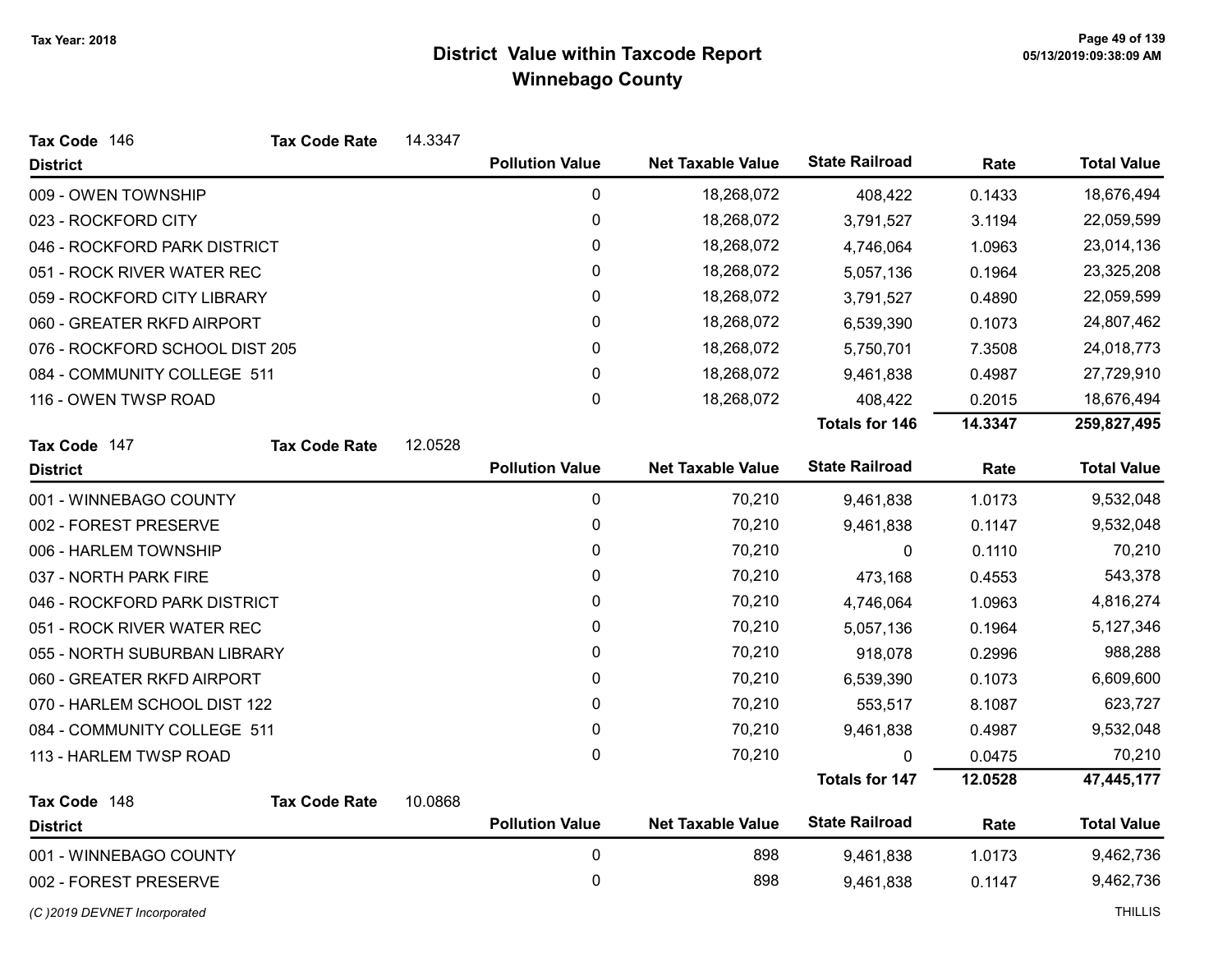| Tax Code 146                   | <b>Tax Code Rate</b> | 14.3347 |                        |                          |                       |         |                    |
|--------------------------------|----------------------|---------|------------------------|--------------------------|-----------------------|---------|--------------------|
| <b>District</b>                |                      |         | <b>Pollution Value</b> | <b>Net Taxable Value</b> | <b>State Railroad</b> | Rate    | <b>Total Value</b> |
| 009 - OWEN TOWNSHIP            |                      |         | 0                      | 18,268,072               | 408,422               | 0.1433  | 18,676,494         |
| 023 - ROCKFORD CITY            |                      |         | 0                      | 18,268,072               | 3,791,527             | 3.1194  | 22,059,599         |
| 046 - ROCKFORD PARK DISTRICT   |                      |         | 0                      | 18,268,072               | 4,746,064             | 1.0963  | 23,014,136         |
| 051 - ROCK RIVER WATER REC     |                      |         | 0                      | 18,268,072               | 5,057,136             | 0.1964  | 23,325,208         |
| 059 - ROCKFORD CITY LIBRARY    |                      |         | 0                      | 18,268,072               | 3,791,527             | 0.4890  | 22,059,599         |
| 060 - GREATER RKFD AIRPORT     |                      |         | 0                      | 18,268,072               | 6,539,390             | 0.1073  | 24,807,462         |
| 076 - ROCKFORD SCHOOL DIST 205 |                      |         | 0                      | 18,268,072               | 5,750,701             | 7.3508  | 24,018,773         |
| 084 - COMMUNITY COLLEGE 511    |                      |         | $\mathbf{0}$           | 18,268,072               | 9,461,838             | 0.4987  | 27,729,910         |
| 116 - OWEN TWSP ROAD           |                      |         | 0                      | 18,268,072               | 408,422               | 0.2015  | 18,676,494         |
|                                |                      |         |                        |                          | <b>Totals for 146</b> | 14.3347 | 259,827,495        |
| Tax Code 147                   | <b>Tax Code Rate</b> | 12.0528 |                        |                          |                       |         |                    |
| <b>District</b>                |                      |         | <b>Pollution Value</b> | <b>Net Taxable Value</b> | <b>State Railroad</b> | Rate    | <b>Total Value</b> |
| 001 - WINNEBAGO COUNTY         |                      |         | $\mathbf 0$            | 70,210                   | 9,461,838             | 1.0173  | 9,532,048          |
| 002 - FOREST PRESERVE          |                      |         | 0                      | 70,210                   | 9,461,838             | 0.1147  | 9,532,048          |
| 006 - HARLEM TOWNSHIP          |                      |         | 0                      | 70,210                   | 0                     | 0.1110  | 70,210             |
| 037 - NORTH PARK FIRE          |                      |         | 0                      | 70,210                   | 473,168               | 0.4553  | 543,378            |
| 046 - ROCKFORD PARK DISTRICT   |                      |         | 0                      | 70,210                   | 4,746,064             | 1.0963  | 4,816,274          |
| 051 - ROCK RIVER WATER REC     |                      |         | 0                      | 70,210                   | 5,057,136             | 0.1964  | 5,127,346          |
| 055 - NORTH SUBURBAN LIBRARY   |                      |         | 0                      | 70,210                   | 918,078               | 0.2996  | 988,288            |
| 060 - GREATER RKFD AIRPORT     |                      |         | 0                      | 70,210                   | 6,539,390             | 0.1073  | 6,609,600          |
| 070 - HARLEM SCHOOL DIST 122   |                      |         | $\mathbf{0}$           | 70,210                   | 553,517               | 8.1087  | 623,727            |
| 084 - COMMUNITY COLLEGE 511    |                      |         | $\pmb{0}$              | 70,210                   | 9,461,838             | 0.4987  | 9,532,048          |
| 113 - HARLEM TWSP ROAD         |                      |         | 0                      | 70,210                   | 0                     | 0.0475  | 70,210             |
|                                |                      |         |                        |                          | <b>Totals for 147</b> | 12.0528 | 47,445,177         |
| Tax Code 148                   | <b>Tax Code Rate</b> | 10.0868 |                        |                          |                       |         |                    |
| <b>District</b>                |                      |         | <b>Pollution Value</b> | <b>Net Taxable Value</b> | <b>State Railroad</b> | Rate    | <b>Total Value</b> |
| 001 - WINNEBAGO COUNTY         |                      |         | 0                      | 898                      | 9,461,838             | 1.0173  | 9,462,736          |
| 002 - FOREST PRESERVE          |                      |         | 0                      | 898                      | 9,461,838             | 0.1147  | 9,462,736          |

(C)2019 DEVNET Incorporated THILLIS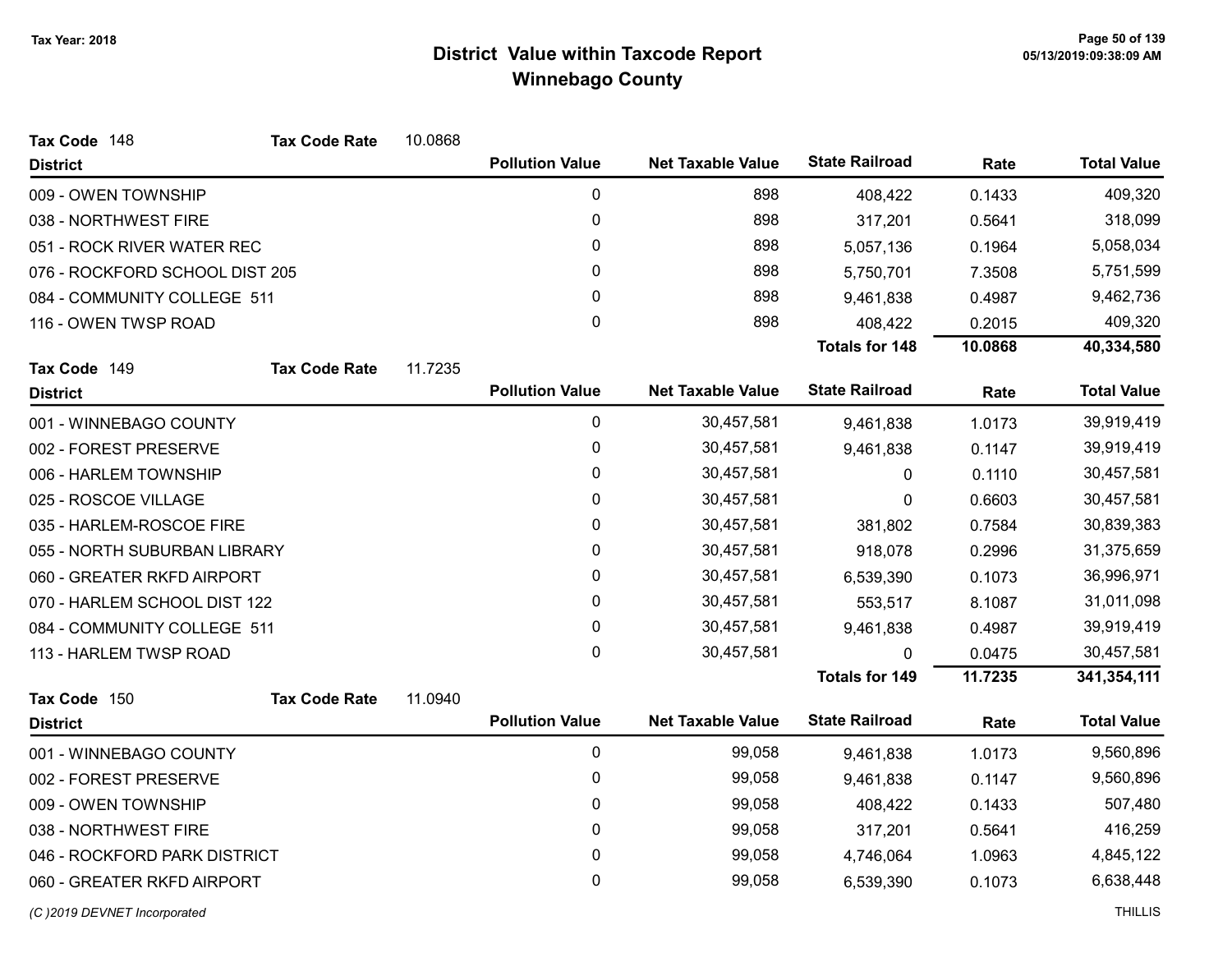| Tax Code 148                   | <b>Tax Code Rate</b> | 10.0868 |                        |                          |                       |         |                    |
|--------------------------------|----------------------|---------|------------------------|--------------------------|-----------------------|---------|--------------------|
| <b>District</b>                |                      |         | <b>Pollution Value</b> | <b>Net Taxable Value</b> | <b>State Railroad</b> | Rate    | <b>Total Value</b> |
| 009 - OWEN TOWNSHIP            |                      |         | 0                      | 898                      | 408,422               | 0.1433  | 409,320            |
| 038 - NORTHWEST FIRE           |                      |         | 0                      | 898                      | 317,201               | 0.5641  | 318,099            |
| 051 - ROCK RIVER WATER REC     |                      |         | 0                      | 898                      | 5,057,136             | 0.1964  | 5,058,034          |
| 076 - ROCKFORD SCHOOL DIST 205 |                      |         | 0                      | 898                      | 5,750,701             | 7.3508  | 5,751,599          |
| 084 - COMMUNITY COLLEGE 511    |                      |         | 0                      | 898                      | 9,461,838             | 0.4987  | 9,462,736          |
| 116 - OWEN TWSP ROAD           |                      |         | 0                      | 898                      | 408,422               | 0.2015  | 409,320            |
|                                |                      |         |                        |                          | <b>Totals for 148</b> | 10.0868 | 40,334,580         |
| Tax Code 149                   | <b>Tax Code Rate</b> | 11.7235 |                        |                          |                       |         |                    |
| <b>District</b>                |                      |         | <b>Pollution Value</b> | <b>Net Taxable Value</b> | <b>State Railroad</b> | Rate    | <b>Total Value</b> |
| 001 - WINNEBAGO COUNTY         |                      |         | 0                      | 30,457,581               | 9,461,838             | 1.0173  | 39,919,419         |
| 002 - FOREST PRESERVE          |                      |         | 0                      | 30,457,581               | 9,461,838             | 0.1147  | 39,919,419         |
| 006 - HARLEM TOWNSHIP          |                      |         | 0                      | 30,457,581               | 0                     | 0.1110  | 30,457,581         |
| 025 - ROSCOE VILLAGE           |                      |         | 0                      | 30,457,581               | 0                     | 0.6603  | 30,457,581         |
| 035 - HARLEM-ROSCOE FIRE       |                      |         | 0                      | 30,457,581               | 381,802               | 0.7584  | 30,839,383         |
| 055 - NORTH SUBURBAN LIBRARY   |                      |         | 0                      | 30,457,581               | 918,078               | 0.2996  | 31,375,659         |
| 060 - GREATER RKFD AIRPORT     |                      |         | 0                      | 30,457,581               | 6,539,390             | 0.1073  | 36,996,971         |
| 070 - HARLEM SCHOOL DIST 122   |                      |         | 0                      | 30,457,581               | 553,517               | 8.1087  | 31,011,098         |
| 084 - COMMUNITY COLLEGE 511    |                      |         | 0                      | 30,457,581               | 9,461,838             | 0.4987  | 39,919,419         |
| 113 - HARLEM TWSP ROAD         |                      |         | 0                      | 30,457,581               | 0                     | 0.0475  | 30,457,581         |
|                                |                      |         |                        |                          | <b>Totals for 149</b> | 11.7235 | 341,354,111        |
| Tax Code 150                   | <b>Tax Code Rate</b> | 11.0940 |                        |                          |                       |         |                    |
| <b>District</b>                |                      |         | <b>Pollution Value</b> | <b>Net Taxable Value</b> | <b>State Railroad</b> | Rate    | <b>Total Value</b> |
| 001 - WINNEBAGO COUNTY         |                      |         | 0                      | 99,058                   | 9,461,838             | 1.0173  | 9,560,896          |
| 002 - FOREST PRESERVE          |                      |         | 0                      | 99,058                   | 9,461,838             | 0.1147  | 9,560,896          |
| 009 - OWEN TOWNSHIP            |                      |         | 0                      | 99,058                   | 408,422               | 0.1433  | 507,480            |
| 038 - NORTHWEST FIRE           |                      |         | 0                      | 99,058                   | 317,201               | 0.5641  | 416,259            |
| 046 - ROCKFORD PARK DISTRICT   |                      |         | 0                      | 99,058                   | 4,746,064             | 1.0963  | 4,845,122          |
| 060 - GREATER RKFD AIRPORT     |                      |         | 0                      | 99,058                   | 6,539,390             | 0.1073  | 6,638,448          |
| (C) 2019 DEVNET Incorporated   |                      |         |                        |                          |                       |         | <b>THILLIS</b>     |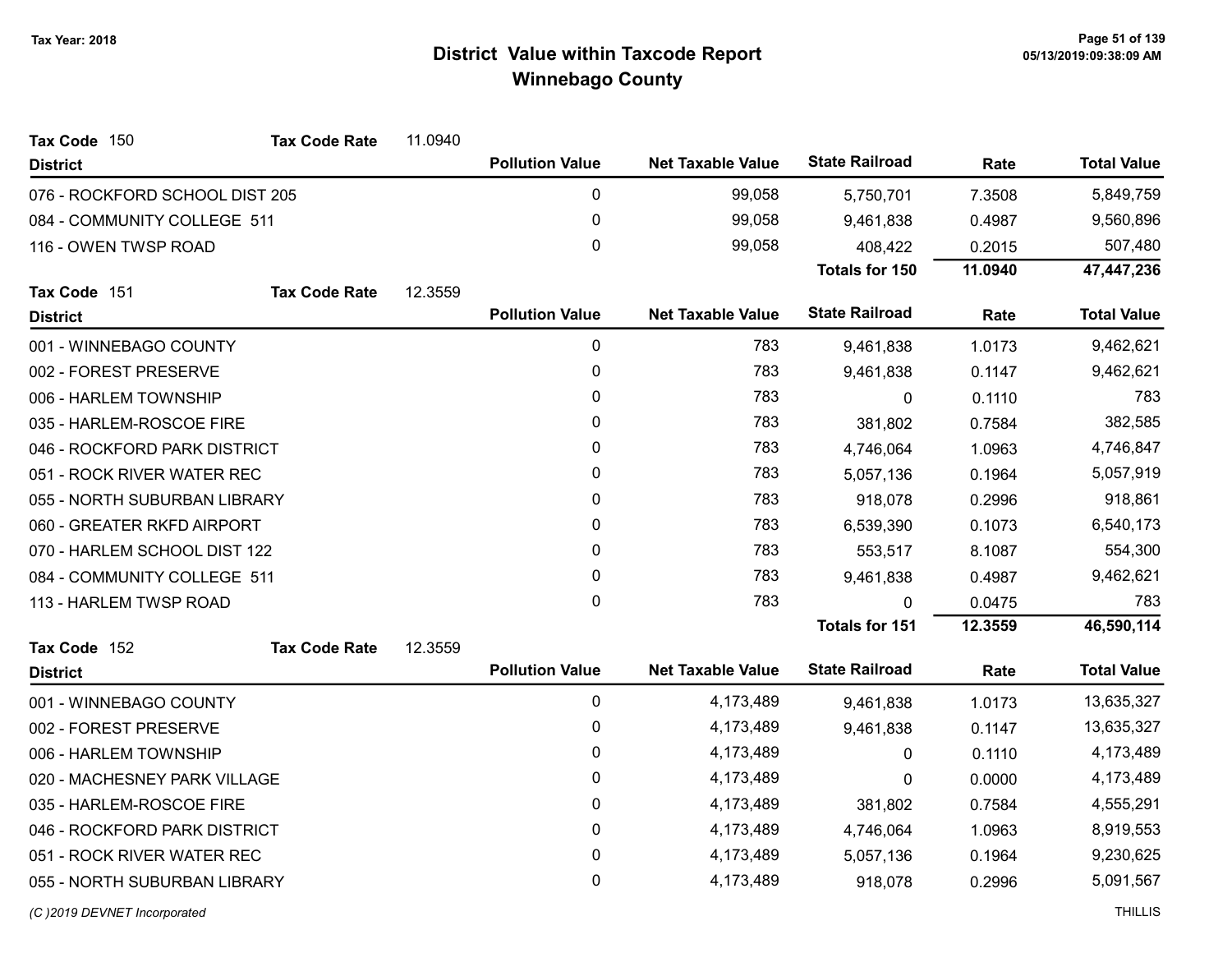| Tax Code 150                   | <b>Tax Code Rate</b> | 11.0940 |                        |                          |                       |         |                    |
|--------------------------------|----------------------|---------|------------------------|--------------------------|-----------------------|---------|--------------------|
| <b>District</b>                |                      |         | <b>Pollution Value</b> | <b>Net Taxable Value</b> | <b>State Railroad</b> | Rate    | <b>Total Value</b> |
| 076 - ROCKFORD SCHOOL DIST 205 |                      |         | 0                      | 99,058                   | 5,750,701             | 7.3508  | 5,849,759          |
| 084 - COMMUNITY COLLEGE 511    |                      |         | 0                      | 99,058                   | 9,461,838             | 0.4987  | 9,560,896          |
| 116 - OWEN TWSP ROAD           |                      |         | $\mathbf 0$            | 99,058                   | 408,422               | 0.2015  | 507,480            |
|                                |                      |         |                        |                          | Totals for 150        | 11.0940 | 47,447,236         |
| Tax Code 151                   | <b>Tax Code Rate</b> | 12.3559 |                        |                          |                       |         |                    |
| <b>District</b>                |                      |         | <b>Pollution Value</b> | <b>Net Taxable Value</b> | <b>State Railroad</b> | Rate    | <b>Total Value</b> |
| 001 - WINNEBAGO COUNTY         |                      |         | $\pmb{0}$              | 783                      | 9,461,838             | 1.0173  | 9,462,621          |
| 002 - FOREST PRESERVE          |                      |         | 0                      | 783                      | 9,461,838             | 0.1147  | 9,462,621          |
| 006 - HARLEM TOWNSHIP          |                      |         | 0                      | 783                      | 0                     | 0.1110  | 783                |
| 035 - HARLEM-ROSCOE FIRE       |                      |         | $\mathbf{0}$           | 783                      | 381,802               | 0.7584  | 382,585            |
| 046 - ROCKFORD PARK DISTRICT   |                      |         | 0                      | 783                      | 4,746,064             | 1.0963  | 4,746,847          |
| 051 - ROCK RIVER WATER REC     |                      |         | 0                      | 783                      | 5,057,136             | 0.1964  | 5,057,919          |
| 055 - NORTH SUBURBAN LIBRARY   |                      |         | $\mathbf{0}$           | 783                      | 918,078               | 0.2996  | 918,861            |
| 060 - GREATER RKFD AIRPORT     |                      |         | $\mathbf{0}$           | 783                      | 6,539,390             | 0.1073  | 6,540,173          |
| 070 - HARLEM SCHOOL DIST 122   |                      |         | $\mathbf{0}$           | 783                      | 553,517               | 8.1087  | 554,300            |
| 084 - COMMUNITY COLLEGE 511    |                      |         | 0                      | 783                      | 9,461,838             | 0.4987  | 9,462,621          |
| 113 - HARLEM TWSP ROAD         |                      |         | $\mathbf 0$            | 783                      | $\mathbf{0}$          | 0.0475  | 783                |
|                                |                      |         |                        |                          | <b>Totals for 151</b> | 12.3559 | 46,590,114         |
| Tax Code 152                   | <b>Tax Code Rate</b> | 12.3559 |                        |                          |                       |         |                    |
| <b>District</b>                |                      |         | <b>Pollution Value</b> | <b>Net Taxable Value</b> | <b>State Railroad</b> | Rate    | <b>Total Value</b> |
| 001 - WINNEBAGO COUNTY         |                      |         | 0                      | 4,173,489                | 9,461,838             | 1.0173  | 13,635,327         |
| 002 - FOREST PRESERVE          |                      |         | 0                      | 4,173,489                | 9,461,838             | 0.1147  | 13,635,327         |
| 006 - HARLEM TOWNSHIP          |                      |         | 0                      | 4,173,489                | $\mathbf{0}$          | 0.1110  | 4,173,489          |
| 020 - MACHESNEY PARK VILLAGE   |                      |         | 0                      | 4,173,489                | 0                     | 0.0000  | 4,173,489          |
| 035 - HARLEM-ROSCOE FIRE       |                      |         | $\pmb{0}$              | 4,173,489                | 381,802               | 0.7584  | 4,555,291          |
| 046 - ROCKFORD PARK DISTRICT   |                      |         | $\pmb{0}$              | 4,173,489                | 4,746,064             | 1.0963  | 8,919,553          |
| 051 - ROCK RIVER WATER REC     |                      |         | $\pmb{0}$              | 4,173,489                | 5,057,136             | 0.1964  | 9,230,625          |
| 055 - NORTH SUBURBAN LIBRARY   |                      |         | 0                      | 4,173,489                | 918,078               | 0.2996  | 5,091,567          |
| (C) 2019 DEVNET Incorporated   |                      |         |                        |                          |                       |         | <b>THILLIS</b>     |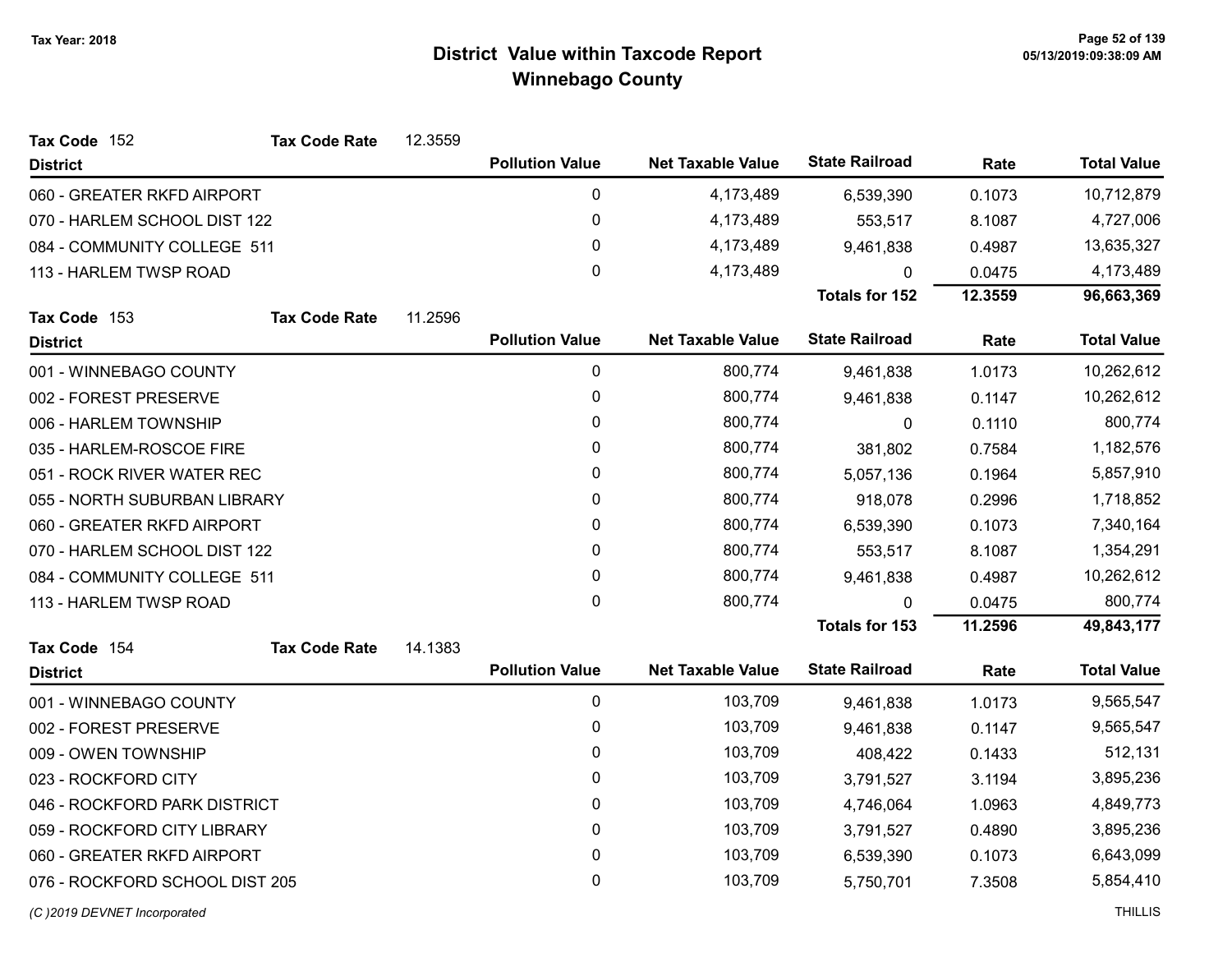| Tax Code 152                   | <b>Tax Code Rate</b> | 12.3559 |                        |                          |                       |         |                    |
|--------------------------------|----------------------|---------|------------------------|--------------------------|-----------------------|---------|--------------------|
| <b>District</b>                |                      |         | <b>Pollution Value</b> | <b>Net Taxable Value</b> | <b>State Railroad</b> | Rate    | <b>Total Value</b> |
| 060 - GREATER RKFD AIRPORT     |                      |         | $\pmb{0}$              | 4,173,489                | 6,539,390             | 0.1073  | 10,712,879         |
| 070 - HARLEM SCHOOL DIST 122   |                      |         | $\pmb{0}$              | 4,173,489                | 553,517               | 8.1087  | 4,727,006          |
| 084 - COMMUNITY COLLEGE 511    |                      |         | $\pmb{0}$              | 4,173,489                | 9,461,838             | 0.4987  | 13,635,327         |
| 113 - HARLEM TWSP ROAD         |                      |         | $\mathbf 0$            | 4,173,489                | $\Omega$              | 0.0475  | 4,173,489          |
|                                |                      |         |                        |                          | <b>Totals for 152</b> | 12.3559 | 96,663,369         |
| Tax Code 153                   | <b>Tax Code Rate</b> | 11.2596 |                        |                          |                       |         |                    |
| <b>District</b>                |                      |         | <b>Pollution Value</b> | <b>Net Taxable Value</b> | <b>State Railroad</b> | Rate    | <b>Total Value</b> |
| 001 - WINNEBAGO COUNTY         |                      |         | $\pmb{0}$              | 800,774                  | 9,461,838             | 1.0173  | 10,262,612         |
| 002 - FOREST PRESERVE          |                      |         | $\mathbf 0$            | 800,774                  | 9,461,838             | 0.1147  | 10,262,612         |
| 006 - HARLEM TOWNSHIP          |                      |         | 0                      | 800,774                  | 0                     | 0.1110  | 800,774            |
| 035 - HARLEM-ROSCOE FIRE       |                      |         | $\pmb{0}$              | 800,774                  | 381,802               | 0.7584  | 1,182,576          |
| 051 - ROCK RIVER WATER REC     |                      |         | 0                      | 800,774                  | 5,057,136             | 0.1964  | 5,857,910          |
| 055 - NORTH SUBURBAN LIBRARY   |                      |         | 0                      | 800,774                  | 918,078               | 0.2996  | 1,718,852          |
| 060 - GREATER RKFD AIRPORT     |                      |         | 0                      | 800,774                  | 6,539,390             | 0.1073  | 7,340,164          |
| 070 - HARLEM SCHOOL DIST 122   |                      |         | $\pmb{0}$              | 800,774                  | 553,517               | 8.1087  | 1,354,291          |
| 084 - COMMUNITY COLLEGE 511    |                      |         | $\pmb{0}$              | 800,774                  | 9,461,838             | 0.4987  | 10,262,612         |
| 113 - HARLEM TWSP ROAD         |                      |         | $\mathbf 0$            | 800,774                  | $\mathbf{0}$          | 0.0475  | 800,774            |
|                                |                      |         |                        |                          | <b>Totals for 153</b> | 11.2596 | 49,843,177         |
| Tax Code 154                   | <b>Tax Code Rate</b> | 14.1383 |                        |                          |                       |         |                    |
| <b>District</b>                |                      |         | <b>Pollution Value</b> | <b>Net Taxable Value</b> | <b>State Railroad</b> | Rate    | <b>Total Value</b> |
| 001 - WINNEBAGO COUNTY         |                      |         | $\pmb{0}$              | 103,709                  | 9,461,838             | 1.0173  | 9,565,547          |
| 002 - FOREST PRESERVE          |                      |         | $\pmb{0}$              | 103,709                  | 9,461,838             | 0.1147  | 9,565,547          |
| 009 - OWEN TOWNSHIP            |                      |         | $\pmb{0}$              | 103,709                  | 408,422               | 0.1433  | 512,131            |
| 023 - ROCKFORD CITY            |                      |         | $\mathbf{0}$           | 103,709                  | 3,791,527             | 3.1194  | 3,895,236          |
| 046 - ROCKFORD PARK DISTRICT   |                      |         | $\mathbf 0$            | 103,709                  | 4,746,064             | 1.0963  | 4,849,773          |
| 059 - ROCKFORD CITY LIBRARY    |                      |         | 0                      | 103,709                  | 3,791,527             | 0.4890  | 3,895,236          |
| 060 - GREATER RKFD AIRPORT     |                      |         | $\pmb{0}$              | 103,709                  | 6,539,390             | 0.1073  | 6,643,099          |
| 076 - ROCKFORD SCHOOL DIST 205 |                      |         | $\pmb{0}$              | 103,709                  | 5,750,701             | 7.3508  | 5,854,410          |
| (C) 2019 DEVNET Incorporated   |                      |         |                        |                          |                       |         | <b>THILLIS</b>     |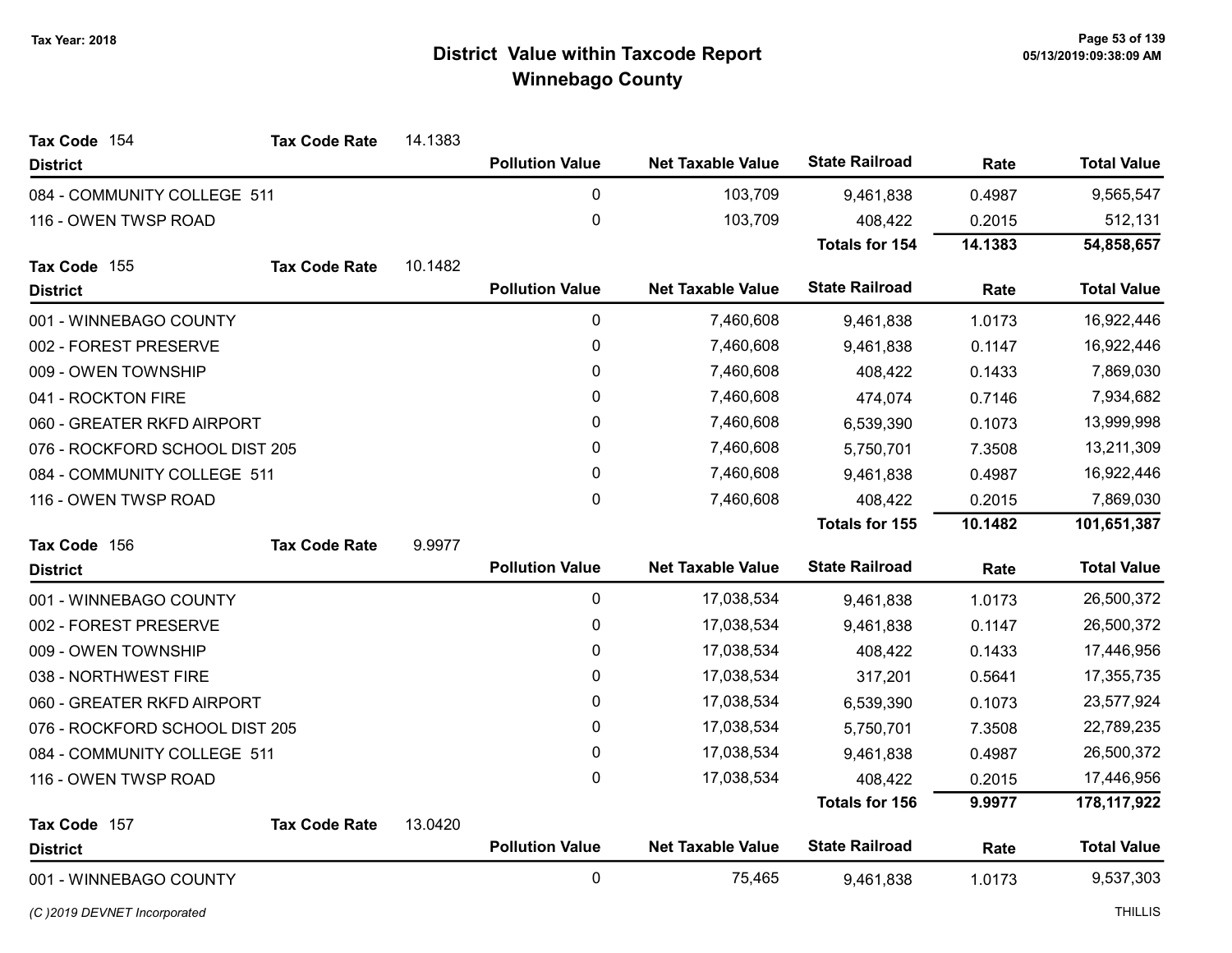| Tax Code 154                   | <b>Tax Code Rate</b> | 14.1383 |                        |                          |                       |         |                    |
|--------------------------------|----------------------|---------|------------------------|--------------------------|-----------------------|---------|--------------------|
| <b>District</b>                |                      |         | <b>Pollution Value</b> | <b>Net Taxable Value</b> | <b>State Railroad</b> | Rate    | <b>Total Value</b> |
| 084 - COMMUNITY COLLEGE 511    |                      |         | $\pmb{0}$              | 103,709                  | 9,461,838             | 0.4987  | 9,565,547          |
| 116 - OWEN TWSP ROAD           |                      |         | $\boldsymbol{0}$       | 103,709                  | 408,422               | 0.2015  | 512,131            |
|                                |                      |         |                        |                          | <b>Totals for 154</b> | 14.1383 | 54,858,657         |
| Tax Code 155                   | <b>Tax Code Rate</b> | 10.1482 |                        |                          |                       |         |                    |
| <b>District</b>                |                      |         | <b>Pollution Value</b> | <b>Net Taxable Value</b> | <b>State Railroad</b> | Rate    | <b>Total Value</b> |
| 001 - WINNEBAGO COUNTY         |                      |         | 0                      | 7,460,608                | 9,461,838             | 1.0173  | 16,922,446         |
| 002 - FOREST PRESERVE          |                      |         | $\pmb{0}$              | 7,460,608                | 9,461,838             | 0.1147  | 16,922,446         |
| 009 - OWEN TOWNSHIP            |                      |         | 0                      | 7,460,608                | 408,422               | 0.1433  | 7,869,030          |
| 041 - ROCKTON FIRE             |                      |         | $\pmb{0}$              | 7,460,608                | 474,074               | 0.7146  | 7,934,682          |
| 060 - GREATER RKFD AIRPORT     |                      |         | 0                      | 7,460,608                | 6,539,390             | 0.1073  | 13,999,998         |
| 076 - ROCKFORD SCHOOL DIST 205 |                      |         | 0                      | 7,460,608                | 5,750,701             | 7.3508  | 13,211,309         |
| 084 - COMMUNITY COLLEGE 511    |                      |         | 0                      | 7,460,608                | 9,461,838             | 0.4987  | 16,922,446         |
| 116 - OWEN TWSP ROAD           |                      |         | 0                      | 7,460,608                | 408,422               | 0.2015  | 7,869,030          |
|                                |                      |         |                        |                          | <b>Totals for 155</b> | 10.1482 | 101,651,387        |
| Tax Code 156                   | <b>Tax Code Rate</b> | 9.9977  |                        |                          |                       |         |                    |
| <b>District</b>                |                      |         | <b>Pollution Value</b> | <b>Net Taxable Value</b> | <b>State Railroad</b> | Rate    | <b>Total Value</b> |
| 001 - WINNEBAGO COUNTY         |                      |         | $\pmb{0}$              | 17,038,534               | 9,461,838             | 1.0173  | 26,500,372         |
| 002 - FOREST PRESERVE          |                      |         | $\boldsymbol{0}$       | 17,038,534               | 9,461,838             | 0.1147  | 26,500,372         |
| 009 - OWEN TOWNSHIP            |                      |         | 0                      | 17,038,534               | 408,422               | 0.1433  | 17,446,956         |
| 038 - NORTHWEST FIRE           |                      |         | 0                      | 17,038,534               | 317,201               | 0.5641  | 17,355,735         |
| 060 - GREATER RKFD AIRPORT     |                      |         | $\pmb{0}$              | 17,038,534               | 6,539,390             | 0.1073  | 23,577,924         |
| 076 - ROCKFORD SCHOOL DIST 205 |                      |         | 0                      | 17,038,534               | 5,750,701             | 7.3508  | 22,789,235         |
| 084 - COMMUNITY COLLEGE 511    |                      |         | 0                      | 17,038,534               | 9,461,838             | 0.4987  | 26,500,372         |
| 116 - OWEN TWSP ROAD           |                      |         | 0                      | 17,038,534               | 408,422               | 0.2015  | 17,446,956         |
|                                |                      |         |                        |                          | Totals for 156        | 9.9977  | 178, 117, 922      |
| Tax Code 157                   | <b>Tax Code Rate</b> | 13.0420 |                        |                          |                       |         |                    |
| <b>District</b>                |                      |         | <b>Pollution Value</b> | <b>Net Taxable Value</b> | <b>State Railroad</b> | Rate    | <b>Total Value</b> |
| 001 - WINNEBAGO COUNTY         |                      |         | $\mathbf 0$            | 75,465                   | 9,461,838             | 1.0173  | 9,537,303          |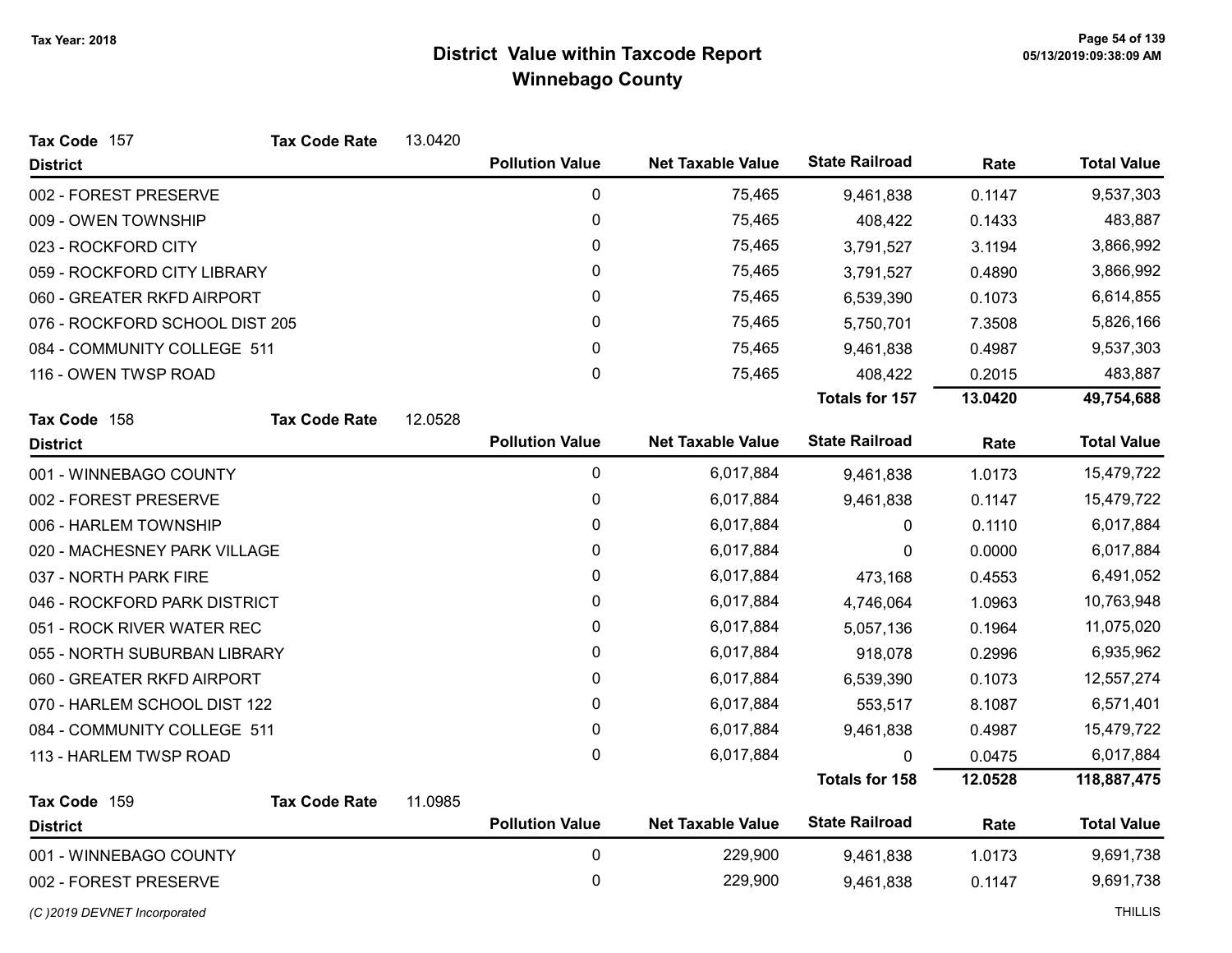| Tax Code 157                   | <b>Tax Code Rate</b> | 13.0420 |                        |                          |                       |         |                    |
|--------------------------------|----------------------|---------|------------------------|--------------------------|-----------------------|---------|--------------------|
| <b>District</b>                |                      |         | <b>Pollution Value</b> | <b>Net Taxable Value</b> | <b>State Railroad</b> | Rate    | <b>Total Value</b> |
| 002 - FOREST PRESERVE          |                      |         | 0                      | 75,465                   | 9,461,838             | 0.1147  | 9,537,303          |
| 009 - OWEN TOWNSHIP            |                      |         | 0                      | 75,465                   | 408,422               | 0.1433  | 483,887            |
| 023 - ROCKFORD CITY            |                      |         | 0                      | 75,465                   | 3,791,527             | 3.1194  | 3,866,992          |
| 059 - ROCKFORD CITY LIBRARY    |                      |         | 0                      | 75,465                   | 3,791,527             | 0.4890  | 3,866,992          |
| 060 - GREATER RKFD AIRPORT     |                      |         | 0                      | 75,465                   | 6,539,390             | 0.1073  | 6,614,855          |
| 076 - ROCKFORD SCHOOL DIST 205 |                      |         | 0                      | 75,465                   | 5,750,701             | 7.3508  | 5,826,166          |
| 084 - COMMUNITY COLLEGE 511    |                      |         | 0                      | 75,465                   | 9,461,838             | 0.4987  | 9,537,303          |
| 116 - OWEN TWSP ROAD           |                      |         | 0                      | 75,465                   | 408,422               | 0.2015  | 483,887            |
|                                |                      |         |                        |                          | <b>Totals for 157</b> | 13.0420 | 49,754,688         |
| Tax Code 158                   | <b>Tax Code Rate</b> | 12.0528 |                        |                          |                       |         |                    |
| <b>District</b>                |                      |         | <b>Pollution Value</b> | <b>Net Taxable Value</b> | <b>State Railroad</b> | Rate    | <b>Total Value</b> |
| 001 - WINNEBAGO COUNTY         |                      |         | 0                      | 6,017,884                | 9,461,838             | 1.0173  | 15,479,722         |
| 002 - FOREST PRESERVE          |                      |         | $\mathbf 0$            | 6,017,884                | 9,461,838             | 0.1147  | 15,479,722         |
| 006 - HARLEM TOWNSHIP          |                      |         | 0                      | 6,017,884                | 0                     | 0.1110  | 6,017,884          |
| 020 - MACHESNEY PARK VILLAGE   |                      |         | $\mathbf{0}$           | 6,017,884                | 0                     | 0.0000  | 6,017,884          |
| 037 - NORTH PARK FIRE          |                      |         | 0                      | 6,017,884                | 473,168               | 0.4553  | 6,491,052          |
| 046 - ROCKFORD PARK DISTRICT   |                      |         | 0                      | 6,017,884                | 4,746,064             | 1.0963  | 10,763,948         |
| 051 - ROCK RIVER WATER REC     |                      |         | 0                      | 6,017,884                | 5,057,136             | 0.1964  | 11,075,020         |
| 055 - NORTH SUBURBAN LIBRARY   |                      |         | 0                      | 6,017,884                | 918,078               | 0.2996  | 6,935,962          |
| 060 - GREATER RKFD AIRPORT     |                      |         | 0                      | 6,017,884                | 6,539,390             | 0.1073  | 12,557,274         |
| 070 - HARLEM SCHOOL DIST 122   |                      |         | 0                      | 6,017,884                | 553,517               | 8.1087  | 6,571,401          |
| 084 - COMMUNITY COLLEGE 511    |                      |         | 0                      | 6,017,884                | 9,461,838             | 0.4987  | 15,479,722         |
| 113 - HARLEM TWSP ROAD         |                      |         | 0                      | 6,017,884                | 0                     | 0.0475  | 6,017,884          |
|                                |                      |         |                        |                          | <b>Totals for 158</b> | 12.0528 | 118,887,475        |
| Tax Code 159                   | <b>Tax Code Rate</b> | 11.0985 |                        |                          |                       |         |                    |
| <b>District</b>                |                      |         | <b>Pollution Value</b> | <b>Net Taxable Value</b> | <b>State Railroad</b> | Rate    | <b>Total Value</b> |
| 001 - WINNEBAGO COUNTY         |                      |         | $\pmb{0}$              | 229,900                  | 9,461,838             | 1.0173  | 9,691,738          |
| 002 - FOREST PRESERVE          |                      |         | $\mathbf 0$            | 229,900                  | 9,461,838             | 0.1147  | 9,691,738          |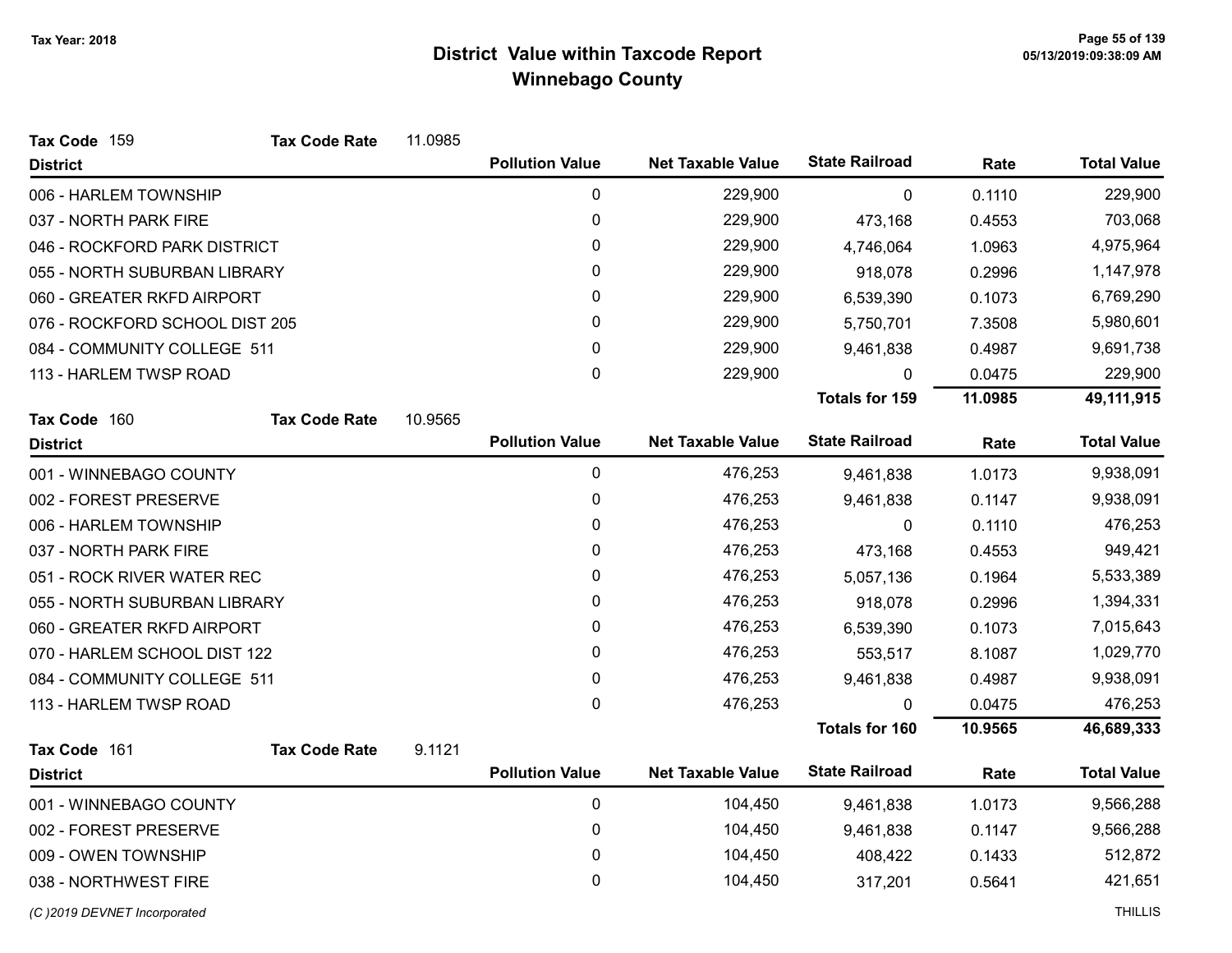| Tax Code 159                   | <b>Tax Code Rate</b> | 11.0985 |                        |                          |                       |         |                    |
|--------------------------------|----------------------|---------|------------------------|--------------------------|-----------------------|---------|--------------------|
| <b>District</b>                |                      |         | <b>Pollution Value</b> | <b>Net Taxable Value</b> | <b>State Railroad</b> | Rate    | <b>Total Value</b> |
| 006 - HARLEM TOWNSHIP          |                      |         | 0                      | 229,900                  | $\mathbf{0}$          | 0.1110  | 229,900            |
| 037 - NORTH PARK FIRE          |                      |         | 0                      | 229,900                  | 473,168               | 0.4553  | 703,068            |
| 046 - ROCKFORD PARK DISTRICT   |                      |         | 0                      | 229,900                  | 4,746,064             | 1.0963  | 4,975,964          |
| 055 - NORTH SUBURBAN LIBRARY   |                      |         | 0                      | 229,900                  | 918,078               | 0.2996  | 1,147,978          |
| 060 - GREATER RKFD AIRPORT     |                      |         | 0                      | 229,900                  | 6,539,390             | 0.1073  | 6,769,290          |
| 076 - ROCKFORD SCHOOL DIST 205 |                      |         | 0                      | 229,900                  | 5,750,701             | 7.3508  | 5,980,601          |
| 084 - COMMUNITY COLLEGE 511    |                      |         | 0                      | 229,900                  | 9,461,838             | 0.4987  | 9,691,738          |
| 113 - HARLEM TWSP ROAD         |                      |         | 0                      | 229,900                  | $\Omega$              | 0.0475  | 229,900            |
|                                |                      |         |                        |                          | <b>Totals for 159</b> | 11.0985 | 49,111,915         |
| Tax Code 160                   | <b>Tax Code Rate</b> | 10.9565 |                        |                          |                       |         |                    |
| <b>District</b>                |                      |         | <b>Pollution Value</b> | <b>Net Taxable Value</b> | <b>State Railroad</b> | Rate    | <b>Total Value</b> |
| 001 - WINNEBAGO COUNTY         |                      |         | 0                      | 476,253                  | 9,461,838             | 1.0173  | 9,938,091          |
| 002 - FOREST PRESERVE          |                      |         | 0                      | 476,253                  | 9,461,838             | 0.1147  | 9,938,091          |
| 006 - HARLEM TOWNSHIP          |                      |         | 0                      | 476,253                  | 0                     | 0.1110  | 476,253            |
| 037 - NORTH PARK FIRE          |                      |         | 0                      | 476,253                  | 473,168               | 0.4553  | 949,421            |
| 051 - ROCK RIVER WATER REC     |                      |         | 0                      | 476,253                  | 5,057,136             | 0.1964  | 5,533,389          |
| 055 - NORTH SUBURBAN LIBRARY   |                      |         | 0                      | 476,253                  | 918,078               | 0.2996  | 1,394,331          |
| 060 - GREATER RKFD AIRPORT     |                      |         | 0                      | 476,253                  | 6,539,390             | 0.1073  | 7,015,643          |
| 070 - HARLEM SCHOOL DIST 122   |                      |         | 0                      | 476,253                  | 553,517               | 8.1087  | 1,029,770          |
| 084 - COMMUNITY COLLEGE 511    |                      |         | 0                      | 476,253                  | 9,461,838             | 0.4987  | 9,938,091          |
| 113 - HARLEM TWSP ROAD         |                      |         | 0                      | 476,253                  | 0                     | 0.0475  | 476,253            |
|                                |                      |         |                        |                          | <b>Totals for 160</b> | 10.9565 | 46,689,333         |
| Tax Code 161                   | <b>Tax Code Rate</b> | 9.1121  |                        |                          |                       |         |                    |
| <b>District</b>                |                      |         | <b>Pollution Value</b> | <b>Net Taxable Value</b> | <b>State Railroad</b> | Rate    | <b>Total Value</b> |
| 001 - WINNEBAGO COUNTY         |                      |         | $\pmb{0}$              | 104,450                  | 9,461,838             | 1.0173  | 9,566,288          |
| 002 - FOREST PRESERVE          |                      |         | 0                      | 104,450                  | 9,461,838             | 0.1147  | 9,566,288          |
| 009 - OWEN TOWNSHIP            |                      |         | 0                      | 104,450                  | 408,422               | 0.1433  | 512,872            |
| 038 - NORTHWEST FIRE           |                      |         | 0                      | 104,450                  | 317,201               | 0.5641  | 421,651            |
| (C) 2019 DEVNET Incorporated   |                      |         |                        |                          |                       |         | <b>THILLIS</b>     |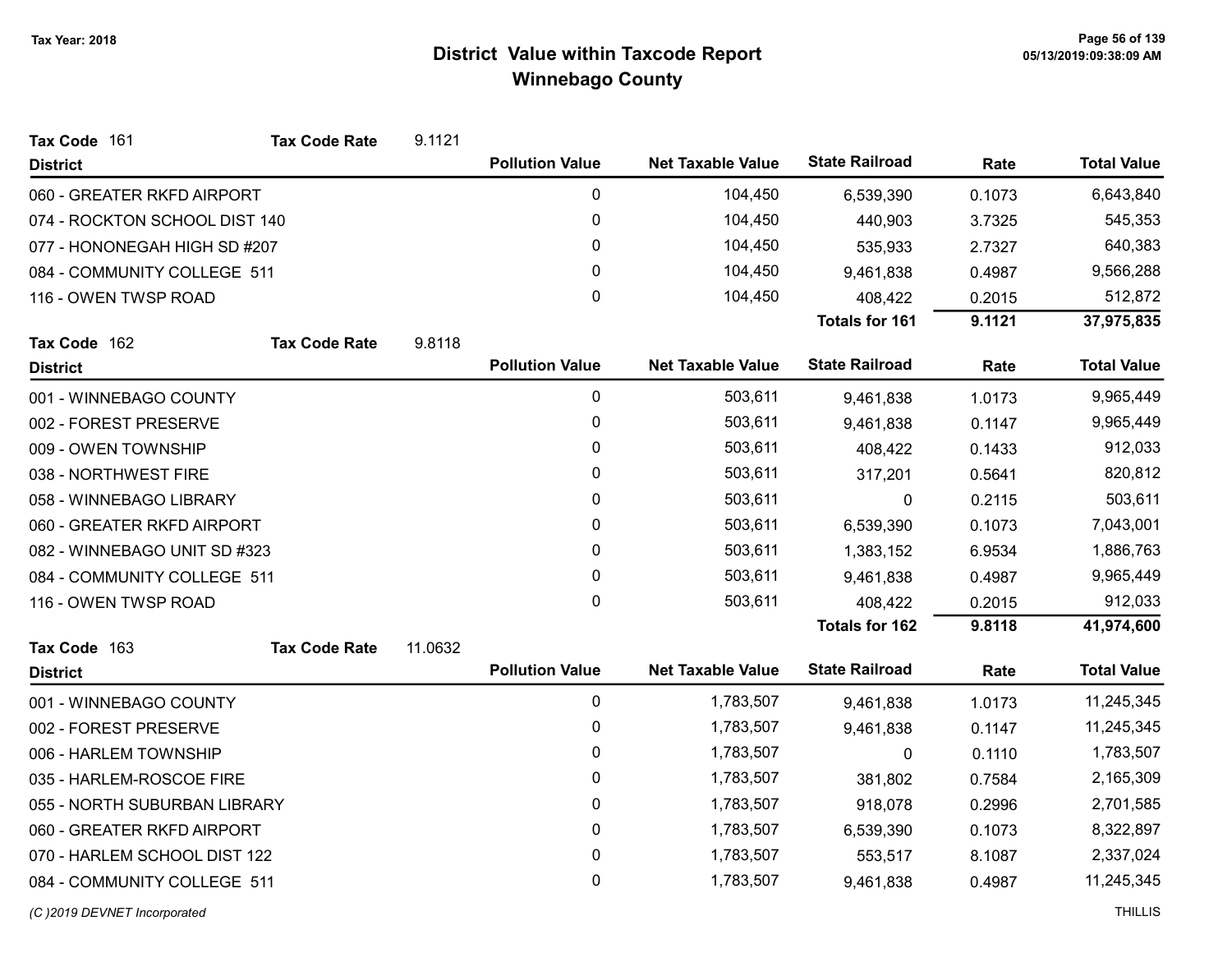| Tax Code 161                  | <b>Tax Code Rate</b> | 9.1121  |                        |                          |                       |        |                    |
|-------------------------------|----------------------|---------|------------------------|--------------------------|-----------------------|--------|--------------------|
| <b>District</b>               |                      |         | <b>Pollution Value</b> | <b>Net Taxable Value</b> | <b>State Railroad</b> | Rate   | <b>Total Value</b> |
| 060 - GREATER RKFD AIRPORT    |                      |         | 0                      | 104,450                  | 6,539,390             | 0.1073 | 6,643,840          |
| 074 - ROCKTON SCHOOL DIST 140 |                      |         | $\pmb{0}$              | 104,450                  | 440,903               | 3.7325 | 545,353            |
| 077 - HONONEGAH HIGH SD #207  |                      |         | 0                      | 104,450                  | 535,933               | 2.7327 | 640,383            |
| 084 - COMMUNITY COLLEGE 511   |                      |         | 0                      | 104,450                  | 9,461,838             | 0.4987 | 9,566,288          |
| 116 - OWEN TWSP ROAD          |                      |         | 0                      | 104,450                  | 408,422               | 0.2015 | 512,872            |
|                               |                      |         |                        |                          | <b>Totals for 161</b> | 9.1121 | 37,975,835         |
| Tax Code 162                  | <b>Tax Code Rate</b> | 9.8118  |                        |                          |                       |        |                    |
| <b>District</b>               |                      |         | <b>Pollution Value</b> | <b>Net Taxable Value</b> | <b>State Railroad</b> | Rate   | <b>Total Value</b> |
| 001 - WINNEBAGO COUNTY        |                      |         | 0                      | 503,611                  | 9,461,838             | 1.0173 | 9,965,449          |
| 002 - FOREST PRESERVE         |                      |         | 0                      | 503,611                  | 9,461,838             | 0.1147 | 9,965,449          |
| 009 - OWEN TOWNSHIP           |                      |         | 0                      | 503,611                  | 408,422               | 0.1433 | 912,033            |
| 038 - NORTHWEST FIRE          |                      |         | 0                      | 503,611                  | 317,201               | 0.5641 | 820,812            |
| 058 - WINNEBAGO LIBRARY       |                      |         | 0                      | 503,611                  | 0                     | 0.2115 | 503,611            |
| 060 - GREATER RKFD AIRPORT    |                      |         | 0                      | 503,611                  | 6,539,390             | 0.1073 | 7,043,001          |
| 082 - WINNEBAGO UNIT SD #323  |                      |         | 0                      | 503,611                  | 1,383,152             | 6.9534 | 1,886,763          |
| 084 - COMMUNITY COLLEGE 511   |                      |         | 0                      | 503,611                  | 9,461,838             | 0.4987 | 9,965,449          |
| 116 - OWEN TWSP ROAD          |                      |         | 0                      | 503,611                  | 408,422               | 0.2015 | 912,033            |
|                               |                      |         |                        |                          | <b>Totals for 162</b> | 9.8118 | 41,974,600         |
| Tax Code 163                  | <b>Tax Code Rate</b> | 11.0632 |                        |                          |                       |        |                    |
| <b>District</b>               |                      |         | <b>Pollution Value</b> | <b>Net Taxable Value</b> | <b>State Railroad</b> | Rate   | <b>Total Value</b> |
| 001 - WINNEBAGO COUNTY        |                      |         | 0                      | 1,783,507                | 9,461,838             | 1.0173 | 11,245,345         |
| 002 - FOREST PRESERVE         |                      |         | 0                      | 1,783,507                | 9,461,838             | 0.1147 | 11,245,345         |
| 006 - HARLEM TOWNSHIP         |                      |         | 0                      | 1,783,507                | 0                     | 0.1110 | 1,783,507          |
| 035 - HARLEM-ROSCOE FIRE      |                      |         | 0                      | 1,783,507                | 381,802               | 0.7584 | 2,165,309          |
| 055 - NORTH SUBURBAN LIBRARY  |                      |         | 0                      | 1,783,507                | 918,078               | 0.2996 | 2,701,585          |
| 060 - GREATER RKFD AIRPORT    |                      |         | 0                      | 1,783,507                | 6,539,390             | 0.1073 | 8,322,897          |
| 070 - HARLEM SCHOOL DIST 122  |                      |         | 0                      | 1,783,507                | 553,517               | 8.1087 | 2,337,024          |
| 084 - COMMUNITY COLLEGE 511   |                      |         | 0                      | 1,783,507                | 9,461,838             | 0.4987 | 11,245,345         |
| (C) 2019 DEVNET Incorporated  |                      |         |                        |                          |                       |        | <b>THILLIS</b>     |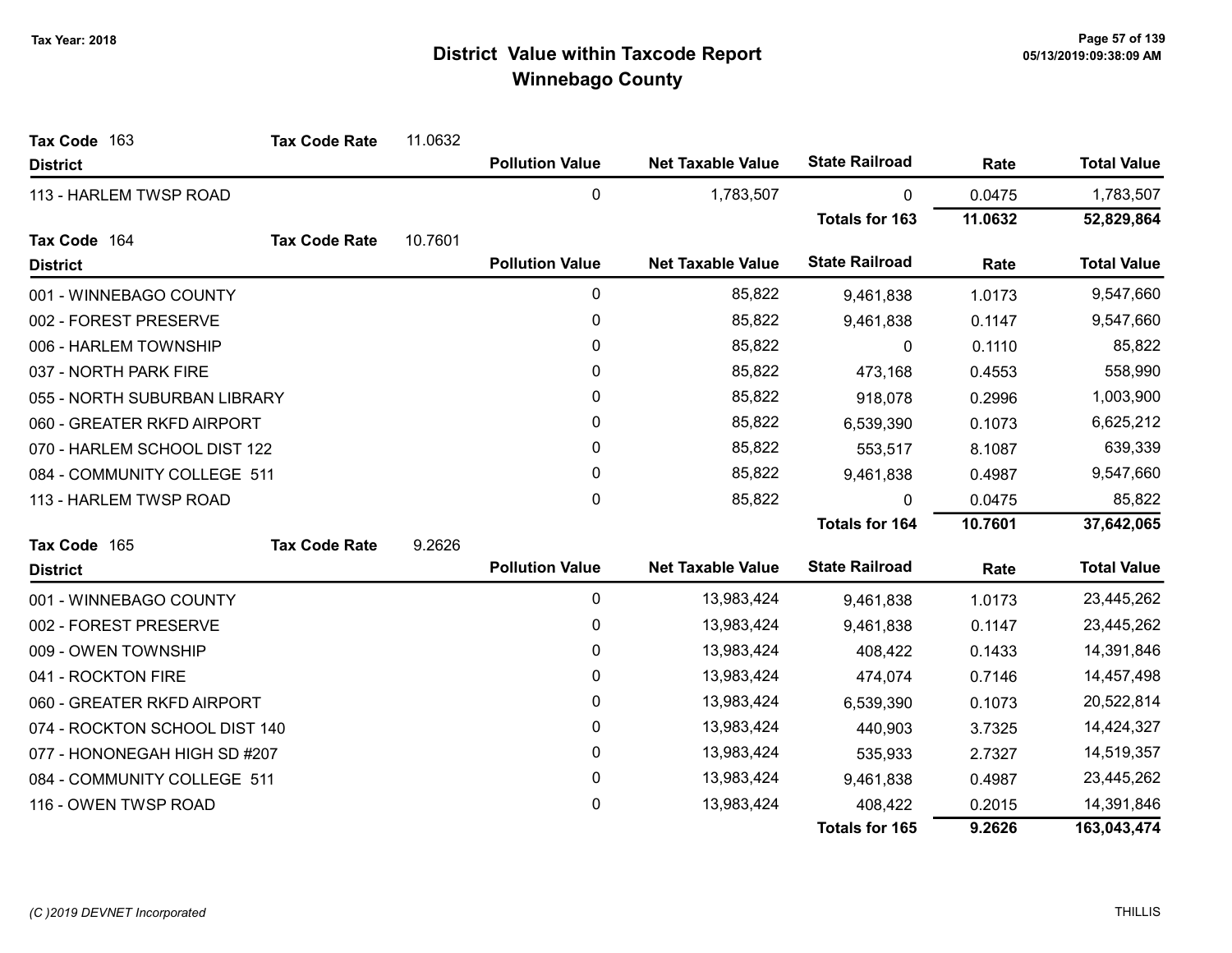| Tax Code 163                  | <b>Tax Code Rate</b> | 11.0632 |                        |                          |                       |         |                    |
|-------------------------------|----------------------|---------|------------------------|--------------------------|-----------------------|---------|--------------------|
| <b>District</b>               |                      |         | <b>Pollution Value</b> | <b>Net Taxable Value</b> | <b>State Railroad</b> | Rate    | <b>Total Value</b> |
| 113 - HARLEM TWSP ROAD        |                      |         | $\pmb{0}$              | 1,783,507                | 0                     | 0.0475  | 1,783,507          |
|                               |                      |         |                        |                          | <b>Totals for 163</b> | 11.0632 | 52,829,864         |
| Tax Code 164                  | <b>Tax Code Rate</b> | 10.7601 |                        |                          |                       |         |                    |
| <b>District</b>               |                      |         | <b>Pollution Value</b> | <b>Net Taxable Value</b> | <b>State Railroad</b> | Rate    | <b>Total Value</b> |
| 001 - WINNEBAGO COUNTY        |                      |         | 0                      | 85,822                   | 9,461,838             | 1.0173  | 9,547,660          |
| 002 - FOREST PRESERVE         |                      |         | $\pmb{0}$              | 85,822                   | 9,461,838             | 0.1147  | 9,547,660          |
| 006 - HARLEM TOWNSHIP         |                      |         | 0                      | 85,822                   | 0                     | 0.1110  | 85,822             |
| 037 - NORTH PARK FIRE         |                      |         | $\mathbf{0}$           | 85,822                   | 473,168               | 0.4553  | 558,990            |
| 055 - NORTH SUBURBAN LIBRARY  |                      |         | 0                      | 85,822                   | 918,078               | 0.2996  | 1,003,900          |
| 060 - GREATER RKFD AIRPORT    |                      |         | 0                      | 85,822                   | 6,539,390             | 0.1073  | 6,625,212          |
| 070 - HARLEM SCHOOL DIST 122  |                      |         | 0                      | 85,822                   | 553,517               | 8.1087  | 639,339            |
| 084 - COMMUNITY COLLEGE 511   |                      |         | 0                      | 85,822                   | 9,461,838             | 0.4987  | 9,547,660          |
| 113 - HARLEM TWSP ROAD        |                      |         | $\mathbf 0$            | 85,822                   | $\mathbf{0}$          | 0.0475  | 85,822             |
|                               |                      |         |                        |                          | <b>Totals for 164</b> | 10.7601 | 37,642,065         |
| Tax Code 165                  | <b>Tax Code Rate</b> | 9.2626  |                        |                          |                       |         |                    |
| <b>District</b>               |                      |         | <b>Pollution Value</b> | <b>Net Taxable Value</b> | <b>State Railroad</b> | Rate    | <b>Total Value</b> |
| 001 - WINNEBAGO COUNTY        |                      |         | 0                      | 13,983,424               | 9,461,838             | 1.0173  | 23,445,262         |
| 002 - FOREST PRESERVE         |                      |         | 0                      | 13,983,424               | 9,461,838             | 0.1147  | 23,445,262         |
| 009 - OWEN TOWNSHIP           |                      |         | $\pmb{0}$              | 13,983,424               | 408,422               | 0.1433  | 14,391,846         |
| 041 - ROCKTON FIRE            |                      |         | 0                      | 13,983,424               | 474,074               | 0.7146  | 14,457,498         |
| 060 - GREATER RKFD AIRPORT    |                      |         | 0                      | 13,983,424               | 6,539,390             | 0.1073  | 20,522,814         |
| 074 - ROCKTON SCHOOL DIST 140 |                      |         | $\pmb{0}$              | 13,983,424               | 440,903               | 3.7325  | 14,424,327         |
| 077 - HONONEGAH HIGH SD #207  |                      |         | $\pmb{0}$              | 13,983,424               | 535,933               | 2.7327  | 14,519,357         |
| 084 - COMMUNITY COLLEGE 511   |                      |         | $\pmb{0}$              | 13,983,424               | 9,461,838             | 0.4987  | 23,445,262         |
| 116 - OWEN TWSP ROAD          |                      |         | 0                      | 13,983,424               | 408,422               | 0.2015  | 14,391,846         |
|                               |                      |         |                        |                          | <b>Totals for 165</b> | 9.2626  | 163,043,474        |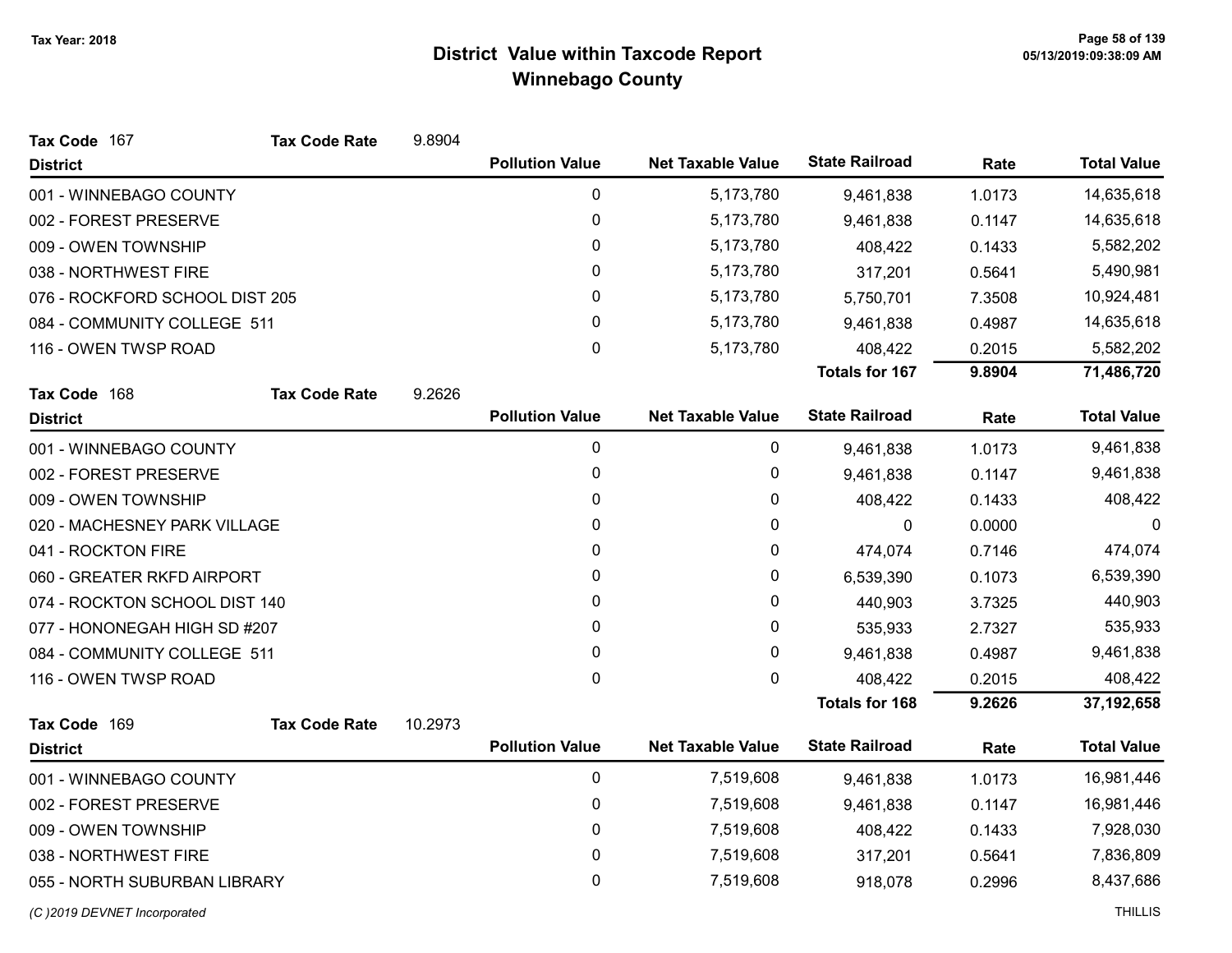| Tax Code 167                   | <b>Tax Code Rate</b> | 9.8904  |                        |                          |                       |        |                    |
|--------------------------------|----------------------|---------|------------------------|--------------------------|-----------------------|--------|--------------------|
| <b>District</b>                |                      |         | <b>Pollution Value</b> | <b>Net Taxable Value</b> | <b>State Railroad</b> | Rate   | <b>Total Value</b> |
| 001 - WINNEBAGO COUNTY         |                      |         | 0                      | 5,173,780                | 9,461,838             | 1.0173 | 14,635,618         |
| 002 - FOREST PRESERVE          |                      |         | 0                      | 5,173,780                | 9,461,838             | 0.1147 | 14,635,618         |
| 009 - OWEN TOWNSHIP            |                      |         | 0                      | 5,173,780                | 408,422               | 0.1433 | 5,582,202          |
| 038 - NORTHWEST FIRE           |                      |         | 0                      | 5,173,780                | 317,201               | 0.5641 | 5,490,981          |
| 076 - ROCKFORD SCHOOL DIST 205 |                      |         | 0                      | 5,173,780                | 5,750,701             | 7.3508 | 10,924,481         |
| 084 - COMMUNITY COLLEGE 511    |                      |         | 0                      | 5,173,780                | 9,461,838             | 0.4987 | 14,635,618         |
| 116 - OWEN TWSP ROAD           |                      |         | 0                      | 5,173,780                | 408,422               | 0.2015 | 5,582,202          |
|                                |                      |         |                        |                          | <b>Totals for 167</b> | 9.8904 | 71,486,720         |
| Tax Code 168                   | <b>Tax Code Rate</b> | 9.2626  |                        |                          |                       |        |                    |
| <b>District</b>                |                      |         | <b>Pollution Value</b> | <b>Net Taxable Value</b> | <b>State Railroad</b> | Rate   | <b>Total Value</b> |
| 001 - WINNEBAGO COUNTY         |                      |         | 0                      | 0                        | 9,461,838             | 1.0173 | 9,461,838          |
| 002 - FOREST PRESERVE          |                      |         | 0                      | 0                        | 9,461,838             | 0.1147 | 9,461,838          |
| 009 - OWEN TOWNSHIP            |                      |         | 0                      | 0                        | 408,422               | 0.1433 | 408,422            |
| 020 - MACHESNEY PARK VILLAGE   |                      |         | 0                      | 0                        | 0                     | 0.0000 | $\mathbf 0$        |
| 041 - ROCKTON FIRE             |                      |         | 0                      | 0                        | 474,074               | 0.7146 | 474,074            |
| 060 - GREATER RKFD AIRPORT     |                      |         | 0                      | 0                        | 6,539,390             | 0.1073 | 6,539,390          |
| 074 - ROCKTON SCHOOL DIST 140  |                      |         | 0                      | 0                        | 440,903               | 3.7325 | 440,903            |
| 077 - HONONEGAH HIGH SD #207   |                      |         | 0                      | 0                        | 535,933               | 2.7327 | 535,933            |
| 084 - COMMUNITY COLLEGE 511    |                      |         | 0                      | 0                        | 9,461,838             | 0.4987 | 9,461,838          |
| 116 - OWEN TWSP ROAD           |                      |         | 0                      | 0                        | 408,422               | 0.2015 | 408,422            |
|                                |                      |         |                        |                          | <b>Totals for 168</b> | 9.2626 | 37,192,658         |
| Tax Code 169                   | <b>Tax Code Rate</b> | 10.2973 |                        |                          |                       |        |                    |
| <b>District</b>                |                      |         | <b>Pollution Value</b> | <b>Net Taxable Value</b> | <b>State Railroad</b> | Rate   | <b>Total Value</b> |
| 001 - WINNEBAGO COUNTY         |                      |         | 0                      | 7,519,608                | 9,461,838             | 1.0173 | 16,981,446         |
| 002 - FOREST PRESERVE          |                      |         | 0                      | 7,519,608                | 9,461,838             | 0.1147 | 16,981,446         |
| 009 - OWEN TOWNSHIP            |                      |         | 0                      | 7,519,608                | 408,422               | 0.1433 | 7,928,030          |
| 038 - NORTHWEST FIRE           |                      |         | 0                      | 7,519,608                | 317,201               | 0.5641 | 7,836,809          |
| 055 - NORTH SUBURBAN LIBRARY   |                      |         | 0                      | 7,519,608                | 918,078               | 0.2996 | 8,437,686          |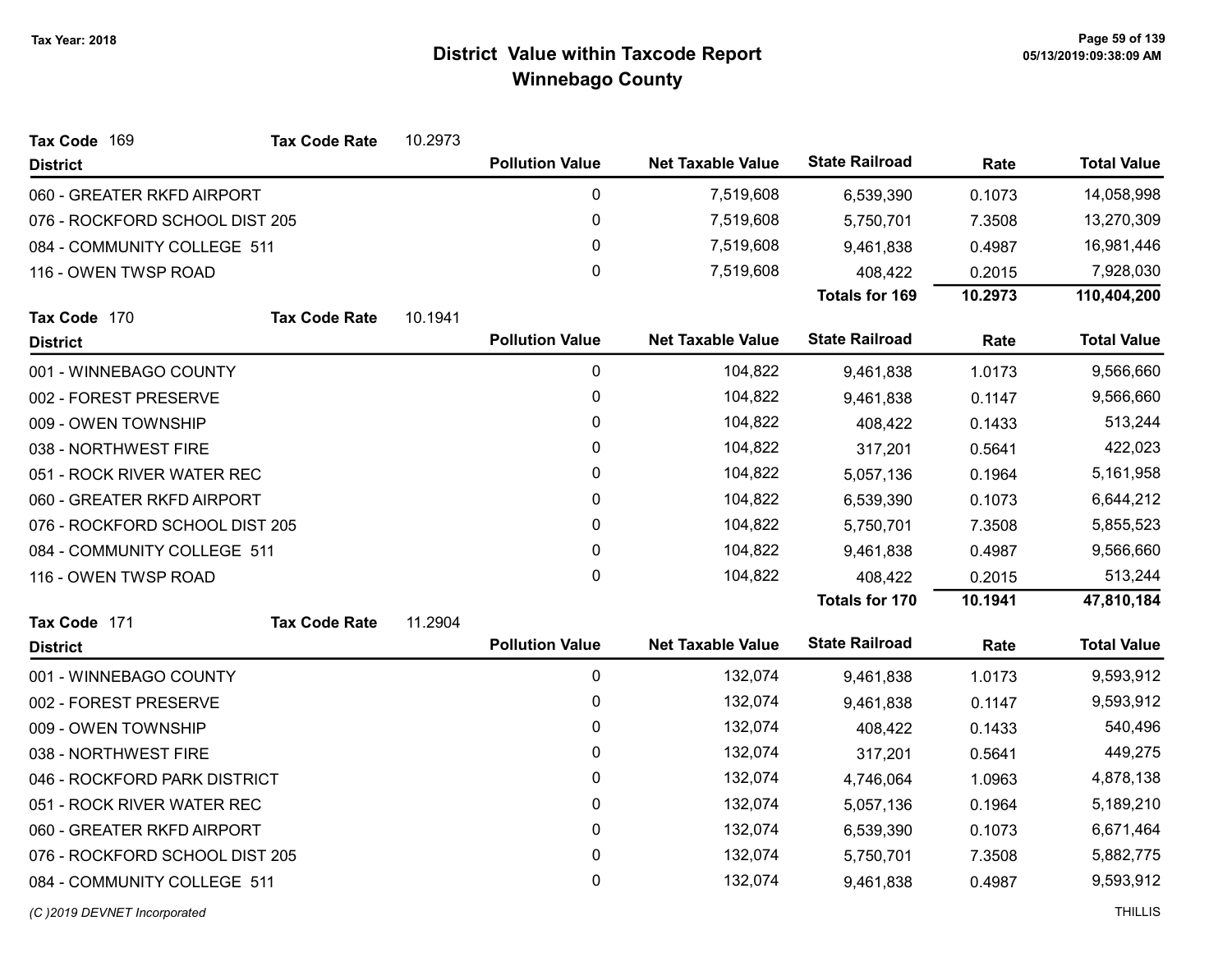| Tax Code 169                   | <b>Tax Code Rate</b> | 10.2973 |                        |                          |                       |         |                    |
|--------------------------------|----------------------|---------|------------------------|--------------------------|-----------------------|---------|--------------------|
| <b>District</b>                |                      |         | <b>Pollution Value</b> | <b>Net Taxable Value</b> | <b>State Railroad</b> | Rate    | <b>Total Value</b> |
| 060 - GREATER RKFD AIRPORT     |                      |         | 0                      | 7,519,608                | 6,539,390             | 0.1073  | 14,058,998         |
| 076 - ROCKFORD SCHOOL DIST 205 |                      |         | $\pmb{0}$              | 7,519,608                | 5,750,701             | 7.3508  | 13,270,309         |
| 084 - COMMUNITY COLLEGE 511    |                      |         | 0                      | 7,519,608                | 9,461,838             | 0.4987  | 16,981,446         |
| 116 - OWEN TWSP ROAD           |                      |         | $\mathbf 0$            | 7,519,608                | 408,422               | 0.2015  | 7,928,030          |
|                                |                      |         |                        |                          | <b>Totals for 169</b> | 10.2973 | 110,404,200        |
| Tax Code 170                   | <b>Tax Code Rate</b> | 10.1941 |                        |                          |                       |         |                    |
| <b>District</b>                |                      |         | <b>Pollution Value</b> | <b>Net Taxable Value</b> | <b>State Railroad</b> | Rate    | <b>Total Value</b> |
| 001 - WINNEBAGO COUNTY         |                      |         | 0                      | 104,822                  | 9,461,838             | 1.0173  | 9,566,660          |
| 002 - FOREST PRESERVE          |                      |         | $\pmb{0}$              | 104,822                  | 9,461,838             | 0.1147  | 9,566,660          |
| 009 - OWEN TOWNSHIP            |                      |         | 0                      | 104,822                  | 408,422               | 0.1433  | 513,244            |
| 038 - NORTHWEST FIRE           |                      |         | 0                      | 104,822                  | 317,201               | 0.5641  | 422,023            |
| 051 - ROCK RIVER WATER REC     |                      |         | $\mathbf{0}$           | 104,822                  | 5,057,136             | 0.1964  | 5,161,958          |
| 060 - GREATER RKFD AIRPORT     |                      |         | $\pmb{0}$              | 104,822                  | 6,539,390             | 0.1073  | 6,644,212          |
| 076 - ROCKFORD SCHOOL DIST 205 |                      |         | 0                      | 104,822                  | 5,750,701             | 7.3508  | 5,855,523          |
| 084 - COMMUNITY COLLEGE 511    |                      |         | 0                      | 104,822                  | 9,461,838             | 0.4987  | 9,566,660          |
| 116 - OWEN TWSP ROAD           |                      |         | $\mathbf 0$            | 104,822                  | 408,422               | 0.2015  | 513,244            |
|                                |                      |         |                        |                          | Totals for 170        | 10.1941 | 47,810,184         |
| Tax Code 171                   | <b>Tax Code Rate</b> | 11.2904 |                        |                          |                       |         |                    |
| <b>District</b>                |                      |         | <b>Pollution Value</b> | <b>Net Taxable Value</b> | <b>State Railroad</b> | Rate    | <b>Total Value</b> |
| 001 - WINNEBAGO COUNTY         |                      |         | $\mathbf 0$            | 132,074                  | 9,461,838             | 1.0173  | 9,593,912          |
| 002 - FOREST PRESERVE          |                      |         | 0                      | 132,074                  | 9,461,838             | 0.1147  | 9,593,912          |
| 009 - OWEN TOWNSHIP            |                      |         | $\pmb{0}$              | 132,074                  | 408,422               | 0.1433  | 540,496            |
| 038 - NORTHWEST FIRE           |                      |         | 0                      | 132,074                  | 317,201               | 0.5641  | 449,275            |
| 046 - ROCKFORD PARK DISTRICT   |                      |         | $\pmb{0}$              | 132,074                  | 4,746,064             | 1.0963  | 4,878,138          |
| 051 - ROCK RIVER WATER REC     |                      |         | 0                      | 132,074                  | 5,057,136             | 0.1964  | 5,189,210          |
| 060 - GREATER RKFD AIRPORT     |                      |         | $\pmb{0}$              | 132,074                  | 6,539,390             | 0.1073  | 6,671,464          |
| 076 - ROCKFORD SCHOOL DIST 205 |                      |         | 0                      | 132,074                  | 5,750,701             | 7.3508  | 5,882,775          |
| 084 - COMMUNITY COLLEGE 511    |                      |         | 0                      | 132,074                  | 9,461,838             | 0.4987  | 9,593,912          |
|                                |                      |         |                        |                          |                       |         |                    |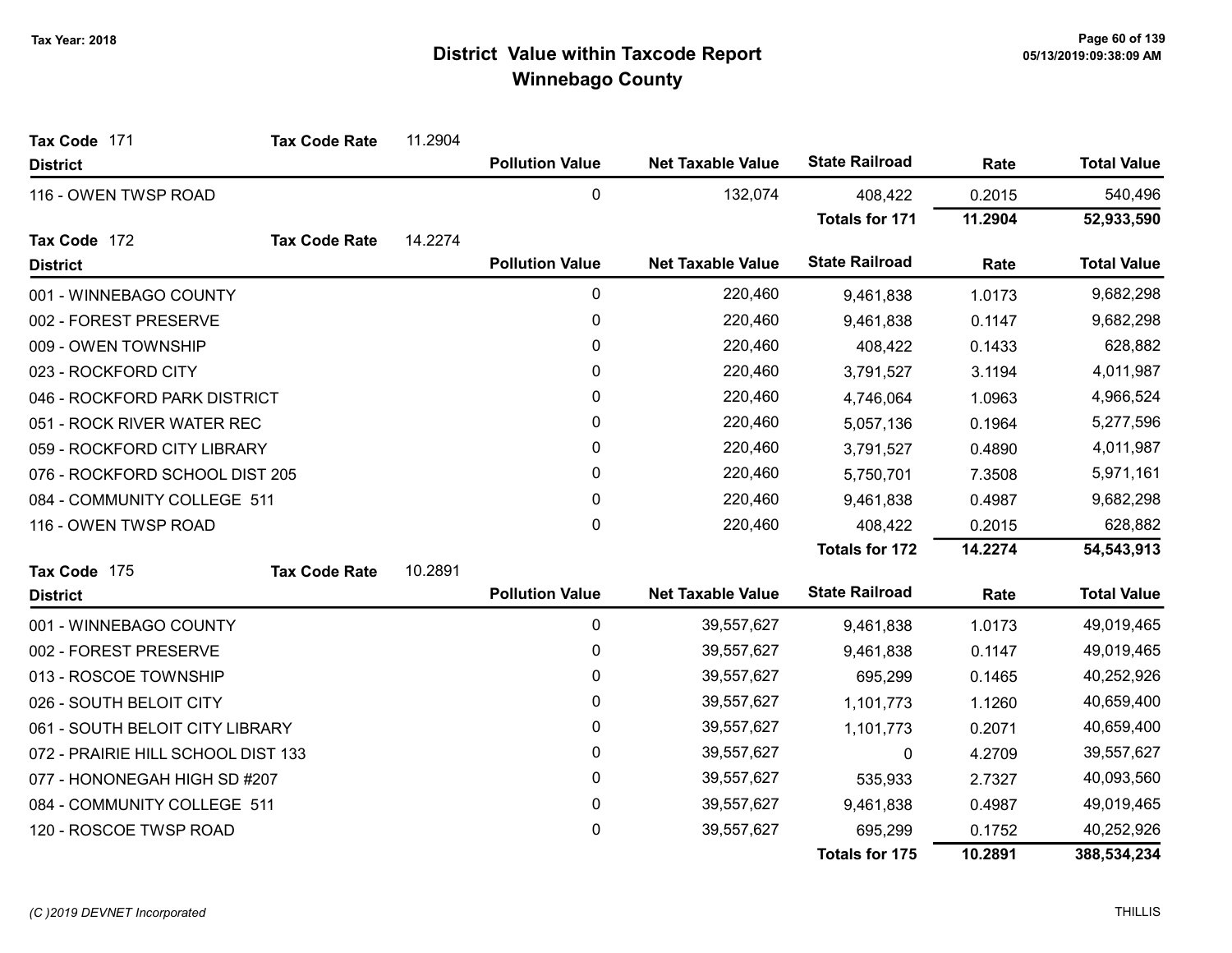| Tax Code 171                       | <b>Tax Code Rate</b> | 11.2904 |                        |                          |                       |         |                    |
|------------------------------------|----------------------|---------|------------------------|--------------------------|-----------------------|---------|--------------------|
| <b>District</b>                    |                      |         | <b>Pollution Value</b> | <b>Net Taxable Value</b> | <b>State Railroad</b> | Rate    | <b>Total Value</b> |
| 116 - OWEN TWSP ROAD               |                      |         | 0                      | 132,074                  | 408,422               | 0.2015  | 540,496            |
|                                    |                      |         |                        |                          | Totals for 171        | 11.2904 | 52,933,590         |
| Tax Code 172                       | <b>Tax Code Rate</b> | 14.2274 |                        |                          |                       |         |                    |
| <b>District</b>                    |                      |         | <b>Pollution Value</b> | <b>Net Taxable Value</b> | <b>State Railroad</b> | Rate    | <b>Total Value</b> |
| 001 - WINNEBAGO COUNTY             |                      |         | 0                      | 220,460                  | 9,461,838             | 1.0173  | 9,682,298          |
| 002 - FOREST PRESERVE              |                      |         | 0                      | 220,460                  | 9,461,838             | 0.1147  | 9,682,298          |
| 009 - OWEN TOWNSHIP                |                      |         | $\mathbf 0$            | 220,460                  | 408,422               | 0.1433  | 628,882            |
| 023 - ROCKFORD CITY                |                      |         | $\mathbf{0}$           | 220,460                  | 3,791,527             | 3.1194  | 4,011,987          |
| 046 - ROCKFORD PARK DISTRICT       |                      |         | 0                      | 220,460                  | 4,746,064             | 1.0963  | 4,966,524          |
| 051 - ROCK RIVER WATER REC         |                      |         | 0                      | 220,460                  | 5,057,136             | 0.1964  | 5,277,596          |
| 059 - ROCKFORD CITY LIBRARY        |                      |         | $\mathbf{0}$           | 220,460                  | 3,791,527             | 0.4890  | 4,011,987          |
| 076 - ROCKFORD SCHOOL DIST 205     |                      |         | 0                      | 220,460                  | 5,750,701             | 7.3508  | 5,971,161          |
| 084 - COMMUNITY COLLEGE 511        |                      |         | 0                      | 220,460                  | 9,461,838             | 0.4987  | 9,682,298          |
| 116 - OWEN TWSP ROAD               |                      |         | 0                      | 220,460                  | 408,422               | 0.2015  | 628,882            |
|                                    |                      |         |                        |                          | <b>Totals for 172</b> | 14.2274 | 54,543,913         |
| Tax Code 175                       | <b>Tax Code Rate</b> | 10.2891 |                        |                          |                       |         |                    |
| <b>District</b>                    |                      |         | <b>Pollution Value</b> | <b>Net Taxable Value</b> | <b>State Railroad</b> | Rate    | <b>Total Value</b> |
| 001 - WINNEBAGO COUNTY             |                      |         | 0                      | 39,557,627               | 9,461,838             | 1.0173  | 49,019,465         |
| 002 - FOREST PRESERVE              |                      |         | $\pmb{0}$              | 39,557,627               | 9,461,838             | 0.1147  | 49,019,465         |
| 013 - ROSCOE TOWNSHIP              |                      |         | 0                      | 39,557,627               | 695,299               | 0.1465  | 40,252,926         |
| 026 - SOUTH BELOIT CITY            |                      |         | 0                      | 39,557,627               | 1,101,773             | 1.1260  | 40,659,400         |
| 061 - SOUTH BELOIT CITY LIBRARY    |                      |         | 0                      | 39,557,627               | 1,101,773             | 0.2071  | 40,659,400         |
| 072 - PRAIRIE HILL SCHOOL DIST 133 |                      |         | 0                      | 39,557,627               | 0                     | 4.2709  | 39,557,627         |
| 077 - HONONEGAH HIGH SD #207       |                      |         | 0                      | 39,557,627               | 535,933               | 2.7327  | 40,093,560         |
| 084 - COMMUNITY COLLEGE 511        |                      |         | 0                      | 39,557,627               | 9,461,838             | 0.4987  | 49,019,465         |
| 120 - ROSCOE TWSP ROAD             |                      |         | 0                      | 39,557,627               | 695,299               | 0.1752  | 40,252,926         |
|                                    |                      |         |                        |                          | <b>Totals for 175</b> | 10.2891 | 388,534,234        |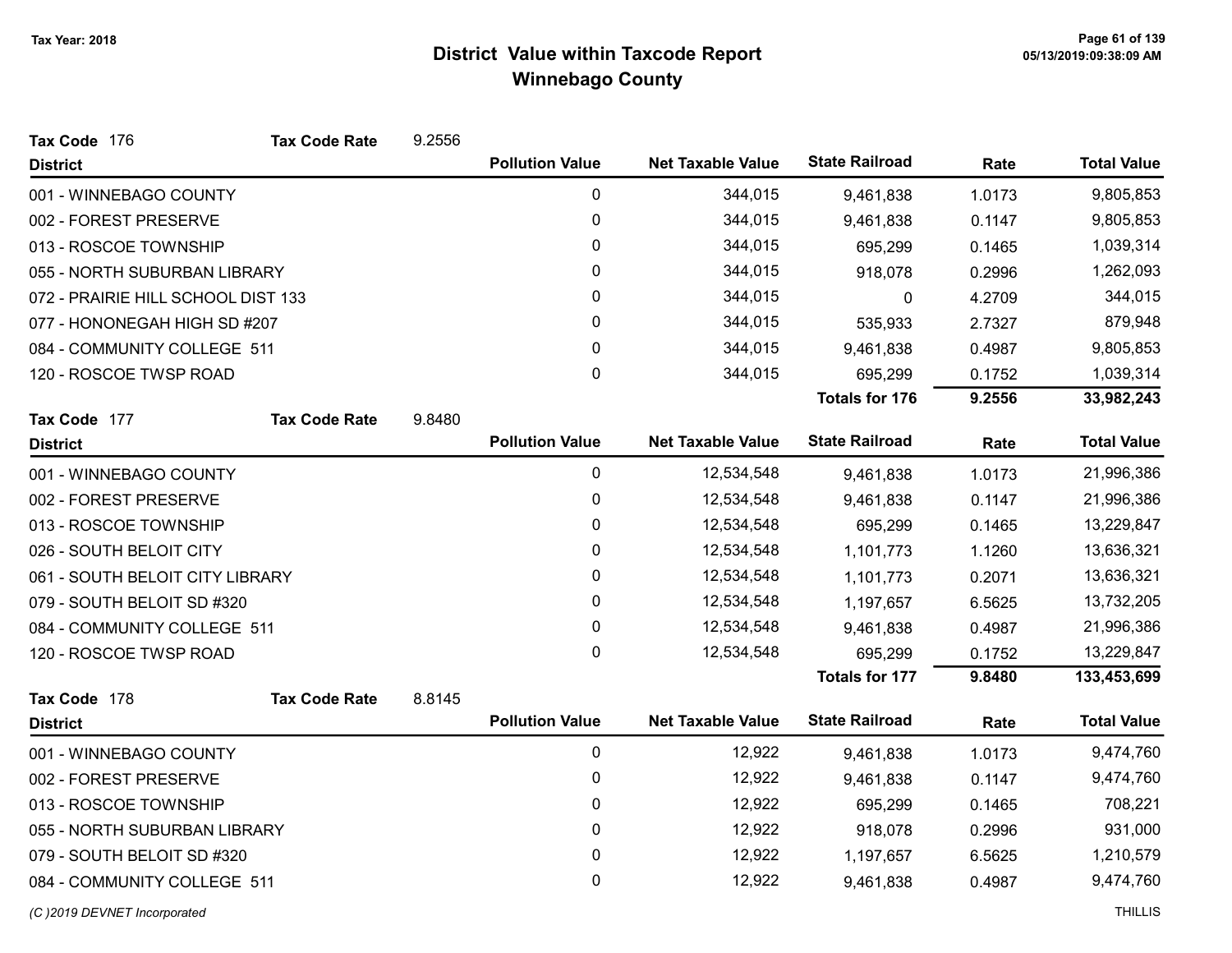| Tax Code 176                       | <b>Tax Code Rate</b>        | 9.2556 |                        |                          |                       |        |                    |
|------------------------------------|-----------------------------|--------|------------------------|--------------------------|-----------------------|--------|--------------------|
| <b>District</b>                    |                             |        | <b>Pollution Value</b> | <b>Net Taxable Value</b> | <b>State Railroad</b> | Rate   | <b>Total Value</b> |
| 001 - WINNEBAGO COUNTY             |                             |        | $\mathbf 0$            | 344,015                  | 9,461,838             | 1.0173 | 9,805,853          |
| 002 - FOREST PRESERVE              |                             |        | 0                      | 344,015                  | 9,461,838             | 0.1147 | 9,805,853          |
| 013 - ROSCOE TOWNSHIP              |                             |        | 0                      | 344,015                  | 695,299               | 0.1465 | 1,039,314          |
| 055 - NORTH SUBURBAN LIBRARY       |                             |        | 0                      | 344,015                  | 918,078               | 0.2996 | 1,262,093          |
| 072 - PRAIRIE HILL SCHOOL DIST 133 |                             |        | 0                      | 344,015                  | 0                     | 4.2709 | 344,015            |
| 077 - HONONEGAH HIGH SD #207       |                             |        | $\pmb{0}$              | 344,015                  | 535,933               | 2.7327 | 879,948            |
|                                    | 084 - COMMUNITY COLLEGE 511 |        | 0                      | 344,015                  | 9,461,838             | 0.4987 | 9,805,853          |
| 120 - ROSCOE TWSP ROAD             |                             |        | 0                      | 344,015                  | 695,299               | 0.1752 | 1,039,314          |
|                                    |                             |        |                        |                          | <b>Totals for 176</b> | 9.2556 | 33,982,243         |
| Tax Code 177                       | <b>Tax Code Rate</b>        | 9.8480 |                        |                          |                       |        |                    |
| <b>District</b>                    |                             |        | <b>Pollution Value</b> | <b>Net Taxable Value</b> | <b>State Railroad</b> | Rate   | <b>Total Value</b> |
| 001 - WINNEBAGO COUNTY             |                             |        | 0                      | 12,534,548               | 9,461,838             | 1.0173 | 21,996,386         |
| 002 - FOREST PRESERVE              |                             |        | 0                      | 12,534,548               | 9,461,838             | 0.1147 | 21,996,386         |
| 013 - ROSCOE TOWNSHIP              |                             |        | 0                      | 12,534,548               | 695,299               | 0.1465 | 13,229,847         |
| 026 - SOUTH BELOIT CITY            |                             |        | 0                      | 12,534,548               | 1,101,773             | 1.1260 | 13,636,321         |
| 061 - SOUTH BELOIT CITY LIBRARY    |                             |        | 0                      | 12,534,548               | 1,101,773             | 0.2071 | 13,636,321         |
| 079 - SOUTH BELOIT SD #320         |                             |        | 0                      | 12,534,548               | 1,197,657             | 6.5625 | 13,732,205         |
| 084 - COMMUNITY COLLEGE 511        |                             |        | 0                      | 12,534,548               | 9,461,838             | 0.4987 | 21,996,386         |
| 120 - ROSCOE TWSP ROAD             |                             |        | 0                      | 12,534,548               | 695,299               | 0.1752 | 13,229,847         |
|                                    |                             |        |                        |                          | <b>Totals for 177</b> | 9.8480 | 133,453,699        |
| Tax Code 178                       | <b>Tax Code Rate</b>        | 8.8145 |                        |                          |                       |        |                    |
| <b>District</b>                    |                             |        | <b>Pollution Value</b> | <b>Net Taxable Value</b> | <b>State Railroad</b> | Rate   | <b>Total Value</b> |
| 001 - WINNEBAGO COUNTY             |                             |        | 0                      | 12,922                   | 9,461,838             | 1.0173 | 9,474,760          |
| 002 - FOREST PRESERVE              |                             |        | 0                      | 12,922                   | 9,461,838             | 0.1147 | 9,474,760          |
| 013 - ROSCOE TOWNSHIP              |                             |        | $\pmb{0}$              | 12,922                   | 695,299               | 0.1465 | 708,221            |
| 055 - NORTH SUBURBAN LIBRARY       |                             |        | 0                      | 12,922                   | 918,078               | 0.2996 | 931,000            |
| 079 - SOUTH BELOIT SD #320         |                             |        | 0                      | 12,922                   | 1,197,657             | 6.5625 | 1,210,579          |
| 084 - COMMUNITY COLLEGE 511        |                             |        | 0                      | 12,922                   | 9,461,838             | 0.4987 | 9,474,760          |
| (C)2019 DEVNET Incorporated        |                             |        |                        |                          |                       |        | <b>THILLIS</b>     |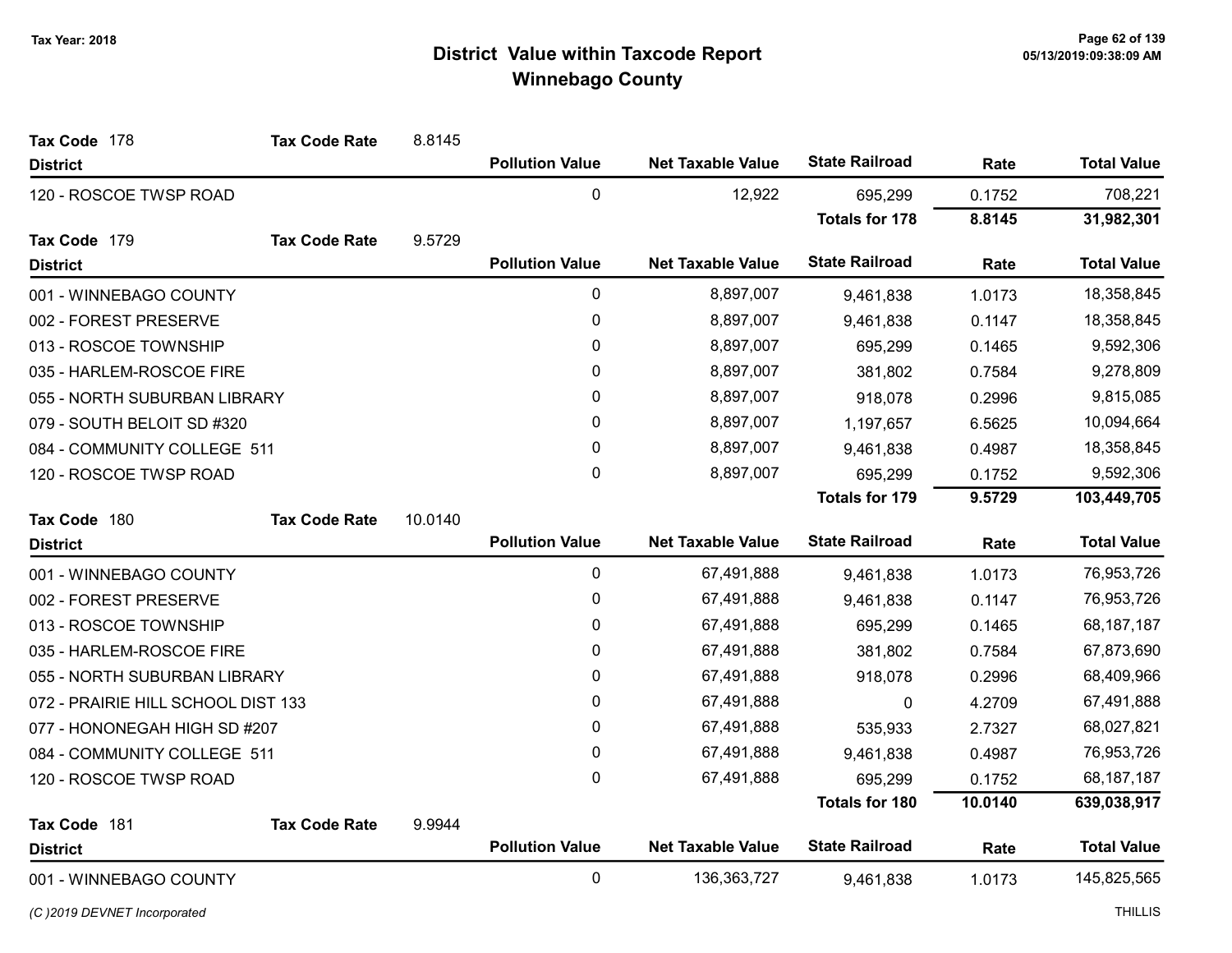| Tax Code 178                       | <b>Tax Code Rate</b> | 8.8145  |                        |                          |                       |         |                    |
|------------------------------------|----------------------|---------|------------------------|--------------------------|-----------------------|---------|--------------------|
| <b>District</b>                    |                      |         | <b>Pollution Value</b> | <b>Net Taxable Value</b> | <b>State Railroad</b> | Rate    | <b>Total Value</b> |
| 120 - ROSCOE TWSP ROAD             |                      |         | 0                      | 12,922                   | 695,299               | 0.1752  | 708,221            |
|                                    |                      |         |                        |                          | <b>Totals for 178</b> | 8.8145  | 31,982,301         |
| Tax Code 179                       | <b>Tax Code Rate</b> | 9.5729  |                        |                          |                       |         |                    |
| <b>District</b>                    |                      |         | <b>Pollution Value</b> | <b>Net Taxable Value</b> | <b>State Railroad</b> | Rate    | <b>Total Value</b> |
| 001 - WINNEBAGO COUNTY             |                      |         | 0                      | 8,897,007                | 9,461,838             | 1.0173  | 18,358,845         |
| 002 - FOREST PRESERVE              |                      |         | $\mathbf 0$            | 8,897,007                | 9,461,838             | 0.1147  | 18,358,845         |
| 013 - ROSCOE TOWNSHIP              |                      |         | 0                      | 8,897,007                | 695,299               | 0.1465  | 9,592,306          |
| 035 - HARLEM-ROSCOE FIRE           |                      |         | 0                      | 8,897,007                | 381,802               | 0.7584  | 9,278,809          |
| 055 - NORTH SUBURBAN LIBRARY       |                      |         | 0                      | 8,897,007                | 918,078               | 0.2996  | 9,815,085          |
| 079 - SOUTH BELOIT SD #320         |                      |         | $\mathbf{0}$           | 8,897,007                | 1,197,657             | 6.5625  | 10,094,664         |
| 084 - COMMUNITY COLLEGE 511        |                      |         | 0                      | 8,897,007                | 9,461,838             | 0.4987  | 18,358,845         |
| 120 - ROSCOE TWSP ROAD             |                      |         | 0                      | 8,897,007                | 695,299               | 0.1752  | 9,592,306          |
|                                    |                      |         |                        |                          | <b>Totals for 179</b> | 9.5729  | 103,449,705        |
| Tax Code 180                       | <b>Tax Code Rate</b> | 10.0140 |                        |                          |                       |         |                    |
| <b>District</b>                    |                      |         | <b>Pollution Value</b> | <b>Net Taxable Value</b> | <b>State Railroad</b> | Rate    | <b>Total Value</b> |
| 001 - WINNEBAGO COUNTY             |                      |         | 0                      | 67,491,888               | 9,461,838             | 1.0173  | 76,953,726         |
| 002 - FOREST PRESERVE              |                      |         | $\boldsymbol{0}$       | 67,491,888               | 9,461,838             | 0.1147  | 76,953,726         |
| 013 - ROSCOE TOWNSHIP              |                      |         | 0                      | 67,491,888               | 695,299               | 0.1465  | 68, 187, 187       |
| 035 - HARLEM-ROSCOE FIRE           |                      |         | 0                      | 67,491,888               | 381,802               | 0.7584  | 67,873,690         |
| 055 - NORTH SUBURBAN LIBRARY       |                      |         | 0                      | 67,491,888               | 918,078               | 0.2996  | 68,409,966         |
| 072 - PRAIRIE HILL SCHOOL DIST 133 |                      |         | 0                      | 67,491,888               | 0                     | 4.2709  | 67,491,888         |
| 077 - HONONEGAH HIGH SD #207       |                      |         | 0                      | 67,491,888               | 535,933               | 2.7327  | 68,027,821         |
| 084 - COMMUNITY COLLEGE 511        |                      |         | $\pmb{0}$              | 67,491,888               | 9,461,838             | 0.4987  | 76,953,726         |
| 120 - ROSCOE TWSP ROAD             |                      |         | 0                      | 67,491,888               | 695,299               | 0.1752  | 68, 187, 187       |
|                                    |                      |         |                        |                          | <b>Totals for 180</b> | 10.0140 | 639,038,917        |
| Tax Code 181                       | <b>Tax Code Rate</b> | 9.9944  |                        |                          |                       |         |                    |
| <b>District</b>                    |                      |         | <b>Pollution Value</b> | <b>Net Taxable Value</b> | <b>State Railroad</b> | Rate    | <b>Total Value</b> |
| 001 - WINNEBAGO COUNTY             |                      |         | $\pmb{0}$              | 136, 363, 727            | 9,461,838             | 1.0173  | 145,825,565        |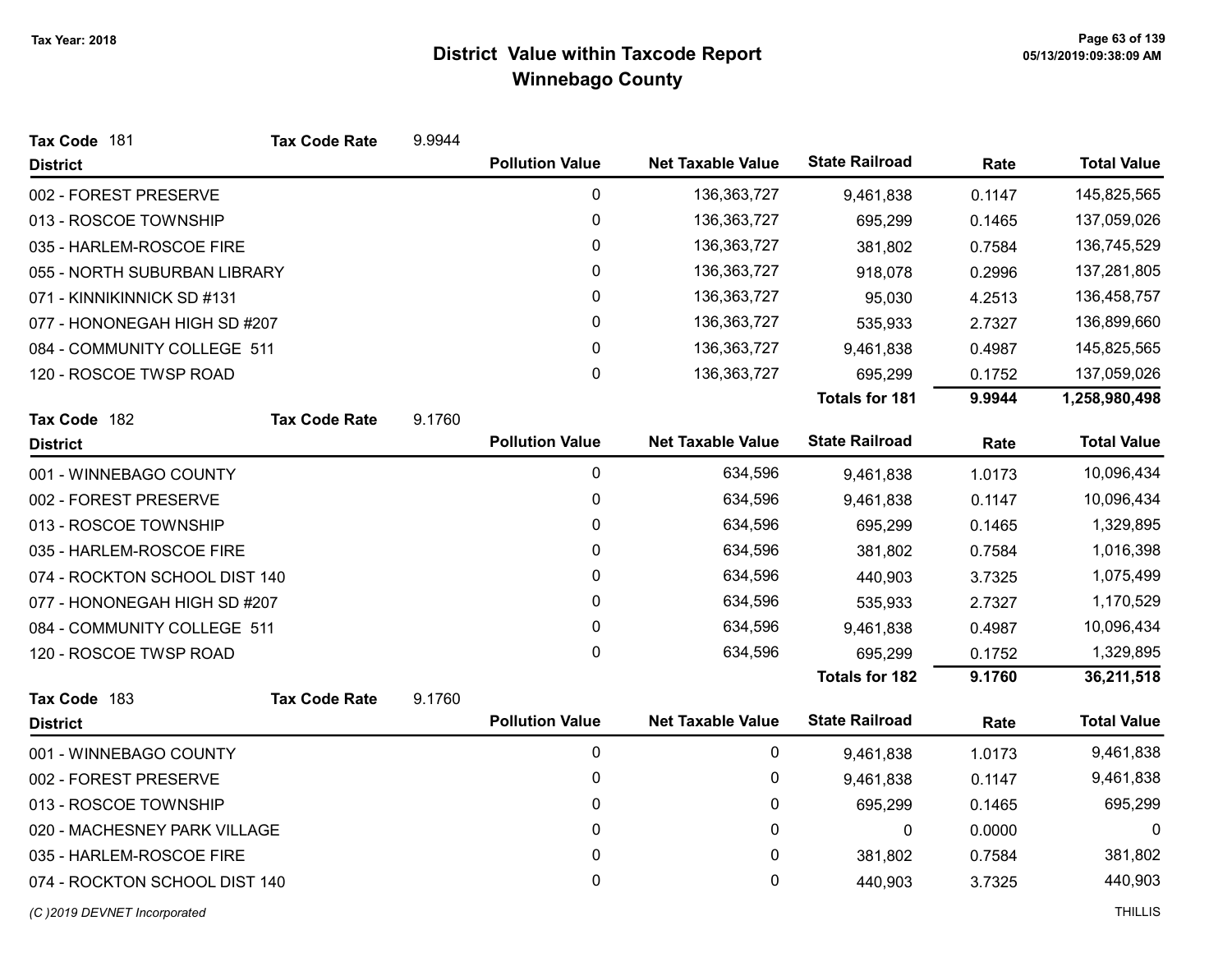| Tax Code 181                  | <b>Tax Code Rate</b> | 9.9944 |                        |                          |                       |        |                    |
|-------------------------------|----------------------|--------|------------------------|--------------------------|-----------------------|--------|--------------------|
| <b>District</b>               |                      |        | <b>Pollution Value</b> | <b>Net Taxable Value</b> | <b>State Railroad</b> | Rate   | <b>Total Value</b> |
| 002 - FOREST PRESERVE         |                      |        | 0                      | 136, 363, 727            | 9,461,838             | 0.1147 | 145,825,565        |
| 013 - ROSCOE TOWNSHIP         |                      |        | 0                      | 136,363,727              | 695,299               | 0.1465 | 137,059,026        |
| 035 - HARLEM-ROSCOE FIRE      |                      |        | $\pmb{0}$              | 136, 363, 727            | 381,802               | 0.7584 | 136,745,529        |
| 055 - NORTH SUBURBAN LIBRARY  |                      |        | 0                      | 136,363,727              | 918,078               | 0.2996 | 137,281,805        |
| 071 - KINNIKINNICK SD #131    |                      |        | 0                      | 136,363,727              | 95,030                | 4.2513 | 136,458,757        |
| 077 - HONONEGAH HIGH SD #207  |                      |        | $\mathbf 0$            | 136,363,727              | 535,933               | 2.7327 | 136,899,660        |
| 084 - COMMUNITY COLLEGE 511   |                      |        | 0                      | 136,363,727              | 9,461,838             | 0.4987 | 145,825,565        |
| 120 - ROSCOE TWSP ROAD        |                      |        | 0                      | 136,363,727              | 695,299               | 0.1752 | 137,059,026        |
|                               |                      |        |                        |                          | <b>Totals for 181</b> | 9.9944 | 1,258,980,498      |
| Tax Code 182                  | <b>Tax Code Rate</b> | 9.1760 |                        |                          |                       |        |                    |
| <b>District</b>               |                      |        | <b>Pollution Value</b> | <b>Net Taxable Value</b> | <b>State Railroad</b> | Rate   | <b>Total Value</b> |
| 001 - WINNEBAGO COUNTY        |                      |        | 0                      | 634,596                  | 9,461,838             | 1.0173 | 10,096,434         |
| 002 - FOREST PRESERVE         |                      |        | 0                      | 634,596                  | 9,461,838             | 0.1147 | 10,096,434         |
| 013 - ROSCOE TOWNSHIP         |                      |        | 0                      | 634,596                  | 695,299               | 0.1465 | 1,329,895          |
| 035 - HARLEM-ROSCOE FIRE      |                      |        | 0                      | 634,596                  | 381,802               | 0.7584 | 1,016,398          |
| 074 - ROCKTON SCHOOL DIST 140 |                      |        | 0                      | 634,596                  | 440,903               | 3.7325 | 1,075,499          |
| 077 - HONONEGAH HIGH SD #207  |                      |        | 0                      | 634,596                  | 535,933               | 2.7327 | 1,170,529          |
| 084 - COMMUNITY COLLEGE 511   |                      |        | $\pmb{0}$              | 634,596                  | 9,461,838             | 0.4987 | 10,096,434         |
| 120 - ROSCOE TWSP ROAD        |                      |        | 0                      | 634,596                  | 695,299               | 0.1752 | 1,329,895          |
|                               |                      |        |                        |                          | <b>Totals for 182</b> | 9.1760 | 36,211,518         |
| Tax Code 183                  | <b>Tax Code Rate</b> | 9.1760 |                        |                          |                       |        |                    |
| <b>District</b>               |                      |        | <b>Pollution Value</b> | <b>Net Taxable Value</b> | <b>State Railroad</b> | Rate   | <b>Total Value</b> |
| 001 - WINNEBAGO COUNTY        |                      |        | 0                      | 0                        | 9,461,838             | 1.0173 | 9,461,838          |
| 002 - FOREST PRESERVE         |                      |        | 0                      | 0                        | 9,461,838             | 0.1147 | 9,461,838          |
| 013 - ROSCOE TOWNSHIP         |                      |        | 0                      | 0                        | 695,299               | 0.1465 | 695,299            |
| 020 - MACHESNEY PARK VILLAGE  |                      |        | 0                      | 0                        | 0                     | 0.0000 | 0                  |
| 035 - HARLEM-ROSCOE FIRE      |                      |        | 0                      | 0                        | 381,802               | 0.7584 | 381,802            |
| 074 - ROCKTON SCHOOL DIST 140 |                      |        | 0                      | 0                        | 440,903               | 3.7325 | 440,903            |
| (C)2019 DEVNET Incorporated   |                      |        |                        |                          |                       |        | <b>THILLIS</b>     |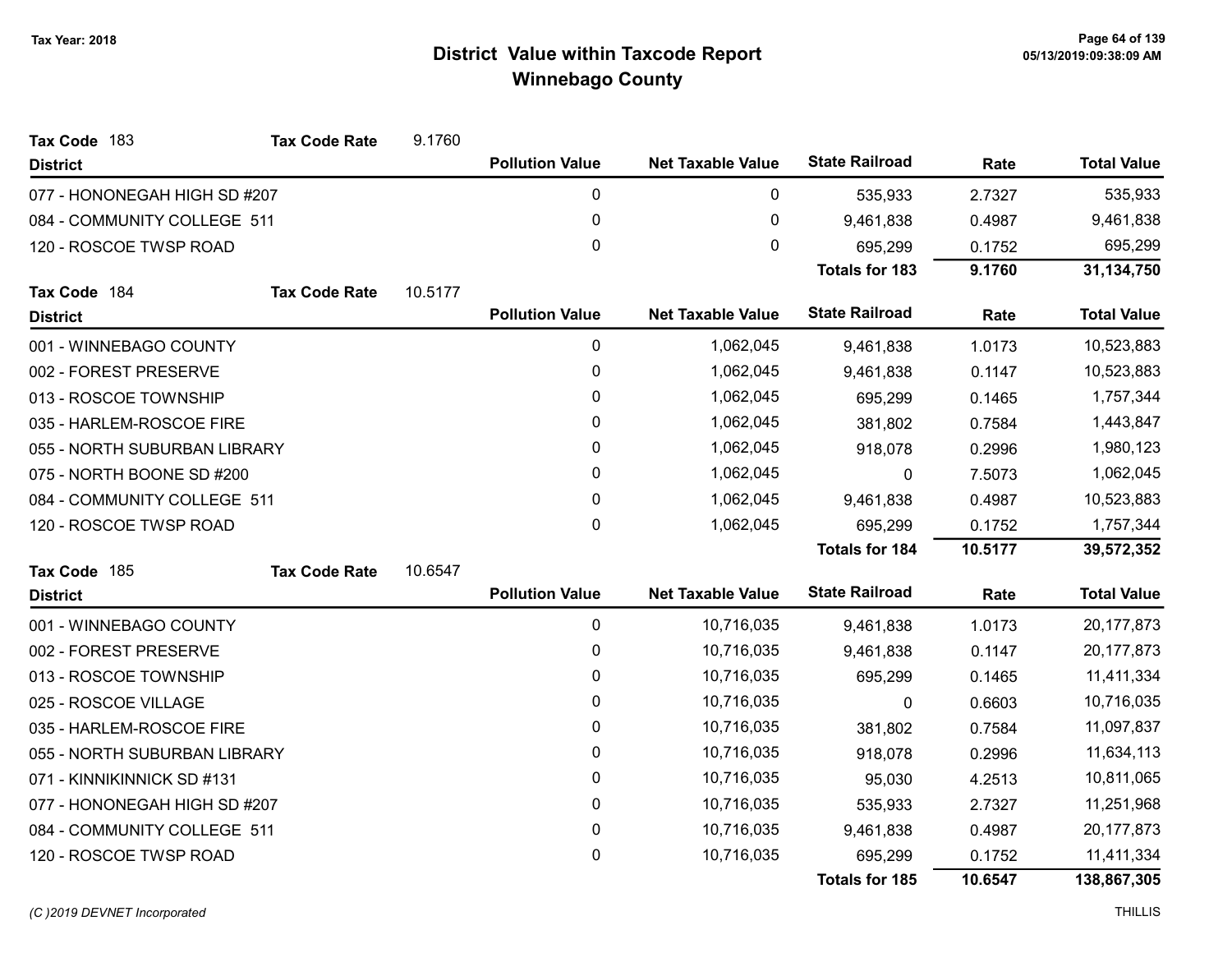| Tax Code 183                 | <b>Tax Code Rate</b>        | 9.1760  |                        |                          |                       |         |                    |
|------------------------------|-----------------------------|---------|------------------------|--------------------------|-----------------------|---------|--------------------|
| <b>District</b>              |                             |         | <b>Pollution Value</b> | <b>Net Taxable Value</b> | <b>State Railroad</b> | Rate    | <b>Total Value</b> |
| 077 - HONONEGAH HIGH SD #207 |                             |         | $\pmb{0}$              | 0                        | 535,933               | 2.7327  | 535,933            |
| 084 - COMMUNITY COLLEGE 511  |                             |         | 0                      | $\pmb{0}$                | 9,461,838             | 0.4987  | 9,461,838          |
| 120 - ROSCOE TWSP ROAD       |                             |         | 0                      | 0                        | 695,299               | 0.1752  | 695,299            |
|                              |                             |         |                        |                          | <b>Totals for 183</b> | 9.1760  | 31,134,750         |
| Tax Code 184                 | <b>Tax Code Rate</b>        | 10.5177 |                        |                          |                       |         |                    |
| <b>District</b>              |                             |         | <b>Pollution Value</b> | <b>Net Taxable Value</b> | <b>State Railroad</b> | Rate    | <b>Total Value</b> |
| 001 - WINNEBAGO COUNTY       |                             |         | 0                      | 1,062,045                | 9,461,838             | 1.0173  | 10,523,883         |
| 002 - FOREST PRESERVE        |                             |         | 0                      | 1,062,045                | 9,461,838             | 0.1147  | 10,523,883         |
| 013 - ROSCOE TOWNSHIP        |                             |         | 0                      | 1,062,045                | 695,299               | 0.1465  | 1,757,344          |
| 035 - HARLEM-ROSCOE FIRE     |                             |         | 0                      | 1,062,045                | 381,802               | 0.7584  | 1,443,847          |
| 055 - NORTH SUBURBAN LIBRARY |                             |         | 0                      | 1,062,045                | 918,078               | 0.2996  | 1,980,123          |
| 075 - NORTH BOONE SD #200    |                             |         | 0                      | 1,062,045                | 0                     | 7.5073  | 1,062,045          |
|                              | 084 - COMMUNITY COLLEGE 511 |         | 0                      | 1,062,045                | 9,461,838             | 0.4987  | 10,523,883         |
| 120 - ROSCOE TWSP ROAD       |                             |         | 0                      | 1,062,045                | 695,299               | 0.1752  | 1,757,344          |
|                              |                             |         |                        |                          | <b>Totals for 184</b> | 10.5177 | 39,572,352         |
| Tax Code 185                 | <b>Tax Code Rate</b>        | 10.6547 |                        |                          |                       |         |                    |
| <b>District</b>              |                             |         | <b>Pollution Value</b> | <b>Net Taxable Value</b> | <b>State Railroad</b> | Rate    | <b>Total Value</b> |
| 001 - WINNEBAGO COUNTY       |                             |         | $\mathbf 0$            | 10,716,035               | 9,461,838             | 1.0173  | 20,177,873         |
| 002 - FOREST PRESERVE        |                             |         | 0                      | 10,716,035               | 9,461,838             | 0.1147  | 20,177,873         |
| 013 - ROSCOE TOWNSHIP        |                             |         | 0                      | 10,716,035               | 695,299               | 0.1465  | 11,411,334         |
| 025 - ROSCOE VILLAGE         |                             |         | 0                      | 10,716,035               | 0                     | 0.6603  | 10,716,035         |
| 035 - HARLEM-ROSCOE FIRE     |                             |         | 0                      | 10,716,035               | 381,802               | 0.7584  | 11,097,837         |
| 055 - NORTH SUBURBAN LIBRARY |                             |         | 0                      | 10,716,035               | 918,078               | 0.2996  | 11,634,113         |
| 071 - KINNIKINNICK SD #131   |                             |         | 0                      | 10,716,035               | 95,030                | 4.2513  | 10,811,065         |
| 077 - HONONEGAH HIGH SD #207 |                             |         | 0                      | 10,716,035               | 535,933               | 2.7327  | 11,251,968         |
| 084 - COMMUNITY COLLEGE 511  |                             |         | 0                      | 10,716,035               | 9,461,838             | 0.4987  | 20, 177, 873       |
| 120 - ROSCOE TWSP ROAD       |                             |         | 0                      | 10,716,035               | 695,299               | 0.1752  | 11,411,334         |
|                              |                             |         |                        |                          | <b>Totals for 185</b> | 10.6547 | 138,867,305        |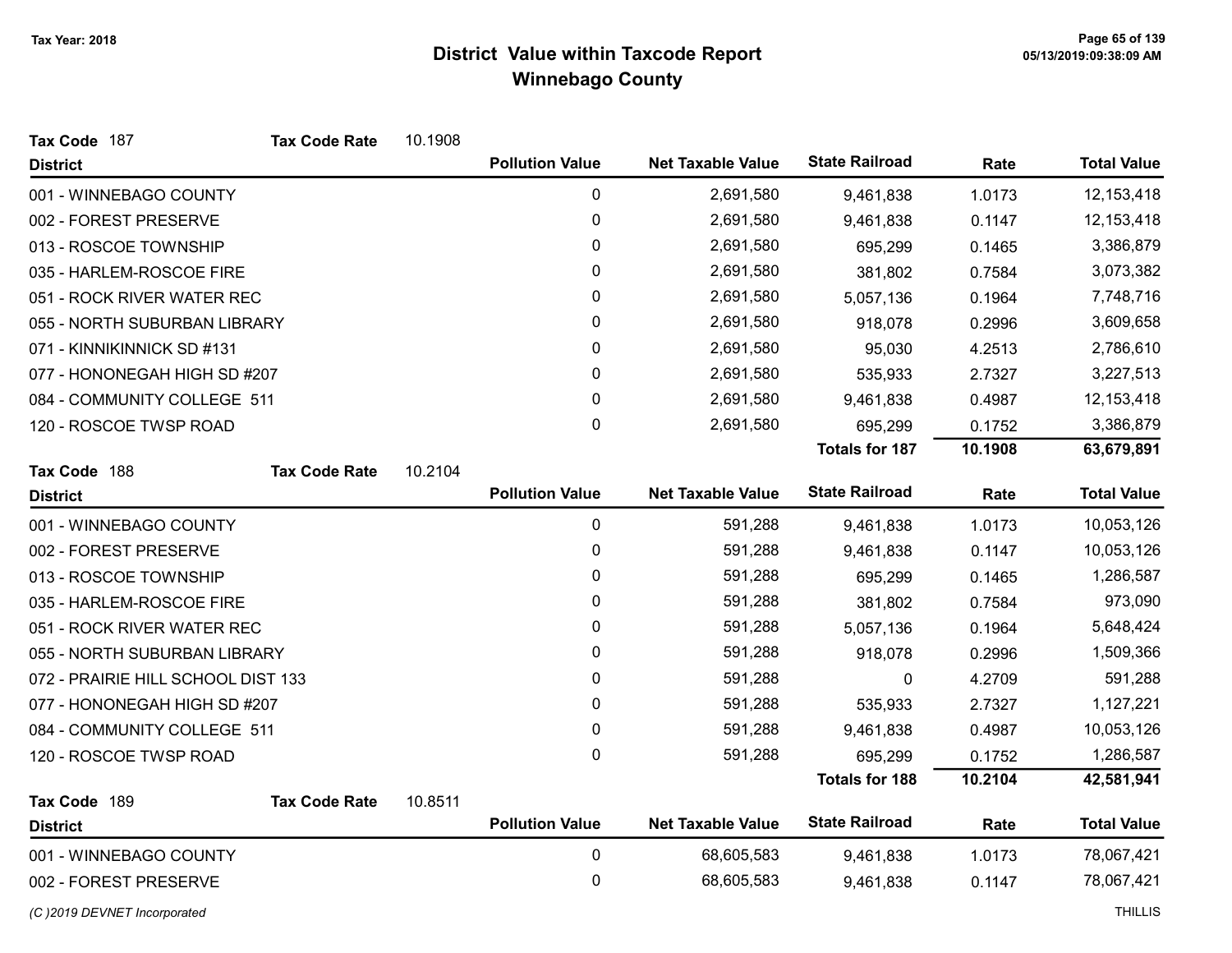| Tax Code 187                       | <b>Tax Code Rate</b> | 10.1908 |                        |                          |                       |         |                    |
|------------------------------------|----------------------|---------|------------------------|--------------------------|-----------------------|---------|--------------------|
| <b>District</b>                    |                      |         | <b>Pollution Value</b> | <b>Net Taxable Value</b> | <b>State Railroad</b> | Rate    | <b>Total Value</b> |
| 001 - WINNEBAGO COUNTY             |                      |         | $\pmb{0}$              | 2,691,580                | 9,461,838             | 1.0173  | 12,153,418         |
| 002 - FOREST PRESERVE              |                      |         | $\pmb{0}$              | 2,691,580                | 9,461,838             | 0.1147  | 12, 153, 418       |
| 013 - ROSCOE TOWNSHIP              |                      |         | $\pmb{0}$              | 2,691,580                | 695,299               | 0.1465  | 3,386,879          |
| 035 - HARLEM-ROSCOE FIRE           |                      |         | 0                      | 2,691,580                | 381,802               | 0.7584  | 3,073,382          |
| 051 - ROCK RIVER WATER REC         |                      |         | $\pmb{0}$              | 2,691,580                | 5,057,136             | 0.1964  | 7,748,716          |
| 055 - NORTH SUBURBAN LIBRARY       |                      |         | $\pmb{0}$              | 2,691,580                | 918,078               | 0.2996  | 3,609,658          |
| 071 - KINNIKINNICK SD #131         |                      |         | $\pmb{0}$              | 2,691,580                | 95,030                | 4.2513  | 2,786,610          |
| 077 - HONONEGAH HIGH SD #207       |                      |         | $\pmb{0}$              | 2,691,580                | 535,933               | 2.7327  | 3,227,513          |
| 084 - COMMUNITY COLLEGE 511        |                      |         | 0                      | 2,691,580                | 9,461,838             | 0.4987  | 12,153,418         |
| 120 - ROSCOE TWSP ROAD             |                      |         | $\pmb{0}$              | 2,691,580                | 695,299               | 0.1752  | 3,386,879          |
|                                    |                      |         |                        |                          | <b>Totals for 187</b> | 10.1908 | 63,679,891         |
| Tax Code 188                       | <b>Tax Code Rate</b> | 10.2104 |                        |                          |                       |         |                    |
| <b>District</b>                    |                      |         | <b>Pollution Value</b> | <b>Net Taxable Value</b> | <b>State Railroad</b> | Rate    | <b>Total Value</b> |
| 001 - WINNEBAGO COUNTY             |                      |         | 0                      | 591,288                  | 9,461,838             | 1.0173  | 10,053,126         |
| 002 - FOREST PRESERVE              |                      |         | $\pmb{0}$              | 591,288                  | 9,461,838             | 0.1147  | 10,053,126         |
| 013 - ROSCOE TOWNSHIP              |                      |         | 0                      | 591,288                  | 695,299               | 0.1465  | 1,286,587          |
| 035 - HARLEM-ROSCOE FIRE           |                      |         | 0                      | 591,288                  | 381,802               | 0.7584  | 973,090            |
| 051 - ROCK RIVER WATER REC         |                      |         | 0                      | 591,288                  | 5,057,136             | 0.1964  | 5,648,424          |
| 055 - NORTH SUBURBAN LIBRARY       |                      |         | 0                      | 591,288                  | 918,078               | 0.2996  | 1,509,366          |
| 072 - PRAIRIE HILL SCHOOL DIST 133 |                      |         | $\pmb{0}$              | 591,288                  | 0                     | 4.2709  | 591,288            |
| 077 - HONONEGAH HIGH SD #207       |                      |         | $\mathbf{0}$           | 591,288                  | 535,933               | 2.7327  | 1,127,221          |
| 084 - COMMUNITY COLLEGE 511        |                      |         | $\pmb{0}$              | 591,288                  | 9,461,838             | 0.4987  | 10,053,126         |
| 120 - ROSCOE TWSP ROAD             |                      |         | $\mathbf 0$            | 591,288                  | 695,299               | 0.1752  | 1,286,587          |
|                                    |                      |         |                        |                          | <b>Totals for 188</b> | 10.2104 | 42,581,941         |
| Tax Code 189                       | <b>Tax Code Rate</b> | 10.8511 |                        |                          |                       |         |                    |
| <b>District</b>                    |                      |         | <b>Pollution Value</b> | <b>Net Taxable Value</b> | <b>State Railroad</b> | Rate    | <b>Total Value</b> |
| 001 - WINNEBAGO COUNTY             |                      |         | $\pmb{0}$              | 68,605,583               | 9,461,838             | 1.0173  | 78,067,421         |
| 002 - FOREST PRESERVE              |                      |         | $\pmb{0}$              | 68,605,583               | 9,461,838             | 0.1147  | 78,067,421         |
| (C)2019 DEVNET Incorporated        |                      |         |                        |                          |                       |         | <b>THILLIS</b>     |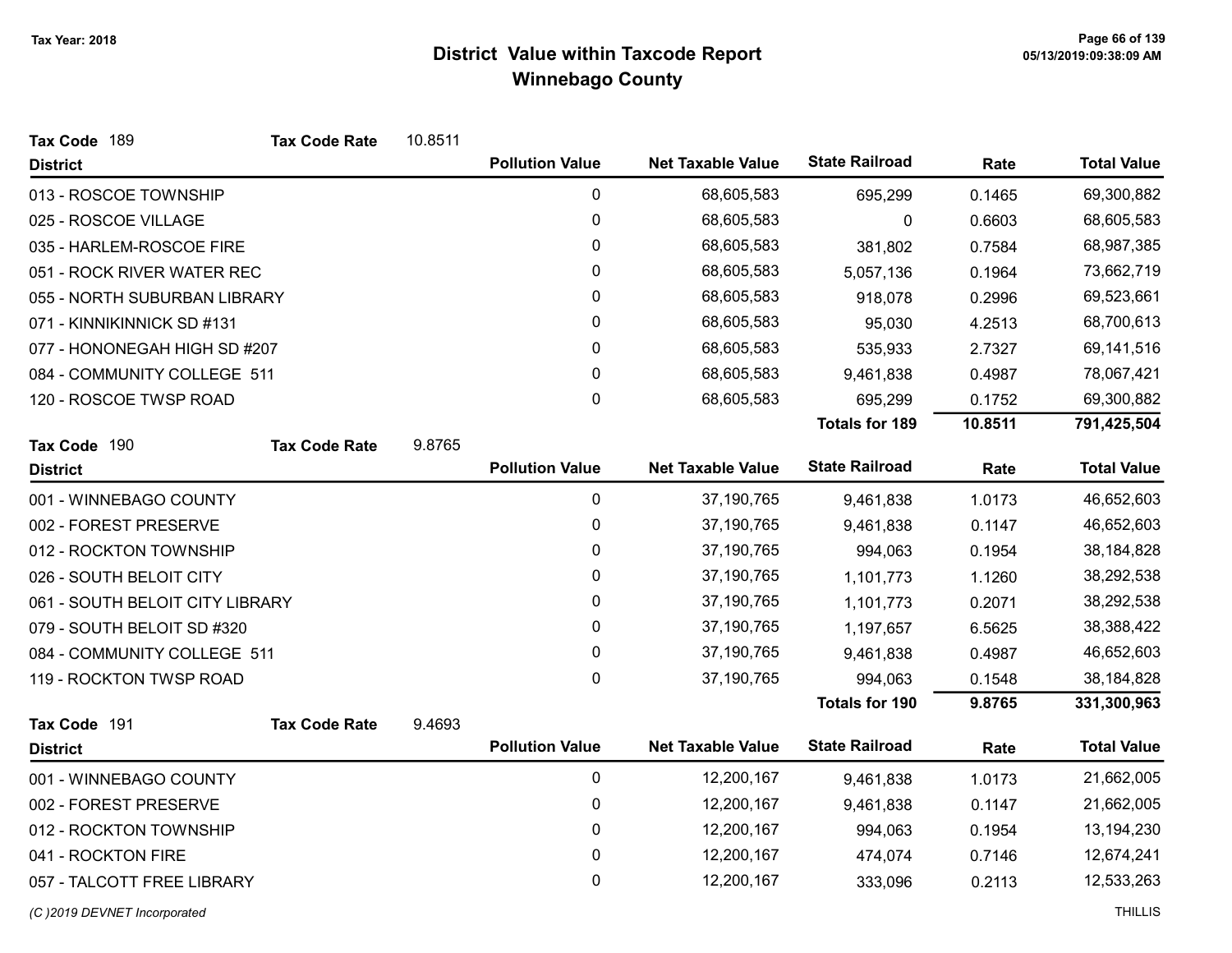| Tax Code 189                    | <b>Tax Code Rate</b> | 10.8511 |                        |                          |                       |         |                    |
|---------------------------------|----------------------|---------|------------------------|--------------------------|-----------------------|---------|--------------------|
| <b>District</b>                 |                      |         | <b>Pollution Value</b> | <b>Net Taxable Value</b> | <b>State Railroad</b> | Rate    | <b>Total Value</b> |
| 013 - ROSCOE TOWNSHIP           |                      |         | $\pmb{0}$              | 68,605,583               | 695,299               | 0.1465  | 69,300,882         |
| 025 - ROSCOE VILLAGE            |                      |         | 0                      | 68,605,583               | 0                     | 0.6603  | 68,605,583         |
| 035 - HARLEM-ROSCOE FIRE        |                      |         | 0                      | 68,605,583               | 381,802               | 0.7584  | 68,987,385         |
| 051 - ROCK RIVER WATER REC      |                      |         | 0                      | 68,605,583               | 5,057,136             | 0.1964  | 73,662,719         |
| 055 - NORTH SUBURBAN LIBRARY    |                      |         | 0                      | 68,605,583               | 918,078               | 0.2996  | 69,523,661         |
| 071 - KINNIKINNICK SD #131      |                      |         | 0                      | 68,605,583               | 95,030                | 4.2513  | 68,700,613         |
| 077 - HONONEGAH HIGH SD #207    |                      |         | 0                      | 68,605,583               | 535,933               | 2.7327  | 69,141,516         |
| 084 - COMMUNITY COLLEGE 511     |                      |         | 0                      | 68,605,583               | 9,461,838             | 0.4987  | 78,067,421         |
| 120 - ROSCOE TWSP ROAD          |                      |         | 0                      | 68,605,583               | 695,299               | 0.1752  | 69,300,882         |
|                                 |                      |         |                        |                          | <b>Totals for 189</b> | 10.8511 | 791,425,504        |
| Tax Code 190                    | <b>Tax Code Rate</b> | 9.8765  |                        |                          |                       |         |                    |
| <b>District</b>                 |                      |         | <b>Pollution Value</b> | <b>Net Taxable Value</b> | <b>State Railroad</b> | Rate    | <b>Total Value</b> |
| 001 - WINNEBAGO COUNTY          |                      |         | $\pmb{0}$              | 37,190,765               | 9,461,838             | 1.0173  | 46,652,603         |
| 002 - FOREST PRESERVE           |                      |         | $\pmb{0}$              | 37,190,765               | 9,461,838             | 0.1147  | 46,652,603         |
| 012 - ROCKTON TOWNSHIP          |                      |         | 0                      | 37,190,765               | 994,063               | 0.1954  | 38, 184, 828       |
| 026 - SOUTH BELOIT CITY         |                      |         | 0                      | 37,190,765               | 1,101,773             | 1.1260  | 38,292,538         |
| 061 - SOUTH BELOIT CITY LIBRARY |                      |         | 0                      | 37,190,765               | 1,101,773             | 0.2071  | 38,292,538         |
| 079 - SOUTH BELOIT SD #320      |                      |         | 0                      | 37,190,765               | 1,197,657             | 6.5625  | 38,388,422         |
| 084 - COMMUNITY COLLEGE 511     |                      |         | $\pmb{0}$              | 37,190,765               | 9,461,838             | 0.4987  | 46,652,603         |
| 119 - ROCKTON TWSP ROAD         |                      |         | 0                      | 37,190,765               | 994,063               | 0.1548  | 38,184,828         |
|                                 |                      |         |                        |                          | <b>Totals for 190</b> | 9.8765  | 331,300,963        |
| Tax Code 191                    | <b>Tax Code Rate</b> | 9.4693  |                        |                          |                       |         |                    |
| <b>District</b>                 |                      |         | <b>Pollution Value</b> | <b>Net Taxable Value</b> | <b>State Railroad</b> | Rate    | <b>Total Value</b> |
| 001 - WINNEBAGO COUNTY          |                      |         | $\pmb{0}$              | 12,200,167               | 9,461,838             | 1.0173  | 21,662,005         |
| 002 - FOREST PRESERVE           |                      |         | 0                      | 12,200,167               | 9,461,838             | 0.1147  | 21,662,005         |
| 012 - ROCKTON TOWNSHIP          |                      |         | 0                      | 12,200,167               | 994,063               | 0.1954  | 13,194,230         |
| 041 - ROCKTON FIRE              |                      |         | 0                      | 12,200,167               | 474,074               | 0.7146  | 12,674,241         |
| 057 - TALCOTT FREE LIBRARY      |                      |         | 0                      | 12,200,167               | 333,096               | 0.2113  | 12,533,263         |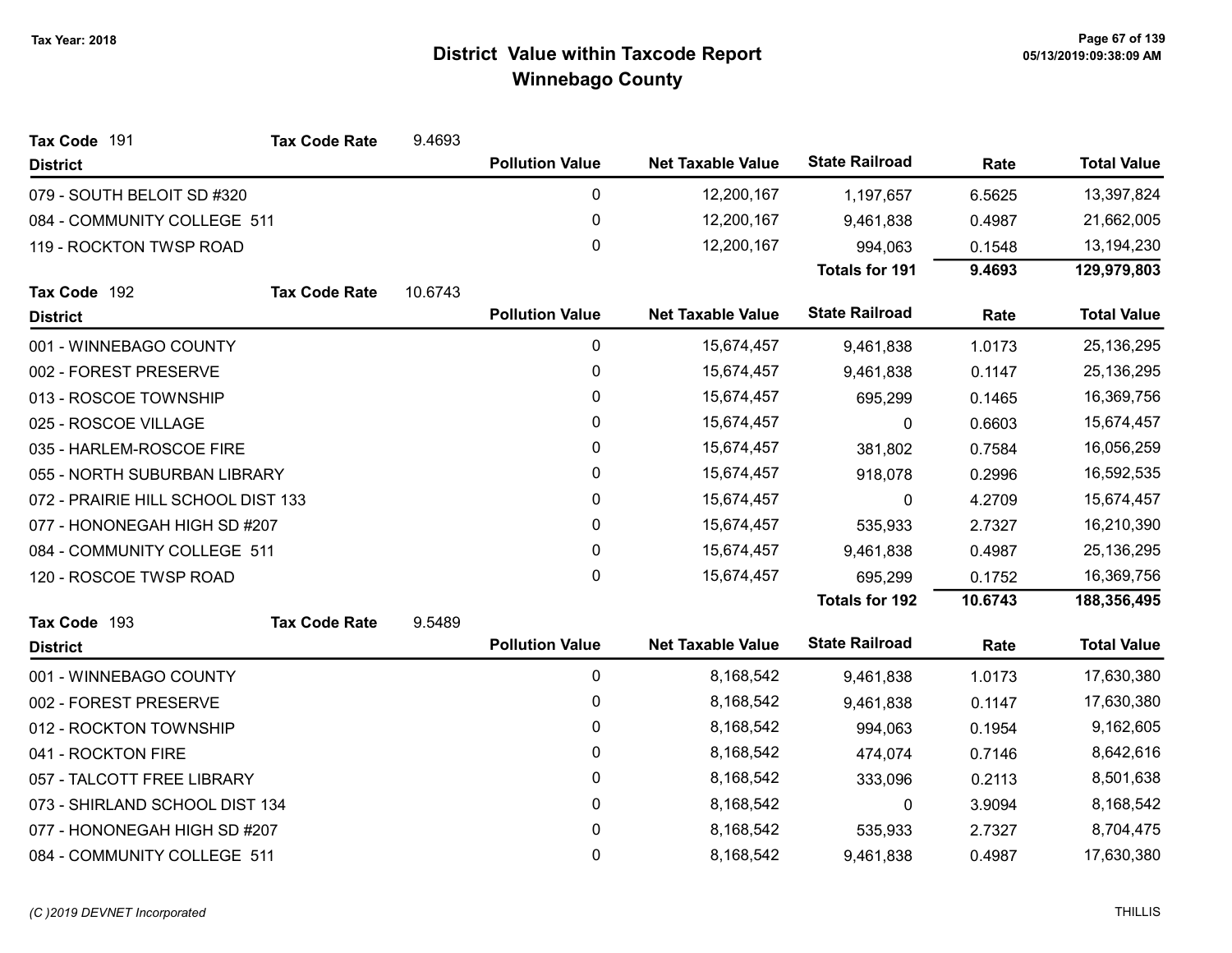| Tax Code 191                       | <b>Tax Code Rate</b> | 9.4693  |                        |                          |                       |         |                    |
|------------------------------------|----------------------|---------|------------------------|--------------------------|-----------------------|---------|--------------------|
| <b>District</b>                    |                      |         | <b>Pollution Value</b> | <b>Net Taxable Value</b> | <b>State Railroad</b> | Rate    | <b>Total Value</b> |
| 079 - SOUTH BELOIT SD #320         |                      |         | 0                      | 12,200,167               | 1,197,657             | 6.5625  | 13,397,824         |
| 084 - COMMUNITY COLLEGE 511        |                      |         | $\mathbf 0$            | 12,200,167               | 9,461,838             | 0.4987  | 21,662,005         |
| 119 - ROCKTON TWSP ROAD            |                      |         | 0                      | 12,200,167               | 994,063               | 0.1548  | 13,194,230         |
|                                    |                      |         |                        |                          | <b>Totals for 191</b> | 9.4693  | 129,979,803        |
| Tax Code 192                       | <b>Tax Code Rate</b> | 10.6743 |                        |                          |                       |         |                    |
| <b>District</b>                    |                      |         | <b>Pollution Value</b> | <b>Net Taxable Value</b> | <b>State Railroad</b> | Rate    | <b>Total Value</b> |
| 001 - WINNEBAGO COUNTY             |                      |         | 0                      | 15,674,457               | 9,461,838             | 1.0173  | 25,136,295         |
| 002 - FOREST PRESERVE              |                      |         | 0                      | 15,674,457               | 9,461,838             | 0.1147  | 25, 136, 295       |
| 013 - ROSCOE TOWNSHIP              |                      |         | 0                      | 15,674,457               | 695,299               | 0.1465  | 16,369,756         |
| 025 - ROSCOE VILLAGE               |                      |         | 0                      | 15,674,457               | 0                     | 0.6603  | 15,674,457         |
| 035 - HARLEM-ROSCOE FIRE           |                      |         | 0                      | 15,674,457               | 381,802               | 0.7584  | 16,056,259         |
| 055 - NORTH SUBURBAN LIBRARY       |                      |         | 0                      | 15,674,457               | 918,078               | 0.2996  | 16,592,535         |
| 072 - PRAIRIE HILL SCHOOL DIST 133 |                      |         | $\mathbf{0}$           | 15,674,457               | 0                     | 4.2709  | 15,674,457         |
| 077 - HONONEGAH HIGH SD #207       |                      |         | $\pmb{0}$              | 15,674,457               | 535,933               | 2.7327  | 16,210,390         |
| 084 - COMMUNITY COLLEGE 511        |                      |         | 0                      | 15,674,457               | 9,461,838             | 0.4987  | 25, 136, 295       |
| 120 - ROSCOE TWSP ROAD             |                      |         | 0                      | 15,674,457               | 695,299               | 0.1752  | 16,369,756         |
|                                    |                      |         |                        |                          | <b>Totals for 192</b> | 10.6743 | 188,356,495        |
| Tax Code 193                       | <b>Tax Code Rate</b> | 9.5489  |                        |                          |                       |         |                    |
| <b>District</b>                    |                      |         | <b>Pollution Value</b> | <b>Net Taxable Value</b> | <b>State Railroad</b> | Rate    | <b>Total Value</b> |
| 001 - WINNEBAGO COUNTY             |                      |         | 0                      | 8,168,542                | 9,461,838             | 1.0173  | 17,630,380         |
| 002 - FOREST PRESERVE              |                      |         | 0                      | 8,168,542                | 9,461,838             | 0.1147  | 17,630,380         |
| 012 - ROCKTON TOWNSHIP             |                      |         | 0                      | 8,168,542                | 994,063               | 0.1954  | 9,162,605          |
| 041 - ROCKTON FIRE                 |                      |         | 0                      | 8,168,542                | 474,074               | 0.7146  | 8,642,616          |
| 057 - TALCOTT FREE LIBRARY         |                      |         | $\pmb{0}$              | 8,168,542                | 333,096               | 0.2113  | 8,501,638          |
| 073 - SHIRLAND SCHOOL DIST 134     |                      |         | 0                      | 8,168,542                | 0                     | 3.9094  | 8,168,542          |
| 077 - HONONEGAH HIGH SD #207       |                      |         | 0                      | 8,168,542                | 535,933               | 2.7327  | 8,704,475          |
| 084 - COMMUNITY COLLEGE 511        |                      |         | 0                      | 8,168,542                | 9,461,838             | 0.4987  | 17,630,380         |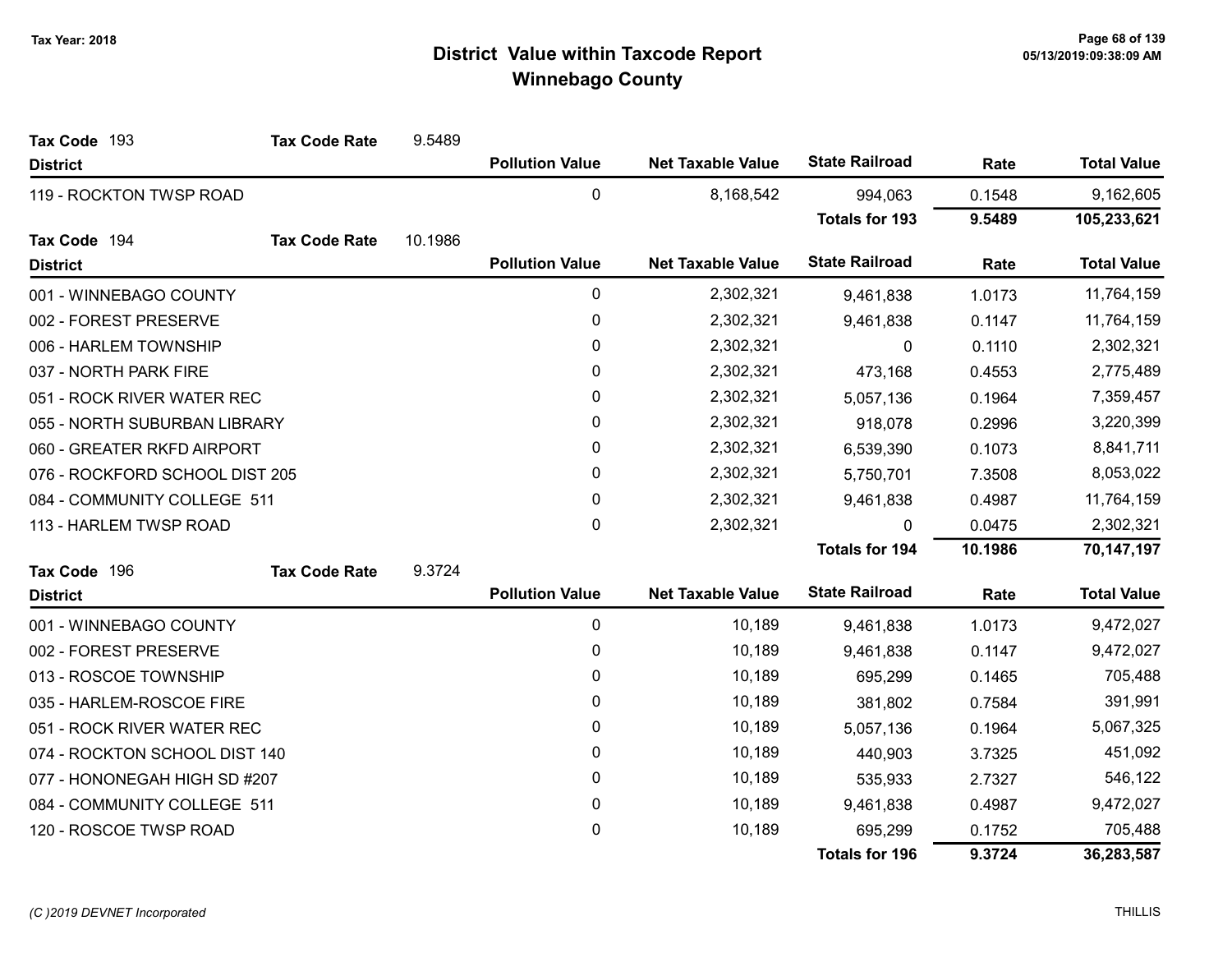| Tax Code 193                   | <b>Tax Code Rate</b> | 9.5489  |                        |                          |                       |           |                    |
|--------------------------------|----------------------|---------|------------------------|--------------------------|-----------------------|-----------|--------------------|
| <b>District</b>                |                      |         | <b>Pollution Value</b> | <b>Net Taxable Value</b> | <b>State Railroad</b> | Rate      | <b>Total Value</b> |
| 119 - ROCKTON TWSP ROAD        |                      |         | $\pmb{0}$              | 8,168,542                | 994,063               | 0.1548    | 9,162,605          |
|                                |                      |         |                        |                          | <b>Totals for 193</b> | 9.5489    | 105,233,621        |
| Tax Code 194                   | <b>Tax Code Rate</b> | 10.1986 |                        |                          |                       |           |                    |
| <b>District</b>                |                      |         | <b>Pollution Value</b> | <b>Net Taxable Value</b> | <b>State Railroad</b> | Rate      | <b>Total Value</b> |
| 001 - WINNEBAGO COUNTY         |                      |         | 0                      | 2,302,321                | 9,461,838             | 1.0173    | 11,764,159         |
| 002 - FOREST PRESERVE          |                      |         | 0                      | 2,302,321                | 9,461,838             | 0.1147    | 11,764,159         |
| 006 - HARLEM TOWNSHIP          |                      |         | $\pmb{0}$              | 2,302,321                | $\mathbf 0$           | 0.1110    | 2,302,321          |
| 037 - NORTH PARK FIRE          |                      |         | 0                      | 2,302,321                | 473,168               | 0.4553    | 2,775,489          |
| 051 - ROCK RIVER WATER REC     |                      |         | $\pmb{0}$              | 2,302,321                | 5,057,136             | 0.1964    | 7,359,457          |
| 055 - NORTH SUBURBAN LIBRARY   |                      |         | 0                      | 2,302,321                | 918,078               | 0.2996    | 3,220,399          |
| 060 - GREATER RKFD AIRPORT     |                      | 0       | 2,302,321              | 6,539,390                | 0.1073                | 8,841,711 |                    |
| 076 - ROCKFORD SCHOOL DIST 205 |                      |         | $\pmb{0}$              | 2,302,321                | 5,750,701             | 7.3508    | 8,053,022          |
| 084 - COMMUNITY COLLEGE 511    |                      |         | 0                      | 2,302,321                | 9,461,838             | 0.4987    | 11,764,159         |
| 113 - HARLEM TWSP ROAD         |                      |         | 0                      | 2,302,321                | 0                     | 0.0475    | 2,302,321          |
|                                |                      |         |                        |                          | <b>Totals for 194</b> | 10.1986   | 70,147,197         |
| Tax Code 196                   | <b>Tax Code Rate</b> | 9.3724  |                        |                          |                       |           |                    |
| <b>District</b>                |                      |         | <b>Pollution Value</b> | <b>Net Taxable Value</b> | <b>State Railroad</b> | Rate      | <b>Total Value</b> |
| 001 - WINNEBAGO COUNTY         |                      |         | 0                      | 10,189                   | 9,461,838             | 1.0173    | 9,472,027          |
| 002 - FOREST PRESERVE          |                      |         | $\pmb{0}$              | 10,189                   | 9,461,838             | 0.1147    | 9,472,027          |
| 013 - ROSCOE TOWNSHIP          |                      |         | $\pmb{0}$              | 10,189                   | 695,299               | 0.1465    | 705,488            |
| 035 - HARLEM-ROSCOE FIRE       |                      |         | 0                      | 10,189                   | 381,802               | 0.7584    | 391,991            |
| 051 - ROCK RIVER WATER REC     |                      |         | 0                      | 10,189                   | 5,057,136             | 0.1964    | 5,067,325          |
| 074 - ROCKTON SCHOOL DIST 140  |                      |         | 0                      | 10,189                   | 440,903               | 3.7325    | 451,092            |
| 077 - HONONEGAH HIGH SD #207   |                      |         | 0                      | 10,189                   | 535,933               | 2.7327    | 546,122            |
| 084 - COMMUNITY COLLEGE 511    |                      |         | 0                      | 10,189                   | 9,461,838             | 0.4987    | 9,472,027          |
| 120 - ROSCOE TWSP ROAD         |                      |         | 0                      | 10,189                   | 695,299               | 0.1752    | 705,488            |
|                                |                      |         |                        |                          | <b>Totals for 196</b> | 9.3724    | 36,283,587         |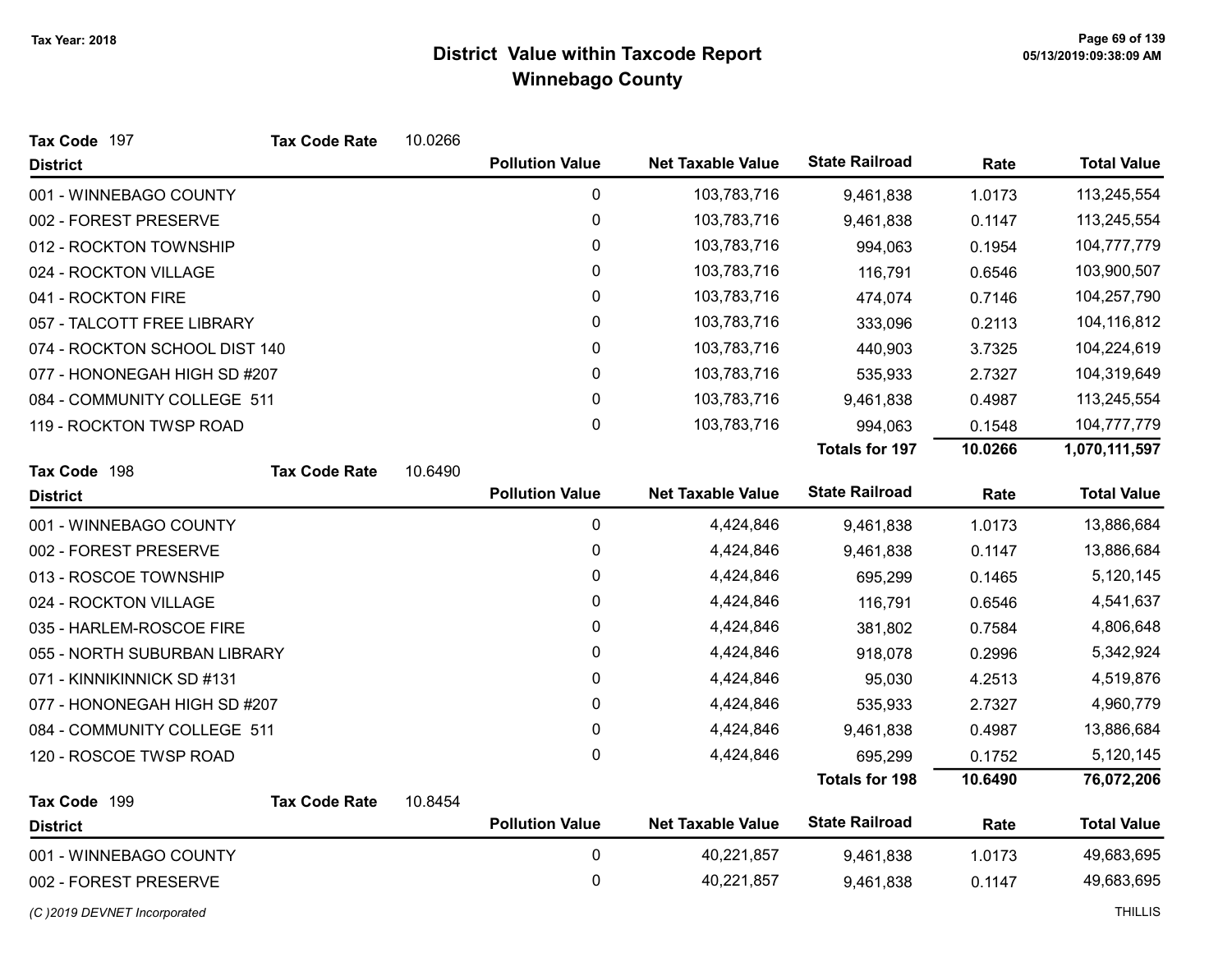| Tax Code 197                  | <b>Tax Code Rate</b> | 10.0266 |                        |                          |                       |         |                    |
|-------------------------------|----------------------|---------|------------------------|--------------------------|-----------------------|---------|--------------------|
| <b>District</b>               |                      |         | <b>Pollution Value</b> | <b>Net Taxable Value</b> | <b>State Railroad</b> | Rate    | <b>Total Value</b> |
| 001 - WINNEBAGO COUNTY        |                      |         | 0                      | 103,783,716              | 9,461,838             | 1.0173  | 113,245,554        |
| 002 - FOREST PRESERVE         |                      |         | 0                      | 103,783,716              | 9,461,838             | 0.1147  | 113,245,554        |
| 012 - ROCKTON TOWNSHIP        |                      |         | 0                      | 103,783,716              | 994,063               | 0.1954  | 104,777,779        |
| 024 - ROCKTON VILLAGE         |                      |         | 0                      | 103,783,716              | 116,791               | 0.6546  | 103,900,507        |
| 041 - ROCKTON FIRE            |                      |         | 0                      | 103,783,716              | 474,074               | 0.7146  | 104,257,790        |
| 057 - TALCOTT FREE LIBRARY    |                      |         | 0                      | 103,783,716              | 333,096               | 0.2113  | 104,116,812        |
| 074 - ROCKTON SCHOOL DIST 140 |                      |         | 0                      | 103,783,716              | 440,903               | 3.7325  | 104,224,619        |
| 077 - HONONEGAH HIGH SD #207  |                      |         | 0                      | 103,783,716              | 535,933               | 2.7327  | 104,319,649        |
| 084 - COMMUNITY COLLEGE 511   |                      |         | 0                      | 103,783,716              | 9,461,838             | 0.4987  | 113,245,554        |
| 119 - ROCKTON TWSP ROAD       |                      |         | 0                      | 103,783,716              | 994,063               | 0.1548  | 104,777,779        |
|                               |                      |         |                        |                          | <b>Totals for 197</b> | 10.0266 | 1,070,111,597      |
| Tax Code 198                  | <b>Tax Code Rate</b> | 10.6490 |                        |                          |                       |         |                    |
| <b>District</b>               |                      |         | <b>Pollution Value</b> | <b>Net Taxable Value</b> | <b>State Railroad</b> | Rate    | <b>Total Value</b> |
| 001 - WINNEBAGO COUNTY        |                      |         | 0                      | 4,424,846                | 9,461,838             | 1.0173  | 13,886,684         |
| 002 - FOREST PRESERVE         |                      |         | 0                      | 4,424,846                | 9,461,838             | 0.1147  | 13,886,684         |
| 013 - ROSCOE TOWNSHIP         |                      |         | 0                      | 4,424,846                | 695,299               | 0.1465  | 5,120,145          |
| 024 - ROCKTON VILLAGE         |                      |         | 0                      | 4,424,846                | 116,791               | 0.6546  | 4,541,637          |
| 035 - HARLEM-ROSCOE FIRE      |                      |         | 0                      | 4,424,846                | 381,802               | 0.7584  | 4,806,648          |
| 055 - NORTH SUBURBAN LIBRARY  |                      |         | 0                      | 4,424,846                | 918,078               | 0.2996  | 5,342,924          |
| 071 - KINNIKINNICK SD #131    |                      |         | 0                      | 4,424,846                | 95,030                | 4.2513  | 4,519,876          |
| 077 - HONONEGAH HIGH SD #207  |                      |         | 0                      | 4,424,846                | 535,933               | 2.7327  | 4,960,779          |
| 084 - COMMUNITY COLLEGE 511   |                      |         | 0                      | 4,424,846                | 9,461,838             | 0.4987  | 13,886,684         |
| 120 - ROSCOE TWSP ROAD        |                      |         | 0                      | 4,424,846                | 695,299               | 0.1752  | 5,120,145          |
|                               |                      |         |                        |                          | <b>Totals for 198</b> | 10.6490 | 76,072,206         |
| Tax Code 199                  | <b>Tax Code Rate</b> | 10.8454 |                        |                          |                       |         |                    |
| <b>District</b>               |                      |         | <b>Pollution Value</b> | <b>Net Taxable Value</b> | <b>State Railroad</b> | Rate    | <b>Total Value</b> |
| 001 - WINNEBAGO COUNTY        |                      |         | $\mathbf 0$            | 40,221,857               | 9,461,838             | 1.0173  | 49,683,695         |
| 002 - FOREST PRESERVE         |                      |         | 0                      | 40,221,857               | 9,461,838             | 0.1147  | 49,683,695         |
|                               |                      |         |                        |                          |                       |         |                    |

(C)2019 DEVNET Incorporated THILLIS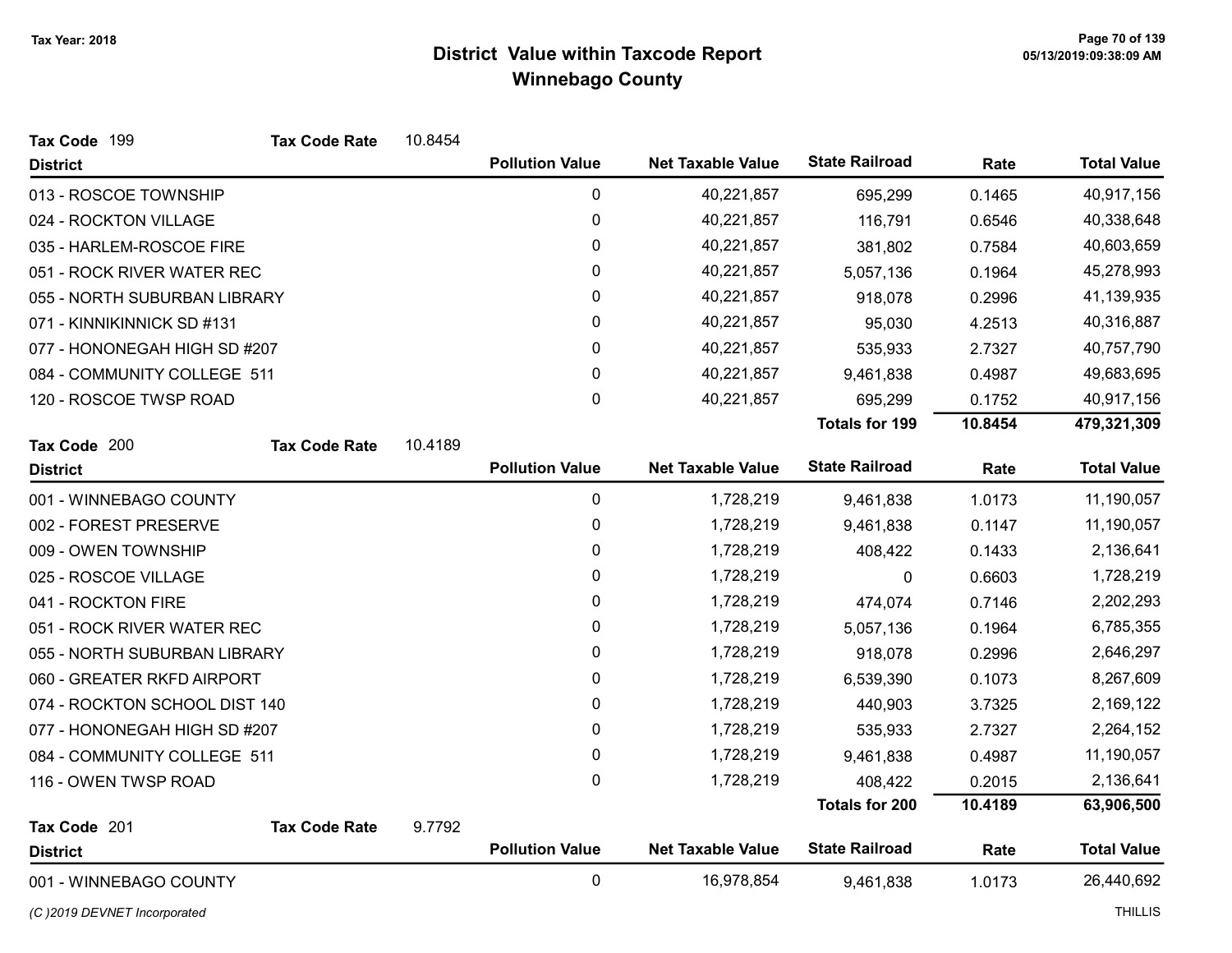| Tax Code 199                  | <b>Tax Code Rate</b> | 10.8454 |                        |                          |                       |         |                    |
|-------------------------------|----------------------|---------|------------------------|--------------------------|-----------------------|---------|--------------------|
| <b>District</b>               |                      |         | <b>Pollution Value</b> | <b>Net Taxable Value</b> | <b>State Railroad</b> | Rate    | <b>Total Value</b> |
| 013 - ROSCOE TOWNSHIP         |                      |         | 0                      | 40,221,857               | 695,299               | 0.1465  | 40,917,156         |
| 024 - ROCKTON VILLAGE         |                      |         | $\mathbf 0$            | 40,221,857               | 116,791               | 0.6546  | 40,338,648         |
| 035 - HARLEM-ROSCOE FIRE      |                      |         | 0                      | 40,221,857               | 381,802               | 0.7584  | 40,603,659         |
| 051 - ROCK RIVER WATER REC    |                      |         | 0                      | 40,221,857               | 5,057,136             | 0.1964  | 45,278,993         |
| 055 - NORTH SUBURBAN LIBRARY  |                      |         | 0                      | 40,221,857               | 918,078               | 0.2996  | 41,139,935         |
| 071 - KINNIKINNICK SD #131    |                      |         | 0                      | 40,221,857               | 95,030                | 4.2513  | 40,316,887         |
| 077 - HONONEGAH HIGH SD #207  |                      |         | 0                      | 40,221,857               | 535,933               | 2.7327  | 40,757,790         |
| 084 - COMMUNITY COLLEGE 511   |                      |         | 0                      | 40,221,857               | 9,461,838             | 0.4987  | 49,683,695         |
| 120 - ROSCOE TWSP ROAD        |                      |         | 0                      | 40,221,857               | 695,299               | 0.1752  | 40,917,156         |
|                               |                      |         |                        |                          | <b>Totals for 199</b> | 10.8454 | 479,321,309        |
| Tax Code 200                  | <b>Tax Code Rate</b> | 10.4189 |                        |                          |                       |         |                    |
| <b>District</b>               |                      |         | <b>Pollution Value</b> | <b>Net Taxable Value</b> | <b>State Railroad</b> | Rate    | <b>Total Value</b> |
| 001 - WINNEBAGO COUNTY        |                      |         | $\pmb{0}$              | 1,728,219                | 9,461,838             | 1.0173  | 11,190,057         |
| 002 - FOREST PRESERVE         |                      |         | 0                      | 1,728,219                | 9,461,838             | 0.1147  | 11,190,057         |
| 009 - OWEN TOWNSHIP           |                      |         | 0                      | 1,728,219                | 408,422               | 0.1433  | 2,136,641          |
| 025 - ROSCOE VILLAGE          |                      |         | 0                      | 1,728,219                | 0                     | 0.6603  | 1,728,219          |
| 041 - ROCKTON FIRE            |                      |         | $\pmb{0}$              | 1,728,219                | 474,074               | 0.7146  | 2,202,293          |
| 051 - ROCK RIVER WATER REC    |                      |         | 0                      | 1,728,219                | 5,057,136             | 0.1964  | 6,785,355          |
| 055 - NORTH SUBURBAN LIBRARY  |                      |         | 0                      | 1,728,219                | 918,078               | 0.2996  | 2,646,297          |
| 060 - GREATER RKFD AIRPORT    |                      |         | 0                      | 1,728,219                | 6,539,390             | 0.1073  | 8,267,609          |
| 074 - ROCKTON SCHOOL DIST 140 |                      |         | 0                      | 1,728,219                | 440,903               | 3.7325  | 2,169,122          |
| 077 - HONONEGAH HIGH SD #207  |                      |         | $\pmb{0}$              | 1,728,219                | 535,933               | 2.7327  | 2,264,152          |
| 084 - COMMUNITY COLLEGE 511   |                      |         | $\pmb{0}$              | 1,728,219                | 9,461,838             | 0.4987  | 11,190,057         |
| 116 - OWEN TWSP ROAD          |                      |         | 0                      | 1,728,219                | 408,422               | 0.2015  | 2,136,641          |
|                               |                      |         |                        |                          | <b>Totals for 200</b> | 10.4189 | 63,906,500         |
| Tax Code 201                  | <b>Tax Code Rate</b> | 9.7792  |                        |                          |                       |         |                    |
| <b>District</b>               |                      |         | <b>Pollution Value</b> | <b>Net Taxable Value</b> | <b>State Railroad</b> | Rate    | <b>Total Value</b> |
| 001 - WINNEBAGO COUNTY        |                      |         | 0                      | 16,978,854               | 9,461,838             | 1.0173  | 26,440,692         |

(C)2019 DEVNET Incorporated THILLIS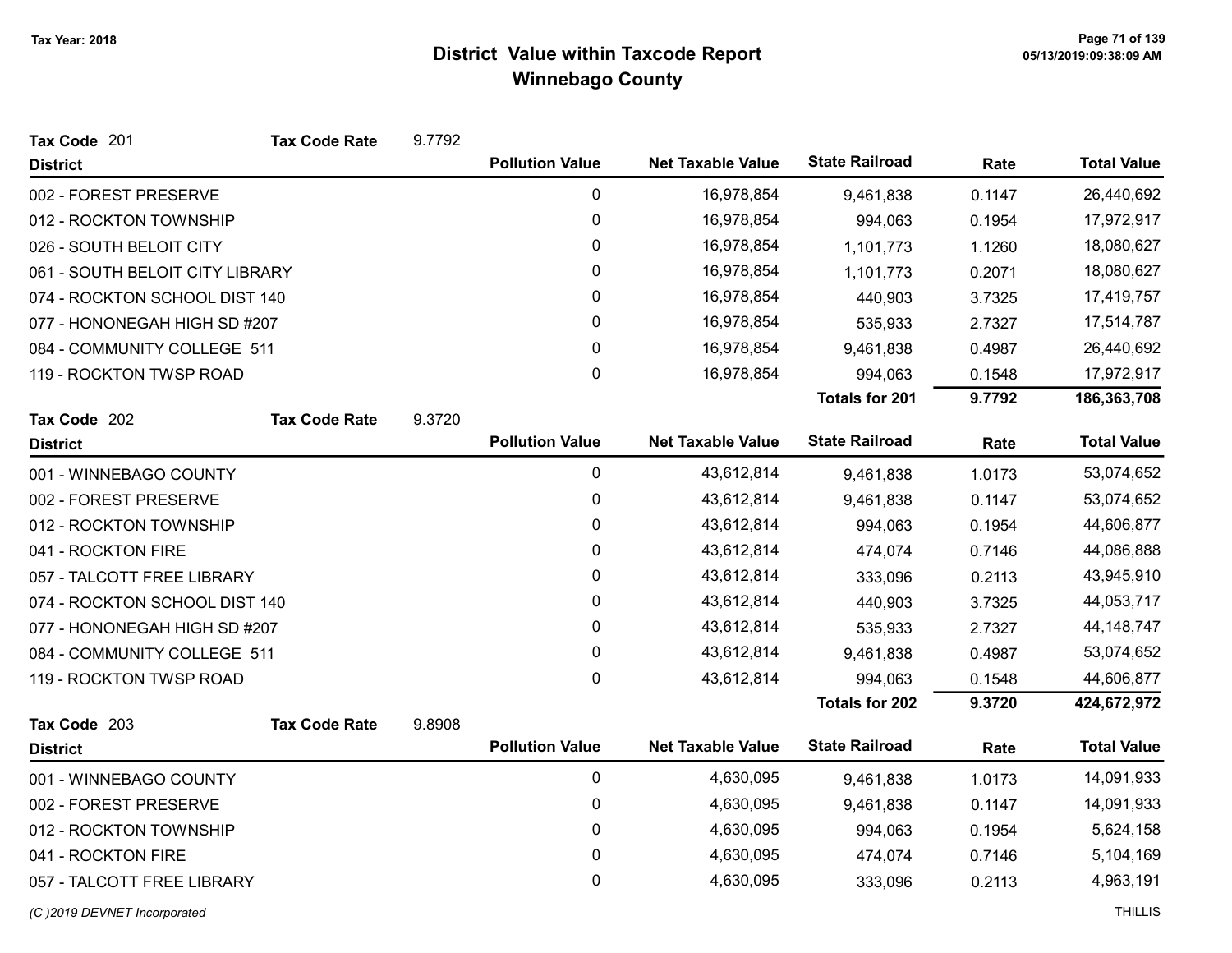| Tax Code 201                    | <b>Tax Code Rate</b> | 9.7792 |                        |                          |                       |        |                    |
|---------------------------------|----------------------|--------|------------------------|--------------------------|-----------------------|--------|--------------------|
| <b>District</b>                 |                      |        | <b>Pollution Value</b> | <b>Net Taxable Value</b> | <b>State Railroad</b> | Rate   | <b>Total Value</b> |
| 002 - FOREST PRESERVE           |                      |        | $\pmb{0}$              | 16,978,854               | 9,461,838             | 0.1147 | 26,440,692         |
| 012 - ROCKTON TOWNSHIP          |                      |        | 0                      | 16,978,854               | 994,063               | 0.1954 | 17,972,917         |
| 026 - SOUTH BELOIT CITY         |                      |        | 0                      | 16,978,854               | 1,101,773             | 1.1260 | 18,080,627         |
| 061 - SOUTH BELOIT CITY LIBRARY |                      |        | 0                      | 16,978,854               | 1,101,773             | 0.2071 | 18,080,627         |
| 074 - ROCKTON SCHOOL DIST 140   |                      |        | 0                      | 16,978,854               | 440,903               | 3.7325 | 17,419,757         |
| 077 - HONONEGAH HIGH SD #207    |                      |        | 0                      | 16,978,854               | 535,933               | 2.7327 | 17,514,787         |
| 084 - COMMUNITY COLLEGE 511     |                      |        | 0                      | 16,978,854               | 9,461,838             | 0.4987 | 26,440,692         |
| 119 - ROCKTON TWSP ROAD         |                      |        | 0                      | 16,978,854               | 994,063               | 0.1548 | 17,972,917         |
|                                 |                      |        |                        |                          | <b>Totals for 201</b> | 9.7792 | 186,363,708        |
| Tax Code 202                    | <b>Tax Code Rate</b> | 9.3720 |                        |                          |                       |        |                    |
| <b>District</b>                 |                      |        | <b>Pollution Value</b> | <b>Net Taxable Value</b> | <b>State Railroad</b> | Rate   | <b>Total Value</b> |
| 001 - WINNEBAGO COUNTY          |                      |        | $\pmb{0}$              | 43,612,814               | 9,461,838             | 1.0173 | 53,074,652         |
| 002 - FOREST PRESERVE           |                      |        | 0                      | 43,612,814               | 9,461,838             | 0.1147 | 53,074,652         |
| 012 - ROCKTON TOWNSHIP          |                      |        | 0                      | 43,612,814               | 994,063               | 0.1954 | 44,606,877         |
| 041 - ROCKTON FIRE              |                      |        | 0                      | 43,612,814               | 474,074               | 0.7146 | 44,086,888         |
| 057 - TALCOTT FREE LIBRARY      |                      |        | 0                      | 43,612,814               | 333,096               | 0.2113 | 43,945,910         |
| 074 - ROCKTON SCHOOL DIST 140   |                      |        | $\pmb{0}$              | 43,612,814               | 440,903               | 3.7325 | 44,053,717         |
| 077 - HONONEGAH HIGH SD #207    |                      |        | 0                      | 43,612,814               | 535,933               | 2.7327 | 44, 148, 747       |
| 084 - COMMUNITY COLLEGE 511     |                      |        | $\pmb{0}$              | 43,612,814               | 9,461,838             | 0.4987 | 53,074,652         |
| 119 - ROCKTON TWSP ROAD         |                      |        | 0                      | 43,612,814               | 994,063               | 0.1548 | 44,606,877         |
|                                 |                      |        |                        |                          | <b>Totals for 202</b> | 9.3720 | 424,672,972        |
| Tax Code 203                    | <b>Tax Code Rate</b> | 9.8908 |                        |                          |                       |        |                    |
| <b>District</b>                 |                      |        | <b>Pollution Value</b> | <b>Net Taxable Value</b> | <b>State Railroad</b> | Rate   | <b>Total Value</b> |
| 001 - WINNEBAGO COUNTY          |                      |        | $\pmb{0}$              | 4,630,095                | 9,461,838             | 1.0173 | 14,091,933         |
| 002 - FOREST PRESERVE           |                      |        | 0                      | 4,630,095                | 9,461,838             | 0.1147 | 14,091,933         |
| 012 - ROCKTON TOWNSHIP          |                      |        | 0                      | 4,630,095                | 994,063               | 0.1954 | 5,624,158          |
| 041 - ROCKTON FIRE              |                      |        | 0                      | 4,630,095                | 474,074               | 0.7146 | 5,104,169          |
| 057 - TALCOTT FREE LIBRARY      |                      |        | 0                      | 4,630,095                | 333,096               | 0.2113 | 4,963,191          |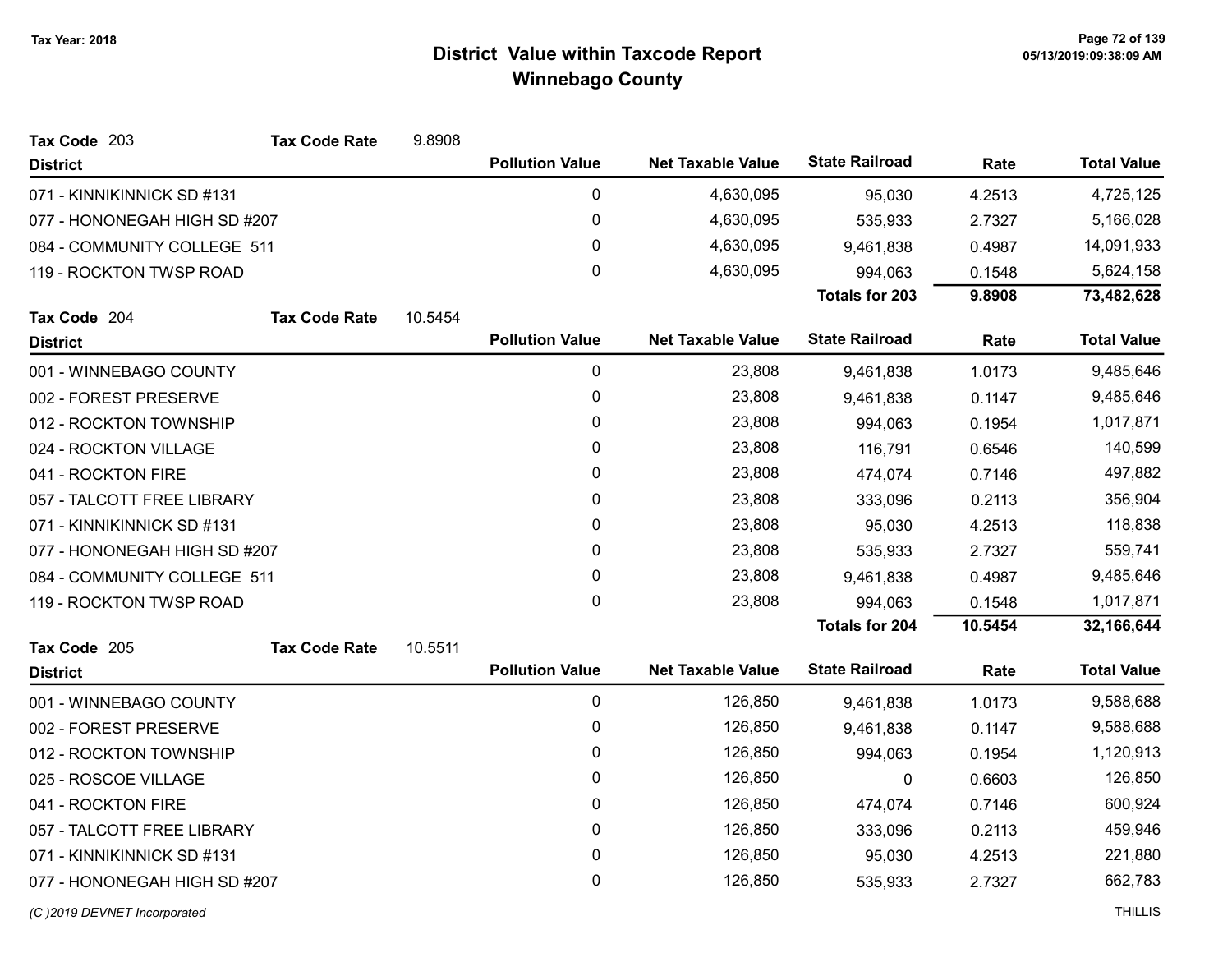| Tax Code 203                 | <b>Tax Code Rate</b> | 9.8908  |                        |                          |                       |         |                    |
|------------------------------|----------------------|---------|------------------------|--------------------------|-----------------------|---------|--------------------|
| <b>District</b>              |                      |         | <b>Pollution Value</b> | <b>Net Taxable Value</b> | <b>State Railroad</b> | Rate    | <b>Total Value</b> |
| 071 - KINNIKINNICK SD #131   |                      |         | 0                      | 4,630,095                | 95,030                | 4.2513  | 4,725,125          |
| 077 - HONONEGAH HIGH SD #207 |                      |         | 0                      | 4,630,095                | 535,933               | 2.7327  | 5,166,028          |
| 084 - COMMUNITY COLLEGE 511  |                      |         | 0                      | 4,630,095                | 9,461,838             | 0.4987  | 14,091,933         |
| 119 - ROCKTON TWSP ROAD      |                      |         | 0                      | 4,630,095                | 994,063               | 0.1548  | 5,624,158          |
|                              |                      |         |                        |                          | <b>Totals for 203</b> | 9.8908  | 73,482,628         |
| Tax Code 204                 | <b>Tax Code Rate</b> | 10.5454 |                        |                          |                       |         |                    |
| <b>District</b>              |                      |         | <b>Pollution Value</b> | <b>Net Taxable Value</b> | <b>State Railroad</b> | Rate    | <b>Total Value</b> |
| 001 - WINNEBAGO COUNTY       |                      |         | 0                      | 23,808                   | 9,461,838             | 1.0173  | 9,485,646          |
| 002 - FOREST PRESERVE        |                      |         | 0                      | 23,808                   | 9,461,838             | 0.1147  | 9,485,646          |
| 012 - ROCKTON TOWNSHIP       |                      |         | 0                      | 23,808                   | 994,063               | 0.1954  | 1,017,871          |
| 024 - ROCKTON VILLAGE        |                      |         | 0                      | 23,808                   | 116,791               | 0.6546  | 140,599            |
| 041 - ROCKTON FIRE           |                      |         | 0                      | 23,808                   | 474,074               | 0.7146  | 497,882            |
| 057 - TALCOTT FREE LIBRARY   |                      |         | 0                      | 23,808                   | 333,096               | 0.2113  | 356,904            |
| 071 - KINNIKINNICK SD #131   |                      |         | 0                      | 23,808                   | 95,030                | 4.2513  | 118,838            |
| 077 - HONONEGAH HIGH SD #207 |                      |         | 0                      | 23,808                   | 535,933               | 2.7327  | 559,741            |
| 084 - COMMUNITY COLLEGE 511  |                      |         | 0                      | 23,808                   | 9,461,838             | 0.4987  | 9,485,646          |
| 119 - ROCKTON TWSP ROAD      |                      |         | 0                      | 23,808                   | 994,063               | 0.1548  | 1,017,871          |
|                              |                      |         |                        |                          | <b>Totals for 204</b> | 10.5454 | 32,166,644         |
| Tax Code 205                 | <b>Tax Code Rate</b> | 10.5511 |                        |                          |                       |         |                    |
| <b>District</b>              |                      |         | <b>Pollution Value</b> | <b>Net Taxable Value</b> | <b>State Railroad</b> | Rate    | <b>Total Value</b> |
| 001 - WINNEBAGO COUNTY       |                      |         | 0                      | 126,850                  | 9,461,838             | 1.0173  | 9,588,688          |
| 002 - FOREST PRESERVE        |                      |         | 0                      | 126,850                  | 9,461,838             | 0.1147  | 9,588,688          |
| 012 - ROCKTON TOWNSHIP       |                      |         | 0                      | 126,850                  | 994,063               | 0.1954  | 1,120,913          |
| 025 - ROSCOE VILLAGE         |                      |         | 0                      | 126,850                  | 0                     | 0.6603  | 126,850            |
| 041 - ROCKTON FIRE           |                      |         | 0                      | 126,850                  | 474,074               | 0.7146  | 600,924            |
| 057 - TALCOTT FREE LIBRARY   |                      |         | 0                      | 126,850                  | 333,096               | 0.2113  | 459,946            |
| 071 - KINNIKINNICK SD #131   |                      |         | 0                      | 126,850                  | 95,030                | 4.2513  | 221,880            |
| 077 - HONONEGAH HIGH SD #207 |                      |         | 0                      | 126,850                  | 535,933               | 2.7327  | 662,783            |
| (C) 2019 DEVNET Incorporated |                      |         |                        |                          |                       |         | <b>THILLIS</b>     |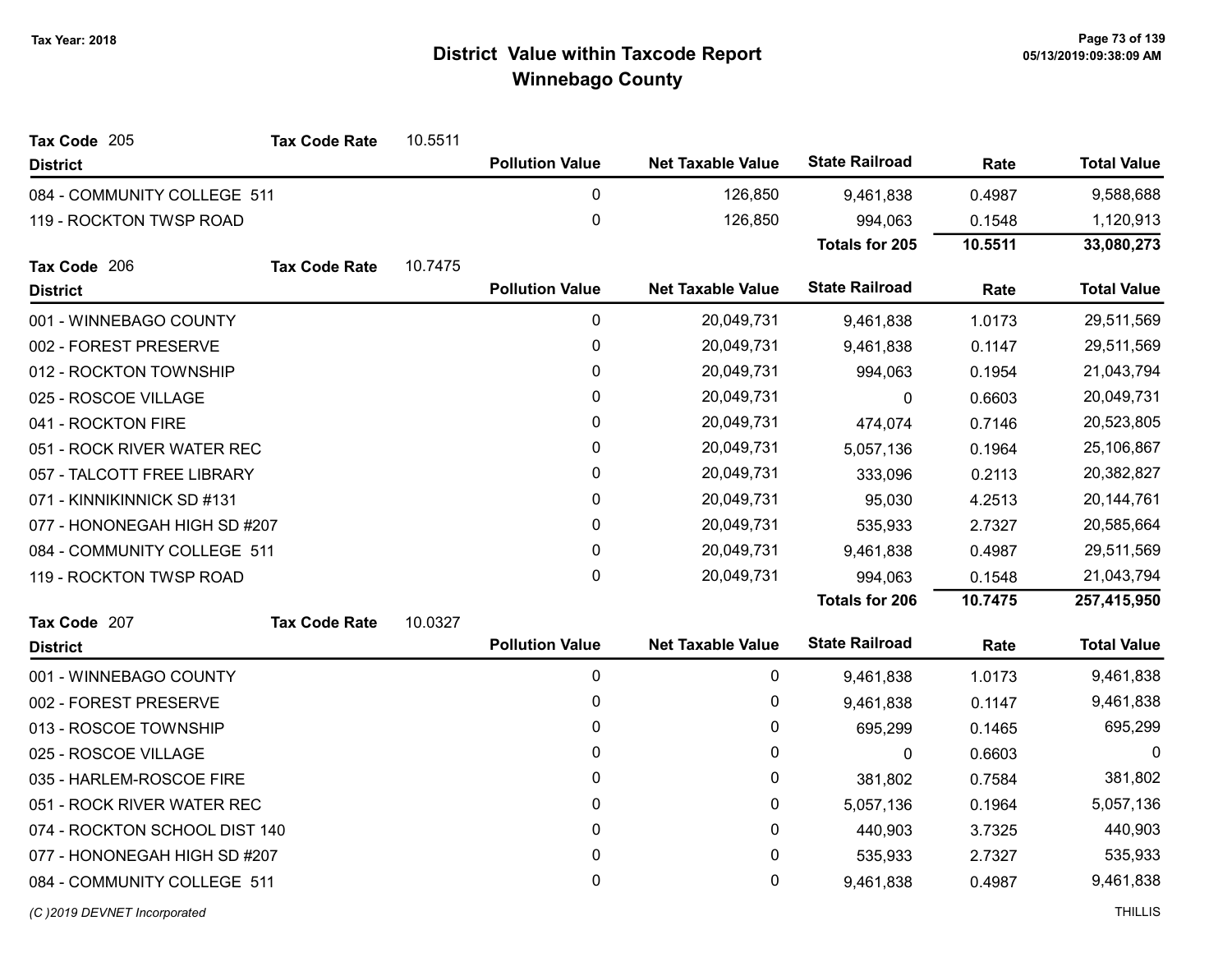| Tax Code 205                  | <b>Tax Code Rate</b> | 10.5511 |                        |                          |                       |            |                    |
|-------------------------------|----------------------|---------|------------------------|--------------------------|-----------------------|------------|--------------------|
| <b>District</b>               |                      |         | <b>Pollution Value</b> | <b>Net Taxable Value</b> | <b>State Railroad</b> | Rate       | <b>Total Value</b> |
| 084 - COMMUNITY COLLEGE 511   |                      |         | 0                      | 126,850                  | 9,461,838             | 0.4987     | 9,588,688          |
| 119 - ROCKTON TWSP ROAD       |                      |         | $\mathbf 0$            | 126,850                  | 994,063               | 0.1548     | 1,120,913          |
|                               |                      |         |                        |                          | <b>Totals for 205</b> | 10.5511    | 33,080,273         |
| Tax Code 206                  | <b>Tax Code Rate</b> | 10.7475 |                        |                          |                       |            |                    |
| <b>District</b>               |                      |         | <b>Pollution Value</b> | <b>Net Taxable Value</b> | <b>State Railroad</b> | Rate       | <b>Total Value</b> |
| 001 - WINNEBAGO COUNTY        |                      |         | 0                      | 20,049,731               | 9,461,838             | 1.0173     | 29,511,569         |
| 002 - FOREST PRESERVE         |                      |         | 0                      | 20,049,731               | 9,461,838             | 0.1147     | 29,511,569         |
| 012 - ROCKTON TOWNSHIP        |                      |         | 0                      | 20,049,731               | 994,063               | 0.1954     | 21,043,794         |
| 025 - ROSCOE VILLAGE          |                      |         | 0                      | 20,049,731               | $\mathbf{0}$          | 0.6603     | 20,049,731         |
| 041 - ROCKTON FIRE            |                      |         | 0                      | 20,049,731               | 474,074               | 0.7146     | 20,523,805         |
| 051 - ROCK RIVER WATER REC    |                      |         | 0                      | 20,049,731               | 5,057,136             | 0.1964     | 25,106,867         |
| 057 - TALCOTT FREE LIBRARY    |                      | 0       | 20,049,731             | 333,096                  | 0.2113                | 20,382,827 |                    |
| 071 - KINNIKINNICK SD #131    |                      | 0       | 20,049,731             | 95,030                   | 4.2513                | 20,144,761 |                    |
| 077 - HONONEGAH HIGH SD #207  |                      | 0       | 20,049,731             | 535,933                  | 2.7327                | 20,585,664 |                    |
| 084 - COMMUNITY COLLEGE 511   |                      |         | 0                      | 20,049,731               | 9,461,838             | 0.4987     | 29,511,569         |
| 119 - ROCKTON TWSP ROAD       |                      |         | 0                      | 20,049,731               | 994,063               | 0.1548     | 21,043,794         |
|                               |                      |         |                        |                          | <b>Totals for 206</b> | 10.7475    | 257,415,950        |
| Tax Code 207                  | <b>Tax Code Rate</b> | 10.0327 |                        |                          |                       |            |                    |
| <b>District</b>               |                      |         | <b>Pollution Value</b> | <b>Net Taxable Value</b> | <b>State Railroad</b> | Rate       | <b>Total Value</b> |
| 001 - WINNEBAGO COUNTY        |                      |         | 0                      | 0                        | 9,461,838             | 1.0173     | 9,461,838          |
| 002 - FOREST PRESERVE         |                      |         | 0                      | 0                        | 9,461,838             | 0.1147     | 9,461,838          |
| 013 - ROSCOE TOWNSHIP         |                      |         | 0                      | 0                        | 695,299               | 0.1465     | 695,299            |
| 025 - ROSCOE VILLAGE          |                      |         | 0                      | 0                        | $\mathbf 0$           | 0.6603     | 0                  |
| 035 - HARLEM-ROSCOE FIRE      |                      |         | 0                      | 0                        | 381,802               | 0.7584     | 381,802            |
| 051 - ROCK RIVER WATER REC    |                      |         | 0                      | 0                        | 5,057,136             | 0.1964     | 5,057,136          |
| 074 - ROCKTON SCHOOL DIST 140 |                      |         | 0                      | 0                        | 440,903               | 3.7325     | 440,903            |
| 077 - HONONEGAH HIGH SD #207  |                      |         | 0                      | 0                        | 535,933               | 2.7327     | 535,933            |
| 084 - COMMUNITY COLLEGE 511   |                      |         | 0                      | 0                        | 9,461,838             | 0.4987     | 9,461,838          |
| (C)2019 DEVNET Incorporated   |                      |         |                        |                          |                       |            | <b>THILLIS</b>     |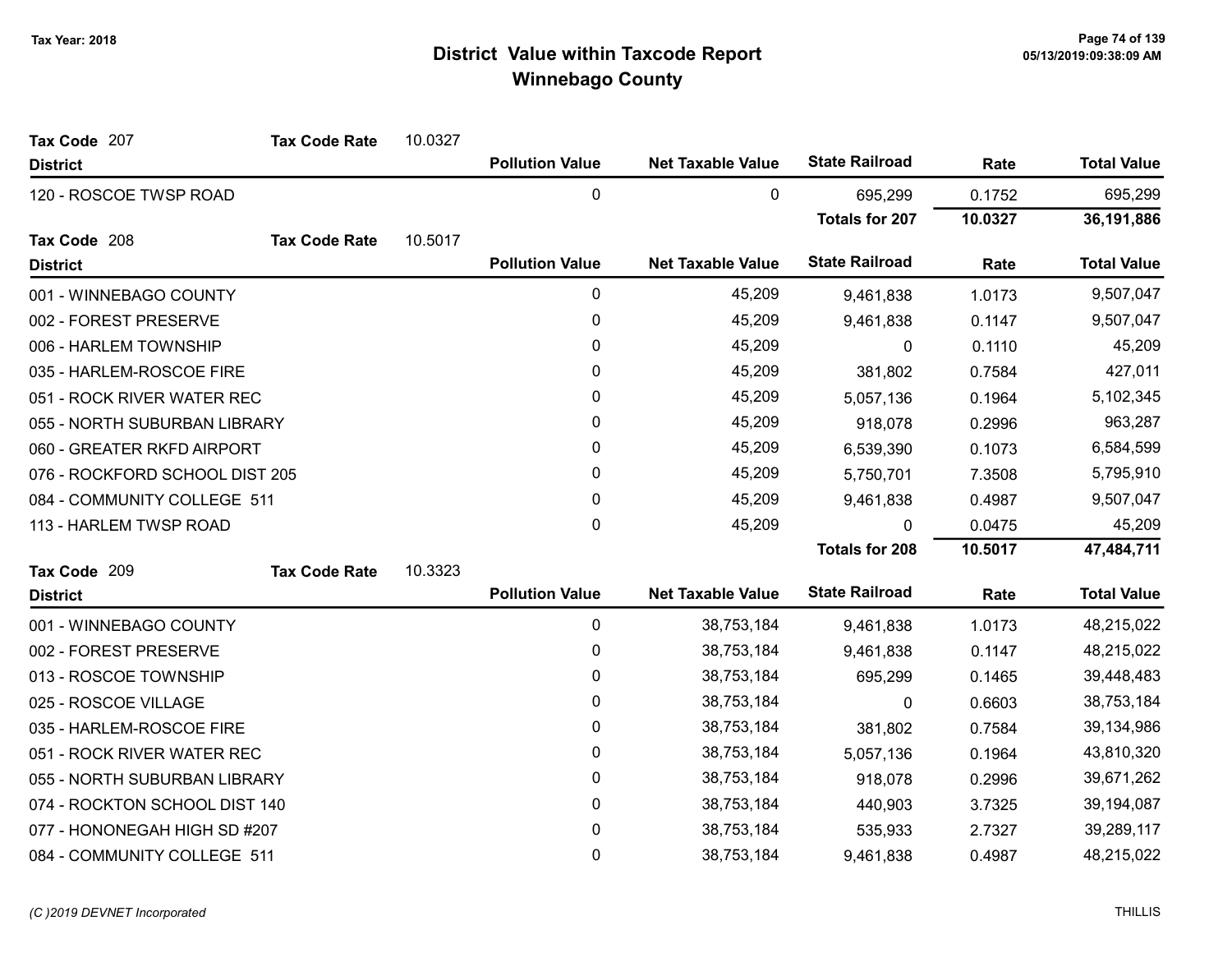| Tax Code 207                   | <b>Tax Code Rate</b> | 10.0327 |                        |                          |                       |         |                    |
|--------------------------------|----------------------|---------|------------------------|--------------------------|-----------------------|---------|--------------------|
| <b>District</b>                |                      |         | <b>Pollution Value</b> | <b>Net Taxable Value</b> | <b>State Railroad</b> | Rate    | <b>Total Value</b> |
| 120 - ROSCOE TWSP ROAD         |                      |         | 0                      | 0                        | 695,299               | 0.1752  | 695,299            |
|                                |                      |         |                        |                          | <b>Totals for 207</b> | 10.0327 | 36,191,886         |
| Tax Code 208                   | <b>Tax Code Rate</b> | 10.5017 |                        |                          |                       |         |                    |
| <b>District</b>                |                      |         | <b>Pollution Value</b> | <b>Net Taxable Value</b> | <b>State Railroad</b> | Rate    | <b>Total Value</b> |
| 001 - WINNEBAGO COUNTY         |                      |         | 0                      | 45,209                   | 9,461,838             | 1.0173  | 9,507,047          |
| 002 - FOREST PRESERVE          |                      |         | 0                      | 45,209                   | 9,461,838             | 0.1147  | 9,507,047          |
| 006 - HARLEM TOWNSHIP          |                      |         | 0                      | 45,209                   | 0                     | 0.1110  | 45,209             |
| 035 - HARLEM-ROSCOE FIRE       |                      |         | 0                      | 45,209                   | 381,802               | 0.7584  | 427,011            |
| 051 - ROCK RIVER WATER REC     |                      |         | 0                      | 45,209                   | 5,057,136             | 0.1964  | 5,102,345          |
| 055 - NORTH SUBURBAN LIBRARY   |                      |         | 0                      | 45,209                   | 918,078               | 0.2996  | 963,287            |
| 060 - GREATER RKFD AIRPORT     |                      |         | 0                      | 45,209                   | 6,539,390             | 0.1073  | 6,584,599          |
| 076 - ROCKFORD SCHOOL DIST 205 |                      |         | 0                      | 45,209                   | 5,750,701             | 7.3508  | 5,795,910          |
| 084 - COMMUNITY COLLEGE 511    |                      |         | $\mathbf{0}$           | 45,209                   | 9,461,838             | 0.4987  | 9,507,047          |
| 113 - HARLEM TWSP ROAD         |                      |         | 0                      | 45,209                   | 0                     | 0.0475  | 45,209             |
|                                |                      |         |                        |                          | <b>Totals for 208</b> | 10.5017 | 47,484,711         |
| Tax Code 209                   | <b>Tax Code Rate</b> | 10.3323 |                        |                          |                       |         |                    |
| <b>District</b>                |                      |         | <b>Pollution Value</b> | <b>Net Taxable Value</b> | <b>State Railroad</b> | Rate    | <b>Total Value</b> |
| 001 - WINNEBAGO COUNTY         |                      |         | 0                      | 38,753,184               | 9,461,838             | 1.0173  | 48,215,022         |
| 002 - FOREST PRESERVE          |                      |         | 0                      | 38,753,184               | 9,461,838             | 0.1147  | 48,215,022         |
| 013 - ROSCOE TOWNSHIP          |                      |         | 0                      | 38,753,184               | 695,299               | 0.1465  | 39,448,483         |
| 025 - ROSCOE VILLAGE           |                      |         | 0                      | 38,753,184               | 0                     | 0.6603  | 38,753,184         |
| 035 - HARLEM-ROSCOE FIRE       |                      |         | 0                      | 38,753,184               | 381,802               | 0.7584  | 39,134,986         |
| 051 - ROCK RIVER WATER REC     |                      |         | 0                      | 38,753,184               | 5,057,136             | 0.1964  | 43,810,320         |
| 055 - NORTH SUBURBAN LIBRARY   |                      |         | $\pmb{0}$              | 38,753,184               | 918,078               | 0.2996  | 39,671,262         |
| 074 - ROCKTON SCHOOL DIST 140  |                      |         | 0                      | 38,753,184               | 440,903               | 3.7325  | 39,194,087         |
| 077 - HONONEGAH HIGH SD #207   |                      |         | 0                      | 38,753,184               | 535,933               | 2.7327  | 39,289,117         |
| 084 - COMMUNITY COLLEGE 511    |                      |         | 0                      | 38,753,184               | 9,461,838             | 0.4987  | 48,215,022         |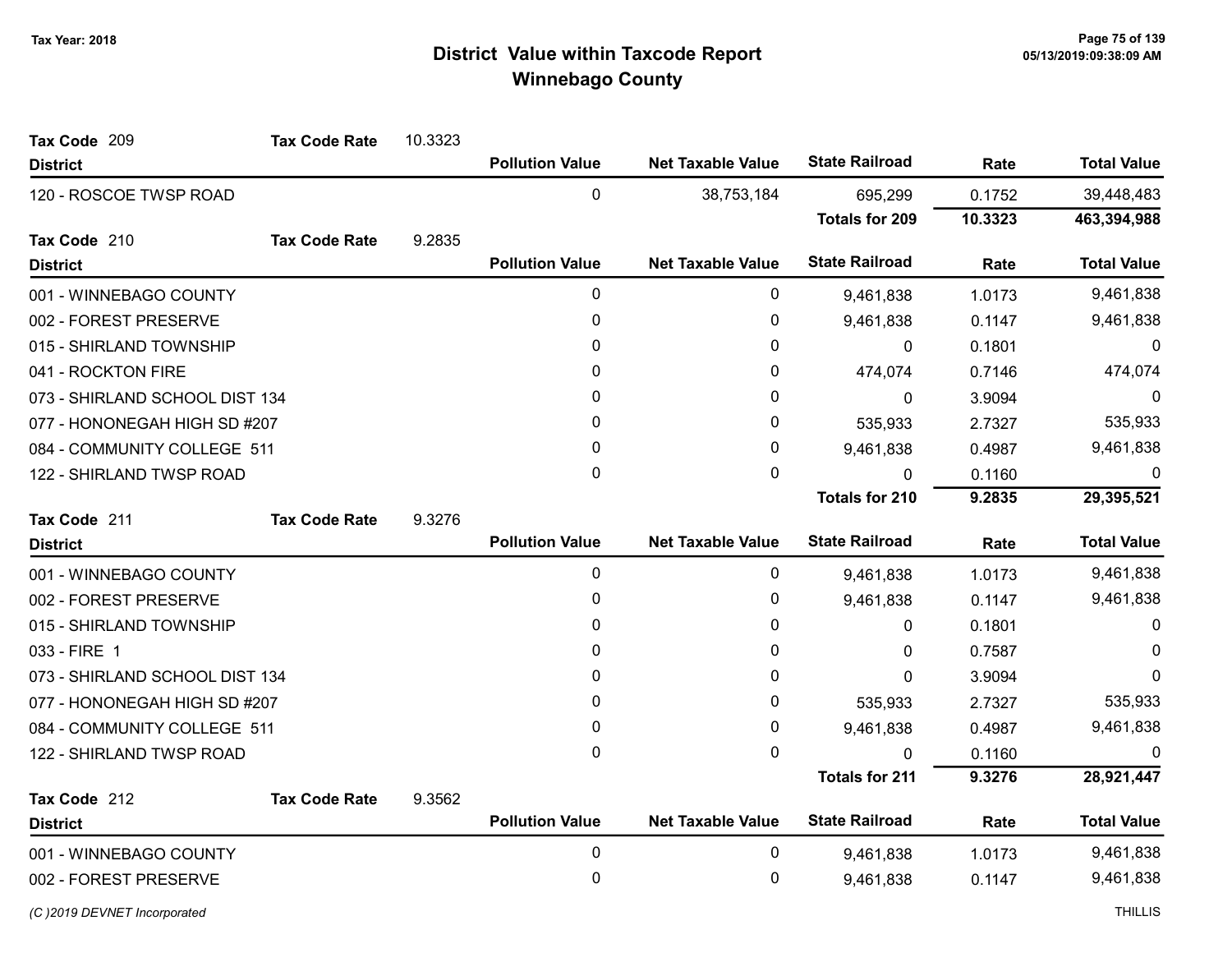| Tax Code 209                   | <b>Tax Code Rate</b> | 10.3323 |                        |                          |                       |         |                    |
|--------------------------------|----------------------|---------|------------------------|--------------------------|-----------------------|---------|--------------------|
| <b>District</b>                |                      |         | <b>Pollution Value</b> | <b>Net Taxable Value</b> | <b>State Railroad</b> | Rate    | <b>Total Value</b> |
| 120 - ROSCOE TWSP ROAD         |                      |         | $\mathbf 0$            | 38,753,184               | 695,299               | 0.1752  | 39,448,483         |
|                                |                      |         |                        |                          | <b>Totals for 209</b> | 10.3323 | 463,394,988        |
| Tax Code 210                   | <b>Tax Code Rate</b> | 9.2835  |                        |                          |                       |         |                    |
| <b>District</b>                |                      |         | <b>Pollution Value</b> | <b>Net Taxable Value</b> | <b>State Railroad</b> | Rate    | <b>Total Value</b> |
| 001 - WINNEBAGO COUNTY         |                      |         | 0                      | 0                        | 9,461,838             | 1.0173  | 9,461,838          |
| 002 - FOREST PRESERVE          |                      |         | 0                      | 0                        | 9,461,838             | 0.1147  | 9,461,838          |
| 015 - SHIRLAND TOWNSHIP        |                      |         | 0                      | 0                        | 0                     | 0.1801  | $\Omega$           |
| 041 - ROCKTON FIRE             |                      |         | 0                      | 0                        | 474,074               | 0.7146  | 474,074            |
| 073 - SHIRLAND SCHOOL DIST 134 |                      |         | 0                      | 0                        | $\mathbf{0}$          | 3.9094  | 0                  |
| 077 - HONONEGAH HIGH SD #207   |                      |         | 0                      | 0                        | 535,933               | 2.7327  | 535,933            |
| 084 - COMMUNITY COLLEGE 511    |                      |         | 0                      | 0                        | 9,461,838             | 0.4987  | 9,461,838          |
| 122 - SHIRLAND TWSP ROAD       |                      |         | 0                      | 0                        | 0                     | 0.1160  | 0                  |
|                                |                      |         |                        |                          | <b>Totals for 210</b> | 9.2835  | 29,395,521         |
| Tax Code 211                   | <b>Tax Code Rate</b> | 9.3276  |                        |                          |                       |         |                    |
| <b>District</b>                |                      |         | <b>Pollution Value</b> | <b>Net Taxable Value</b> | <b>State Railroad</b> | Rate    | <b>Total Value</b> |
| 001 - WINNEBAGO COUNTY         |                      |         | $\mathbf 0$            | 0                        | 9,461,838             | 1.0173  | 9,461,838          |
| 002 - FOREST PRESERVE          |                      |         | 0                      | 0                        | 9,461,838             | 0.1147  | 9,461,838          |
| 015 - SHIRLAND TOWNSHIP        |                      |         | 0                      | 0                        | $\mathbf{0}$          | 0.1801  | $\Omega$           |
| 033 - FIRE 1                   |                      |         | 0                      | 0                        | 0                     | 0.7587  | 0                  |
| 073 - SHIRLAND SCHOOL DIST 134 |                      |         | 0                      | 0                        | 0                     | 3.9094  | $\Omega$           |
| 077 - HONONEGAH HIGH SD #207   |                      |         | 0                      | 0                        | 535,933               | 2.7327  | 535,933            |
| 084 - COMMUNITY COLLEGE 511    |                      |         | 0                      | 0                        | 9,461,838             | 0.4987  | 9,461,838          |
| 122 - SHIRLAND TWSP ROAD       |                      |         | 0                      | 0                        | $\mathbf{0}$          | 0.1160  |                    |
|                                |                      |         |                        |                          | <b>Totals for 211</b> | 9.3276  | 28,921,447         |
| Tax Code 212                   | <b>Tax Code Rate</b> | 9.3562  |                        |                          |                       |         |                    |
| <b>District</b>                |                      |         | <b>Pollution Value</b> | <b>Net Taxable Value</b> | <b>State Railroad</b> | Rate    | <b>Total Value</b> |
| 001 - WINNEBAGO COUNTY         |                      |         | 0                      | 0                        | 9,461,838             | 1.0173  | 9,461,838          |
| 002 - FOREST PRESERVE          |                      |         | 0                      | 0                        | 9,461,838             | 0.1147  | 9,461,838          |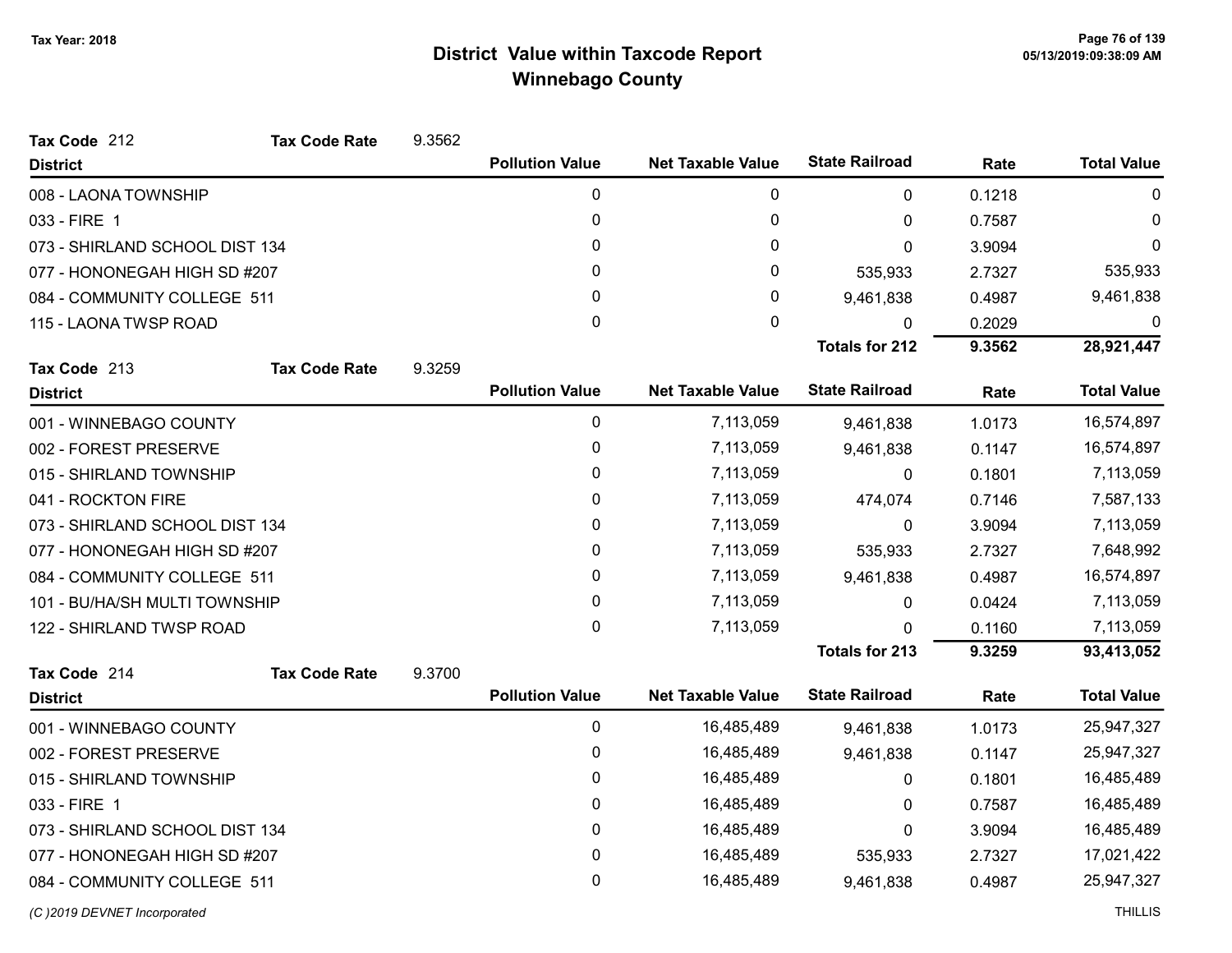| Tax Code 212                   | <b>Tax Code Rate</b> | 9.3562 |                        |                          |                       |            |                    |
|--------------------------------|----------------------|--------|------------------------|--------------------------|-----------------------|------------|--------------------|
| <b>District</b>                |                      |        | <b>Pollution Value</b> | <b>Net Taxable Value</b> | <b>State Railroad</b> | Rate       | <b>Total Value</b> |
| 008 - LAONA TOWNSHIP           |                      |        | 0                      | 0                        | $\mathbf{0}$          | 0.1218     | $\mathbf{0}$       |
| 033 - FIRE 1                   |                      |        | 0                      | 0                        | 0                     | 0.7587     | $\Omega$           |
| 073 - SHIRLAND SCHOOL DIST 134 |                      |        | 0                      | 0                        | 0                     | 3.9094     | $\Omega$           |
| 077 - HONONEGAH HIGH SD #207   |                      |        | 0                      | 0                        | 535,933               | 2.7327     | 535,933            |
| 084 - COMMUNITY COLLEGE 511    |                      |        | 0                      | 0                        | 9,461,838             | 0.4987     | 9,461,838          |
| 115 - LAONA TWSP ROAD          |                      |        | 0                      | $\mathbf 0$              | 0                     | 0.2029     | 0                  |
|                                |                      |        |                        |                          | <b>Totals for 212</b> | 9.3562     | 28,921,447         |
| Tax Code 213                   | <b>Tax Code Rate</b> | 9.3259 |                        |                          |                       |            |                    |
| <b>District</b>                |                      |        | <b>Pollution Value</b> | <b>Net Taxable Value</b> | <b>State Railroad</b> | Rate       | <b>Total Value</b> |
| 001 - WINNEBAGO COUNTY         |                      |        | 0                      | 7,113,059                | 9,461,838             | 1.0173     | 16,574,897         |
| 002 - FOREST PRESERVE          |                      |        | 0                      | 7,113,059                | 9,461,838             | 0.1147     | 16,574,897         |
| 015 - SHIRLAND TOWNSHIP        |                      |        | 0                      | 7,113,059                | 0                     | 0.1801     | 7,113,059          |
| 041 - ROCKTON FIRE             |                      |        | 0                      | 7,113,059                | 474,074               | 0.7146     | 7,587,133          |
| 073 - SHIRLAND SCHOOL DIST 134 |                      |        | 0                      | 7,113,059                | $\mathbf{0}$          | 3.9094     | 7,113,059          |
| 077 - HONONEGAH HIGH SD #207   |                      |        | 0                      | 7,113,059                | 535,933               | 2.7327     | 7,648,992          |
| 084 - COMMUNITY COLLEGE 511    |                      |        | 0                      | 7,113,059                | 9,461,838             | 0.4987     | 16,574,897         |
| 101 - BU/HA/SH MULTI TOWNSHIP  |                      |        | 0                      | 7,113,059                | 0                     | 0.0424     | 7,113,059          |
| 122 - SHIRLAND TWSP ROAD       |                      |        | 0                      | 7,113,059                | 0                     | 0.1160     | 7,113,059          |
|                                |                      |        |                        |                          | <b>Totals for 213</b> | 9.3259     | 93,413,052         |
| Tax Code 214                   | <b>Tax Code Rate</b> | 9.3700 |                        |                          |                       |            |                    |
| <b>District</b>                |                      |        | <b>Pollution Value</b> | <b>Net Taxable Value</b> | <b>State Railroad</b> | Rate       | <b>Total Value</b> |
| 001 - WINNEBAGO COUNTY         |                      |        | 0                      | 16,485,489               | 9,461,838             | 1.0173     | 25,947,327         |
| 002 - FOREST PRESERVE          |                      |        | 0                      | 16,485,489               | 9,461,838             | 0.1147     | 25,947,327         |
| 015 - SHIRLAND TOWNSHIP        |                      |        | 0                      | 16,485,489               | 0                     | 0.1801     | 16,485,489         |
| 033 - FIRE 1                   |                      |        | 0                      | 16,485,489               | $\Omega$              | 0.7587     | 16,485,489         |
| 073 - SHIRLAND SCHOOL DIST 134 |                      |        | 0                      | 16,485,489               | 0                     | 3.9094     | 16,485,489         |
| 077 - HONONEGAH HIGH SD #207   |                      | 0      | 16,485,489             | 535,933                  | 2.7327                | 17,021,422 |                    |
| 084 - COMMUNITY COLLEGE 511    |                      |        | 0                      | 16,485,489               | 9,461,838             | 0.4987     | 25,947,327         |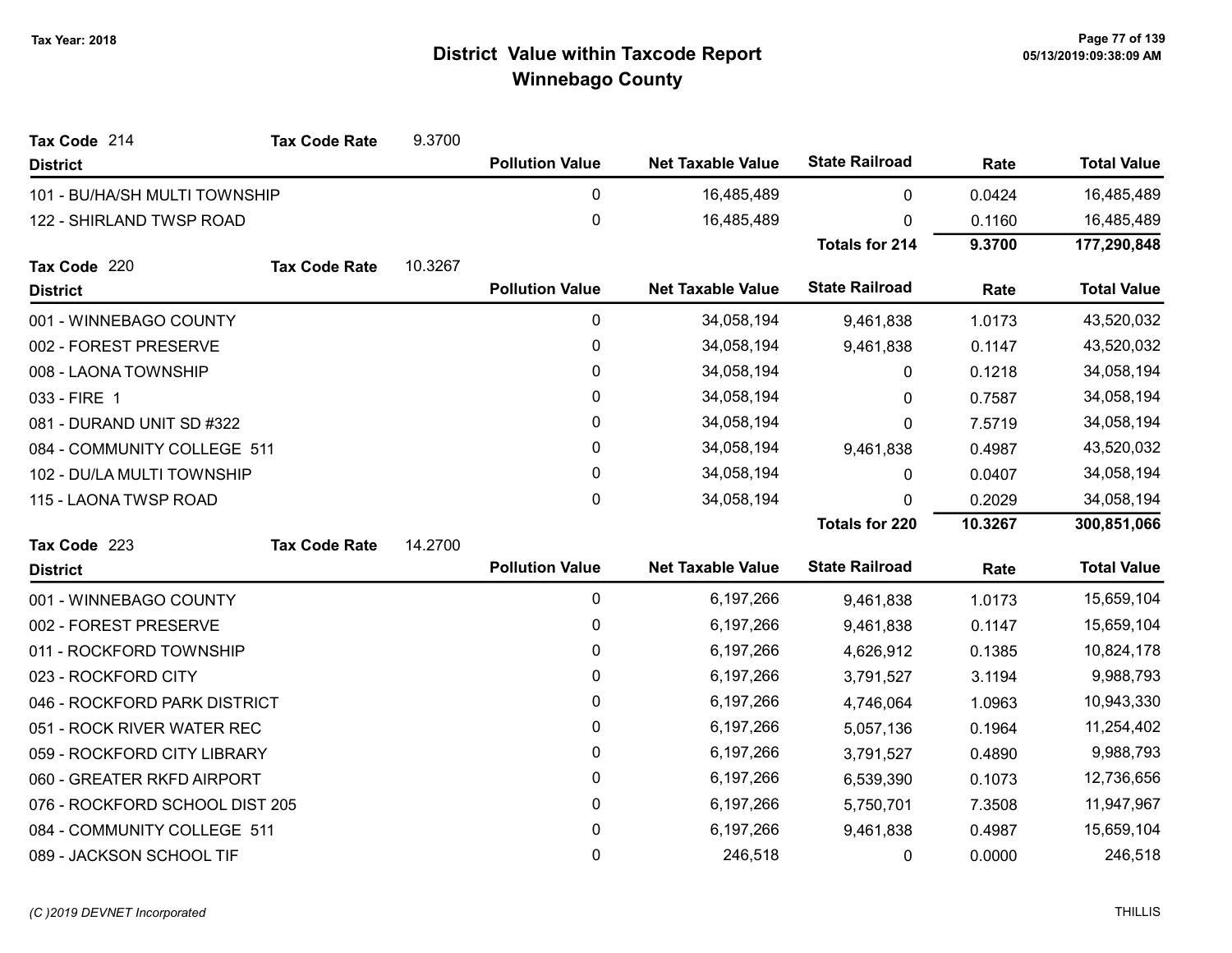| Tax Code 214                   | <b>Tax Code Rate</b> | 9.3700  |                        |                          |                       |            |                    |
|--------------------------------|----------------------|---------|------------------------|--------------------------|-----------------------|------------|--------------------|
| <b>District</b>                |                      |         | <b>Pollution Value</b> | <b>Net Taxable Value</b> | <b>State Railroad</b> | Rate       | <b>Total Value</b> |
| 101 - BU/HA/SH MULTI TOWNSHIP  |                      |         | 0                      | 16,485,489               | 0                     | 0.0424     | 16,485,489         |
| 122 - SHIRLAND TWSP ROAD       |                      |         | $\pmb{0}$              | 16,485,489               | 0                     | 0.1160     | 16,485,489         |
|                                |                      |         |                        |                          | <b>Totals for 214</b> | 9.3700     | 177,290,848        |
| Tax Code 220                   | <b>Tax Code Rate</b> | 10.3267 |                        |                          |                       |            |                    |
| <b>District</b>                |                      |         | <b>Pollution Value</b> | <b>Net Taxable Value</b> | <b>State Railroad</b> | Rate       | <b>Total Value</b> |
| 001 - WINNEBAGO COUNTY         |                      |         | $\pmb{0}$              | 34,058,194               | 9,461,838             | 1.0173     | 43,520,032         |
| 002 - FOREST PRESERVE          |                      |         | 0                      | 34,058,194               | 9,461,838             | 0.1147     | 43,520,032         |
| 008 - LAONA TOWNSHIP           |                      |         | 0                      | 34,058,194               | $\mathbf{0}$          | 0.1218     | 34,058,194         |
| 033 - FIRE 1                   |                      |         | 0                      | 34,058,194               | 0                     | 0.7587     | 34,058,194         |
| 081 - DURAND UNIT SD #322      |                      |         | 0                      | 34,058,194               | 0                     | 7.5719     | 34,058,194         |
| 084 - COMMUNITY COLLEGE 511    |                      |         | $\pmb{0}$              | 34,058,194               | 9,461,838             | 0.4987     | 43,520,032         |
| 102 - DU/LA MULTI TOWNSHIP     |                      | 0       | 34,058,194             | 0                        | 0.0407                | 34,058,194 |                    |
| 115 - LAONA TWSP ROAD          |                      |         | 0                      | 34,058,194               | $\Omega$              | 0.2029     | 34,058,194         |
|                                |                      |         |                        |                          | <b>Totals for 220</b> | 10.3267    | 300,851,066        |
| Tax Code 223                   | <b>Tax Code Rate</b> | 14.2700 |                        |                          |                       |            |                    |
| <b>District</b>                |                      |         | <b>Pollution Value</b> | <b>Net Taxable Value</b> | <b>State Railroad</b> | Rate       | <b>Total Value</b> |
| 001 - WINNEBAGO COUNTY         |                      |         | 0                      | 6,197,266                | 9,461,838             | 1.0173     | 15,659,104         |
| 002 - FOREST PRESERVE          |                      |         | 0                      | 6,197,266                | 9,461,838             | 0.1147     | 15,659,104         |
| 011 - ROCKFORD TOWNSHIP        |                      |         | 0                      | 6,197,266                | 4,626,912             | 0.1385     | 10,824,178         |
| 023 - ROCKFORD CITY            |                      |         | 0                      | 6,197,266                | 3,791,527             | 3.1194     | 9,988,793          |
| 046 - ROCKFORD PARK DISTRICT   |                      |         | 0                      | 6,197,266                | 4,746,064             | 1.0963     | 10,943,330         |
| 051 - ROCK RIVER WATER REC     |                      |         | 0                      | 6,197,266                | 5,057,136             | 0.1964     | 11,254,402         |
| 059 - ROCKFORD CITY LIBRARY    |                      |         | 0                      | 6,197,266                | 3,791,527             | 0.4890     | 9,988,793          |
| 060 - GREATER RKFD AIRPORT     |                      |         | $\pmb{0}$              | 6,197,266                | 6,539,390             | 0.1073     | 12,736,656         |
| 076 - ROCKFORD SCHOOL DIST 205 |                      |         | 0                      | 6,197,266                | 5,750,701             | 7.3508     | 11,947,967         |
| 084 - COMMUNITY COLLEGE 511    |                      |         | 0                      | 6,197,266                | 9,461,838             | 0.4987     | 15,659,104         |
| 089 - JACKSON SCHOOL TIF       |                      |         | $\mathbf 0$            | 246,518                  | 0                     | 0.0000     | 246,518            |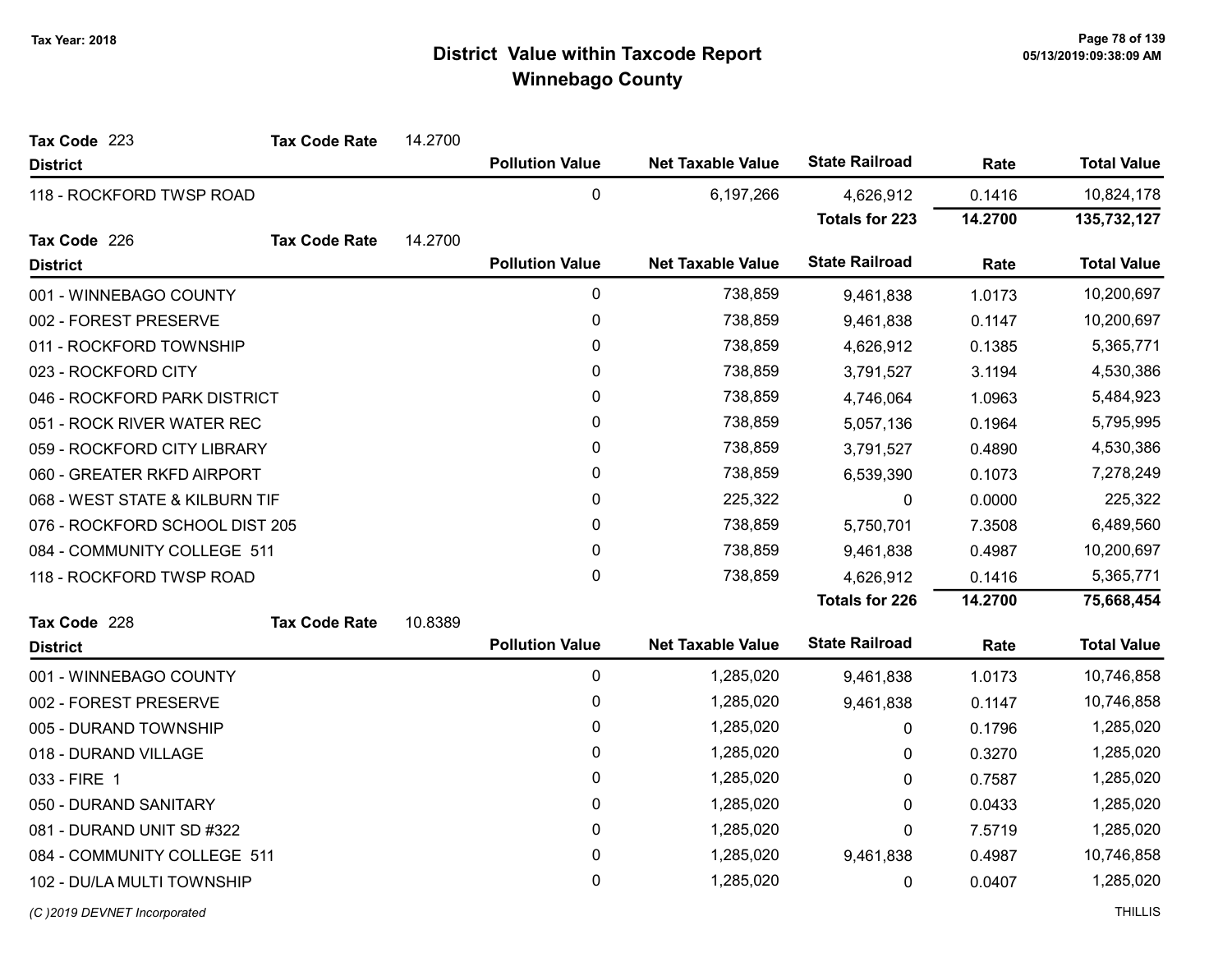| Tax Code 223                   | <b>Tax Code Rate</b> | 14.2700     |                        |                          |                       |           |                    |
|--------------------------------|----------------------|-------------|------------------------|--------------------------|-----------------------|-----------|--------------------|
| <b>District</b>                |                      |             | <b>Pollution Value</b> | <b>Net Taxable Value</b> | <b>State Railroad</b> | Rate      | <b>Total Value</b> |
| 118 - ROCKFORD TWSP ROAD       |                      |             | 0                      | 6,197,266                | 4,626,912             | 0.1416    | 10,824,178         |
|                                |                      |             |                        |                          | <b>Totals for 223</b> | 14.2700   | 135,732,127        |
| Tax Code 226                   | <b>Tax Code Rate</b> | 14.2700     |                        |                          |                       |           |                    |
| <b>District</b>                |                      |             | <b>Pollution Value</b> | <b>Net Taxable Value</b> | <b>State Railroad</b> | Rate      | <b>Total Value</b> |
| 001 - WINNEBAGO COUNTY         |                      |             | 0                      | 738,859                  | 9,461,838             | 1.0173    | 10,200,697         |
| 002 - FOREST PRESERVE          |                      |             | 0                      | 738,859                  | 9,461,838             | 0.1147    | 10,200,697         |
| 011 - ROCKFORD TOWNSHIP        |                      |             | $\pmb{0}$              | 738,859                  | 4,626,912             | 0.1385    | 5,365,771          |
| 023 - ROCKFORD CITY            |                      |             | 0                      | 738,859                  | 3,791,527             | 3.1194    | 4,530,386          |
| 046 - ROCKFORD PARK DISTRICT   |                      |             | $\pmb{0}$              | 738,859                  | 4,746,064             | 1.0963    | 5,484,923          |
| 051 - ROCK RIVER WATER REC     |                      |             | 0                      | 738,859                  | 5,057,136             | 0.1964    | 5,795,995          |
| 059 - ROCKFORD CITY LIBRARY    |                      |             | 0                      | 738,859                  | 3,791,527             | 0.4890    | 4,530,386          |
| 060 - GREATER RKFD AIRPORT     |                      | 0           | 738,859                | 6,539,390                | 0.1073                | 7,278,249 |                    |
| 068 - WEST STATE & KILBURN TIF |                      | $\mathbf 0$ | 225,322                | 0                        | 0.0000                | 225,322   |                    |
| 076 - ROCKFORD SCHOOL DIST 205 |                      |             | 0                      | 738,859                  | 5,750,701             | 7.3508    | 6,489,560          |
| 084 - COMMUNITY COLLEGE 511    |                      |             | $\pmb{0}$              | 738,859                  | 9,461,838             | 0.4987    | 10,200,697         |
| 118 - ROCKFORD TWSP ROAD       |                      |             | $\mathbf 0$            | 738,859                  | 4,626,912             | 0.1416    | 5,365,771          |
|                                |                      |             |                        |                          | <b>Totals for 226</b> | 14.2700   | 75,668,454         |
| Tax Code 228                   | <b>Tax Code Rate</b> | 10.8389     |                        |                          |                       |           |                    |
| <b>District</b>                |                      |             | <b>Pollution Value</b> | <b>Net Taxable Value</b> | <b>State Railroad</b> | Rate      | <b>Total Value</b> |
| 001 - WINNEBAGO COUNTY         |                      |             | $\pmb{0}$              | 1,285,020                | 9,461,838             | 1.0173    | 10,746,858         |
| 002 - FOREST PRESERVE          |                      |             | 0                      | 1,285,020                | 9,461,838             | 0.1147    | 10,746,858         |
| 005 - DURAND TOWNSHIP          |                      |             | $\mathbf 0$            | 1,285,020                | 0                     | 0.1796    | 1,285,020          |
| 018 - DURAND VILLAGE           |                      |             | 0                      | 1,285,020                | 0                     | 0.3270    | 1,285,020          |
| 033 - FIRE 1                   |                      |             | $\pmb{0}$              | 1,285,020                | 0                     | 0.7587    | 1,285,020          |
| 050 - DURAND SANITARY          |                      |             | 0                      | 1,285,020                | 0                     | 0.0433    | 1,285,020          |
| 081 - DURAND UNIT SD #322      |                      |             | $\pmb{0}$              | 1,285,020                | 0                     | 7.5719    | 1,285,020          |
| 084 - COMMUNITY COLLEGE 511    |                      |             | 0                      | 1,285,020                | 9,461,838             | 0.4987    | 10,746,858         |
| 102 - DU/LA MULTI TOWNSHIP     |                      |             | 0                      | 1,285,020                | 0                     | 0.0407    | 1,285,020          |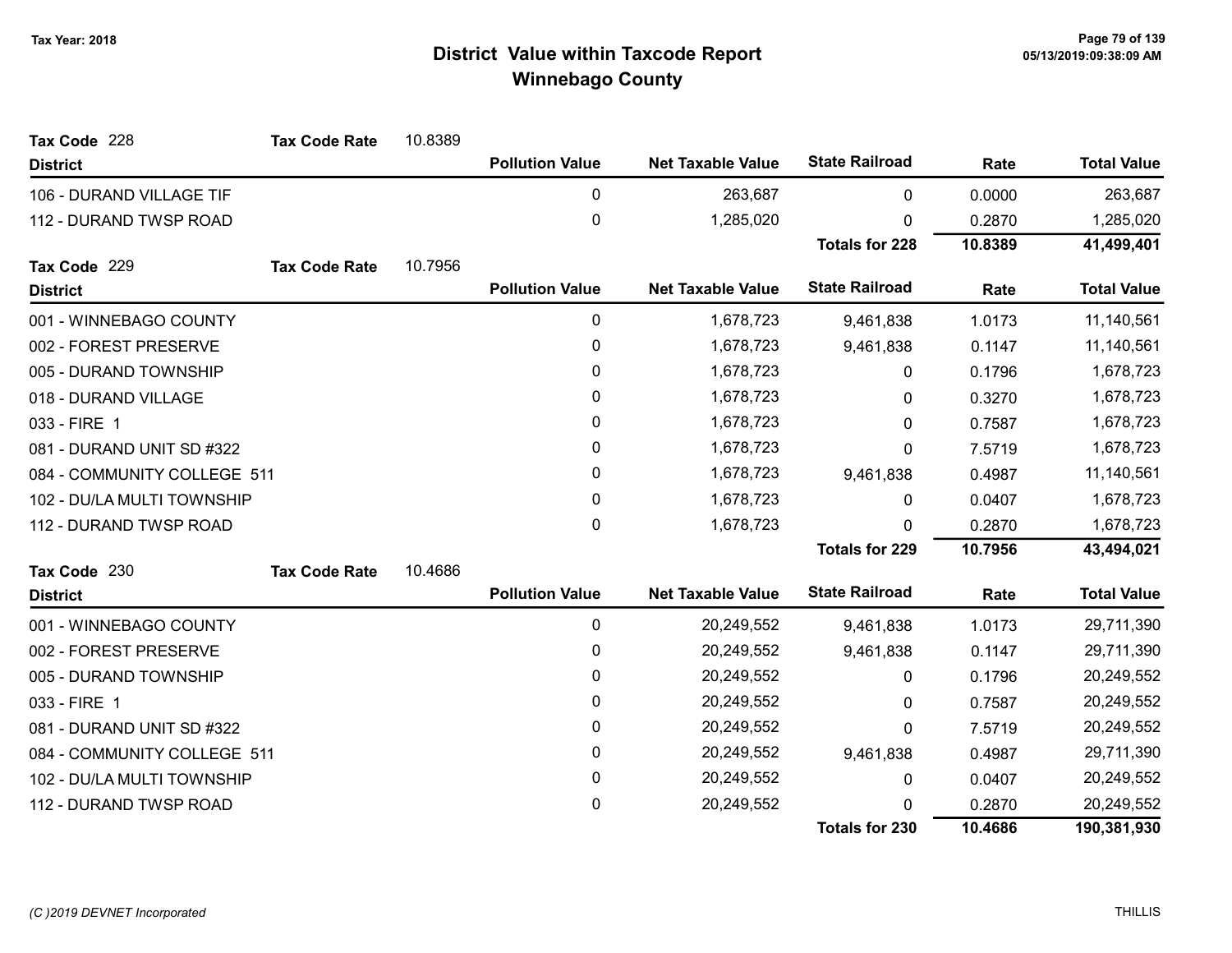| Tax Code 228                | <b>Tax Code Rate</b> | 10.8389 |                        |                          |                       |         |                    |
|-----------------------------|----------------------|---------|------------------------|--------------------------|-----------------------|---------|--------------------|
| <b>District</b>             |                      |         | <b>Pollution Value</b> | <b>Net Taxable Value</b> | <b>State Railroad</b> | Rate    | <b>Total Value</b> |
| 106 - DURAND VILLAGE TIF    |                      |         | 0                      | 263,687                  | 0                     | 0.0000  | 263,687            |
| 112 - DURAND TWSP ROAD      |                      |         | $\pmb{0}$              | 1,285,020                | $\Omega$              | 0.2870  | 1,285,020          |
|                             |                      |         |                        |                          | <b>Totals for 228</b> | 10.8389 | 41,499,401         |
| Tax Code 229                | <b>Tax Code Rate</b> | 10.7956 |                        |                          |                       |         |                    |
| <b>District</b>             |                      |         | <b>Pollution Value</b> | <b>Net Taxable Value</b> | <b>State Railroad</b> | Rate    | <b>Total Value</b> |
| 001 - WINNEBAGO COUNTY      |                      |         | 0                      | 1,678,723                | 9,461,838             | 1.0173  | 11,140,561         |
| 002 - FOREST PRESERVE       |                      |         | 0                      | 1,678,723                | 9,461,838             | 0.1147  | 11,140,561         |
| 005 - DURAND TOWNSHIP       |                      |         | 0                      | 1,678,723                | 0                     | 0.1796  | 1,678,723          |
| 018 - DURAND VILLAGE        |                      |         | 0                      | 1,678,723                | 0                     | 0.3270  | 1,678,723          |
| 033 - FIRE 1                |                      |         | 0                      | 1,678,723                | 0                     | 0.7587  | 1,678,723          |
| 081 - DURAND UNIT SD #322   |                      |         | 0                      | 1,678,723                | 0                     | 7.5719  | 1,678,723          |
| 084 - COMMUNITY COLLEGE 511 |                      |         | 0                      | 1,678,723                | 9,461,838             | 0.4987  | 11,140,561         |
| 102 - DU/LA MULTI TOWNSHIP  |                      |         | 0                      | 1,678,723                | 0                     | 0.0407  | 1,678,723          |
| 112 - DURAND TWSP ROAD      |                      |         | 0                      | 1,678,723                | $\Omega$              | 0.2870  | 1,678,723          |
|                             |                      |         |                        |                          | <b>Totals for 229</b> | 10.7956 | 43,494,021         |
| Tax Code 230                | <b>Tax Code Rate</b> | 10.4686 |                        |                          |                       |         |                    |
| <b>District</b>             |                      |         | <b>Pollution Value</b> | <b>Net Taxable Value</b> | <b>State Railroad</b> | Rate    | <b>Total Value</b> |
| 001 - WINNEBAGO COUNTY      |                      |         | 0                      | 20,249,552               | 9,461,838             | 1.0173  | 29,711,390         |
| 002 - FOREST PRESERVE       |                      |         | 0                      | 20,249,552               | 9,461,838             | 0.1147  | 29,711,390         |
| 005 - DURAND TOWNSHIP       |                      |         | 0                      | 20,249,552               | 0                     | 0.1796  | 20,249,552         |
| 033 - FIRE 1                |                      |         | 0                      | 20,249,552               | 0                     | 0.7587  | 20,249,552         |
| 081 - DURAND UNIT SD #322   |                      |         | 0                      | 20,249,552               | 0                     | 7.5719  | 20,249,552         |
| 084 - COMMUNITY COLLEGE 511 |                      |         | 0                      | 20,249,552               | 9,461,838             | 0.4987  | 29,711,390         |
| 102 - DU/LA MULTI TOWNSHIP  |                      |         | 0                      | 20,249,552               | 0                     | 0.0407  | 20,249,552         |
| 112 - DURAND TWSP ROAD      |                      |         | 0                      | 20,249,552               | 0                     | 0.2870  | 20,249,552         |
|                             |                      |         |                        |                          | <b>Totals for 230</b> | 10.4686 | 190,381,930        |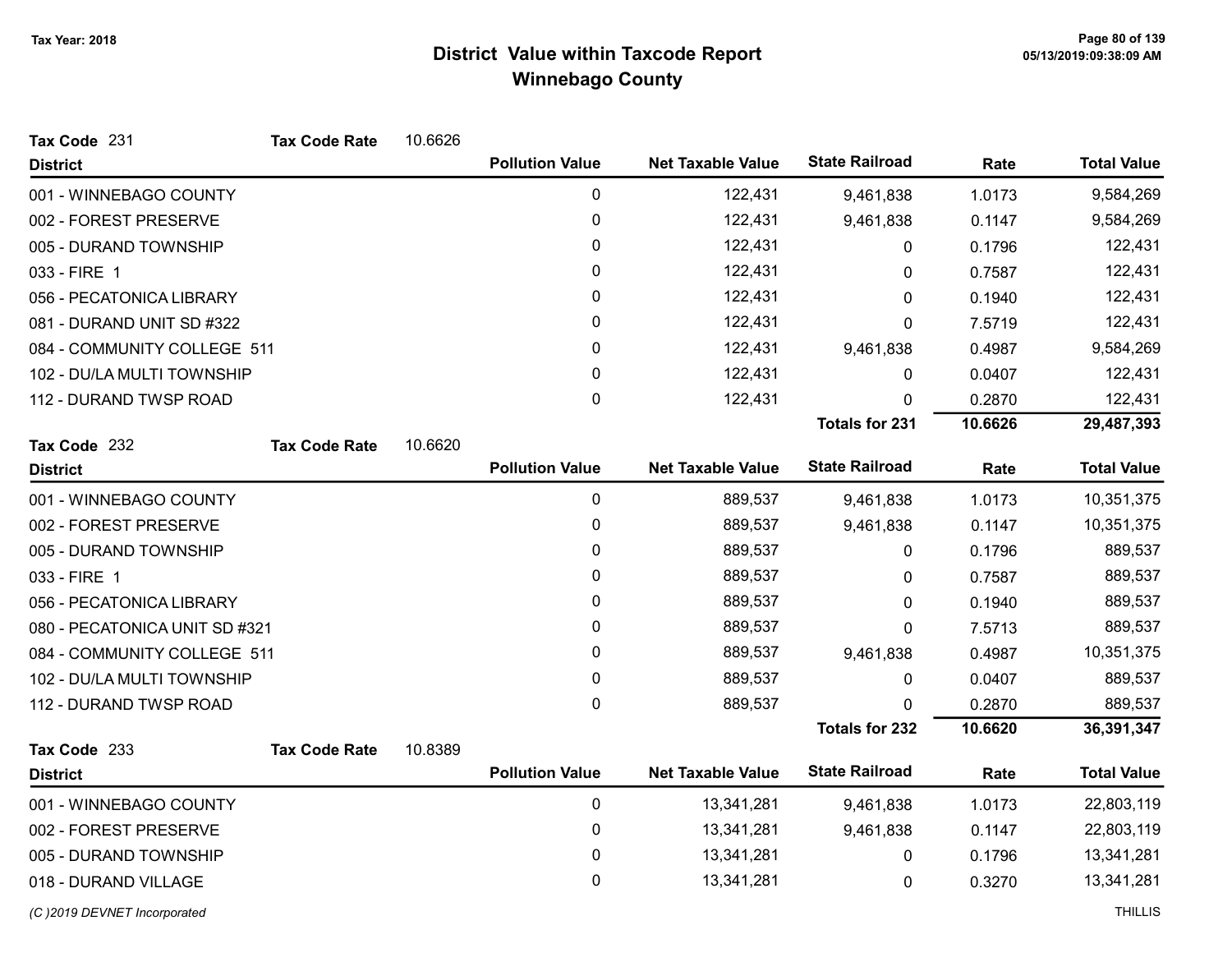| Tax Code 231                  | <b>Tax Code Rate</b> | 10.6626 |                        |                          |                       |         |                    |
|-------------------------------|----------------------|---------|------------------------|--------------------------|-----------------------|---------|--------------------|
| <b>District</b>               |                      |         | <b>Pollution Value</b> | <b>Net Taxable Value</b> | <b>State Railroad</b> | Rate    | <b>Total Value</b> |
| 001 - WINNEBAGO COUNTY        |                      |         | $\pmb{0}$              | 122,431                  | 9,461,838             | 1.0173  | 9,584,269          |
| 002 - FOREST PRESERVE         |                      |         | $\pmb{0}$              | 122,431                  | 9,461,838             | 0.1147  | 9,584,269          |
| 005 - DURAND TOWNSHIP         |                      |         | $\mathbf 0$            | 122,431                  | 0                     | 0.1796  | 122,431            |
| 033 - FIRE 1                  |                      |         | 0                      | 122,431                  | 0                     | 0.7587  | 122,431            |
| 056 - PECATONICA LIBRARY      |                      |         | 0                      | 122,431                  | 0                     | 0.1940  | 122,431            |
| 081 - DURAND UNIT SD #322     |                      |         | $\pmb{0}$              | 122,431                  | 0                     | 7.5719  | 122,431            |
| 084 - COMMUNITY COLLEGE 511   |                      |         | 0                      | 122,431                  | 9,461,838             | 0.4987  | 9,584,269          |
| 102 - DU/LA MULTI TOWNSHIP    |                      |         | $\pmb{0}$              | 122,431                  | 0                     | 0.0407  | 122,431            |
| 112 - DURAND TWSP ROAD        |                      |         | $\mathbf 0$            | 122,431                  | 0                     | 0.2870  | 122,431            |
|                               |                      |         |                        |                          | <b>Totals for 231</b> | 10.6626 | 29,487,393         |
| Tax Code 232                  | <b>Tax Code Rate</b> | 10.6620 |                        |                          |                       |         |                    |
| <b>District</b>               |                      |         | <b>Pollution Value</b> | <b>Net Taxable Value</b> | <b>State Railroad</b> | Rate    | <b>Total Value</b> |
| 001 - WINNEBAGO COUNTY        |                      |         | $\pmb{0}$              | 889,537                  | 9,461,838             | 1.0173  | 10,351,375         |
| 002 - FOREST PRESERVE         |                      |         | $\pmb{0}$              | 889,537                  | 9,461,838             | 0.1147  | 10,351,375         |
| 005 - DURAND TOWNSHIP         |                      |         | $\pmb{0}$              | 889,537                  | 0                     | 0.1796  | 889,537            |
| 033 - FIRE 1                  |                      |         | $\pmb{0}$              | 889,537                  | 0                     | 0.7587  | 889,537            |
| 056 - PECATONICA LIBRARY      |                      |         | $\pmb{0}$              | 889,537                  | 0                     | 0.1940  | 889,537            |
| 080 - PECATONICA UNIT SD #321 |                      |         | $\pmb{0}$              | 889,537                  | 0                     | 7.5713  | 889,537            |
| 084 - COMMUNITY COLLEGE 511   |                      |         | $\pmb{0}$              | 889,537                  | 9,461,838             | 0.4987  | 10,351,375         |
| 102 - DU/LA MULTI TOWNSHIP    |                      |         | $\pmb{0}$              | 889,537                  | 0                     | 0.0407  | 889,537            |
| 112 - DURAND TWSP ROAD        |                      |         | $\pmb{0}$              | 889,537                  | 0                     | 0.2870  | 889,537            |
|                               |                      |         |                        |                          | <b>Totals for 232</b> | 10.6620 | 36,391,347         |
| Tax Code 233                  | <b>Tax Code Rate</b> | 10.8389 |                        |                          |                       |         |                    |
| <b>District</b>               |                      |         | <b>Pollution Value</b> | <b>Net Taxable Value</b> | <b>State Railroad</b> | Rate    | <b>Total Value</b> |
| 001 - WINNEBAGO COUNTY        |                      |         | $\pmb{0}$              | 13,341,281               | 9,461,838             | 1.0173  | 22,803,119         |
| 002 - FOREST PRESERVE         |                      |         | 0                      | 13,341,281               | 9,461,838             | 0.1147  | 22,803,119         |
| 005 - DURAND TOWNSHIP         |                      |         | $\pmb{0}$              | 13,341,281               | 0                     | 0.1796  | 13,341,281         |
| 018 - DURAND VILLAGE          |                      |         | $\pmb{0}$              | 13,341,281               | 0                     | 0.3270  | 13,341,281         |
| (C) 2019 DEVNET Incorporated  |                      |         |                        |                          |                       |         | <b>THILLIS</b>     |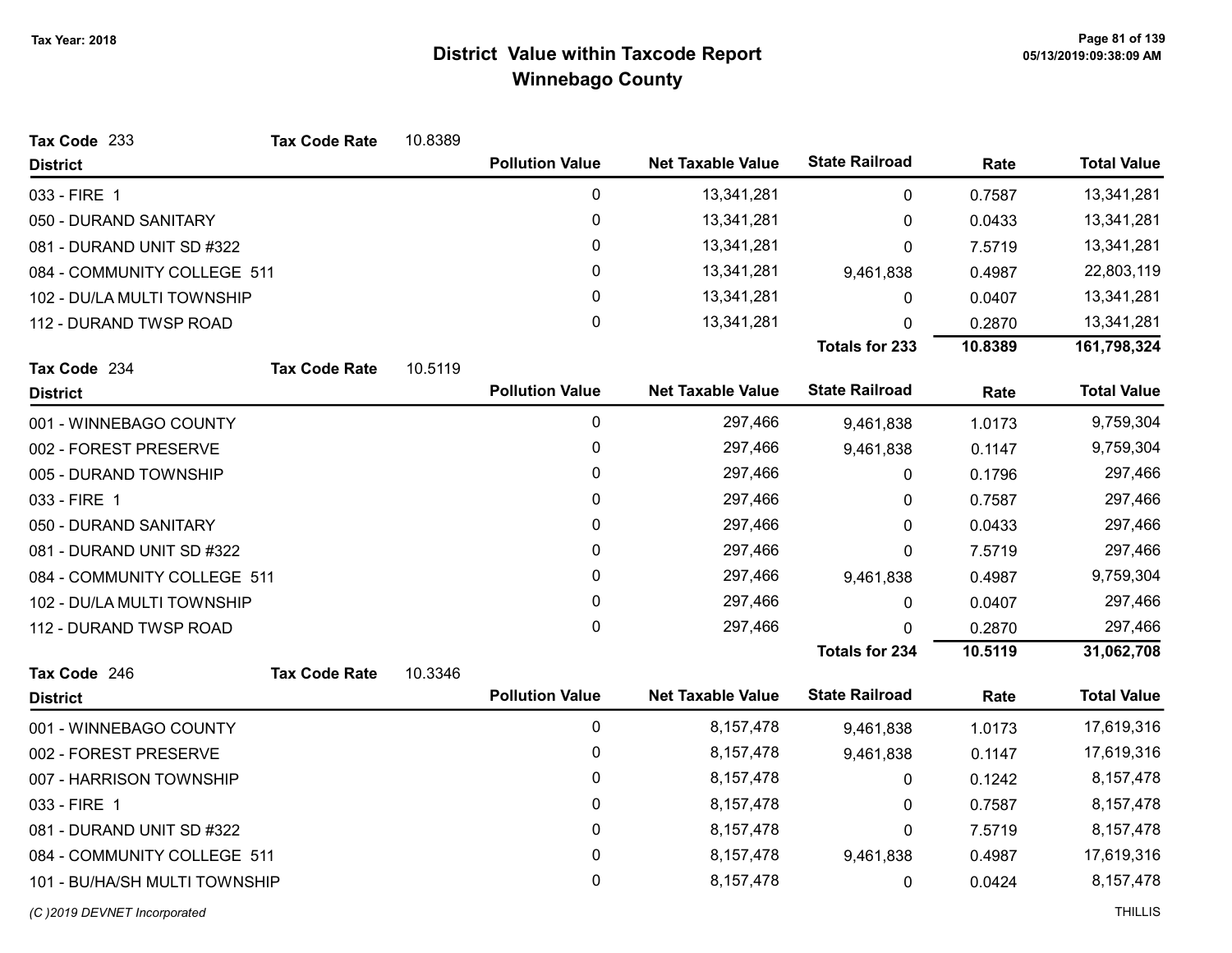| Tax Code 233                  | <b>Tax Code Rate</b> | 10.8389 |                        |                          |                       |         |                    |
|-------------------------------|----------------------|---------|------------------------|--------------------------|-----------------------|---------|--------------------|
| <b>District</b>               |                      |         | <b>Pollution Value</b> | <b>Net Taxable Value</b> | <b>State Railroad</b> | Rate    | <b>Total Value</b> |
| 033 - FIRE 1                  |                      |         | $\pmb{0}$              | 13,341,281               | $\mathbf 0$           | 0.7587  | 13,341,281         |
| 050 - DURAND SANITARY         |                      |         | $\pmb{0}$              | 13,341,281               | 0                     | 0.0433  | 13,341,281         |
| 081 - DURAND UNIT SD #322     |                      |         | 0                      | 13,341,281               | 0                     | 7.5719  | 13,341,281         |
| 084 - COMMUNITY COLLEGE 511   |                      |         | $\pmb{0}$              | 13,341,281               | 9,461,838             | 0.4987  | 22,803,119         |
| 102 - DU/LA MULTI TOWNSHIP    |                      |         | 0                      | 13,341,281               | 0                     | 0.0407  | 13,341,281         |
| 112 - DURAND TWSP ROAD        |                      |         | 0                      | 13,341,281               | 0                     | 0.2870  | 13,341,281         |
|                               |                      |         |                        |                          | <b>Totals for 233</b> | 10.8389 | 161,798,324        |
| Tax Code 234                  | <b>Tax Code Rate</b> | 10.5119 |                        |                          |                       |         |                    |
| <b>District</b>               |                      |         | <b>Pollution Value</b> | <b>Net Taxable Value</b> | <b>State Railroad</b> | Rate    | <b>Total Value</b> |
| 001 - WINNEBAGO COUNTY        |                      |         | $\pmb{0}$              | 297,466                  | 9,461,838             | 1.0173  | 9,759,304          |
| 002 - FOREST PRESERVE         |                      |         | 0                      | 297,466                  | 9,461,838             | 0.1147  | 9,759,304          |
| 005 - DURAND TOWNSHIP         |                      |         | 0                      | 297,466                  | 0                     | 0.1796  | 297,466            |
| 033 - FIRE 1                  |                      |         | 0                      | 297,466                  | 0                     | 0.7587  | 297,466            |
| 050 - DURAND SANITARY         |                      |         | 0                      | 297,466                  | 0                     | 0.0433  | 297,466            |
| 081 - DURAND UNIT SD #322     |                      |         | 0                      | 297,466                  | 0                     | 7.5719  | 297,466            |
| 084 - COMMUNITY COLLEGE 511   |                      |         | 0                      | 297,466                  | 9,461,838             | 0.4987  | 9,759,304          |
| 102 - DU/LA MULTI TOWNSHIP    |                      |         | 0                      | 297,466                  | $\pmb{0}$             | 0.0407  | 297,466            |
| 112 - DURAND TWSP ROAD        |                      |         | 0                      | 297,466                  | 0                     | 0.2870  | 297,466            |
|                               |                      |         |                        |                          | <b>Totals for 234</b> | 10.5119 | 31,062,708         |
| Tax Code 246                  | <b>Tax Code Rate</b> | 10.3346 |                        |                          |                       |         |                    |
| <b>District</b>               |                      |         | <b>Pollution Value</b> | <b>Net Taxable Value</b> | <b>State Railroad</b> | Rate    | <b>Total Value</b> |
| 001 - WINNEBAGO COUNTY        |                      |         | $\pmb{0}$              | 8,157,478                | 9,461,838             | 1.0173  | 17,619,316         |
| 002 - FOREST PRESERVE         |                      |         | 0                      | 8,157,478                | 9,461,838             | 0.1147  | 17,619,316         |
| 007 - HARRISON TOWNSHIP       |                      |         | 0                      | 8, 157, 478              | 0                     | 0.1242  | 8,157,478          |
| 033 - FIRE 1                  |                      |         | 0                      | 8, 157, 478              | 0                     | 0.7587  | 8,157,478          |
| 081 - DURAND UNIT SD #322     |                      |         | 0                      | 8,157,478                | 0                     | 7.5719  | 8,157,478          |
| 084 - COMMUNITY COLLEGE 511   |                      |         | 0                      | 8,157,478                | 9,461,838             | 0.4987  | 17,619,316         |
| 101 - BU/HA/SH MULTI TOWNSHIP |                      |         | 0                      | 8,157,478                | 0                     | 0.0424  | 8,157,478          |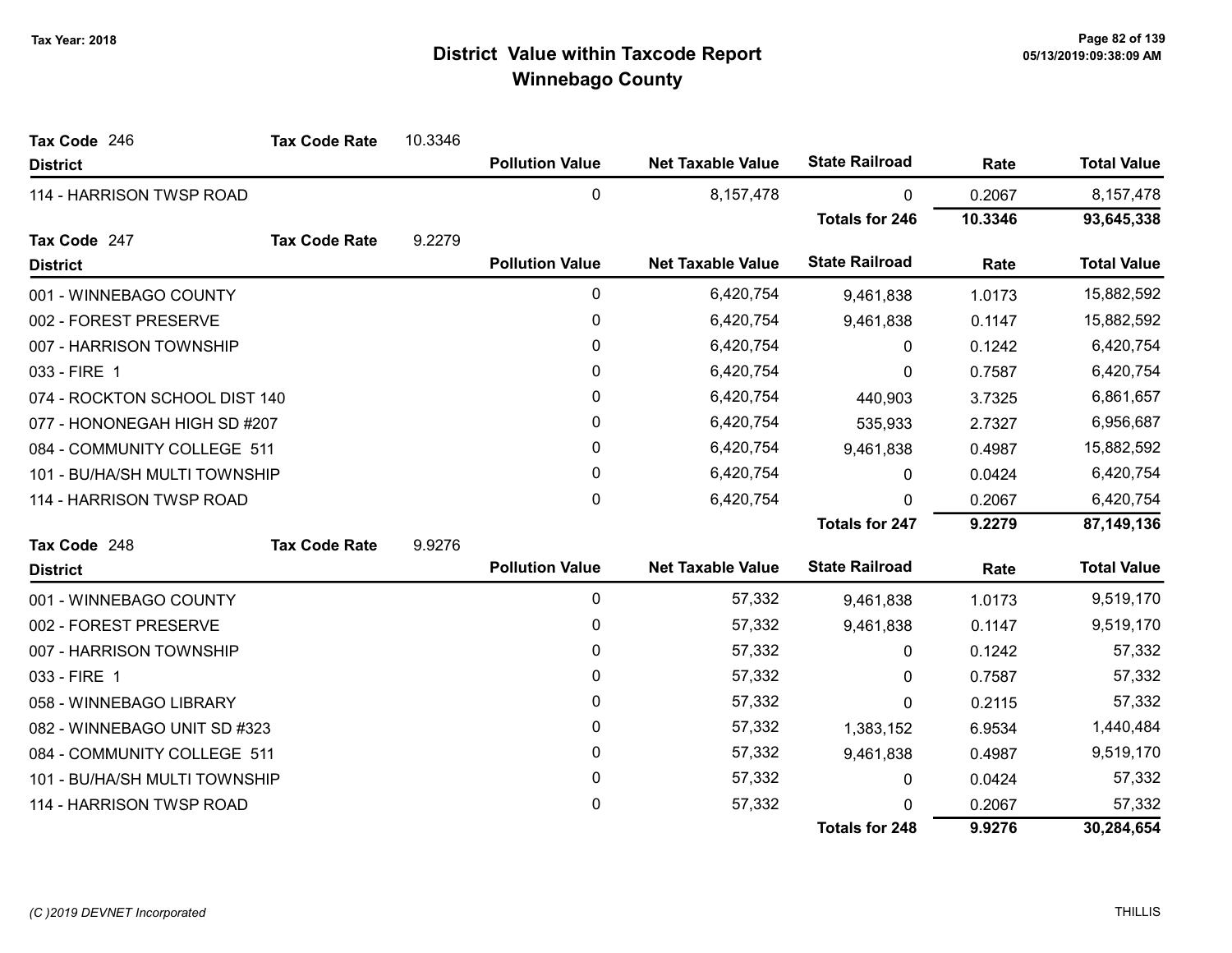| Tax Code 246                  | <b>Tax Code Rate</b> | 10.3346 |                        |                          |                       |         |                    |
|-------------------------------|----------------------|---------|------------------------|--------------------------|-----------------------|---------|--------------------|
| <b>District</b>               |                      |         | <b>Pollution Value</b> | <b>Net Taxable Value</b> | <b>State Railroad</b> | Rate    | <b>Total Value</b> |
| 114 - HARRISON TWSP ROAD      |                      |         | 0                      | 8,157,478                | $\pmb{0}$             | 0.2067  | 8, 157, 478        |
|                               |                      |         |                        |                          | <b>Totals for 246</b> | 10.3346 | 93,645,338         |
| Tax Code 247                  | <b>Tax Code Rate</b> | 9.2279  |                        |                          |                       |         |                    |
| <b>District</b>               |                      |         | <b>Pollution Value</b> | <b>Net Taxable Value</b> | <b>State Railroad</b> | Rate    | <b>Total Value</b> |
| 001 - WINNEBAGO COUNTY        |                      |         | 0                      | 6,420,754                | 9,461,838             | 1.0173  | 15,882,592         |
| 002 - FOREST PRESERVE         |                      |         | 0                      | 6,420,754                | 9,461,838             | 0.1147  | 15,882,592         |
| 007 - HARRISON TOWNSHIP       |                      |         | 0                      | 6,420,754                | $\mathbf{0}$          | 0.1242  | 6,420,754          |
| 033 - FIRE 1                  |                      |         | 0                      | 6,420,754                | 0                     | 0.7587  | 6,420,754          |
| 074 - ROCKTON SCHOOL DIST 140 |                      |         | 0                      | 6,420,754                | 440,903               | 3.7325  | 6,861,657          |
| 077 - HONONEGAH HIGH SD #207  |                      |         | 0                      | 6,420,754                | 535,933               | 2.7327  | 6,956,687          |
| 084 - COMMUNITY COLLEGE 511   |                      |         | 0                      | 6,420,754                | 9,461,838             | 0.4987  | 15,882,592         |
| 101 - BU/HA/SH MULTI TOWNSHIP |                      |         | 0                      | 6,420,754                | 0                     | 0.0424  | 6,420,754          |
| 114 - HARRISON TWSP ROAD      |                      |         | 0                      | 6,420,754                | $\Omega$              | 0.2067  | 6,420,754          |
|                               |                      |         |                        |                          | <b>Totals for 247</b> | 9.2279  | 87,149,136         |
| Tax Code 248                  | <b>Tax Code Rate</b> | 9.9276  |                        |                          |                       |         |                    |
| <b>District</b>               |                      |         | <b>Pollution Value</b> | <b>Net Taxable Value</b> | <b>State Railroad</b> | Rate    | <b>Total Value</b> |
| 001 - WINNEBAGO COUNTY        |                      |         | 0                      | 57,332                   | 9,461,838             | 1.0173  | 9,519,170          |
| 002 - FOREST PRESERVE         |                      |         | 0                      | 57,332                   | 9,461,838             | 0.1147  | 9,519,170          |
| 007 - HARRISON TOWNSHIP       |                      |         | 0                      | 57,332                   | 0                     | 0.1242  | 57,332             |
| 033 - FIRE 1                  |                      |         | 0                      | 57,332                   | 0                     | 0.7587  | 57,332             |
| 058 - WINNEBAGO LIBRARY       |                      |         | 0                      | 57,332                   | $\Omega$              | 0.2115  | 57,332             |
| 082 - WINNEBAGO UNIT SD #323  |                      |         | 0                      | 57,332                   | 1,383,152             | 6.9534  | 1,440,484          |
| 084 - COMMUNITY COLLEGE 511   |                      |         | 0                      | 57,332                   | 9,461,838             | 0.4987  | 9,519,170          |
| 101 - BU/HA/SH MULTI TOWNSHIP |                      |         | 0                      | 57,332                   | 0                     | 0.0424  | 57,332             |
| 114 - HARRISON TWSP ROAD      |                      |         | 0                      | 57,332                   | 0                     | 0.2067  | 57,332             |
|                               |                      |         |                        |                          | <b>Totals for 248</b> | 9.9276  | 30,284,654         |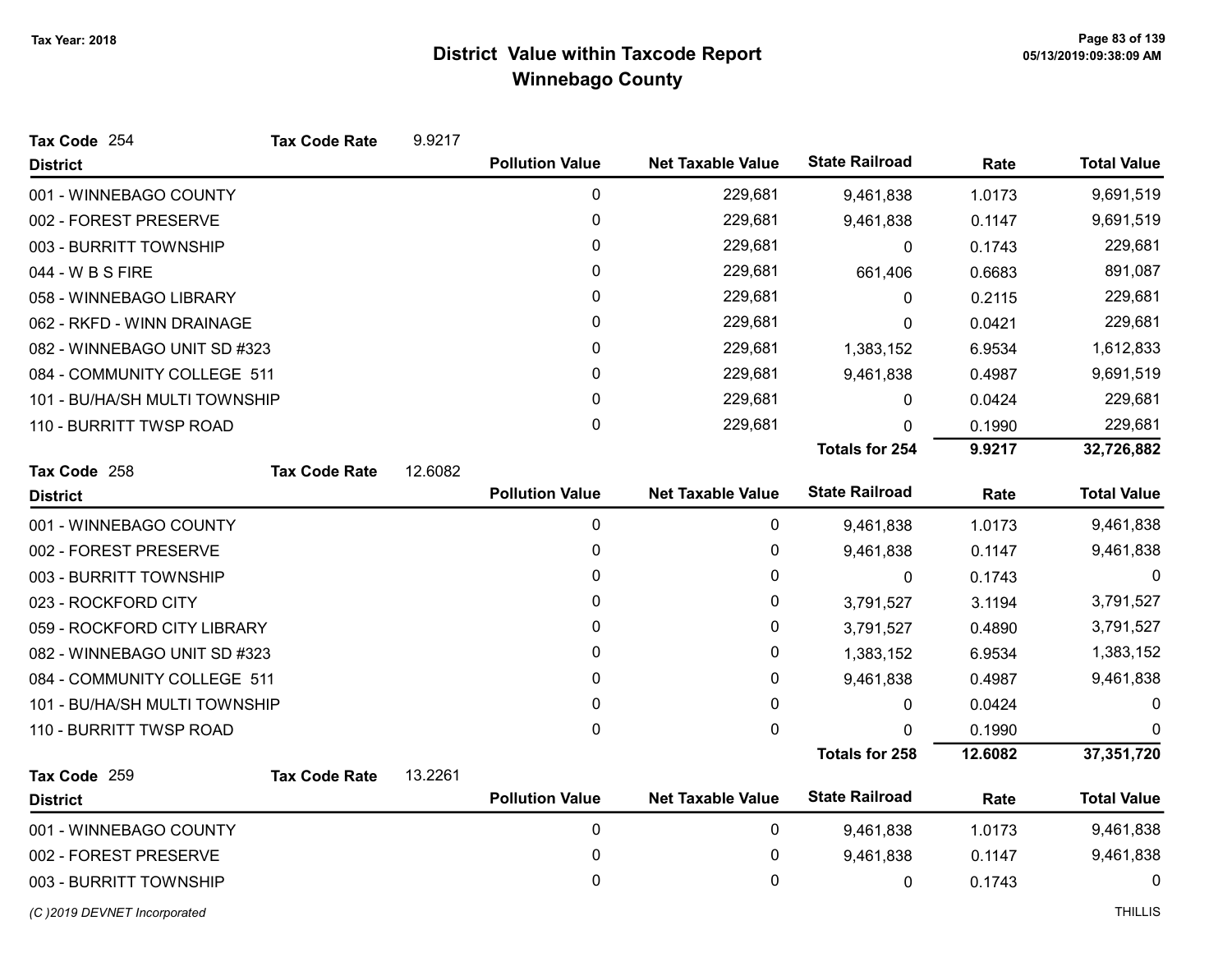| Tax Code 254                  | <b>Tax Code Rate</b> | 9.9217  |                        |                          |                       |         |                    |
|-------------------------------|----------------------|---------|------------------------|--------------------------|-----------------------|---------|--------------------|
| <b>District</b>               |                      |         | <b>Pollution Value</b> | <b>Net Taxable Value</b> | <b>State Railroad</b> | Rate    | <b>Total Value</b> |
| 001 - WINNEBAGO COUNTY        |                      |         | 0                      | 229,681                  | 9,461,838             | 1.0173  | 9,691,519          |
| 002 - FOREST PRESERVE         |                      |         | 0                      | 229,681                  | 9,461,838             | 0.1147  | 9,691,519          |
| 003 - BURRITT TOWNSHIP        |                      |         | 0                      | 229,681                  | $\Omega$              | 0.1743  | 229,681            |
| 044 - W B S FIRE              |                      |         | 0                      | 229,681                  | 661,406               | 0.6683  | 891,087            |
| 058 - WINNEBAGO LIBRARY       |                      |         | 0                      | 229,681                  | 0                     | 0.2115  | 229,681            |
| 062 - RKFD - WINN DRAINAGE    |                      |         | 0                      | 229,681                  | 0                     | 0.0421  | 229,681            |
| 082 - WINNEBAGO UNIT SD #323  |                      |         | 0                      | 229,681                  | 1,383,152             | 6.9534  | 1,612,833          |
| 084 - COMMUNITY COLLEGE 511   |                      |         | 0                      | 229,681                  | 9,461,838             | 0.4987  | 9,691,519          |
| 101 - BU/HA/SH MULTI TOWNSHIP |                      |         | 0                      | 229,681                  | 0                     | 0.0424  | 229,681            |
| 110 - BURRITT TWSP ROAD       |                      |         | 0                      | 229,681                  | 0                     | 0.1990  | 229,681            |
|                               |                      |         |                        |                          | <b>Totals for 254</b> | 9.9217  | 32,726,882         |
| Tax Code 258                  | <b>Tax Code Rate</b> | 12.6082 |                        |                          |                       |         |                    |
| <b>District</b>               |                      |         | <b>Pollution Value</b> | <b>Net Taxable Value</b> | <b>State Railroad</b> | Rate    | <b>Total Value</b> |
| 001 - WINNEBAGO COUNTY        |                      |         | 0                      | 0                        | 9,461,838             | 1.0173  | 9,461,838          |
| 002 - FOREST PRESERVE         |                      |         | 0                      | 0                        | 9,461,838             | 0.1147  | 9,461,838          |
| 003 - BURRITT TOWNSHIP        |                      |         | 0                      | 0                        | 0                     | 0.1743  | 0                  |
| 023 - ROCKFORD CITY           |                      |         | 0                      | 0                        | 3,791,527             | 3.1194  | 3,791,527          |
| 059 - ROCKFORD CITY LIBRARY   |                      |         | 0                      | 0                        | 3,791,527             | 0.4890  | 3,791,527          |
| 082 - WINNEBAGO UNIT SD #323  |                      |         | 0                      | 0                        | 1,383,152             | 6.9534  | 1,383,152          |
| 084 - COMMUNITY COLLEGE 511   |                      |         | 0                      | 0                        | 9,461,838             | 0.4987  | 9,461,838          |
| 101 - BU/HA/SH MULTI TOWNSHIP |                      |         | 0                      | 0                        | $\mathbf 0$           | 0.0424  | 0                  |
| 110 - BURRITT TWSP ROAD       |                      |         | 0                      | 0                        | 0                     | 0.1990  | $\Omega$           |
|                               |                      |         |                        |                          | <b>Totals for 258</b> | 12.6082 | 37,351,720         |
| Tax Code 259                  | <b>Tax Code Rate</b> | 13.2261 |                        |                          |                       |         |                    |
| <b>District</b>               |                      |         | <b>Pollution Value</b> | <b>Net Taxable Value</b> | <b>State Railroad</b> | Rate    | <b>Total Value</b> |
| 001 - WINNEBAGO COUNTY        |                      |         | 0                      | 0                        | 9,461,838             | 1.0173  | 9,461,838          |
| 002 - FOREST PRESERVE         |                      |         | 0                      | 0                        | 9,461,838             | 0.1147  | 9,461,838          |
| 003 - BURRITT TOWNSHIP        |                      |         | 0                      | 0                        | 0                     | 0.1743  | 0                  |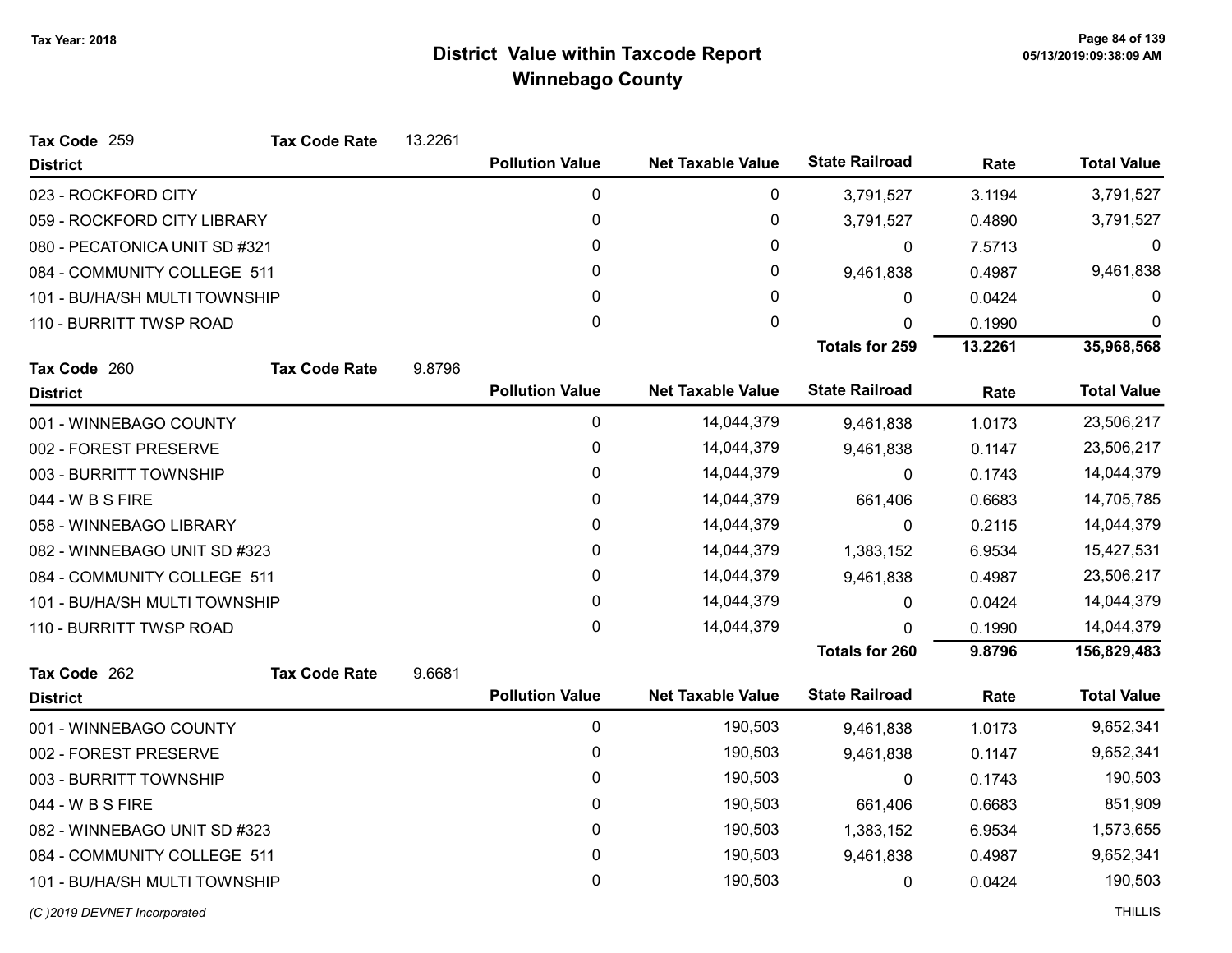| Tax Code 259                  | <b>Tax Code Rate</b> | 13.2261 |                        |                          |                       |         |                    |
|-------------------------------|----------------------|---------|------------------------|--------------------------|-----------------------|---------|--------------------|
| <b>District</b>               |                      |         | <b>Pollution Value</b> | <b>Net Taxable Value</b> | <b>State Railroad</b> | Rate    | <b>Total Value</b> |
| 023 - ROCKFORD CITY           |                      |         | 0                      | 0                        | 3,791,527             | 3.1194  | 3,791,527          |
| 059 - ROCKFORD CITY LIBRARY   |                      |         | 0                      | 0                        | 3,791,527             | 0.4890  | 3,791,527          |
| 080 - PECATONICA UNIT SD #321 |                      |         | 0                      | 0                        | 0                     | 7.5713  | $\Omega$           |
| 084 - COMMUNITY COLLEGE 511   |                      |         | 0                      | 0                        | 9,461,838             | 0.4987  | 9,461,838          |
| 101 - BU/HA/SH MULTI TOWNSHIP |                      |         | 0                      | 0                        | $\mathbf{0}$          | 0.0424  | 0                  |
| 110 - BURRITT TWSP ROAD       |                      |         | 0                      | $\mathbf 0$              | 0                     | 0.1990  | $\mathbf 0$        |
|                               |                      |         |                        |                          | <b>Totals for 259</b> | 13.2261 | 35,968,568         |
| Tax Code 260                  | <b>Tax Code Rate</b> | 9.8796  |                        |                          |                       |         |                    |
| <b>District</b>               |                      |         | <b>Pollution Value</b> | <b>Net Taxable Value</b> | <b>State Railroad</b> | Rate    | <b>Total Value</b> |
| 001 - WINNEBAGO COUNTY        |                      |         | 0                      | 14,044,379               | 9,461,838             | 1.0173  | 23,506,217         |
| 002 - FOREST PRESERVE         |                      |         | 0                      | 14,044,379               | 9,461,838             | 0.1147  | 23,506,217         |
| 003 - BURRITT TOWNSHIP        |                      |         | 0                      | 14,044,379               | 0                     | 0.1743  | 14,044,379         |
| 044 - W B S FIRE              |                      |         | 0                      | 14,044,379               | 661,406               | 0.6683  | 14,705,785         |
| 058 - WINNEBAGO LIBRARY       |                      |         | 0                      | 14,044,379               | $\mathbf{0}$          | 0.2115  | 14,044,379         |
| 082 - WINNEBAGO UNIT SD #323  |                      |         | 0                      | 14,044,379               | 1,383,152             | 6.9534  | 15,427,531         |
| 084 - COMMUNITY COLLEGE 511   |                      |         | 0                      | 14,044,379               | 9,461,838             | 0.4987  | 23,506,217         |
| 101 - BU/HA/SH MULTI TOWNSHIP |                      |         | 0                      | 14,044,379               | 0                     | 0.0424  | 14,044,379         |
| 110 - BURRITT TWSP ROAD       |                      |         | 0                      | 14,044,379               | 0                     | 0.1990  | 14,044,379         |
|                               |                      |         |                        |                          | <b>Totals for 260</b> | 9.8796  | 156,829,483        |
| Tax Code 262                  | <b>Tax Code Rate</b> | 9.6681  |                        |                          |                       |         |                    |
| <b>District</b>               |                      |         | <b>Pollution Value</b> | <b>Net Taxable Value</b> | <b>State Railroad</b> | Rate    | <b>Total Value</b> |
| 001 - WINNEBAGO COUNTY        |                      |         | 0                      | 190,503                  | 9,461,838             | 1.0173  | 9,652,341          |
| 002 - FOREST PRESERVE         |                      |         | 0                      | 190,503                  | 9,461,838             | 0.1147  | 9,652,341          |
| 003 - BURRITT TOWNSHIP        |                      |         | 0                      | 190,503                  | 0                     | 0.1743  | 190,503            |
| 044 - W B S FIRE              |                      |         | 0                      | 190,503                  | 661,406               | 0.6683  | 851,909            |
| 082 - WINNEBAGO UNIT SD #323  |                      |         | 0                      | 190,503                  | 1,383,152             | 6.9534  | 1,573,655          |
| 084 - COMMUNITY COLLEGE 511   |                      |         | 0                      | 190,503                  | 9,461,838             | 0.4987  | 9,652,341          |
| 101 - BU/HA/SH MULTI TOWNSHIP |                      |         | 0                      | 190,503                  | 0                     | 0.0424  | 190,503            |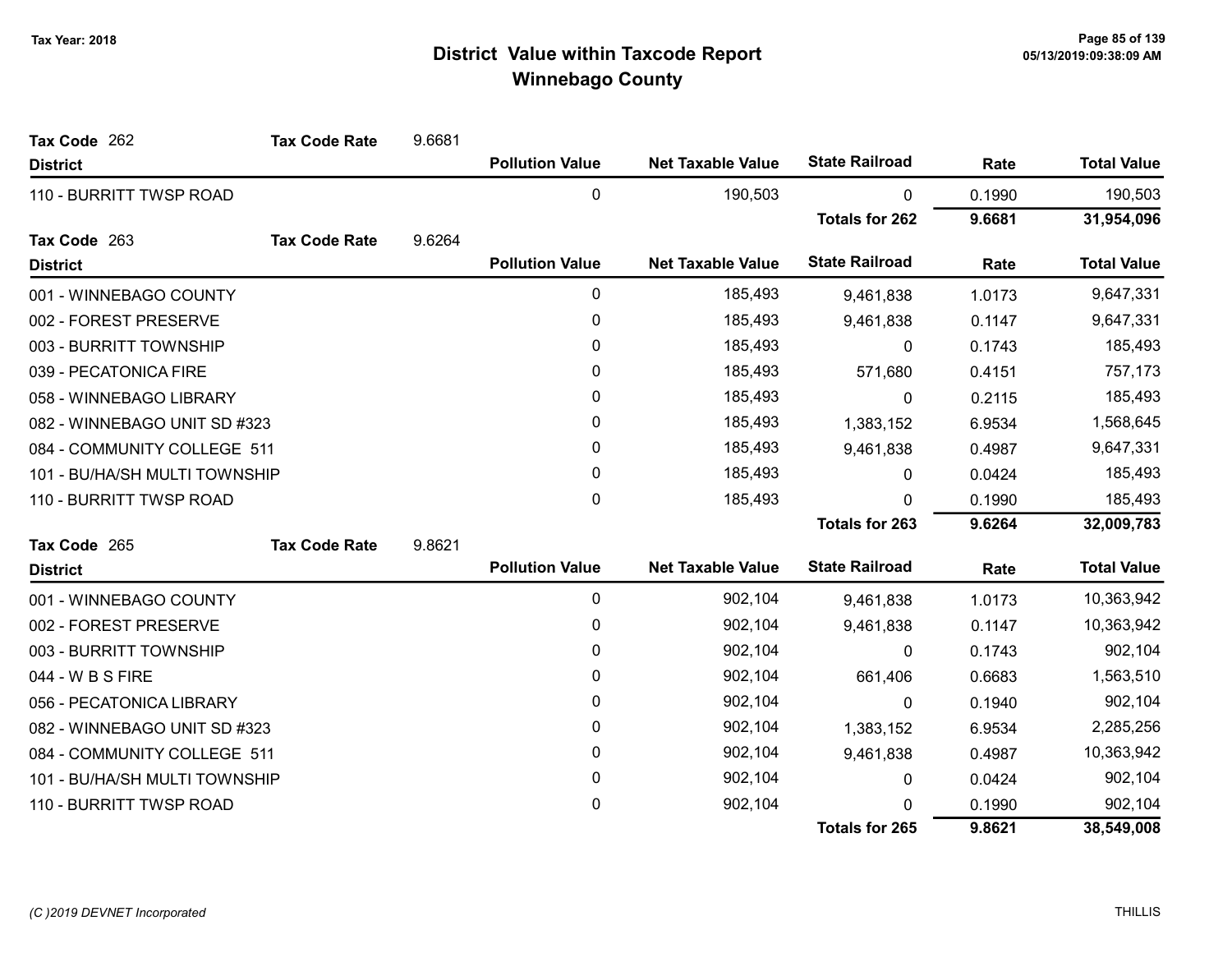| Tax Code 262                  | <b>Tax Code Rate</b> | 9.6681 |                        |                          |                       |        |                    |
|-------------------------------|----------------------|--------|------------------------|--------------------------|-----------------------|--------|--------------------|
| <b>District</b>               |                      |        | <b>Pollution Value</b> | <b>Net Taxable Value</b> | <b>State Railroad</b> | Rate   | <b>Total Value</b> |
| 110 - BURRITT TWSP ROAD       |                      |        | $\pmb{0}$              | 190,503                  | 0                     | 0.1990 | 190,503            |
|                               |                      |        |                        |                          | <b>Totals for 262</b> | 9.6681 | 31,954,096         |
| Tax Code 263                  | <b>Tax Code Rate</b> | 9.6264 |                        |                          |                       |        |                    |
| <b>District</b>               |                      |        | <b>Pollution Value</b> | <b>Net Taxable Value</b> | <b>State Railroad</b> | Rate   | <b>Total Value</b> |
| 001 - WINNEBAGO COUNTY        |                      |        | 0                      | 185,493                  | 9,461,838             | 1.0173 | 9,647,331          |
| 002 - FOREST PRESERVE         |                      |        | 0                      | 185,493                  | 9,461,838             | 0.1147 | 9,647,331          |
| 003 - BURRITT TOWNSHIP        |                      |        | 0                      | 185,493                  | 0                     | 0.1743 | 185,493            |
| 039 - PECATONICA FIRE         |                      |        | $\mathbf{0}$           | 185,493                  | 571,680               | 0.4151 | 757,173            |
| 058 - WINNEBAGO LIBRARY       |                      |        | 0                      | 185,493                  | 0                     | 0.2115 | 185,493            |
| 082 - WINNEBAGO UNIT SD #323  |                      |        | 0                      | 185,493                  | 1,383,152             | 6.9534 | 1,568,645          |
| 084 - COMMUNITY COLLEGE 511   |                      |        | 0                      | 185,493                  | 9,461,838             | 0.4987 | 9,647,331          |
| 101 - BU/HA/SH MULTI TOWNSHIP |                      |        | 0                      | 185,493                  | 0                     | 0.0424 | 185,493            |
| 110 - BURRITT TWSP ROAD       |                      |        | 0                      | 185,493                  | 0                     | 0.1990 | 185,493            |
|                               |                      |        |                        |                          | Totals for 263        | 9.6264 | 32,009,783         |
| Tax Code 265                  | <b>Tax Code Rate</b> | 9.8621 |                        |                          |                       |        |                    |
| <b>District</b>               |                      |        | <b>Pollution Value</b> | <b>Net Taxable Value</b> | <b>State Railroad</b> | Rate   | <b>Total Value</b> |
| 001 - WINNEBAGO COUNTY        |                      |        | $\pmb{0}$              | 902,104                  | 9,461,838             | 1.0173 | 10,363,942         |
| 002 - FOREST PRESERVE         |                      |        | 0                      | 902,104                  | 9,461,838             | 0.1147 | 10,363,942         |
| 003 - BURRITT TOWNSHIP        |                      |        | $\pmb{0}$              | 902,104                  | 0                     | 0.1743 | 902,104            |
| 044 - W B S FIRE              |                      |        | 0                      | 902,104                  | 661,406               | 0.6683 | 1,563,510          |
| 056 - PECATONICA LIBRARY      |                      |        | $\mathbf{0}$           | 902,104                  | 0                     | 0.1940 | 902,104            |
| 082 - WINNEBAGO UNIT SD #323  |                      |        | 0                      | 902,104                  | 1,383,152             | 6.9534 | 2,285,256          |
| 084 - COMMUNITY COLLEGE 511   |                      |        | 0                      | 902,104                  | 9,461,838             | 0.4987 | 10,363,942         |
| 101 - BU/HA/SH MULTI TOWNSHIP |                      |        | 0                      | 902,104                  | 0                     | 0.0424 | 902,104            |
| 110 - BURRITT TWSP ROAD       |                      |        | 0                      | 902,104                  | <sup>0</sup>          | 0.1990 | 902,104            |
|                               |                      |        |                        |                          | <b>Totals for 265</b> | 9.8621 | 38,549,008         |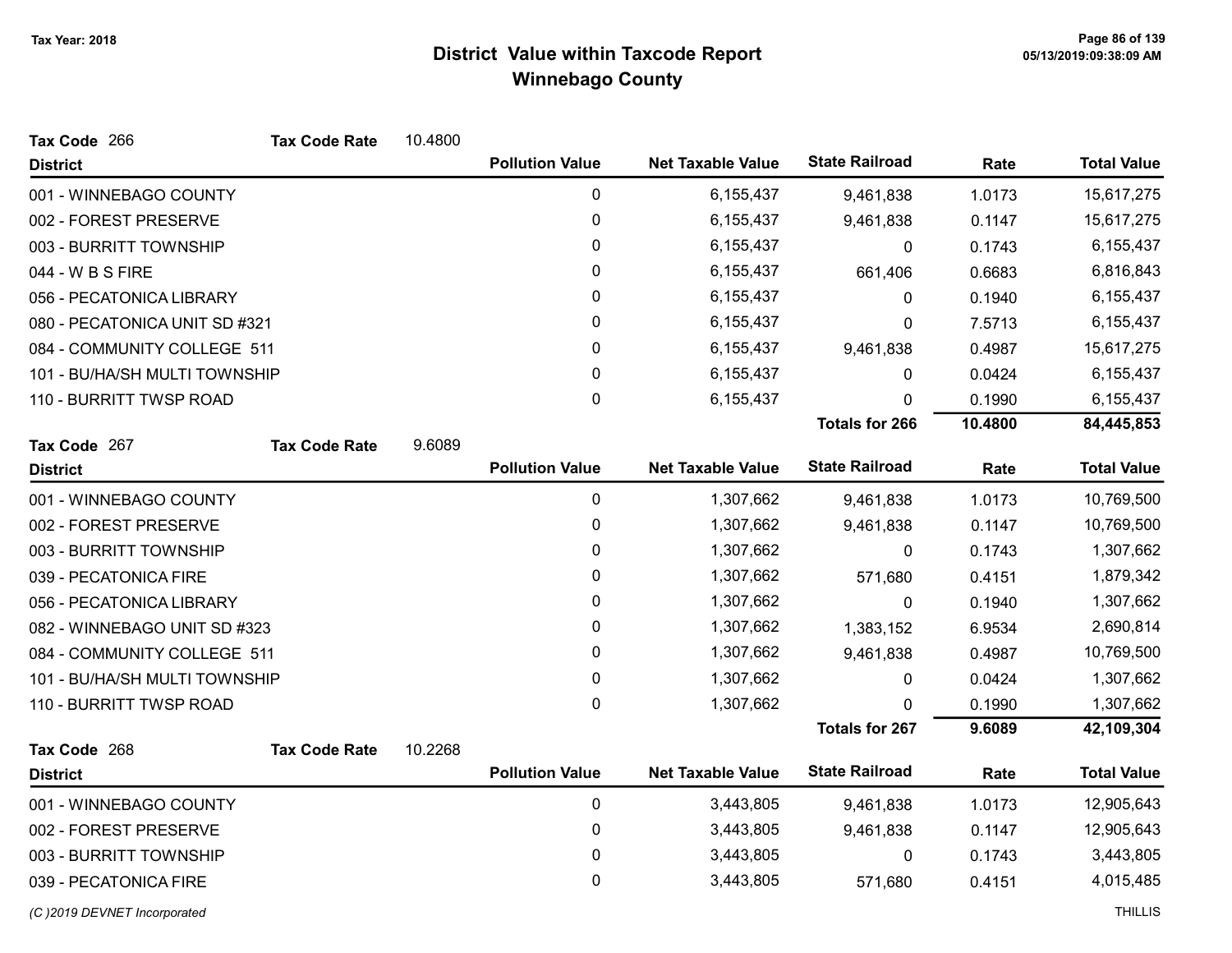| Tax Code 266                  | <b>Tax Code Rate</b> | 10.4800 |                        |                          |                       |         |                    |
|-------------------------------|----------------------|---------|------------------------|--------------------------|-----------------------|---------|--------------------|
| <b>District</b>               |                      |         | <b>Pollution Value</b> | <b>Net Taxable Value</b> | <b>State Railroad</b> | Rate    | <b>Total Value</b> |
| 001 - WINNEBAGO COUNTY        |                      |         | $\mathbf 0$            | 6,155,437                | 9,461,838             | 1.0173  | 15,617,275         |
| 002 - FOREST PRESERVE         |                      |         | 0                      | 6,155,437                | 9,461,838             | 0.1147  | 15,617,275         |
| 003 - BURRITT TOWNSHIP        |                      |         | 0                      | 6,155,437                | $\mathbf{0}$          | 0.1743  | 6,155,437          |
| 044 - W B S FIRE              |                      |         | 0                      | 6,155,437                | 661,406               | 0.6683  | 6,816,843          |
| 056 - PECATONICA LIBRARY      |                      |         | $\pmb{0}$              | 6,155,437                | 0                     | 0.1940  | 6,155,437          |
| 080 - PECATONICA UNIT SD #321 |                      |         | 0                      | 6,155,437                | 0                     | 7.5713  | 6,155,437          |
| 084 - COMMUNITY COLLEGE 511   |                      |         | 0                      | 6,155,437                | 9,461,838             | 0.4987  | 15,617,275         |
| 101 - BU/HA/SH MULTI TOWNSHIP |                      |         | 0                      | 6,155,437                | $\mathbf{0}$          | 0.0424  | 6,155,437          |
| 110 - BURRITT TWSP ROAD       |                      |         | 0                      | 6,155,437                | 0                     | 0.1990  | 6,155,437          |
|                               |                      |         |                        |                          | <b>Totals for 266</b> | 10.4800 | 84,445,853         |
| Tax Code 267                  | <b>Tax Code Rate</b> | 9.6089  |                        |                          |                       |         |                    |
| <b>District</b>               |                      |         | <b>Pollution Value</b> | <b>Net Taxable Value</b> | <b>State Railroad</b> | Rate    | <b>Total Value</b> |
| 001 - WINNEBAGO COUNTY        |                      |         | $\mathbf 0$            | 1,307,662                | 9,461,838             | 1.0173  | 10,769,500         |
| 002 - FOREST PRESERVE         |                      |         | 0                      | 1,307,662                | 9,461,838             | 0.1147  | 10,769,500         |
| 003 - BURRITT TOWNSHIP        |                      |         | 0                      | 1,307,662                | 0                     | 0.1743  | 1,307,662          |
| 039 - PECATONICA FIRE         |                      |         | 0                      | 1,307,662                | 571,680               | 0.4151  | 1,879,342          |
| 056 - PECATONICA LIBRARY      |                      |         | 0                      | 1,307,662                | 0                     | 0.1940  | 1,307,662          |
| 082 - WINNEBAGO UNIT SD #323  |                      |         | 0                      | 1,307,662                | 1,383,152             | 6.9534  | 2,690,814          |
| 084 - COMMUNITY COLLEGE 511   |                      |         | 0                      | 1,307,662                | 9,461,838             | 0.4987  | 10,769,500         |
| 101 - BU/HA/SH MULTI TOWNSHIP |                      |         | 0                      | 1,307,662                | 0                     | 0.0424  | 1,307,662          |
| 110 - BURRITT TWSP ROAD       |                      |         | $\mathbf 0$            | 1,307,662                | 0                     | 0.1990  | 1,307,662          |
|                               |                      |         |                        |                          | <b>Totals for 267</b> | 9.6089  | 42,109,304         |
| Tax Code 268                  | <b>Tax Code Rate</b> | 10.2268 |                        |                          |                       |         |                    |
| <b>District</b>               |                      |         | <b>Pollution Value</b> | <b>Net Taxable Value</b> | <b>State Railroad</b> | Rate    | <b>Total Value</b> |
| 001 - WINNEBAGO COUNTY        |                      |         | $\mathbf 0$            | 3,443,805                | 9,461,838             | 1.0173  | 12,905,643         |
| 002 - FOREST PRESERVE         |                      |         | 0                      | 3,443,805                | 9,461,838             | 0.1147  | 12,905,643         |
| 003 - BURRITT TOWNSHIP        |                      |         | 0                      | 3,443,805                | 0                     | 0.1743  | 3,443,805          |
| 039 - PECATONICA FIRE         |                      |         | 0                      | 3,443,805                | 571,680               | 0.4151  | 4,015,485          |
| (C)2019 DEVNET Incorporated   |                      |         |                        |                          |                       |         | <b>THILLIS</b>     |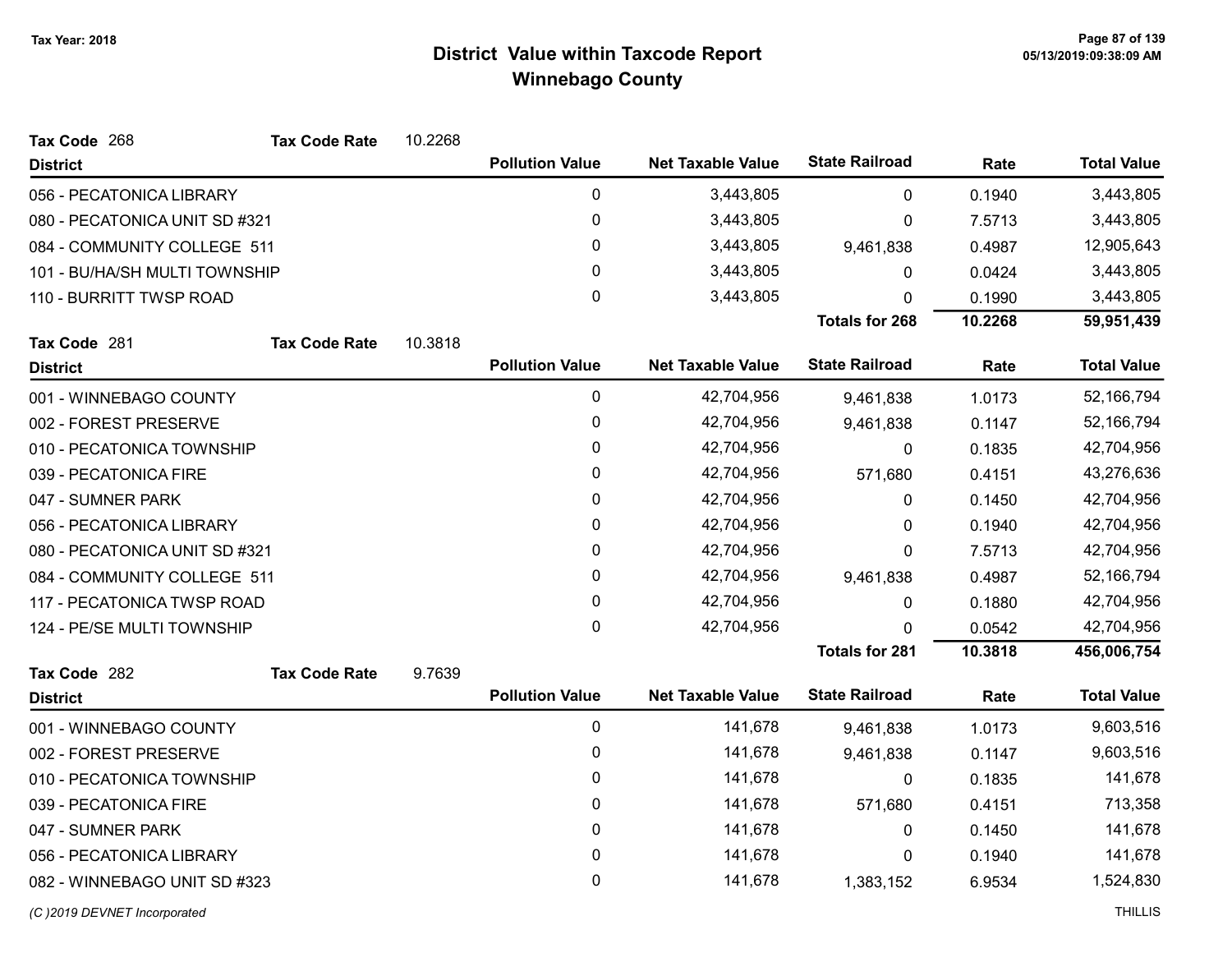| Tax Code 268                  | <b>Tax Code Rate</b> | 10.2268 |                        |                          |                       |         |                    |
|-------------------------------|----------------------|---------|------------------------|--------------------------|-----------------------|---------|--------------------|
| <b>District</b>               |                      |         | <b>Pollution Value</b> | <b>Net Taxable Value</b> | <b>State Railroad</b> | Rate    | <b>Total Value</b> |
| 056 - PECATONICA LIBRARY      |                      |         | 0                      | 3,443,805                | 0                     | 0.1940  | 3,443,805          |
| 080 - PECATONICA UNIT SD #321 |                      |         | 0                      | 3,443,805                | 0                     | 7.5713  | 3,443,805          |
| 084 - COMMUNITY COLLEGE 511   |                      |         | 0                      | 3,443,805                | 9,461,838             | 0.4987  | 12,905,643         |
| 101 - BU/HA/SH MULTI TOWNSHIP |                      |         | $\mathbf{0}$           | 3,443,805                | 0                     | 0.0424  | 3,443,805          |
| 110 - BURRITT TWSP ROAD       |                      |         | 0                      | 3,443,805                | 0                     | 0.1990  | 3,443,805          |
|                               |                      |         |                        |                          | <b>Totals for 268</b> | 10.2268 | 59,951,439         |
| Tax Code 281                  | <b>Tax Code Rate</b> | 10.3818 |                        |                          |                       |         |                    |
| <b>District</b>               |                      |         | <b>Pollution Value</b> | <b>Net Taxable Value</b> | <b>State Railroad</b> | Rate    | <b>Total Value</b> |
| 001 - WINNEBAGO COUNTY        |                      |         | $\mathbf 0$            | 42,704,956               | 9,461,838             | 1.0173  | 52,166,794         |
| 002 - FOREST PRESERVE         |                      |         | 0                      | 42,704,956               | 9,461,838             | 0.1147  | 52,166,794         |
| 010 - PECATONICA TOWNSHIP     |                      |         | 0                      | 42,704,956               | 0                     | 0.1835  | 42,704,956         |
| 039 - PECATONICA FIRE         |                      |         | 0                      | 42,704,956               | 571,680               | 0.4151  | 43,276,636         |
| 047 - SUMNER PARK             |                      |         | 0                      | 42,704,956               | 0                     | 0.1450  | 42,704,956         |
| 056 - PECATONICA LIBRARY      |                      |         | 0                      | 42,704,956               | 0                     | 0.1940  | 42,704,956         |
| 080 - PECATONICA UNIT SD #321 |                      |         | 0                      | 42,704,956               | $\Omega$              | 7.5713  | 42,704,956         |
| 084 - COMMUNITY COLLEGE 511   |                      |         | 0                      | 42,704,956               | 9,461,838             | 0.4987  | 52,166,794         |
| 117 - PECATONICA TWSP ROAD    |                      |         | 0                      | 42,704,956               | 0                     | 0.1880  | 42,704,956         |
| 124 - PE/SE MULTI TOWNSHIP    |                      |         | $\mathbf 0$            | 42,704,956               | $\Omega$              | 0.0542  | 42,704,956         |
|                               |                      |         |                        |                          | <b>Totals for 281</b> | 10.3818 | 456,006,754        |
| Tax Code 282                  | <b>Tax Code Rate</b> | 9.7639  |                        |                          |                       |         |                    |
| <b>District</b>               |                      |         | <b>Pollution Value</b> | <b>Net Taxable Value</b> | <b>State Railroad</b> | Rate    | <b>Total Value</b> |
| 001 - WINNEBAGO COUNTY        |                      |         | $\mathbf 0$            | 141,678                  | 9,461,838             | 1.0173  | 9,603,516          |
| 002 - FOREST PRESERVE         |                      |         | 0                      | 141,678                  | 9,461,838             | 0.1147  | 9,603,516          |
| 010 - PECATONICA TOWNSHIP     |                      |         | 0                      | 141,678                  | $\mathbf{0}$          | 0.1835  | 141,678            |
| 039 - PECATONICA FIRE         |                      |         | 0                      | 141,678                  | 571,680               | 0.4151  | 713,358            |
| 047 - SUMNER PARK             |                      |         | 0                      | 141,678                  | 0                     | 0.1450  | 141,678            |
| 056 - PECATONICA LIBRARY      |                      |         | 0                      | 141,678                  | 0                     | 0.1940  | 141,678            |
| 082 - WINNEBAGO UNIT SD #323  |                      |         | 0                      | 141,678                  | 1,383,152             | 6.9534  | 1,524,830          |
|                               |                      |         |                        |                          |                       |         |                    |

(C)2019 DEVNET Incorporated THILLIS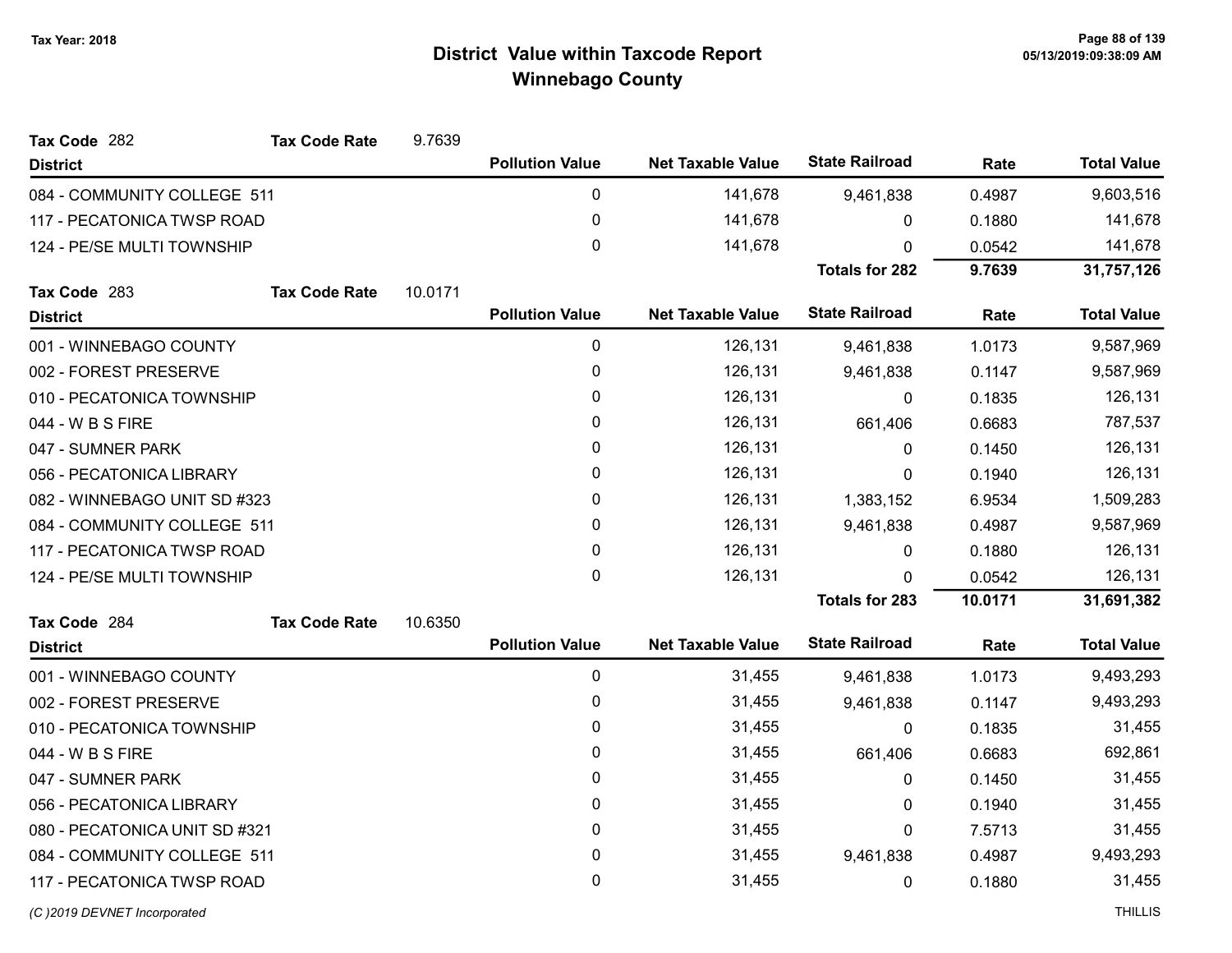| Tax Code 282                  | <b>Tax Code Rate</b> | 9.7639  |                        |                          |                       |         |                    |
|-------------------------------|----------------------|---------|------------------------|--------------------------|-----------------------|---------|--------------------|
| <b>District</b>               |                      |         | <b>Pollution Value</b> | <b>Net Taxable Value</b> | <b>State Railroad</b> | Rate    | <b>Total Value</b> |
| 084 - COMMUNITY COLLEGE 511   |                      |         | $\pmb{0}$              | 141,678                  | 9,461,838             | 0.4987  | 9,603,516          |
| 117 - PECATONICA TWSP ROAD    |                      |         | $\pmb{0}$              | 141,678                  | 0                     | 0.1880  | 141,678            |
| 124 - PE/SE MULTI TOWNSHIP    |                      |         | 0                      | 141,678                  | 0                     | 0.0542  | 141,678            |
|                               |                      |         |                        |                          | <b>Totals for 282</b> | 9.7639  | 31,757,126         |
| Tax Code 283                  | <b>Tax Code Rate</b> | 10.0171 |                        |                          |                       |         |                    |
| <b>District</b>               |                      |         | <b>Pollution Value</b> | <b>Net Taxable Value</b> | <b>State Railroad</b> | Rate    | <b>Total Value</b> |
| 001 - WINNEBAGO COUNTY        |                      |         | $\pmb{0}$              | 126,131                  | 9,461,838             | 1.0173  | 9,587,969          |
| 002 - FOREST PRESERVE         |                      |         | 0                      | 126,131                  | 9,461,838             | 0.1147  | 9,587,969          |
| 010 - PECATONICA TOWNSHIP     |                      |         | $\pmb{0}$              | 126,131                  | $\mathbf 0$           | 0.1835  | 126,131            |
| 044 - W B S FIRE              |                      |         | 0                      | 126,131                  | 661,406               | 0.6683  | 787,537            |
| 047 - SUMNER PARK             |                      |         | $\mathbf 0$            | 126,131                  | 0                     | 0.1450  | 126,131            |
| 056 - PECATONICA LIBRARY      |                      |         | 0                      | 126,131                  | 0                     | 0.1940  | 126,131            |
| 082 - WINNEBAGO UNIT SD #323  |                      |         | $\pmb{0}$              | 126,131                  | 1,383,152             | 6.9534  | 1,509,283          |
| 084 - COMMUNITY COLLEGE 511   |                      |         | 0                      | 126,131                  | 9,461,838             | 0.4987  | 9,587,969          |
| 117 - PECATONICA TWSP ROAD    |                      |         | $\pmb{0}$              | 126,131                  | 0                     | 0.1880  | 126,131            |
| 124 - PE/SE MULTI TOWNSHIP    |                      |         | $\mathbf 0$            | 126,131                  | $\Omega$              | 0.0542  | 126,131            |
|                               |                      |         |                        |                          | <b>Totals for 283</b> | 10.0171 | 31,691,382         |
| Tax Code 284                  | <b>Tax Code Rate</b> | 10.6350 |                        |                          |                       |         |                    |
| <b>District</b>               |                      |         | <b>Pollution Value</b> | <b>Net Taxable Value</b> | <b>State Railroad</b> | Rate    | <b>Total Value</b> |
| 001 - WINNEBAGO COUNTY        |                      |         | $\pmb{0}$              | 31,455                   | 9,461,838             | 1.0173  | 9,493,293          |
| 002 - FOREST PRESERVE         |                      |         | $\pmb{0}$              | 31,455                   | 9,461,838             | 0.1147  | 9,493,293          |
| 010 - PECATONICA TOWNSHIP     |                      |         | $\pmb{0}$              | 31,455                   | 0                     | 0.1835  | 31,455             |
| 044 - W B S FIRE              |                      |         | $\mathbf 0$            | 31,455                   | 661,406               | 0.6683  | 692,861            |
| 047 - SUMNER PARK             |                      |         | $\pmb{0}$              | 31,455                   | 0                     | 0.1450  | 31,455             |
| 056 - PECATONICA LIBRARY      |                      |         | 0                      | 31,455                   | 0                     | 0.1940  | 31,455             |
| 080 - PECATONICA UNIT SD #321 |                      |         | $\pmb{0}$              | 31,455                   | 0                     | 7.5713  | 31,455             |
| 084 - COMMUNITY COLLEGE 511   |                      |         | 0                      | 31,455                   | 9,461,838             | 0.4987  | 9,493,293          |
| 117 - PECATONICA TWSP ROAD    |                      |         | $\mathbf 0$            | 31,455                   | 0                     | 0.1880  | 31,455             |
|                               |                      |         |                        |                          |                       |         |                    |

(C)2019 DEVNET Incorporated THILLIS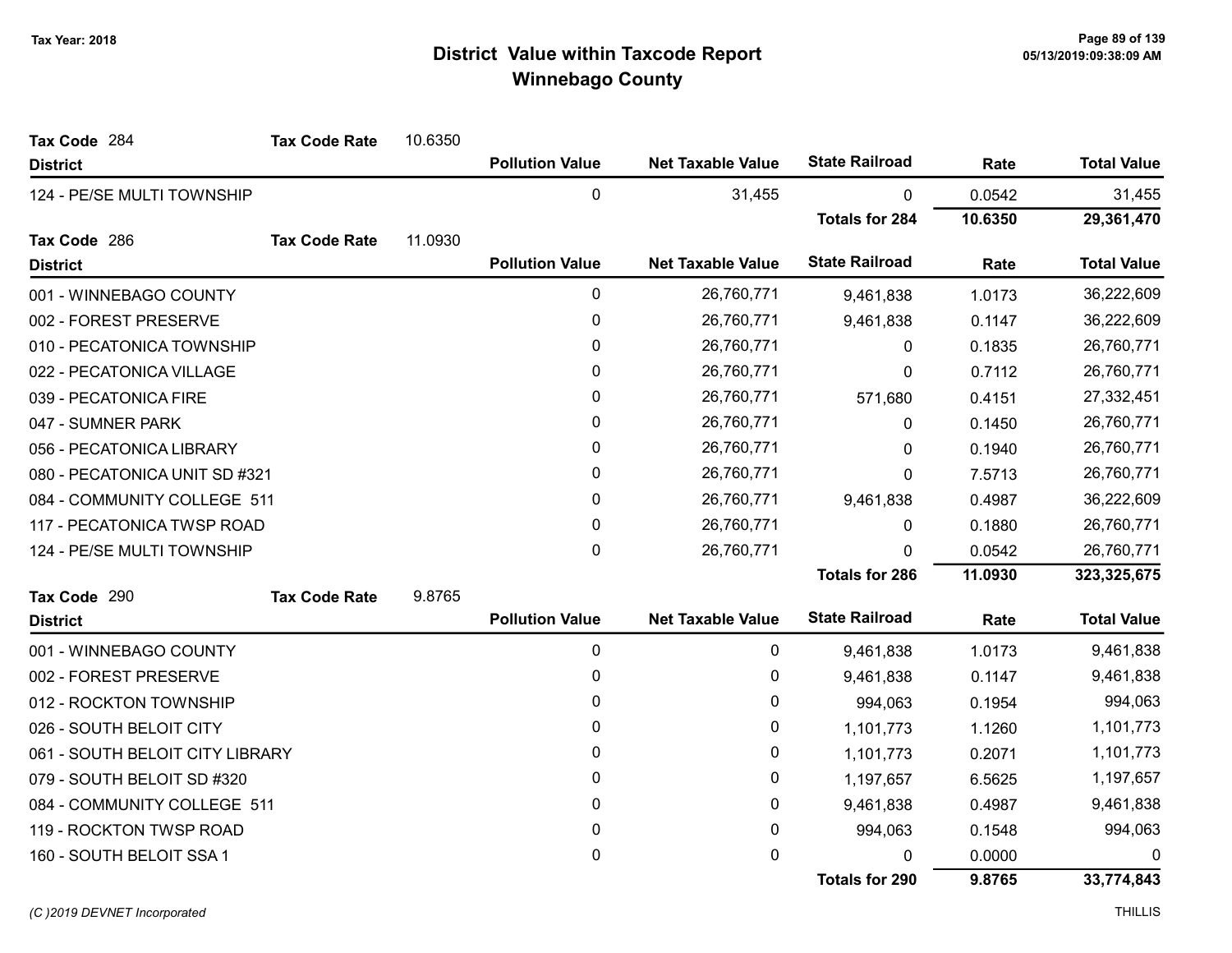| Tax Code 284                    | <b>Tax Code Rate</b> | 10.6350 |                        |                          |                       |         |                    |
|---------------------------------|----------------------|---------|------------------------|--------------------------|-----------------------|---------|--------------------|
| <b>District</b>                 |                      |         | <b>Pollution Value</b> | <b>Net Taxable Value</b> | <b>State Railroad</b> | Rate    | <b>Total Value</b> |
| 124 - PE/SE MULTI TOWNSHIP      |                      |         | 0                      | 31,455                   | $\mathbf 0$           | 0.0542  | 31,455             |
|                                 |                      |         |                        |                          | <b>Totals for 284</b> | 10.6350 | 29,361,470         |
| Tax Code 286                    | <b>Tax Code Rate</b> | 11.0930 |                        |                          |                       |         |                    |
| <b>District</b>                 |                      |         | <b>Pollution Value</b> | <b>Net Taxable Value</b> | <b>State Railroad</b> | Rate    | <b>Total Value</b> |
| 001 - WINNEBAGO COUNTY          |                      |         | 0                      | 26,760,771               | 9,461,838             | 1.0173  | 36,222,609         |
| 002 - FOREST PRESERVE           |                      |         | 0                      | 26,760,771               | 9,461,838             | 0.1147  | 36,222,609         |
| 010 - PECATONICA TOWNSHIP       |                      |         | 0                      | 26,760,771               | 0                     | 0.1835  | 26,760,771         |
| 022 - PECATONICA VILLAGE        |                      |         | 0                      | 26,760,771               | $\mathbf 0$           | 0.7112  | 26,760,771         |
| 039 - PECATONICA FIRE           |                      |         | 0                      | 26,760,771               | 571,680               | 0.4151  | 27,332,451         |
| 047 - SUMNER PARK               |                      |         | 0                      | 26,760,771               | 0                     | 0.1450  | 26,760,771         |
| 056 - PECATONICA LIBRARY        |                      |         | 0                      | 26,760,771               | $\Omega$              | 0.1940  | 26,760,771         |
| 080 - PECATONICA UNIT SD #321   |                      |         | 0                      | 26,760,771               | $\mathbf 0$           | 7.5713  | 26,760,771         |
| 084 - COMMUNITY COLLEGE 511     |                      |         | 0                      | 26,760,771               | 9,461,838             | 0.4987  | 36,222,609         |
| 117 - PECATONICA TWSP ROAD      |                      |         | 0                      | 26,760,771               | 0                     | 0.1880  | 26,760,771         |
| 124 - PE/SE MULTI TOWNSHIP      |                      |         | 0                      | 26,760,771               | $\Omega$              | 0.0542  | 26,760,771         |
|                                 |                      |         |                        |                          | <b>Totals for 286</b> | 11.0930 | 323,325,675        |
| Tax Code 290                    | <b>Tax Code Rate</b> | 9.8765  |                        |                          |                       |         |                    |
| <b>District</b>                 |                      |         | <b>Pollution Value</b> | <b>Net Taxable Value</b> | <b>State Railroad</b> | Rate    | <b>Total Value</b> |
| 001 - WINNEBAGO COUNTY          |                      |         | 0                      | 0                        | 9,461,838             | 1.0173  | 9,461,838          |
| 002 - FOREST PRESERVE           |                      |         | 0                      | 0                        | 9,461,838             | 0.1147  | 9,461,838          |
| 012 - ROCKTON TOWNSHIP          |                      |         | 0                      | 0                        | 994,063               | 0.1954  | 994,063            |
| 026 - SOUTH BELOIT CITY         |                      |         | 0                      | 0                        | 1,101,773             | 1.1260  | 1,101,773          |
| 061 - SOUTH BELOIT CITY LIBRARY |                      |         | 0                      | 0                        | 1,101,773             | 0.2071  | 1,101,773          |
| 079 - SOUTH BELOIT SD #320      |                      |         | 0                      | 0                        | 1,197,657             | 6.5625  | 1,197,657          |
| 084 - COMMUNITY COLLEGE 511     |                      |         | 0                      | 0                        | 9,461,838             | 0.4987  | 9,461,838          |
| 119 - ROCKTON TWSP ROAD         |                      |         | 0                      | 0                        | 994,063               | 0.1548  | 994,063            |
| 160 - SOUTH BELOIT SSA 1        |                      |         | 0                      | 0                        | 0                     | 0.0000  | 0                  |
|                                 |                      |         |                        |                          | <b>Totals for 290</b> | 9.8765  | 33,774,843         |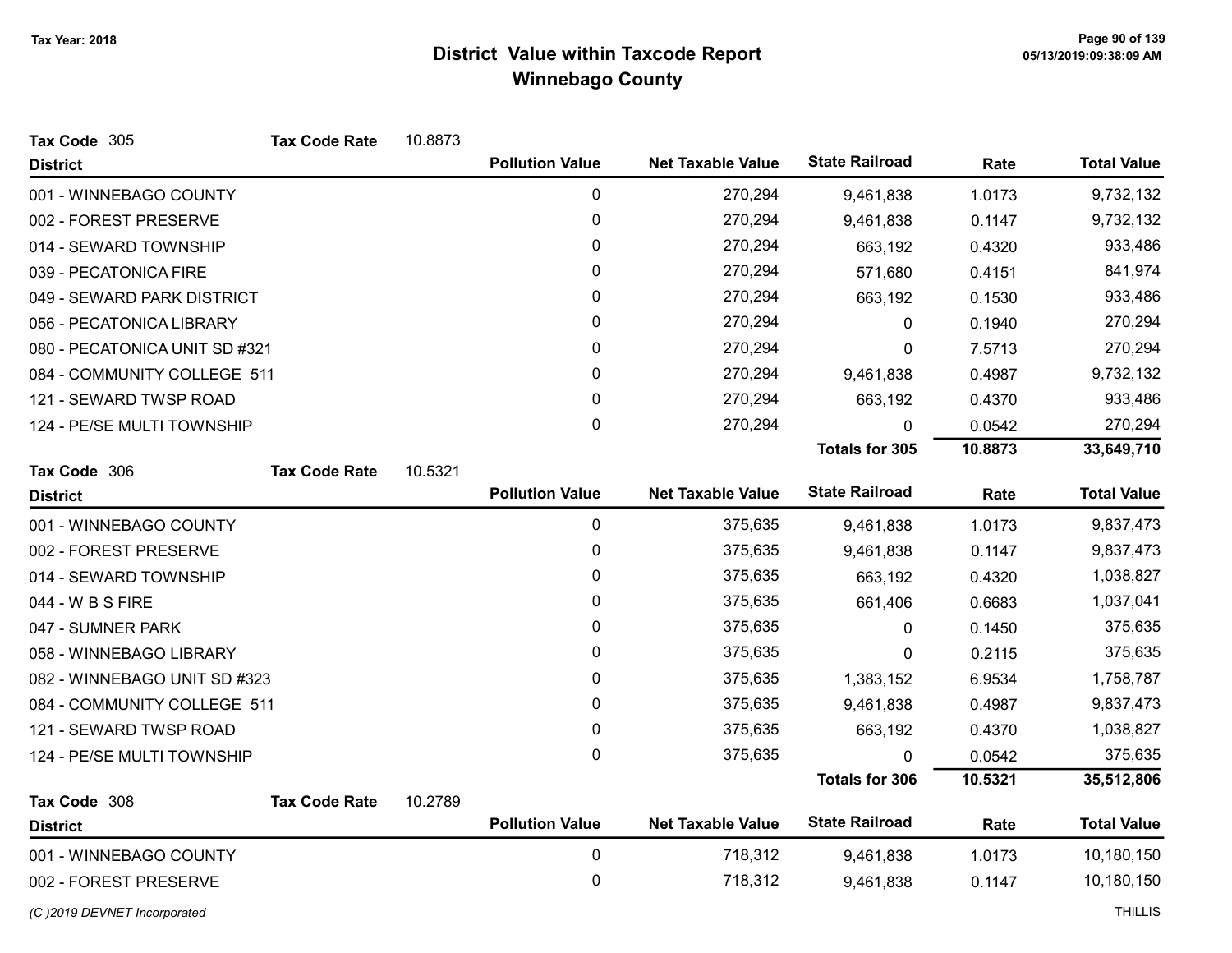| Tax Code 305                  | <b>Tax Code Rate</b> | 10.8873 |                        |                          |                       |         |                    |
|-------------------------------|----------------------|---------|------------------------|--------------------------|-----------------------|---------|--------------------|
| <b>District</b>               |                      |         | <b>Pollution Value</b> | <b>Net Taxable Value</b> | <b>State Railroad</b> | Rate    | <b>Total Value</b> |
| 001 - WINNEBAGO COUNTY        |                      |         | 0                      | 270,294                  | 9,461,838             | 1.0173  | 9,732,132          |
| 002 - FOREST PRESERVE         |                      |         | 0                      | 270,294                  | 9,461,838             | 0.1147  | 9,732,132          |
| 014 - SEWARD TOWNSHIP         |                      |         | 0                      | 270,294                  | 663,192               | 0.4320  | 933,486            |
| 039 - PECATONICA FIRE         |                      |         | $\mathbf{0}$           | 270,294                  | 571,680               | 0.4151  | 841,974            |
| 049 - SEWARD PARK DISTRICT    |                      |         | 0                      | 270,294                  | 663,192               | 0.1530  | 933,486            |
| 056 - PECATONICA LIBRARY      |                      |         | 0                      | 270,294                  | 0                     | 0.1940  | 270,294            |
| 080 - PECATONICA UNIT SD #321 |                      |         | 0                      | 270,294                  | $\mathbf{0}$          | 7.5713  | 270,294            |
| 084 - COMMUNITY COLLEGE 511   |                      |         | 0                      | 270,294                  | 9,461,838             | 0.4987  | 9,732,132          |
| 121 - SEWARD TWSP ROAD        |                      |         | $\mathbf{0}$           | 270,294                  | 663,192               | 0.4370  | 933,486            |
| 124 - PE/SE MULTI TOWNSHIP    |                      |         | 0                      | 270,294                  | $\mathbf 0$           | 0.0542  | 270,294            |
|                               |                      |         |                        |                          | <b>Totals for 305</b> | 10.8873 | 33,649,710         |
| Tax Code 306                  | <b>Tax Code Rate</b> | 10.5321 |                        |                          |                       |         |                    |
| <b>District</b>               |                      |         | <b>Pollution Value</b> | <b>Net Taxable Value</b> | <b>State Railroad</b> | Rate    | <b>Total Value</b> |
| 001 - WINNEBAGO COUNTY        |                      |         | 0                      | 375,635                  | 9,461,838             | 1.0173  | 9,837,473          |
| 002 - FOREST PRESERVE         |                      |         | $\mathbf 0$            | 375,635                  | 9,461,838             | 0.1147  | 9,837,473          |
| 014 - SEWARD TOWNSHIP         |                      |         | 0                      | 375,635                  | 663,192               | 0.4320  | 1,038,827          |
| 044 - W B S FIRE              |                      |         | 0                      | 375,635                  | 661,406               | 0.6683  | 1,037,041          |
| 047 - SUMNER PARK             |                      |         | 0                      | 375,635                  | 0                     | 0.1450  | 375,635            |
| 058 - WINNEBAGO LIBRARY       |                      |         | 0                      | 375,635                  | 0                     | 0.2115  | 375,635            |
| 082 - WINNEBAGO UNIT SD #323  |                      |         | 0                      | 375,635                  | 1,383,152             | 6.9534  | 1,758,787          |
| 084 - COMMUNITY COLLEGE 511   |                      |         | $\mathbf{0}$           | 375,635                  | 9,461,838             | 0.4987  | 9,837,473          |
| 121 - SEWARD TWSP ROAD        |                      |         | $\pmb{0}$              | 375,635                  | 663,192               | 0.4370  | 1,038,827          |
| 124 - PE/SE MULTI TOWNSHIP    |                      |         | 0                      | 375,635                  | n                     | 0.0542  | 375,635            |
|                               |                      |         |                        |                          | <b>Totals for 306</b> | 10.5321 | 35,512,806         |
| Tax Code 308                  | <b>Tax Code Rate</b> | 10.2789 |                        |                          |                       |         |                    |
| <b>District</b>               |                      |         | <b>Pollution Value</b> | <b>Net Taxable Value</b> | <b>State Railroad</b> | Rate    | <b>Total Value</b> |
| 001 - WINNEBAGO COUNTY        |                      |         | $\pmb{0}$              | 718,312                  | 9,461,838             | 1.0173  | 10,180,150         |
| 002 - FOREST PRESERVE         |                      |         | 0                      | 718,312                  | 9,461,838             | 0.1147  | 10,180,150         |
| (C) 2019 DEVNET Incorporated  |                      |         |                        |                          |                       |         | <b>THILLIS</b>     |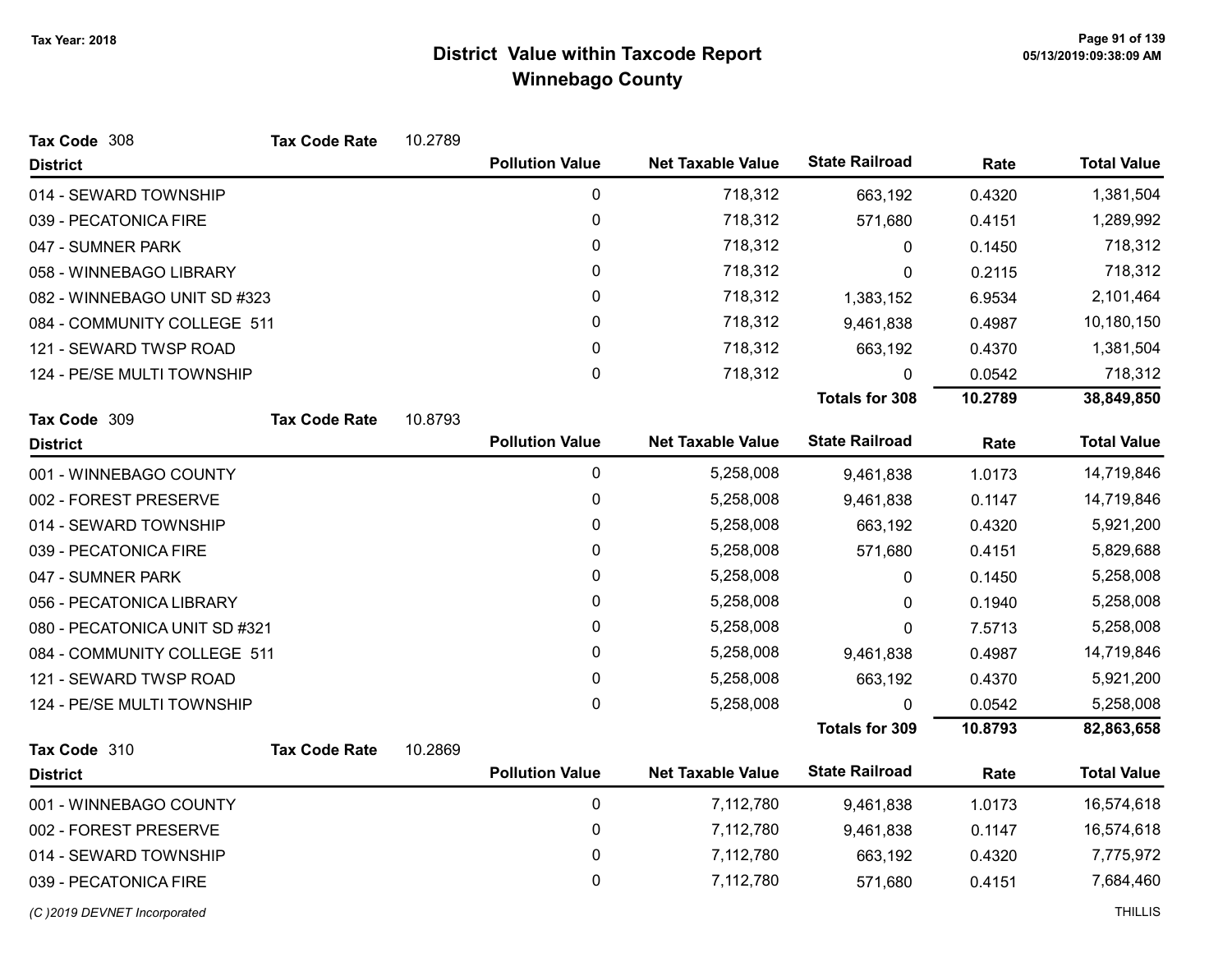| Tax Code 308                  | <b>Tax Code Rate</b> | 10.2789 |                        |                          |                       |         |                    |
|-------------------------------|----------------------|---------|------------------------|--------------------------|-----------------------|---------|--------------------|
| <b>District</b>               |                      |         | <b>Pollution Value</b> | <b>Net Taxable Value</b> | <b>State Railroad</b> | Rate    | <b>Total Value</b> |
| 014 - SEWARD TOWNSHIP         |                      |         | $\pmb{0}$              | 718,312                  | 663,192               | 0.4320  | 1,381,504          |
| 039 - PECATONICA FIRE         |                      |         | 0                      | 718,312                  | 571,680               | 0.4151  | 1,289,992          |
| 047 - SUMNER PARK             |                      |         | 0                      | 718,312                  | 0                     | 0.1450  | 718,312            |
| 058 - WINNEBAGO LIBRARY       |                      |         | 0                      | 718,312                  | 0                     | 0.2115  | 718,312            |
| 082 - WINNEBAGO UNIT SD #323  |                      |         | 0                      | 718,312                  | 1,383,152             | 6.9534  | 2,101,464          |
| 084 - COMMUNITY COLLEGE 511   |                      |         | 0                      | 718,312                  | 9,461,838             | 0.4987  | 10,180,150         |
| 121 - SEWARD TWSP ROAD        |                      |         | 0                      | 718,312                  | 663,192               | 0.4370  | 1,381,504          |
| 124 - PE/SE MULTI TOWNSHIP    |                      |         | 0                      | 718,312                  | 0                     | 0.0542  | 718,312            |
|                               |                      |         |                        |                          | <b>Totals for 308</b> | 10.2789 | 38,849,850         |
| Tax Code 309                  | <b>Tax Code Rate</b> | 10.8793 |                        |                          |                       |         |                    |
| <b>District</b>               |                      |         | <b>Pollution Value</b> | <b>Net Taxable Value</b> | <b>State Railroad</b> | Rate    | <b>Total Value</b> |
| 001 - WINNEBAGO COUNTY        |                      |         | 0                      | 5,258,008                | 9,461,838             | 1.0173  | 14,719,846         |
| 002 - FOREST PRESERVE         |                      |         | 0                      | 5,258,008                | 9,461,838             | 0.1147  | 14,719,846         |
| 014 - SEWARD TOWNSHIP         |                      |         | 0                      | 5,258,008                | 663,192               | 0.4320  | 5,921,200          |
| 039 - PECATONICA FIRE         |                      |         | $\pmb{0}$              | 5,258,008                | 571,680               | 0.4151  | 5,829,688          |
| 047 - SUMNER PARK             |                      |         | 0                      | 5,258,008                | 0                     | 0.1450  | 5,258,008          |
| 056 - PECATONICA LIBRARY      |                      |         | 0                      | 5,258,008                | 0                     | 0.1940  | 5,258,008          |
| 080 - PECATONICA UNIT SD #321 |                      |         | 0                      | 5,258,008                | 0                     | 7.5713  | 5,258,008          |
| 084 - COMMUNITY COLLEGE 511   |                      |         | 0                      | 5,258,008                | 9,461,838             | 0.4987  | 14,719,846         |
| 121 - SEWARD TWSP ROAD        |                      |         | $\pmb{0}$              | 5,258,008                | 663,192               | 0.4370  | 5,921,200          |
| 124 - PE/SE MULTI TOWNSHIP    |                      |         | $\mathbf 0$            | 5,258,008                | $\Omega$              | 0.0542  | 5,258,008          |
|                               |                      |         |                        |                          | <b>Totals for 309</b> | 10.8793 | 82,863,658         |
| Tax Code 310                  | <b>Tax Code Rate</b> | 10.2869 |                        |                          |                       |         |                    |
| <b>District</b>               |                      |         | <b>Pollution Value</b> | <b>Net Taxable Value</b> | <b>State Railroad</b> | Rate    | <b>Total Value</b> |
| 001 - WINNEBAGO COUNTY        |                      |         | $\mathbf 0$            | 7,112,780                | 9,461,838             | 1.0173  | 16,574,618         |
| 002 - FOREST PRESERVE         |                      |         | 0                      | 7,112,780                | 9,461,838             | 0.1147  | 16,574,618         |
| 014 - SEWARD TOWNSHIP         |                      |         | 0                      | 7,112,780                | 663,192               | 0.4320  | 7,775,972          |
| 039 - PECATONICA FIRE         |                      |         | 0                      | 7,112,780                | 571,680               | 0.4151  | 7,684,460          |
| (C)2019 DEVNET Incorporated   |                      |         |                        |                          |                       |         | <b>THILLIS</b>     |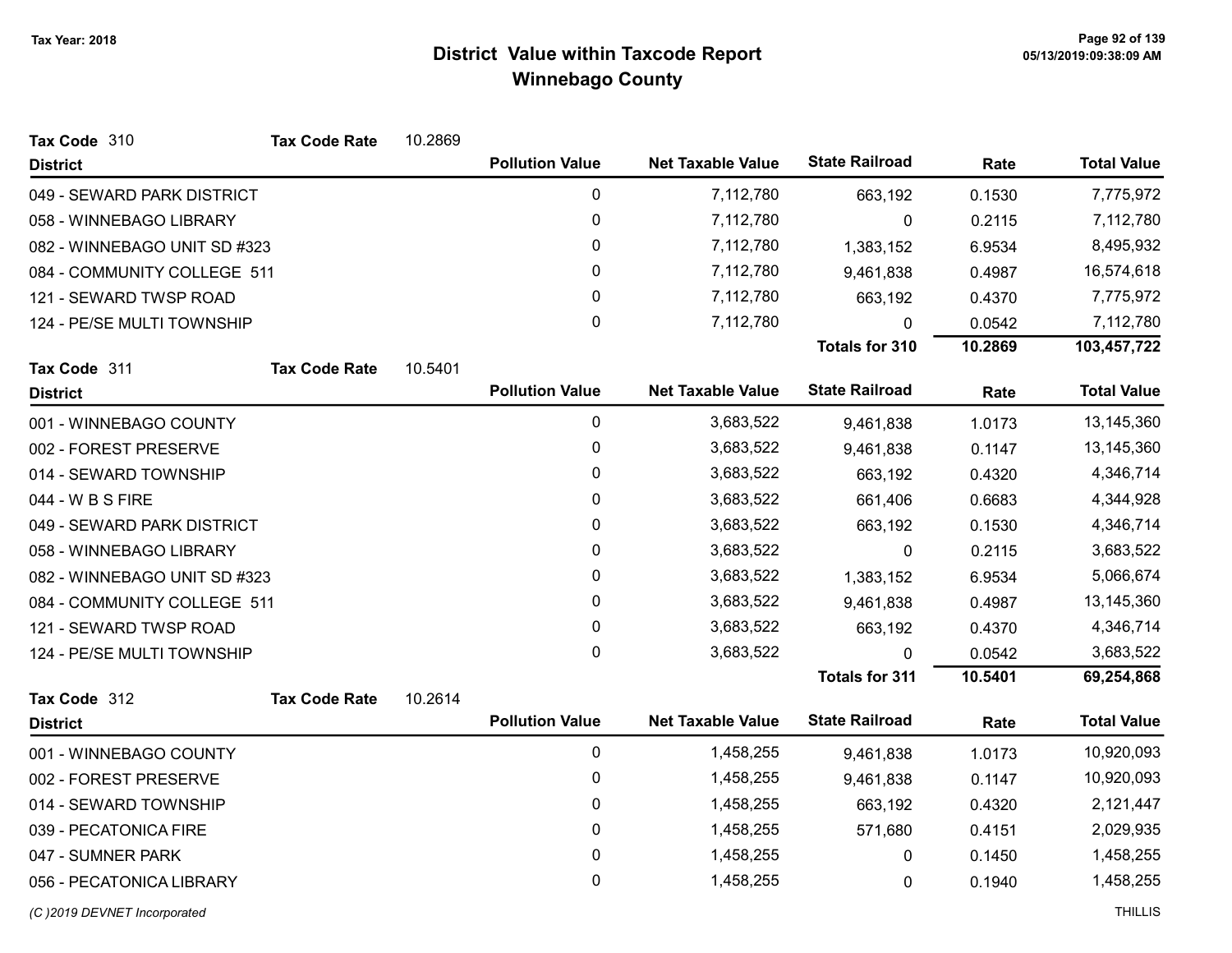| Tax Code 310                 | <b>Tax Code Rate</b> | 10.2869 |                        |                          |                       |         |                    |
|------------------------------|----------------------|---------|------------------------|--------------------------|-----------------------|---------|--------------------|
| <b>District</b>              |                      |         | <b>Pollution Value</b> | <b>Net Taxable Value</b> | <b>State Railroad</b> | Rate    | <b>Total Value</b> |
| 049 - SEWARD PARK DISTRICT   |                      |         | $\pmb{0}$              | 7,112,780                | 663,192               | 0.1530  | 7,775,972          |
| 058 - WINNEBAGO LIBRARY      |                      |         | 0                      | 7,112,780                | 0                     | 0.2115  | 7,112,780          |
| 082 - WINNEBAGO UNIT SD #323 |                      |         | 0                      | 7,112,780                | 1,383,152             | 6.9534  | 8,495,932          |
| 084 - COMMUNITY COLLEGE 511  |                      |         | 0                      | 7,112,780                | 9,461,838             | 0.4987  | 16,574,618         |
| 121 - SEWARD TWSP ROAD       |                      |         | 0                      | 7,112,780                | 663,192               | 0.4370  | 7,775,972          |
| 124 - PE/SE MULTI TOWNSHIP   |                      |         | 0                      | 7,112,780                | $\mathbf{0}$          | 0.0542  | 7,112,780          |
|                              |                      |         |                        |                          | <b>Totals for 310</b> | 10.2869 | 103,457,722        |
| Tax Code 311                 | <b>Tax Code Rate</b> | 10.5401 |                        |                          |                       |         |                    |
| <b>District</b>              |                      |         | <b>Pollution Value</b> | <b>Net Taxable Value</b> | <b>State Railroad</b> | Rate    | <b>Total Value</b> |
| 001 - WINNEBAGO COUNTY       |                      |         | 0                      | 3,683,522                | 9,461,838             | 1.0173  | 13,145,360         |
| 002 - FOREST PRESERVE        |                      |         | 0                      | 3,683,522                | 9,461,838             | 0.1147  | 13,145,360         |
| 014 - SEWARD TOWNSHIP        |                      |         | 0                      | 3,683,522                | 663,192               | 0.4320  | 4,346,714          |
| 044 - W B S FIRE             |                      |         | 0                      | 3,683,522                | 661,406               | 0.6683  | 4,344,928          |
| 049 - SEWARD PARK DISTRICT   |                      |         | 0                      | 3,683,522                | 663,192               | 0.1530  | 4,346,714          |
| 058 - WINNEBAGO LIBRARY      |                      |         | 0                      | 3,683,522                | 0                     | 0.2115  | 3,683,522          |
| 082 - WINNEBAGO UNIT SD #323 |                      |         | 0                      | 3,683,522                | 1,383,152             | 6.9534  | 5,066,674          |
| 084 - COMMUNITY COLLEGE 511  |                      |         | 0                      | 3,683,522                | 9,461,838             | 0.4987  | 13,145,360         |
| 121 - SEWARD TWSP ROAD       |                      |         | 0                      | 3,683,522                | 663,192               | 0.4370  | 4,346,714          |
| 124 - PE/SE MULTI TOWNSHIP   |                      |         | 0                      | 3,683,522                | $\Omega$              | 0.0542  | 3,683,522          |
|                              |                      |         |                        |                          | <b>Totals for 311</b> | 10.5401 | 69,254,868         |
| Tax Code 312                 | <b>Tax Code Rate</b> | 10.2614 |                        |                          |                       |         |                    |
| <b>District</b>              |                      |         | <b>Pollution Value</b> | <b>Net Taxable Value</b> | <b>State Railroad</b> | Rate    | <b>Total Value</b> |
| 001 - WINNEBAGO COUNTY       |                      |         | $\mathbf 0$            | 1,458,255                | 9,461,838             | 1.0173  | 10,920,093         |
| 002 - FOREST PRESERVE        |                      |         | 0                      | 1,458,255                | 9,461,838             | 0.1147  | 10,920,093         |
| 014 - SEWARD TOWNSHIP        |                      |         | 0                      | 1,458,255                | 663,192               | 0.4320  | 2,121,447          |
| 039 - PECATONICA FIRE        |                      |         | 0                      | 1,458,255                | 571,680               | 0.4151  | 2,029,935          |
| 047 - SUMNER PARK            |                      |         | 0                      | 1,458,255                | 0                     | 0.1450  | 1,458,255          |
| 056 - PECATONICA LIBRARY     |                      |         | 0                      | 1,458,255                | 0                     | 0.1940  | 1,458,255          |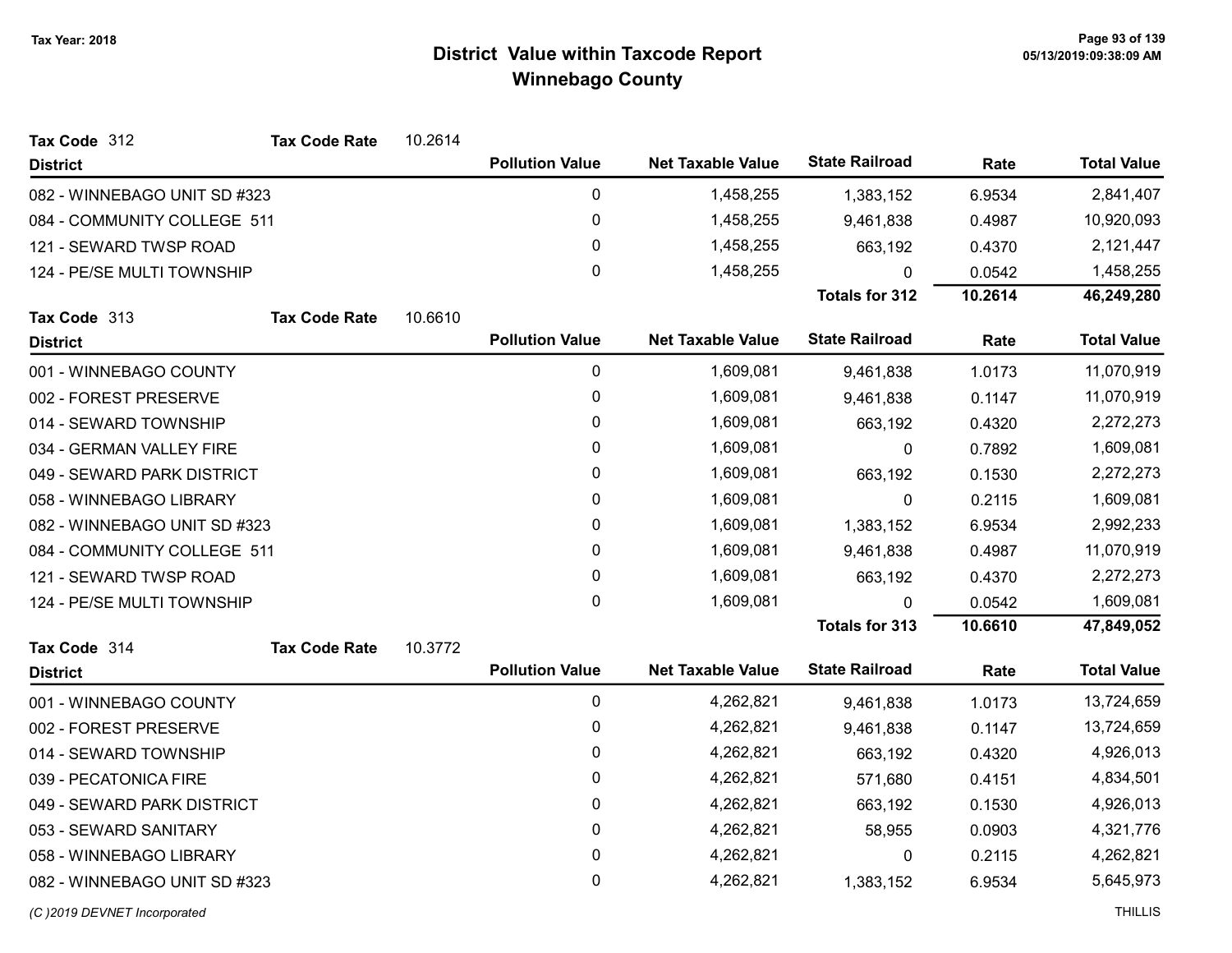| Tax Code 312                 | <b>Tax Code Rate</b> | 10.2614 |                        |                          |                       |         |                    |
|------------------------------|----------------------|---------|------------------------|--------------------------|-----------------------|---------|--------------------|
| <b>District</b>              |                      |         | <b>Pollution Value</b> | <b>Net Taxable Value</b> | <b>State Railroad</b> | Rate    | <b>Total Value</b> |
| 082 - WINNEBAGO UNIT SD #323 |                      |         | 0                      | 1,458,255                | 1,383,152             | 6.9534  | 2,841,407          |
| 084 - COMMUNITY COLLEGE 511  |                      |         | 0                      | 1,458,255                | 9,461,838             | 0.4987  | 10,920,093         |
| 121 - SEWARD TWSP ROAD       |                      |         | 0                      | 1,458,255                | 663,192               | 0.4370  | 2,121,447          |
| 124 - PE/SE MULTI TOWNSHIP   |                      |         | $\Omega$               | 1,458,255                | $\Omega$              | 0.0542  | 1,458,255          |
|                              |                      |         |                        |                          | <b>Totals for 312</b> | 10.2614 | 46,249,280         |
| Tax Code 313                 | <b>Tax Code Rate</b> | 10.6610 |                        |                          |                       |         |                    |
| <b>District</b>              |                      |         | <b>Pollution Value</b> | <b>Net Taxable Value</b> | <b>State Railroad</b> | Rate    | <b>Total Value</b> |
| 001 - WINNEBAGO COUNTY       |                      |         | 0                      | 1,609,081                | 9,461,838             | 1.0173  | 11,070,919         |
| 002 - FOREST PRESERVE        |                      |         | 0                      | 1,609,081                | 9,461,838             | 0.1147  | 11,070,919         |
| 014 - SEWARD TOWNSHIP        |                      |         | 0                      | 1,609,081                | 663,192               | 0.4320  | 2,272,273          |
| 034 - GERMAN VALLEY FIRE     |                      |         | 0                      | 1,609,081                | 0                     | 0.7892  | 1,609,081          |
| 049 - SEWARD PARK DISTRICT   |                      |         | 0                      | 1,609,081                | 663,192               | 0.1530  | 2,272,273          |
| 058 - WINNEBAGO LIBRARY      |                      |         | 0                      | 1,609,081                | 0                     | 0.2115  | 1,609,081          |
| 082 - WINNEBAGO UNIT SD #323 |                      |         | 0                      | 1,609,081                | 1,383,152             | 6.9534  | 2,992,233          |
| 084 - COMMUNITY COLLEGE 511  |                      |         | 0                      | 1,609,081                | 9,461,838             | 0.4987  | 11,070,919         |
| 121 - SEWARD TWSP ROAD       |                      |         | 0                      | 1,609,081                | 663,192               | 0.4370  | 2,272,273          |
| 124 - PE/SE MULTI TOWNSHIP   |                      |         | 0                      | 1,609,081                | $\mathbf{0}$          | 0.0542  | 1,609,081          |
|                              |                      |         |                        |                          | <b>Totals for 313</b> | 10.6610 | 47,849,052         |
| Tax Code 314                 | <b>Tax Code Rate</b> | 10.3772 |                        |                          |                       |         |                    |
| <b>District</b>              |                      |         | <b>Pollution Value</b> | <b>Net Taxable Value</b> | <b>State Railroad</b> | Rate    | <b>Total Value</b> |
| 001 - WINNEBAGO COUNTY       |                      |         | 0                      | 4,262,821                | 9,461,838             | 1.0173  | 13,724,659         |
| 002 - FOREST PRESERVE        |                      |         | 0                      | 4,262,821                | 9,461,838             | 0.1147  | 13,724,659         |
| 014 - SEWARD TOWNSHIP        |                      |         | 0                      | 4,262,821                | 663,192               | 0.4320  | 4,926,013          |
| 039 - PECATONICA FIRE        |                      |         | 0                      | 4,262,821                | 571,680               | 0.4151  | 4,834,501          |
| 049 - SEWARD PARK DISTRICT   |                      |         | 0                      | 4,262,821                | 663,192               | 0.1530  | 4,926,013          |
| 053 - SEWARD SANITARY        |                      |         | 0                      | 4,262,821                | 58,955                | 0.0903  | 4,321,776          |
| 058 - WINNEBAGO LIBRARY      |                      |         | 0                      | 4,262,821                | 0                     | 0.2115  | 4,262,821          |
| 082 - WINNEBAGO UNIT SD #323 |                      |         | 0                      | 4,262,821                | 1,383,152             | 6.9534  | 5,645,973          |
| (C) 2019 DEVNET Incorporated |                      |         |                        |                          |                       |         | <b>THILLIS</b>     |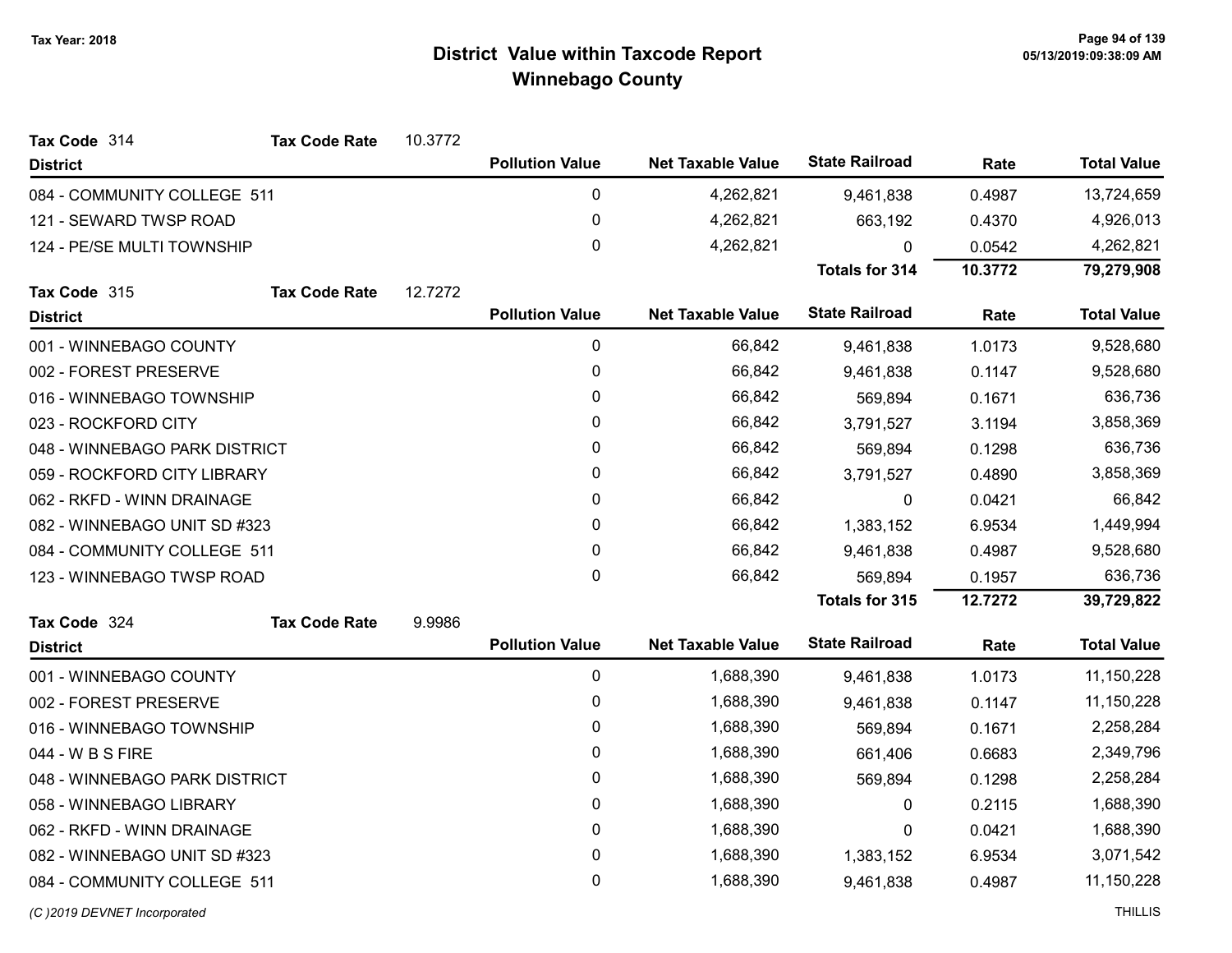| Tax Code 314                  | <b>Tax Code Rate</b> | 10.3772 |                        |                          |                       |         |                    |
|-------------------------------|----------------------|---------|------------------------|--------------------------|-----------------------|---------|--------------------|
| <b>District</b>               |                      |         | <b>Pollution Value</b> | <b>Net Taxable Value</b> | <b>State Railroad</b> | Rate    | <b>Total Value</b> |
| 084 - COMMUNITY COLLEGE 511   |                      |         | $\mathbf 0$            | 4,262,821                | 9,461,838             | 0.4987  | 13,724,659         |
| 121 - SEWARD TWSP ROAD        |                      |         | $\mathbf 0$            | 4,262,821                | 663,192               | 0.4370  | 4,926,013          |
| 124 - PE/SE MULTI TOWNSHIP    |                      |         | 0                      | 4,262,821                | 0                     | 0.0542  | 4,262,821          |
|                               |                      |         |                        |                          | <b>Totals for 314</b> | 10.3772 | 79,279,908         |
| Tax Code 315                  | <b>Tax Code Rate</b> | 12.7272 |                        |                          |                       |         |                    |
| <b>District</b>               |                      |         | <b>Pollution Value</b> | <b>Net Taxable Value</b> | <b>State Railroad</b> | Rate    | <b>Total Value</b> |
| 001 - WINNEBAGO COUNTY        |                      |         | $\mathbf 0$            | 66,842                   | 9,461,838             | 1.0173  | 9,528,680          |
| 002 - FOREST PRESERVE         |                      |         | $\mathbf 0$            | 66,842                   | 9,461,838             | 0.1147  | 9,528,680          |
| 016 - WINNEBAGO TOWNSHIP      |                      |         | 0                      | 66,842                   | 569,894               | 0.1671  | 636,736            |
| 023 - ROCKFORD CITY           |                      |         | 0                      | 66,842                   | 3,791,527             | 3.1194  | 3,858,369          |
| 048 - WINNEBAGO PARK DISTRICT |                      |         | 0                      | 66,842                   | 569,894               | 0.1298  | 636,736            |
| 059 - ROCKFORD CITY LIBRARY   |                      |         | 0                      | 66,842                   | 3,791,527             | 0.4890  | 3,858,369          |
| 062 - RKFD - WINN DRAINAGE    |                      |         | 0                      | 66,842                   | 0                     | 0.0421  | 66,842             |
| 082 - WINNEBAGO UNIT SD #323  |                      |         | 0                      | 66,842                   | 1,383,152             | 6.9534  | 1,449,994          |
| 084 - COMMUNITY COLLEGE 511   |                      |         | 0                      | 66,842                   | 9,461,838             | 0.4987  | 9,528,680          |
| 123 - WINNEBAGO TWSP ROAD     |                      |         | $\mathbf{0}$           | 66,842                   | 569,894               | 0.1957  | 636,736            |
|                               |                      |         |                        |                          | <b>Totals for 315</b> | 12.7272 | 39,729,822         |
| Tax Code 324                  | <b>Tax Code Rate</b> | 9.9986  |                        |                          |                       |         |                    |
| <b>District</b>               |                      |         | <b>Pollution Value</b> | <b>Net Taxable Value</b> | <b>State Railroad</b> | Rate    | <b>Total Value</b> |
| 001 - WINNEBAGO COUNTY        |                      |         | $\mathbf 0$            | 1,688,390                | 9,461,838             | 1.0173  | 11,150,228         |
| 002 - FOREST PRESERVE         |                      |         | 0                      | 1,688,390                | 9,461,838             | 0.1147  | 11,150,228         |
| 016 - WINNEBAGO TOWNSHIP      |                      |         | 0                      | 1,688,390                | 569,894               | 0.1671  | 2,258,284          |
| 044 - W B S FIRE              |                      |         | 0                      | 1,688,390                | 661,406               | 0.6683  | 2,349,796          |
| 048 - WINNEBAGO PARK DISTRICT |                      |         | 0                      | 1,688,390                | 569,894               | 0.1298  | 2,258,284          |
| 058 - WINNEBAGO LIBRARY       |                      |         | 0                      | 1,688,390                | 0                     | 0.2115  | 1,688,390          |
| 062 - RKFD - WINN DRAINAGE    |                      |         | $\mathbf 0$            | 1,688,390                | 0                     | 0.0421  | 1,688,390          |
| 082 - WINNEBAGO UNIT SD #323  |                      |         | 0                      | 1,688,390                | 1,383,152             | 6.9534  | 3,071,542          |
| 084 - COMMUNITY COLLEGE 511   |                      |         | 0                      | 1,688,390                | 9,461,838             | 0.4987  | 11,150,228         |
|                               |                      |         |                        |                          |                       |         |                    |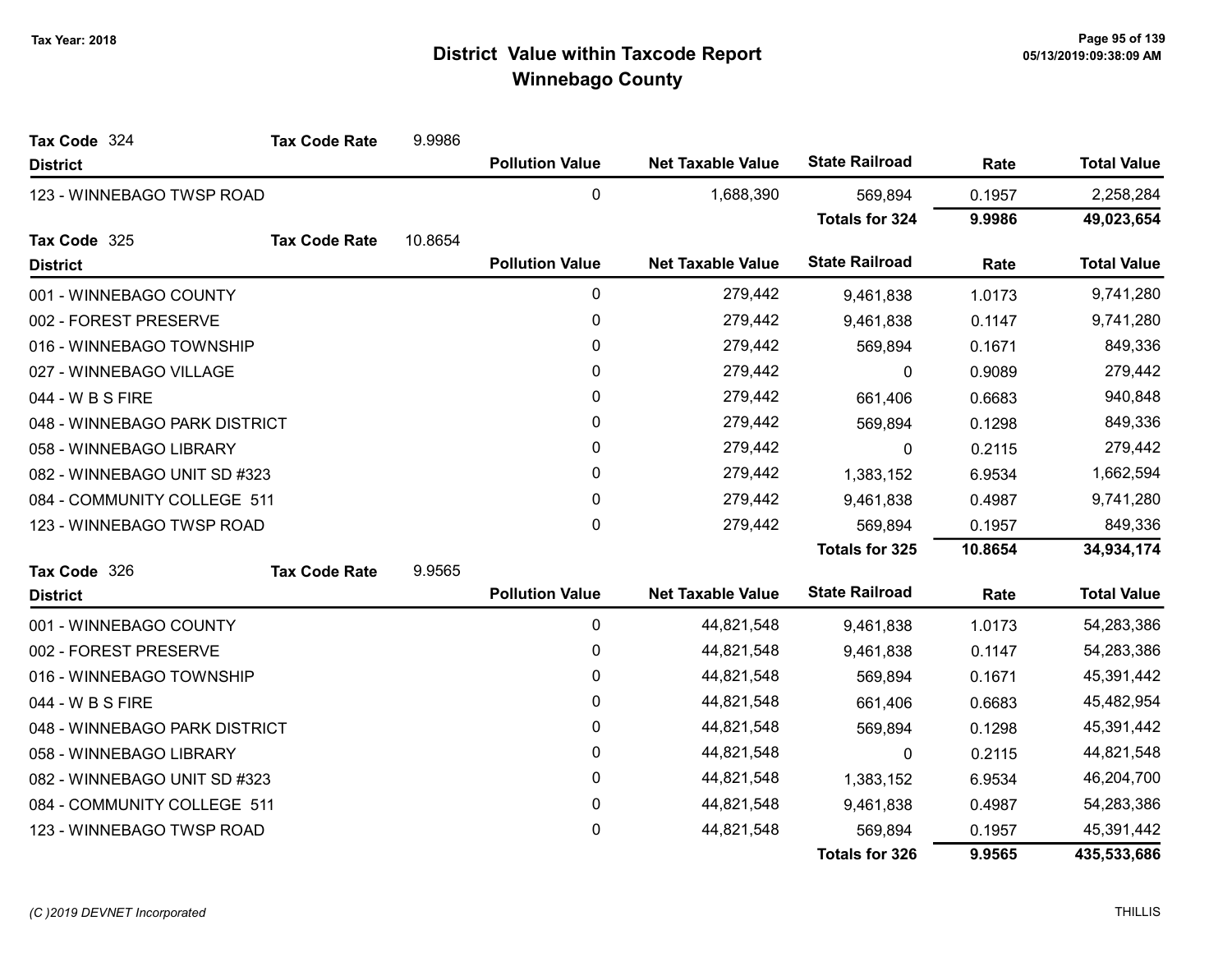| Tax Code 324                  | <b>Tax Code Rate</b> | 9.9986  |                        |                          |                       |           |                    |
|-------------------------------|----------------------|---------|------------------------|--------------------------|-----------------------|-----------|--------------------|
| <b>District</b>               |                      |         | <b>Pollution Value</b> | <b>Net Taxable Value</b> | <b>State Railroad</b> | Rate      | <b>Total Value</b> |
| 123 - WINNEBAGO TWSP ROAD     |                      |         | 0                      | 1,688,390                | 569,894               | 0.1957    | 2,258,284          |
|                               |                      |         |                        |                          | <b>Totals for 324</b> | 9.9986    | 49,023,654         |
| Tax Code 325                  | <b>Tax Code Rate</b> | 10.8654 |                        |                          |                       |           |                    |
| <b>District</b>               |                      |         | <b>Pollution Value</b> | <b>Net Taxable Value</b> | <b>State Railroad</b> | Rate      | <b>Total Value</b> |
| 001 - WINNEBAGO COUNTY        |                      |         | $\mathbf{0}$           | 279,442                  | 9,461,838             | 1.0173    | 9,741,280          |
| 002 - FOREST PRESERVE         |                      |         | 0                      | 279,442                  | 9,461,838             | 0.1147    | 9,741,280          |
| 016 - WINNEBAGO TOWNSHIP      |                      |         | 0                      | 279,442                  | 569,894               | 0.1671    | 849,336            |
| 027 - WINNEBAGO VILLAGE       |                      |         | 0                      | 279,442                  | $\mathbf 0$           | 0.9089    | 279,442            |
| 044 - W B S FIRE              |                      |         | 0                      | 279,442                  | 661,406               | 0.6683    | 940,848            |
| 048 - WINNEBAGO PARK DISTRICT |                      | 0       | 279,442                | 569,894                  | 0.1298                | 849,336   |                    |
| 058 - WINNEBAGO LIBRARY       |                      | 0       | 279,442                | $\mathbf{0}$             | 0.2115                | 279,442   |                    |
| 082 - WINNEBAGO UNIT SD #323  |                      | 0       | 279,442                | 1,383,152                | 6.9534                | 1,662,594 |                    |
| 084 - COMMUNITY COLLEGE 511   |                      |         | 0                      | 279,442                  | 9,461,838             | 0.4987    | 9,741,280          |
| 123 - WINNEBAGO TWSP ROAD     |                      |         | 0                      | 279,442                  | 569,894               | 0.1957    | 849,336            |
|                               |                      |         |                        |                          | Totals for 325        | 10.8654   | 34,934,174         |
| Tax Code 326                  | <b>Tax Code Rate</b> | 9.9565  |                        |                          |                       |           |                    |
| <b>District</b>               |                      |         | <b>Pollution Value</b> | <b>Net Taxable Value</b> | <b>State Railroad</b> | Rate      | <b>Total Value</b> |
| 001 - WINNEBAGO COUNTY        |                      |         | 0                      | 44,821,548               | 9,461,838             | 1.0173    | 54,283,386         |
| 002 - FOREST PRESERVE         |                      |         | 0                      | 44,821,548               | 9,461,838             | 0.1147    | 54,283,386         |
| 016 - WINNEBAGO TOWNSHIP      |                      |         | 0                      | 44,821,548               | 569,894               | 0.1671    | 45,391,442         |
| 044 - W B S FIRE              |                      |         | 0                      | 44,821,548               | 661,406               | 0.6683    | 45,482,954         |
| 048 - WINNEBAGO PARK DISTRICT |                      |         | 0                      | 44,821,548               | 569,894               | 0.1298    | 45,391,442         |
| 058 - WINNEBAGO LIBRARY       |                      |         | 0                      | 44,821,548               | 0                     | 0.2115    | 44,821,548         |
| 082 - WINNEBAGO UNIT SD #323  |                      |         | 0                      | 44,821,548               | 1,383,152             | 6.9534    | 46,204,700         |
| 084 - COMMUNITY COLLEGE 511   |                      |         | 0                      | 44,821,548               | 9,461,838             | 0.4987    | 54,283,386         |
| 123 - WINNEBAGO TWSP ROAD     |                      |         | 0                      | 44,821,548               | 569,894               | 0.1957    | 45,391,442         |
|                               |                      |         |                        |                          | <b>Totals for 326</b> | 9.9565    | 435,533,686        |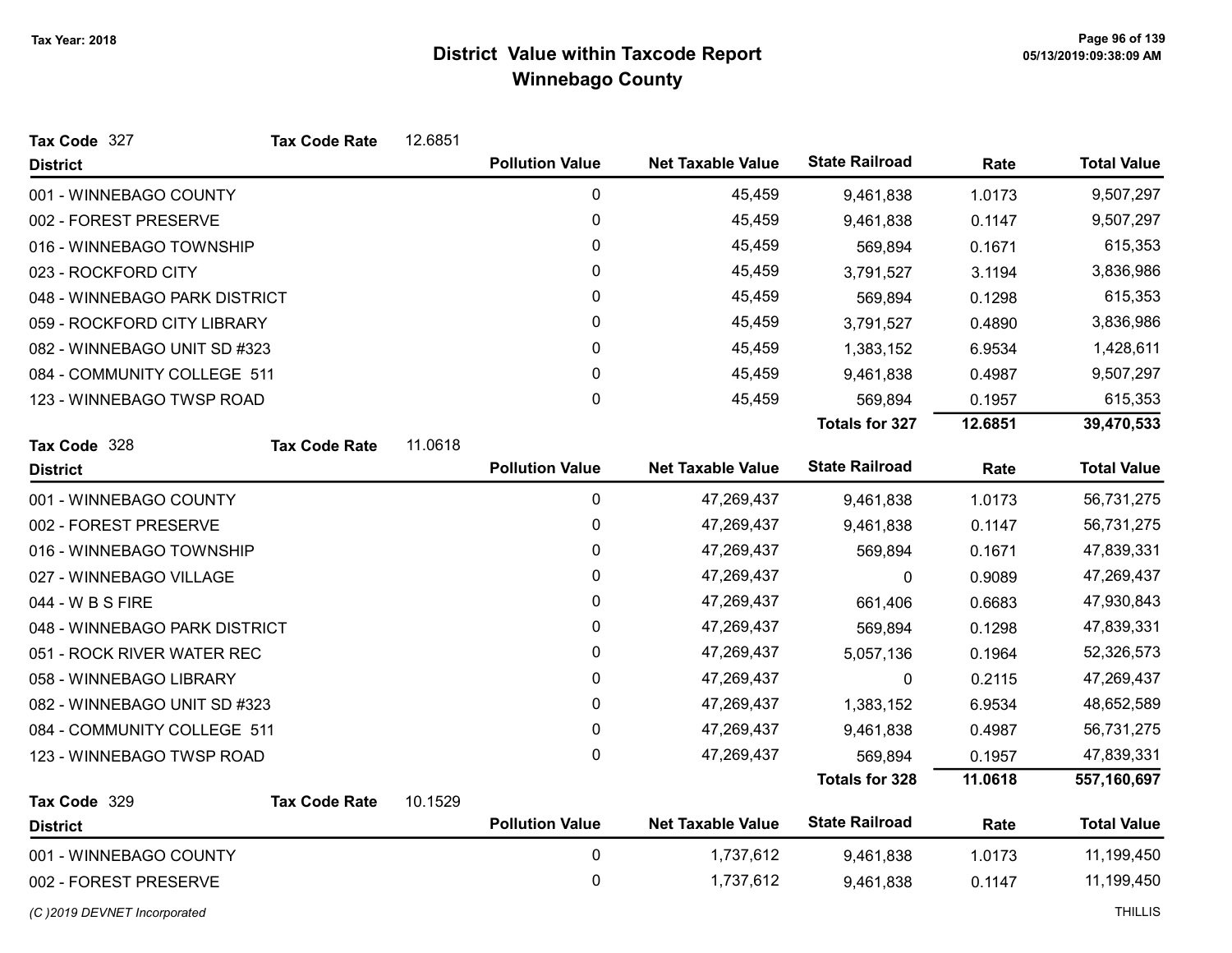| Tax Code 327                  | <b>Tax Code Rate</b> | 12.6851   |                        |                          |                       |           |                    |
|-------------------------------|----------------------|-----------|------------------------|--------------------------|-----------------------|-----------|--------------------|
| <b>District</b>               |                      |           | <b>Pollution Value</b> | <b>Net Taxable Value</b> | <b>State Railroad</b> | Rate      | <b>Total Value</b> |
| 001 - WINNEBAGO COUNTY        |                      |           | $\pmb{0}$              | 45,459                   | 9,461,838             | 1.0173    | 9,507,297          |
| 002 - FOREST PRESERVE         |                      |           | $\pmb{0}$              | 45,459                   | 9,461,838             | 0.1147    | 9,507,297          |
| 016 - WINNEBAGO TOWNSHIP      |                      |           | 0                      | 45,459                   | 569,894               | 0.1671    | 615,353            |
| 023 - ROCKFORD CITY           |                      | $\pmb{0}$ | 45,459                 | 3,791,527                | 3.1194                | 3,836,986 |                    |
| 048 - WINNEBAGO PARK DISTRICT |                      |           | $\pmb{0}$              | 45,459                   | 569,894               | 0.1298    | 615,353            |
| 059 - ROCKFORD CITY LIBRARY   |                      |           | 0                      | 45,459                   | 3,791,527             | 0.4890    | 3,836,986          |
| 082 - WINNEBAGO UNIT SD #323  |                      |           | 0                      | 45,459                   | 1,383,152             | 6.9534    | 1,428,611          |
| 084 - COMMUNITY COLLEGE 511   |                      |           | 0                      | 45,459                   | 9,461,838             | 0.4987    | 9,507,297          |
| 123 - WINNEBAGO TWSP ROAD     |                      |           | $\pmb{0}$              | 45,459                   | 569,894               | 0.1957    | 615,353            |
|                               |                      |           |                        |                          | <b>Totals for 327</b> | 12.6851   | 39,470,533         |
| Tax Code 328                  | <b>Tax Code Rate</b> | 11.0618   |                        |                          |                       |           |                    |
| <b>District</b>               |                      |           | <b>Pollution Value</b> | <b>Net Taxable Value</b> | <b>State Railroad</b> | Rate      | <b>Total Value</b> |
| 001 - WINNEBAGO COUNTY        |                      |           | $\pmb{0}$              | 47,269,437               | 9,461,838             | 1.0173    | 56,731,275         |
| 002 - FOREST PRESERVE         |                      |           | $\pmb{0}$              | 47,269,437               | 9,461,838             | 0.1147    | 56,731,275         |
| 016 - WINNEBAGO TOWNSHIP      |                      |           | 0                      | 47,269,437               | 569,894               | 0.1671    | 47,839,331         |
| 027 - WINNEBAGO VILLAGE       |                      |           | $\pmb{0}$              | 47,269,437               | 0                     | 0.9089    | 47,269,437         |
| 044 - W B S FIRE              |                      |           | 0                      | 47,269,437               | 661,406               | 0.6683    | 47,930,843         |
| 048 - WINNEBAGO PARK DISTRICT |                      |           | 0                      | 47,269,437               | 569,894               | 0.1298    | 47,839,331         |
| 051 - ROCK RIVER WATER REC    |                      |           | 0                      | 47,269,437               | 5,057,136             | 0.1964    | 52,326,573         |
| 058 - WINNEBAGO LIBRARY       |                      |           | $\mathbf 0$            | 47,269,437               | 0                     | 0.2115    | 47,269,437         |
| 082 - WINNEBAGO UNIT SD #323  |                      |           | 0                      | 47,269,437               | 1,383,152             | 6.9534    | 48,652,589         |
| 084 - COMMUNITY COLLEGE 511   |                      |           | $\pmb{0}$              | 47,269,437               | 9,461,838             | 0.4987    | 56,731,275         |
| 123 - WINNEBAGO TWSP ROAD     |                      |           | 0                      | 47,269,437               | 569,894               | 0.1957    | 47,839,331         |
|                               |                      |           |                        |                          | <b>Totals for 328</b> | 11.0618   | 557,160,697        |
| Tax Code 329                  | <b>Tax Code Rate</b> | 10.1529   |                        |                          |                       |           |                    |
| <b>District</b>               |                      |           | <b>Pollution Value</b> | <b>Net Taxable Value</b> | <b>State Railroad</b> | Rate      | <b>Total Value</b> |
| 001 - WINNEBAGO COUNTY        |                      |           | $\pmb{0}$              | 1,737,612                | 9,461,838             | 1.0173    | 11,199,450         |
| 002 - FOREST PRESERVE         |                      |           | 0                      | 1,737,612                | 9,461,838             | 0.1147    | 11,199,450         |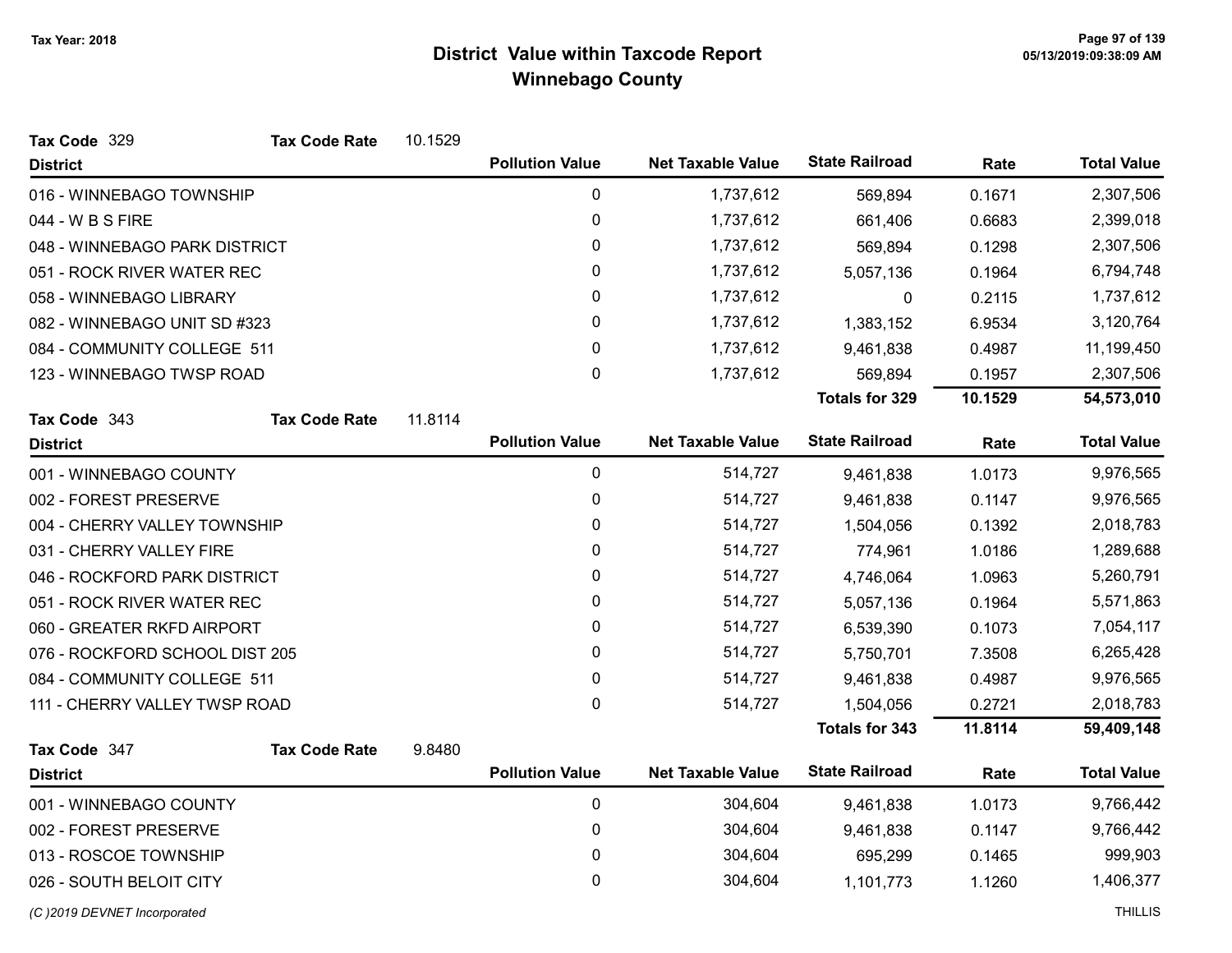| Tax Code 329                   | <b>Tax Code Rate</b> | 10.1529 |                        |                          |                       |         |                    |
|--------------------------------|----------------------|---------|------------------------|--------------------------|-----------------------|---------|--------------------|
| <b>District</b>                |                      |         | <b>Pollution Value</b> | <b>Net Taxable Value</b> | <b>State Railroad</b> | Rate    | <b>Total Value</b> |
| 016 - WINNEBAGO TOWNSHIP       |                      |         | $\mathbf 0$            | 1,737,612                | 569,894               | 0.1671  | 2,307,506          |
| 044 - W B S FIRE               |                      |         | 0                      | 1,737,612                | 661,406               | 0.6683  | 2,399,018          |
| 048 - WINNEBAGO PARK DISTRICT  |                      |         | $\pmb{0}$              | 1,737,612                | 569,894               | 0.1298  | 2,307,506          |
| 051 - ROCK RIVER WATER REC     |                      |         | 0                      | 1,737,612                | 5,057,136             | 0.1964  | 6,794,748          |
| 058 - WINNEBAGO LIBRARY        |                      |         | $\mathbf 0$            | 1,737,612                | 0                     | 0.2115  | 1,737,612          |
| 082 - WINNEBAGO UNIT SD #323   |                      |         | 0                      | 1,737,612                | 1,383,152             | 6.9534  | 3,120,764          |
| 084 - COMMUNITY COLLEGE 511    |                      |         | 0                      | 1,737,612                | 9,461,838             | 0.4987  | 11,199,450         |
| 123 - WINNEBAGO TWSP ROAD      |                      |         | 0                      | 1,737,612                | 569,894               | 0.1957  | 2,307,506          |
|                                |                      |         |                        |                          | <b>Totals for 329</b> | 10.1529 | 54,573,010         |
| Tax Code 343                   | <b>Tax Code Rate</b> | 11.8114 |                        |                          |                       |         |                    |
| <b>District</b>                |                      |         | <b>Pollution Value</b> | <b>Net Taxable Value</b> | <b>State Railroad</b> | Rate    | <b>Total Value</b> |
| 001 - WINNEBAGO COUNTY         |                      |         | $\pmb{0}$              | 514,727                  | 9,461,838             | 1.0173  | 9,976,565          |
| 002 - FOREST PRESERVE          |                      |         | 0                      | 514,727                  | 9,461,838             | 0.1147  | 9,976,565          |
| 004 - CHERRY VALLEY TOWNSHIP   |                      |         | 0                      | 514,727                  | 1,504,056             | 0.1392  | 2,018,783          |
| 031 - CHERRY VALLEY FIRE       |                      |         | $\mathbf 0$            | 514,727                  | 774,961               | 1.0186  | 1,289,688          |
| 046 - ROCKFORD PARK DISTRICT   |                      |         | 0                      | 514,727                  | 4,746,064             | 1.0963  | 5,260,791          |
| 051 - ROCK RIVER WATER REC     |                      |         | 0                      | 514,727                  | 5,057,136             | 0.1964  | 5,571,863          |
| 060 - GREATER RKFD AIRPORT     |                      |         | 0                      | 514,727                  | 6,539,390             | 0.1073  | 7,054,117          |
| 076 - ROCKFORD SCHOOL DIST 205 |                      |         | 0                      | 514,727                  | 5,750,701             | 7.3508  | 6,265,428          |
| 084 - COMMUNITY COLLEGE 511    |                      |         | 0                      | 514,727                  | 9,461,838             | 0.4987  | 9,976,565          |
| 111 - CHERRY VALLEY TWSP ROAD  |                      |         | $\mathbf{0}$           | 514,727                  | 1,504,056             | 0.2721  | 2,018,783          |
|                                |                      |         |                        |                          | <b>Totals for 343</b> | 11.8114 | 59,409,148         |
| Tax Code 347                   | <b>Tax Code Rate</b> | 9.8480  |                        |                          |                       |         |                    |
| <b>District</b>                |                      |         | <b>Pollution Value</b> | <b>Net Taxable Value</b> | <b>State Railroad</b> | Rate    | <b>Total Value</b> |
| 001 - WINNEBAGO COUNTY         |                      |         | $\mathbf 0$            | 304,604                  | 9,461,838             | 1.0173  | 9,766,442          |
| 002 - FOREST PRESERVE          |                      |         | 0                      | 304,604                  | 9,461,838             | 0.1147  | 9,766,442          |
| 013 - ROSCOE TOWNSHIP          |                      |         | 0                      | 304,604                  | 695,299               | 0.1465  | 999,903            |
| 026 - SOUTH BELOIT CITY        |                      |         | 0                      | 304,604                  | 1,101,773             | 1.1260  | 1,406,377          |
| (C)2019 DEVNET Incorporated    |                      |         |                        |                          |                       |         | <b>THILLIS</b>     |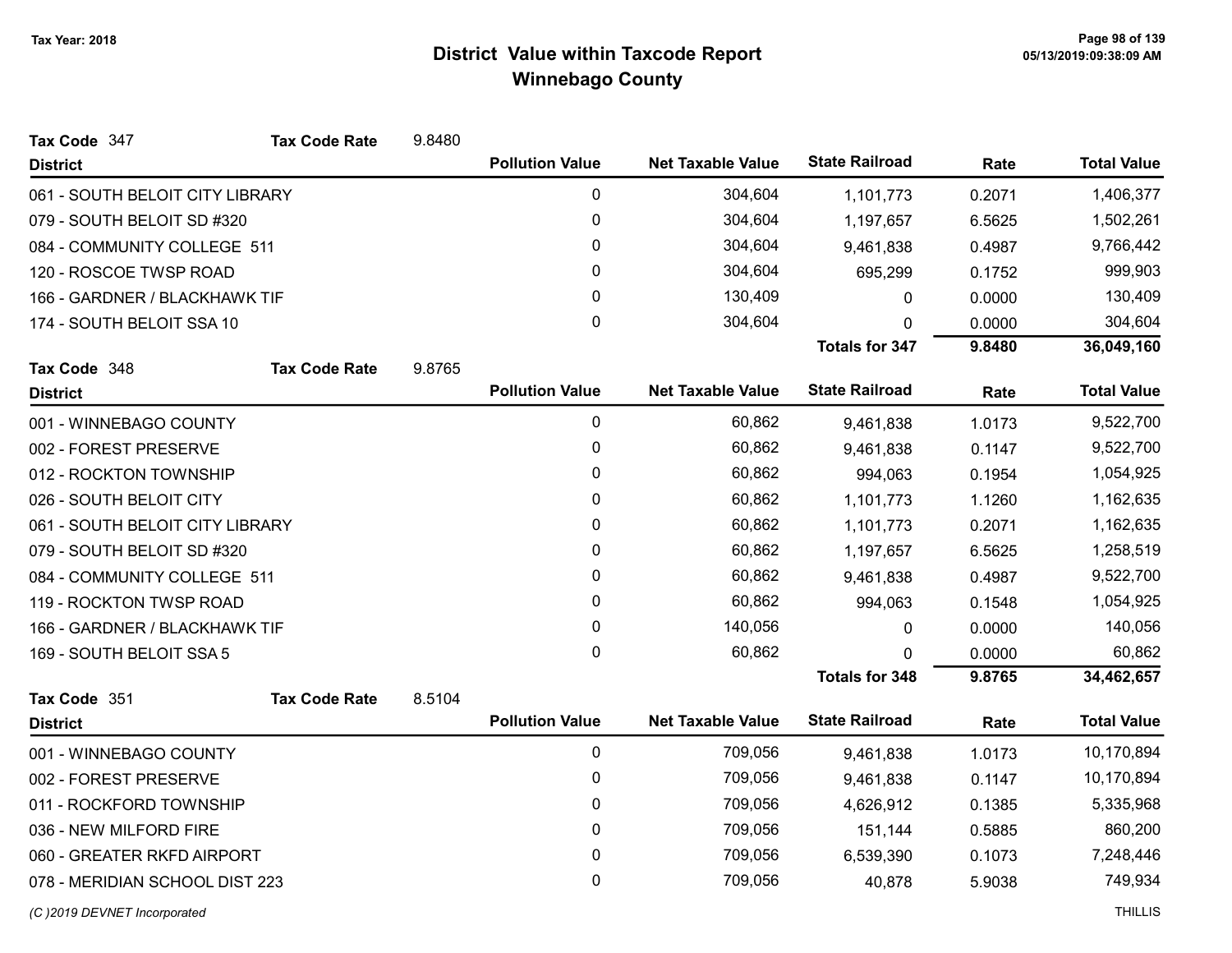| Tax Code 347                    | <b>Tax Code Rate</b> | 9.8480 |                        |                          |                       |         |                    |
|---------------------------------|----------------------|--------|------------------------|--------------------------|-----------------------|---------|--------------------|
| <b>District</b>                 |                      |        | <b>Pollution Value</b> | <b>Net Taxable Value</b> | <b>State Railroad</b> | Rate    | <b>Total Value</b> |
| 061 - SOUTH BELOIT CITY LIBRARY |                      |        | $\pmb{0}$              | 304,604                  | 1,101,773             | 0.2071  | 1,406,377          |
| 079 - SOUTH BELOIT SD #320      |                      |        | $\pmb{0}$              | 304,604                  | 1,197,657             | 6.5625  | 1,502,261          |
| 084 - COMMUNITY COLLEGE 511     |                      |        | 0                      | 304,604                  | 9,461,838             | 0.4987  | 9,766,442          |
| 120 - ROSCOE TWSP ROAD          | 0                    |        | 304,604                | 695,299                  | 0.1752                | 999,903 |                    |
| 166 - GARDNER / BLACKHAWK TIF   |                      |        | $\mathbf 0$            | 130,409                  | 0                     | 0.0000  | 130,409            |
| 174 - SOUTH BELOIT SSA 10       |                      |        | 0                      | 304,604                  | $\Omega$              | 0.0000  | 304,604            |
|                                 |                      |        |                        |                          | <b>Totals for 347</b> | 9.8480  | 36,049,160         |
| Tax Code 348                    | <b>Tax Code Rate</b> | 9.8765 |                        |                          |                       |         |                    |
| <b>District</b>                 |                      |        | <b>Pollution Value</b> | <b>Net Taxable Value</b> | <b>State Railroad</b> | Rate    | <b>Total Value</b> |
| 001 - WINNEBAGO COUNTY          |                      |        | $\pmb{0}$              | 60,862                   | 9,461,838             | 1.0173  | 9,522,700          |
| 002 - FOREST PRESERVE           |                      |        | $\pmb{0}$              | 60,862                   | 9,461,838             | 0.1147  | 9,522,700          |
| 012 - ROCKTON TOWNSHIP          |                      |        | 0                      | 60,862                   | 994,063               | 0.1954  | 1,054,925          |
| 026 - SOUTH BELOIT CITY         |                      |        | 0                      | 60,862                   | 1,101,773             | 1.1260  | 1,162,635          |
| 061 - SOUTH BELOIT CITY LIBRARY |                      |        | 0                      | 60,862                   | 1,101,773             | 0.2071  | 1,162,635          |
| 079 - SOUTH BELOIT SD #320      |                      |        | 0                      | 60,862                   | 1,197,657             | 6.5625  | 1,258,519          |
| 084 - COMMUNITY COLLEGE 511     |                      |        | $\mathbf 0$            | 60,862                   | 9,461,838             | 0.4987  | 9,522,700          |
| 119 - ROCKTON TWSP ROAD         |                      |        | $\mathbf{0}$           | 60,862                   | 994,063               | 0.1548  | 1,054,925          |
| 166 - GARDNER / BLACKHAWK TIF   |                      |        | $\pmb{0}$              | 140,056                  | 0                     | 0.0000  | 140,056            |
| 169 - SOUTH BELOIT SSA 5        |                      |        | 0                      | 60,862                   | 0                     | 0.0000  | 60,862             |
|                                 |                      |        |                        |                          | <b>Totals for 348</b> | 9.8765  | 34,462,657         |
| Tax Code 351                    | <b>Tax Code Rate</b> | 8.5104 |                        |                          |                       |         |                    |
| <b>District</b>                 |                      |        | <b>Pollution Value</b> | <b>Net Taxable Value</b> | <b>State Railroad</b> | Rate    | <b>Total Value</b> |
| 001 - WINNEBAGO COUNTY          |                      |        | 0                      | 709,056                  | 9,461,838             | 1.0173  | 10,170,894         |
| 002 - FOREST PRESERVE           |                      |        | 0                      | 709,056                  | 9,461,838             | 0.1147  | 10,170,894         |
| 011 - ROCKFORD TOWNSHIP         |                      |        | 0                      | 709,056                  | 4,626,912             | 0.1385  | 5,335,968          |
| 036 - NEW MILFORD FIRE          |                      |        | $\mathbf 0$            | 709,056                  | 151,144               | 0.5885  | 860,200            |
| 060 - GREATER RKFD AIRPORT      |                      |        | $\pmb{0}$              | 709,056                  | 6,539,390             | 0.1073  | 7,248,446          |
| 078 - MERIDIAN SCHOOL DIST 223  |                      |        | 0                      | 709,056                  | 40,878                | 5.9038  | 749,934            |
|                                 |                      |        |                        |                          |                       |         |                    |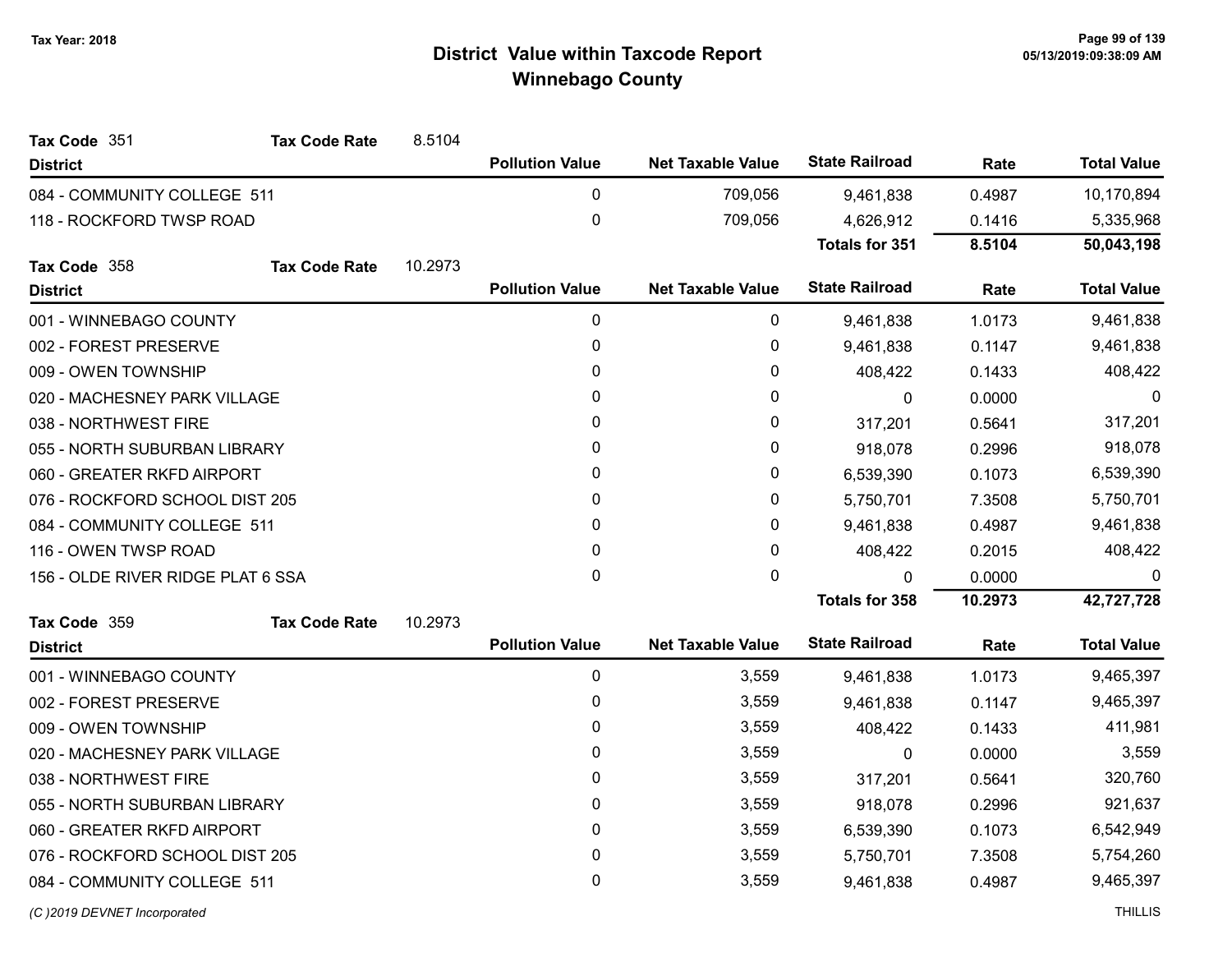| Tax Code 351                      | <b>Tax Code Rate</b>           | 8.5104  |                        |                          |                       |           |                    |
|-----------------------------------|--------------------------------|---------|------------------------|--------------------------|-----------------------|-----------|--------------------|
| <b>District</b>                   |                                |         | <b>Pollution Value</b> | <b>Net Taxable Value</b> | <b>State Railroad</b> | Rate      | <b>Total Value</b> |
| 084 - COMMUNITY COLLEGE 511       |                                |         | 0                      | 709,056                  | 9,461,838             | 0.4987    | 10,170,894         |
| 118 - ROCKFORD TWSP ROAD          |                                |         | $\mathbf 0$            | 709,056                  | 4,626,912             | 0.1416    | 5,335,968          |
|                                   |                                |         |                        |                          | <b>Totals for 351</b> | 8.5104    | 50,043,198         |
| Tax Code 358                      | <b>Tax Code Rate</b>           | 10.2973 |                        |                          |                       |           |                    |
| <b>District</b>                   |                                |         | <b>Pollution Value</b> | <b>Net Taxable Value</b> | <b>State Railroad</b> | Rate      | <b>Total Value</b> |
| 001 - WINNEBAGO COUNTY            |                                |         | 0                      | 0                        | 9,461,838             | 1.0173    | 9,461,838          |
| 002 - FOREST PRESERVE             |                                |         | 0                      | 0                        | 9,461,838             | 0.1147    | 9,461,838          |
| 009 - OWEN TOWNSHIP               |                                |         | 0                      | 0                        | 408,422               | 0.1433    | 408,422            |
| 020 - MACHESNEY PARK VILLAGE      |                                |         | 0                      | 0                        | $\mathbf 0$           | 0.0000    | 0                  |
| 038 - NORTHWEST FIRE              |                                |         | 0                      | 0                        | 317,201               | 0.5641    | 317,201            |
| 055 - NORTH SUBURBAN LIBRARY      |                                |         | 0                      | 0                        | 918,078               | 0.2996    | 918,078            |
| 060 - GREATER RKFD AIRPORT        |                                | 0       | 0                      | 6,539,390                | 0.1073                | 6,539,390 |                    |
|                                   | 076 - ROCKFORD SCHOOL DIST 205 |         | 0                      | 0                        | 5,750,701             | 7.3508    | 5,750,701          |
|                                   | 084 - COMMUNITY COLLEGE 511    |         | 0                      | 0                        | 9,461,838             | 0.4987    | 9,461,838          |
| 116 - OWEN TWSP ROAD              |                                |         | 0                      | 0                        | 408,422               | 0.2015    | 408,422            |
| 156 - OLDE RIVER RIDGE PLAT 6 SSA |                                |         | 0                      | 0                        | 0                     | 0.0000    |                    |
|                                   |                                |         |                        |                          | <b>Totals for 358</b> | 10.2973   | 42,727,728         |
| Tax Code 359                      | <b>Tax Code Rate</b>           | 10.2973 |                        |                          |                       |           |                    |
| <b>District</b>                   |                                |         | <b>Pollution Value</b> | <b>Net Taxable Value</b> | <b>State Railroad</b> | Rate      | <b>Total Value</b> |
| 001 - WINNEBAGO COUNTY            |                                |         | 0                      | 3,559                    | 9,461,838             | 1.0173    | 9,465,397          |
| 002 - FOREST PRESERVE             |                                |         | 0                      | 3,559                    | 9,461,838             | 0.1147    | 9,465,397          |
| 009 - OWEN TOWNSHIP               |                                |         | 0                      | 3,559                    | 408,422               | 0.1433    | 411,981            |
| 020 - MACHESNEY PARK VILLAGE      |                                |         | 0                      | 3,559                    | 0                     | 0.0000    | 3,559              |
| 038 - NORTHWEST FIRE              |                                |         | 0                      | 3,559                    | 317,201               | 0.5641    | 320,760            |
| 055 - NORTH SUBURBAN LIBRARY      |                                |         | 0                      | 3,559                    | 918,078               | 0.2996    | 921,637            |
| 060 - GREATER RKFD AIRPORT        |                                |         | 0                      | 3,559                    | 6,539,390             | 0.1073    | 6,542,949          |
| 076 - ROCKFORD SCHOOL DIST 205    |                                |         | 0                      | 3,559                    | 5,750,701             | 7.3508    | 5,754,260          |
| 084 - COMMUNITY COLLEGE 511       |                                |         | 0                      | 3,559                    | 9,461,838             | 0.4987    | 9,465,397          |
|                                   |                                |         |                        |                          |                       |           |                    |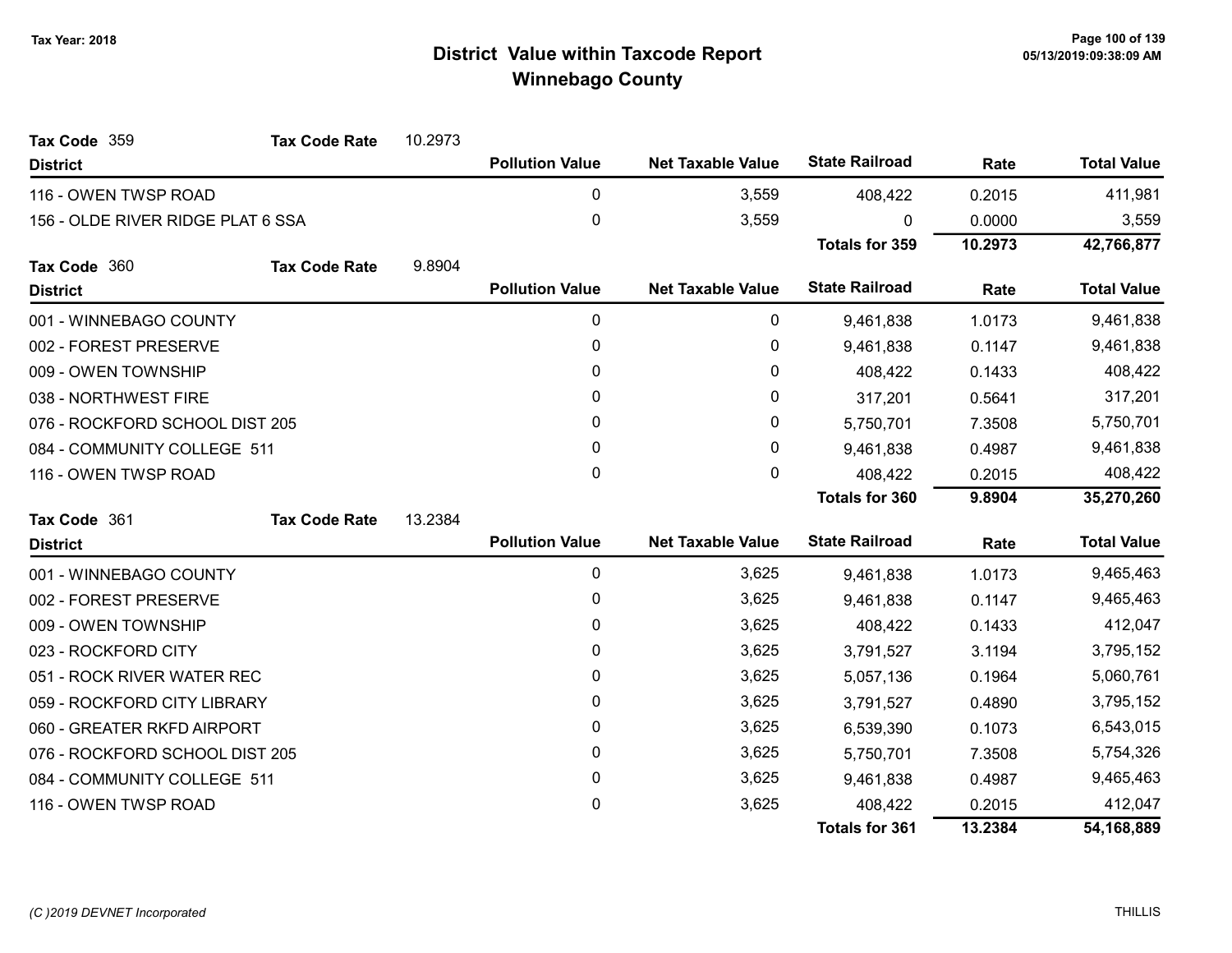| Tax Code 359                      | <b>Tax Code Rate</b>           | 10.2973 |                        |                          |                       |           |                    |
|-----------------------------------|--------------------------------|---------|------------------------|--------------------------|-----------------------|-----------|--------------------|
| <b>District</b>                   |                                |         | <b>Pollution Value</b> | <b>Net Taxable Value</b> | <b>State Railroad</b> | Rate      | <b>Total Value</b> |
| 116 - OWEN TWSP ROAD              |                                |         | 0                      | 3,559                    | 408,422               | 0.2015    | 411,981            |
| 156 - OLDE RIVER RIDGE PLAT 6 SSA |                                |         | 0                      | 3,559                    | <sup>0</sup>          | 0.0000    | 3,559              |
|                                   |                                |         |                        |                          | <b>Totals for 359</b> | 10.2973   | 42,766,877         |
| Tax Code 360                      | <b>Tax Code Rate</b>           | 9.8904  |                        |                          |                       |           |                    |
| <b>District</b>                   |                                |         | <b>Pollution Value</b> | <b>Net Taxable Value</b> | <b>State Railroad</b> | Rate      | <b>Total Value</b> |
| 001 - WINNEBAGO COUNTY            |                                |         | 0                      | 0                        | 9,461,838             | 1.0173    | 9,461,838          |
| 002 - FOREST PRESERVE             |                                |         | 0                      | 0                        | 9,461,838             | 0.1147    | 9,461,838          |
| 009 - OWEN TOWNSHIP               |                                |         | $\mathbf{0}$           | 0                        | 408,422               | 0.1433    | 408,422            |
| 038 - NORTHWEST FIRE              |                                |         | 0                      | 0                        | 317,201               | 0.5641    | 317,201            |
|                                   | 076 - ROCKFORD SCHOOL DIST 205 |         | $\mathbf{0}$           | 0                        | 5,750,701             | 7.3508    | 5,750,701          |
| 084 - COMMUNITY COLLEGE 511       |                                | 0       | 0                      | 9,461,838                | 0.4987                | 9,461,838 |                    |
| 116 - OWEN TWSP ROAD              |                                |         | 0                      | 0                        | 408,422               | 0.2015    | 408,422            |
|                                   |                                |         |                        |                          | <b>Totals for 360</b> | 9.8904    | 35,270,260         |
| Tax Code 361                      | <b>Tax Code Rate</b>           | 13.2384 |                        |                          |                       |           |                    |
| <b>District</b>                   |                                |         | <b>Pollution Value</b> | <b>Net Taxable Value</b> | <b>State Railroad</b> | Rate      | <b>Total Value</b> |
| 001 - WINNEBAGO COUNTY            |                                |         | 0                      | 3,625                    | 9,461,838             | 1.0173    | 9,465,463          |
| 002 - FOREST PRESERVE             |                                |         | 0                      | 3,625                    | 9,461,838             | 0.1147    | 9,465,463          |
| 009 - OWEN TOWNSHIP               |                                |         | $\mathbf{0}$           | 3,625                    | 408,422               | 0.1433    | 412,047            |
| 023 - ROCKFORD CITY               |                                |         | 0                      | 3,625                    | 3,791,527             | 3.1194    | 3,795,152          |
| 051 - ROCK RIVER WATER REC        |                                |         | 0                      | 3,625                    | 5,057,136             | 0.1964    | 5,060,761          |
| 059 - ROCKFORD CITY LIBRARY       |                                |         | $\mathbf{0}$           | 3,625                    | 3,791,527             | 0.4890    | 3,795,152          |
| 060 - GREATER RKFD AIRPORT        |                                |         | 0                      | 3,625                    | 6,539,390             | 0.1073    | 6,543,015          |
| 076 - ROCKFORD SCHOOL DIST 205    |                                |         | 0                      | 3,625                    | 5,750,701             | 7.3508    | 5,754,326          |
| 084 - COMMUNITY COLLEGE 511       |                                |         | 0                      | 3,625                    | 9,461,838             | 0.4987    | 9,465,463          |
| 116 - OWEN TWSP ROAD              |                                |         | 0                      | 3,625                    | 408,422               | 0.2015    | 412,047            |
|                                   |                                |         |                        |                          | <b>Totals for 361</b> | 13.2384   | 54,168,889         |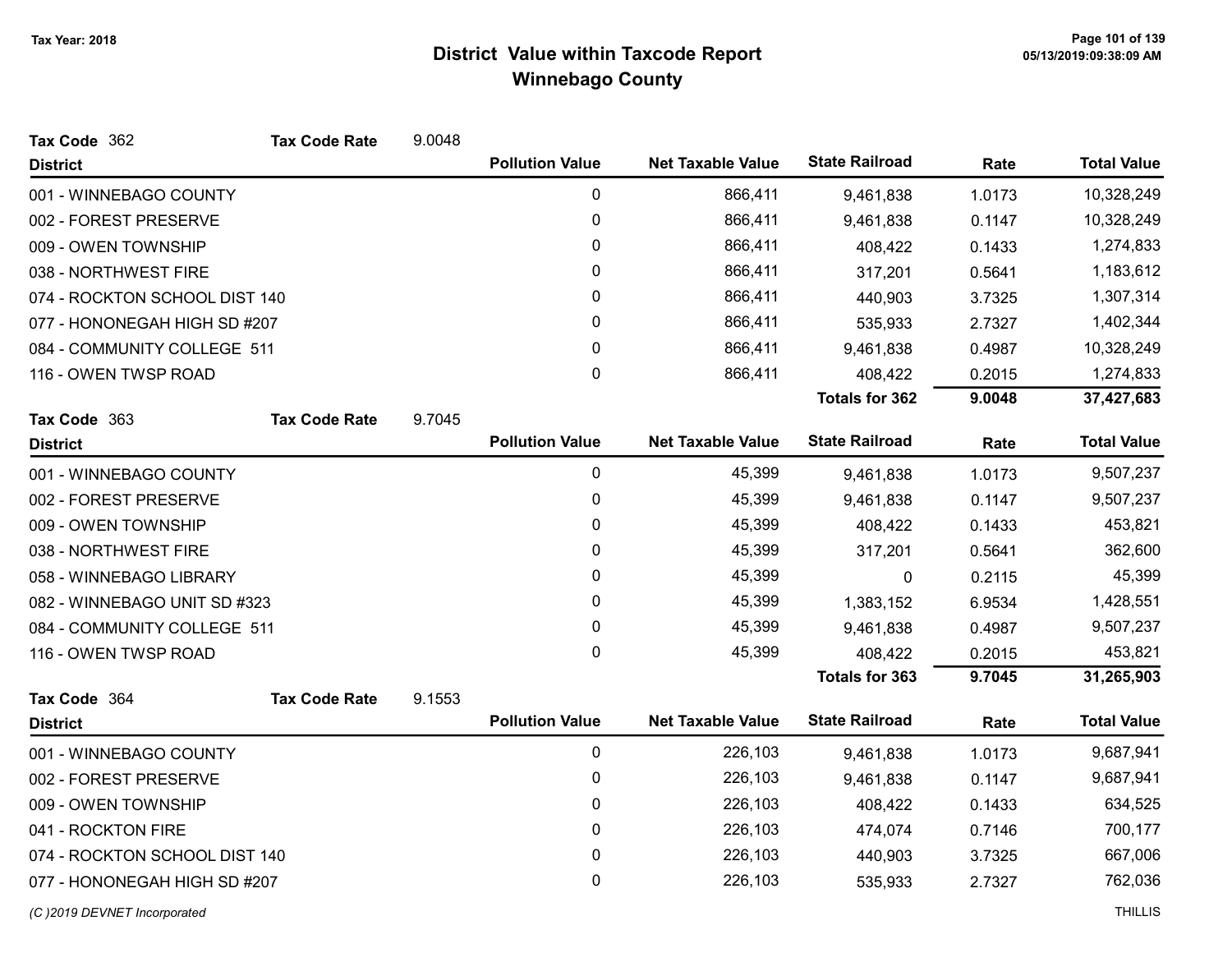| Tax Code 362                  | <b>Tax Code Rate</b> | 9.0048 |                        |                          |                       |        |                    |
|-------------------------------|----------------------|--------|------------------------|--------------------------|-----------------------|--------|--------------------|
| <b>District</b>               |                      |        | <b>Pollution Value</b> | <b>Net Taxable Value</b> | <b>State Railroad</b> | Rate   | <b>Total Value</b> |
| 001 - WINNEBAGO COUNTY        |                      |        | 0                      | 866,411                  | 9,461,838             | 1.0173 | 10,328,249         |
| 002 - FOREST PRESERVE         |                      |        | 0                      | 866,411                  | 9,461,838             | 0.1147 | 10,328,249         |
| 009 - OWEN TOWNSHIP           |                      |        | 0                      | 866,411                  | 408,422               | 0.1433 | 1,274,833          |
| 038 - NORTHWEST FIRE          |                      |        | 0                      | 866,411                  | 317,201               | 0.5641 | 1,183,612          |
| 074 - ROCKTON SCHOOL DIST 140 |                      |        | 0                      | 866,411                  | 440,903               | 3.7325 | 1,307,314          |
| 077 - HONONEGAH HIGH SD #207  |                      |        | 0                      | 866,411                  | 535,933               | 2.7327 | 1,402,344          |
| 084 - COMMUNITY COLLEGE 511   |                      |        | 0                      | 866,411                  | 9,461,838             | 0.4987 | 10,328,249         |
| 116 - OWEN TWSP ROAD          |                      |        | 0                      | 866,411                  | 408,422               | 0.2015 | 1,274,833          |
|                               |                      |        |                        |                          | <b>Totals for 362</b> | 9.0048 | 37,427,683         |
| Tax Code 363                  | <b>Tax Code Rate</b> | 9.7045 |                        |                          |                       |        |                    |
| <b>District</b>               |                      |        | <b>Pollution Value</b> | <b>Net Taxable Value</b> | <b>State Railroad</b> | Rate   | <b>Total Value</b> |
| 001 - WINNEBAGO COUNTY        |                      |        | 0                      | 45,399                   | 9,461,838             | 1.0173 | 9,507,237          |
| 002 - FOREST PRESERVE         |                      |        | 0                      | 45,399                   | 9,461,838             | 0.1147 | 9,507,237          |
| 009 - OWEN TOWNSHIP           |                      |        | 0                      | 45,399                   | 408,422               | 0.1433 | 453,821            |
| 038 - NORTHWEST FIRE          |                      |        | 0                      | 45,399                   | 317,201               | 0.5641 | 362,600            |
| 058 - WINNEBAGO LIBRARY       |                      |        | 0                      | 45,399                   | 0                     | 0.2115 | 45,399             |
| 082 - WINNEBAGO UNIT SD #323  |                      |        | 0                      | 45,399                   | 1,383,152             | 6.9534 | 1,428,551          |
| 084 - COMMUNITY COLLEGE 511   |                      |        | 0                      | 45,399                   | 9,461,838             | 0.4987 | 9,507,237          |
| 116 - OWEN TWSP ROAD          |                      |        | 0                      | 45,399                   | 408,422               | 0.2015 | 453,821            |
|                               |                      |        |                        |                          | <b>Totals for 363</b> | 9.7045 | 31,265,903         |
| Tax Code 364                  | <b>Tax Code Rate</b> | 9.1553 |                        |                          |                       |        |                    |
| <b>District</b>               |                      |        | <b>Pollution Value</b> | <b>Net Taxable Value</b> | <b>State Railroad</b> | Rate   | <b>Total Value</b> |
| 001 - WINNEBAGO COUNTY        |                      |        | $\mathbf 0$            | 226,103                  | 9,461,838             | 1.0173 | 9,687,941          |
| 002 - FOREST PRESERVE         |                      |        | 0                      | 226,103                  | 9,461,838             | 0.1147 | 9,687,941          |
| 009 - OWEN TOWNSHIP           |                      |        | 0                      | 226,103                  | 408,422               | 0.1433 | 634,525            |
| 041 - ROCKTON FIRE            |                      |        | $\mathbf{0}$           | 226,103                  | 474,074               | 0.7146 | 700,177            |
| 074 - ROCKTON SCHOOL DIST 140 |                      |        | 0                      | 226,103                  | 440,903               | 3.7325 | 667,006            |
| 077 - HONONEGAH HIGH SD #207  |                      |        | 0                      | 226,103                  | 535,933               | 2.7327 | 762,036            |
| (C)2019 DEVNET Incorporated   |                      |        |                        |                          |                       |        | <b>THILLIS</b>     |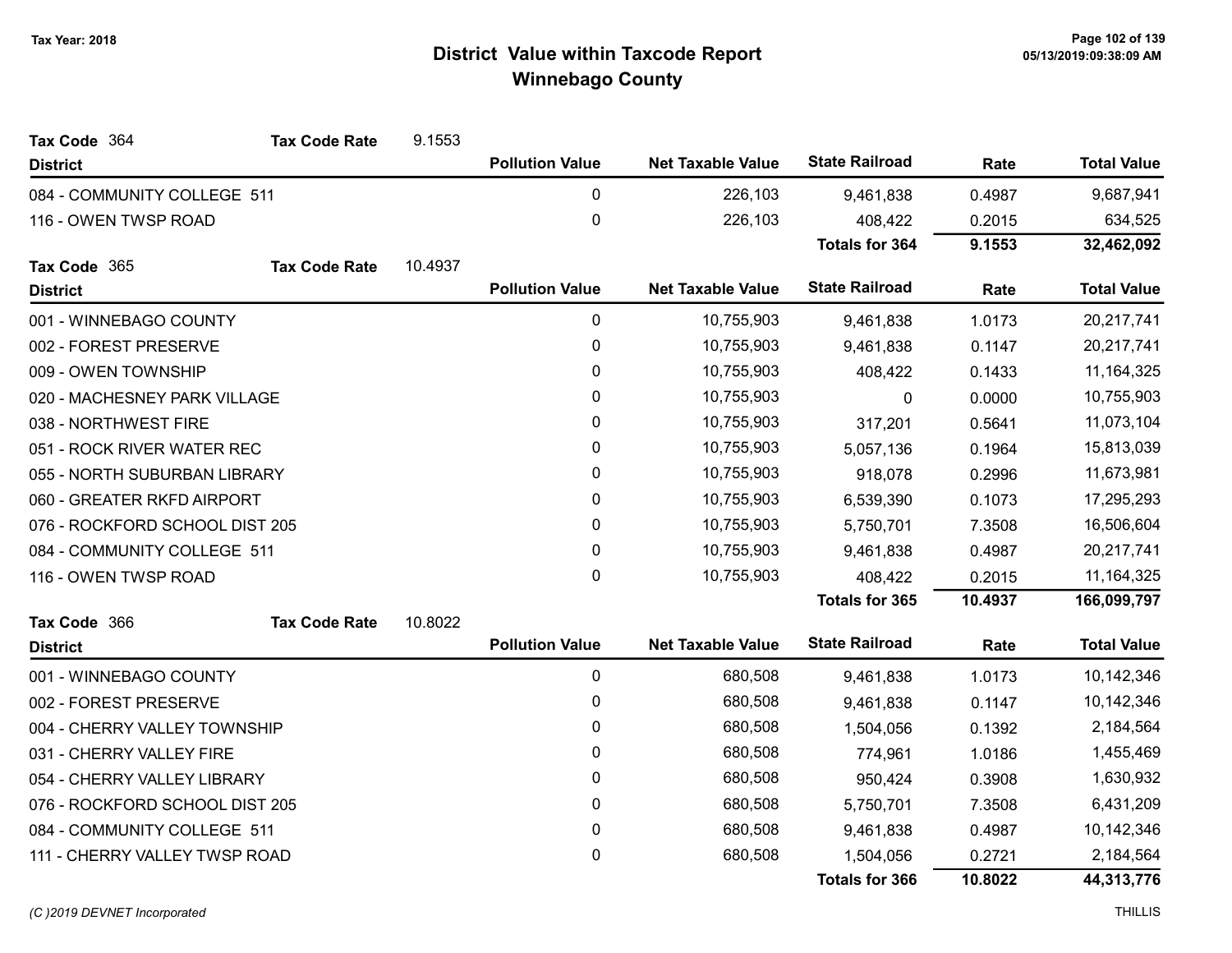| Tax Code 364                   | <b>Tax Code Rate</b> | 9.1553  |                        |                          |                       |            |                    |
|--------------------------------|----------------------|---------|------------------------|--------------------------|-----------------------|------------|--------------------|
| <b>District</b>                |                      |         | <b>Pollution Value</b> | <b>Net Taxable Value</b> | <b>State Railroad</b> | Rate       | <b>Total Value</b> |
| 084 - COMMUNITY COLLEGE 511    |                      |         | 0                      | 226,103                  | 9,461,838             | 0.4987     | 9,687,941          |
| 116 - OWEN TWSP ROAD           |                      |         | 0                      | 226,103                  | 408,422               | 0.2015     | 634,525            |
|                                |                      |         |                        |                          | <b>Totals for 364</b> | 9.1553     | 32,462,092         |
| Tax Code 365                   | <b>Tax Code Rate</b> | 10.4937 |                        |                          |                       |            |                    |
| <b>District</b>                |                      |         | <b>Pollution Value</b> | <b>Net Taxable Value</b> | <b>State Railroad</b> | Rate       | <b>Total Value</b> |
| 001 - WINNEBAGO COUNTY         |                      |         | 0                      | 10,755,903               | 9,461,838             | 1.0173     | 20,217,741         |
| 002 - FOREST PRESERVE          |                      |         | 0                      | 10,755,903               | 9,461,838             | 0.1147     | 20,217,741         |
| 009 - OWEN TOWNSHIP            |                      |         | 0                      | 10,755,903               | 408,422               | 0.1433     | 11, 164, 325       |
| 020 - MACHESNEY PARK VILLAGE   |                      |         | 0                      | 10,755,903               | 0                     | 0.0000     | 10,755,903         |
| 038 - NORTHWEST FIRE           |                      |         | 0                      | 10,755,903               | 317,201               | 0.5641     | 11,073,104         |
| 051 - ROCK RIVER WATER REC     |                      | 0       | 10,755,903             | 5,057,136                | 0.1964                | 15,813,039 |                    |
| 055 - NORTH SUBURBAN LIBRARY   |                      | 0       | 10,755,903             | 918,078                  | 0.2996                | 11,673,981 |                    |
| 060 - GREATER RKFD AIRPORT     |                      | 0       | 10,755,903             | 6,539,390                | 0.1073                | 17,295,293 |                    |
| 076 - ROCKFORD SCHOOL DIST 205 |                      |         | 0                      | 10,755,903               | 5,750,701             | 7.3508     | 16,506,604         |
| 084 - COMMUNITY COLLEGE 511    |                      |         | 0                      | 10,755,903               | 9,461,838             | 0.4987     | 20,217,741         |
| 116 - OWEN TWSP ROAD           |                      |         | $\pmb{0}$              | 10,755,903               | 408,422               | 0.2015     | 11, 164, 325       |
|                                |                      |         |                        |                          | <b>Totals for 365</b> | 10.4937    | 166,099,797        |
| Tax Code 366                   | <b>Tax Code Rate</b> | 10.8022 |                        |                          |                       |            |                    |
| <b>District</b>                |                      |         | <b>Pollution Value</b> | <b>Net Taxable Value</b> | <b>State Railroad</b> | Rate       | <b>Total Value</b> |
| 001 - WINNEBAGO COUNTY         |                      |         | 0                      | 680,508                  | 9,461,838             | 1.0173     | 10,142,346         |
| 002 - FOREST PRESERVE          |                      |         | 0                      | 680,508                  | 9,461,838             | 0.1147     | 10,142,346         |
| 004 - CHERRY VALLEY TOWNSHIP   |                      |         | 0                      | 680,508                  | 1,504,056             | 0.1392     | 2,184,564          |
| 031 - CHERRY VALLEY FIRE       |                      |         | 0                      | 680,508                  | 774,961               | 1.0186     | 1,455,469          |
| 054 - CHERRY VALLEY LIBRARY    |                      |         | 0                      | 680,508                  | 950,424               | 0.3908     | 1,630,932          |
| 076 - ROCKFORD SCHOOL DIST 205 |                      |         | 0                      | 680,508                  | 5,750,701             | 7.3508     | 6,431,209          |
| 084 - COMMUNITY COLLEGE 511    |                      |         | 0                      | 680,508                  | 9,461,838             | 0.4987     | 10,142,346         |
| 111 - CHERRY VALLEY TWSP ROAD  |                      |         | 0                      | 680,508                  | 1,504,056             | 0.2721     | 2,184,564          |
|                                |                      |         |                        |                          | <b>Totals for 366</b> | 10.8022    | 44,313,776         |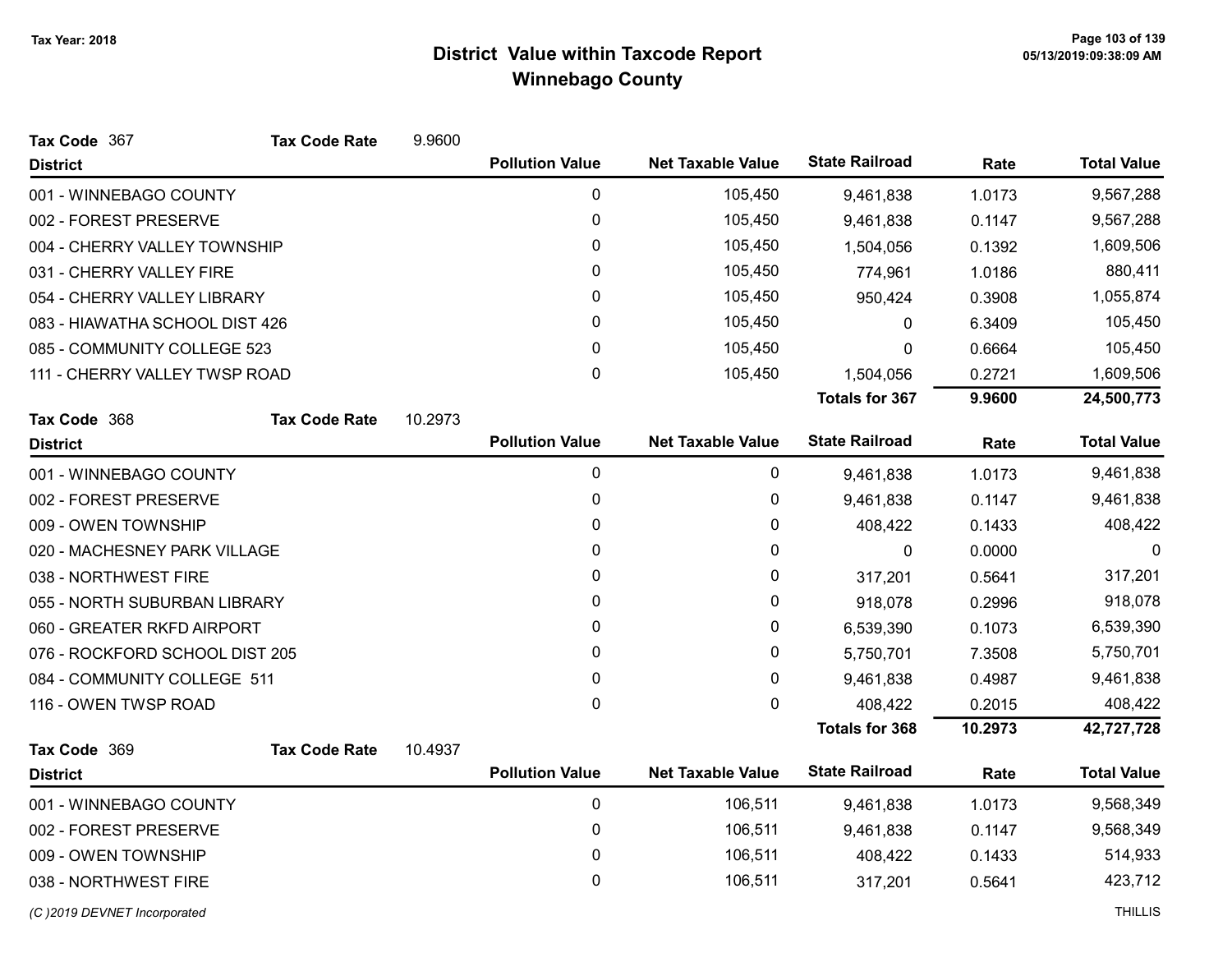| Tax Code 367                   | <b>Tax Code Rate</b> | 9.9600  |                        |                          |                       |         |                    |
|--------------------------------|----------------------|---------|------------------------|--------------------------|-----------------------|---------|--------------------|
| <b>District</b>                |                      |         | <b>Pollution Value</b> | <b>Net Taxable Value</b> | <b>State Railroad</b> | Rate    | <b>Total Value</b> |
| 001 - WINNEBAGO COUNTY         |                      |         | 0                      | 105,450                  | 9,461,838             | 1.0173  | 9,567,288          |
| 002 - FOREST PRESERVE          |                      |         | 0                      | 105,450                  | 9,461,838             | 0.1147  | 9,567,288          |
| 004 - CHERRY VALLEY TOWNSHIP   |                      |         | 0                      | 105,450                  | 1,504,056             | 0.1392  | 1,609,506          |
| 031 - CHERRY VALLEY FIRE       |                      |         | 0                      | 105,450                  | 774,961               | 1.0186  | 880,411            |
| 054 - CHERRY VALLEY LIBRARY    |                      |         | 0                      | 105,450                  | 950,424               | 0.3908  | 1,055,874          |
| 083 - HIAWATHA SCHOOL DIST 426 |                      |         | 0                      | 105,450                  | $\mathbf 0$           | 6.3409  | 105,450            |
| 085 - COMMUNITY COLLEGE 523    |                      |         | 0                      | 105,450                  | 0                     | 0.6664  | 105,450            |
| 111 - CHERRY VALLEY TWSP ROAD  |                      |         | $\mathbf 0$            | 105,450                  | 1,504,056             | 0.2721  | 1,609,506          |
|                                |                      |         |                        |                          | <b>Totals for 367</b> | 9.9600  | 24,500,773         |
| Tax Code 368                   | <b>Tax Code Rate</b> | 10.2973 |                        |                          |                       |         |                    |
| <b>District</b>                |                      |         | <b>Pollution Value</b> | <b>Net Taxable Value</b> | <b>State Railroad</b> | Rate    | <b>Total Value</b> |
| 001 - WINNEBAGO COUNTY         |                      |         | 0                      | 0                        | 9,461,838             | 1.0173  | 9,461,838          |
| 002 - FOREST PRESERVE          |                      |         | 0                      | 0                        | 9,461,838             | 0.1147  | 9,461,838          |
| 009 - OWEN TOWNSHIP            |                      |         | 0                      | 0                        | 408,422               | 0.1433  | 408,422            |
| 020 - MACHESNEY PARK VILLAGE   |                      |         | 0                      | 0                        | $\mathbf 0$           | 0.0000  | 0                  |
| 038 - NORTHWEST FIRE           |                      |         | 0                      | 0                        | 317,201               | 0.5641  | 317,201            |
| 055 - NORTH SUBURBAN LIBRARY   |                      |         | 0                      | 0                        | 918,078               | 0.2996  | 918,078            |
| 060 - GREATER RKFD AIRPORT     |                      |         | 0                      | 0                        | 6,539,390             | 0.1073  | 6,539,390          |
| 076 - ROCKFORD SCHOOL DIST 205 |                      |         | 0                      | 0                        | 5,750,701             | 7.3508  | 5,750,701          |
| 084 - COMMUNITY COLLEGE 511    |                      |         | 0                      | 0                        | 9,461,838             | 0.4987  | 9,461,838          |
| 116 - OWEN TWSP ROAD           |                      |         | $\mathbf 0$            | 0                        | 408,422               | 0.2015  | 408,422            |
|                                |                      |         |                        |                          | <b>Totals for 368</b> | 10.2973 | 42,727,728         |
| Tax Code 369                   | <b>Tax Code Rate</b> | 10.4937 |                        |                          |                       |         |                    |
| <b>District</b>                |                      |         | <b>Pollution Value</b> | <b>Net Taxable Value</b> | <b>State Railroad</b> | Rate    | <b>Total Value</b> |
| 001 - WINNEBAGO COUNTY         |                      |         | 0                      | 106,511                  | 9,461,838             | 1.0173  | 9,568,349          |
| 002 - FOREST PRESERVE          |                      |         | 0                      | 106,511                  | 9,461,838             | 0.1147  | 9,568,349          |
| 009 - OWEN TOWNSHIP            |                      |         | 0                      | 106,511                  | 408,422               | 0.1433  | 514,933            |
| 038 - NORTHWEST FIRE           |                      |         | 0                      | 106,511                  | 317,201               | 0.5641  | 423,712            |
|                                |                      |         |                        |                          |                       |         |                    |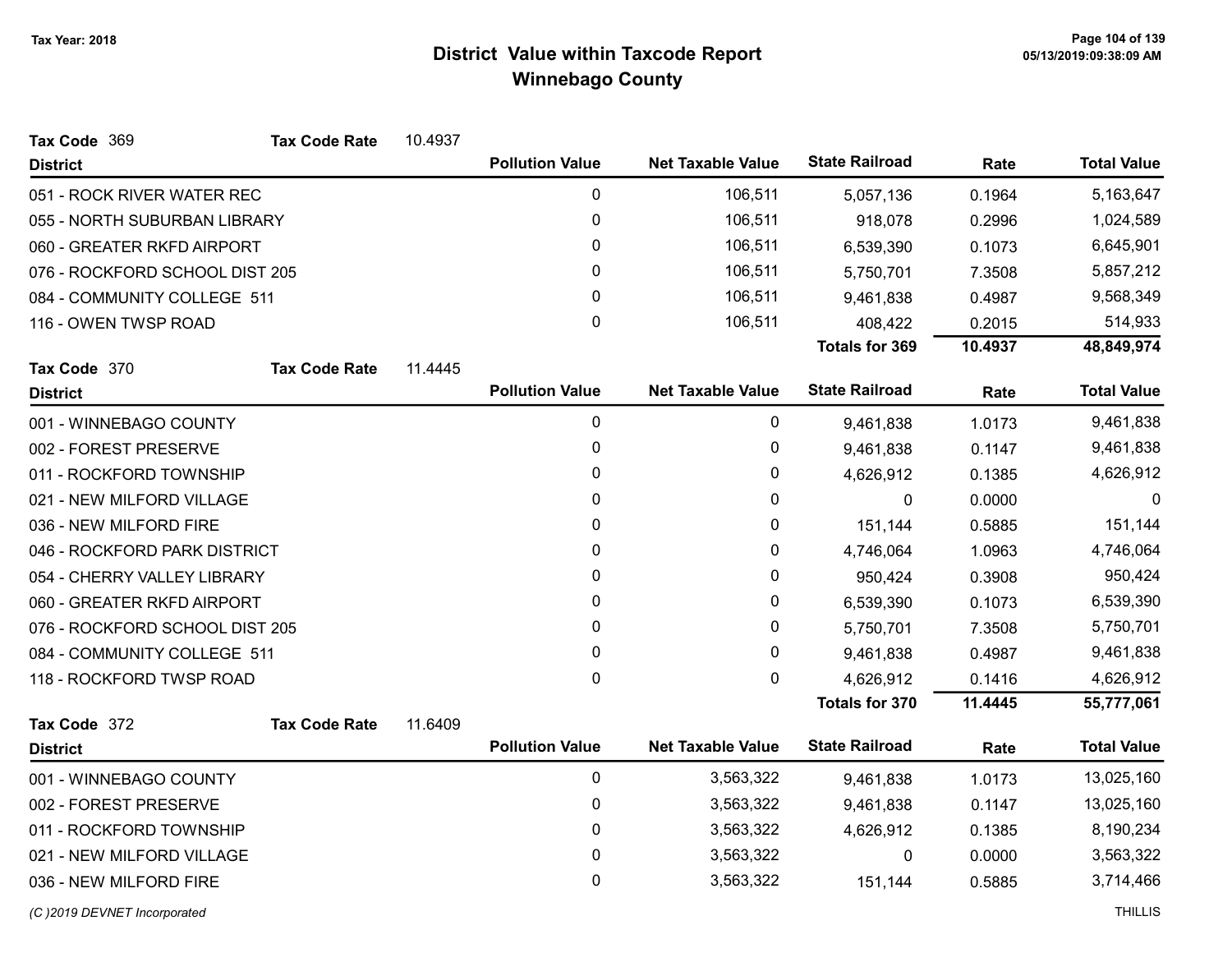| Tax Code 369                   | <b>Tax Code Rate</b> | 10.4937 |                        |                          |                       |         |                    |
|--------------------------------|----------------------|---------|------------------------|--------------------------|-----------------------|---------|--------------------|
| <b>District</b>                |                      |         | <b>Pollution Value</b> | <b>Net Taxable Value</b> | <b>State Railroad</b> | Rate    | <b>Total Value</b> |
| 051 - ROCK RIVER WATER REC     |                      |         | $\pmb{0}$              | 106,511                  | 5,057,136             | 0.1964  | 5,163,647          |
| 055 - NORTH SUBURBAN LIBRARY   |                      |         | 0                      | 106,511                  | 918,078               | 0.2996  | 1,024,589          |
| 060 - GREATER RKFD AIRPORT     |                      |         | 0                      | 106,511                  | 6,539,390             | 0.1073  | 6,645,901          |
| 076 - ROCKFORD SCHOOL DIST 205 |                      |         | 0                      | 106,511                  | 5,750,701             | 7.3508  | 5,857,212          |
| 084 - COMMUNITY COLLEGE 511    |                      |         | 0                      | 106,511                  | 9,461,838             | 0.4987  | 9,568,349          |
| 116 - OWEN TWSP ROAD           |                      |         | 0                      | 106,511                  | 408,422               | 0.2015  | 514,933            |
|                                |                      |         |                        |                          | <b>Totals for 369</b> | 10.4937 | 48,849,974         |
| Tax Code 370                   | <b>Tax Code Rate</b> | 11.4445 |                        |                          |                       |         |                    |
| <b>District</b>                |                      |         | <b>Pollution Value</b> | <b>Net Taxable Value</b> | <b>State Railroad</b> | Rate    | <b>Total Value</b> |
| 001 - WINNEBAGO COUNTY         |                      |         | 0                      | 0                        | 9,461,838             | 1.0173  | 9,461,838          |
| 002 - FOREST PRESERVE          |                      |         | 0                      | 0                        | 9,461,838             | 0.1147  | 9,461,838          |
| 011 - ROCKFORD TOWNSHIP        |                      |         | 0                      | 0                        | 4,626,912             | 0.1385  | 4,626,912          |
| 021 - NEW MILFORD VILLAGE      |                      |         | 0                      | 0                        | 0                     | 0.0000  | $\Omega$           |
| 036 - NEW MILFORD FIRE         |                      |         | 0                      | 0                        | 151,144               | 0.5885  | 151,144            |
| 046 - ROCKFORD PARK DISTRICT   |                      |         | 0                      | 0                        | 4,746,064             | 1.0963  | 4,746,064          |
| 054 - CHERRY VALLEY LIBRARY    |                      |         | 0                      | 0                        | 950,424               | 0.3908  | 950,424            |
| 060 - GREATER RKFD AIRPORT     |                      |         | 0                      | 0                        | 6,539,390             | 0.1073  | 6,539,390          |
| 076 - ROCKFORD SCHOOL DIST 205 |                      |         | 0                      | 0                        | 5,750,701             | 7.3508  | 5,750,701          |
| 084 - COMMUNITY COLLEGE 511    |                      |         | 0                      | 0                        | 9,461,838             | 0.4987  | 9,461,838          |
| 118 - ROCKFORD TWSP ROAD       |                      |         | $\mathbf 0$            | 0                        | 4,626,912             | 0.1416  | 4,626,912          |
|                                |                      |         |                        |                          | <b>Totals for 370</b> | 11.4445 | 55,777,061         |
| Tax Code 372                   | <b>Tax Code Rate</b> | 11.6409 |                        |                          |                       |         |                    |
| <b>District</b>                |                      |         | <b>Pollution Value</b> | <b>Net Taxable Value</b> | <b>State Railroad</b> | Rate    | <b>Total Value</b> |
| 001 - WINNEBAGO COUNTY         |                      |         | $\pmb{0}$              | 3,563,322                | 9,461,838             | 1.0173  | 13,025,160         |
| 002 - FOREST PRESERVE          |                      |         | 0                      | 3,563,322                | 9,461,838             | 0.1147  | 13,025,160         |
| 011 - ROCKFORD TOWNSHIP        |                      |         | 0                      | 3,563,322                | 4,626,912             | 0.1385  | 8,190,234          |
| 021 - NEW MILFORD VILLAGE      |                      |         | 0                      | 3,563,322                | $\mathbf{0}$          | 0.0000  | 3,563,322          |
| 036 - NEW MILFORD FIRE         |                      |         | 0                      | 3,563,322                | 151,144               | 0.5885  | 3,714,466          |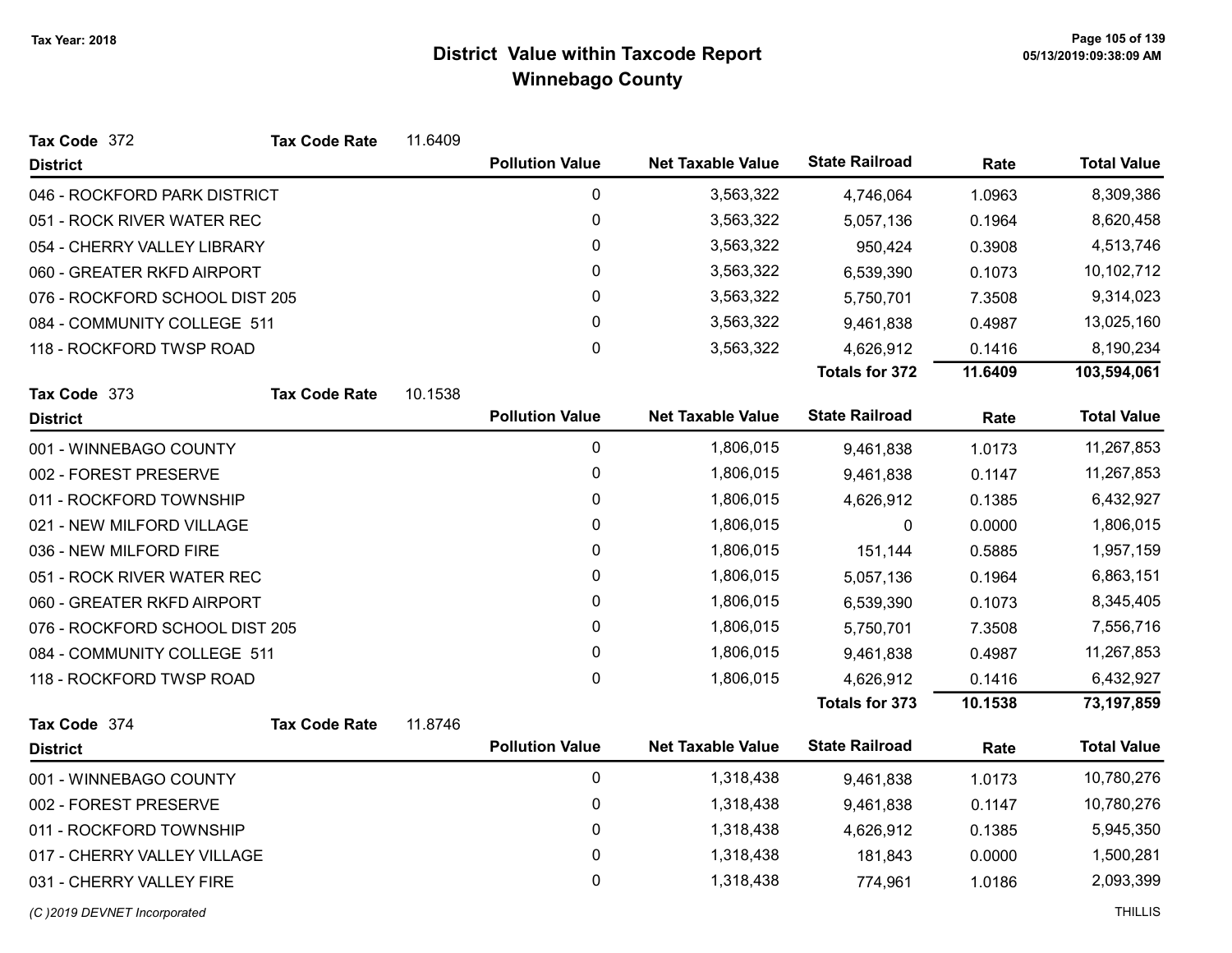| Tax Code 372                   | <b>Tax Code Rate</b> | 11.6409   |                        |                          |                       |           |                    |
|--------------------------------|----------------------|-----------|------------------------|--------------------------|-----------------------|-----------|--------------------|
| <b>District</b>                |                      |           | <b>Pollution Value</b> | <b>Net Taxable Value</b> | <b>State Railroad</b> | Rate      | <b>Total Value</b> |
| 046 - ROCKFORD PARK DISTRICT   |                      |           | $\pmb{0}$              | 3,563,322                | 4,746,064             | 1.0963    | 8,309,386          |
| 051 - ROCK RIVER WATER REC     |                      |           | $\pmb{0}$              | 3,563,322                | 5,057,136             | 0.1964    | 8,620,458          |
| 054 - CHERRY VALLEY LIBRARY    |                      |           | $\pmb{0}$              | 3,563,322                | 950,424               | 0.3908    | 4,513,746          |
| 060 - GREATER RKFD AIRPORT     |                      |           | $\pmb{0}$              | 3,563,322                | 6,539,390             | 0.1073    | 10,102,712         |
| 076 - ROCKFORD SCHOOL DIST 205 |                      |           | 0                      | 3,563,322                | 5,750,701             | 7.3508    | 9,314,023          |
| 084 - COMMUNITY COLLEGE 511    |                      |           | $\pmb{0}$              | 3,563,322                | 9,461,838             | 0.4987    | 13,025,160         |
| 118 - ROCKFORD TWSP ROAD       |                      |           | $\mathbf 0$            | 3,563,322                | 4,626,912             | 0.1416    | 8,190,234          |
|                                |                      |           |                        |                          | <b>Totals for 372</b> | 11.6409   | 103,594,061        |
| Tax Code 373                   | <b>Tax Code Rate</b> | 10.1538   |                        |                          |                       |           |                    |
| <b>District</b>                |                      |           | <b>Pollution Value</b> | <b>Net Taxable Value</b> | <b>State Railroad</b> | Rate      | <b>Total Value</b> |
| 001 - WINNEBAGO COUNTY         |                      |           | $\pmb{0}$              | 1,806,015                | 9,461,838             | 1.0173    | 11,267,853         |
| 002 - FOREST PRESERVE          |                      |           | 0                      | 1,806,015                | 9,461,838             | 0.1147    | 11,267,853         |
| 011 - ROCKFORD TOWNSHIP        |                      |           | $\pmb{0}$              | 1,806,015                | 4,626,912             | 0.1385    | 6,432,927          |
| 021 - NEW MILFORD VILLAGE      |                      |           | 0                      | 1,806,015                | 0                     | 0.0000    | 1,806,015          |
| 036 - NEW MILFORD FIRE         |                      |           | $\pmb{0}$              | 1,806,015                | 151,144               | 0.5885    | 1,957,159          |
| 051 - ROCK RIVER WATER REC     |                      |           | $\pmb{0}$              | 1,806,015                | 5,057,136             | 0.1964    | 6,863,151          |
| 060 - GREATER RKFD AIRPORT     |                      |           | $\pmb{0}$              | 1,806,015                | 6,539,390             | 0.1073    | 8,345,405          |
| 076 - ROCKFORD SCHOOL DIST 205 |                      |           | $\pmb{0}$              | 1,806,015                | 5,750,701             | 7.3508    | 7,556,716          |
| 084 - COMMUNITY COLLEGE 511    |                      |           | $\pmb{0}$              | 1,806,015                | 9,461,838             | 0.4987    | 11,267,853         |
| 118 - ROCKFORD TWSP ROAD       |                      |           | 0                      | 1,806,015                | 4,626,912             | 0.1416    | 6,432,927          |
|                                |                      |           |                        |                          | <b>Totals for 373</b> | 10.1538   | 73,197,859         |
| Tax Code 374                   | <b>Tax Code Rate</b> | 11.8746   |                        |                          |                       |           |                    |
| <b>District</b>                |                      |           | <b>Pollution Value</b> | <b>Net Taxable Value</b> | <b>State Railroad</b> | Rate      | <b>Total Value</b> |
| 001 - WINNEBAGO COUNTY         |                      |           | $\pmb{0}$              | 1,318,438                | 9,461,838             | 1.0173    | 10,780,276         |
| 002 - FOREST PRESERVE          |                      |           | $\pmb{0}$              | 1,318,438                | 9,461,838             | 0.1147    | 10,780,276         |
| 011 - ROCKFORD TOWNSHIP        |                      | $\pmb{0}$ | 1,318,438              | 4,626,912                | 0.1385                | 5,945,350 |                    |
| 017 - CHERRY VALLEY VILLAGE    |                      |           | $\pmb{0}$              | 1,318,438                | 181,843               | 0.0000    | 1,500,281          |
| 031 - CHERRY VALLEY FIRE       |                      |           | $\mathbf 0$            | 1,318,438                | 774,961               | 1.0186    | 2,093,399          |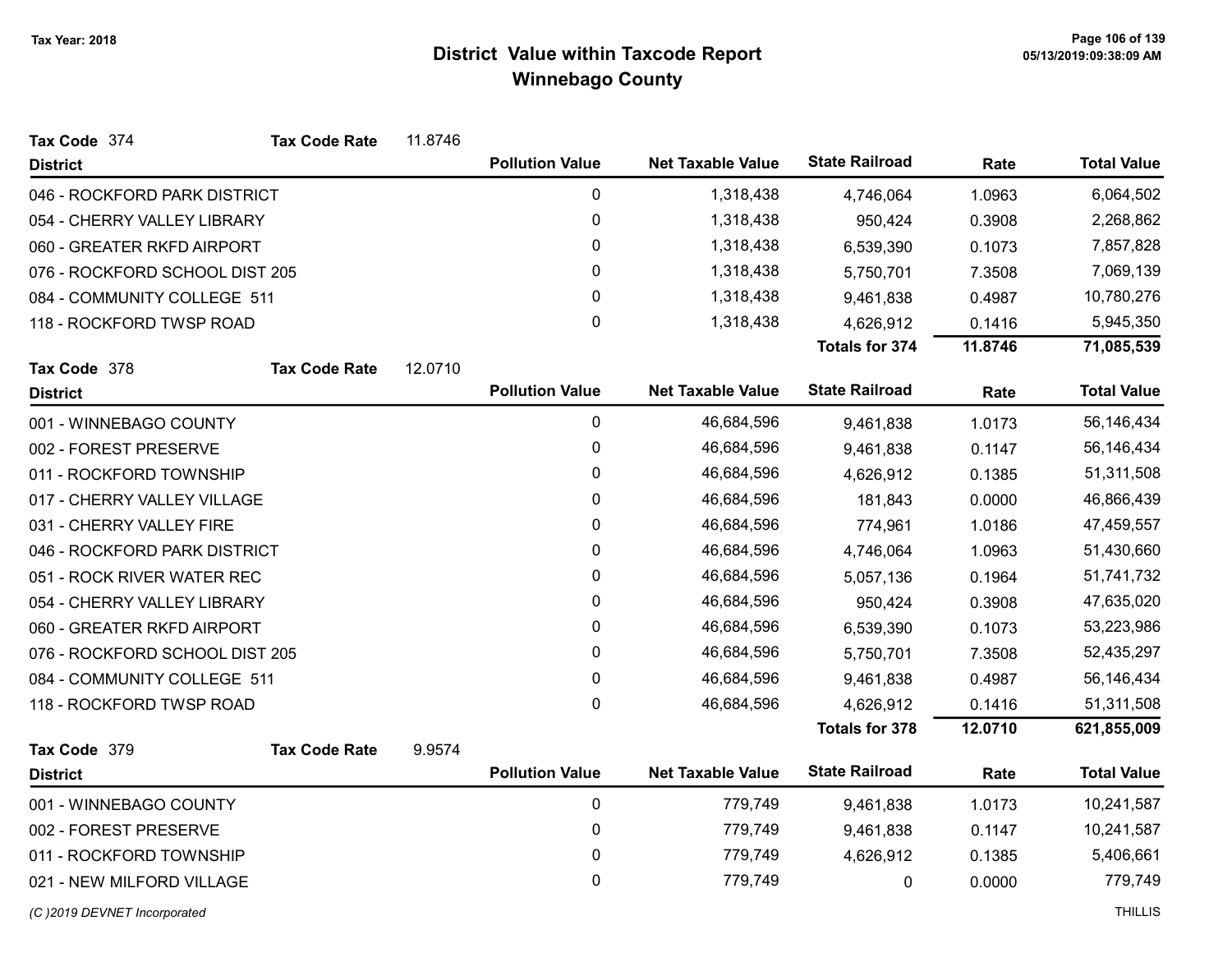| Tax Code 374                   | <b>Tax Code Rate</b> | 11.8746 |                        |                          |                       |         |                    |
|--------------------------------|----------------------|---------|------------------------|--------------------------|-----------------------|---------|--------------------|
| <b>District</b>                |                      |         | <b>Pollution Value</b> | <b>Net Taxable Value</b> | <b>State Railroad</b> | Rate    | <b>Total Value</b> |
| 046 - ROCKFORD PARK DISTRICT   |                      |         | $\pmb{0}$              | 1,318,438                | 4,746,064             | 1.0963  | 6,064,502          |
| 054 - CHERRY VALLEY LIBRARY    |                      |         | $\boldsymbol{0}$       | 1,318,438                | 950,424               | 0.3908  | 2,268,862          |
| 060 - GREATER RKFD AIRPORT     |                      |         | 0                      | 1,318,438                | 6,539,390             | 0.1073  | 7,857,828          |
| 076 - ROCKFORD SCHOOL DIST 205 |                      |         | $\pmb{0}$              | 1,318,438                | 5,750,701             | 7.3508  | 7,069,139          |
| 084 - COMMUNITY COLLEGE 511    |                      |         | 0                      | 1,318,438                | 9,461,838             | 0.4987  | 10,780,276         |
| 118 - ROCKFORD TWSP ROAD       |                      |         | 0                      | 1,318,438                | 4,626,912             | 0.1416  | 5,945,350          |
|                                |                      |         |                        |                          | <b>Totals for 374</b> | 11.8746 | 71,085,539         |
| Tax Code 378                   | <b>Tax Code Rate</b> | 12.0710 |                        |                          |                       |         |                    |
| <b>District</b>                |                      |         | <b>Pollution Value</b> | <b>Net Taxable Value</b> | <b>State Railroad</b> | Rate    | <b>Total Value</b> |
| 001 - WINNEBAGO COUNTY         |                      |         | 0                      | 46,684,596               | 9,461,838             | 1.0173  | 56,146,434         |
| 002 - FOREST PRESERVE          |                      |         | 0                      | 46,684,596               | 9,461,838             | 0.1147  | 56,146,434         |
| 011 - ROCKFORD TOWNSHIP        |                      |         | 0                      | 46,684,596               | 4,626,912             | 0.1385  | 51,311,508         |
| 017 - CHERRY VALLEY VILLAGE    |                      |         | $\pmb{0}$              | 46,684,596               | 181,843               | 0.0000  | 46,866,439         |
| 031 - CHERRY VALLEY FIRE       |                      |         | 0                      | 46,684,596               | 774,961               | 1.0186  | 47,459,557         |
| 046 - ROCKFORD PARK DISTRICT   |                      |         | 0                      | 46,684,596               | 4,746,064             | 1.0963  | 51,430,660         |
| 051 - ROCK RIVER WATER REC     |                      |         | 0                      | 46,684,596               | 5,057,136             | 0.1964  | 51,741,732         |
| 054 - CHERRY VALLEY LIBRARY    |                      |         | 0                      | 46,684,596               | 950,424               | 0.3908  | 47,635,020         |
| 060 - GREATER RKFD AIRPORT     |                      |         | 0                      | 46,684,596               | 6,539,390             | 0.1073  | 53,223,986         |
| 076 - ROCKFORD SCHOOL DIST 205 |                      |         | $\mathbf 0$            | 46,684,596               | 5,750,701             | 7.3508  | 52,435,297         |
| 084 - COMMUNITY COLLEGE 511    |                      |         | 0                      | 46,684,596               | 9,461,838             | 0.4987  | 56,146,434         |
| 118 - ROCKFORD TWSP ROAD       |                      |         | $\mathsf 0$            | 46,684,596               | 4,626,912             | 0.1416  | 51,311,508         |
|                                |                      |         |                        |                          | <b>Totals for 378</b> | 12.0710 | 621,855,009        |
| Tax Code 379                   | <b>Tax Code Rate</b> | 9.9574  |                        |                          |                       |         |                    |
| <b>District</b>                |                      |         | <b>Pollution Value</b> | <b>Net Taxable Value</b> | <b>State Railroad</b> | Rate    | <b>Total Value</b> |
| 001 - WINNEBAGO COUNTY         |                      |         | 0                      | 779,749                  | 9,461,838             | 1.0173  | 10,241,587         |
| 002 - FOREST PRESERVE          |                      |         | 0                      | 779,749                  | 9,461,838             | 0.1147  | 10,241,587         |
| 011 - ROCKFORD TOWNSHIP        |                      |         | $\boldsymbol{0}$       | 779,749                  | 4,626,912             | 0.1385  | 5,406,661          |
| 021 - NEW MILFORD VILLAGE      |                      |         | 0                      | 779,749                  | 0                     | 0.0000  | 779,749            |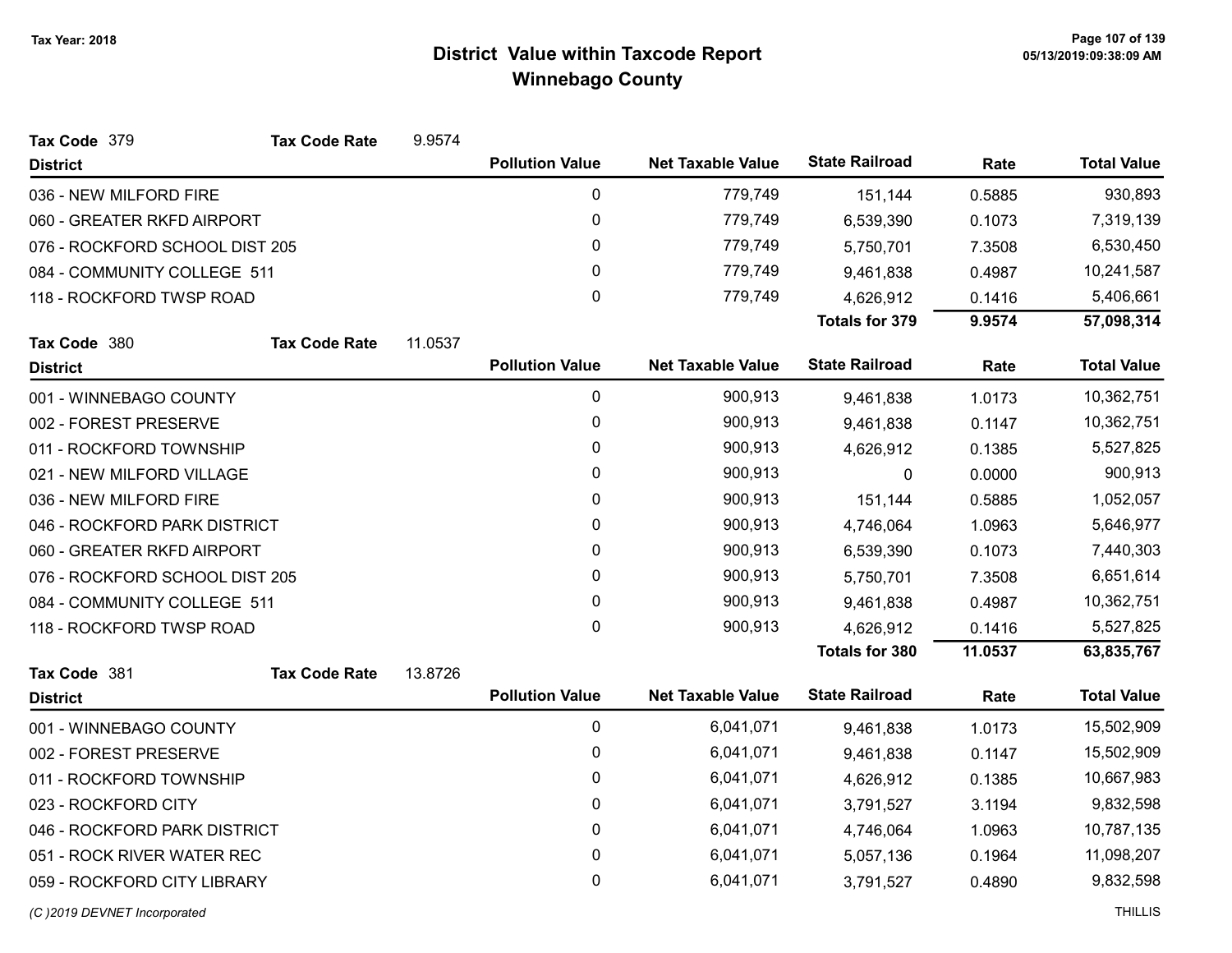| Tax Code 379                   | <b>Tax Code Rate</b> | 9.9574  |                        |                          |                       |         |                    |
|--------------------------------|----------------------|---------|------------------------|--------------------------|-----------------------|---------|--------------------|
| <b>District</b>                |                      |         | <b>Pollution Value</b> | <b>Net Taxable Value</b> | <b>State Railroad</b> | Rate    | <b>Total Value</b> |
| 036 - NEW MILFORD FIRE         |                      |         | 0                      | 779,749                  | 151,144               | 0.5885  | 930,893            |
| 060 - GREATER RKFD AIRPORT     |                      |         | $\mathbf 0$            | 779,749                  | 6,539,390             | 0.1073  | 7,319,139          |
| 076 - ROCKFORD SCHOOL DIST 205 |                      |         | 0                      | 779,749                  | 5,750,701             | 7.3508  | 6,530,450          |
| 084 - COMMUNITY COLLEGE 511    |                      |         | $\mathbf 0$            | 779,749                  | 9,461,838             | 0.4987  | 10,241,587         |
| 118 - ROCKFORD TWSP ROAD       |                      |         | $\pmb{0}$              | 779,749                  | 4,626,912             | 0.1416  | 5,406,661          |
|                                |                      |         |                        |                          | Totals for 379        | 9.9574  | 57,098,314         |
| Tax Code 380                   | <b>Tax Code Rate</b> | 11.0537 |                        |                          |                       |         |                    |
| <b>District</b>                |                      |         | <b>Pollution Value</b> | <b>Net Taxable Value</b> | <b>State Railroad</b> | Rate    | <b>Total Value</b> |
| 001 - WINNEBAGO COUNTY         |                      |         | $\pmb{0}$              | 900,913                  | 9,461,838             | 1.0173  | 10,362,751         |
| 002 - FOREST PRESERVE          |                      |         | 0                      | 900,913                  | 9,461,838             | 0.1147  | 10,362,751         |
| 011 - ROCKFORD TOWNSHIP        |                      |         | 0                      | 900,913                  | 4,626,912             | 0.1385  | 5,527,825          |
| 021 - NEW MILFORD VILLAGE      |                      |         | 0                      | 900,913                  | 0                     | 0.0000  | 900,913            |
| 036 - NEW MILFORD FIRE         |                      |         | 0                      | 900,913                  | 151,144               | 0.5885  | 1,052,057          |
| 046 - ROCKFORD PARK DISTRICT   |                      |         | $\mathbf 0$            | 900,913                  | 4,746,064             | 1.0963  | 5,646,977          |
| 060 - GREATER RKFD AIRPORT     |                      |         | 0                      | 900,913                  | 6,539,390             | 0.1073  | 7,440,303          |
| 076 - ROCKFORD SCHOOL DIST 205 |                      |         | 0                      | 900,913                  | 5,750,701             | 7.3508  | 6,651,614          |
| 084 - COMMUNITY COLLEGE 511    |                      |         | 0                      | 900,913                  | 9,461,838             | 0.4987  | 10,362,751         |
| 118 - ROCKFORD TWSP ROAD       |                      |         | $\mathbf 0$            | 900,913                  | 4,626,912             | 0.1416  | 5,527,825          |
|                                |                      |         |                        |                          | Totals for 380        | 11.0537 | 63,835,767         |
| Tax Code 381                   | <b>Tax Code Rate</b> | 13.8726 |                        |                          |                       |         |                    |
| <b>District</b>                |                      |         | <b>Pollution Value</b> | <b>Net Taxable Value</b> | <b>State Railroad</b> | Rate    | <b>Total Value</b> |
| 001 - WINNEBAGO COUNTY         |                      |         | $\pmb{0}$              | 6,041,071                | 9,461,838             | 1.0173  | 15,502,909         |
| 002 - FOREST PRESERVE          |                      |         | $\mathbf 0$            | 6,041,071                | 9,461,838             | 0.1147  | 15,502,909         |
| 011 - ROCKFORD TOWNSHIP        |                      |         | 0                      | 6,041,071                | 4,626,912             | 0.1385  | 10,667,983         |
| 023 - ROCKFORD CITY            |                      |         | 0                      | 6,041,071                | 3,791,527             | 3.1194  | 9,832,598          |
| 046 - ROCKFORD PARK DISTRICT   |                      |         | 0                      | 6,041,071                | 4,746,064             | 1.0963  | 10,787,135         |
| 051 - ROCK RIVER WATER REC     |                      |         | 0                      | 6,041,071                | 5,057,136             | 0.1964  | 11,098,207         |
| 059 - ROCKFORD CITY LIBRARY    |                      |         | $\mathbf{0}$           | 6,041,071                | 3,791,527             | 0.4890  | 9,832,598          |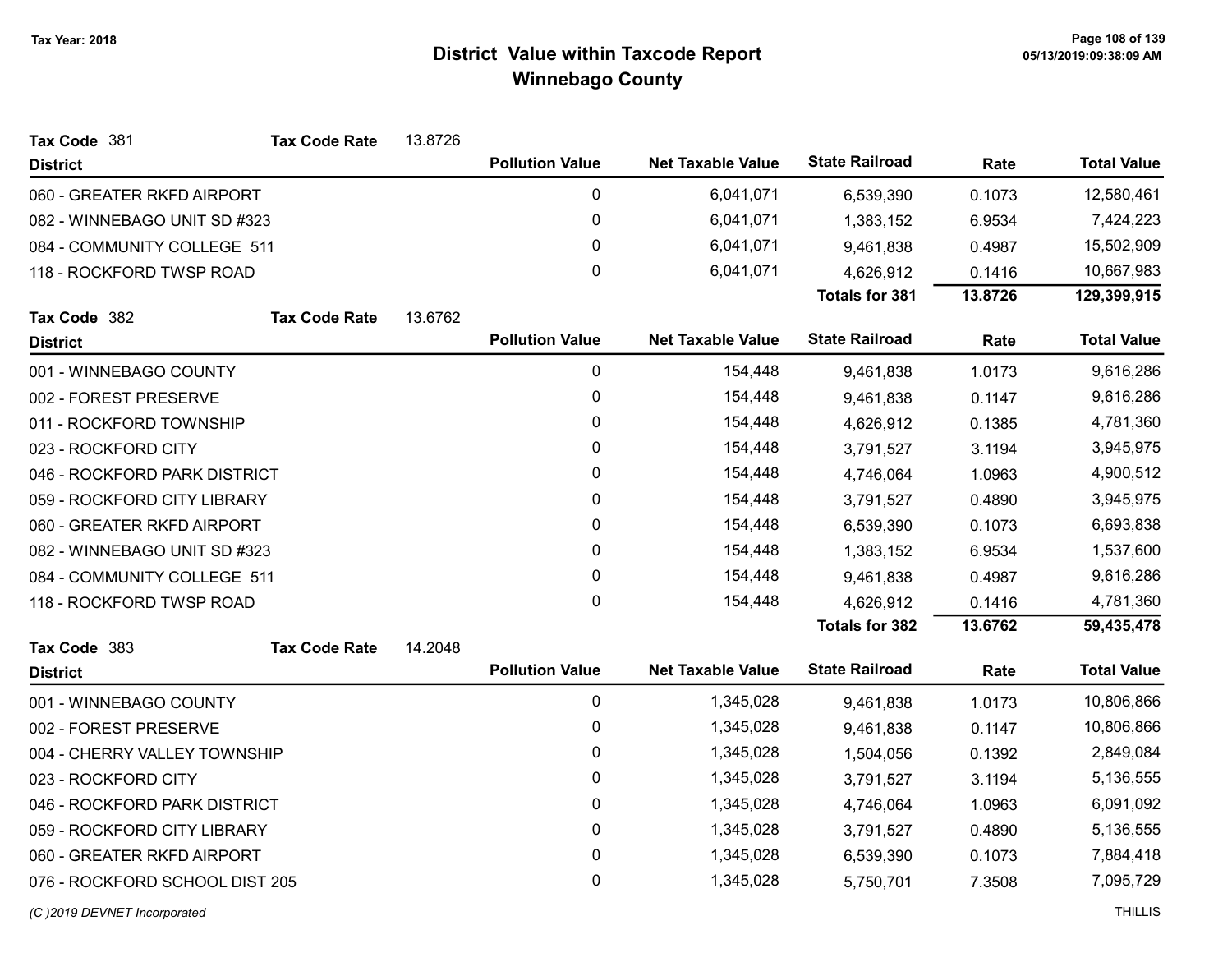| Tax Code 381                   | <b>Tax Code Rate</b> | 13.8726 |                        |                          |                       |         |                    |
|--------------------------------|----------------------|---------|------------------------|--------------------------|-----------------------|---------|--------------------|
| <b>District</b>                |                      |         | <b>Pollution Value</b> | <b>Net Taxable Value</b> | <b>State Railroad</b> | Rate    | <b>Total Value</b> |
| 060 - GREATER RKFD AIRPORT     |                      |         | $\pmb{0}$              | 6,041,071                | 6,539,390             | 0.1073  | 12,580,461         |
| 082 - WINNEBAGO UNIT SD #323   |                      |         | $\pmb{0}$              | 6,041,071                | 1,383,152             | 6.9534  | 7,424,223          |
| 084 - COMMUNITY COLLEGE 511    |                      |         | 0                      | 6,041,071                | 9,461,838             | 0.4987  | 15,502,909         |
| 118 - ROCKFORD TWSP ROAD       |                      |         | 0                      | 6,041,071                | 4,626,912             | 0.1416  | 10,667,983         |
|                                |                      |         |                        |                          | Totals for 381        | 13.8726 | 129,399,915        |
| Tax Code 382                   | <b>Tax Code Rate</b> | 13.6762 |                        |                          |                       |         |                    |
| <b>District</b>                |                      |         | <b>Pollution Value</b> | <b>Net Taxable Value</b> | <b>State Railroad</b> | Rate    | <b>Total Value</b> |
| 001 - WINNEBAGO COUNTY         |                      |         | $\pmb{0}$              | 154,448                  | 9,461,838             | 1.0173  | 9,616,286          |
| 002 - FOREST PRESERVE          |                      |         | $\pmb{0}$              | 154,448                  | 9,461,838             | 0.1147  | 9,616,286          |
| 011 - ROCKFORD TOWNSHIP        |                      |         | $\mathbf{0}$           | 154,448                  | 4,626,912             | 0.1385  | 4,781,360          |
| 023 - ROCKFORD CITY            |                      |         | $\mathbf 0$            | 154,448                  | 3,791,527             | 3.1194  | 3,945,975          |
| 046 - ROCKFORD PARK DISTRICT   |                      |         | 0                      | 154,448                  | 4,746,064             | 1.0963  | 4,900,512          |
| 059 - ROCKFORD CITY LIBRARY    |                      |         | $\pmb{0}$              | 154,448                  | 3,791,527             | 0.4890  | 3,945,975          |
| 060 - GREATER RKFD AIRPORT     |                      |         | 0                      | 154,448                  | 6,539,390             | 0.1073  | 6,693,838          |
| 082 - WINNEBAGO UNIT SD #323   |                      |         | $\pmb{0}$              | 154,448                  | 1,383,152             | 6.9534  | 1,537,600          |
| 084 - COMMUNITY COLLEGE 511    |                      |         | $\pmb{0}$              | 154,448                  | 9,461,838             | 0.4987  | 9,616,286          |
| 118 - ROCKFORD TWSP ROAD       |                      |         | $\mathbf{0}$           | 154,448                  | 4,626,912             | 0.1416  | 4,781,360          |
|                                |                      |         |                        |                          | <b>Totals for 382</b> | 13.6762 | 59,435,478         |
| Tax Code 383                   | <b>Tax Code Rate</b> | 14.2048 |                        |                          |                       |         |                    |
| <b>District</b>                |                      |         | <b>Pollution Value</b> | <b>Net Taxable Value</b> | <b>State Railroad</b> | Rate    | <b>Total Value</b> |
| 001 - WINNEBAGO COUNTY         |                      |         | 0                      | 1,345,028                | 9,461,838             | 1.0173  | 10,806,866         |
| 002 - FOREST PRESERVE          |                      |         | 0                      | 1,345,028                | 9,461,838             | 0.1147  | 10,806,866         |
| 004 - CHERRY VALLEY TOWNSHIP   |                      |         | $\pmb{0}$              | 1,345,028                | 1,504,056             | 0.1392  | 2,849,084          |
| 023 - ROCKFORD CITY            |                      |         | 0                      | 1,345,028                | 3,791,527             | 3.1194  | 5,136,555          |
| 046 - ROCKFORD PARK DISTRICT   |                      |         | $\pmb{0}$              | 1,345,028                | 4,746,064             | 1.0963  | 6,091,092          |
| 059 - ROCKFORD CITY LIBRARY    |                      |         | $\pmb{0}$              | 1,345,028                | 3,791,527             | 0.4890  | 5,136,555          |
| 060 - GREATER RKFD AIRPORT     |                      |         | $\pmb{0}$              | 1,345,028                | 6,539,390             | 0.1073  | 7,884,418          |
| 076 - ROCKFORD SCHOOL DIST 205 |                      |         | 0                      | 1,345,028                | 5,750,701             | 7.3508  | 7,095,729          |
| (C)2019 DEVNET Incorporated    |                      |         |                        |                          |                       |         | <b>THILLIS</b>     |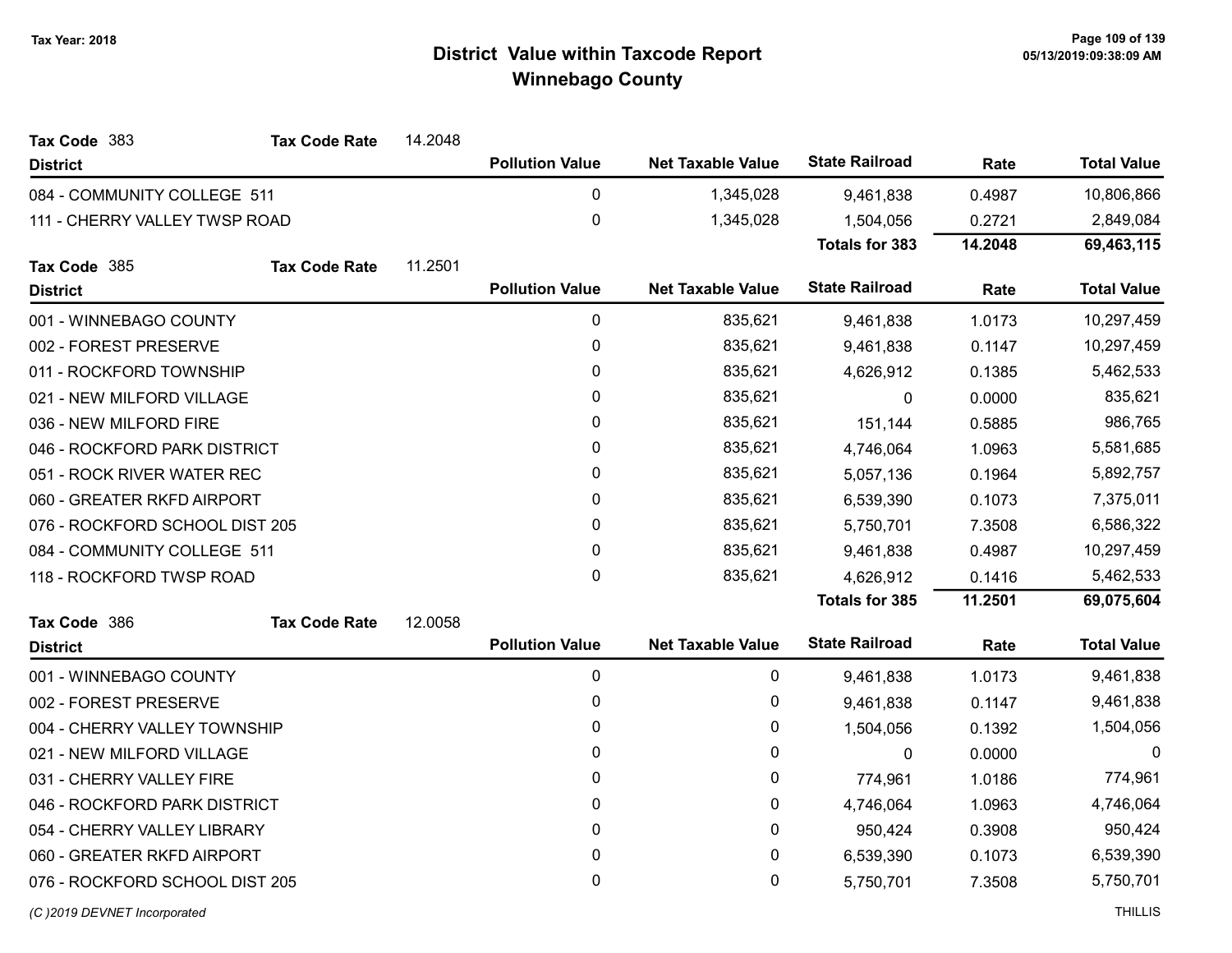| Tax Code 383                   | <b>Tax Code Rate</b> | 14.2048 |                        |                          |                       |         |                    |
|--------------------------------|----------------------|---------|------------------------|--------------------------|-----------------------|---------|--------------------|
| <b>District</b>                |                      |         | <b>Pollution Value</b> | <b>Net Taxable Value</b> | <b>State Railroad</b> | Rate    | <b>Total Value</b> |
| 084 - COMMUNITY COLLEGE 511    |                      |         | $\mathbf 0$            | 1,345,028                | 9,461,838             | 0.4987  | 10,806,866         |
| 111 - CHERRY VALLEY TWSP ROAD  |                      |         | 0                      | 1,345,028                | 1,504,056             | 0.2721  | 2,849,084          |
|                                |                      |         |                        |                          | <b>Totals for 383</b> | 14.2048 | 69,463,115         |
| Tax Code 385                   | <b>Tax Code Rate</b> | 11.2501 |                        |                          |                       |         |                    |
| <b>District</b>                |                      |         | <b>Pollution Value</b> | <b>Net Taxable Value</b> | <b>State Railroad</b> | Rate    | <b>Total Value</b> |
| 001 - WINNEBAGO COUNTY         |                      |         | $\pmb{0}$              | 835,621                  | 9,461,838             | 1.0173  | 10,297,459         |
| 002 - FOREST PRESERVE          |                      |         | 0                      | 835,621                  | 9,461,838             | 0.1147  | 10,297,459         |
| 011 - ROCKFORD TOWNSHIP        |                      |         | 0                      | 835,621                  | 4,626,912             | 0.1385  | 5,462,533          |
| 021 - NEW MILFORD VILLAGE      |                      |         | 0                      | 835,621                  | $\mathbf{0}$          | 0.0000  | 835,621            |
| 036 - NEW MILFORD FIRE         |                      |         | 0                      | 835,621                  | 151,144               | 0.5885  | 986,765            |
| 046 - ROCKFORD PARK DISTRICT   |                      |         | 0                      | 835,621                  | 4,746,064             | 1.0963  | 5,581,685          |
| 051 - ROCK RIVER WATER REC     |                      |         | 0                      | 835,621                  | 5,057,136             | 0.1964  | 5,892,757          |
| 060 - GREATER RKFD AIRPORT     |                      |         | 0                      | 835,621                  | 6,539,390             | 0.1073  | 7,375,011          |
| 076 - ROCKFORD SCHOOL DIST 205 |                      |         | 0                      | 835,621                  | 5,750,701             | 7.3508  | 6,586,322          |
| 084 - COMMUNITY COLLEGE 511    |                      |         | 0                      | 835,621                  | 9,461,838             | 0.4987  | 10,297,459         |
| 118 - ROCKFORD TWSP ROAD       |                      |         | 0                      | 835,621                  | 4,626,912             | 0.1416  | 5,462,533          |
|                                |                      |         |                        |                          | <b>Totals for 385</b> | 11.2501 | 69,075,604         |
| Tax Code 386                   | <b>Tax Code Rate</b> | 12.0058 |                        |                          |                       |         |                    |
| <b>District</b>                |                      |         | <b>Pollution Value</b> | <b>Net Taxable Value</b> | <b>State Railroad</b> | Rate    | <b>Total Value</b> |
| 001 - WINNEBAGO COUNTY         |                      |         | 0                      | 0                        | 9,461,838             | 1.0173  | 9,461,838          |
| 002 - FOREST PRESERVE          |                      |         | 0                      | 0                        | 9,461,838             | 0.1147  | 9,461,838          |
| 004 - CHERRY VALLEY TOWNSHIP   |                      |         | 0                      | 0                        | 1,504,056             | 0.1392  | 1,504,056          |
| 021 - NEW MILFORD VILLAGE      |                      |         | 0                      | 0                        | $\mathbf{0}$          | 0.0000  | $\Omega$           |
| 031 - CHERRY VALLEY FIRE       |                      |         | 0                      | 0                        | 774,961               | 1.0186  | 774,961            |
| 046 - ROCKFORD PARK DISTRICT   |                      |         | 0                      | 0                        | 4,746,064             | 1.0963  | 4,746,064          |
| 054 - CHERRY VALLEY LIBRARY    |                      |         | 0                      | $\mathbf{0}$             | 950,424               | 0.3908  | 950,424            |
| 060 - GREATER RKFD AIRPORT     |                      |         | 0                      | 0                        | 6,539,390             | 0.1073  | 6,539,390          |
| 076 - ROCKFORD SCHOOL DIST 205 |                      |         | 0                      | 0                        | 5,750,701             | 7.3508  | 5,750,701          |
| (C)2019 DEVNET Incorporated    |                      |         |                        |                          |                       |         | <b>THILLIS</b>     |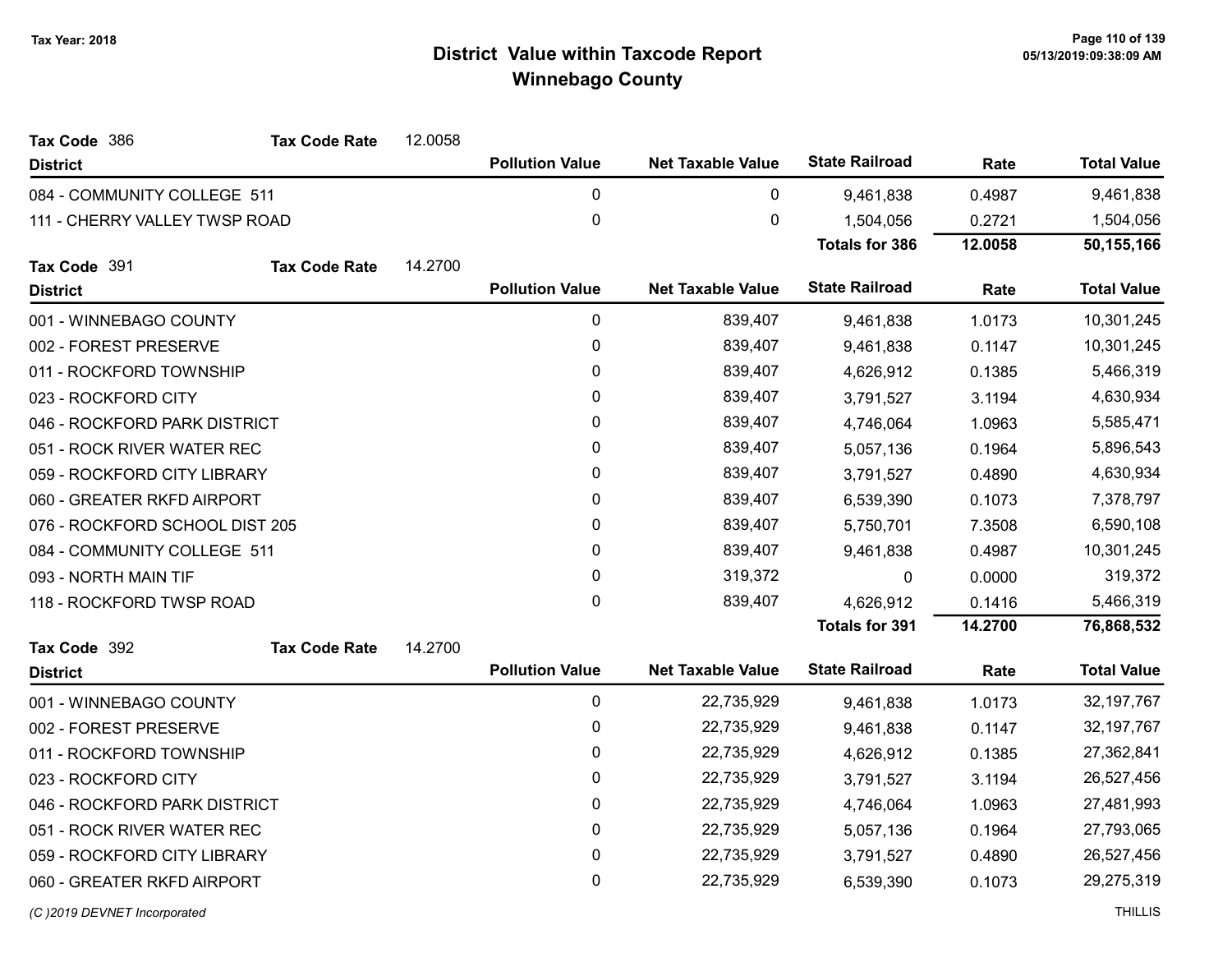| Tax Code 386                   | <b>Tax Code Rate</b> | 12.0058 |                        |                          |                       |         |                    |
|--------------------------------|----------------------|---------|------------------------|--------------------------|-----------------------|---------|--------------------|
| <b>District</b>                |                      |         | <b>Pollution Value</b> | <b>Net Taxable Value</b> | <b>State Railroad</b> | Rate    | <b>Total Value</b> |
| 084 - COMMUNITY COLLEGE 511    |                      |         | 0                      | 0                        | 9,461,838             | 0.4987  | 9,461,838          |
| 111 - CHERRY VALLEY TWSP ROAD  |                      |         | $\pmb{0}$              | 0                        | 1,504,056             | 0.2721  | 1,504,056          |
|                                |                      |         |                        |                          | <b>Totals for 386</b> | 12.0058 | 50,155,166         |
| Tax Code 391                   | <b>Tax Code Rate</b> | 14.2700 |                        |                          |                       |         |                    |
| <b>District</b>                |                      |         | <b>Pollution Value</b> | <b>Net Taxable Value</b> | <b>State Railroad</b> | Rate    | <b>Total Value</b> |
| 001 - WINNEBAGO COUNTY         |                      |         | $\pmb{0}$              | 839,407                  | 9,461,838             | 1.0173  | 10,301,245         |
| 002 - FOREST PRESERVE          |                      |         | $\pmb{0}$              | 839,407                  | 9,461,838             | 0.1147  | 10,301,245         |
| 011 - ROCKFORD TOWNSHIP        |                      |         | $\mathbf{0}$           | 839,407                  | 4,626,912             | 0.1385  | 5,466,319          |
| 023 - ROCKFORD CITY            |                      |         | $\pmb{0}$              | 839,407                  | 3,791,527             | 3.1194  | 4,630,934          |
| 046 - ROCKFORD PARK DISTRICT   |                      |         | 0                      | 839,407                  | 4,746,064             | 1.0963  | 5,585,471          |
| 051 - ROCK RIVER WATER REC     |                      |         | 0                      | 839,407                  | 5,057,136             | 0.1964  | 5,896,543          |
| 059 - ROCKFORD CITY LIBRARY    |                      |         | 0                      | 839,407                  | 3,791,527             | 0.4890  | 4,630,934          |
| 060 - GREATER RKFD AIRPORT     |                      |         | $\pmb{0}$              | 839,407                  | 6,539,390             | 0.1073  | 7,378,797          |
| 076 - ROCKFORD SCHOOL DIST 205 |                      |         | $\pmb{0}$              | 839,407                  | 5,750,701             | 7.3508  | 6,590,108          |
| 084 - COMMUNITY COLLEGE 511    |                      |         | 0                      | 839,407                  | 9,461,838             | 0.4987  | 10,301,245         |
| 093 - NORTH MAIN TIF           |                      |         | $\mathbf 0$            | 319,372                  | $\Omega$              | 0.0000  | 319,372            |
| 118 - ROCKFORD TWSP ROAD       |                      |         | $\pmb{0}$              | 839,407                  | 4,626,912             | 0.1416  | 5,466,319          |
|                                |                      |         |                        |                          | <b>Totals for 391</b> | 14.2700 | 76,868,532         |
| Tax Code 392                   | <b>Tax Code Rate</b> | 14.2700 |                        |                          |                       |         |                    |
| <b>District</b>                |                      |         | <b>Pollution Value</b> | <b>Net Taxable Value</b> | <b>State Railroad</b> | Rate    | <b>Total Value</b> |
| 001 - WINNEBAGO COUNTY         |                      |         | 0                      | 22,735,929               | 9,461,838             | 1.0173  | 32, 197, 767       |
| 002 - FOREST PRESERVE          |                      |         | $\pmb{0}$              | 22,735,929               | 9,461,838             | 0.1147  | 32, 197, 767       |
| 011 - ROCKFORD TOWNSHIP        |                      |         | $\pmb{0}$              | 22,735,929               | 4,626,912             | 0.1385  | 27,362,841         |
| 023 - ROCKFORD CITY            |                      |         | $\pmb{0}$              | 22,735,929               | 3,791,527             | 3.1194  | 26,527,456         |
| 046 - ROCKFORD PARK DISTRICT   |                      |         | 0                      | 22,735,929               | 4,746,064             | 1.0963  | 27,481,993         |
| 051 - ROCK RIVER WATER REC     |                      |         | $\pmb{0}$              | 22,735,929               | 5,057,136             | 0.1964  | 27,793,065         |
| 059 - ROCKFORD CITY LIBRARY    |                      |         | 0                      | 22,735,929               | 3,791,527             | 0.4890  | 26,527,456         |
| 060 - GREATER RKFD AIRPORT     |                      |         | 0                      | 22,735,929               | 6,539,390             | 0.1073  | 29,275,319         |
|                                |                      |         |                        |                          |                       |         |                    |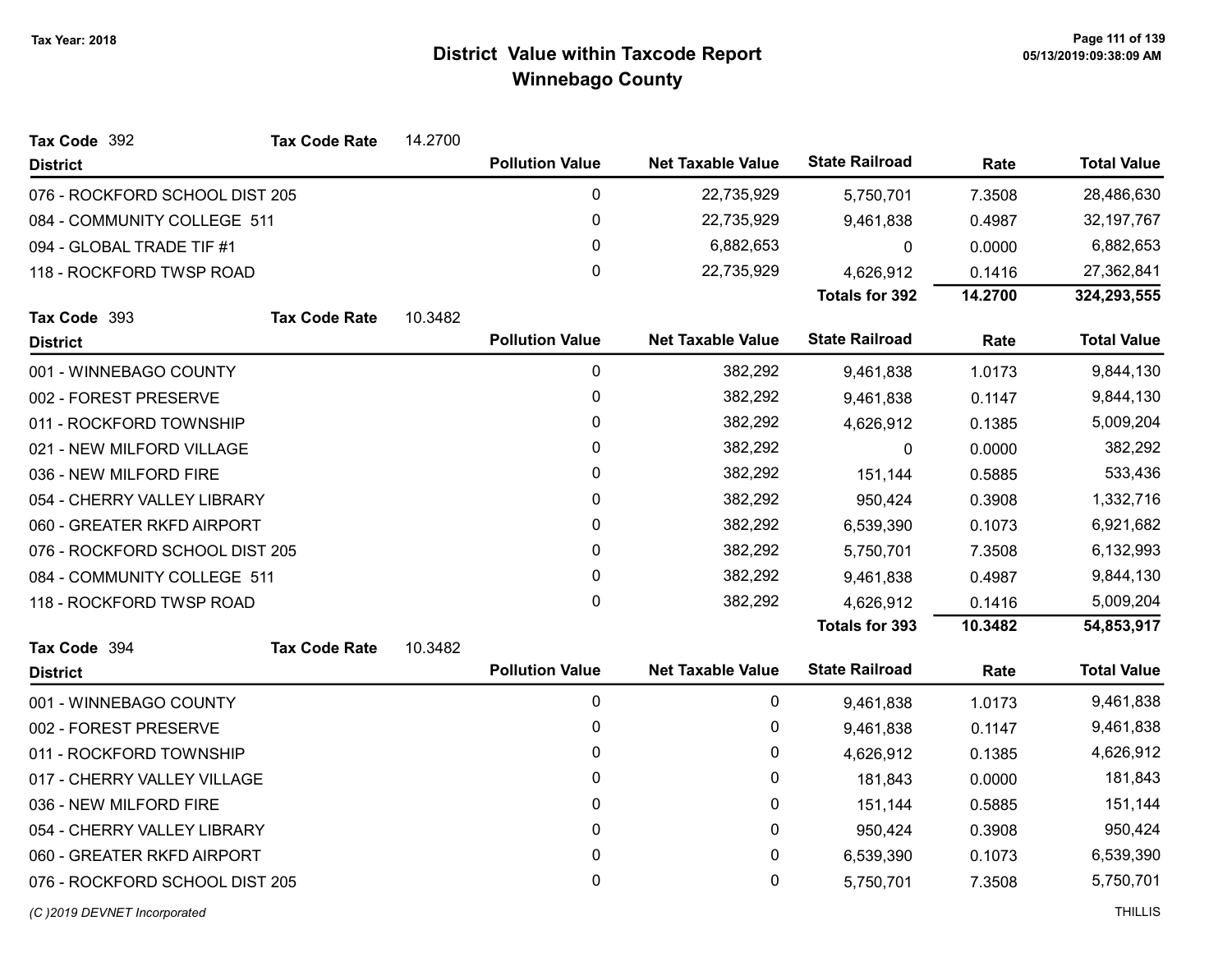| Tax Code 392                   | <b>Tax Code Rate</b> | 14.2700 |                        |                          |                       |         |                    |
|--------------------------------|----------------------|---------|------------------------|--------------------------|-----------------------|---------|--------------------|
| <b>District</b>                |                      |         | <b>Pollution Value</b> | <b>Net Taxable Value</b> | <b>State Railroad</b> | Rate    | <b>Total Value</b> |
| 076 - ROCKFORD SCHOOL DIST 205 |                      |         | 0                      | 22,735,929               | 5,750,701             | 7.3508  | 28,486,630         |
| 084 - COMMUNITY COLLEGE 511    |                      |         | 0                      | 22,735,929               | 9,461,838             | 0.4987  | 32, 197, 767       |
| 094 - GLOBAL TRADE TIF #1      |                      |         | 0                      | 6,882,653                | 0                     | 0.0000  | 6,882,653          |
| 118 - ROCKFORD TWSP ROAD       |                      |         | 0                      | 22,735,929               | 4,626,912             | 0.1416  | 27,362,841         |
|                                |                      |         |                        |                          | <b>Totals for 392</b> | 14.2700 | 324,293,555        |
| Tax Code 393                   | <b>Tax Code Rate</b> | 10.3482 |                        |                          |                       |         |                    |
| <b>District</b>                |                      |         | <b>Pollution Value</b> | <b>Net Taxable Value</b> | <b>State Railroad</b> | Rate    | <b>Total Value</b> |
| 001 - WINNEBAGO COUNTY         |                      |         | 0                      | 382,292                  | 9,461,838             | 1.0173  | 9,844,130          |
| 002 - FOREST PRESERVE          |                      |         | 0                      | 382,292                  | 9,461,838             | 0.1147  | 9,844,130          |
| 011 - ROCKFORD TOWNSHIP        |                      |         | 0                      | 382,292                  | 4,626,912             | 0.1385  | 5,009,204          |
| 021 - NEW MILFORD VILLAGE      |                      |         | 0                      | 382,292                  | 0                     | 0.0000  | 382,292            |
| 036 - NEW MILFORD FIRE         |                      |         | 0                      | 382,292                  | 151,144               | 0.5885  | 533,436            |
| 054 - CHERRY VALLEY LIBRARY    |                      |         | 0                      | 382,292                  | 950,424               | 0.3908  | 1,332,716          |
| 060 - GREATER RKFD AIRPORT     |                      |         | $\mathbf{0}$           | 382,292                  | 6,539,390             | 0.1073  | 6,921,682          |
| 076 - ROCKFORD SCHOOL DIST 205 |                      |         | 0                      | 382,292                  | 5,750,701             | 7.3508  | 6,132,993          |
| 084 - COMMUNITY COLLEGE 511    |                      |         | 0                      | 382,292                  | 9,461,838             | 0.4987  | 9,844,130          |
| 118 - ROCKFORD TWSP ROAD       |                      |         | $\mathbf{0}$           | 382,292                  | 4,626,912             | 0.1416  | 5,009,204          |
|                                |                      |         |                        |                          | <b>Totals for 393</b> | 10.3482 | 54,853,917         |
| Tax Code 394                   | <b>Tax Code Rate</b> | 10.3482 |                        |                          |                       |         |                    |
| <b>District</b>                |                      |         | <b>Pollution Value</b> | <b>Net Taxable Value</b> | <b>State Railroad</b> | Rate    | <b>Total Value</b> |
| 001 - WINNEBAGO COUNTY         |                      |         | 0                      | 0                        | 9,461,838             | 1.0173  | 9,461,838          |
| 002 - FOREST PRESERVE          |                      |         | 0                      | 0                        | 9,461,838             | 0.1147  | 9,461,838          |
| 011 - ROCKFORD TOWNSHIP        |                      |         | 0                      | 0                        | 4,626,912             | 0.1385  | 4,626,912          |
| 017 - CHERRY VALLEY VILLAGE    |                      |         | 0                      | 0                        | 181,843               | 0.0000  | 181,843            |
| 036 - NEW MILFORD FIRE         |                      |         | 0                      | 0                        | 151,144               | 0.5885  | 151,144            |
| 054 - CHERRY VALLEY LIBRARY    |                      |         | 0                      | 0                        | 950,424               | 0.3908  | 950,424            |
| 060 - GREATER RKFD AIRPORT     |                      |         | 0                      | 0                        | 6,539,390             | 0.1073  | 6,539,390          |
| 076 - ROCKFORD SCHOOL DIST 205 |                      |         | 0                      | 0                        | 5,750,701             | 7.3508  | 5,750,701          |
| (C) 2019 DEVNET Incorporated   |                      |         |                        |                          |                       |         | <b>THILLIS</b>     |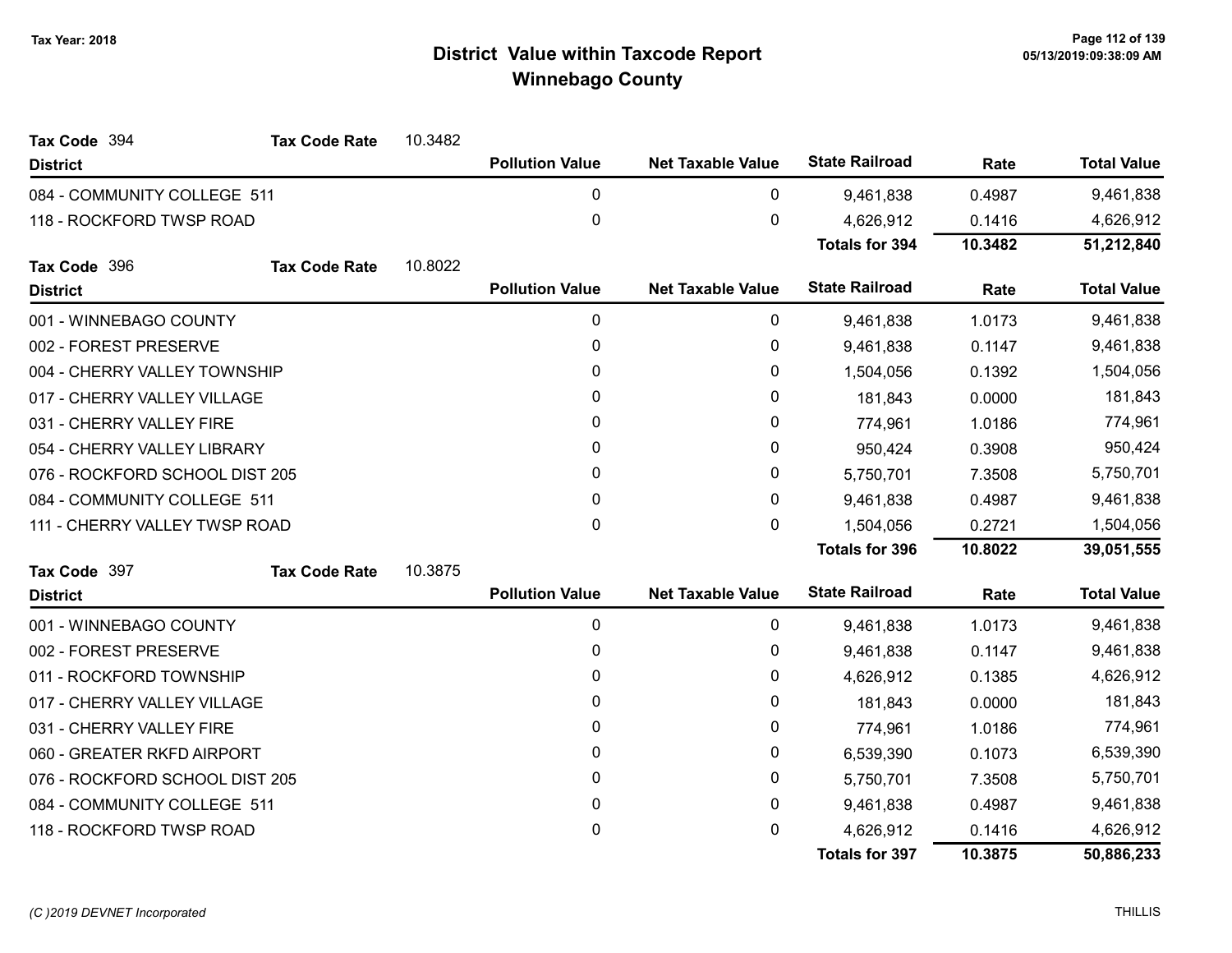| Tax Code 394                   | <b>Tax Code Rate</b> | 10.3482 |                        |                          |                       |         |                    |
|--------------------------------|----------------------|---------|------------------------|--------------------------|-----------------------|---------|--------------------|
| <b>District</b>                |                      |         | <b>Pollution Value</b> | <b>Net Taxable Value</b> | <b>State Railroad</b> | Rate    | <b>Total Value</b> |
| 084 - COMMUNITY COLLEGE 511    |                      |         | 0                      | 0                        | 9,461,838             | 0.4987  | 9,461,838          |
| 118 - ROCKFORD TWSP ROAD       |                      |         | 0                      | $\pmb{0}$                | 4,626,912             | 0.1416  | 4,626,912          |
|                                |                      |         |                        |                          | <b>Totals for 394</b> | 10.3482 | 51,212,840         |
| Tax Code 396                   | <b>Tax Code Rate</b> | 10.8022 |                        |                          |                       |         |                    |
| <b>District</b>                |                      |         | <b>Pollution Value</b> | <b>Net Taxable Value</b> | <b>State Railroad</b> | Rate    | <b>Total Value</b> |
| 001 - WINNEBAGO COUNTY         |                      |         | 0                      | 0                        | 9,461,838             | 1.0173  | 9,461,838          |
| 002 - FOREST PRESERVE          |                      |         | 0                      | 0                        | 9,461,838             | 0.1147  | 9,461,838          |
| 004 - CHERRY VALLEY TOWNSHIP   |                      |         | 0                      | 0                        | 1,504,056             | 0.1392  | 1,504,056          |
| 017 - CHERRY VALLEY VILLAGE    |                      |         | 0                      | 0                        | 181,843               | 0.0000  | 181,843            |
| 031 - CHERRY VALLEY FIRE       |                      |         | 0                      | $\pmb{0}$                | 774,961               | 1.0186  | 774,961            |
| 054 - CHERRY VALLEY LIBRARY    |                      |         | $\mathbf{0}$           | 0                        | 950,424               | 0.3908  | 950,424            |
| 076 - ROCKFORD SCHOOL DIST 205 |                      |         | 0                      | 0                        | 5,750,701             | 7.3508  | 5,750,701          |
| 084 - COMMUNITY COLLEGE 511    |                      |         | 0                      | 0                        | 9,461,838             | 0.4987  | 9,461,838          |
| 111 - CHERRY VALLEY TWSP ROAD  |                      |         | 0                      | 0                        | 1,504,056             | 0.2721  | 1,504,056          |
|                                |                      |         |                        |                          | <b>Totals for 396</b> | 10.8022 | 39,051,555         |
| Tax Code 397                   | <b>Tax Code Rate</b> | 10.3875 |                        |                          |                       |         |                    |
| <b>District</b>                |                      |         | <b>Pollution Value</b> | <b>Net Taxable Value</b> | <b>State Railroad</b> | Rate    | <b>Total Value</b> |
| 001 - WINNEBAGO COUNTY         |                      |         | 0                      | 0                        | 9,461,838             | 1.0173  | 9,461,838          |
| 002 - FOREST PRESERVE          |                      |         | 0                      | 0                        | 9,461,838             | 0.1147  | 9,461,838          |
| 011 - ROCKFORD TOWNSHIP        |                      |         | 0                      | 0                        | 4,626,912             | 0.1385  | 4,626,912          |
| 017 - CHERRY VALLEY VILLAGE    |                      |         | 0                      | 0                        | 181,843               | 0.0000  | 181,843            |
| 031 - CHERRY VALLEY FIRE       |                      |         | 0                      | 0                        | 774,961               | 1.0186  | 774,961            |
| 060 - GREATER RKFD AIRPORT     |                      |         | 0                      | 0                        | 6,539,390             | 0.1073  | 6,539,390          |
| 076 - ROCKFORD SCHOOL DIST 205 |                      |         | 0                      | 0                        | 5,750,701             | 7.3508  | 5,750,701          |
| 084 - COMMUNITY COLLEGE 511    |                      |         | 0                      | 0                        | 9,461,838             | 0.4987  | 9,461,838          |
| 118 - ROCKFORD TWSP ROAD       |                      |         | 0                      | 0                        | 4,626,912             | 0.1416  | 4,626,912          |
|                                |                      |         |                        |                          | <b>Totals for 397</b> | 10.3875 | 50,886,233         |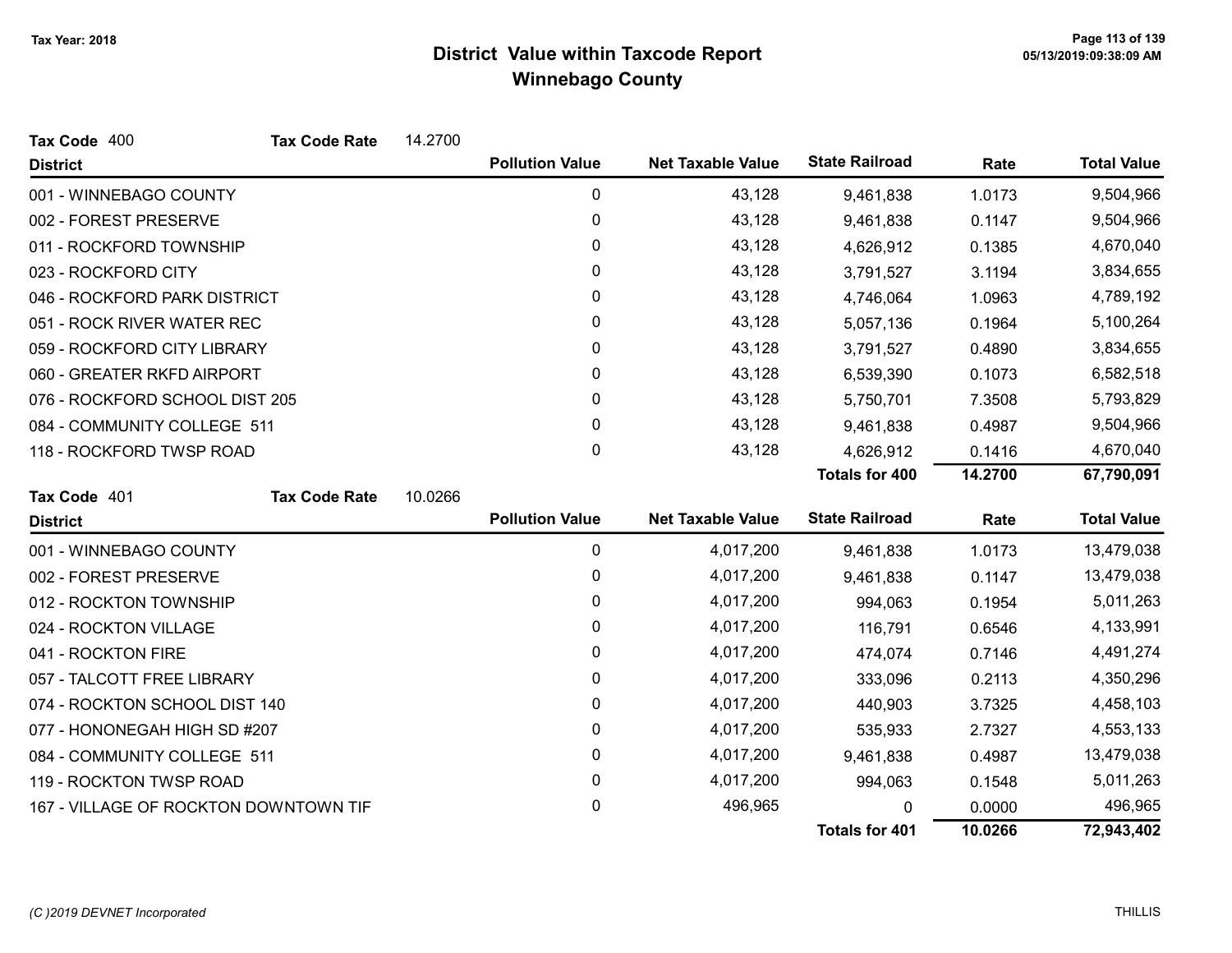| Tax Code 400                          | <b>Tax Code Rate</b> | 14.2700 |                        |                          |                       |         |                    |
|---------------------------------------|----------------------|---------|------------------------|--------------------------|-----------------------|---------|--------------------|
| <b>District</b>                       |                      |         | <b>Pollution Value</b> | <b>Net Taxable Value</b> | <b>State Railroad</b> | Rate    | <b>Total Value</b> |
| 001 - WINNEBAGO COUNTY                |                      |         | $\mathbf 0$            | 43,128                   | 9,461,838             | 1.0173  | 9,504,966          |
| 002 - FOREST PRESERVE                 |                      |         | 0                      | 43,128                   | 9,461,838             | 0.1147  | 9,504,966          |
| 011 - ROCKFORD TOWNSHIP               |                      |         | 0                      | 43,128                   | 4,626,912             | 0.1385  | 4,670,040          |
| 023 - ROCKFORD CITY                   |                      |         | 0                      | 43,128                   | 3,791,527             | 3.1194  | 3,834,655          |
| 046 - ROCKFORD PARK DISTRICT          |                      |         | 0                      | 43,128                   | 4,746,064             | 1.0963  | 4,789,192          |
| 051 - ROCK RIVER WATER REC            |                      |         | 0                      | 43,128                   | 5,057,136             | 0.1964  | 5,100,264          |
| 059 - ROCKFORD CITY LIBRARY           |                      |         | $\mathbf{0}$           | 43,128                   | 3,791,527             | 0.4890  | 3,834,655          |
| 060 - GREATER RKFD AIRPORT            |                      |         | 0                      | 43,128                   | 6,539,390             | 0.1073  | 6,582,518          |
| 076 - ROCKFORD SCHOOL DIST 205        |                      |         | 0                      | 43,128                   | 5,750,701             | 7.3508  | 5,793,829          |
| 084 - COMMUNITY COLLEGE 511           |                      |         | 0                      | 43,128                   | 9,461,838             | 0.4987  | 9,504,966          |
| 118 - ROCKFORD TWSP ROAD              |                      |         | 0                      | 43,128                   | 4,626,912             | 0.1416  | 4,670,040          |
|                                       |                      |         |                        |                          | <b>Totals for 400</b> | 14.2700 | 67,790,091         |
| Tax Code 401                          | <b>Tax Code Rate</b> | 10.0266 |                        |                          |                       |         |                    |
| <b>District</b>                       |                      |         | <b>Pollution Value</b> | <b>Net Taxable Value</b> | <b>State Railroad</b> | Rate    | <b>Total Value</b> |
| 001 - WINNEBAGO COUNTY                |                      |         | 0                      | 4,017,200                | 9,461,838             | 1.0173  | 13,479,038         |
| 002 - FOREST PRESERVE                 |                      |         | $\pmb{0}$              | 4,017,200                | 9,461,838             | 0.1147  | 13,479,038         |
| 012 - ROCKTON TOWNSHIP                |                      |         | 0                      | 4,017,200                | 994,063               | 0.1954  | 5,011,263          |
| 024 - ROCKTON VILLAGE                 |                      |         | 0                      | 4,017,200                | 116,791               | 0.6546  | 4,133,991          |
| 041 - ROCKTON FIRE                    |                      |         | 0                      | 4,017,200                | 474,074               | 0.7146  | 4,491,274          |
| 057 - TALCOTT FREE LIBRARY            |                      |         | 0                      | 4,017,200                | 333,096               | 0.2113  | 4,350,296          |
| 074 - ROCKTON SCHOOL DIST 140         |                      |         | 0                      | 4,017,200                | 440,903               | 3.7325  | 4,458,103          |
| 077 - HONONEGAH HIGH SD #207          |                      |         | 0                      | 4,017,200                | 535,933               | 2.7327  | 4,553,133          |
| 084 - COMMUNITY COLLEGE 511           |                      |         | 0                      | 4,017,200                | 9,461,838             | 0.4987  | 13,479,038         |
| 119 - ROCKTON TWSP ROAD               |                      |         | 0                      | 4,017,200                | 994,063               | 0.1548  | 5,011,263          |
| 167 - VILLAGE OF ROCKTON DOWNTOWN TIF |                      |         | 0                      | 496,965                  | 0                     | 0.0000  | 496,965            |
|                                       |                      |         |                        |                          | <b>Totals for 401</b> | 10.0266 | 72,943,402         |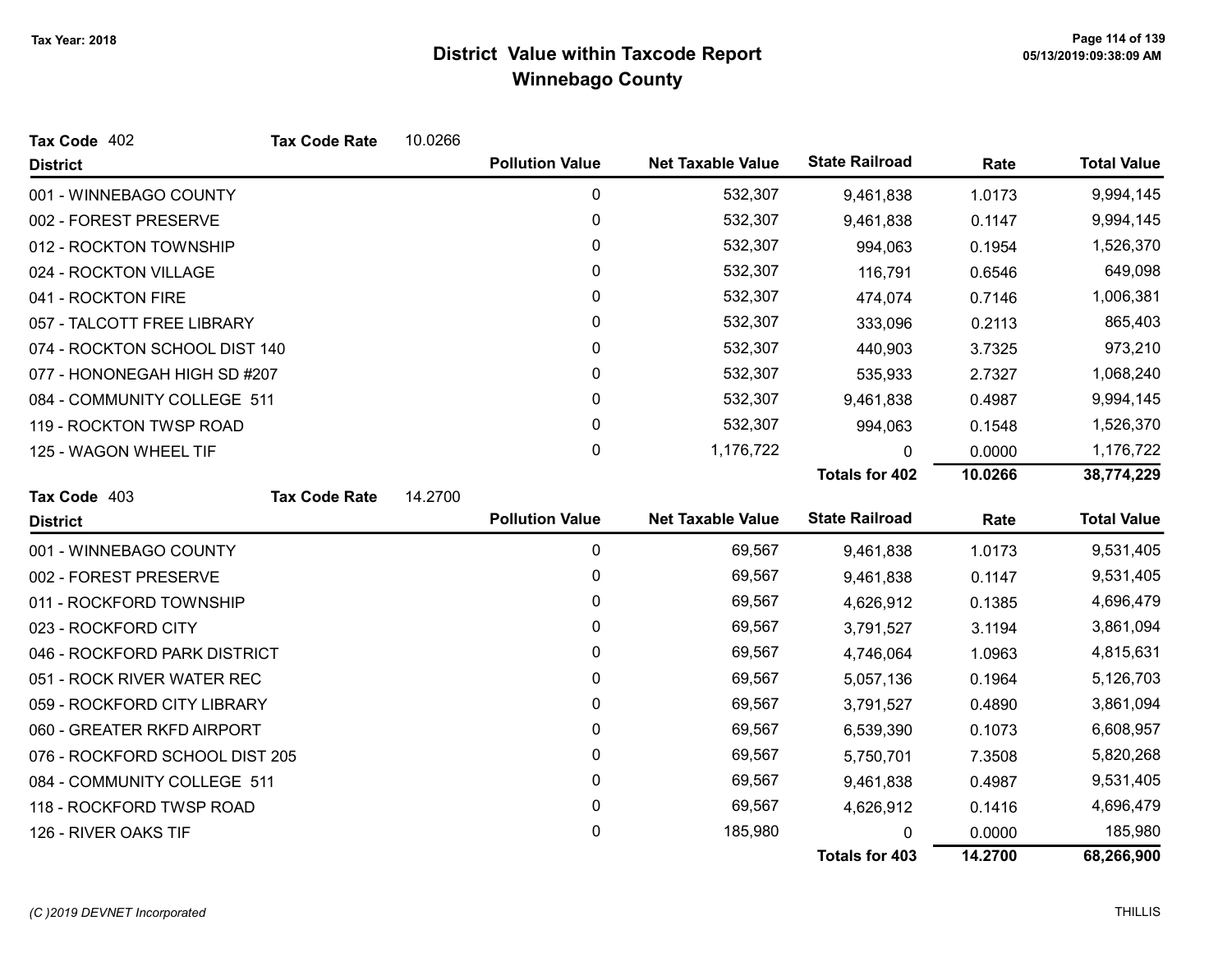| Tax Code 402                   | <b>Tax Code Rate</b> | 10.0266 |                        |                          |                       |         |                    |
|--------------------------------|----------------------|---------|------------------------|--------------------------|-----------------------|---------|--------------------|
| <b>District</b>                |                      |         | <b>Pollution Value</b> | <b>Net Taxable Value</b> | <b>State Railroad</b> | Rate    | <b>Total Value</b> |
| 001 - WINNEBAGO COUNTY         |                      |         | 0                      | 532,307                  | 9,461,838             | 1.0173  | 9,994,145          |
| 002 - FOREST PRESERVE          |                      |         | $\pmb{0}$              | 532,307                  | 9,461,838             | 0.1147  | 9,994,145          |
| 012 - ROCKTON TOWNSHIP         |                      |         | 0                      | 532,307                  | 994,063               | 0.1954  | 1,526,370          |
| 024 - ROCKTON VILLAGE          |                      |         | 0                      | 532,307                  | 116,791               | 0.6546  | 649,098            |
| 041 - ROCKTON FIRE             |                      |         | 0                      | 532,307                  | 474,074               | 0.7146  | 1,006,381          |
| 057 - TALCOTT FREE LIBRARY     |                      |         | 0                      | 532,307                  | 333,096               | 0.2113  | 865,403            |
| 074 - ROCKTON SCHOOL DIST 140  |                      |         | 0                      | 532,307                  | 440,903               | 3.7325  | 973,210            |
| 077 - HONONEGAH HIGH SD #207   |                      |         | 0                      | 532,307                  | 535,933               | 2.7327  | 1,068,240          |
| 084 - COMMUNITY COLLEGE 511    |                      |         | 0                      | 532,307                  | 9,461,838             | 0.4987  | 9,994,145          |
| 119 - ROCKTON TWSP ROAD        |                      |         | 0                      | 532,307                  | 994,063               | 0.1548  | 1,526,370          |
| 125 - WAGON WHEEL TIF          |                      |         | 0                      | 1,176,722                | 0                     | 0.0000  | 1,176,722          |
|                                |                      |         |                        |                          | <b>Totals for 402</b> | 10.0266 | 38,774,229         |
| Tax Code 403                   | <b>Tax Code Rate</b> | 14.2700 |                        |                          |                       |         |                    |
| <b>District</b>                |                      |         | <b>Pollution Value</b> | <b>Net Taxable Value</b> | <b>State Railroad</b> | Rate    | <b>Total Value</b> |
| 001 - WINNEBAGO COUNTY         |                      |         | $\mathbf{0}$           | 69,567                   | 9,461,838             | 1.0173  | 9,531,405          |
| 002 - FOREST PRESERVE          |                      |         | 0                      | 69,567                   | 9,461,838             | 0.1147  | 9,531,405          |
| 011 - ROCKFORD TOWNSHIP        |                      |         | 0                      | 69,567                   | 4,626,912             | 0.1385  | 4,696,479          |
| 023 - ROCKFORD CITY            |                      |         | 0                      | 69,567                   | 3,791,527             | 3.1194  | 3,861,094          |
| 046 - ROCKFORD PARK DISTRICT   |                      |         | 0                      | 69,567                   | 4,746,064             | 1.0963  | 4,815,631          |
| 051 - ROCK RIVER WATER REC     |                      |         | 0                      | 69,567                   | 5,057,136             | 0.1964  | 5,126,703          |
| 059 - ROCKFORD CITY LIBRARY    |                      |         | 0                      | 69,567                   | 3,791,527             | 0.4890  | 3,861,094          |
| 060 - GREATER RKFD AIRPORT     |                      |         | 0                      | 69,567                   | 6,539,390             | 0.1073  | 6,608,957          |
| 076 - ROCKFORD SCHOOL DIST 205 |                      |         | 0                      | 69,567                   | 5,750,701             | 7.3508  | 5,820,268          |
| 084 - COMMUNITY COLLEGE 511    |                      |         | 0                      | 69,567                   | 9,461,838             | 0.4987  | 9,531,405          |
| 118 - ROCKFORD TWSP ROAD       |                      |         | 0                      | 69,567                   | 4,626,912             | 0.1416  | 4,696,479          |
|                                |                      |         |                        |                          |                       |         |                    |
| 126 - RIVER OAKS TIF           |                      |         | 0                      | 185,980                  | U                     | 0.0000  | 185,980            |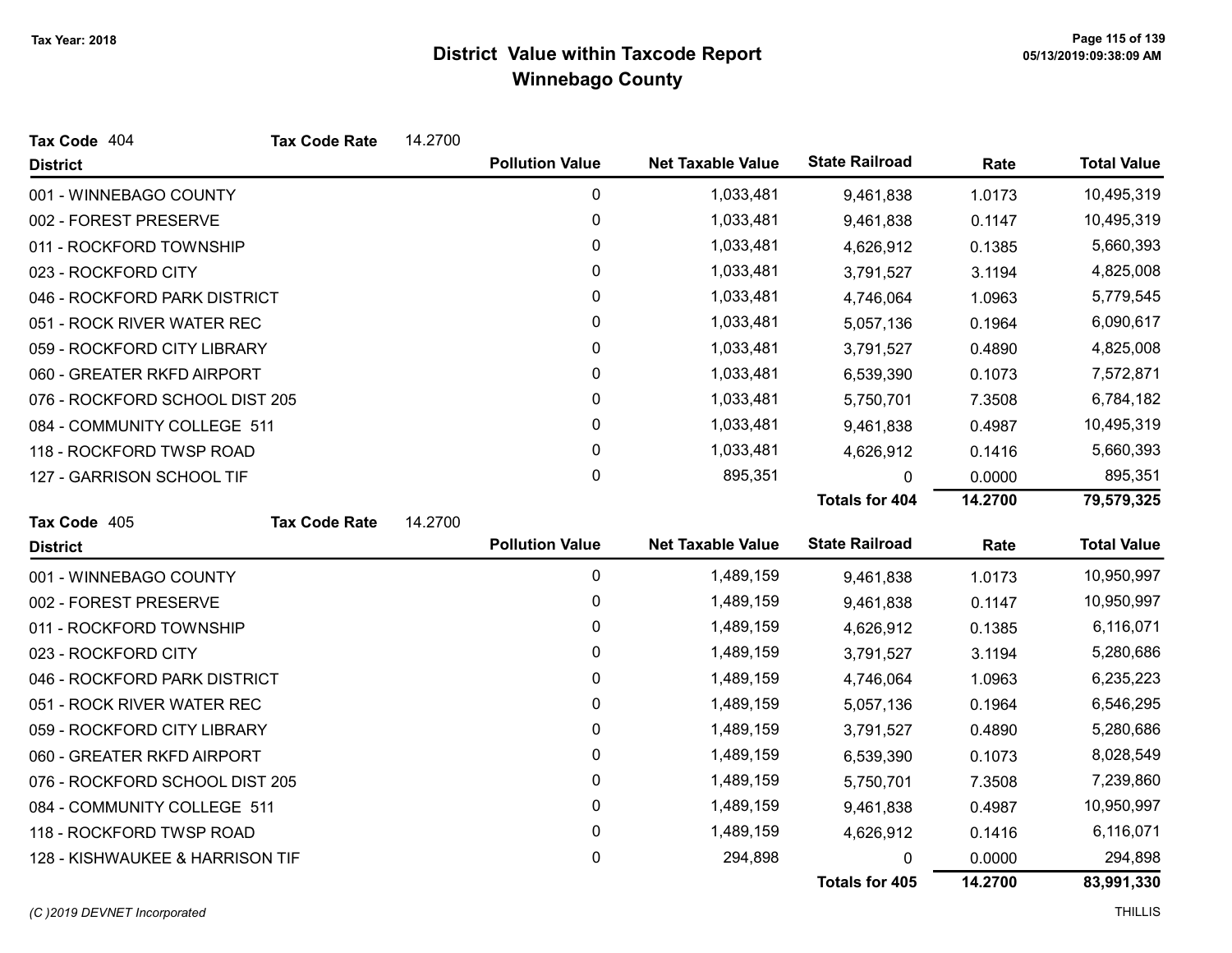| Tax Code 404                    | <b>Tax Code Rate</b> | 14.2700 |                        |                          |                       |         |                    |
|---------------------------------|----------------------|---------|------------------------|--------------------------|-----------------------|---------|--------------------|
| <b>District</b>                 |                      |         | <b>Pollution Value</b> | <b>Net Taxable Value</b> | <b>State Railroad</b> | Rate    | <b>Total Value</b> |
| 001 - WINNEBAGO COUNTY          |                      |         | 0                      | 1,033,481                | 9,461,838             | 1.0173  | 10,495,319         |
| 002 - FOREST PRESERVE           |                      |         | 0                      | 1,033,481                | 9,461,838             | 0.1147  | 10,495,319         |
| 011 - ROCKFORD TOWNSHIP         |                      |         | 0                      | 1,033,481                | 4,626,912             | 0.1385  | 5,660,393          |
| 023 - ROCKFORD CITY             |                      |         | 0                      | 1,033,481                | 3,791,527             | 3.1194  | 4,825,008          |
| 046 - ROCKFORD PARK DISTRICT    |                      |         | 0                      | 1,033,481                | 4,746,064             | 1.0963  | 5,779,545          |
| 051 - ROCK RIVER WATER REC      |                      |         | 0                      | 1,033,481                | 5,057,136             | 0.1964  | 6,090,617          |
| 059 - ROCKFORD CITY LIBRARY     |                      |         | 0                      | 1,033,481                | 3,791,527             | 0.4890  | 4,825,008          |
| 060 - GREATER RKFD AIRPORT      |                      |         | 0                      | 1,033,481                | 6,539,390             | 0.1073  | 7,572,871          |
| 076 - ROCKFORD SCHOOL DIST 205  |                      |         | 0                      | 1,033,481                | 5,750,701             | 7.3508  | 6,784,182          |
| 084 - COMMUNITY COLLEGE 511     |                      |         | 0                      | 1,033,481                | 9,461,838             | 0.4987  | 10,495,319         |
| 118 - ROCKFORD TWSP ROAD        |                      |         | 0                      | 1,033,481                | 4,626,912             | 0.1416  | 5,660,393          |
| 127 - GARRISON SCHOOL TIF       |                      |         | 0                      | 895,351                  | 0                     | 0.0000  | 895,351            |
|                                 |                      |         |                        |                          | <b>Totals for 404</b> | 14.2700 | 79,579,325         |
| Tax Code 405                    | <b>Tax Code Rate</b> | 14.2700 |                        |                          |                       |         |                    |
| <b>District</b>                 |                      |         | <b>Pollution Value</b> | <b>Net Taxable Value</b> | <b>State Railroad</b> | Rate    | <b>Total Value</b> |
| 001 - WINNEBAGO COUNTY          |                      |         | 0                      | 1,489,159                | 9,461,838             | 1.0173  | 10,950,997         |
| 002 - FOREST PRESERVE           |                      |         | 0                      | 1,489,159                | 9,461,838             | 0.1147  | 10,950,997         |
| 011 - ROCKFORD TOWNSHIP         |                      |         | 0                      | 1,489,159                | 4,626,912             | 0.1385  | 6,116,071          |
| 023 - ROCKFORD CITY             |                      |         | 0                      | 1,489,159                | 3,791,527             | 3.1194  | 5,280,686          |
| 046 - ROCKFORD PARK DISTRICT    |                      |         | 0                      | 1,489,159                | 4,746,064             | 1.0963  | 6,235,223          |
| 051 - ROCK RIVER WATER REC      |                      |         | 0                      | 1,489,159                | 5,057,136             | 0.1964  | 6,546,295          |
| 059 - ROCKFORD CITY LIBRARY     |                      |         | 0                      | 1,489,159                | 3,791,527             | 0.4890  | 5,280,686          |
| 060 - GREATER RKFD AIRPORT      |                      |         | 0                      | 1,489,159                | 6,539,390             | 0.1073  | 8,028,549          |
| 076 - ROCKFORD SCHOOL DIST 205  |                      |         | 0                      | 1,489,159                | 5,750,701             | 7.3508  | 7,239,860          |
| 084 - COMMUNITY COLLEGE 511     |                      |         | 0                      | 1,489,159                | 9,461,838             | 0.4987  | 10,950,997         |
| 118 - ROCKFORD TWSP ROAD        |                      |         | 0                      | 1,489,159                | 4,626,912             | 0.1416  | 6,116,071          |
| 128 - KISHWAUKEE & HARRISON TIF |                      |         | 0                      | 294,898                  | 0                     | 0.0000  | 294,898            |
|                                 |                      |         |                        |                          | Totals for 405        | 14.2700 | 83,991,330         |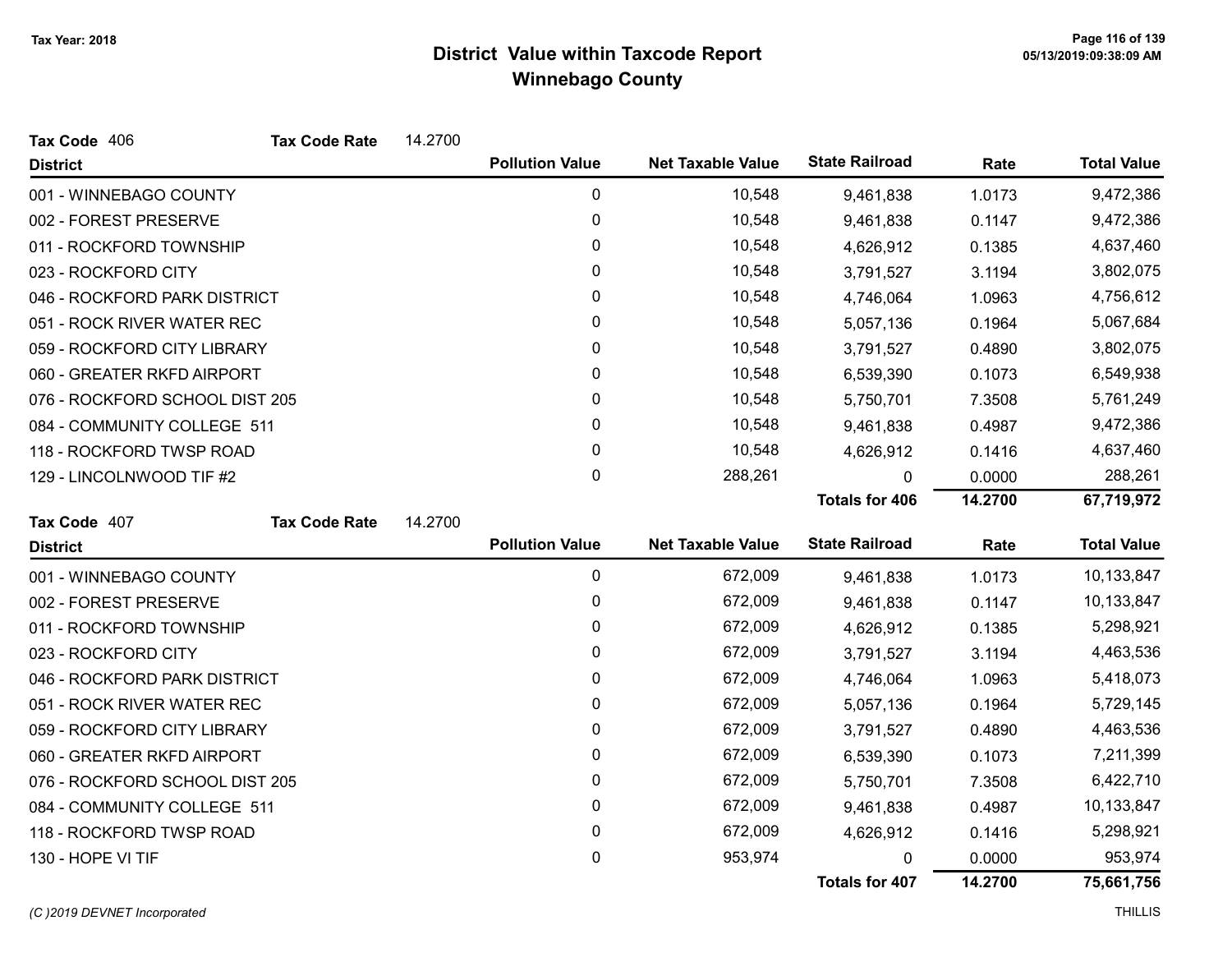| Tax Code 406                   | <b>Tax Code Rate</b> | 14.2700 |                        |                          |                       |         |                    |
|--------------------------------|----------------------|---------|------------------------|--------------------------|-----------------------|---------|--------------------|
| <b>District</b>                |                      |         | <b>Pollution Value</b> | <b>Net Taxable Value</b> | <b>State Railroad</b> | Rate    | <b>Total Value</b> |
| 001 - WINNEBAGO COUNTY         |                      |         | 0                      | 10,548                   | 9,461,838             | 1.0173  | 9,472,386          |
| 002 - FOREST PRESERVE          |                      |         | 0                      | 10,548                   | 9,461,838             | 0.1147  | 9,472,386          |
| 011 - ROCKFORD TOWNSHIP        |                      |         | 0                      | 10,548                   | 4,626,912             | 0.1385  | 4,637,460          |
| 023 - ROCKFORD CITY            |                      |         | 0                      | 10,548                   | 3,791,527             | 3.1194  | 3,802,075          |
| 046 - ROCKFORD PARK DISTRICT   |                      |         | 0                      | 10,548                   | 4,746,064             | 1.0963  | 4,756,612          |
| 051 - ROCK RIVER WATER REC     |                      |         | 0                      | 10,548                   | 5,057,136             | 0.1964  | 5,067,684          |
| 059 - ROCKFORD CITY LIBRARY    |                      |         | 0                      | 10,548                   | 3,791,527             | 0.4890  | 3,802,075          |
| 060 - GREATER RKFD AIRPORT     |                      |         | 0                      | 10,548                   | 6,539,390             | 0.1073  | 6,549,938          |
| 076 - ROCKFORD SCHOOL DIST 205 |                      |         | 0                      | 10,548                   | 5,750,701             | 7.3508  | 5,761,249          |
| 084 - COMMUNITY COLLEGE 511    |                      |         | 0                      | 10,548                   | 9,461,838             | 0.4987  | 9,472,386          |
| 118 - ROCKFORD TWSP ROAD       |                      |         | 0                      | 10,548                   | 4,626,912             | 0.1416  | 4,637,460          |
| 129 - LINCOLNWOOD TIF #2       |                      |         | $\mathbf 0$            | 288,261                  | 0                     | 0.0000  | 288,261            |
|                                |                      |         |                        |                          | <b>Totals for 406</b> | 14.2700 | 67,719,972         |
| Tax Code 407                   | <b>Tax Code Rate</b> | 14.2700 |                        |                          |                       |         |                    |
| <b>District</b>                |                      |         | <b>Pollution Value</b> | <b>Net Taxable Value</b> | <b>State Railroad</b> | Rate    | <b>Total Value</b> |
| 001 - WINNEBAGO COUNTY         |                      |         | $\mathbf 0$            | 672,009                  | 9,461,838             | 1.0173  | 10,133,847         |
| 002 - FOREST PRESERVE          |                      |         | 0                      | 672,009                  | 9,461,838             | 0.1147  | 10,133,847         |
| 011 - ROCKFORD TOWNSHIP        |                      |         | 0                      | 672,009                  | 4,626,912             | 0.1385  | 5,298,921          |
| 023 - ROCKFORD CITY            |                      |         | 0                      | 672,009                  | 3,791,527             | 3.1194  | 4,463,536          |
| 046 - ROCKFORD PARK DISTRICT   |                      |         | $\mathbf 0$            | 672,009                  | 4,746,064             | 1.0963  | 5,418,073          |
| 051 - ROCK RIVER WATER REC     |                      |         | 0                      | 672,009                  | 5,057,136             | 0.1964  | 5,729,145          |
| 059 - ROCKFORD CITY LIBRARY    |                      |         | 0                      | 672,009                  | 3,791,527             | 0.4890  | 4,463,536          |
| 060 - GREATER RKFD AIRPORT     |                      |         | 0                      | 672,009                  | 6,539,390             | 0.1073  | 7,211,399          |
| 076 - ROCKFORD SCHOOL DIST 205 |                      |         | $\mathbf 0$            | 672,009                  | 5,750,701             | 7.3508  | 6,422,710          |
| 084 - COMMUNITY COLLEGE 511    |                      |         | 0                      | 672,009                  | 9,461,838             | 0.4987  | 10,133,847         |
| 118 - ROCKFORD TWSP ROAD       |                      |         | 0                      | 672,009                  | 4,626,912             | 0.1416  | 5,298,921          |
| 130 - HOPE VI TIF              |                      |         | 0                      | 953,974                  | 0                     | 0.0000  | 953,974            |
|                                |                      |         |                        |                          | <b>Totals for 407</b> | 14.2700 | 75,661,756         |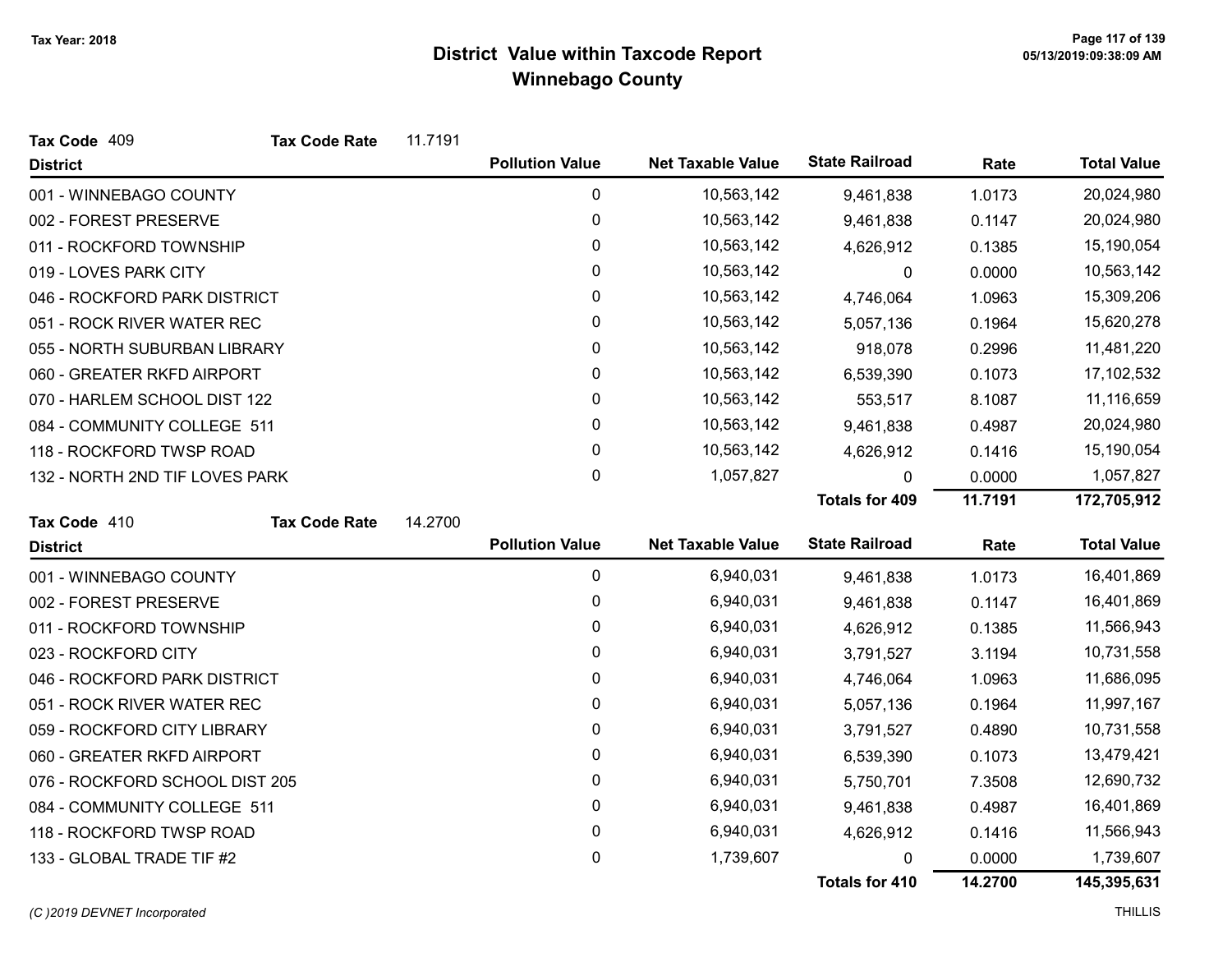| Tax Code 409                   | <b>Tax Code Rate</b> | 11.7191 |                        |                          |                       |         |                    |
|--------------------------------|----------------------|---------|------------------------|--------------------------|-----------------------|---------|--------------------|
| <b>District</b>                |                      |         | <b>Pollution Value</b> | <b>Net Taxable Value</b> | <b>State Railroad</b> | Rate    | <b>Total Value</b> |
| 001 - WINNEBAGO COUNTY         |                      |         | 0                      | 10,563,142               | 9,461,838             | 1.0173  | 20,024,980         |
| 002 - FOREST PRESERVE          |                      |         | 0                      | 10,563,142               | 9,461,838             | 0.1147  | 20,024,980         |
| 011 - ROCKFORD TOWNSHIP        |                      |         | 0                      | 10,563,142               | 4,626,912             | 0.1385  | 15,190,054         |
| 019 - LOVES PARK CITY          |                      |         | 0                      | 10,563,142               | 0                     | 0.0000  | 10,563,142         |
| 046 - ROCKFORD PARK DISTRICT   |                      |         | 0                      | 10,563,142               | 4,746,064             | 1.0963  | 15,309,206         |
| 051 - ROCK RIVER WATER REC     |                      |         | 0                      | 10,563,142               | 5,057,136             | 0.1964  | 15,620,278         |
| 055 - NORTH SUBURBAN LIBRARY   |                      |         | 0                      | 10,563,142               | 918,078               | 0.2996  | 11,481,220         |
| 060 - GREATER RKFD AIRPORT     |                      |         | 0                      | 10,563,142               | 6,539,390             | 0.1073  | 17,102,532         |
| 070 - HARLEM SCHOOL DIST 122   |                      |         | 0                      | 10,563,142               | 553,517               | 8.1087  | 11,116,659         |
| 084 - COMMUNITY COLLEGE 511    |                      |         | 0                      | 10,563,142               | 9,461,838             | 0.4987  | 20,024,980         |
| 118 - ROCKFORD TWSP ROAD       |                      |         | 0                      | 10,563,142               | 4,626,912             | 0.1416  | 15,190,054         |
| 132 - NORTH 2ND TIF LOVES PARK |                      |         | $\pmb{0}$              | 1,057,827                | 0                     | 0.0000  | 1,057,827          |
|                                |                      |         |                        |                          | <b>Totals for 409</b> | 11.7191 | 172,705,912        |
| Tax Code 410                   | <b>Tax Code Rate</b> | 14.2700 |                        |                          |                       |         |                    |
| <b>District</b>                |                      |         | <b>Pollution Value</b> | <b>Net Taxable Value</b> | <b>State Railroad</b> | Rate    | <b>Total Value</b> |
| 001 - WINNEBAGO COUNTY         |                      |         | $\mathbf 0$            | 6,940,031                | 9,461,838             | 1.0173  | 16,401,869         |
| 002 - FOREST PRESERVE          |                      |         | 0                      | 6,940,031                | 9,461,838             | 0.1147  | 16,401,869         |
| 011 - ROCKFORD TOWNSHIP        |                      |         | 0                      | 6,940,031                | 4,626,912             | 0.1385  | 11,566,943         |
| 023 - ROCKFORD CITY            |                      |         | 0                      | 6,940,031                | 3,791,527             | 3.1194  | 10,731,558         |
| 046 - ROCKFORD PARK DISTRICT   |                      |         | 0                      | 6,940,031                | 4,746,064             | 1.0963  | 11,686,095         |
| 051 - ROCK RIVER WATER REC     |                      |         | 0                      | 6,940,031                | 5,057,136             | 0.1964  | 11,997,167         |
| 059 - ROCKFORD CITY LIBRARY    |                      |         | 0                      | 6,940,031                | 3,791,527             | 0.4890  | 10,731,558         |
| 060 - GREATER RKFD AIRPORT     |                      |         | 0                      | 6,940,031                | 6,539,390             | 0.1073  | 13,479,421         |
| 076 - ROCKFORD SCHOOL DIST 205 |                      |         | 0                      | 6,940,031                | 5,750,701             | 7.3508  | 12,690,732         |
| 084 - COMMUNITY COLLEGE 511    |                      |         | 0                      | 6,940,031                | 9,461,838             | 0.4987  | 16,401,869         |
| 118 - ROCKFORD TWSP ROAD       |                      |         | 0                      | 6,940,031                | 4,626,912             | 0.1416  | 11,566,943         |
| 133 - GLOBAL TRADE TIF #2      |                      |         | 0                      | 1,739,607                | 0                     | 0.0000  | 1,739,607          |
|                                |                      |         |                        |                          | <b>Totals for 410</b> | 14.2700 | 145,395,631        |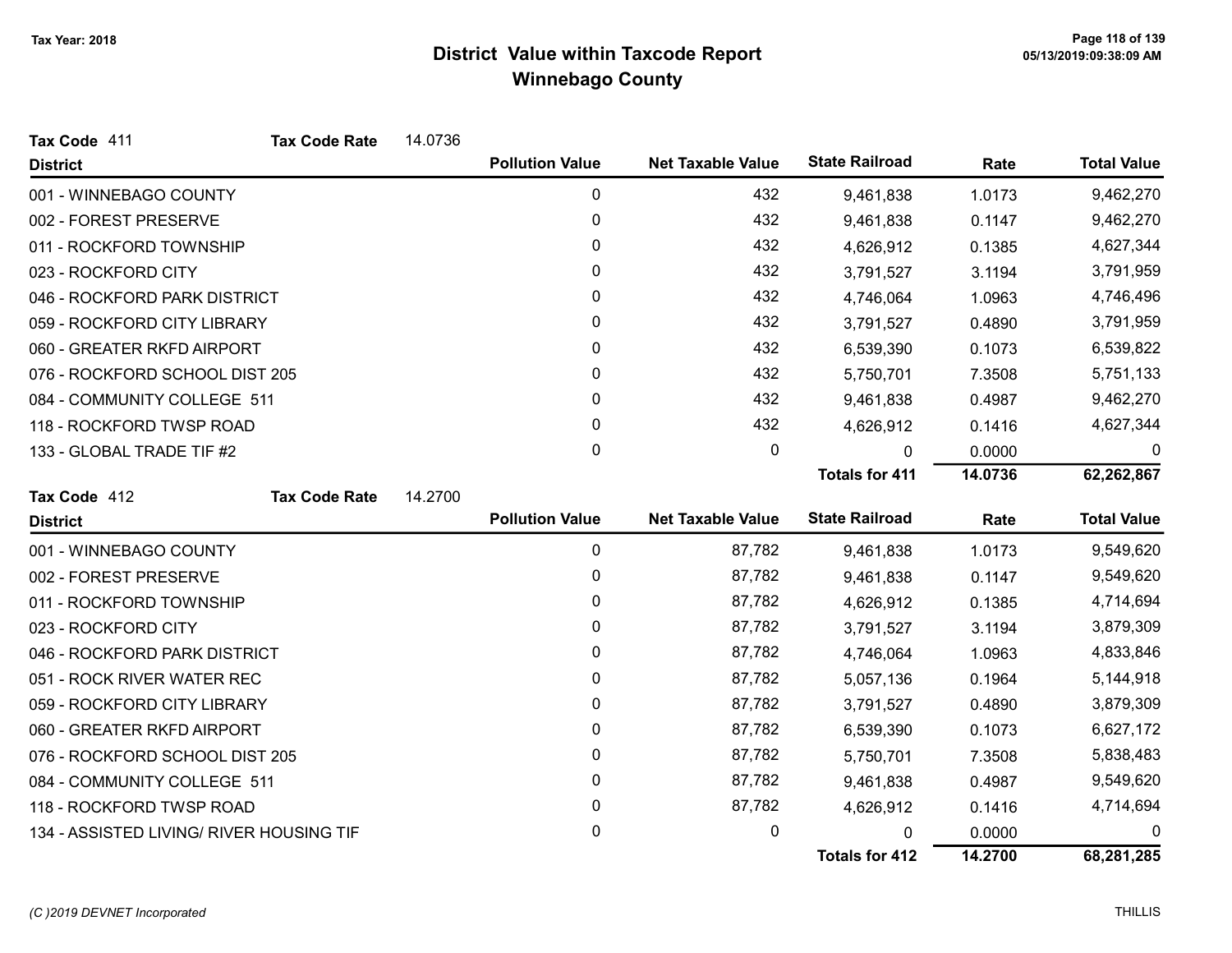| Tax Code 411                             | <b>Tax Code Rate</b> | 14.0736 |                        |                          |                       |         |                    |
|------------------------------------------|----------------------|---------|------------------------|--------------------------|-----------------------|---------|--------------------|
| <b>District</b>                          |                      |         | <b>Pollution Value</b> | <b>Net Taxable Value</b> | <b>State Railroad</b> | Rate    | <b>Total Value</b> |
| 001 - WINNEBAGO COUNTY                   |                      |         | 0                      | 432                      | 9,461,838             | 1.0173  | 9,462,270          |
| 002 - FOREST PRESERVE                    |                      |         | 0                      | 432                      | 9,461,838             | 0.1147  | 9,462,270          |
| 011 - ROCKFORD TOWNSHIP                  |                      |         | 0                      | 432                      | 4,626,912             | 0.1385  | 4,627,344          |
| 023 - ROCKFORD CITY                      |                      |         | 0                      | 432                      | 3,791,527             | 3.1194  | 3,791,959          |
| 046 - ROCKFORD PARK DISTRICT             |                      |         | 0                      | 432                      | 4,746,064             | 1.0963  | 4,746,496          |
| 059 - ROCKFORD CITY LIBRARY              |                      |         | 0                      | 432                      | 3,791,527             | 0.4890  | 3,791,959          |
| 060 - GREATER RKFD AIRPORT               |                      |         | 0                      | 432                      | 6,539,390             | 0.1073  | 6,539,822          |
| 076 - ROCKFORD SCHOOL DIST 205           |                      |         | 0                      | 432                      | 5,750,701             | 7.3508  | 5,751,133          |
| 084 - COMMUNITY COLLEGE 511              |                      |         | 0                      | 432                      | 9,461,838             | 0.4987  | 9,462,270          |
| 118 - ROCKFORD TWSP ROAD                 |                      |         | 0                      | 432                      | 4,626,912             | 0.1416  | 4,627,344          |
| 133 - GLOBAL TRADE TIF #2                |                      |         | 0                      | 0                        | $\mathbf{0}$          | 0.0000  | 0                  |
|                                          |                      |         |                        |                          | <b>Totals for 411</b> | 14.0736 | 62,262,867         |
| Tax Code 412                             | <b>Tax Code Rate</b> | 14.2700 |                        |                          |                       |         |                    |
| <b>District</b>                          |                      |         | <b>Pollution Value</b> | <b>Net Taxable Value</b> | <b>State Railroad</b> | Rate    | <b>Total Value</b> |
| 001 - WINNEBAGO COUNTY                   |                      |         | 0                      | 87,782                   | 9,461,838             | 1.0173  | 9,549,620          |
| 002 - FOREST PRESERVE                    |                      |         | 0                      | 87,782                   | 9,461,838             | 0.1147  | 9,549,620          |
| 011 - ROCKFORD TOWNSHIP                  |                      |         | 0                      | 87,782                   | 4,626,912             | 0.1385  | 4,714,694          |
| 023 - ROCKFORD CITY                      |                      |         | 0                      | 87,782                   | 3,791,527             | 3.1194  | 3,879,309          |
| 046 - ROCKFORD PARK DISTRICT             |                      |         | 0                      | 87,782                   | 4,746,064             | 1.0963  | 4,833,846          |
| 051 - ROCK RIVER WATER REC               |                      |         | 0                      | 87,782                   | 5,057,136             | 0.1964  | 5,144,918          |
| 059 - ROCKFORD CITY LIBRARY              |                      |         | 0                      | 87,782                   | 3,791,527             | 0.4890  | 3,879,309          |
| 060 - GREATER RKFD AIRPORT               |                      |         | 0                      | 87,782                   | 6,539,390             | 0.1073  | 6,627,172          |
| 076 - ROCKFORD SCHOOL DIST 205           |                      |         | 0                      | 87,782                   | 5,750,701             | 7.3508  | 5,838,483          |
| 084 - COMMUNITY COLLEGE 511              |                      |         | 0                      | 87,782                   | 9,461,838             | 0.4987  | 9,549,620          |
| 118 - ROCKFORD TWSP ROAD                 |                      |         | 0                      | 87,782                   | 4,626,912             | 0.1416  | 4,714,694          |
| 134 - ASSISTED LIVING/ RIVER HOUSING TIF |                      |         | 0                      | 0                        | 0                     | 0.0000  | 0                  |
|                                          |                      |         |                        |                          | <b>Totals for 412</b> | 14.2700 | 68,281,285         |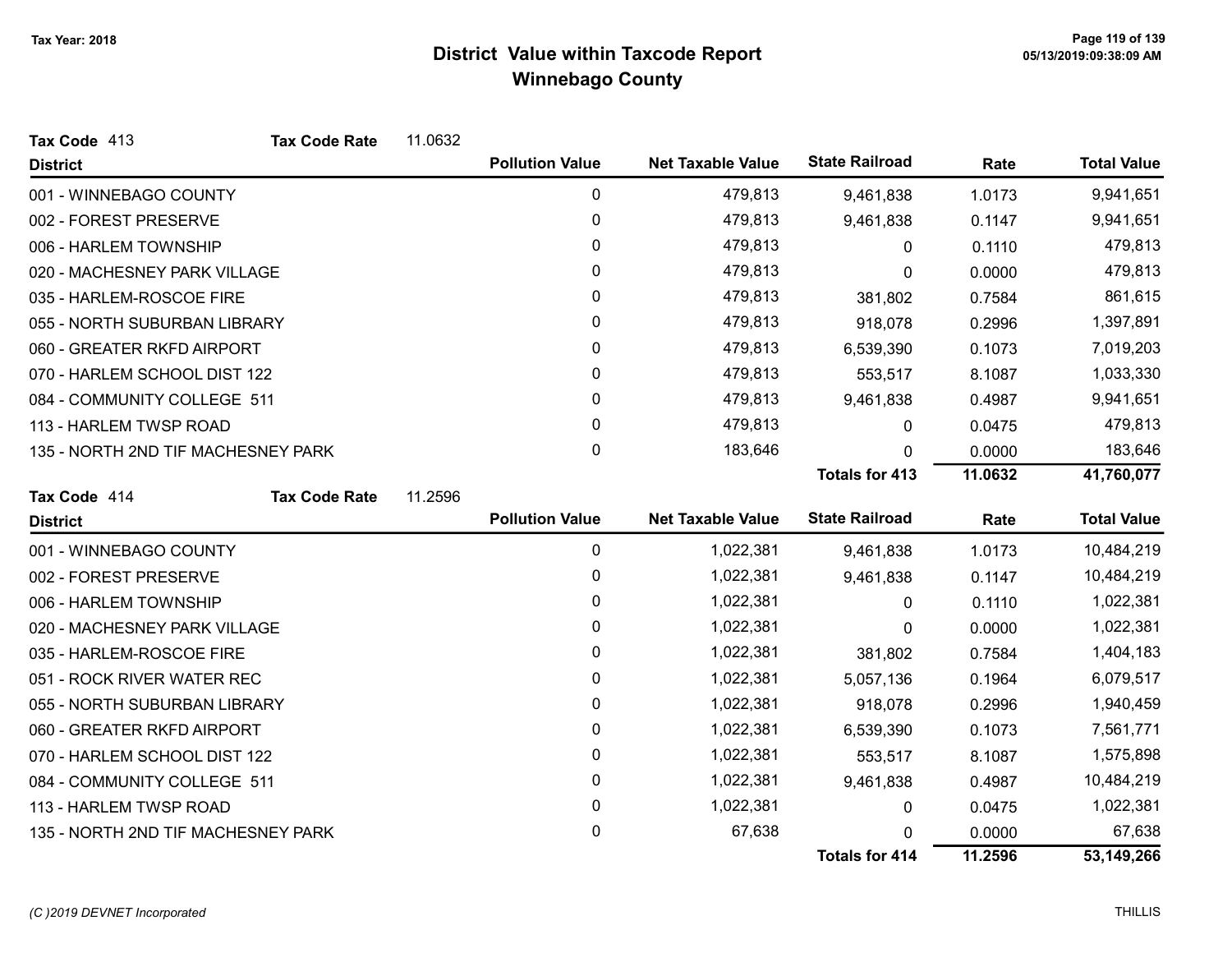| Tax Code 413                       | <b>Tax Code Rate</b> | 11.0632 |                        |                          |                       |         |                    |
|------------------------------------|----------------------|---------|------------------------|--------------------------|-----------------------|---------|--------------------|
| <b>District</b>                    |                      |         | <b>Pollution Value</b> | <b>Net Taxable Value</b> | <b>State Railroad</b> | Rate    | <b>Total Value</b> |
| 001 - WINNEBAGO COUNTY             |                      |         | 0                      | 479,813                  | 9,461,838             | 1.0173  | 9,941,651          |
| 002 - FOREST PRESERVE              |                      |         | $\pmb{0}$              | 479,813                  | 9,461,838             | 0.1147  | 9,941,651          |
| 006 - HARLEM TOWNSHIP              |                      |         | 0                      | 479,813                  | 0                     | 0.1110  | 479,813            |
| 020 - MACHESNEY PARK VILLAGE       |                      |         | 0                      | 479,813                  | 0                     | 0.0000  | 479,813            |
| 035 - HARLEM-ROSCOE FIRE           |                      |         | 0                      | 479,813                  | 381,802               | 0.7584  | 861,615            |
| 055 - NORTH SUBURBAN LIBRARY       |                      |         | 0                      | 479,813                  | 918,078               | 0.2996  | 1,397,891          |
| 060 - GREATER RKFD AIRPORT         |                      |         | $\pmb{0}$              | 479,813                  | 6,539,390             | 0.1073  | 7,019,203          |
| 070 - HARLEM SCHOOL DIST 122       |                      |         | $\mathbf{0}$           | 479,813                  | 553,517               | 8.1087  | 1,033,330          |
| 084 - COMMUNITY COLLEGE 511        |                      |         | $\mathbf{0}$           | 479,813                  | 9,461,838             | 0.4987  | 9,941,651          |
| 113 - HARLEM TWSP ROAD             |                      |         | $\mathbf 0$            | 479,813                  | 0                     | 0.0475  | 479,813            |
| 135 - NORTH 2ND TIF MACHESNEY PARK |                      |         | 0                      | 183,646                  | 0                     | 0.0000  | 183,646            |
|                                    |                      |         |                        |                          | <b>Totals for 413</b> | 11.0632 | 41,760,077         |
| Tax Code 414                       | <b>Tax Code Rate</b> | 11.2596 |                        |                          |                       |         |                    |
| <b>District</b>                    |                      |         | <b>Pollution Value</b> | <b>Net Taxable Value</b> | <b>State Railroad</b> | Rate    | <b>Total Value</b> |
| 001 - WINNEBAGO COUNTY             |                      |         | $\mathbf 0$            | 1,022,381                | 9,461,838             | 1.0173  | 10,484,219         |
| 002 - FOREST PRESERVE              |                      |         | 0                      | 1,022,381                | 9,461,838             | 0.1147  | 10,484,219         |
| 006 - HARLEM TOWNSHIP              |                      |         | $\pmb{0}$              | 1,022,381                | 0                     | 0.1110  | 1,022,381          |
| 020 - MACHESNEY PARK VILLAGE       |                      |         | 0                      | 1,022,381                | 0                     | 0.0000  | 1,022,381          |
| 035 - HARLEM-ROSCOE FIRE           |                      |         | 0                      | 1,022,381                | 381,802               | 0.7584  | 1,404,183          |
| 051 - ROCK RIVER WATER REC         |                      |         | 0                      | 1,022,381                | 5,057,136             | 0.1964  | 6,079,517          |
| 055 - NORTH SUBURBAN LIBRARY       |                      |         | 0                      | 1,022,381                | 918,078               | 0.2996  | 1,940,459          |
| 060 - GREATER RKFD AIRPORT         |                      |         | $\mathbf 0$            | 1,022,381                | 6,539,390             | 0.1073  | 7,561,771          |
| 070 - HARLEM SCHOOL DIST 122       |                      |         | 0                      | 1,022,381                | 553,517               | 8.1087  | 1,575,898          |
| 084 - COMMUNITY COLLEGE 511        |                      |         | 0                      | 1,022,381                | 9,461,838             | 0.4987  | 10,484,219         |
| 113 - HARLEM TWSP ROAD             |                      |         | 0                      | 1,022,381                | 0                     | 0.0475  | 1,022,381          |
| 135 - NORTH 2ND TIF MACHESNEY PARK |                      |         | 0                      | 67,638                   |                       | 0.0000  | 67,638             |
|                                    |                      |         |                        |                          | <b>Totals for 414</b> | 11.2596 | 53,149,266         |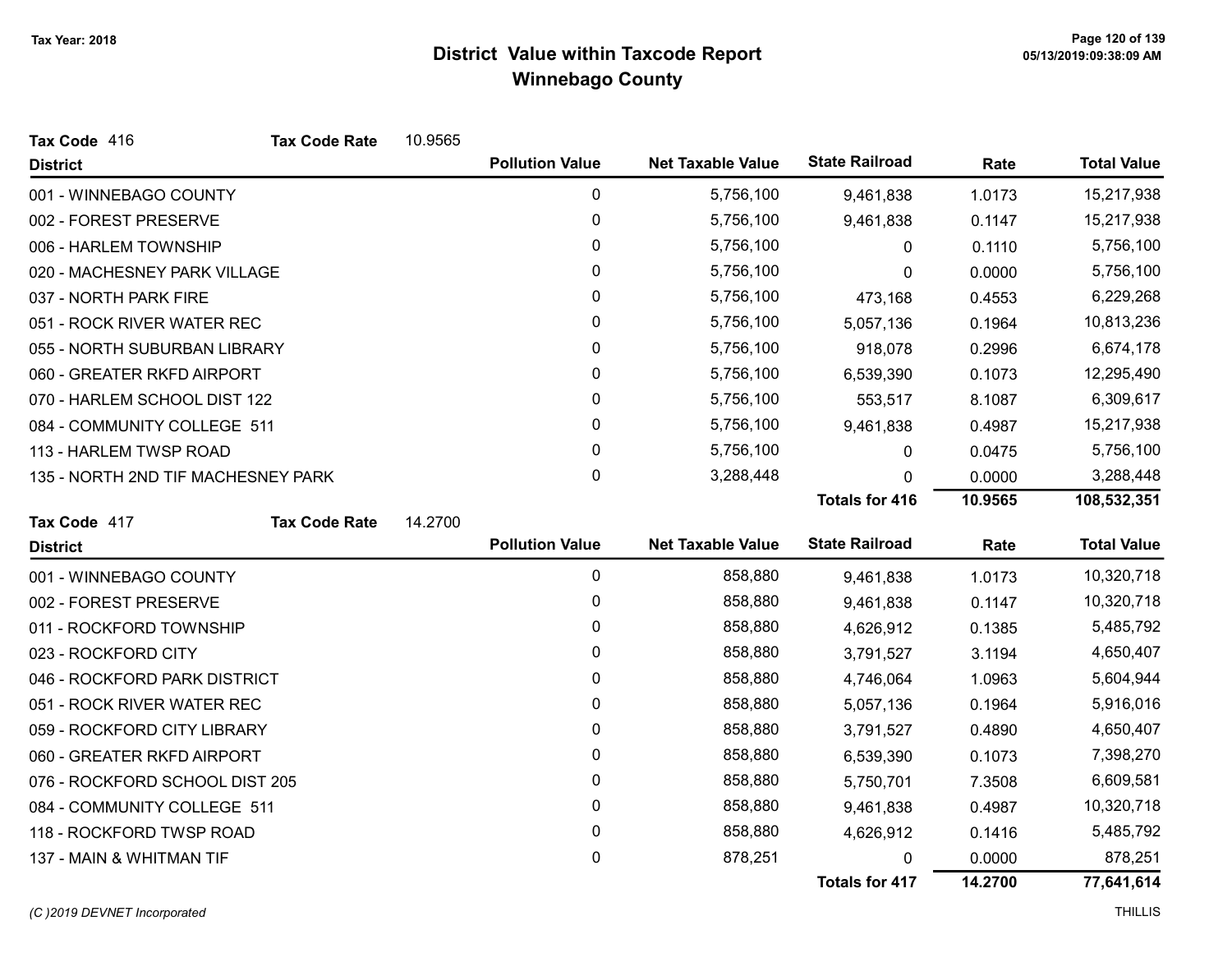| Tax Code 416                       | <b>Tax Code Rate</b> | 10.9565 |                        |                          |                       |         |                    |
|------------------------------------|----------------------|---------|------------------------|--------------------------|-----------------------|---------|--------------------|
| <b>District</b>                    |                      |         | <b>Pollution Value</b> | <b>Net Taxable Value</b> | <b>State Railroad</b> | Rate    | <b>Total Value</b> |
| 001 - WINNEBAGO COUNTY             |                      |         | $\mathbf 0$            | 5,756,100                | 9,461,838             | 1.0173  | 15,217,938         |
| 002 - FOREST PRESERVE              |                      |         | 0                      | 5,756,100                | 9,461,838             | 0.1147  | 15,217,938         |
| 006 - HARLEM TOWNSHIP              |                      |         | 0                      | 5,756,100                | $\Omega$              | 0.1110  | 5,756,100          |
| 020 - MACHESNEY PARK VILLAGE       |                      |         | 0                      | 5,756,100                | 0                     | 0.0000  | 5,756,100          |
| 037 - NORTH PARK FIRE              |                      |         | 0                      | 5,756,100                | 473,168               | 0.4553  | 6,229,268          |
| 051 - ROCK RIVER WATER REC         |                      |         | 0                      | 5,756,100                | 5,057,136             | 0.1964  | 10,813,236         |
| 055 - NORTH SUBURBAN LIBRARY       |                      |         | 0                      | 5,756,100                | 918,078               | 0.2996  | 6,674,178          |
| 060 - GREATER RKFD AIRPORT         |                      |         | 0                      | 5,756,100                | 6,539,390             | 0.1073  | 12,295,490         |
| 070 - HARLEM SCHOOL DIST 122       |                      |         | 0                      | 5,756,100                | 553,517               | 8.1087  | 6,309,617          |
| 084 - COMMUNITY COLLEGE 511        |                      |         | 0                      | 5,756,100                | 9,461,838             | 0.4987  | 15,217,938         |
| 113 - HARLEM TWSP ROAD             |                      |         | 0                      | 5,756,100                | 0                     | 0.0475  | 5,756,100          |
| 135 - NORTH 2ND TIF MACHESNEY PARK |                      |         | $\mathbf 0$            | 3,288,448                | 0                     | 0.0000  | 3,288,448          |
|                                    |                      |         |                        |                          | <b>Totals for 416</b> | 10.9565 | 108,532,351        |
| Tax Code 417                       | <b>Tax Code Rate</b> | 14.2700 |                        |                          |                       |         |                    |
| <b>District</b>                    |                      |         | <b>Pollution Value</b> | <b>Net Taxable Value</b> | <b>State Railroad</b> | Rate    | <b>Total Value</b> |
| 001 - WINNEBAGO COUNTY             |                      |         | 0                      | 858,880                  | 9,461,838             | 1.0173  | 10,320,718         |
| 002 - FOREST PRESERVE              |                      |         | 0                      | 858,880                  | 9,461,838             | 0.1147  | 10,320,718         |
| 011 - ROCKFORD TOWNSHIP            |                      |         | 0                      | 858,880                  | 4,626,912             | 0.1385  | 5,485,792          |
| 023 - ROCKFORD CITY                |                      |         | 0                      | 858,880                  | 3,791,527             | 3.1194  | 4,650,407          |
| 046 - ROCKFORD PARK DISTRICT       |                      |         | 0                      | 858,880                  | 4,746,064             | 1.0963  | 5,604,944          |
| 051 - ROCK RIVER WATER REC         |                      |         | 0                      | 858,880                  | 5,057,136             | 0.1964  | 5,916,016          |
| 059 - ROCKFORD CITY LIBRARY        |                      |         | 0                      | 858,880                  | 3,791,527             | 0.4890  | 4,650,407          |
| 060 - GREATER RKFD AIRPORT         |                      |         | 0                      | 858,880                  | 6,539,390             | 0.1073  | 7,398,270          |
| 076 - ROCKFORD SCHOOL DIST 205     |                      |         | 0                      | 858,880                  | 5,750,701             | 7.3508  | 6,609,581          |
| 084 - COMMUNITY COLLEGE 511        |                      |         | 0                      | 858,880                  | 9,461,838             | 0.4987  | 10,320,718         |
| 118 - ROCKFORD TWSP ROAD           |                      |         |                        |                          |                       |         |                    |
|                                    |                      |         | $\pmb{0}$              | 858,880                  | 4,626,912             | 0.1416  | 5,485,792          |
| 137 - MAIN & WHITMAN TIF           |                      |         | 0                      | 878,251                  | 0                     | 0.0000  | 878,251            |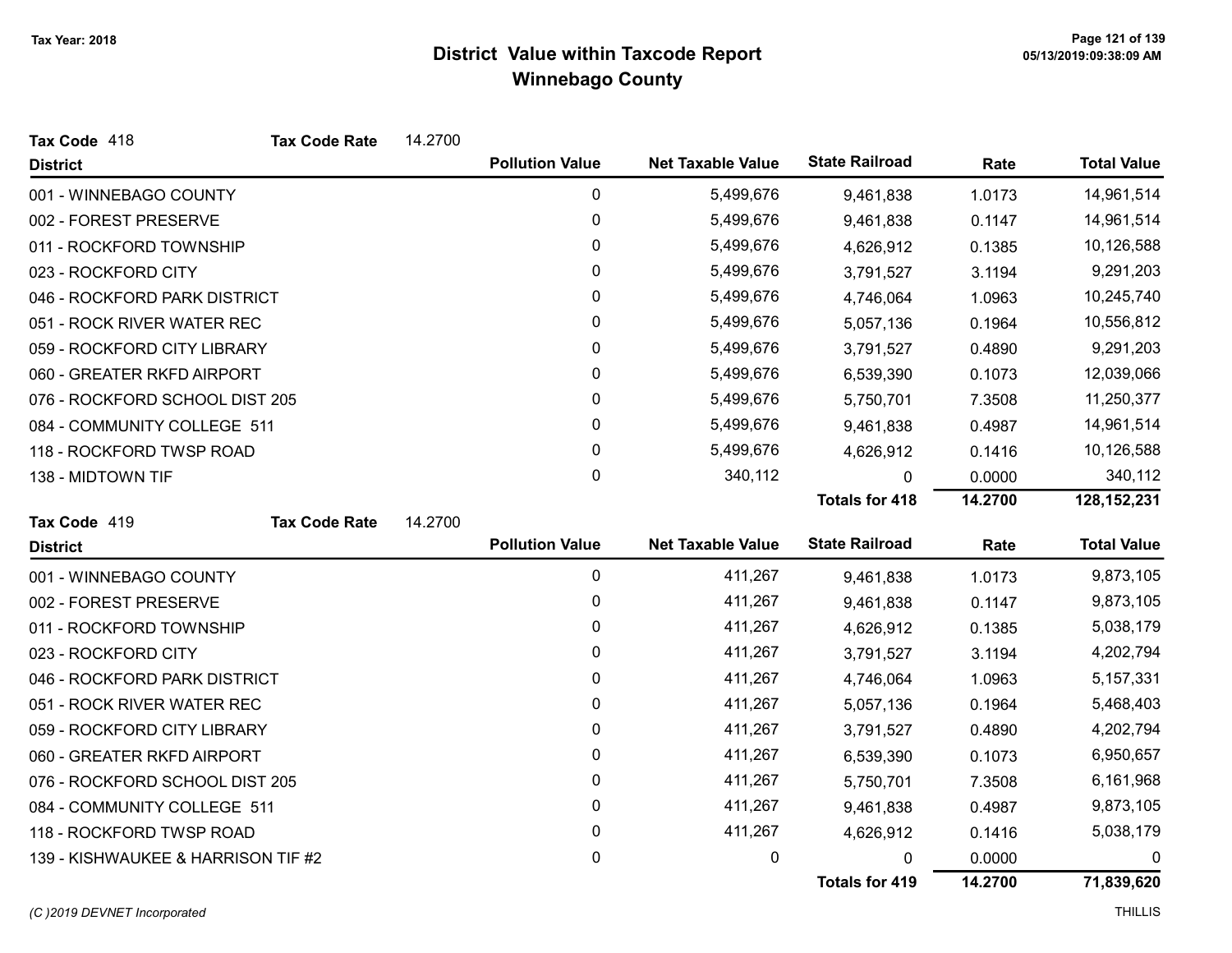| Tax Code 418                       | <b>Tax Code Rate</b> | 14.2700 |                        |                          |                       |         |                    |
|------------------------------------|----------------------|---------|------------------------|--------------------------|-----------------------|---------|--------------------|
| <b>District</b>                    |                      |         | <b>Pollution Value</b> | <b>Net Taxable Value</b> | <b>State Railroad</b> | Rate    | <b>Total Value</b> |
| 001 - WINNEBAGO COUNTY             |                      |         | 0                      | 5,499,676                | 9,461,838             | 1.0173  | 14,961,514         |
| 002 - FOREST PRESERVE              |                      |         | 0                      | 5,499,676                | 9,461,838             | 0.1147  | 14,961,514         |
| 011 - ROCKFORD TOWNSHIP            |                      |         | 0                      | 5,499,676                | 4,626,912             | 0.1385  | 10,126,588         |
| 023 - ROCKFORD CITY                |                      |         | 0                      | 5,499,676                | 3,791,527             | 3.1194  | 9,291,203          |
| 046 - ROCKFORD PARK DISTRICT       |                      |         | 0                      | 5,499,676                | 4,746,064             | 1.0963  | 10,245,740         |
| 051 - ROCK RIVER WATER REC         |                      |         | 0                      | 5,499,676                | 5,057,136             | 0.1964  | 10,556,812         |
| 059 - ROCKFORD CITY LIBRARY        |                      |         | 0                      | 5,499,676                | 3,791,527             | 0.4890  | 9,291,203          |
| 060 - GREATER RKFD AIRPORT         |                      |         | 0                      | 5,499,676                | 6,539,390             | 0.1073  | 12,039,066         |
| 076 - ROCKFORD SCHOOL DIST 205     |                      |         | 0                      | 5,499,676                | 5,750,701             | 7.3508  | 11,250,377         |
| 084 - COMMUNITY COLLEGE 511        |                      |         | 0                      | 5,499,676                | 9,461,838             | 0.4987  | 14,961,514         |
| 118 - ROCKFORD TWSP ROAD           |                      |         | 0                      | 5,499,676                | 4,626,912             | 0.1416  | 10,126,588         |
| 138 - MIDTOWN TIF                  |                      |         | 0                      | 340,112                  | 0                     | 0.0000  | 340,112            |
|                                    |                      |         |                        |                          | <b>Totals for 418</b> | 14.2700 | 128, 152, 231      |
| Tax Code 419                       | <b>Tax Code Rate</b> | 14.2700 |                        |                          |                       |         |                    |
| <b>District</b>                    |                      |         | <b>Pollution Value</b> | <b>Net Taxable Value</b> | <b>State Railroad</b> | Rate    | <b>Total Value</b> |
| 001 - WINNEBAGO COUNTY             |                      |         | 0                      | 411,267                  | 9,461,838             | 1.0173  | 9,873,105          |
| 002 - FOREST PRESERVE              |                      |         | 0                      | 411,267                  | 9,461,838             | 0.1147  | 9,873,105          |
| 011 - ROCKFORD TOWNSHIP            |                      |         | 0                      | 411,267                  | 4,626,912             | 0.1385  | 5,038,179          |
| 023 - ROCKFORD CITY                |                      |         | 0                      | 411,267                  | 3,791,527             | 3.1194  | 4,202,794          |
| 046 - ROCKFORD PARK DISTRICT       |                      |         | 0                      | 411,267                  | 4,746,064             | 1.0963  | 5,157,331          |
| 051 - ROCK RIVER WATER REC         |                      |         | 0                      | 411,267                  | 5,057,136             | 0.1964  | 5,468,403          |
| 059 - ROCKFORD CITY LIBRARY        |                      |         | 0                      | 411,267                  | 3,791,527             | 0.4890  | 4,202,794          |
| 060 - GREATER RKFD AIRPORT         |                      |         | 0                      | 411,267                  | 6,539,390             | 0.1073  | 6,950,657          |
| 076 - ROCKFORD SCHOOL DIST 205     |                      |         | 0                      | 411,267                  | 5,750,701             | 7.3508  | 6,161,968          |
| 084 - COMMUNITY COLLEGE 511        |                      |         | 0                      | 411,267                  | 9,461,838             | 0.4987  | 9,873,105          |
| 118 - ROCKFORD TWSP ROAD           |                      |         | 0                      | 411,267                  | 4,626,912             | 0.1416  | 5,038,179          |
| 139 - KISHWAUKEE & HARRISON TIF #2 |                      |         | 0                      | 0                        | 0                     | 0.0000  | 0                  |
|                                    |                      |         |                        |                          | <b>Totals for 419</b> | 14.2700 | 71,839,620         |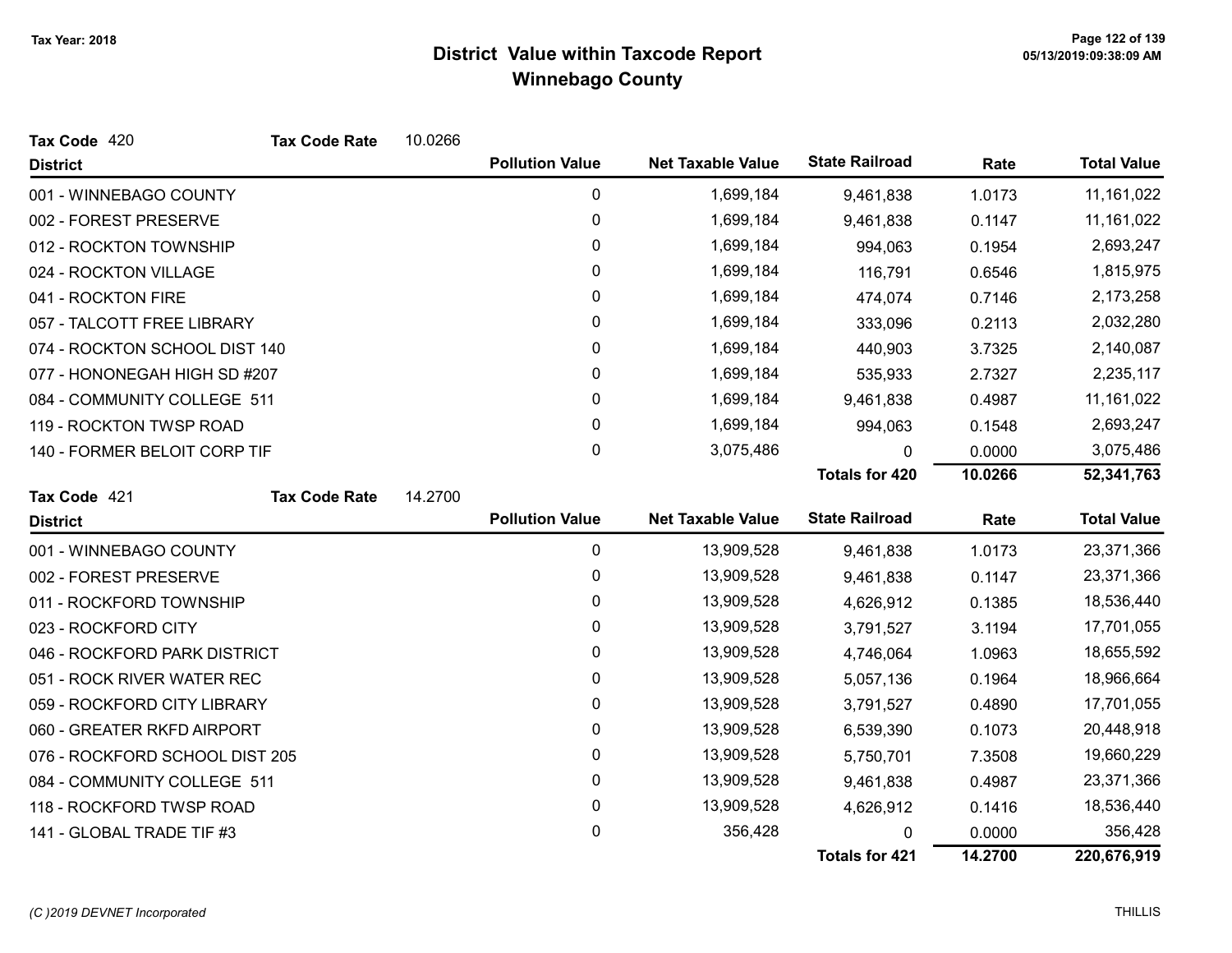| Tax Code 420                   | <b>Tax Code Rate</b> | 10.0266 |                        |                          |                       |         |                    |
|--------------------------------|----------------------|---------|------------------------|--------------------------|-----------------------|---------|--------------------|
| <b>District</b>                |                      |         | <b>Pollution Value</b> | <b>Net Taxable Value</b> | <b>State Railroad</b> | Rate    | <b>Total Value</b> |
| 001 - WINNEBAGO COUNTY         |                      |         | 0                      | 1,699,184                | 9,461,838             | 1.0173  | 11, 161, 022       |
| 002 - FOREST PRESERVE          |                      |         | $\pmb{0}$              | 1,699,184                | 9,461,838             | 0.1147  | 11, 161, 022       |
| 012 - ROCKTON TOWNSHIP         |                      |         | 0                      | 1,699,184                | 994,063               | 0.1954  | 2,693,247          |
| 024 - ROCKTON VILLAGE          |                      |         | 0                      | 1,699,184                | 116,791               | 0.6546  | 1,815,975          |
| 041 - ROCKTON FIRE             |                      |         | 0                      | 1,699,184                | 474,074               | 0.7146  | 2,173,258          |
| 057 - TALCOTT FREE LIBRARY     |                      |         | 0                      | 1,699,184                | 333,096               | 0.2113  | 2,032,280          |
| 074 - ROCKTON SCHOOL DIST 140  |                      |         | 0                      | 1,699,184                | 440,903               | 3.7325  | 2,140,087          |
| 077 - HONONEGAH HIGH SD #207   |                      |         | 0                      | 1,699,184                | 535,933               | 2.7327  | 2,235,117          |
| 084 - COMMUNITY COLLEGE 511    |                      |         | 0                      | 1,699,184                | 9,461,838             | 0.4987  | 11, 161, 022       |
| 119 - ROCKTON TWSP ROAD        |                      |         | 0                      | 1,699,184                | 994,063               | 0.1548  | 2,693,247          |
| 140 - FORMER BELOIT CORP TIF   |                      |         | 0                      | 3,075,486                | 0                     | 0.0000  | 3,075,486          |
|                                |                      |         |                        |                          | Totals for 420        | 10.0266 | 52,341,763         |
| Tax Code 421                   | <b>Tax Code Rate</b> | 14.2700 |                        |                          |                       |         |                    |
| <b>District</b>                |                      |         | <b>Pollution Value</b> | <b>Net Taxable Value</b> | <b>State Railroad</b> | Rate    | <b>Total Value</b> |
| 001 - WINNEBAGO COUNTY         |                      |         | 0                      | 13,909,528               | 9,461,838             | 1.0173  | 23,371,366         |
| 002 - FOREST PRESERVE          |                      |         | 0                      | 13,909,528               | 9,461,838             | 0.1147  | 23,371,366         |
| 011 - ROCKFORD TOWNSHIP        |                      |         | 0                      | 13,909,528               | 4,626,912             | 0.1385  | 18,536,440         |
| 023 - ROCKFORD CITY            |                      |         | 0                      | 13,909,528               | 3,791,527             | 3.1194  | 17,701,055         |
| 046 - ROCKFORD PARK DISTRICT   |                      |         | 0                      | 13,909,528               | 4,746,064             | 1.0963  | 18,655,592         |
| 051 - ROCK RIVER WATER REC     |                      |         | 0                      | 13,909,528               | 5,057,136             | 0.1964  | 18,966,664         |
| 059 - ROCKFORD CITY LIBRARY    |                      |         | 0                      | 13,909,528               | 3,791,527             | 0.4890  | 17,701,055         |
| 060 - GREATER RKFD AIRPORT     |                      |         |                        |                          |                       |         |                    |
|                                |                      |         | 0                      | 13,909,528               | 6,539,390             | 0.1073  | 20,448,918         |
| 076 - ROCKFORD SCHOOL DIST 205 |                      |         | 0                      | 13,909,528               | 5,750,701             | 7.3508  | 19,660,229         |
| 084 - COMMUNITY COLLEGE 511    |                      |         | 0                      | 13,909,528               | 9,461,838             | 0.4987  | 23,371,366         |
| 118 - ROCKFORD TWSP ROAD       |                      |         | 0                      | 13,909,528               | 4,626,912             | 0.1416  | 18,536,440         |
| 141 - GLOBAL TRADE TIF #3      |                      |         | 0                      | 356,428                  |                       | 0.0000  | 356,428            |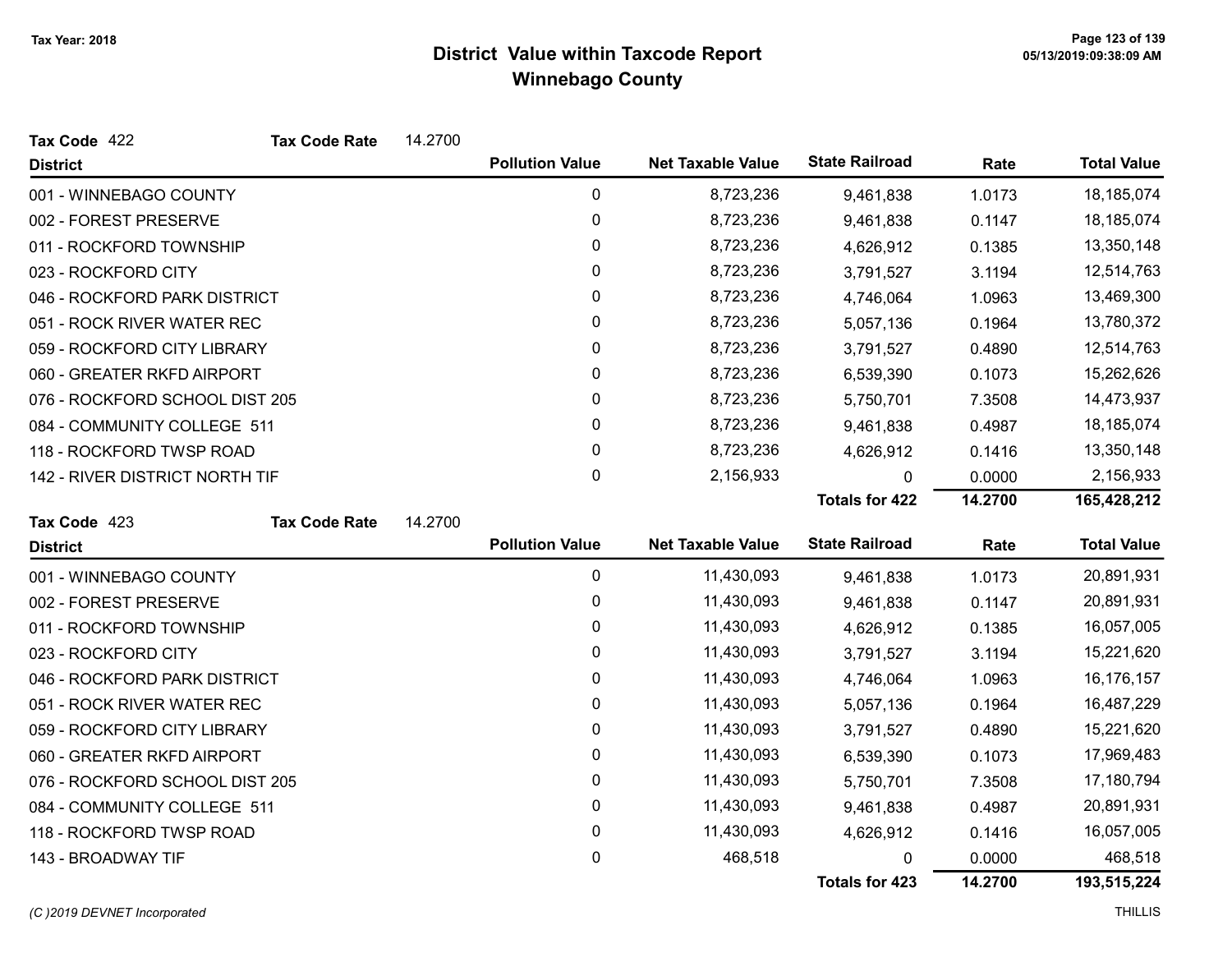| Tax Code 422                   | <b>Tax Code Rate</b> | 14.2700 |                        |                          |                       |         |                    |
|--------------------------------|----------------------|---------|------------------------|--------------------------|-----------------------|---------|--------------------|
| <b>District</b>                |                      |         | <b>Pollution Value</b> | <b>Net Taxable Value</b> | <b>State Railroad</b> | Rate    | <b>Total Value</b> |
| 001 - WINNEBAGO COUNTY         |                      |         | 0                      | 8,723,236                | 9,461,838             | 1.0173  | 18,185,074         |
| 002 - FOREST PRESERVE          |                      |         | 0                      | 8,723,236                | 9,461,838             | 0.1147  | 18,185,074         |
| 011 - ROCKFORD TOWNSHIP        |                      |         | 0                      | 8,723,236                | 4,626,912             | 0.1385  | 13,350,148         |
| 023 - ROCKFORD CITY            |                      |         | 0                      | 8,723,236                | 3,791,527             | 3.1194  | 12,514,763         |
| 046 - ROCKFORD PARK DISTRICT   |                      |         | 0                      | 8,723,236                | 4,746,064             | 1.0963  | 13,469,300         |
| 051 - ROCK RIVER WATER REC     |                      |         | 0                      | 8,723,236                | 5,057,136             | 0.1964  | 13,780,372         |
| 059 - ROCKFORD CITY LIBRARY    |                      |         | 0                      | 8,723,236                | 3,791,527             | 0.4890  | 12,514,763         |
| 060 - GREATER RKFD AIRPORT     |                      |         | 0                      | 8,723,236                | 6,539,390             | 0.1073  | 15,262,626         |
| 076 - ROCKFORD SCHOOL DIST 205 |                      |         | 0                      | 8,723,236                | 5,750,701             | 7.3508  | 14,473,937         |
| 084 - COMMUNITY COLLEGE 511    |                      |         | 0                      | 8,723,236                | 9,461,838             | 0.4987  | 18,185,074         |
| 118 - ROCKFORD TWSP ROAD       |                      |         | 0                      | 8,723,236                | 4,626,912             | 0.1416  | 13,350,148         |
| 142 - RIVER DISTRICT NORTH TIF |                      |         | 0                      | 2,156,933                | 0                     | 0.0000  | 2,156,933          |
|                                |                      |         |                        |                          | <b>Totals for 422</b> | 14.2700 | 165,428,212        |
| Tax Code 423                   | <b>Tax Code Rate</b> | 14.2700 |                        |                          |                       |         |                    |
| <b>District</b>                |                      |         | <b>Pollution Value</b> | <b>Net Taxable Value</b> | <b>State Railroad</b> | Rate    | <b>Total Value</b> |
| 001 - WINNEBAGO COUNTY         |                      |         | 0                      | 11,430,093               | 9,461,838             | 1.0173  | 20,891,931         |
| 002 - FOREST PRESERVE          |                      |         | 0                      | 11,430,093               | 9,461,838             | 0.1147  | 20,891,931         |
| 011 - ROCKFORD TOWNSHIP        |                      |         | 0                      | 11,430,093               | 4,626,912             | 0.1385  | 16,057,005         |
| 023 - ROCKFORD CITY            |                      |         | $\mathbf{0}$           | 11,430,093               | 3,791,527             | 3.1194  | 15,221,620         |
| 046 - ROCKFORD PARK DISTRICT   |                      |         | $\pmb{0}$              | 11,430,093               | 4,746,064             | 1.0963  | 16,176,157         |
| 051 - ROCK RIVER WATER REC     |                      |         | 0                      | 11,430,093               | 5,057,136             | 0.1964  | 16,487,229         |
| 059 - ROCKFORD CITY LIBRARY    |                      |         | 0                      | 11,430,093               | 3,791,527             | 0.4890  | 15,221,620         |
| 060 - GREATER RKFD AIRPORT     |                      |         | 0                      | 11,430,093               | 6,539,390             | 0.1073  | 17,969,483         |
| 076 - ROCKFORD SCHOOL DIST 205 |                      |         | 0                      | 11,430,093               | 5,750,701             | 7.3508  | 17,180,794         |
| 084 - COMMUNITY COLLEGE 511    |                      |         | 0                      | 11,430,093               | 9,461,838             | 0.4987  | 20,891,931         |
| 118 - ROCKFORD TWSP ROAD       |                      |         | 0                      | 11,430,093               | 4,626,912             | 0.1416  | 16,057,005         |
| 143 - BROADWAY TIF             |                      |         | 0                      | 468,518                  | 0                     | 0.0000  | 468,518            |
|                                |                      |         |                        |                          | <b>Totals for 423</b> | 14.2700 | 193,515,224        |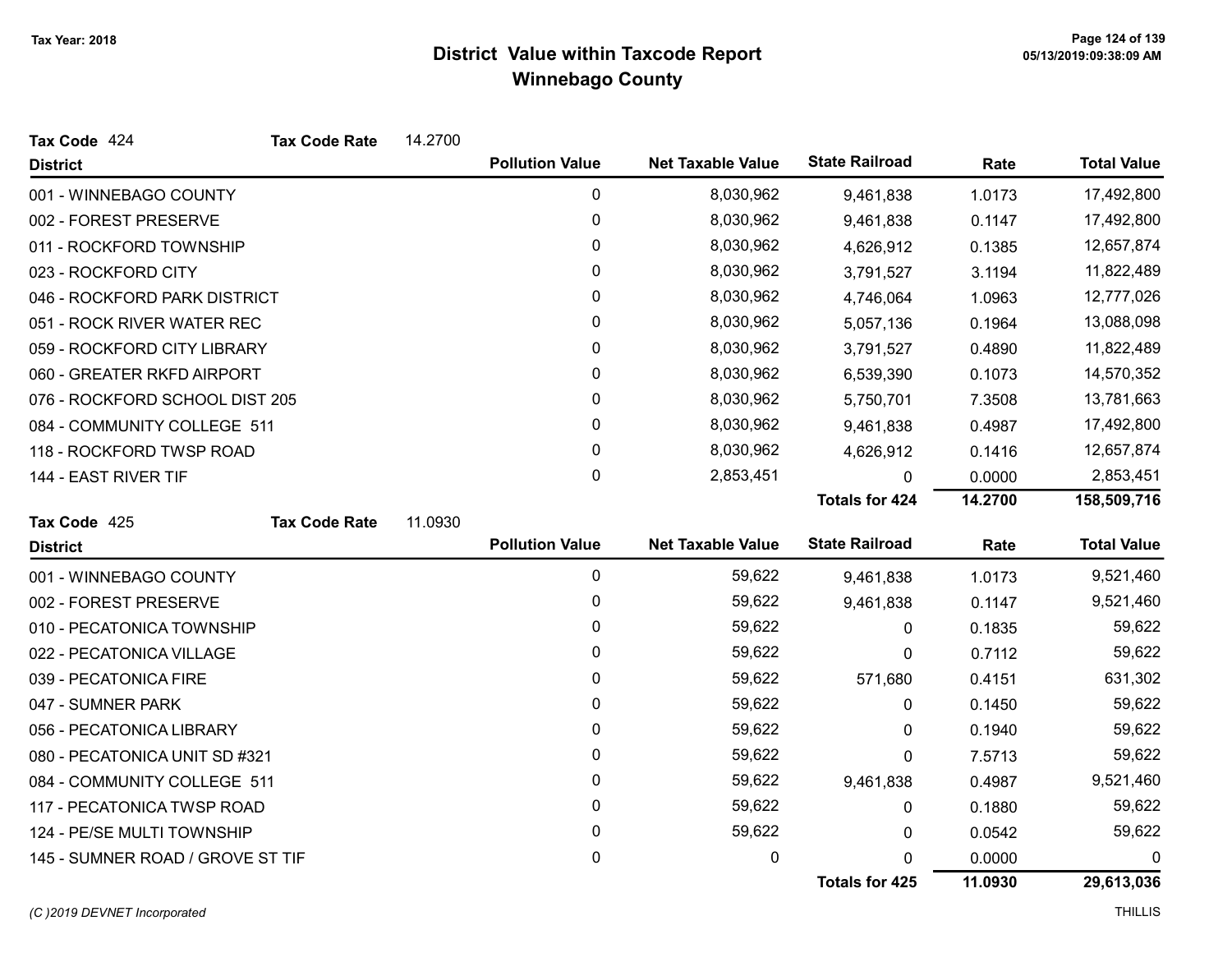| Tax Code 424                     | <b>Tax Code Rate</b> | 14.2700 |                        |                          |                       |         |                    |
|----------------------------------|----------------------|---------|------------------------|--------------------------|-----------------------|---------|--------------------|
| <b>District</b>                  |                      |         | <b>Pollution Value</b> | <b>Net Taxable Value</b> | <b>State Railroad</b> | Rate    | <b>Total Value</b> |
| 001 - WINNEBAGO COUNTY           |                      |         | 0                      | 8,030,962                | 9,461,838             | 1.0173  | 17,492,800         |
| 002 - FOREST PRESERVE            |                      |         | 0                      | 8,030,962                | 9,461,838             | 0.1147  | 17,492,800         |
| 011 - ROCKFORD TOWNSHIP          |                      |         | 0                      | 8,030,962                | 4,626,912             | 0.1385  | 12,657,874         |
| 023 - ROCKFORD CITY              |                      |         | 0                      | 8,030,962                | 3,791,527             | 3.1194  | 11,822,489         |
| 046 - ROCKFORD PARK DISTRICT     |                      |         | 0                      | 8,030,962                | 4,746,064             | 1.0963  | 12,777,026         |
| 051 - ROCK RIVER WATER REC       |                      |         | 0                      | 8,030,962                | 5,057,136             | 0.1964  | 13,088,098         |
| 059 - ROCKFORD CITY LIBRARY      |                      |         | 0                      | 8,030,962                | 3,791,527             | 0.4890  | 11,822,489         |
| 060 - GREATER RKFD AIRPORT       |                      |         | 0                      | 8,030,962                | 6,539,390             | 0.1073  | 14,570,352         |
| 076 - ROCKFORD SCHOOL DIST 205   |                      |         | 0                      | 8,030,962                | 5,750,701             | 7.3508  | 13,781,663         |
| 084 - COMMUNITY COLLEGE 511      |                      |         | 0                      | 8,030,962                | 9,461,838             | 0.4987  | 17,492,800         |
| 118 - ROCKFORD TWSP ROAD         |                      |         | 0                      | 8,030,962                | 4,626,912             | 0.1416  | 12,657,874         |
| 144 - EAST RIVER TIF             |                      |         | 0                      | 2,853,451                | 0                     | 0.0000  | 2,853,451          |
|                                  |                      |         |                        |                          | <b>Totals for 424</b> | 14.2700 | 158,509,716        |
| Tax Code 425                     | <b>Tax Code Rate</b> | 11.0930 |                        |                          |                       |         |                    |
| <b>District</b>                  |                      |         | <b>Pollution Value</b> | <b>Net Taxable Value</b> | <b>State Railroad</b> | Rate    | <b>Total Value</b> |
| 001 - WINNEBAGO COUNTY           |                      |         | 0                      | 59,622                   | 9,461,838             | 1.0173  | 9,521,460          |
| 002 - FOREST PRESERVE            |                      |         | 0                      | 59,622                   | 9,461,838             | 0.1147  | 9,521,460          |
| 010 - PECATONICA TOWNSHIP        |                      |         | 0                      | 59,622                   | 0                     | 0.1835  | 59,622             |
| 022 - PECATONICA VILLAGE         |                      |         | 0                      | 59,622                   | 0                     | 0.7112  | 59,622             |
| 039 - PECATONICA FIRE            |                      |         | 0                      | 59,622                   | 571,680               | 0.4151  | 631,302            |
| 047 - SUMNER PARK                |                      |         | 0                      | 59,622                   | 0                     | 0.1450  | 59,622             |
| 056 - PECATONICA LIBRARY         |                      |         | 0                      | 59,622                   | 0                     | 0.1940  | 59,622             |
| 080 - PECATONICA UNIT SD #321    |                      |         | 0                      | 59,622                   | 0                     | 7.5713  | 59,622             |
| 084 - COMMUNITY COLLEGE 511      |                      |         | 0                      | 59,622                   | 9,461,838             | 0.4987  | 9,521,460          |
| 117 - PECATONICA TWSP ROAD       |                      |         | 0                      | 59,622                   | 0                     | 0.1880  | 59,622             |
| 124 - PE/SE MULTI TOWNSHIP       |                      |         | 0                      | 59,622                   | 0                     | 0.0542  | 59,622             |
|                                  |                      |         |                        |                          |                       |         |                    |
| 145 - SUMNER ROAD / GROVE ST TIF |                      |         | 0                      | 0                        | 0                     | 0.0000  | 0                  |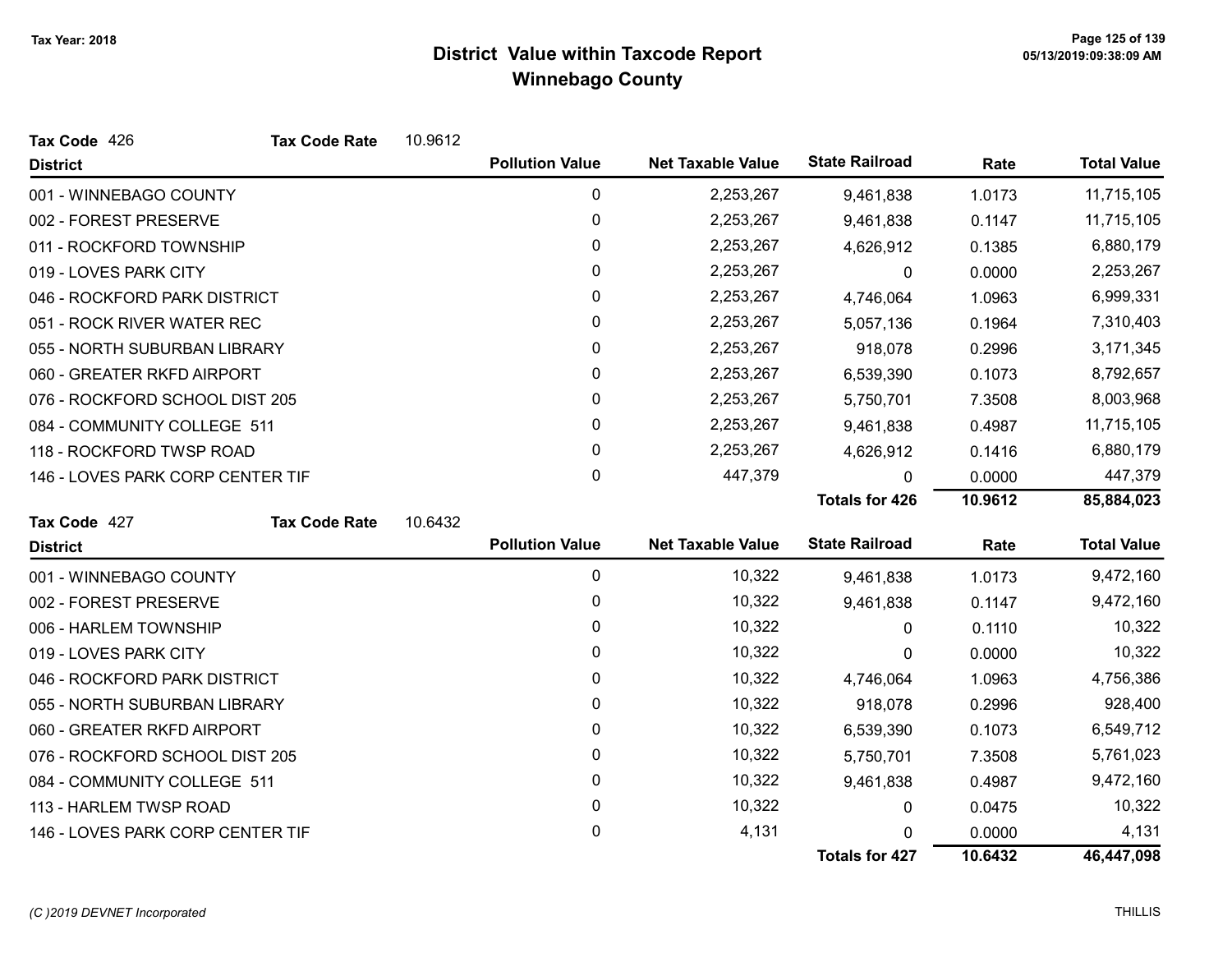| Tax Code 426                     | <b>Tax Code Rate</b> | 10.9612 |                        |                          |                       |         |                    |
|----------------------------------|----------------------|---------|------------------------|--------------------------|-----------------------|---------|--------------------|
| <b>District</b>                  |                      |         | <b>Pollution Value</b> | <b>Net Taxable Value</b> | <b>State Railroad</b> | Rate    | <b>Total Value</b> |
| 001 - WINNEBAGO COUNTY           |                      |         | 0                      | 2,253,267                | 9,461,838             | 1.0173  | 11,715,105         |
| 002 - FOREST PRESERVE            |                      |         | 0                      | 2,253,267                | 9,461,838             | 0.1147  | 11,715,105         |
| 011 - ROCKFORD TOWNSHIP          |                      |         | 0                      | 2,253,267                | 4,626,912             | 0.1385  | 6,880,179          |
| 019 - LOVES PARK CITY            |                      |         | 0                      | 2,253,267                | 0                     | 0.0000  | 2,253,267          |
| 046 - ROCKFORD PARK DISTRICT     |                      |         | 0                      | 2,253,267                | 4,746,064             | 1.0963  | 6,999,331          |
| 051 - ROCK RIVER WATER REC       |                      |         | 0                      | 2,253,267                | 5,057,136             | 0.1964  | 7,310,403          |
| 055 - NORTH SUBURBAN LIBRARY     |                      |         | 0                      | 2,253,267                | 918,078               | 0.2996  | 3,171,345          |
| 060 - GREATER RKFD AIRPORT       |                      |         | 0                      | 2,253,267                | 6,539,390             | 0.1073  | 8,792,657          |
| 076 - ROCKFORD SCHOOL DIST 205   |                      |         | 0                      | 2,253,267                | 5,750,701             | 7.3508  | 8,003,968          |
| 084 - COMMUNITY COLLEGE 511      |                      |         | 0                      | 2,253,267                | 9,461,838             | 0.4987  | 11,715,105         |
| 118 - ROCKFORD TWSP ROAD         |                      |         | 0                      | 2,253,267                | 4,626,912             | 0.1416  | 6,880,179          |
| 146 - LOVES PARK CORP CENTER TIF |                      |         | 0                      | 447,379                  | O.                    | 0.0000  | 447,379            |
|                                  |                      |         |                        |                          | <b>Totals for 426</b> | 10.9612 | 85,884,023         |
| Tax Code 427                     | <b>Tax Code Rate</b> | 10.6432 |                        |                          |                       |         |                    |
| <b>District</b>                  |                      |         | <b>Pollution Value</b> | <b>Net Taxable Value</b> | <b>State Railroad</b> | Rate    | <b>Total Value</b> |
| 001 - WINNEBAGO COUNTY           |                      |         | 0                      | 10,322                   | 9,461,838             | 1.0173  | 9,472,160          |
| 002 - FOREST PRESERVE            |                      |         | 0                      | 10,322                   | 9,461,838             | 0.1147  | 9,472,160          |
| 006 - HARLEM TOWNSHIP            |                      |         | 0                      | 10,322                   | $\mathbf{0}$          | 0.1110  | 10,322             |
| 019 - LOVES PARK CITY            |                      |         | 0                      | 10,322                   | 0                     | 0.0000  | 10,322             |
| 046 - ROCKFORD PARK DISTRICT     |                      |         | 0                      | 10,322                   | 4,746,064             | 1.0963  | 4,756,386          |
| 055 - NORTH SUBURBAN LIBRARY     |                      |         | 0                      | 10,322                   | 918,078               | 0.2996  | 928,400            |
| 060 - GREATER RKFD AIRPORT       |                      |         | 0                      | 10,322                   | 6,539,390             | 0.1073  | 6,549,712          |
| 076 - ROCKFORD SCHOOL DIST 205   |                      |         | 0                      | 10,322                   | 5,750,701             | 7.3508  | 5,761,023          |
| 084 - COMMUNITY COLLEGE 511      |                      |         | 0                      | 10,322                   | 9,461,838             | 0.4987  | 9,472,160          |
| 113 - HARLEM TWSP ROAD           |                      |         | 0                      | 10,322                   | 0                     | 0.0475  | 10,322             |
| 146 - LOVES PARK CORP CENTER TIF |                      |         | 0                      | 4,131                    | 0                     | 0.0000  | 4,131              |
|                                  |                      |         |                        |                          | <b>Totals for 427</b> | 10.6432 | 46,447,098         |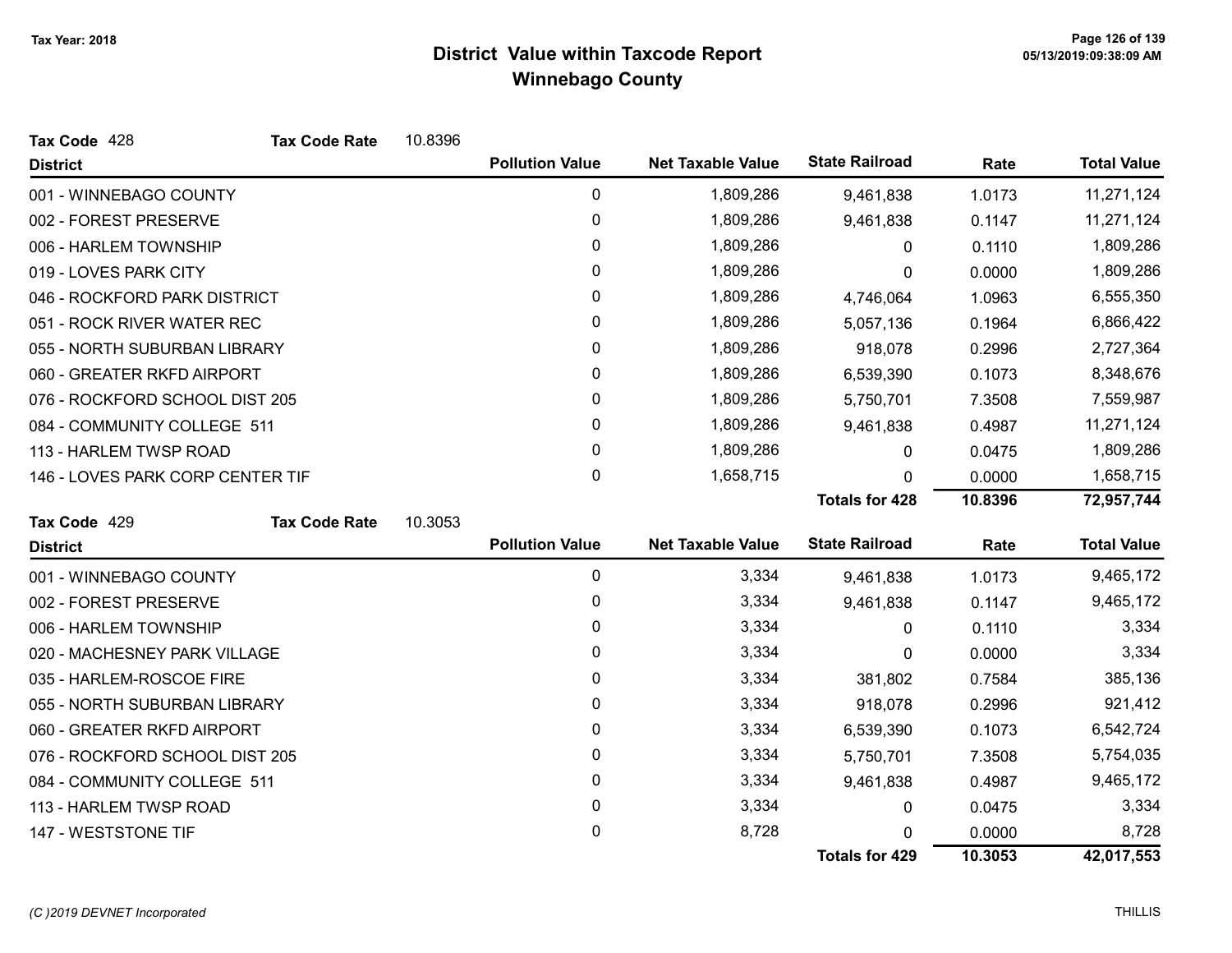| Tax Code 428                     | <b>Tax Code Rate</b> | 10.8396 |                        |                          |                       |         |                    |
|----------------------------------|----------------------|---------|------------------------|--------------------------|-----------------------|---------|--------------------|
| <b>District</b>                  |                      |         | <b>Pollution Value</b> | <b>Net Taxable Value</b> | <b>State Railroad</b> | Rate    | <b>Total Value</b> |
| 001 - WINNEBAGO COUNTY           |                      |         | 0                      | 1,809,286                | 9,461,838             | 1.0173  | 11,271,124         |
| 002 - FOREST PRESERVE            |                      |         | 0                      | 1,809,286                | 9,461,838             | 0.1147  | 11,271,124         |
| 006 - HARLEM TOWNSHIP            |                      |         | 0                      | 1,809,286                | 0                     | 0.1110  | 1,809,286          |
| 019 - LOVES PARK CITY            |                      |         | 0                      | 1,809,286                | 0                     | 0.0000  | 1,809,286          |
| 046 - ROCKFORD PARK DISTRICT     |                      |         | 0                      | 1,809,286                | 4,746,064             | 1.0963  | 6,555,350          |
| 051 - ROCK RIVER WATER REC       |                      |         | 0                      | 1,809,286                | 5,057,136             | 0.1964  | 6,866,422          |
| 055 - NORTH SUBURBAN LIBRARY     |                      |         | $\pmb{0}$              | 1,809,286                | 918,078               | 0.2996  | 2,727,364          |
| 060 - GREATER RKFD AIRPORT       |                      |         | 0                      | 1,809,286                | 6,539,390             | 0.1073  | 8,348,676          |
| 076 - ROCKFORD SCHOOL DIST 205   |                      |         | $\mathbf{0}$           | 1,809,286                | 5,750,701             | 7.3508  | 7,559,987          |
| 084 - COMMUNITY COLLEGE 511      |                      |         | $\mathbf 0$            | 1,809,286                | 9,461,838             | 0.4987  | 11,271,124         |
| 113 - HARLEM TWSP ROAD           |                      |         | $\mathbf{0}$           | 1,809,286                | 0                     | 0.0475  | 1,809,286          |
| 146 - LOVES PARK CORP CENTER TIF |                      |         | 0                      | 1,658,715                | 0                     | 0.0000  | 1,658,715          |
|                                  |                      |         |                        |                          | <b>Totals for 428</b> | 10.8396 | 72,957,744         |
| Tax Code 429                     | <b>Tax Code Rate</b> | 10.3053 |                        |                          |                       |         |                    |
| <b>District</b>                  |                      |         | <b>Pollution Value</b> | <b>Net Taxable Value</b> | <b>State Railroad</b> | Rate    | <b>Total Value</b> |
| 001 - WINNEBAGO COUNTY           |                      |         | 0                      | 3,334                    | 9,461,838             | 1.0173  | 9,465,172          |
| 002 - FOREST PRESERVE            |                      |         | 0                      | 3,334                    | 9,461,838             | 0.1147  | 9,465,172          |
| 006 - HARLEM TOWNSHIP            |                      |         | 0                      | 3,334                    | 0                     | 0.1110  | 3,334              |
| 020 - MACHESNEY PARK VILLAGE     |                      |         | 0                      | 3,334                    | 0                     | 0.0000  | 3,334              |
| 035 - HARLEM-ROSCOE FIRE         |                      |         | $\mathbf 0$            | 3,334                    | 381,802               | 0.7584  | 385,136            |
| 055 - NORTH SUBURBAN LIBRARY     |                      |         | $\mathbf{0}$           | 3,334                    | 918,078               | 0.2996  | 921,412            |
| 060 - GREATER RKFD AIRPORT       |                      |         | 0                      | 3,334                    | 6,539,390             | 0.1073  | 6,542,724          |
| 076 - ROCKFORD SCHOOL DIST 205   |                      |         | 0                      | 3,334                    | 5,750,701             | 7.3508  | 5,754,035          |
| 084 - COMMUNITY COLLEGE 511      |                      |         | 0                      | 3,334                    | 9,461,838             | 0.4987  | 9,465,172          |
| 113 - HARLEM TWSP ROAD           |                      |         | 0                      | 3,334                    | 0                     | 0.0475  | 3,334              |
| 147 - WESTSTONE TIF              |                      |         | 0                      | 8,728                    | $\Omega$              | 0.0000  | 8,728              |
|                                  |                      |         |                        |                          | <b>Totals for 429</b> | 10.3053 | 42,017,553         |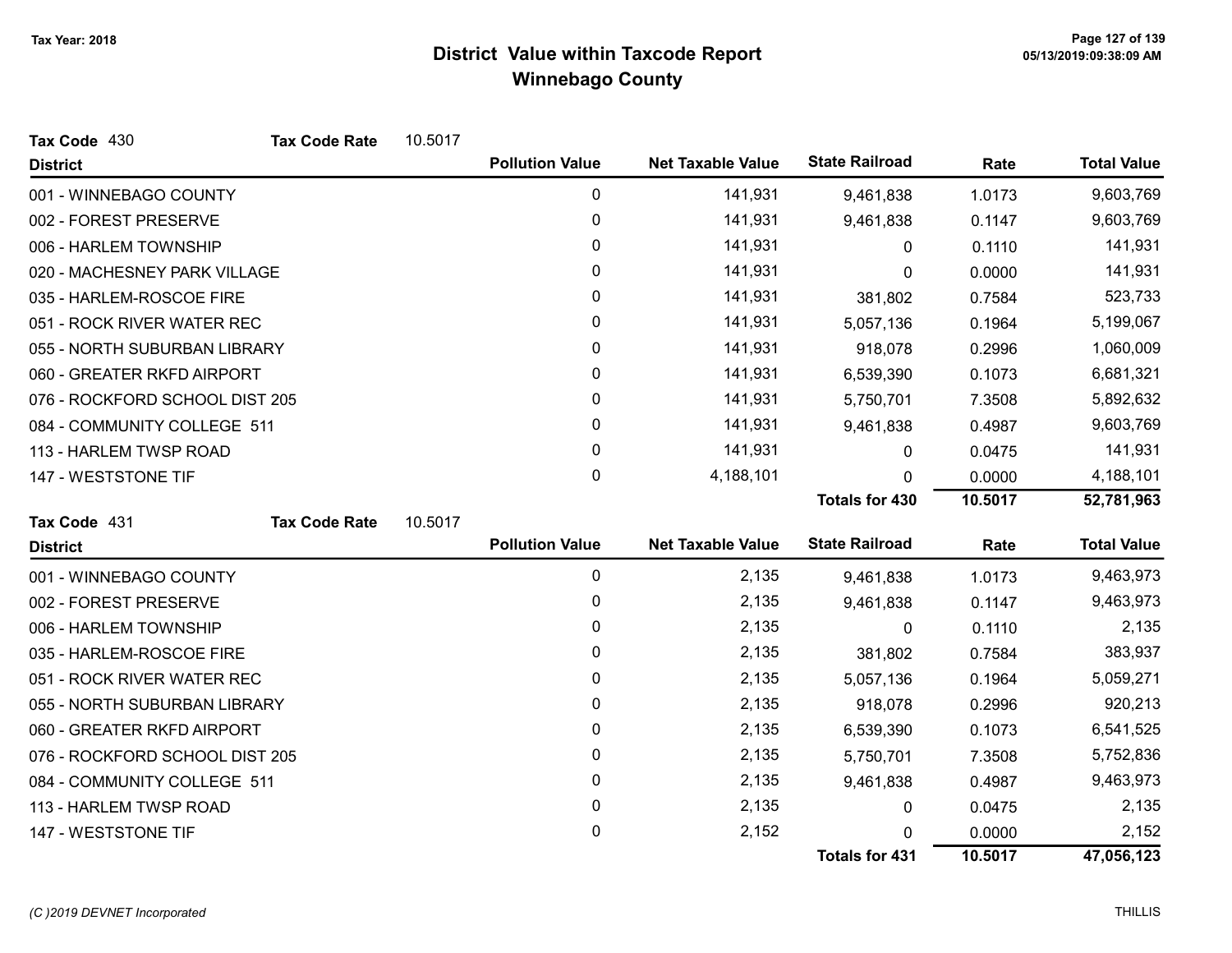| Tax Code 430                   | <b>Tax Code Rate</b> | 10.5017 |                        |                          |                       |         |                    |
|--------------------------------|----------------------|---------|------------------------|--------------------------|-----------------------|---------|--------------------|
| <b>District</b>                |                      |         | <b>Pollution Value</b> | <b>Net Taxable Value</b> | <b>State Railroad</b> | Rate    | <b>Total Value</b> |
| 001 - WINNEBAGO COUNTY         |                      |         | 0                      | 141,931                  | 9,461,838             | 1.0173  | 9,603,769          |
| 002 - FOREST PRESERVE          |                      |         | 0                      | 141,931                  | 9,461,838             | 0.1147  | 9,603,769          |
| 006 - HARLEM TOWNSHIP          |                      |         | 0                      | 141,931                  | 0                     | 0.1110  | 141,931            |
| 020 - MACHESNEY PARK VILLAGE   |                      |         | 0                      | 141,931                  | 0                     | 0.0000  | 141,931            |
| 035 - HARLEM-ROSCOE FIRE       |                      |         | 0                      | 141,931                  | 381,802               | 0.7584  | 523,733            |
| 051 - ROCK RIVER WATER REC     |                      |         | 0                      | 141,931                  | 5,057,136             | 0.1964  | 5,199,067          |
| 055 - NORTH SUBURBAN LIBRARY   |                      |         | 0                      | 141,931                  | 918,078               | 0.2996  | 1,060,009          |
| 060 - GREATER RKFD AIRPORT     |                      |         | 0                      | 141,931                  | 6,539,390             | 0.1073  | 6,681,321          |
| 076 - ROCKFORD SCHOOL DIST 205 |                      |         | 0                      | 141,931                  | 5,750,701             | 7.3508  | 5,892,632          |
| 084 - COMMUNITY COLLEGE 511    |                      |         | 0                      | 141,931                  | 9,461,838             | 0.4987  | 9,603,769          |
| 113 - HARLEM TWSP ROAD         |                      |         | $\Omega$               | 141,931                  | 0                     | 0.0475  | 141,931            |
| 147 - WESTSTONE TIF            |                      |         | 0                      | 4,188,101                | 0                     | 0.0000  | 4,188,101          |
|                                |                      |         |                        |                          | <b>Totals for 430</b> | 10.5017 | 52,781,963         |
| Tax Code 431                   | <b>Tax Code Rate</b> | 10.5017 |                        |                          |                       |         |                    |
| <b>District</b>                |                      |         | <b>Pollution Value</b> | <b>Net Taxable Value</b> | <b>State Railroad</b> | Rate    | <b>Total Value</b> |
| 001 - WINNEBAGO COUNTY         |                      |         | 0                      | 2,135                    | 9,461,838             | 1.0173  | 9,463,973          |
| 002 - FOREST PRESERVE          |                      |         | 0                      | 2,135                    | 9,461,838             | 0.1147  | 9,463,973          |
| 006 - HARLEM TOWNSHIP          |                      |         | 0                      | 2,135                    | 0                     | 0.1110  | 2,135              |
| 035 - HARLEM-ROSCOE FIRE       |                      |         | 0                      | 2,135                    | 381,802               | 0.7584  | 383,937            |
| 051 - ROCK RIVER WATER REC     |                      |         | 0                      | 2,135                    | 5,057,136             | 0.1964  | 5,059,271          |
| 055 - NORTH SUBURBAN LIBRARY   |                      |         | 0                      | 2,135                    | 918,078               | 0.2996  | 920,213            |
| 060 - GREATER RKFD AIRPORT     |                      |         | 0                      | 2,135                    | 6,539,390             | 0.1073  | 6,541,525          |
| 076 - ROCKFORD SCHOOL DIST 205 |                      |         | 0                      | 2,135                    | 5,750,701             | 7.3508  | 5,752,836          |
| 084 - COMMUNITY COLLEGE 511    |                      |         | 0                      | 2,135                    | 9,461,838             | 0.4987  | 9,463,973          |
| 113 - HARLEM TWSP ROAD         |                      |         | 0                      | 2,135                    | 0                     | 0.0475  | 2,135              |
| 147 - WESTSTONE TIF            |                      |         | 0                      | 2,152                    | 0                     | 0.0000  | 2,152              |
|                                |                      |         |                        |                          | <b>Totals for 431</b> | 10.5017 | 47,056,123         |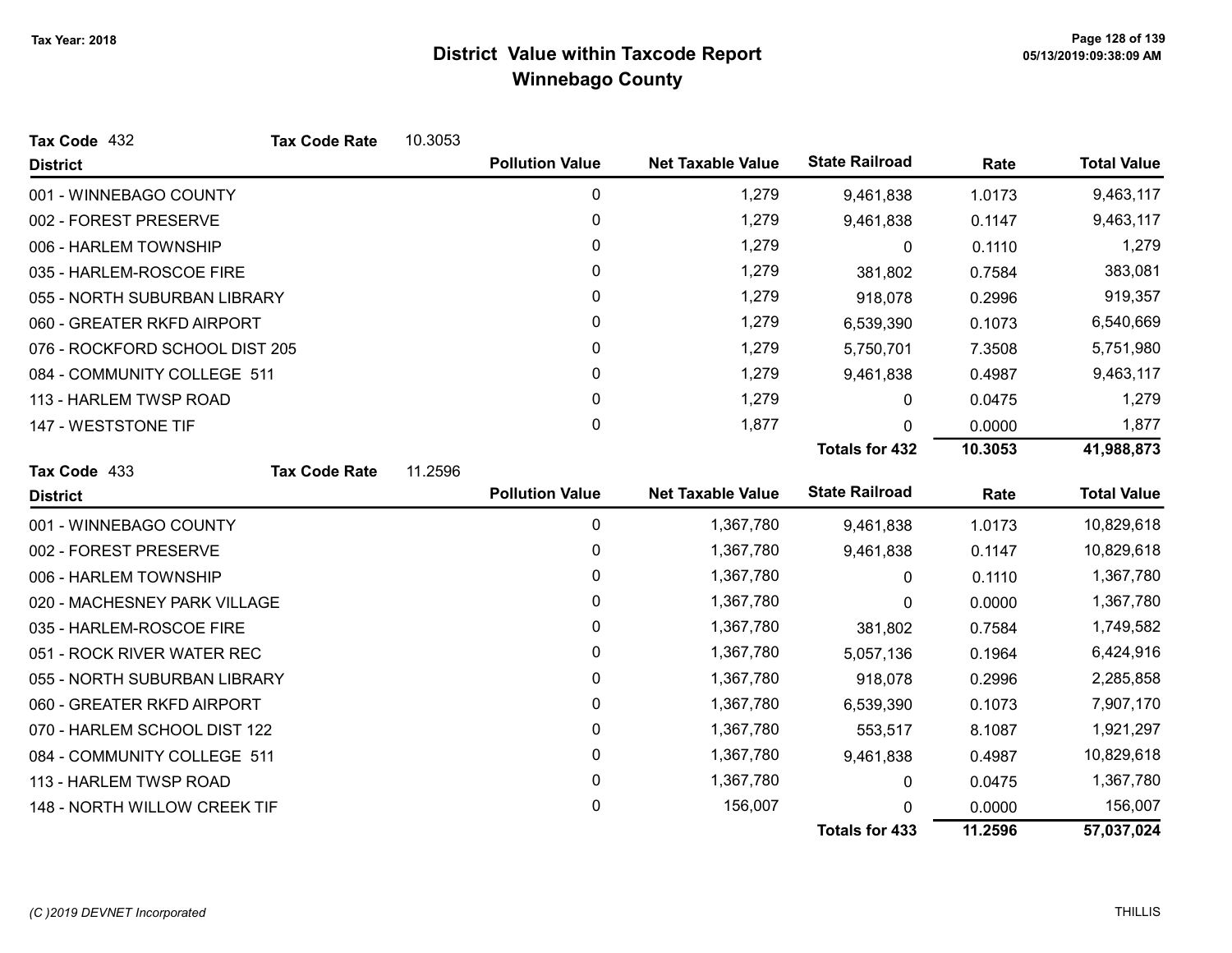| Tax Code 432                   | <b>Tax Code Rate</b> | 10.3053 |                        |                          |                       |         |                    |
|--------------------------------|----------------------|---------|------------------------|--------------------------|-----------------------|---------|--------------------|
| <b>District</b>                |                      |         | <b>Pollution Value</b> | <b>Net Taxable Value</b> | <b>State Railroad</b> | Rate    | <b>Total Value</b> |
| 001 - WINNEBAGO COUNTY         |                      |         | 0                      | 1,279                    | 9,461,838             | 1.0173  | 9,463,117          |
| 002 - FOREST PRESERVE          |                      |         | 0                      | 1,279                    | 9,461,838             | 0.1147  | 9,463,117          |
| 006 - HARLEM TOWNSHIP          |                      |         | 0                      | 1,279                    | 0                     | 0.1110  | 1,279              |
| 035 - HARLEM-ROSCOE FIRE       |                      |         | $\mathbf{0}$           | 1,279                    | 381,802               | 0.7584  | 383,081            |
| 055 - NORTH SUBURBAN LIBRARY   |                      |         | 0                      | 1,279                    | 918,078               | 0.2996  | 919,357            |
| 060 - GREATER RKFD AIRPORT     |                      |         | 0                      | 1,279                    | 6,539,390             | 0.1073  | 6,540,669          |
| 076 - ROCKFORD SCHOOL DIST 205 |                      |         | 0                      | 1,279                    | 5,750,701             | 7.3508  | 5,751,980          |
| 084 - COMMUNITY COLLEGE 511    |                      |         | $\mathbf{0}$           | 1,279                    | 9,461,838             | 0.4987  | 9,463,117          |
| 113 - HARLEM TWSP ROAD         |                      |         | 0                      | 1,279                    | 0                     | 0.0475  | 1,279              |
| 147 - WESTSTONE TIF            |                      |         | $\mathbf 0$            | 1,877                    | 0                     | 0.0000  | 1,877              |
|                                |                      |         |                        |                          | <b>Totals for 432</b> | 10.3053 | 41,988,873         |
| Tax Code 433                   | <b>Tax Code Rate</b> | 11.2596 |                        |                          |                       |         |                    |
| <b>District</b>                |                      |         | <b>Pollution Value</b> | <b>Net Taxable Value</b> | <b>State Railroad</b> | Rate    | <b>Total Value</b> |
| 001 - WINNEBAGO COUNTY         |                      |         | 0                      | 1,367,780                | 9,461,838             | 1.0173  | 10,829,618         |
| 002 - FOREST PRESERVE          |                      |         | $\pmb{0}$              | 1,367,780                | 9,461,838             | 0.1147  | 10,829,618         |
| 006 - HARLEM TOWNSHIP          |                      |         | 0                      | 1,367,780                | 0                     | 0.1110  | 1,367,780          |
| 020 - MACHESNEY PARK VILLAGE   |                      |         | 0                      | 1,367,780                | 0                     | 0.0000  | 1,367,780          |
| 035 - HARLEM-ROSCOE FIRE       |                      |         | 0                      | 1,367,780                | 381,802               | 0.7584  | 1,749,582          |
| 051 - ROCK RIVER WATER REC     |                      |         | 0                      | 1,367,780                | 5,057,136             | 0.1964  | 6,424,916          |
| 055 - NORTH SUBURBAN LIBRARY   |                      |         | $\pmb{0}$              | 1,367,780                | 918,078               | 0.2996  | 2,285,858          |
| 060 - GREATER RKFD AIRPORT     |                      |         | $\mathbf{0}$           | 1,367,780                | 6,539,390             | 0.1073  | 7,907,170          |
| 070 - HARLEM SCHOOL DIST 122   |                      |         | 0                      | 1,367,780                | 553,517               | 8.1087  | 1,921,297          |
| 084 - COMMUNITY COLLEGE 511    |                      |         | $\pmb{0}$              | 1,367,780                | 9,461,838             | 0.4987  | 10,829,618         |
| 113 - HARLEM TWSP ROAD         |                      |         | 0                      | 1,367,780                | 0                     | 0.0475  | 1,367,780          |
| 148 - NORTH WILLOW CREEK TIF   |                      |         | 0                      | 156,007                  | 0                     | 0.0000  | 156,007            |
|                                |                      |         |                        |                          | <b>Totals for 433</b> | 11.2596 | 57,037,024         |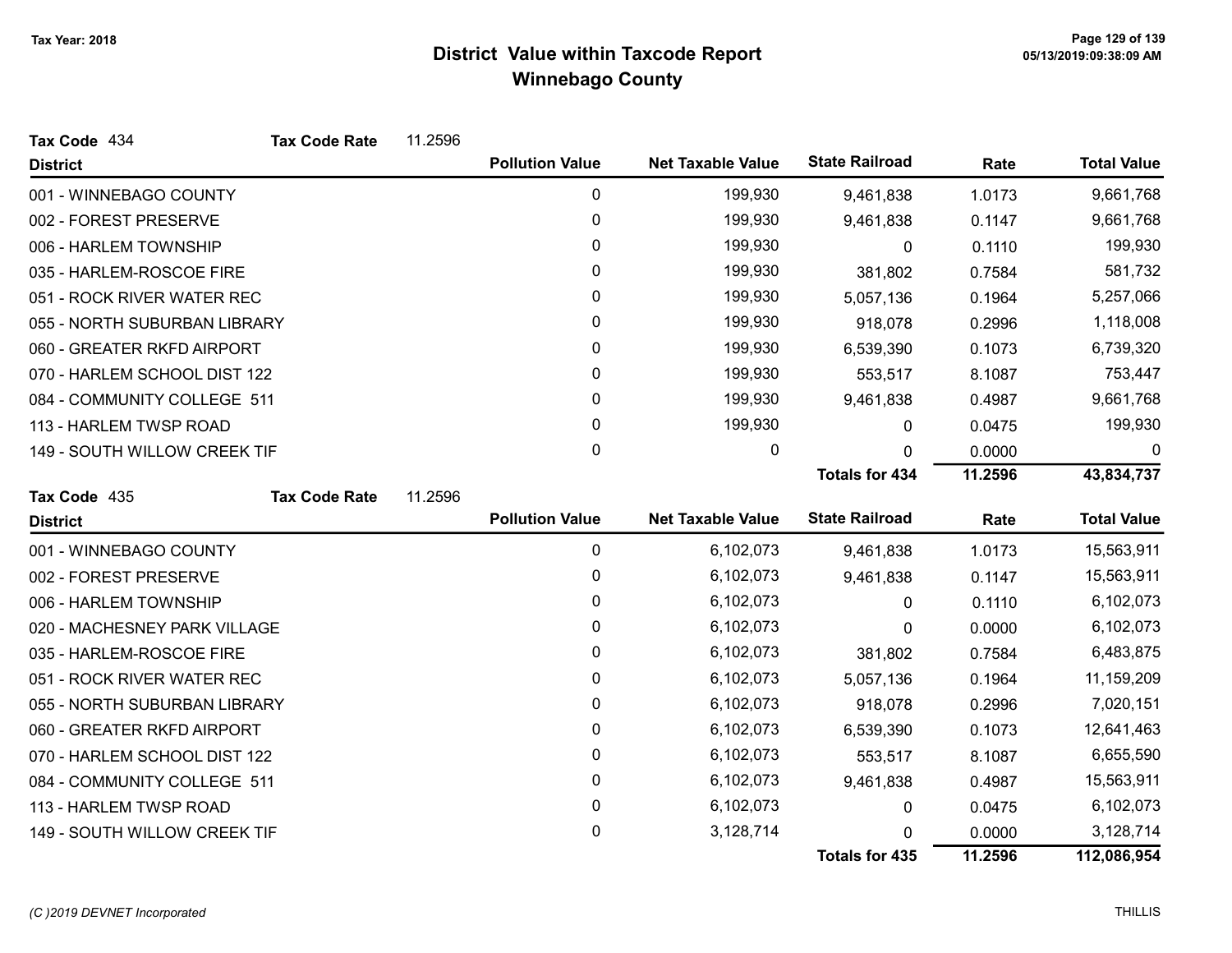| Tax Code 434                 | <b>Tax Code Rate</b> | 11.2596 |                        |                          |                       |         |                    |
|------------------------------|----------------------|---------|------------------------|--------------------------|-----------------------|---------|--------------------|
| <b>District</b>              |                      |         | <b>Pollution Value</b> | <b>Net Taxable Value</b> | <b>State Railroad</b> | Rate    | <b>Total Value</b> |
| 001 - WINNEBAGO COUNTY       |                      |         | 0                      | 199,930                  | 9,461,838             | 1.0173  | 9,661,768          |
| 002 - FOREST PRESERVE        |                      |         | $\boldsymbol{0}$       | 199,930                  | 9,461,838             | 0.1147  | 9,661,768          |
| 006 - HARLEM TOWNSHIP        |                      |         | 0                      | 199,930                  | 0                     | 0.1110  | 199,930            |
| 035 - HARLEM-ROSCOE FIRE     |                      |         | 0                      | 199,930                  | 381,802               | 0.7584  | 581,732            |
| 051 - ROCK RIVER WATER REC   |                      |         | 0                      | 199,930                  | 5,057,136             | 0.1964  | 5,257,066          |
| 055 - NORTH SUBURBAN LIBRARY |                      |         | 0                      | 199,930                  | 918,078               | 0.2996  | 1,118,008          |
| 060 - GREATER RKFD AIRPORT   |                      |         | 0                      | 199,930                  | 6,539,390             | 0.1073  | 6,739,320          |
| 070 - HARLEM SCHOOL DIST 122 |                      |         | 0                      | 199,930                  | 553,517               | 8.1087  | 753,447            |
| 084 - COMMUNITY COLLEGE 511  |                      |         | 0                      | 199,930                  | 9,461,838             | 0.4987  | 9,661,768          |
| 113 - HARLEM TWSP ROAD       |                      |         | 0                      | 199,930                  | 0                     | 0.0475  | 199,930            |
| 149 - SOUTH WILLOW CREEK TIF |                      |         | 0                      | 0                        | $\Omega$              | 0.0000  | 0                  |
|                              |                      |         |                        |                          | <b>Totals for 434</b> | 11.2596 | 43,834,737         |
| Tax Code 435                 | <b>Tax Code Rate</b> | 11.2596 |                        |                          |                       |         |                    |
| <b>District</b>              |                      |         | <b>Pollution Value</b> | <b>Net Taxable Value</b> | <b>State Railroad</b> | Rate    | <b>Total Value</b> |
| 001 - WINNEBAGO COUNTY       |                      |         | $\mathbf 0$            | 6,102,073                | 9,461,838             | 1.0173  | 15,563,911         |
| 002 - FOREST PRESERVE        |                      |         | 0                      | 6,102,073                | 9,461,838             | 0.1147  | 15,563,911         |
| 006 - HARLEM TOWNSHIP        |                      |         | 0                      | 6,102,073                | 0                     | 0.1110  | 6,102,073          |
| 020 - MACHESNEY PARK VILLAGE |                      |         | 0                      | 6,102,073                | 0                     | 0.0000  | 6,102,073          |
| 035 - HARLEM-ROSCOE FIRE     |                      |         | 0                      | 6,102,073                | 381,802               | 0.7584  | 6,483,875          |
| 051 - ROCK RIVER WATER REC   |                      |         | 0                      | 6,102,073                | 5,057,136             | 0.1964  | 11,159,209         |
| 055 - NORTH SUBURBAN LIBRARY |                      |         | 0                      | 6,102,073                | 918,078               | 0.2996  | 7,020,151          |
| 060 - GREATER RKFD AIRPORT   |                      |         | 0                      | 6,102,073                | 6,539,390             | 0.1073  | 12,641,463         |
| 070 - HARLEM SCHOOL DIST 122 |                      |         | 0                      | 6,102,073                | 553,517               | 8.1087  | 6,655,590          |
| 084 - COMMUNITY COLLEGE 511  |                      |         | 0                      | 6,102,073                | 9,461,838             | 0.4987  | 15,563,911         |
| 113 - HARLEM TWSP ROAD       |                      |         | 0                      | 6,102,073                | 0                     | 0.0475  | 6,102,073          |
| 149 - SOUTH WILLOW CREEK TIF |                      |         |                        |                          |                       |         | 3,128,714          |
|                              |                      |         | 0                      | 3,128,714                | $\Omega$              | 0.0000  |                    |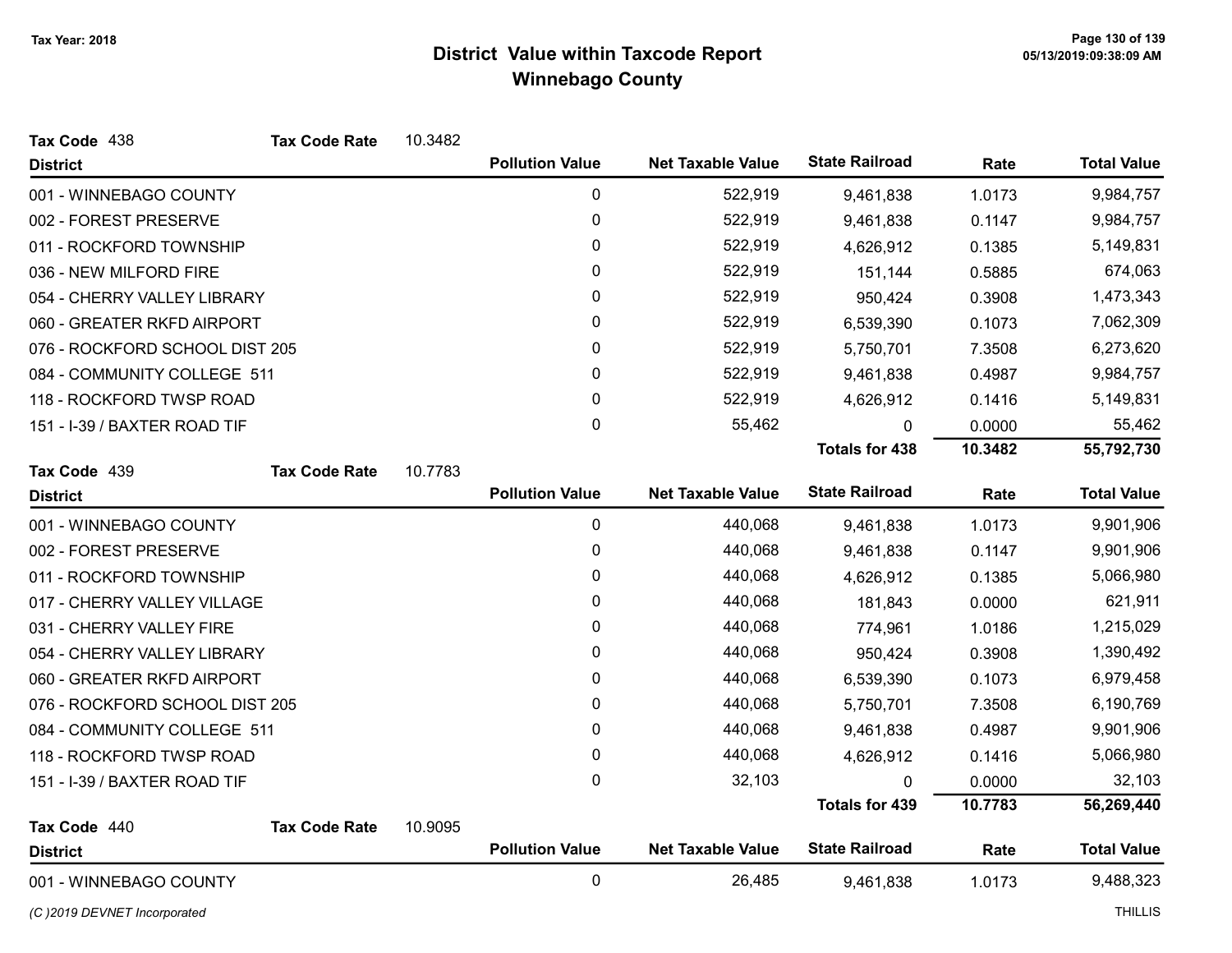| Tax Code 438                   | <b>Tax Code Rate</b> | 10.3482 |                        |                          |                       |         |                    |
|--------------------------------|----------------------|---------|------------------------|--------------------------|-----------------------|---------|--------------------|
| <b>District</b>                |                      |         | <b>Pollution Value</b> | <b>Net Taxable Value</b> | <b>State Railroad</b> | Rate    | <b>Total Value</b> |
| 001 - WINNEBAGO COUNTY         |                      |         | 0                      | 522,919                  | 9,461,838             | 1.0173  | 9,984,757          |
| 002 - FOREST PRESERVE          |                      |         | 0                      | 522,919                  | 9,461,838             | 0.1147  | 9,984,757          |
| 011 - ROCKFORD TOWNSHIP        |                      |         | 0                      | 522,919                  | 4,626,912             | 0.1385  | 5,149,831          |
| 036 - NEW MILFORD FIRE         |                      |         | 0                      | 522,919                  | 151,144               | 0.5885  | 674,063            |
| 054 - CHERRY VALLEY LIBRARY    |                      |         | 0                      | 522,919                  | 950,424               | 0.3908  | 1,473,343          |
| 060 - GREATER RKFD AIRPORT     |                      |         | 0                      | 522,919                  | 6,539,390             | 0.1073  | 7,062,309          |
| 076 - ROCKFORD SCHOOL DIST 205 |                      |         | 0                      | 522,919                  | 5,750,701             | 7.3508  | 6,273,620          |
| 084 - COMMUNITY COLLEGE 511    |                      |         | 0                      | 522,919                  | 9,461,838             | 0.4987  | 9,984,757          |
| 118 - ROCKFORD TWSP ROAD       |                      |         | 0                      | 522,919                  | 4,626,912             | 0.1416  | 5,149,831          |
| 151 - I-39 / BAXTER ROAD TIF   |                      |         | 0                      | 55,462                   | 0                     | 0.0000  | 55,462             |
|                                |                      |         |                        |                          | <b>Totals for 438</b> | 10.3482 | 55,792,730         |
| Tax Code 439                   | <b>Tax Code Rate</b> | 10.7783 |                        |                          |                       |         |                    |
| <b>District</b>                |                      |         | <b>Pollution Value</b> | <b>Net Taxable Value</b> | <b>State Railroad</b> | Rate    | <b>Total Value</b> |
| 001 - WINNEBAGO COUNTY         |                      |         | 0                      | 440,068                  | 9,461,838             | 1.0173  | 9,901,906          |
| 002 - FOREST PRESERVE          |                      |         | 0                      | 440,068                  | 9,461,838             | 0.1147  | 9,901,906          |
| 011 - ROCKFORD TOWNSHIP        |                      |         | 0                      | 440,068                  | 4,626,912             | 0.1385  | 5,066,980          |
| 017 - CHERRY VALLEY VILLAGE    |                      |         | 0                      | 440,068                  | 181,843               | 0.0000  | 621,911            |
| 031 - CHERRY VALLEY FIRE       |                      |         | 0                      | 440,068                  | 774,961               | 1.0186  | 1,215,029          |
| 054 - CHERRY VALLEY LIBRARY    |                      |         | 0                      | 440,068                  | 950,424               | 0.3908  | 1,390,492          |
| 060 - GREATER RKFD AIRPORT     |                      |         | 0                      | 440,068                  | 6,539,390             | 0.1073  | 6,979,458          |
| 076 - ROCKFORD SCHOOL DIST 205 |                      |         | 0                      | 440,068                  | 5,750,701             | 7.3508  | 6,190,769          |
| 084 - COMMUNITY COLLEGE 511    |                      |         | 0                      | 440,068                  | 9,461,838             | 0.4987  | 9,901,906          |
| 118 - ROCKFORD TWSP ROAD       |                      |         | 0                      | 440,068                  | 4,626,912             | 0.1416  | 5,066,980          |
| 151 - I-39 / BAXTER ROAD TIF   |                      |         | 0                      | 32,103                   | 0                     | 0.0000  | 32,103             |
|                                |                      |         |                        |                          | <b>Totals for 439</b> | 10.7783 | 56,269,440         |
| Tax Code 440                   | <b>Tax Code Rate</b> | 10.9095 |                        |                          |                       |         |                    |
| <b>District</b>                |                      |         | <b>Pollution Value</b> | <b>Net Taxable Value</b> | <b>State Railroad</b> | Rate    | <b>Total Value</b> |
| 001 - WINNEBAGO COUNTY         |                      |         | 0                      | 26,485                   | 9,461,838             | 1.0173  | 9,488,323          |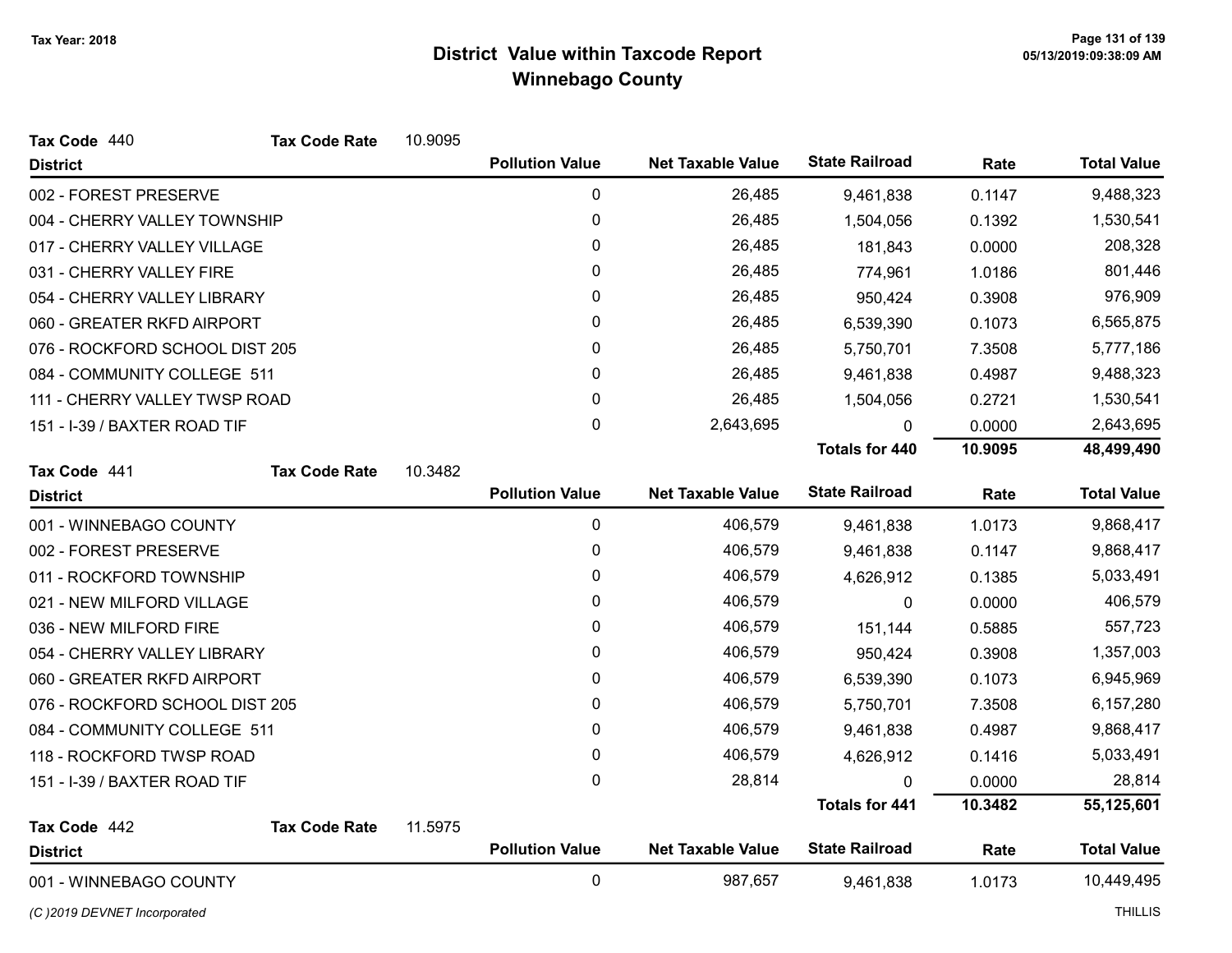| Tax Code 440                   | <b>Tax Code Rate</b> | 10.9095 |                        |                          |                       |         |                    |
|--------------------------------|----------------------|---------|------------------------|--------------------------|-----------------------|---------|--------------------|
| <b>District</b>                |                      |         | <b>Pollution Value</b> | <b>Net Taxable Value</b> | <b>State Railroad</b> | Rate    | <b>Total Value</b> |
| 002 - FOREST PRESERVE          |                      |         | 0                      | 26,485                   | 9,461,838             | 0.1147  | 9,488,323          |
| 004 - CHERRY VALLEY TOWNSHIP   |                      |         | 0                      | 26,485                   | 1,504,056             | 0.1392  | 1,530,541          |
| 017 - CHERRY VALLEY VILLAGE    |                      |         | 0                      | 26,485                   | 181,843               | 0.0000  | 208,328            |
| 031 - CHERRY VALLEY FIRE       |                      |         | 0                      | 26,485                   | 774,961               | 1.0186  | 801,446            |
| 054 - CHERRY VALLEY LIBRARY    |                      |         | 0                      | 26,485                   | 950,424               | 0.3908  | 976,909            |
| 060 - GREATER RKFD AIRPORT     |                      |         | 0                      | 26,485                   | 6,539,390             | 0.1073  | 6,565,875          |
| 076 - ROCKFORD SCHOOL DIST 205 |                      |         | 0                      | 26,485                   | 5,750,701             | 7.3508  | 5,777,186          |
| 084 - COMMUNITY COLLEGE 511    |                      |         | 0                      | 26,485                   | 9,461,838             | 0.4987  | 9,488,323          |
| 111 - CHERRY VALLEY TWSP ROAD  |                      |         | 0                      | 26,485                   | 1,504,056             | 0.2721  | 1,530,541          |
| 151 - I-39 / BAXTER ROAD TIF   |                      |         | 0                      | 2,643,695                | $\Omega$              | 0.0000  | 2,643,695          |
|                                |                      |         |                        |                          | <b>Totals for 440</b> | 10.9095 | 48,499,490         |
| Tax Code 441                   | <b>Tax Code Rate</b> | 10.3482 |                        |                          |                       |         |                    |
| <b>District</b>                |                      |         | <b>Pollution Value</b> | <b>Net Taxable Value</b> | <b>State Railroad</b> | Rate    | <b>Total Value</b> |
| 001 - WINNEBAGO COUNTY         |                      |         | 0                      | 406,579                  | 9,461,838             | 1.0173  | 9,868,417          |
| 002 - FOREST PRESERVE          |                      |         | 0                      | 406,579                  | 9,461,838             | 0.1147  | 9,868,417          |
| 011 - ROCKFORD TOWNSHIP        |                      |         | 0                      | 406,579                  | 4,626,912             | 0.1385  | 5,033,491          |
| 021 - NEW MILFORD VILLAGE      |                      |         | 0                      | 406,579                  | 0                     | 0.0000  | 406,579            |
| 036 - NEW MILFORD FIRE         |                      |         | 0                      | 406,579                  | 151,144               | 0.5885  | 557,723            |
| 054 - CHERRY VALLEY LIBRARY    |                      |         | 0                      | 406,579                  | 950,424               | 0.3908  | 1,357,003          |
| 060 - GREATER RKFD AIRPORT     |                      |         | 0                      | 406,579                  | 6,539,390             | 0.1073  | 6,945,969          |
| 076 - ROCKFORD SCHOOL DIST 205 |                      |         | 0                      | 406,579                  | 5,750,701             | 7.3508  | 6,157,280          |
| 084 - COMMUNITY COLLEGE 511    |                      |         | 0                      | 406,579                  | 9,461,838             | 0.4987  | 9,868,417          |
| 118 - ROCKFORD TWSP ROAD       |                      |         | 0                      | 406,579                  | 4,626,912             | 0.1416  | 5,033,491          |
| 151 - I-39 / BAXTER ROAD TIF   |                      |         | 0                      | 28,814                   | $\mathbf{0}$          | 0.0000  | 28,814             |
|                                |                      |         |                        |                          | <b>Totals for 441</b> | 10.3482 | 55,125,601         |
| Tax Code 442                   | <b>Tax Code Rate</b> | 11.5975 |                        |                          |                       |         |                    |
| <b>District</b>                |                      |         | <b>Pollution Value</b> | <b>Net Taxable Value</b> | <b>State Railroad</b> | Rate    | <b>Total Value</b> |
| 001 - WINNEBAGO COUNTY         |                      |         | $\pmb{0}$              | 987,657                  | 9,461,838             | 1.0173  | 10,449,495         |
|                                |                      |         |                        |                          |                       |         |                    |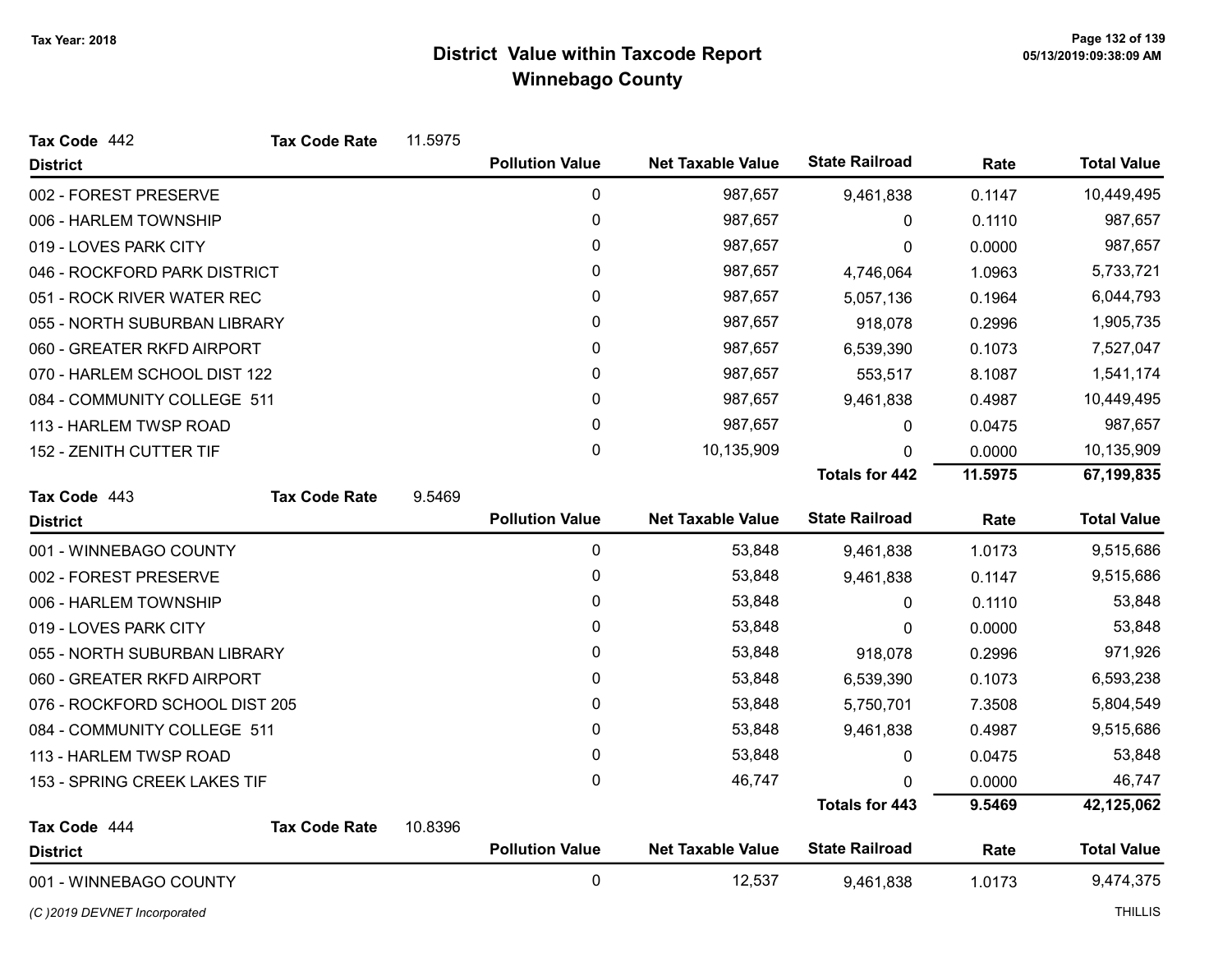| Tax Code 442                   | <b>Tax Code Rate</b> | 11.5975 |                        |                          |                       |         |                    |
|--------------------------------|----------------------|---------|------------------------|--------------------------|-----------------------|---------|--------------------|
| <b>District</b>                |                      |         | <b>Pollution Value</b> | <b>Net Taxable Value</b> | <b>State Railroad</b> | Rate    | <b>Total Value</b> |
| 002 - FOREST PRESERVE          |                      |         | 0                      | 987,657                  | 9,461,838             | 0.1147  | 10,449,495         |
| 006 - HARLEM TOWNSHIP          |                      |         | 0                      | 987,657                  | 0                     | 0.1110  | 987,657            |
| 019 - LOVES PARK CITY          |                      |         | 0                      | 987,657                  | 0                     | 0.0000  | 987,657            |
| 046 - ROCKFORD PARK DISTRICT   |                      |         | 0                      | 987,657                  | 4,746,064             | 1.0963  | 5,733,721          |
| 051 - ROCK RIVER WATER REC     |                      |         | 0                      | 987,657                  | 5,057,136             | 0.1964  | 6,044,793          |
| 055 - NORTH SUBURBAN LIBRARY   |                      |         | 0                      | 987,657                  | 918,078               | 0.2996  | 1,905,735          |
| 060 - GREATER RKFD AIRPORT     |                      |         | 0                      | 987,657                  | 6,539,390             | 0.1073  | 7,527,047          |
| 070 - HARLEM SCHOOL DIST 122   |                      |         | 0                      | 987,657                  | 553,517               | 8.1087  | 1,541,174          |
| 084 - COMMUNITY COLLEGE 511    |                      |         | 0                      | 987,657                  | 9,461,838             | 0.4987  | 10,449,495         |
| 113 - HARLEM TWSP ROAD         |                      |         | 0                      | 987,657                  | 0                     | 0.0475  | 987,657            |
| 152 - ZENITH CUTTER TIF        |                      |         | 0                      | 10,135,909               | $\mathbf{0}$          | 0.0000  | 10,135,909         |
|                                |                      |         |                        |                          | <b>Totals for 442</b> | 11.5975 | 67,199,835         |
| Tax Code 443                   | <b>Tax Code Rate</b> | 9.5469  |                        |                          |                       |         |                    |
| <b>District</b>                |                      |         | <b>Pollution Value</b> | <b>Net Taxable Value</b> | <b>State Railroad</b> | Rate    | <b>Total Value</b> |
| 001 - WINNEBAGO COUNTY         |                      |         | $\mathbf 0$            | 53,848                   | 9,461,838             | 1.0173  | 9,515,686          |
| 002 - FOREST PRESERVE          |                      |         | 0                      | 53,848                   | 9,461,838             | 0.1147  | 9,515,686          |
| 006 - HARLEM TOWNSHIP          |                      |         | 0                      | 53,848                   | 0                     | 0.1110  | 53,848             |
| 019 - LOVES PARK CITY          |                      |         | 0                      | 53,848                   | 0                     | 0.0000  | 53,848             |
| 055 - NORTH SUBURBAN LIBRARY   |                      |         | 0                      | 53,848                   | 918,078               | 0.2996  | 971,926            |
| 060 - GREATER RKFD AIRPORT     |                      |         | 0                      | 53,848                   | 6,539,390             | 0.1073  | 6,593,238          |
| 076 - ROCKFORD SCHOOL DIST 205 |                      |         | 0                      | 53,848                   | 5,750,701             | 7.3508  | 5,804,549          |
| 084 - COMMUNITY COLLEGE 511    |                      |         | 0                      | 53,848                   | 9,461,838             | 0.4987  | 9,515,686          |
| 113 - HARLEM TWSP ROAD         |                      |         | 0                      | 53,848                   | 0                     | 0.0475  | 53,848             |
| 153 - SPRING CREEK LAKES TIF   |                      |         | 0                      | 46,747                   | 0                     | 0.0000  | 46,747             |
|                                |                      |         |                        |                          | <b>Totals for 443</b> | 9.5469  | 42,125,062         |
| Tax Code 444                   | <b>Tax Code Rate</b> | 10.8396 |                        |                          |                       |         |                    |
| <b>District</b>                |                      |         | <b>Pollution Value</b> | <b>Net Taxable Value</b> | <b>State Railroad</b> | Rate    | <b>Total Value</b> |
| 001 - WINNEBAGO COUNTY         |                      |         | $\mathbf 0$            | 12,537                   | 9,461,838             | 1.0173  | 9,474,375          |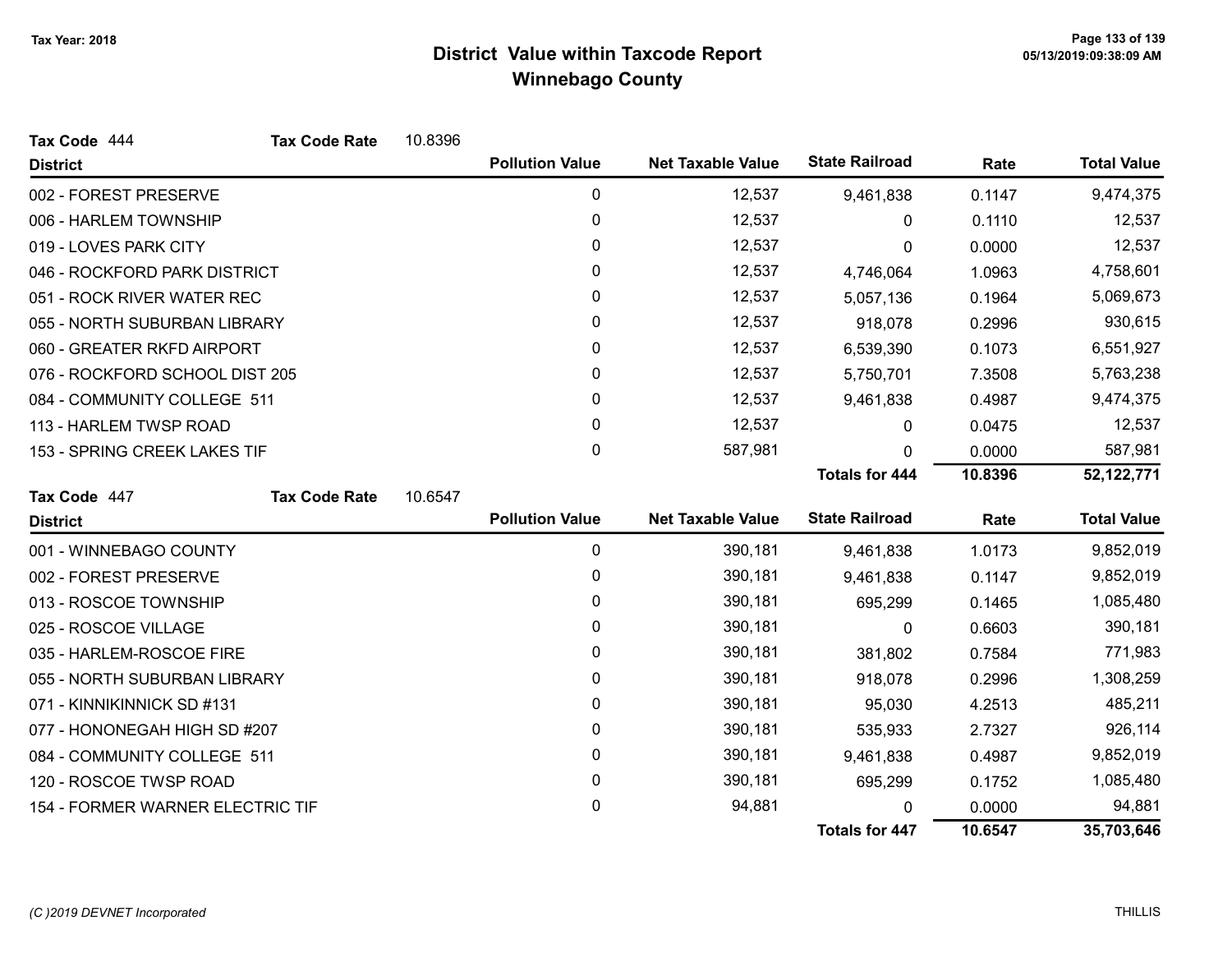| Tax Code 444                     | <b>Tax Code Rate</b> | 10.8396 |                        |                          |                       |           |                    |
|----------------------------------|----------------------|---------|------------------------|--------------------------|-----------------------|-----------|--------------------|
| <b>District</b>                  |                      |         | <b>Pollution Value</b> | <b>Net Taxable Value</b> | <b>State Railroad</b> | Rate      | <b>Total Value</b> |
| 002 - FOREST PRESERVE            |                      |         | 0                      | 12,537                   | 9,461,838             | 0.1147    | 9,474,375          |
| 006 - HARLEM TOWNSHIP            |                      |         | 0                      | 12,537                   | 0                     | 0.1110    | 12,537             |
| 019 - LOVES PARK CITY            |                      | 0       | 12,537                 | 0                        | 0.0000                | 12,537    |                    |
| 046 - ROCKFORD PARK DISTRICT     |                      |         | 0                      | 12,537                   | 4,746,064             | 1.0963    | 4,758,601          |
| 051 - ROCK RIVER WATER REC       |                      |         | 0                      | 12,537                   | 5,057,136             | 0.1964    | 5,069,673          |
| 055 - NORTH SUBURBAN LIBRARY     |                      |         | 0                      | 12,537                   | 918,078               | 0.2996    | 930,615            |
| 060 - GREATER RKFD AIRPORT       |                      |         | 0                      | 12,537                   | 6,539,390             | 0.1073    | 6,551,927          |
| 076 - ROCKFORD SCHOOL DIST 205   |                      |         | 0                      | 12,537                   | 5,750,701             | 7.3508    | 5,763,238          |
| 084 - COMMUNITY COLLEGE 511      |                      |         | 0                      | 12,537                   | 9,461,838             | 0.4987    | 9,474,375          |
| 113 - HARLEM TWSP ROAD           |                      |         | 0                      | 12,537                   | $\mathbf{0}$          | 0.0475    | 12,537             |
| 153 - SPRING CREEK LAKES TIF     |                      |         | 0                      | 587,981                  | 0                     | 0.0000    | 587,981            |
|                                  |                      |         |                        |                          | <b>Totals for 444</b> | 10.8396   | 52,122,771         |
| Tax Code 447                     | <b>Tax Code Rate</b> | 10.6547 |                        |                          |                       |           |                    |
| <b>District</b>                  |                      |         | <b>Pollution Value</b> | <b>Net Taxable Value</b> | <b>State Railroad</b> | Rate      | <b>Total Value</b> |
| 001 - WINNEBAGO COUNTY           |                      |         | 0                      | 390,181                  | 9,461,838             | 1.0173    | 9,852,019          |
| 002 - FOREST PRESERVE            |                      |         | 0                      | 390,181                  | 9,461,838             | 0.1147    | 9,852,019          |
| 013 - ROSCOE TOWNSHIP            |                      |         | 0                      | 390,181                  | 695,299               | 0.1465    | 1,085,480          |
| 025 - ROSCOE VILLAGE             |                      |         | 0                      | 390,181                  | $\mathbf{0}$          | 0.6603    | 390,181            |
| 035 - HARLEM-ROSCOE FIRE         |                      |         | 0                      | 390,181                  | 381,802               | 0.7584    | 771,983            |
| 055 - NORTH SUBURBAN LIBRARY     |                      |         | 0                      | 390,181                  | 918,078               | 0.2996    | 1,308,259          |
| 071 - KINNIKINNICK SD #131       |                      |         | 0                      | 390,181                  | 95,030                | 4.2513    | 485,211            |
| 077 - HONONEGAH HIGH SD #207     |                      | 0       | 390,181                | 535,933                  | 2.7327                | 926,114   |                    |
| 084 - COMMUNITY COLLEGE 511      |                      | 0       | 390,181                | 9,461,838                | 0.4987                | 9,852,019 |                    |
| 120 - ROSCOE TWSP ROAD           |                      | 0       | 390,181                | 695,299                  | 0.1752                | 1,085,480 |                    |
| 154 - FORMER WARNER ELECTRIC TIF |                      |         | 0                      | 94,881                   | 0                     | 0.0000    | 94,881             |
|                                  |                      |         |                        |                          | <b>Totals for 447</b> | 10.6547   | 35,703,646         |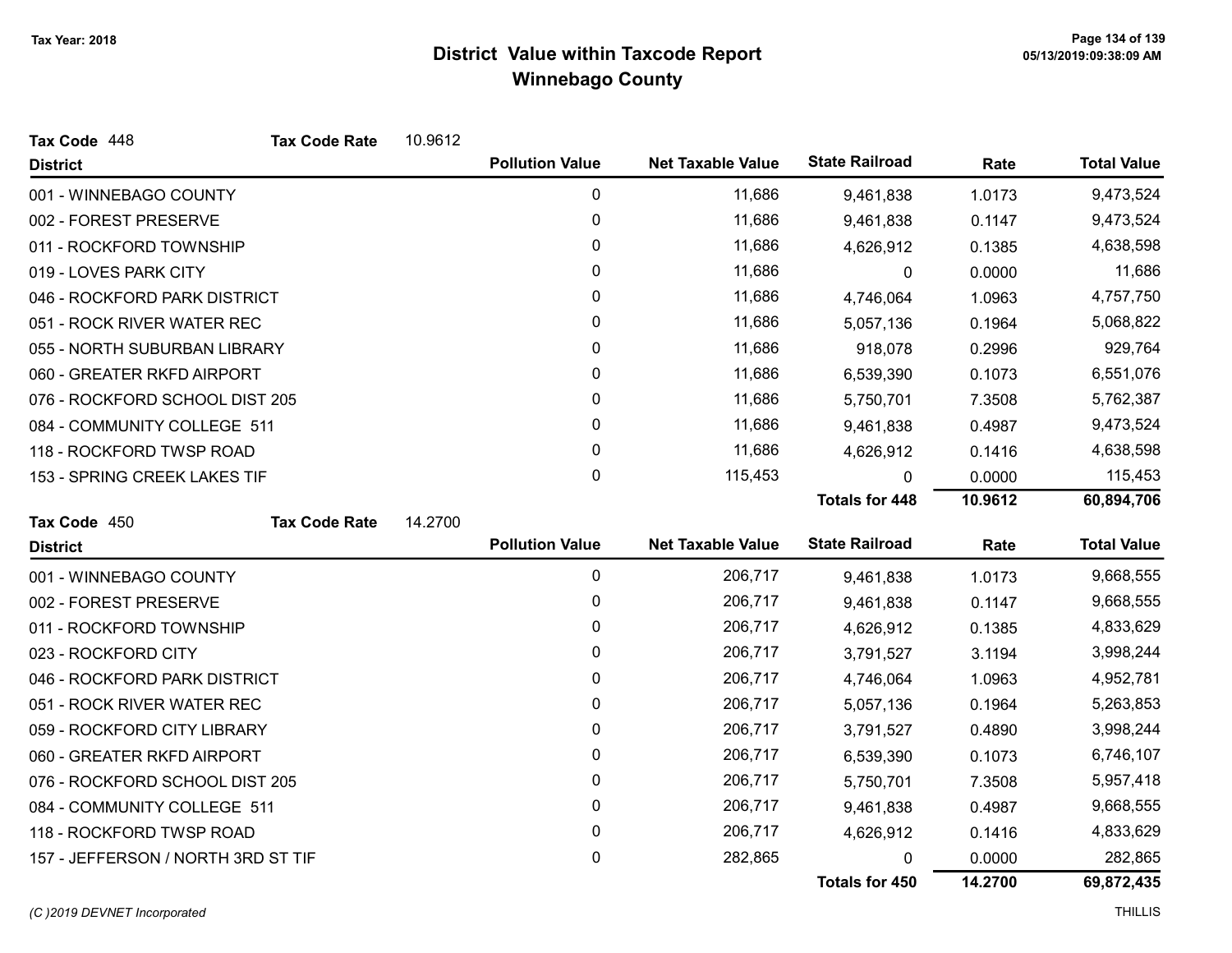| Tax Code 448                       | <b>Tax Code Rate</b> | 10.9612     |                        |                          |                       |           |                    |
|------------------------------------|----------------------|-------------|------------------------|--------------------------|-----------------------|-----------|--------------------|
| <b>District</b>                    |                      |             | <b>Pollution Value</b> | <b>Net Taxable Value</b> | <b>State Railroad</b> | Rate      | <b>Total Value</b> |
| 001 - WINNEBAGO COUNTY             |                      |             | 0                      | 11,686                   | 9,461,838             | 1.0173    | 9,473,524          |
| 002 - FOREST PRESERVE              |                      |             | 0                      | 11,686                   | 9,461,838             | 0.1147    | 9,473,524          |
| 011 - ROCKFORD TOWNSHIP            |                      |             | 0                      | 11,686                   | 4,626,912             | 0.1385    | 4,638,598          |
| 019 - LOVES PARK CITY              |                      |             | 0                      | 11,686                   | $\mathbf 0$           | 0.0000    | 11,686             |
| 046 - ROCKFORD PARK DISTRICT       |                      |             | 0                      | 11,686                   | 4,746,064             | 1.0963    | 4,757,750          |
| 051 - ROCK RIVER WATER REC         |                      |             | 0                      | 11,686                   | 5,057,136             | 0.1964    | 5,068,822          |
| 055 - NORTH SUBURBAN LIBRARY       |                      |             | 0                      | 11,686                   | 918,078               | 0.2996    | 929,764            |
| 060 - GREATER RKFD AIRPORT         |                      |             | $\mathbf 0$            | 11,686                   | 6,539,390             | 0.1073    | 6,551,076          |
| 076 - ROCKFORD SCHOOL DIST 205     |                      |             | 0                      | 11,686                   | 5,750,701             | 7.3508    | 5,762,387          |
| 084 - COMMUNITY COLLEGE 511        |                      |             | 0                      | 11,686                   | 9,461,838             | 0.4987    | 9,473,524          |
| 118 - ROCKFORD TWSP ROAD           |                      |             | 0                      | 11,686                   | 4,626,912             | 0.1416    | 4,638,598          |
| 153 - SPRING CREEK LAKES TIF       |                      |             | $\mathbf 0$            | 115,453                  | 0                     | 0.0000    | 115,453            |
|                                    |                      |             |                        |                          | <b>Totals for 448</b> | 10.9612   | 60,894,706         |
| Tax Code 450                       | <b>Tax Code Rate</b> | 14.2700     |                        |                          |                       |           |                    |
| <b>District</b>                    |                      |             | <b>Pollution Value</b> | <b>Net Taxable Value</b> | <b>State Railroad</b> | Rate      | <b>Total Value</b> |
| 001 - WINNEBAGO COUNTY             |                      |             | $\mathbf 0$            | 206,717                  | 9,461,838             | 1.0173    | 9,668,555          |
| 002 - FOREST PRESERVE              |                      |             | 0                      | 206,717                  | 9,461,838             | 0.1147    | 9,668,555          |
| 011 - ROCKFORD TOWNSHIP            |                      |             | $\mathbf 0$            | 206,717                  | 4,626,912             | 0.1385    | 4,833,629          |
| 023 - ROCKFORD CITY                |                      |             | 0                      | 206,717                  | 3,791,527             | 3.1194    | 3,998,244          |
| 046 - ROCKFORD PARK DISTRICT       |                      |             | 0                      | 206,717                  | 4,746,064             | 1.0963    | 4,952,781          |
| 051 - ROCK RIVER WATER REC         |                      |             | 0                      | 206,717                  | 5,057,136             | 0.1964    | 5,263,853          |
| 059 - ROCKFORD CITY LIBRARY        |                      |             | 0                      | 206,717                  | 3,791,527             | 0.4890    | 3,998,244          |
| 060 - GREATER RKFD AIRPORT         |                      |             | 0                      | 206,717                  | 6,539,390             | 0.1073    | 6,746,107          |
| 076 - ROCKFORD SCHOOL DIST 205     |                      | $\mathbf 0$ | 206,717                | 5,750,701                | 7.3508                | 5,957,418 |                    |
| 084 - COMMUNITY COLLEGE 511        |                      |             | 0                      | 206,717                  | 9,461,838             | 0.4987    | 9,668,555          |
| 118 - ROCKFORD TWSP ROAD           |                      |             | 0                      | 206,717                  | 4,626,912             | 0.1416    | 4,833,629          |
| 157 - JEFFERSON / NORTH 3RD ST TIF |                      |             | 0                      | 282,865                  | 0                     | 0.0000    | 282,865            |
|                                    |                      |             |                        |                          | Totals for 450        | 14.2700   | 69,872,435         |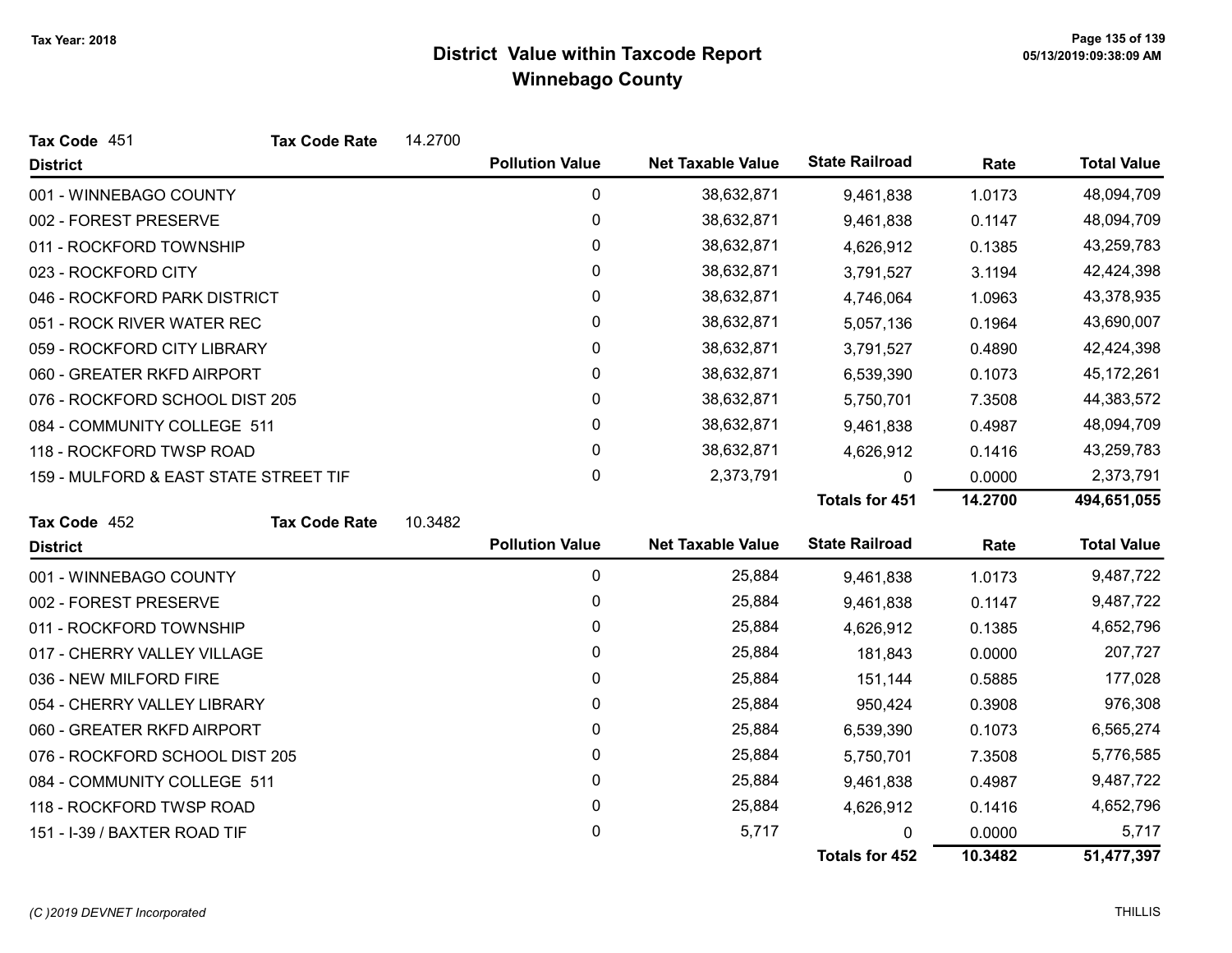| Tax Code 451                          | <b>Tax Code Rate</b> | 14.2700 |                        |                          |                       |           |                    |
|---------------------------------------|----------------------|---------|------------------------|--------------------------|-----------------------|-----------|--------------------|
| <b>District</b>                       |                      |         | <b>Pollution Value</b> | <b>Net Taxable Value</b> | <b>State Railroad</b> | Rate      | <b>Total Value</b> |
| 001 - WINNEBAGO COUNTY                |                      |         | 0                      | 38,632,871               | 9,461,838             | 1.0173    | 48,094,709         |
| 002 - FOREST PRESERVE                 |                      |         | 0                      | 38,632,871               | 9,461,838             | 0.1147    | 48,094,709         |
| 011 - ROCKFORD TOWNSHIP               |                      |         | 0                      | 38,632,871               | 4,626,912             | 0.1385    | 43,259,783         |
| 023 - ROCKFORD CITY                   |                      |         | 0                      | 38,632,871               | 3,791,527             | 3.1194    | 42,424,398         |
| 046 - ROCKFORD PARK DISTRICT          |                      |         | 0                      | 38,632,871               | 4,746,064             | 1.0963    | 43,378,935         |
| 051 - ROCK RIVER WATER REC            |                      |         | 0                      | 38,632,871               | 5,057,136             | 0.1964    | 43,690,007         |
| 059 - ROCKFORD CITY LIBRARY           |                      |         | 0                      | 38,632,871               | 3,791,527             | 0.4890    | 42,424,398         |
| 060 - GREATER RKFD AIRPORT            |                      |         | 0                      | 38,632,871               | 6,539,390             | 0.1073    | 45, 172, 261       |
| 076 - ROCKFORD SCHOOL DIST 205        |                      |         | 0                      | 38,632,871               | 5,750,701             | 7.3508    | 44,383,572         |
| 084 - COMMUNITY COLLEGE 511           |                      |         | 0                      | 38,632,871               | 9,461,838             | 0.4987    | 48,094,709         |
| 118 - ROCKFORD TWSP ROAD              |                      |         | $\mathbf{0}$           | 38,632,871               | 4,626,912             | 0.1416    | 43,259,783         |
| 159 - MULFORD & EAST STATE STREET TIF |                      | 0       | 2,373,791              | 0                        | 0.0000                | 2,373,791 |                    |
|                                       |                      |         |                        |                          | <b>Totals for 451</b> | 14.2700   | 494,651,055        |
| Tax Code 452                          | <b>Tax Code Rate</b> | 10.3482 |                        |                          |                       |           |                    |
| <b>District</b>                       |                      |         | <b>Pollution Value</b> | <b>Net Taxable Value</b> | <b>State Railroad</b> | Rate      | <b>Total Value</b> |
| 001 - WINNEBAGO COUNTY                |                      |         | $\mathbf 0$            | 25,884                   | 9,461,838             | 1.0173    | 9,487,722          |
| 002 - FOREST PRESERVE                 |                      |         | $\mathbf 0$            | 25,884                   | 9,461,838             | 0.1147    | 9,487,722          |
| 011 - ROCKFORD TOWNSHIP               |                      |         | 0                      | 25,884                   | 4,626,912             | 0.1385    | 4,652,796          |
| 017 - CHERRY VALLEY VILLAGE           |                      |         | 0                      | 25,884                   | 181,843               | 0.0000    | 207,727            |
| 036 - NEW MILFORD FIRE                |                      |         | 0                      | 25,884                   | 151,144               | 0.5885    | 177,028            |
| 054 - CHERRY VALLEY LIBRARY           |                      |         | 0                      | 25,884                   | 950,424               | 0.3908    | 976,308            |
| 060 - GREATER RKFD AIRPORT            |                      |         | 0                      | 25,884                   | 6,539,390             | 0.1073    | 6,565,274          |
| 076 - ROCKFORD SCHOOL DIST 205        |                      |         | 0                      | 25,884                   | 5,750,701             | 7.3508    | 5,776,585          |
| 084 - COMMUNITY COLLEGE 511           |                      |         | 0                      | 25,884                   | 9,461,838             | 0.4987    | 9,487,722          |
| 118 - ROCKFORD TWSP ROAD              |                      |         | 0                      | 25,884                   | 4,626,912             | 0.1416    | 4,652,796          |
| 151 - I-39 / BAXTER ROAD TIF          |                      |         | 0                      | 5,717                    | 0                     | 0.0000    | 5,717              |
|                                       |                      |         |                        |                          | <b>Totals for 452</b> | 10.3482   | 51,477,397         |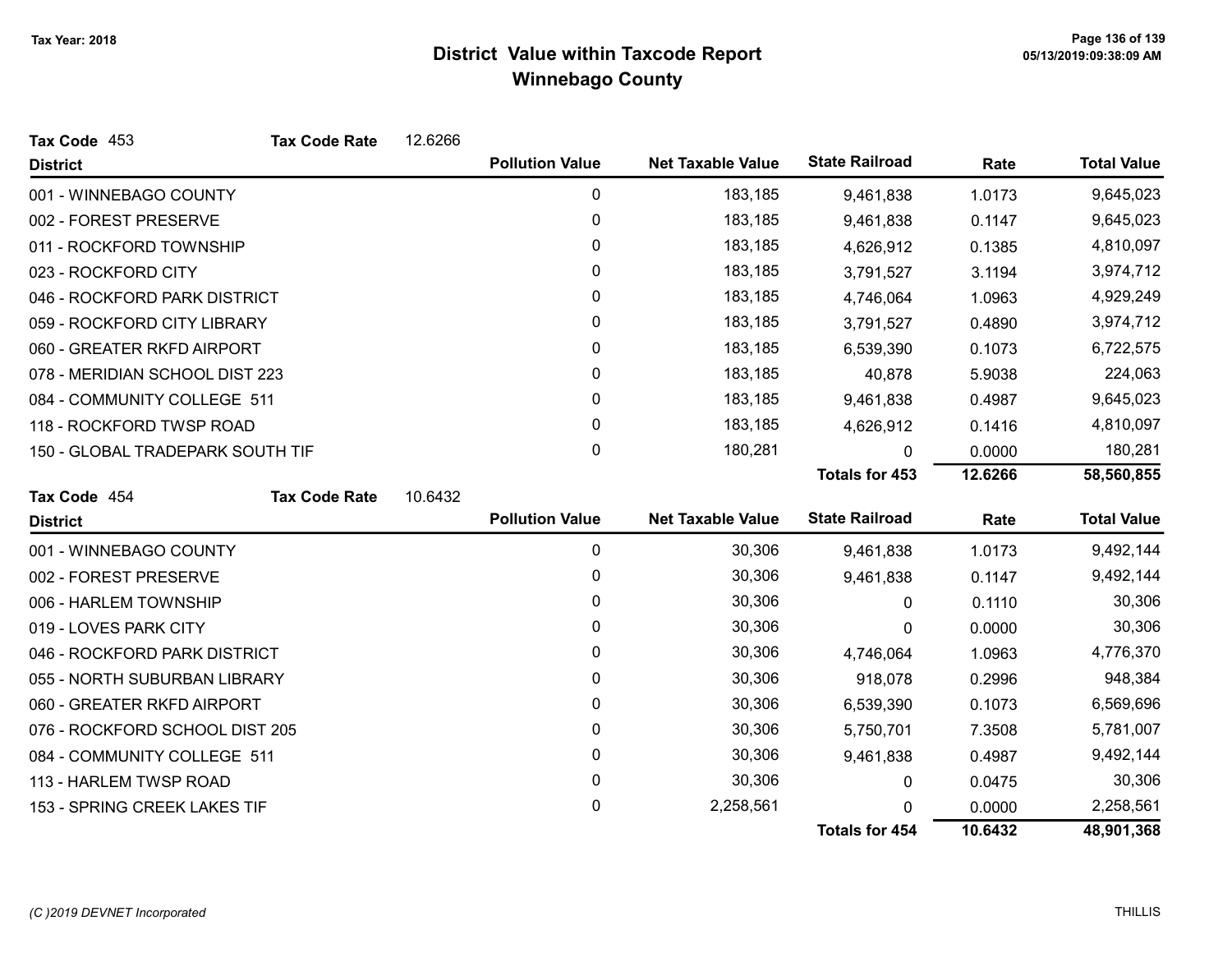| Tax Code 453                     | <b>Tax Code Rate</b> | 12.6266 |                        |                          |                       |           |                    |
|----------------------------------|----------------------|---------|------------------------|--------------------------|-----------------------|-----------|--------------------|
| <b>District</b>                  |                      |         | <b>Pollution Value</b> | <b>Net Taxable Value</b> | <b>State Railroad</b> | Rate      | <b>Total Value</b> |
| 001 - WINNEBAGO COUNTY           |                      |         | 0                      | 183,185                  | 9,461,838             | 1.0173    | 9,645,023          |
| 002 - FOREST PRESERVE            |                      | 0       | 183,185                | 9,461,838                | 0.1147                | 9,645,023 |                    |
| 011 - ROCKFORD TOWNSHIP          |                      | 0       | 183,185                | 4,626,912                | 0.1385                | 4,810,097 |                    |
| 023 - ROCKFORD CITY              |                      |         | 0                      | 183,185                  | 3,791,527             | 3.1194    | 3,974,712          |
| 046 - ROCKFORD PARK DISTRICT     |                      |         | 0                      | 183,185                  | 4,746,064             | 1.0963    | 4,929,249          |
| 059 - ROCKFORD CITY LIBRARY      |                      |         | 0                      | 183,185                  | 3,791,527             | 0.4890    | 3,974,712          |
| 060 - GREATER RKFD AIRPORT       |                      |         | 0                      | 183,185                  | 6,539,390             | 0.1073    | 6,722,575          |
| 078 - MERIDIAN SCHOOL DIST 223   |                      |         | 0                      | 183,185                  | 40,878                | 5.9038    | 224,063            |
| 084 - COMMUNITY COLLEGE 511      |                      |         | 0                      | 183,185                  | 9,461,838             | 0.4987    | 9,645,023          |
| 118 - ROCKFORD TWSP ROAD         |                      | 0       | 183,185                | 4,626,912                | 0.1416                | 4,810,097 |                    |
| 150 - GLOBAL TRADEPARK SOUTH TIF |                      | 0       | 180,281                | 0                        | 0.0000                | 180,281   |                    |
|                                  |                      |         |                        |                          | <b>Totals for 453</b> | 12.6266   | 58,560,855         |
| Tax Code 454                     | <b>Tax Code Rate</b> | 10.6432 |                        |                          |                       |           |                    |
| <b>District</b>                  |                      |         | <b>Pollution Value</b> | <b>Net Taxable Value</b> | <b>State Railroad</b> | Rate      | <b>Total Value</b> |
| 001 - WINNEBAGO COUNTY           |                      |         | $\mathbf{0}$           | 30,306                   | 9,461,838             | 1.0173    | 9,492,144          |
| 002 - FOREST PRESERVE            |                      |         | 0                      | 30,306                   | 9,461,838             | 0.1147    | 9,492,144          |
| 006 - HARLEM TOWNSHIP            |                      |         | 0                      | 30,306                   | 0                     | 0.1110    | 30,306             |
| 019 - LOVES PARK CITY            |                      |         | 0                      | 30,306                   | 0                     | 0.0000    | 30,306             |
| 046 - ROCKFORD PARK DISTRICT     |                      |         | 0                      | 30,306                   | 4,746,064             | 1.0963    | 4,776,370          |
| 055 - NORTH SUBURBAN LIBRARY     |                      |         | 0                      | 30,306                   | 918,078               | 0.2996    | 948,384            |
| 060 - GREATER RKFD AIRPORT       |                      |         | 0                      | 30,306                   | 6,539,390             | 0.1073    | 6,569,696          |
| 076 - ROCKFORD SCHOOL DIST 205   |                      | 0       | 30,306                 | 5,750,701                | 7.3508                | 5,781,007 |                    |
| 084 - COMMUNITY COLLEGE 511      |                      | 0       | 30,306                 | 9,461,838                | 0.4987                | 9,492,144 |                    |
| 113 - HARLEM TWSP ROAD           |                      |         | 0                      | 30,306                   | 0                     | 0.0475    | 30,306             |
| 153 - SPRING CREEK LAKES TIF     |                      |         | 0                      | 2,258,561                | U                     | 0.0000    | 2,258,561          |
|                                  |                      |         |                        |                          | <b>Totals for 454</b> | 10.6432   | 48,901,368         |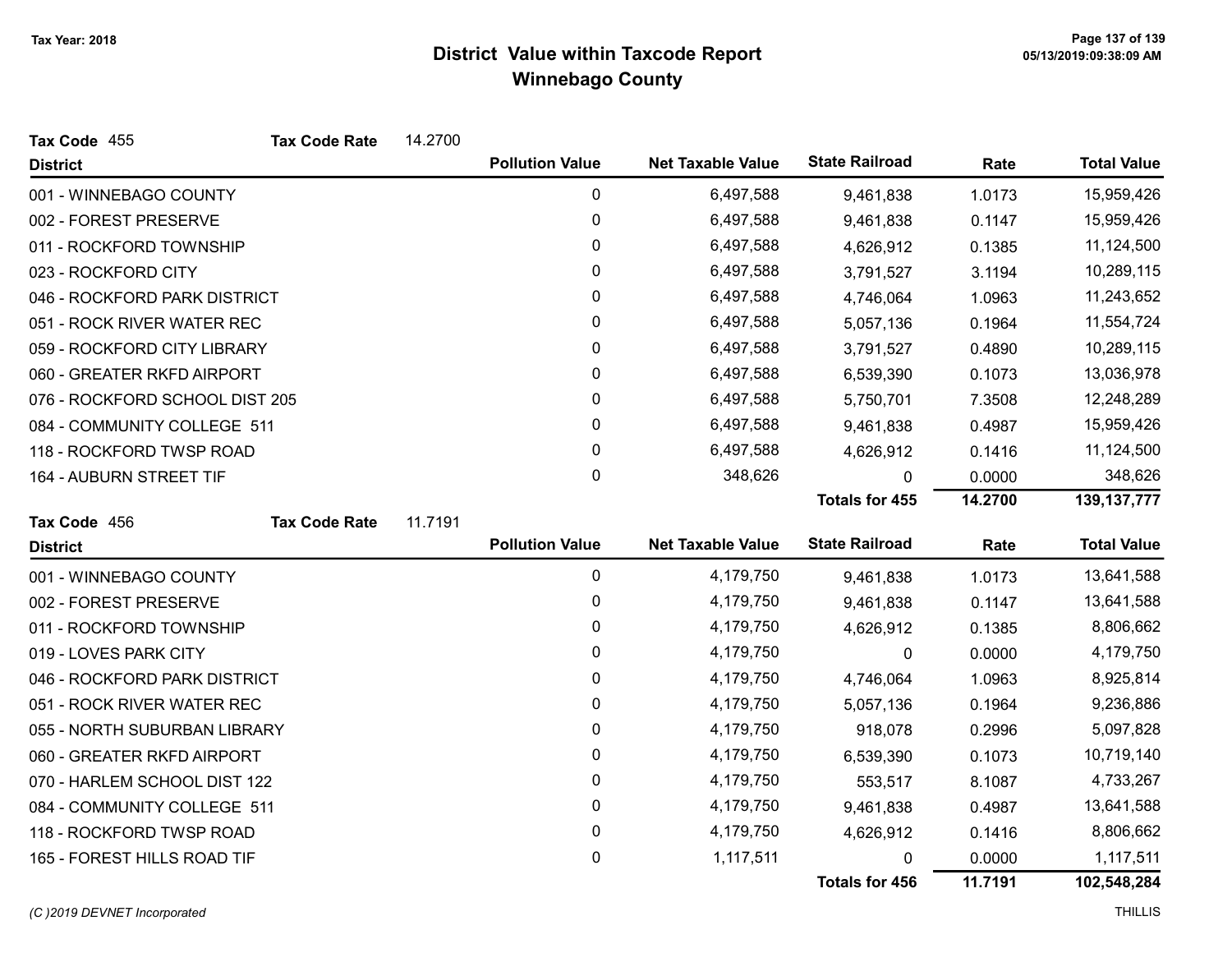| Tax Code 455                   | <b>Tax Code Rate</b> | 14.2700 |                        |                          |                       |            |                    |
|--------------------------------|----------------------|---------|------------------------|--------------------------|-----------------------|------------|--------------------|
| <b>District</b>                |                      |         | <b>Pollution Value</b> | <b>Net Taxable Value</b> | <b>State Railroad</b> | Rate       | <b>Total Value</b> |
| 001 - WINNEBAGO COUNTY         |                      |         | 0                      | 6,497,588                | 9,461,838             | 1.0173     | 15,959,426         |
| 002 - FOREST PRESERVE          |                      |         | 0                      | 6,497,588                | 9,461,838             | 0.1147     | 15,959,426         |
| 011 - ROCKFORD TOWNSHIP        |                      | 0       | 6,497,588              | 4,626,912                | 0.1385                | 11,124,500 |                    |
| 023 - ROCKFORD CITY            |                      |         | 0                      | 6,497,588                | 3,791,527             | 3.1194     | 10,289,115         |
| 046 - ROCKFORD PARK DISTRICT   |                      |         | 0                      | 6,497,588                | 4,746,064             | 1.0963     | 11,243,652         |
| 051 - ROCK RIVER WATER REC     |                      |         | 0                      | 6,497,588                | 5,057,136             | 0.1964     | 11,554,724         |
| 059 - ROCKFORD CITY LIBRARY    |                      |         | 0                      | 6,497,588                | 3,791,527             | 0.4890     | 10,289,115         |
| 060 - GREATER RKFD AIRPORT     |                      |         | 0                      | 6,497,588                | 6,539,390             | 0.1073     | 13,036,978         |
| 076 - ROCKFORD SCHOOL DIST 205 |                      |         | 0                      | 6,497,588                | 5,750,701             | 7.3508     | 12,248,289         |
| 084 - COMMUNITY COLLEGE 511    |                      |         | 0                      | 6,497,588                | 9,461,838             | 0.4987     | 15,959,426         |
| 118 - ROCKFORD TWSP ROAD       |                      |         | 0                      | 6,497,588                | 4,626,912             | 0.1416     | 11,124,500         |
| 164 - AUBURN STREET TIF        |                      |         | $\pmb{0}$              | 348,626                  | 0                     | 0.0000     | 348,626            |
|                                |                      |         |                        |                          | <b>Totals for 455</b> | 14.2700    | 139, 137, 777      |
| Tax Code 456                   | <b>Tax Code Rate</b> | 11.7191 |                        |                          |                       |            |                    |
| <b>District</b>                |                      |         | <b>Pollution Value</b> | <b>Net Taxable Value</b> | <b>State Railroad</b> | Rate       | <b>Total Value</b> |
| 001 - WINNEBAGO COUNTY         |                      |         | $\mathbf 0$            | 4,179,750                | 9,461,838             | 1.0173     | 13,641,588         |
| 002 - FOREST PRESERVE          |                      |         | 0                      | 4,179,750                | 9,461,838             | 0.1147     | 13,641,588         |
| 011 - ROCKFORD TOWNSHIP        |                      |         | 0                      | 4,179,750                | 4,626,912             | 0.1385     | 8,806,662          |
| 019 - LOVES PARK CITY          |                      |         | 0                      | 4,179,750                | 0                     | 0.0000     | 4,179,750          |
| 046 - ROCKFORD PARK DISTRICT   |                      |         | 0                      | 4,179,750                | 4,746,064             | 1.0963     | 8,925,814          |
| 051 - ROCK RIVER WATER REC     |                      |         | 0                      | 4,179,750                | 5,057,136             | 0.1964     | 9,236,886          |
| 055 - NORTH SUBURBAN LIBRARY   |                      |         | 0                      | 4,179,750                | 918,078               | 0.2996     | 5,097,828          |
| 060 - GREATER RKFD AIRPORT     |                      |         | 0                      | 4,179,750                | 6,539,390             | 0.1073     | 10,719,140         |
| 070 - HARLEM SCHOOL DIST 122   |                      | 0       | 4,179,750              | 553,517                  | 8.1087                | 4,733,267  |                    |
| 084 - COMMUNITY COLLEGE 511    |                      |         | 0                      | 4,179,750                | 9,461,838             | 0.4987     | 13,641,588         |
| 118 - ROCKFORD TWSP ROAD       |                      |         | 0                      | 4,179,750                | 4,626,912             | 0.1416     | 8,806,662          |
| 165 - FOREST HILLS ROAD TIF    |                      |         | 0                      | 1,117,511                | 0                     | 0.0000     | 1,117,511          |
|                                |                      |         |                        |                          | Totals for 456        | 11.7191    | 102,548,284        |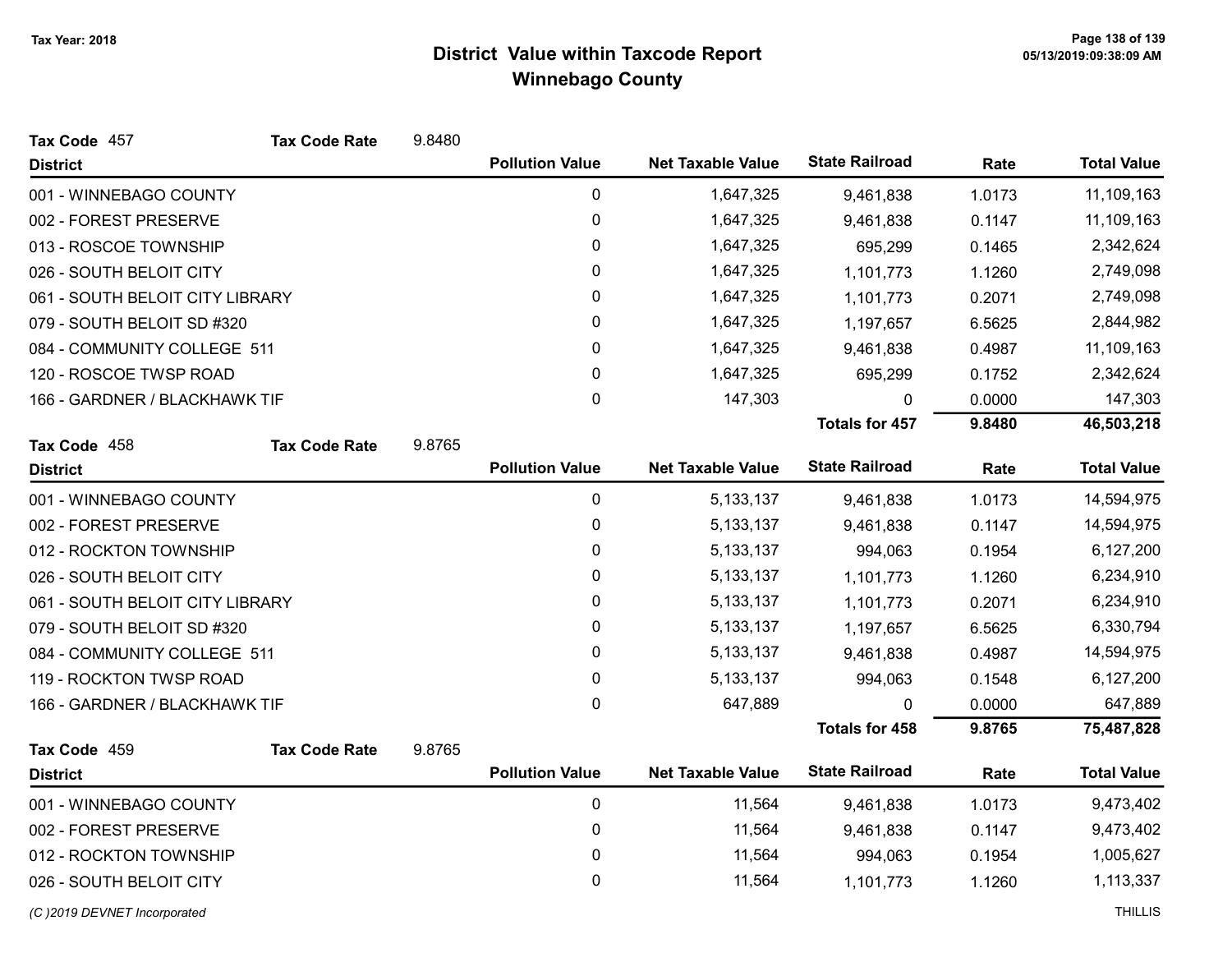| Tax Code 457                    | <b>Tax Code Rate</b> | 9.8480           |                        |                          |                       |                |                    |
|---------------------------------|----------------------|------------------|------------------------|--------------------------|-----------------------|----------------|--------------------|
| <b>District</b>                 |                      |                  | <b>Pollution Value</b> | <b>Net Taxable Value</b> | <b>State Railroad</b> | Rate           | <b>Total Value</b> |
| 001 - WINNEBAGO COUNTY          |                      |                  | $\pmb{0}$              | 1,647,325                | 9,461,838             | 1.0173         | 11,109,163         |
| 002 - FOREST PRESERVE           |                      |                  | $\pmb{0}$              | 1,647,325                | 9,461,838             | 0.1147         | 11,109,163         |
| 013 - ROSCOE TOWNSHIP           |                      |                  | 0                      | 1,647,325                | 695,299               | 0.1465         | 2,342,624          |
| 026 - SOUTH BELOIT CITY         |                      |                  | 0                      | 1,647,325                | 1,101,773             | 1.1260         | 2,749,098          |
| 061 - SOUTH BELOIT CITY LIBRARY |                      |                  | $\pmb{0}$              | 1,647,325                | 1,101,773             | 0.2071         | 2,749,098          |
| 079 - SOUTH BELOIT SD #320      |                      |                  | 0                      | 1,647,325                | 1,197,657             | 6.5625         | 2,844,982          |
| 084 - COMMUNITY COLLEGE 511     |                      |                  | 0                      | 1,647,325                | 9,461,838             | 0.4987         | 11,109,163         |
| 120 - ROSCOE TWSP ROAD          |                      |                  | $\pmb{0}$              | 1,647,325                | 695,299               | 0.1752         | 2,342,624          |
| 166 - GARDNER / BLACKHAWK TIF   |                      |                  | 0                      | 147,303                  | 0                     | 0.0000         | 147,303            |
|                                 |                      |                  |                        |                          | <b>Totals for 457</b> | 9.8480         | 46,503,218         |
| Tax Code 458                    | <b>Tax Code Rate</b> | 9.8765           |                        |                          |                       |                |                    |
| <b>District</b>                 |                      |                  | <b>Pollution Value</b> | <b>Net Taxable Value</b> | <b>State Railroad</b> | Rate           | <b>Total Value</b> |
| 001 - WINNEBAGO COUNTY          |                      |                  | 0                      | 5, 133, 137              | 9,461,838             | 1.0173         | 14,594,975         |
| 002 - FOREST PRESERVE           |                      |                  | $\pmb{0}$              | 5, 133, 137              | 9,461,838             | 0.1147         | 14,594,975         |
| 012 - ROCKTON TOWNSHIP          |                      |                  | $\pmb{0}$              | 5, 133, 137              | 994,063               | 0.1954         | 6,127,200          |
| 026 - SOUTH BELOIT CITY         |                      |                  | 0                      | 5, 133, 137              | 1,101,773             | 1.1260         | 6,234,910          |
| 061 - SOUTH BELOIT CITY LIBRARY |                      |                  | 0                      | 5, 133, 137              | 1,101,773             | 0.2071         | 6,234,910          |
| 079 - SOUTH BELOIT SD #320      |                      |                  | 0                      | 5, 133, 137              | 1,197,657             | 6.5625         | 6,330,794          |
| 084 - COMMUNITY COLLEGE 511     |                      |                  | 0                      | 5, 133, 137              | 9,461,838             | 0.4987         | 14,594,975         |
| 119 - ROCKTON TWSP ROAD         |                      |                  | $\pmb{0}$              | 5, 133, 137              | 994,063               | 0.1548         | 6,127,200          |
| 166 - GARDNER / BLACKHAWK TIF   |                      |                  | $\mathbf{0}$           | 647,889                  | 0                     | 0.0000         | 647,889            |
|                                 |                      |                  |                        |                          | <b>Totals for 458</b> | 9.8765         | 75,487,828         |
| Tax Code 459                    | <b>Tax Code Rate</b> | 9.8765           |                        |                          |                       |                |                    |
| <b>District</b>                 |                      |                  | <b>Pollution Value</b> | <b>Net Taxable Value</b> | <b>State Railroad</b> | Rate           | <b>Total Value</b> |
| 001 - WINNEBAGO COUNTY          |                      |                  | $\pmb{0}$              | 11,564                   | 9,461,838             | 1.0173         | 9,473,402          |
| 002 - FOREST PRESERVE           |                      | 0                | 11,564                 | 9,461,838                | 0.1147                | 9,473,402      |                    |
| 012 - ROCKTON TOWNSHIP          |                      | $\boldsymbol{0}$ | 11,564                 | 994,063                  | 0.1954                | 1,005,627      |                    |
| 026 - SOUTH BELOIT CITY         |                      |                  | 0                      | 11,564                   | 1,101,773             | 1.1260         | 1,113,337          |
| (C)2019 DEVNET Incorporated     |                      |                  |                        |                          |                       | <b>THILLIS</b> |                    |